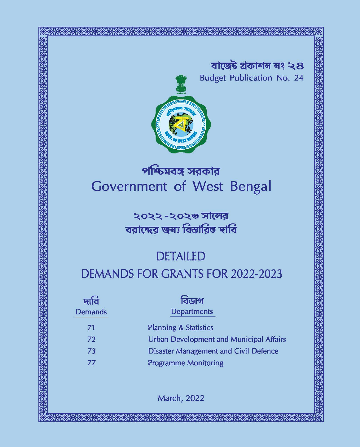বা<mark>জেট প্ৰকাশন</mark> নং ২৪ **Budget Publication No. 24** 



# পশ্চিমবঙ্গ সরকার **Government of West Bengal**

২০২২ -২০২৩ সালের বরাদ্দের জন্য বিস্তারিত দাবি

# **DETAILED DEMANDS FOR GRANTS FOR 2022-2023**

| দাব<br><b>Demands</b> | বিডাগ<br>Departments                         |
|-----------------------|----------------------------------------------|
| 71                    | <b>Planning &amp; Statistics</b>             |
| 72                    | Urban Development and Municipal Affairs      |
| 73                    | <b>Disaster Management and Civil Defence</b> |
| 77                    | <b>Programme Monitoring</b>                  |

**March, 2022**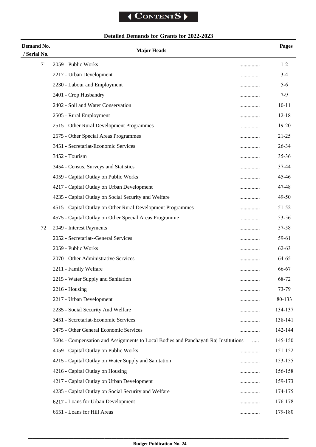# **Detailed Demands for Grants for 2022-2023**

| Demand No.   | <b>Major Heads</b>                                                                  |   | Pages     |
|--------------|-------------------------------------------------------------------------------------|---|-----------|
| / Serial No. |                                                                                     |   |           |
| 71           | 2059 - Public Works                                                                 |   | $1 - 2$   |
|              | 2217 - Urban Development                                                            |   | $3-4$     |
|              | 2230 - Labour and Employment                                                        |   | 5-6       |
|              | 2401 - Crop Husbandry                                                               |   | $7-9$     |
|              | 2402 - Soil and Water Conservation                                                  |   | $10 - 11$ |
|              | 2505 - Rural Employment                                                             |   | $12 - 18$ |
|              | 2515 - Other Rural Development Programmes                                           | . | $19 - 20$ |
|              | 2575 - Other Special Areas Programmes                                               |   | 21-25     |
|              | 3451 - Secretariat-Economic Services                                                |   | 26-34     |
|              | 3452 - Tourism                                                                      |   | 35-36     |
|              | 3454 - Census, Surveys and Statistics                                               |   | 37-44     |
|              | 4059 - Capital Outlay on Public Works                                               |   | 45-46     |
|              | 4217 - Capital Outlay on Urban Development                                          |   | 47-48     |
|              | 4235 - Capital Outlay on Social Security and Welfare                                |   | 49-50     |
|              | 4515 - Capital Outlay on Other Rural Development Programmes                         |   | 51-52     |
|              | 4575 - Capital Outlay on Other Special Areas Programme                              |   | 53-56     |
| 72           | 2049 - Interest Payments                                                            |   | 57-58     |
|              | 2052 - Secretariat--General Services                                                |   | 59-61     |
|              | 2059 - Public Works                                                                 | . | $62 - 63$ |
|              | 2070 - Other Administrative Services                                                | . | 64-65     |
|              | 2211 - Family Welfare                                                               | . | 66-67     |
|              | 2215 - Water Supply and Sanitation                                                  |   | 68-72     |
|              | $2216$ - Housing                                                                    |   | 73-79     |
|              | 2217 - Urban Development                                                            |   | 80-133    |
|              | 2235 - Social Security And Welfare                                                  |   | 134-137   |
|              | 3451 - Secretariat-Economic Services                                                |   | 138-141   |
|              | 3475 - Other General Economic Services                                              | . | 142-144   |
|              | 3604 - Compensation and Assignments to Local Bodies and Panchayati Raj Institutions |   | 145-150   |
|              | 4059 - Capital Outlay on Public Works                                               |   | 151-152   |
|              | 4215 - Capital Outlay on Water Supply and Sanitation                                |   | 153-155   |
|              | 4216 - Capital Outlay on Housing                                                    | . | 156-158   |
|              | 4217 - Capital Outlay on Urban Development                                          |   | 159-173   |
|              | 4235 - Capital Outlay on Social Security and Welfare                                | . | 174-175   |
|              | 6217 - Loans for Urban Development                                                  |   | 176-178   |
|              | 6551 - Loans for Hill Areas                                                         |   | 179-180   |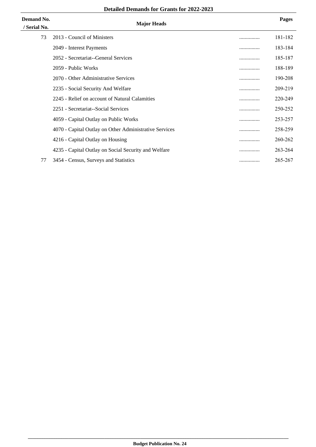#### **Detailed Demands for Grants for 2022-2023**

| Demand No.<br>/ Serial No. | <b>Major Heads</b>                                     |   | <b>Pages</b> |
|----------------------------|--------------------------------------------------------|---|--------------|
| 73                         | 2013 - Council of Ministers                            |   | 181-182      |
|                            | 2049 - Interest Payments                               | . | 183-184      |
|                            | 2052 - Secretariat--General Services                   |   | 185-187      |
|                            | 2059 - Public Works                                    | . | 188-189      |
|                            | 2070 - Other Administrative Services                   |   | 190-208      |
|                            | 2235 - Social Security And Welfare                     |   | 209-219      |
|                            | 2245 - Relief on account of Natural Calamities         | . | 220-249      |
|                            | 2251 - Secretariat--Social Services                    |   | 250-252      |
|                            | 4059 - Capital Outlay on Public Works                  | . | 253-257      |
|                            | 4070 - Capital Outlay on Other Administrative Services |   | 258-259      |
|                            | 4216 - Capital Outlay on Housing                       |   | 260-262      |
|                            | 4235 - Capital Outlay on Social Security and Welfare   | . | 263-264      |
| 77                         | 3454 - Census, Surveys and Statistics                  |   | 265-267      |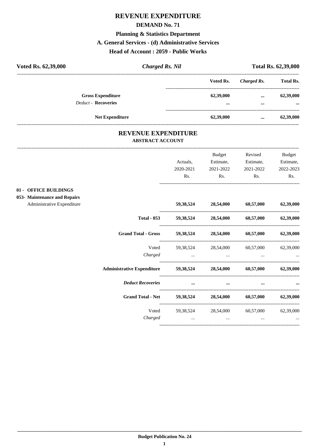#### **DEMAND No. 71**

#### **Planning & Statistics Department**

#### **A. General Services - (d) Administrative Services**

#### **Head of Account : 2059 - Public Works**

| Voted Rs. 62,39,000 |                                                        | <b>Charged Rs. Nil</b> |                                      |                      | <b>Total Rs. 62,39,000</b> |
|---------------------|--------------------------------------------------------|------------------------|--------------------------------------|----------------------|----------------------------|
|                     |                                                        |                        | Voted Rs.                            | Charged Rs.          | <b>Total Rs.</b>           |
|                     | <b>Gross Expenditure</b><br><b>Deduct - Recoveries</b> |                        | 62,39,000<br>$\bullet\bullet\bullet$ | $\cdots$<br>$\cdots$ | 62,39,000<br>$\cdots$      |
|                     | <b>Net Expenditure</b>                                 |                        | 62,39,000                            | $\cdots$             | 62,39,000                  |

#### **REVENUE EXPENDITURE ABSTRACT ACCOUNT**

|                              |                                   |                                        | <b>Budget</b>                 | Revised                                 | <b>Budget</b> |
|------------------------------|-----------------------------------|----------------------------------------|-------------------------------|-----------------------------------------|---------------|
|                              |                                   | Actuals.                               | Estimate,                     | Estimate,                               | Estimate,     |
|                              |                                   | 2020-2021                              | 2021-2022                     | 2021-2022                               | 2022-2023     |
|                              |                                   | Rs.                                    | Rs.                           | Rs.                                     | Rs.           |
| 01 - OFFICE BUILDINGS        |                                   |                                        |                               |                                         |               |
| 053- Maintenance and Repairs |                                   |                                        |                               |                                         |               |
| Administrative Expenditure   |                                   |                                        | 59,38,524 28,54,000 60,57,000 |                                         | 62,39,000     |
|                              | <b>Total - 053</b>                |                                        | 59,38,524 28,54,000 60,57,000 |                                         | 62,39,000     |
|                              | <b>Grand Total - Gross</b>        |                                        |                               | 59,38,524 28,54,000 60,57,000 62,39,000 |               |
|                              | Voted                             |                                        | 59,38,524 28,54,000           | 60,57,000                               | 62,39,000     |
|                              | Charged                           | the control of the control of the con- | $\cdots$                      |                                         |               |
|                              | <b>Administrative Expenditure</b> |                                        |                               | 59,38,524 28,54,000 60,57,000 62,39,000 |               |
|                              | <b>Deduct Recoveries</b>          | $\cdots$                               |                               |                                         |               |
|                              | <b>Grand Total - Net</b>          |                                        |                               | 59,38,524 28,54,000 60,57,000           | 62,39,000     |
|                              | Voted                             |                                        | 59,38,524 28,54,000           | 60,57,000                               | 62,39,000     |
|                              | Charged                           | $\cdots$                               | $\cdots$                      | $\cdots$                                |               |
|                              |                                   |                                        |                               |                                         |               |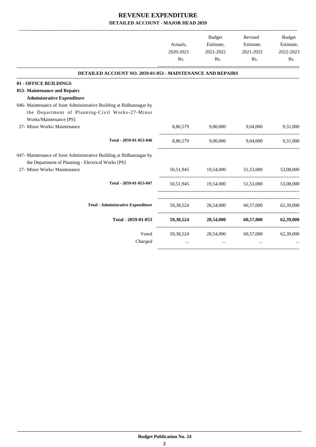|                                                                                                                           | Actuals,<br>2020-2021<br>Rs. | Budget<br>Estimate,<br>2021-2022<br>Rs. | Revised<br>Estimate,<br>2021-2022<br>Rs. | Budget<br>Estimate,<br>2022-2023<br>Rs. |
|---------------------------------------------------------------------------------------------------------------------------|------------------------------|-----------------------------------------|------------------------------------------|-----------------------------------------|
| DETAILED ACCOUNT NO. 2059-01-053 - MAINTENANCE AND REPAIRS                                                                |                              |                                         |                                          |                                         |
| 01 - OFFICE BUILDINGS                                                                                                     |                              |                                         |                                          |                                         |
| 053- Maintenance and Repairs                                                                                              |                              |                                         |                                          |                                         |
| <b>Administrative Expenditure</b>                                                                                         |                              |                                         |                                          |                                         |
| 046- Maintenance of Joint Administrative Building at Bidhannagar by                                                       |                              |                                         |                                          |                                         |
| the Department of Planning-Civil Works-27-Minor                                                                           |                              |                                         |                                          |                                         |
| Works/Maintenance [PS]                                                                                                    |                              |                                         |                                          |                                         |
| 27- Minor Works/ Maintenance                                                                                              | 8,86,579                     | 9,00,000                                | 9,04,000 9,31,000                        |                                         |
| Total - 2059-01-053-046                                                                                                   |                              |                                         | 8,86,579 9,00,000 9,04,000 9,31,000      |                                         |
| 047- Maintenance of Joint Administrative Building at Bidhannagar by<br>the Department of Planning - Electrical Works [PS] |                              |                                         |                                          |                                         |
| 27- Minor Works/ Maintenance                                                                                              |                              |                                         | 50,51,945 19,54,000 51,53,000            | 53,08,000                               |
| Total - 2059-01-053-047                                                                                                   |                              |                                         | 50.51.945 19.54.000 51.53.000 53.08.000  |                                         |
| <b>Total - Administrative Expenditure</b>                                                                                 |                              |                                         | 59,38,524 28,54,000 60,57,000 62,39,000  |                                         |
| Total - 2059-01-053                                                                                                       |                              |                                         | 59,38,524 28,54,000 60,57,000 62,39,000  |                                         |
| Voted<br>Charged                                                                                                          | $\cdots$                     | 59,38,524 28,54,000<br>$\cdots$         | 60,57,000<br>$\cdots$                    | 62,39,000                               |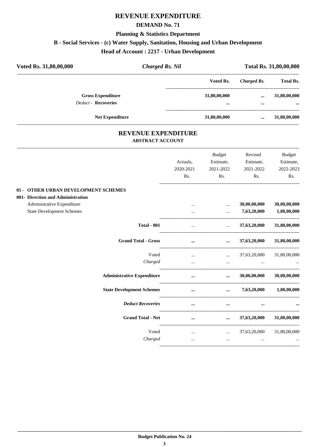#### **DEMAND No. 71**

#### **Planning & Statistics Department**

# **B - Social Services - (c) Water Supply, Sanitation, Housing and Urban Development**

**Head of Account : 2217 - Urban Development**

| Voted Rs. 31,80,00,000     | Charged Rs. Nil |              |             | Total Rs. 31,80,00,000 |
|----------------------------|-----------------|--------------|-------------|------------------------|
|                            |                 | Voted Rs.    | Charged Rs. | <b>Total Rs.</b>       |
| <b>Gross Expenditure</b>   |                 | 31,80,00,000 | $\cdots$    | 31,80,00,000           |
| <b>Deduct - Recoveries</b> |                 |              | $\cdots$    | $\cdots$               |
| <b>Net Expenditure</b>     |                 | 31,80,00,000 | $\cdots$    | 31,80,00,000           |

#### **REVENUE EXPENDITURE ABSTRACT ACCOUNT**

|                                      | Actuals,<br>2020-2021 | <b>Budget</b><br>Estimate,<br>2021-2022 | Revised<br>Estimate,<br>2021-2022               | <b>Budget</b><br>Estimate,<br>2022-2023 |
|--------------------------------------|-----------------------|-----------------------------------------|-------------------------------------------------|-----------------------------------------|
|                                      | Rs.                   | Rs.                                     | Rs.                                             | Rs.                                     |
| 05 - OTHER URBAN DEVELOPMENT SCHEMES |                       |                                         |                                                 |                                         |
| 001- Direction and Administration    |                       |                                         |                                                 |                                         |
| Administrative Expenditure           |                       | $\cdots$                                | 30,00,00,000                                    | 30,00,00,000                            |
| <b>State Development Schemes</b>     | $\cdots$              | $\cdots$                                | 7,63,20,000                                     | 1,80,00,000                             |
| <b>Total - 001</b>                   |                       |                                         | $\ldots$ 37,63,20,000                           | 31,80,00,000                            |
| <b>Grand Total - Gross</b>           | $\cdots$              |                                         | $\ldots$ 37,63,20,000                           | 31,80,00,000                            |
| Voted                                | $\cdots$              |                                         | $\ldots$ 37,63,20,000                           | 31,80,00,000                            |
| Charged                              | $\cdots$              |                                         | the contract of the contract of the contract of |                                         |
| <b>Administrative Expenditure</b>    | $\cdots$              |                                         | $\dots$ 30,00,00,000                            | 30,00,00,000                            |
| <b>State Development Schemes</b>     | $\cdots$              |                                         | $\ldots$ 7,63,20,000 1,80,00,000                |                                         |
| <b>Deduct Recoveries</b>             | $\cdots$              | $\cdots$                                |                                                 |                                         |
| <b>Grand Total - Net</b>             | $\cdots$              |                                         | $\ldots$ 37,63,20,000                           | 31,80,00,000                            |
| Voted                                |                       |                                         | $37,63,20,000$ $31,80,00,000$                   |                                         |
| Charged                              | $\ddots$              | $\cdots$                                | $\cdots$                                        |                                         |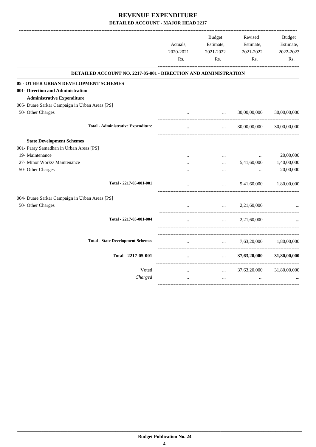| DETAILED ACCOUNT NO. 2217-05-001 - DIRECTION AND ADMINISTRATION<br><b>Administrative Expenditure</b><br>50- Other Charges<br>30,00,00,000<br>$\ddots$<br>$\ddotsc$<br><b>Total - Administrative Expenditure</b><br>30,00,00,000<br>$\cdots$<br>$\ddotsc$<br><b>State Development Schemes</b><br>19- Maintenance<br>$\ddotsc$<br>$\cdots$<br>$\cdots$<br>27- Minor Works/ Maintenance<br>5,41,60,000<br>$\cdots$<br>50- Other Charges<br>$\ddotsc$<br>Total - 2217-05-001-001<br>5,41,60,000<br>$\ddotsc$<br>$\ddotsc$ |              |
|-----------------------------------------------------------------------------------------------------------------------------------------------------------------------------------------------------------------------------------------------------------------------------------------------------------------------------------------------------------------------------------------------------------------------------------------------------------------------------------------------------------------------|--------------|
| 05 - OTHER URBAN DEVELOPMENT SCHEMES                                                                                                                                                                                                                                                                                                                                                                                                                                                                                  |              |
| 001- Direction and Administration<br>005- Duare Sarkar Campaign in Urban Areas [PS]<br>001- Paray Samadhan in Urban Areas [PS]<br>004- Duare Sarkar Campaign in Urban Areas [PS]                                                                                                                                                                                                                                                                                                                                      | 30,00,00,000 |
|                                                                                                                                                                                                                                                                                                                                                                                                                                                                                                                       |              |
|                                                                                                                                                                                                                                                                                                                                                                                                                                                                                                                       |              |
|                                                                                                                                                                                                                                                                                                                                                                                                                                                                                                                       |              |
|                                                                                                                                                                                                                                                                                                                                                                                                                                                                                                                       |              |
|                                                                                                                                                                                                                                                                                                                                                                                                                                                                                                                       | 30,00,00,000 |
|                                                                                                                                                                                                                                                                                                                                                                                                                                                                                                                       |              |
|                                                                                                                                                                                                                                                                                                                                                                                                                                                                                                                       |              |
|                                                                                                                                                                                                                                                                                                                                                                                                                                                                                                                       | 20,00,000    |
|                                                                                                                                                                                                                                                                                                                                                                                                                                                                                                                       | 1,40,00,000  |
|                                                                                                                                                                                                                                                                                                                                                                                                                                                                                                                       | 20,00,000    |
|                                                                                                                                                                                                                                                                                                                                                                                                                                                                                                                       | 1,80,00,000  |
|                                                                                                                                                                                                                                                                                                                                                                                                                                                                                                                       |              |
| 50- Other Charges<br>2,21,60,000<br>$\ddotsc$<br>$\ddotsc$                                                                                                                                                                                                                                                                                                                                                                                                                                                            |              |
| Total - 2217-05-001-004<br>2,21,60,000<br>$\ddotsc$                                                                                                                                                                                                                                                                                                                                                                                                                                                                   |              |
| <b>Total - State Development Schemes</b><br>7,63,20,000<br>$\ddotsc$<br>$\cdots$                                                                                                                                                                                                                                                                                                                                                                                                                                      | 1,80,00,000  |
| Total - 2217-05-001<br>37,63,20,000<br>$\ddots$<br>$\cdots$                                                                                                                                                                                                                                                                                                                                                                                                                                                           | 31,80,00,000 |
| Voted<br>37,63,20,000<br>$\cdots$<br>$\cdots$                                                                                                                                                                                                                                                                                                                                                                                                                                                                         | 31,80,00,000 |
| Charged<br>$\cdots$<br>$\cdots$<br>$\cdots$                                                                                                                                                                                                                                                                                                                                                                                                                                                                           |              |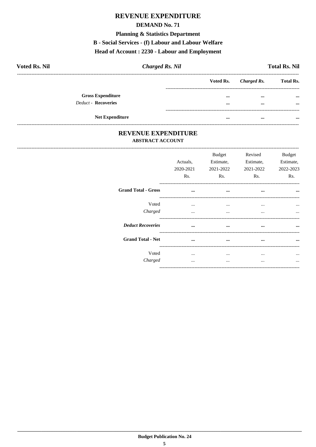#### **DEMAND No. 71**

#### **Planning & Statistics Department**

#### **B** - Social Services - (f) Labour and Labour Welfare

# Head of Account: 2230 - Labour and Employment

| <b>Voted Rs. Nil</b> |                            | <b>Charged Rs. Nil</b> |                         |                       | <b>Total Rs. Nil</b> |
|----------------------|----------------------------|------------------------|-------------------------|-----------------------|----------------------|
|                      |                            |                        |                         | Voted Rs. Charged Rs. | <b>Total Rs.</b>     |
|                      | <b>Gross Expenditure</b>   |                        |                         | $\cdots$              | $\cdots$             |
|                      | <b>Deduct - Recoveries</b> |                        | $\bullet\bullet\bullet$ | $\cdots$              | $\cdots$             |
|                      |                            |                        |                         |                       |                      |
|                      | <b>Net Expenditure</b>     |                        |                         | $\cdots$              |                      |

#### REVENUE EXPENDITURE **ABSTRACT ACCOUNT**

-------------------------

|                            | Actuals,<br>2020-2021<br>Rs. | <b>Budget</b><br>Estimate,<br>2021-2022<br>Rs. | Revised<br>Estimate,<br>2021-2022<br>Rs. | <b>Budget</b><br>Estimate.<br>2022-2023<br>Rs. |
|----------------------------|------------------------------|------------------------------------------------|------------------------------------------|------------------------------------------------|
| <b>Grand Total - Gross</b> | $\cdots$                     | $\cdots$                                       | $\cdots$                                 | $\cdots$                                       |
| Voted                      | $\cdots$                     | $\cdots$                                       | $\cdots$                                 |                                                |
| Charged                    | $\cdots$                     | $\cdots$                                       | $\cdots$                                 | $\cdots$                                       |
| <b>Deduct Recoveries</b>   | $\ddotsc$                    | $\cdots$                                       | $\cdots$                                 |                                                |
| <b>Grand Total - Net</b>   | $\cdots$                     | $\cdots$                                       | $\cdots$                                 |                                                |
| Voted                      | $\cdots$                     | $\cdots$                                       | $\cdots$                                 |                                                |
| Charged                    |                              | $\cdots$                                       | $\cdots$                                 |                                                |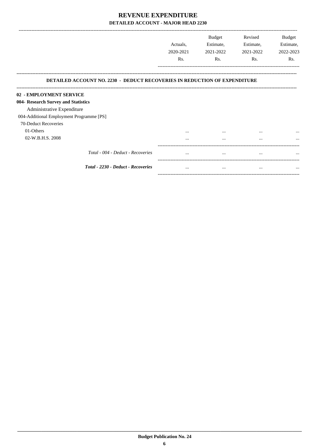|                                                                                  | Actuals,  | <b>Budget</b><br>Estimate, | Revised<br>Estimate, | Budget<br>Estimate, |
|----------------------------------------------------------------------------------|-----------|----------------------------|----------------------|---------------------|
|                                                                                  | 2020-2021 | 2021-2022                  | 2021-2022            | 2022-2023           |
|                                                                                  | Rs.       | Rs.                        | Rs.                  | Rs.                 |
| <b>DETAILED ACCOUNT NO. 2230 - DEDUCT RECOVERIES IN REDUCTION OF EXPENDITURE</b> |           |                            |                      |                     |
| 02 - EMPLOYMENT SERVICE                                                          |           |                            |                      |                     |
| 004- Research Survey and Statistics                                              |           |                            |                      |                     |
| Administrative Expenditure                                                       |           |                            |                      |                     |
| 004-Additional Employment Programme [PS]                                         |           |                            |                      |                     |
| 70-Deduct Recoveries                                                             |           |                            |                      |                     |
| 01-Others                                                                        | $\cdots$  |                            | $\cdots$             |                     |
| 02-W.B.H.S. 2008                                                                 | $\cdots$  | $\cdots$                   | $\cdots$             |                     |
| Total - 004 - Deduct - Recoveries                                                | $\cdots$  | $\cdots$                   | $\cdots$             | $\cdots$            |
| Total - 2230 - Deduct - Recoveries                                               | $\cdots$  | $\cdots$                   |                      | $\cdots$            |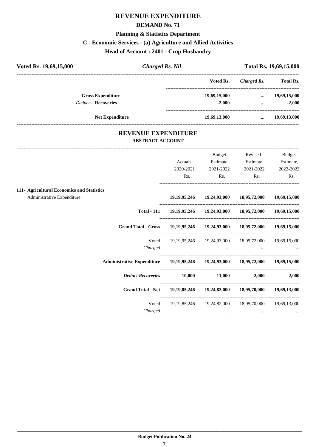#### **DEMAND No. 71**

#### **Planning & Statistics Department**

# **C - Economic Services - (a) Agriculture and Allied Activities**

**Head of Account : 2401 - Crop Husbandry**

| <b>Charged Rs. Nil</b> | Total Rs. 19,69,15,000 |             |                  |
|------------------------|------------------------|-------------|------------------|
|                        | Voted Rs.              | Charged Rs. | <b>Total Rs.</b> |
|                        | 19,69,15,000           | $\cdots$    | 19,69,15,000     |
|                        | $-2.000$               | $\cdots$    | $-2,000$         |
|                        | 19,69,13,000           | $\cdots$    | 19,69,13,000     |
|                        |                        |             |                  |

#### **REVENUE EXPENDITURE ABSTRACT ACCOUNT**

---------------------------------------------------------------------------------------------------------------------------------------------------------------------------------

|                                                                                            | Actuals,                                                                    | <b>Budget</b><br>Estimate,                                                                                          | Revised<br>Estimate, | Budget<br>Estimate,               |
|--------------------------------------------------------------------------------------------|-----------------------------------------------------------------------------|---------------------------------------------------------------------------------------------------------------------|----------------------|-----------------------------------|
|                                                                                            | 2020-2021                                                                   | 2021-2022                                                                                                           | 2021-2022            | 2022-2023                         |
|                                                                                            | Rs.                                                                         | Rs.                                                                                                                 | Rs.                  | Rs.                               |
| 111- Agricultural Economics and Statistics                                                 |                                                                             |                                                                                                                     |                      |                                   |
| Administrative Expenditure                                                                 |                                                                             | 19, 19, 95, 246 19, 24, 93, 000 18, 95, 72, 000 19, 69, 15, 000                                                     |                      |                                   |
|                                                                                            | Total - 111 19, 19, 95, 246 19, 24, 93, 000 18, 95, 72, 000 19, 69, 15, 000 |                                                                                                                     |                      |                                   |
| Grand Total - Gross 19,19,95,246 19,24,93,000 18,95,72,000 19,69,15,000                    |                                                                             |                                                                                                                     |                      |                                   |
| Voted                                                                                      |                                                                             | 19, 19, 95, 246   19, 24, 93, 000   18, 95, 72, 000   19, 69, 15, 000                                               |                      |                                   |
| Charged                                                                                    |                                                                             | and the contract of the contract of the contract of the contract of the contract of the contract of the contract of |                      | <b>Section</b> of the contract of |
| Administrative Expenditure 19, 19, 23, 246 19, 24, 93, 000 18, 95, 72, 000 19, 69, 15, 000 |                                                                             |                                                                                                                     |                      |                                   |
| <b>Deduct Recoveries</b> -10,000                                                           |                                                                             | $-11,000$                                                                                                           |                      | $-2,000$ $-2,000$                 |
| <b>Grand Total - Net</b>                                                                   |                                                                             | 19, 19, 85, 246 19, 24, 82, 000 18, 95, 70, 000 19, 69, 13, 000                                                     |                      |                                   |
| Voted                                                                                      |                                                                             | 19, 19, 85, 246   19, 24, 82, 000   18, 95, 70, 000   19, 69, 13, 000                                               |                      |                                   |
| Charged                                                                                    | $\cdots$                                                                    | $\cdots$                                                                                                            | $\cdots$             |                                   |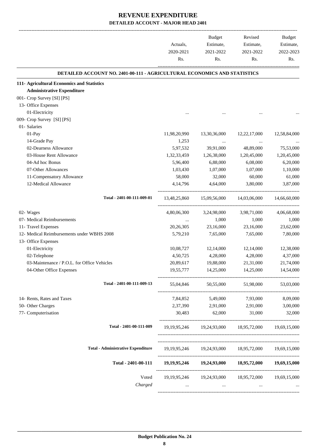| DETAILED ACCOUNT NO. 2401-00-111 - AGRICULTURAL ECONOMICS AND STATISTICS<br>13,30,36,000<br>39,91,000<br>1,26,38,000<br>6,88,000<br>1,07,000<br>32,000<br>4,64,000<br>15,09,56,000<br>3,24,98,000<br>1,000 | 12,22,17,000<br>48,89,000<br>1,20,45,000<br>6,08,000<br>1,07,000<br>60,000<br>3,80,000<br>14,03,06,000<br>3,98,71,000<br>1,000<br>23,16,000 |                                                                                                                                                                                                                                                                                      |
|------------------------------------------------------------------------------------------------------------------------------------------------------------------------------------------------------------|---------------------------------------------------------------------------------------------------------------------------------------------|--------------------------------------------------------------------------------------------------------------------------------------------------------------------------------------------------------------------------------------------------------------------------------------|
|                                                                                                                                                                                                            |                                                                                                                                             |                                                                                                                                                                                                                                                                                      |
|                                                                                                                                                                                                            |                                                                                                                                             | 12,58,84,000<br>75,53,000<br>1,20,45,000<br>6,20,000<br>1,10,000<br>61,000<br>3,87,000<br>14,66,60,000<br>4,06,68,000<br>1,000<br>23,62,000                                                                                                                                          |
|                                                                                                                                                                                                            |                                                                                                                                             |                                                                                                                                                                                                                                                                                      |
|                                                                                                                                                                                                            |                                                                                                                                             |                                                                                                                                                                                                                                                                                      |
|                                                                                                                                                                                                            |                                                                                                                                             |                                                                                                                                                                                                                                                                                      |
|                                                                                                                                                                                                            |                                                                                                                                             |                                                                                                                                                                                                                                                                                      |
|                                                                                                                                                                                                            |                                                                                                                                             |                                                                                                                                                                                                                                                                                      |
|                                                                                                                                                                                                            |                                                                                                                                             |                                                                                                                                                                                                                                                                                      |
|                                                                                                                                                                                                            |                                                                                                                                             |                                                                                                                                                                                                                                                                                      |
|                                                                                                                                                                                                            |                                                                                                                                             |                                                                                                                                                                                                                                                                                      |
|                                                                                                                                                                                                            |                                                                                                                                             |                                                                                                                                                                                                                                                                                      |
|                                                                                                                                                                                                            |                                                                                                                                             |                                                                                                                                                                                                                                                                                      |
|                                                                                                                                                                                                            |                                                                                                                                             |                                                                                                                                                                                                                                                                                      |
|                                                                                                                                                                                                            |                                                                                                                                             |                                                                                                                                                                                                                                                                                      |
|                                                                                                                                                                                                            |                                                                                                                                             |                                                                                                                                                                                                                                                                                      |
|                                                                                                                                                                                                            |                                                                                                                                             |                                                                                                                                                                                                                                                                                      |
|                                                                                                                                                                                                            |                                                                                                                                             |                                                                                                                                                                                                                                                                                      |
|                                                                                                                                                                                                            |                                                                                                                                             |                                                                                                                                                                                                                                                                                      |
|                                                                                                                                                                                                            |                                                                                                                                             |                                                                                                                                                                                                                                                                                      |
| 23,16,000                                                                                                                                                                                                  |                                                                                                                                             |                                                                                                                                                                                                                                                                                      |
| 7,65,000                                                                                                                                                                                                   | 7,65,000                                                                                                                                    | 7,80,000                                                                                                                                                                                                                                                                             |
|                                                                                                                                                                                                            |                                                                                                                                             |                                                                                                                                                                                                                                                                                      |
| 12,14,000                                                                                                                                                                                                  | 12,14,000                                                                                                                                   | 12,38,000                                                                                                                                                                                                                                                                            |
| 4,28,000                                                                                                                                                                                                   | 4,28,000                                                                                                                                    | 4,37,000                                                                                                                                                                                                                                                                             |
| 19,88,000                                                                                                                                                                                                  | 21,31,000                                                                                                                                   | 21,74,000                                                                                                                                                                                                                                                                            |
| 19,55,777 14,25,000                                                                                                                                                                                        | 14,25,000                                                                                                                                   | 14,54,000                                                                                                                                                                                                                                                                            |
| 55,04,846 50,55,000                                                                                                                                                                                        | 51,98,000                                                                                                                                   | 53,03,000                                                                                                                                                                                                                                                                            |
|                                                                                                                                                                                                            | 5,49,000 7,93,000                                                                                                                           | 8,09,000                                                                                                                                                                                                                                                                             |
| 2,91,000                                                                                                                                                                                                   | 2,91,000                                                                                                                                    | 3,00,000                                                                                                                                                                                                                                                                             |
| 62,000                                                                                                                                                                                                     | 31,000                                                                                                                                      | 32,000                                                                                                                                                                                                                                                                               |
|                                                                                                                                                                                                            |                                                                                                                                             |                                                                                                                                                                                                                                                                                      |
|                                                                                                                                                                                                            |                                                                                                                                             |                                                                                                                                                                                                                                                                                      |
|                                                                                                                                                                                                            |                                                                                                                                             |                                                                                                                                                                                                                                                                                      |
|                                                                                                                                                                                                            |                                                                                                                                             |                                                                                                                                                                                                                                                                                      |
|                                                                                                                                                                                                            |                                                                                                                                             |                                                                                                                                                                                                                                                                                      |
|                                                                                                                                                                                                            |                                                                                                                                             | 19, 19, 95, 246 19, 24, 93, 000 18, 95, 72, 000 19, 69, 15, 000<br>19, 19, 95, 246   19, 24, 93, 000   18, 95, 72, 000   19, 69, 15, 000<br>19, 19, 95, 246 19, 24, 93, 000 18, 95, 72, 000 19, 69, 15, 000<br>19, 19, 95, 246   19, 24, 93, 000   18, 95, 72, 000   19, 69, 15, 000 |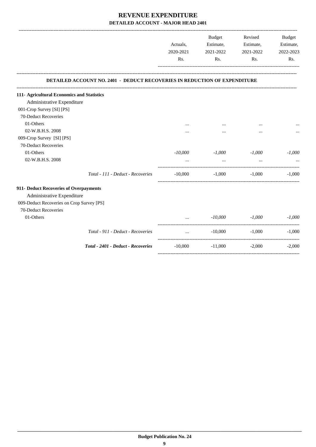|                                            |                                                                           | Actuals,<br>2020-2021 | Budget<br>Estimate,<br>2021-2022 | Revised<br>Estimate,<br>2021-2022 | Budget<br>Estimate,<br>2022-2023 |
|--------------------------------------------|---------------------------------------------------------------------------|-----------------------|----------------------------------|-----------------------------------|----------------------------------|
|                                            |                                                                           | Rs.                   | Rs.                              | Rs.                               | Rs.                              |
|                                            | DETAILED ACCOUNT NO. 2401 - DEDUCT RECOVERIES IN REDUCTION OF EXPENDITURE |                       |                                  |                                   |                                  |
| 111- Agricultural Economics and Statistics |                                                                           |                       |                                  |                                   |                                  |
| Administrative Expenditure                 |                                                                           |                       |                                  |                                   |                                  |
| 001-Crop Survey [SI] [PS]                  |                                                                           |                       |                                  |                                   |                                  |
| 70-Deduct Recoveries                       |                                                                           |                       |                                  |                                   |                                  |
| 01-Others                                  |                                                                           |                       |                                  |                                   |                                  |
| 02-W.B.H.S. 2008                           |                                                                           |                       | $\ddotsc$                        | $\cdots$                          |                                  |
| 009-Crop Survey [SI] [PS]                  |                                                                           |                       |                                  |                                   |                                  |
| 70-Deduct Recoveries                       |                                                                           |                       |                                  |                                   |                                  |
| 01-Others                                  |                                                                           | -10,000               | -1,000                           | $-1,000$                          | $-1,000$                         |
| 02-W.B.H.S. 2008                           |                                                                           |                       | $\ddotsc$                        | $\ddotsc$                         |                                  |
|                                            | Total - 111 - Deduct - Recoveries                                         | $-10,000$             | $-1,000$                         | $-1,000$                          | $-1.000$                         |
| 911- Deduct Recoveries of Overpayments     |                                                                           |                       |                                  |                                   |                                  |
| Administrative Expenditure                 |                                                                           |                       |                                  |                                   |                                  |
| 009-Deduct Recoveries on Crop Survey [PS]  |                                                                           |                       |                                  |                                   |                                  |
| 70-Deduct Recoveries                       |                                                                           |                       |                                  |                                   |                                  |
| 01-Others                                  |                                                                           |                       | $-10,000$                        | $-1,000$                          | $-1,000$                         |
|                                            | Total - 911 - Deduct - Recoveries                                         | $\cdots$              | $-10,000$                        | $-1,000$                          | $-1.000$                         |
|                                            | Total - 2401 - Deduct - Recoveries                                        | $-10,000$             | $-11,000$                        | $-2,000$                          | $-2,000$                         |
|                                            |                                                                           |                       |                                  |                                   |                                  |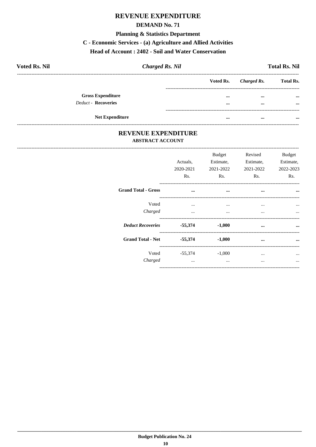#### **DEMAND No. 71**

#### **Planning & Statistics Department**

#### C - Economic Services - (a) Agriculture and Allied Activities

#### Head of Account: 2402 - Soil and Water Conservation

| <b>Voted Rs. Nil</b>       | <b>Charged Rs. Nil</b> |           |             | <b>Total Rs. Nil</b> |
|----------------------------|------------------------|-----------|-------------|----------------------|
|                            |                        | Voted Rs. | Charged Rs. | <b>Total Rs.</b>     |
| <b>Gross Expenditure</b>   |                        | $\cdots$  | $\cdots$    | $\cdots$             |
| <b>Deduct - Recoveries</b> |                        | $\cdots$  | $\cdots$    | $\cdots$             |
| <b>Net Expenditure</b>     |                        | $\cdots$  | $\cdots$    | $\cdots$             |

#### REVENUE EXPENDITURE **ABSTRACT ACCOUNT**

|                                 | Actuals.<br>2020-2021<br>Rs. | <b>Budget</b><br>Estimate,<br>2021-2022<br>Rs. | Revised<br>Estimate,<br>2021-2022<br>Rs. | <b>Budget</b><br>Estimate,<br>2022-2023<br>Rs. |
|---------------------------------|------------------------------|------------------------------------------------|------------------------------------------|------------------------------------------------|
| <b>Grand Total - Gross</b>      | $\cdots$                     | $\bullet \bullet \bullet$                      |                                          | $\cdots$<br>$\cdots$                           |
| Voted<br>Charged                | $\cdots$<br>$\cdots$         | $\cdots$<br>$\cdots$                           | $\cdots$<br>$\cdots$                     |                                                |
| Deduct Recoveries 55,374 -1,000 |                              |                                                | $\cdots$                                 | $\cdots$                                       |
| <b>Grand Total - Net</b>        |                              | $-55,374$ $-1,000$                             | $\cdots$                                 | $\cdots$                                       |
| Charged                         | $\cdots$                     | Voted -55,374 -1,000<br>$\cdots$               | $\cdots$<br>                             | $\ddotsc$                                      |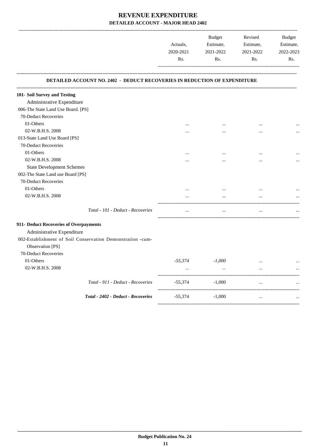|                                                                                  | Actuals,<br>2020-2021<br>Rs. | Budget<br>Estimate,<br>2021-2022<br>Rs. | Revised<br>Estimate,<br>2021-2022<br>Rs. | Budget<br>Estimate,<br>2022-2023<br>Rs. |
|----------------------------------------------------------------------------------|------------------------------|-----------------------------------------|------------------------------------------|-----------------------------------------|
| <b>DETAILED ACCOUNT NO. 2402 - DEDUCT RECOVERIES IN REDUCTION OF EXPENDITURE</b> |                              |                                         |                                          |                                         |
| 101- Soil Survey and Testing                                                     |                              |                                         |                                          |                                         |
| Administrative Expenditure                                                       |                              |                                         |                                          |                                         |
| 006-The State Land Use Board. [PS]                                               |                              |                                         |                                          |                                         |
| 70-Deduct Recoveries                                                             |                              |                                         |                                          |                                         |
| 01-Others                                                                        | $\cdots$                     |                                         | $\ddotsc$                                |                                         |
| 02-W.B.H.S. 2008                                                                 |                              |                                         |                                          |                                         |
| 013-State Land Use Board [PS]                                                    |                              |                                         |                                          |                                         |
| 70-Deduct Recoveries                                                             |                              |                                         |                                          |                                         |
| 01-Others                                                                        | $\ddotsc$                    | $\cdots$                                | $\ddotsc$                                |                                         |
| 02-W.B.H.S. 2008                                                                 |                              |                                         |                                          |                                         |
| <b>State Development Schemes</b>                                                 |                              |                                         |                                          |                                         |
| 002-The State Land use Board [PS]                                                |                              |                                         |                                          |                                         |
| 70-Deduct Recoveries                                                             |                              |                                         |                                          |                                         |
| 01-Others                                                                        | $\cdots$                     | $\cdots$                                | $\cdots$                                 |                                         |
| 02-W.B.H.S. 2008                                                                 | $\cdots$                     | $\ddotsc$                               | $\ddotsc$                                |                                         |
| Total - 101 - Deduct - Recoveries                                                | $\ldots$                     | $\ldots$                                | $\ldots$                                 |                                         |
| 911- Deduct Recoveries of Overpayments                                           |                              |                                         |                                          |                                         |
| Administrative Expenditure                                                       |                              |                                         |                                          |                                         |
| 002-Establishment of Soil Conservation Demonstration -cum-<br>Observation [PS]   |                              |                                         |                                          |                                         |
| 70-Deduct Recoveries                                                             |                              |                                         |                                          |                                         |
| 01-Others                                                                        | -55,374                      | $-1,000$                                | $\ddotsc$                                |                                         |
| 02-W.B.H.S. 2008                                                                 | $\cdots$                     | $\ddots$                                | $\dddotsc$                               |                                         |
| Total - 911 - Deduct - Recoveries                                                | -55,374                      | $-1,000$                                | $\ddotsc$                                |                                         |
| Total - 2402 - Deduct - Recoveries                                               | $-55,374$                    | $-1,000$                                | $\ldots$                                 |                                         |

-----------------------------------------------------------------------------------------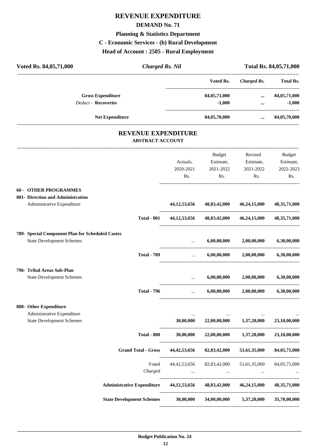#### **DEMAND No. 71**

# **Planning & Statistics Department**

# **C - Economic Services - (b) Rural Development**

**Head of Account : 2505 - Rural Employment**

| Voted Rs. 84,05,71,000                                                                          | <b>Charged Rs. Nil</b>  |                                            |                                                                                                                                                                                                                                                                                                                                                                                                                                                            |                                                               | Total Rs. 84,05,71,000                  |
|-------------------------------------------------------------------------------------------------|-------------------------|--------------------------------------------|------------------------------------------------------------------------------------------------------------------------------------------------------------------------------------------------------------------------------------------------------------------------------------------------------------------------------------------------------------------------------------------------------------------------------------------------------------|---------------------------------------------------------------|-----------------------------------------|
|                                                                                                 |                         |                                            | Voted Rs.                                                                                                                                                                                                                                                                                                                                                                                                                                                  | <b>Charged Rs.</b>                                            | Total Rs.                               |
| <b>Gross Expenditure</b><br><b>Deduct - Recoveries</b>                                          |                         |                                            | 84,05,71,000<br>$-1,000$                                                                                                                                                                                                                                                                                                                                                                                                                                   | $\ddotsc$<br>$\ddotsc$                                        | 84,05,71,000<br>$-1,000$                |
| Net Expenditure                                                                                 |                         |                                            | 84,05,70,000                                                                                                                                                                                                                                                                                                                                                                                                                                               | $\cdots$                                                      | 84,05,70,000                            |
|                                                                                                 | <b>ABSTRACT ACCOUNT</b> | <b>REVENUE EXPENDITURE</b>                 |                                                                                                                                                                                                                                                                                                                                                                                                                                                            |                                                               |                                         |
|                                                                                                 |                         | Actuals,<br>2020-2021<br>Rs.               | Budget<br>Estimate,<br>2021-2022<br>Rs.                                                                                                                                                                                                                                                                                                                                                                                                                    | Revised<br>Estimate,<br>2021-2022<br>Rs.                      | Budget<br>Estimate,<br>2022-2023<br>Rs. |
| <b>60 - OTHER PROGRAMMES</b><br>001- Direction and Administration<br>Administrative Expenditure |                         | 44, 12, 53, 656                            |                                                                                                                                                                                                                                                                                                                                                                                                                                                            | 48,83,42,000 46,24,15,000                                     | 48, 35, 71, 000                         |
|                                                                                                 | <b>Total - 001</b>      | 44, 12, 53, 656                            | 48,83,42,000                                                                                                                                                                                                                                                                                                                                                                                                                                               | 46,24,15,000                                                  | 48, 35, 71, 000                         |
| 789- Special Component Plan for Scheduled Castes<br><b>State Development Schemes</b>            |                         | $\cdots$                                   | 6,00,00,000                                                                                                                                                                                                                                                                                                                                                                                                                                                | 2,00,00,000                                                   | 6,30,00,000                             |
|                                                                                                 | <b>Total - 789</b>      | ------------------------------<br>$\cdots$ | 6,00,00,000                                                                                                                                                                                                                                                                                                                                                                                                                                                | 2,00,00,000                                                   | 6,30,00,000                             |
| 796- Tribal Areas Sub-Plan<br><b>State Development Schemes</b>                                  |                         |                                            | 6,00,00,000                                                                                                                                                                                                                                                                                                                                                                                                                                                | 2,00,00,000                                                   | 6,30,00,000                             |
|                                                                                                 | <b>Total - 796</b>      | $\cdots$                                   | 6,00,00,000                                                                                                                                                                                                                                                                                                                                                                                                                                                | 2,00,00,000                                                   | 6,30,00,000                             |
| 800- Other Expenditure<br>Administrative Expenditure<br><b>State Development Schemes</b>        |                         | $\cdots$<br>30,00,000                      | 22,00,00,000                                                                                                                                                                                                                                                                                                                                                                                                                                               | 1,37,20,000                                                   | 23,10,00,000                            |
|                                                                                                 | <b>Total - 800</b>      | 30,00,000                                  | 22,00,00,000                                                                                                                                                                                                                                                                                                                                                                                                                                               | 1,37,20,000                                                   | 23,10,00,000                            |
| <b>Grand Total - Gross</b>                                                                      |                         | 44, 42, 53, 656                            | 82,83,42,000                                                                                                                                                                                                                                                                                                                                                                                                                                               | 51,61,35,000                                                  | 84,05,71,000                            |
|                                                                                                 | Voted<br>Charged        | 44, 42, 53, 656                            | 82,83,42,000<br>$\mathbf{1}_{\mathbf{1}_{\mathbf{1}_{\mathbf{2}}\mathbf{1}_{\mathbf{3}}\mathbf{1}_{\mathbf{4}}\mathbf{1}_{\mathbf{5}}\mathbf{1}_{\mathbf{6}}\mathbf{1}_{\mathbf{7}}\mathbf{1}_{\mathbf{8}}\mathbf{1}_{\mathbf{9}}\mathbf{1}_{\mathbf{1}_{\mathbf{1}}\mathbf{1}_{\mathbf{1}}\mathbf{1}_{\mathbf{1}}\mathbf{1}_{\mathbf{1}}\mathbf{1}_{\mathbf{1}}\mathbf{1}_{\mathbf{1}}\mathbf{1}_{\mathbf{1}}\mathbf{1}_{\mathbf{1}}\mathbf{1}_{\mathbf{$ | 51,61,35,000<br><b>Contract Contract Contract</b><br>$\cdots$ | 84,05,71,000                            |
| <b>Administrative Expenditure</b>                                                               |                         | 44, 12, 53, 656                            |                                                                                                                                                                                                                                                                                                                                                                                                                                                            | 48,83,42,000 46,24,15,000                                     | 48, 35, 71, 000                         |
| <b>State Development Schemes</b>                                                                |                         | 30,00,000                                  | 34,00,00,000                                                                                                                                                                                                                                                                                                                                                                                                                                               | 5,37,20,000                                                   | 35,70,00,000                            |

----------------------------------------------------------------------------------------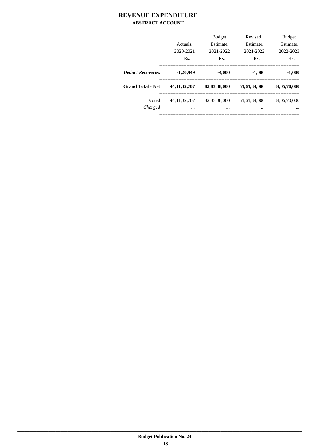#### **REVENUE EXPENDITURE ABSTRACT ACCOUNT**

|                          | Actuals.<br>2020-2021<br>Rs. | <b>Budget</b><br>Estimate,<br>2021-2022<br>Rs. | Revised<br>Estimate.<br>2021-2022<br>Rs. | <b>Budget</b><br>Estimate,<br>2022-2023<br>R <sub>s</sub> . |
|--------------------------|------------------------------|------------------------------------------------|------------------------------------------|-------------------------------------------------------------|
| <b>Deduct Recoveries</b> | $-1,20,949$                  | $-4,000$                                       | $-1,000$                                 | $-1,000$                                                    |
| <b>Grand Total - Net</b> | 44, 41, 32, 707              | 82,83,38,000                                   | 51,61,34,000                             | 84,05,70,000                                                |
| Voted<br>Charged         | 44, 41, 32, 707<br>$\cdots$  | 82,83,38,000<br>$\cdots$                       | 51.61.34.000<br>$\cdots$                 | 84,05,70,000<br>$\cdots$                                    |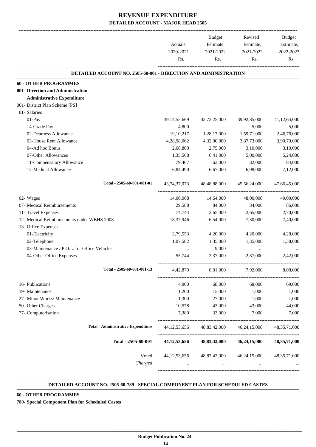|                                                                        | Actuals,<br>2020-2021<br>Rs. | Budget<br>Estimate,<br>2021-2022<br>Rs. | Revised<br>Estimate,<br>2021-2022<br>Rs.            | Budget<br>Estimate,<br>2022-2023<br>Rs. |
|------------------------------------------------------------------------|------------------------------|-----------------------------------------|-----------------------------------------------------|-----------------------------------------|
| <b>DETAILED ACCOUNT NO. 2505-60-001 - DIRECTION AND ADMINISTRATION</b> |                              |                                         |                                                     |                                         |
| <b>60 - OTHER PROGRAMMES</b>                                           |                              |                                         |                                                     |                                         |
| 001- Direction and Administration                                      |                              |                                         |                                                     |                                         |
| <b>Administrative Expenditure</b>                                      |                              |                                         |                                                     |                                         |
| 001- District Plan Scheme [PS]                                         |                              |                                         |                                                     |                                         |
| 01- Salaries                                                           |                              |                                         |                                                     |                                         |
| 01-Pay                                                                 | 39, 14, 55, 669              | 42,72,25,000                            | 39,92,85,000                                        | 41,12,64,000                            |
| 14-Grade Pay                                                           | 4,800                        |                                         | 5,000                                               | 5,000                                   |
| 02-Dearness Allowance                                                  | 19,10,217                    | 1,28,17,000                             | 1,59,71,000                                         | 2,46,76,000                             |
| 03-House Rent Allowance                                                | 4,28,98,062                  | 4,32,00,000                             | 3,87,73,000                                         | 3,90,70,000                             |
| 04-Ad hoc Bonus                                                        | 2,68,800                     | 2,75,000                                | 3,10,000                                            | 3,10,000                                |
| 07-Other Allowances                                                    | 1,35,568                     | 6,41,000                                | 5,00,000                                            | 5,24,000                                |
| 11-Compensatory Allowance                                              | 79,467                       | 63,000                                  | 82,000                                              | 84,000                                  |
| 12-Medical Allowance                                                   | 6,84,490                     | 6,67,000                                | 6,98,000                                            | 7,12,000                                |
| Total - 2505-60-001-001-01                                             |                              |                                         | 43,74,37,073 48,48,88,000 45,56,24,000              | 47,66,45,000                            |
| 02- Wages                                                              | 14,06,068                    | 14,64,000                               | 48,00,000                                           | 49,00,000                               |
| 07- Medical Reimbursements                                             | 29,588                       | 84,000                                  | 84,000                                              | 86,000                                  |
| 11- Travel Expenses                                                    | 74,744                       | 2,65,000                                | 2,65,000                                            | 2,70,000                                |
| 12- Medical Reimbursements under WBHS 2008                             | 18,37,946                    | 6,54,000                                | 7,30,000                                            | 7,40,000                                |
| 13- Office Expenses                                                    |                              |                                         |                                                     |                                         |
| 01-Electricity                                                         | 2,79,553                     | 4,20,000                                | 4,20,000                                            | 4,28,000                                |
| 02-Telephone                                                           | 1,07,582                     | 1,35,000                                | 1,35,000                                            | 1,38,000                                |
| 03-Maintenance / P.O.L. for Office Vehicles                            | $\cdots$                     | 9,000                                   | $\cdots$                                            |                                         |
| 04-Other Office Expenses                                               | 55,744                       | 2,37,000                                | 2,37,000                                            | 2,42,000                                |
| Total - 2505-60-001-001-13                                             | 4,42,879                     | 8,01,000                                | 7,92,000                                            | 8,08,000                                |
| 16- Publications                                                       | 4,900                        | 68,000                                  | 68,000                                              | 69,000                                  |
| 19- Maintenance                                                        | 1,200                        | 15,000                                  | 1,000                                               | 1,000                                   |
| 27- Minor Works/ Maintenance                                           | 1,300                        | 27,000                                  | 1,000                                               | 1,000                                   |
| 50- Other Charges                                                      | 10,578                       | 43,000                                  | 43,000                                              | 44,000                                  |
| 77- Computerisation                                                    | 7,380                        | 33,000                                  | 7,000                                               | 7,000                                   |
| <b>Total - Administrative Expenditure</b>                              | 44, 12, 53, 656              | 48,83,42,000                            | 46, 24, 15, 000                                     | 48, 35, 71, 000                         |
| Total - 2505-60-001                                                    |                              |                                         | 44,12,53,656 48,83,42,000 46,24,15,000 48,35,71,000 |                                         |
| Voted                                                                  | 44, 12, 53, 656              | 48,83,42,000                            | 46, 24, 15, 000                                     | 48, 35, 71, 000                         |
| Charged                                                                | $\cdots$                     | $\cdots$                                | $\cdots$                                            |                                         |
|                                                                        |                              |                                         |                                                     |                                         |

#### **DETAILED ACCOUNT NO. 2505-60-789 - SPECIAL COMPONENT PLAN FOR SCHEDULED CASTES .**

**60 - OTHER PROGRAMMES**

**789- Special Component Plan for Scheduled Castes**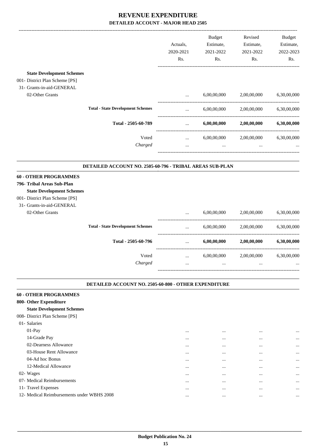|                                  |                                                          |                                      | Budget      | Revised     | <b>Budget</b> |
|----------------------------------|----------------------------------------------------------|--------------------------------------|-------------|-------------|---------------|
|                                  |                                                          | Actuals,                             | Estimate,   | Estimate,   | Estimate,     |
|                                  |                                                          | 2020-2021                            | 2021-2022   | 2021-2022   | 2022-2023     |
|                                  |                                                          | Rs.                                  | Rs.         | Rs.         | Rs.           |
| <b>State Development Schemes</b> |                                                          |                                      |             |             |               |
| 001- District Plan Scheme [PS]   |                                                          |                                      |             |             |               |
| 31- Grants-in-aid-GENERAL        |                                                          |                                      |             |             |               |
| 02-Other Grants                  |                                                          |                                      | 6,00,00,000 | 2,00,00,000 | 6,30,00,000   |
|                                  | <b>Total - State Development Schemes</b>                 | $\cdots$                             | 6,00,00,000 | 2,00,00,000 | 6,30,00,000   |
|                                  | Total - 2505-60-789                                      | $\cdots$                             | 6,00,00,000 | 2,00,00,000 | 6,30,00,000   |
|                                  | Voted                                                    | ------------------------<br>$\cdots$ | 6,00,00,000 | 2,00,00,000 | 6,30,00,000   |
|                                  | Charged                                                  | $\cdots$                             | $\cdots$    | $\cdots$    |               |
|                                  | DETAILED ACCOUNT NO. 2505-60-796 - TRIBAL AREAS SUB-PLAN |                                      |             |             |               |
| <b>60 - OTHER PROGRAMMES</b>     |                                                          |                                      |             |             |               |
| 796- Tribal Areas Sub-Plan       |                                                          |                                      |             |             |               |
| <b>State Development Schemes</b> |                                                          |                                      |             |             |               |
| 001- District Plan Scheme [PS]   |                                                          |                                      |             |             |               |
| 31- Grants-in-aid-GENERAL        |                                                          |                                      |             |             |               |
| 02-Other Grants                  |                                                          | $\cdots$                             | 6,00,00,000 | 2,00,00,000 | 6,30,00,000   |
|                                  | <b>Total - State Development Schemes</b>                 |                                      | 6.00.00.000 | 2,00,00,000 | 6,30,00,000   |
|                                  | Total - 2505-60-796                                      |                                      | 6,00,00,000 | 2,00,00,000 | 6,30,00,000   |
|                                  | Voted                                                    | $\ldots$                             | 6,00,00,000 | 2,00,00,000 | 6,30,00,000   |

*Charged* ... ... ... ...

#### **DETAILED ACCOUNT NO. 2505-60-800 - OTHER EXPENDITURE**

-----------------------------------------------------------------------------------------

.

| <b>60 - OTHER PROGRAMMES</b>               |          |          |          |           |
|--------------------------------------------|----------|----------|----------|-----------|
| 800- Other Expenditure                     |          |          |          |           |
| <b>State Development Schemes</b>           |          |          |          |           |
| 008- District Plan Scheme [PS]             |          |          |          |           |
| 01- Salaries                               |          |          |          |           |
| $01-Pay$                                   | $\cdots$ | $\cdots$ | $\cdots$ | $\ddotsc$ |
| 14-Grade Pay                               | $\cdots$ | $\cdots$ | $\cdots$ | $\ddotsc$ |
| 02-Dearness Allowance                      | $\cdots$ | $\cdots$ | $\cdots$ | $\cdots$  |
| 03-House Rent Allowance                    | $\cdots$ | $\cdots$ | $\cdots$ | $\ddotsc$ |
| 04-Ad hoc Bonus                            | $\cdots$ | $\cdots$ | $\cdots$ | $\ddotsc$ |
| 12-Medical Allowance                       | $\cdots$ | $\cdots$ | $\cdots$ | $\ddotsc$ |
| 02- Wages                                  | $\cdots$ | $\cdots$ | $\cdots$ | $\ddotsc$ |
| 07- Medical Reimbursements                 | $\cdots$ | $\cdots$ | $\cdots$ | $\ddotsc$ |
| 11- Travel Expenses                        | $\cdots$ | $\cdots$ | $\cdots$ | $\ddotsc$ |
| 12- Medical Reimbursements under WBHS 2008 | $\cdots$ | $\cdots$ | $\cdots$ | $\ddotsc$ |
|                                            |          |          |          |           |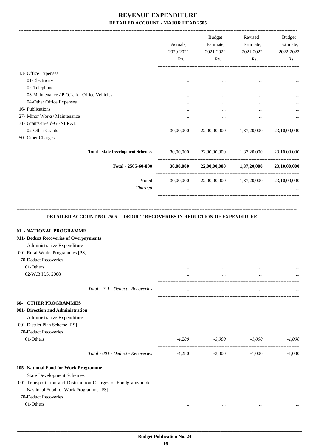| Rs.      | 2021-2022<br>Rs.                                | 2021-2022<br>Rs.      | Estimate,<br>2022-2023<br>Rs.                                                                                |
|----------|-------------------------------------------------|-----------------------|--------------------------------------------------------------------------------------------------------------|
|          |                                                 |                       |                                                                                                              |
| $\cdots$ | $\cdots$                                        | $\cdots$              | $\cdots$                                                                                                     |
| $\cdots$ | $\cdots$                                        | $\cdots$              | $\cdots$                                                                                                     |
| .        | $\cdots$                                        | $\cdots$              | $\cdots$                                                                                                     |
|          | $\ddotsc$                                       | $\cdots$              |                                                                                                              |
| $\cdots$ | $\cdots$                                        | $\cdots$              | $\cdots$                                                                                                     |
|          |                                                 |                       |                                                                                                              |
|          |                                                 | 1,37,20,000           | 23,10,00,000                                                                                                 |
|          | $\cdots$                                        |                       |                                                                                                              |
|          |                                                 |                       | 23,10,00,000                                                                                                 |
|          |                                                 |                       | 23,10,00,000                                                                                                 |
|          |                                                 |                       | 23,10,00,000                                                                                                 |
| $\cdots$ | $\cdots$                                        | $\cdots$              |                                                                                                              |
|          | $\cdots$<br>30,00,000<br>30,00,000<br>30,00,000 | $\cdots$<br>30,00,000 | $\cdots$<br>22,00,00,000<br>22,00,00,000 1,37,20,000<br>22,00,00,000 1,37,20,000<br>22,00,00,000 1,37,20,000 |

#### **DETAILED ACCOUNT NO. 2505 - DEDUCT RECOVERIES IN REDUCTION OF EXPENDITURE**

**--------------------------------------------------------------------------------------------------------------------------------------------------------------------------------**

| 01 - NATIONAL PROGRAMME                |                                                                 |          |           |          |          |
|----------------------------------------|-----------------------------------------------------------------|----------|-----------|----------|----------|
| 911- Deduct Recoveries of Overpayments |                                                                 |          |           |          |          |
| Administrative Expenditure             |                                                                 |          |           |          |          |
| 001-Rural Works Programmes [PS]        |                                                                 |          |           |          |          |
| 70-Deduct Recoveries                   |                                                                 |          |           |          |          |
| 01-Others                              |                                                                 | $\cdots$ |           |          |          |
| 02-W.B.H.S. 2008                       |                                                                 |          | $\cdots$  |          |          |
|                                        | Total - 911 - Deduct - Recoveries                               | $\cdots$ | $\ddotsc$ | $\cdots$ |          |
| <b>OTHER PROGRAMMES</b><br>60-         |                                                                 |          |           |          |          |
| 001- Direction and Administration      |                                                                 |          |           |          |          |
| Administrative Expenditure             |                                                                 |          |           |          |          |
| 001-District Plan Scheme [PS]          |                                                                 |          |           |          |          |
| 70-Deduct Recoveries                   |                                                                 |          |           |          |          |
| 01-Others                              |                                                                 | $-4,280$ | $-3,000$  | $-1,000$ | $-1,000$ |
|                                        | Total - 001 - Deduct - Recoveries                               | $-4,280$ | $-3,000$  | $-1,000$ | $-1,000$ |
| 105- National Food for Work Programme  |                                                                 |          |           |          |          |
| <b>State Development Schemes</b>       |                                                                 |          |           |          |          |
|                                        | 001-Transportation and Distribution Charges of Foodgrains under |          |           |          |          |
| Nastional Food for Work Programme [PS] |                                                                 |          |           |          |          |
| 70-Deduct Recoveries                   |                                                                 |          |           |          |          |
| 01-Others                              |                                                                 | $\cdots$ | $\cdots$  | $\cdots$ |          |
|                                        |                                                                 |          |           |          |          |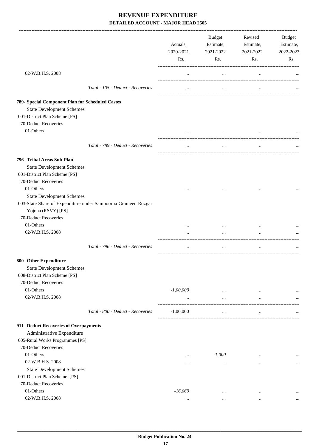|                                                                                     |                                   | Actuals,<br>2020-2021<br>Rs. | Budget<br>Estimate,<br>2021-2022<br>Rs. | Revised<br>Estimate,<br>2021-2022<br>Rs. | Budget<br>Estimate,<br>2022-2023<br>Rs. |
|-------------------------------------------------------------------------------------|-----------------------------------|------------------------------|-----------------------------------------|------------------------------------------|-----------------------------------------|
| 02-W.B.H.S. 2008                                                                    |                                   | $\cdots$                     | $\cdots$                                | $\cdots$                                 |                                         |
|                                                                                     | Total - 105 - Deduct - Recoveries | $\cdots$                     | $\cdots$                                | $\cdots$                                 |                                         |
| 789- Special Component Plan for Scheduled Castes                                    |                                   |                              |                                         |                                          |                                         |
| <b>State Development Schemes</b>                                                    |                                   |                              |                                         |                                          |                                         |
| 001-District Plan Scheme [PS]                                                       |                                   |                              |                                         |                                          |                                         |
| 70-Deduct Recoveries                                                                |                                   |                              |                                         |                                          |                                         |
| 01-Others                                                                           |                                   | $\cdots$                     | $\cdots$                                | $\cdots$                                 |                                         |
|                                                                                     | Total - 789 - Deduct - Recoveries | $\cdots$                     | $\cdots$                                | $\cdots$                                 |                                         |
| 796- Tribal Areas Sub-Plan                                                          |                                   |                              |                                         |                                          |                                         |
| <b>State Development Schemes</b>                                                    |                                   |                              |                                         |                                          |                                         |
| 001-District Plan Scheme [PS]                                                       |                                   |                              |                                         |                                          |                                         |
| 70-Deduct Recoveries                                                                |                                   |                              |                                         |                                          |                                         |
| 01-Others                                                                           |                                   | $\cdots$                     | $\cdots$                                | $\cdots$                                 |                                         |
| <b>State Development Schemes</b>                                                    |                                   |                              |                                         |                                          |                                         |
| 003-State Share of Expenditure under Sampoorna Grameen Rozgar<br>Yojona (RSVY) [PS] |                                   |                              |                                         |                                          |                                         |
| 70-Deduct Recoveries                                                                |                                   |                              |                                         |                                          |                                         |
| 01-Others                                                                           |                                   | $\cdots$                     | $\cdots$                                | $\cdots$                                 |                                         |
| 02-W.B.H.S. 2008                                                                    |                                   | $\cdots$                     | $\cdots$                                | $\ddotsc$                                |                                         |
|                                                                                     | Total - 796 - Deduct - Recoveries |                              | $\cdots$                                | $\cdots$                                 |                                         |
| 800- Other Expenditure                                                              |                                   |                              |                                         |                                          |                                         |
| <b>State Development Schemes</b>                                                    |                                   |                              |                                         |                                          |                                         |
| 008-District Plan Scheme [PS]                                                       |                                   |                              |                                         |                                          |                                         |
| 70-Deduct Recoveries                                                                |                                   |                              |                                         |                                          |                                         |
| 01-Others                                                                           |                                   | $-1,00,000$                  | $\cdots$                                | $\cdots$                                 |                                         |
| 02-W.B.H.S. 2008                                                                    |                                   |                              | $\cdots$                                | $\cdots$                                 |                                         |
|                                                                                     | Total - 800 - Deduct - Recoveries | $-1,00,000$                  | $\cdots$                                | $\cdots$                                 |                                         |
| 911- Deduct Recoveries of Overpayments                                              |                                   |                              |                                         |                                          |                                         |
| Administrative Expenditure                                                          |                                   |                              |                                         |                                          |                                         |
| 005-Rural Works Programmes [PS]                                                     |                                   |                              |                                         |                                          |                                         |
| 70-Deduct Recoveries                                                                |                                   |                              |                                         |                                          |                                         |
| 01-Others                                                                           |                                   | $\cdots$                     | $-1,000$                                | $\cdots$                                 | $\cdots$                                |
| 02-W.B.H.S. 2008                                                                    |                                   | $\cdots$                     | $\cdots$                                | $\cdots$                                 | $\cdots$                                |
| <b>State Development Schemes</b>                                                    |                                   |                              |                                         |                                          |                                         |
| 001-District Plan Scheme. [PS]                                                      |                                   |                              |                                         |                                          |                                         |
| 70-Deduct Recoveries                                                                |                                   |                              |                                         |                                          |                                         |
| 01-Others                                                                           |                                   | $-16,669$                    | $\cdots$                                | $\cdots$                                 |                                         |
| 02-W.B.H.S. 2008                                                                    |                                   | $\cdots$                     | $\cdots$                                | $\cdots$                                 | $\cdots$                                |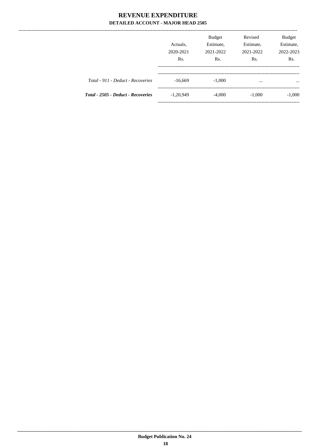---------------

|                                    | Actuals,<br>2020-2021<br>Rs. | <b>Budget</b><br>Estimate,<br>2021-2022<br>Rs. | Revised<br>Estimate,<br>2021-2022<br>Rs. | Budget<br>Estimate,<br>2022-2023<br>Rs. |
|------------------------------------|------------------------------|------------------------------------------------|------------------------------------------|-----------------------------------------|
| Total - 911 - Deduct - Recoveries  | $-16,669$                    | $-1,000$                                       | $\cdots$                                 | $\cdots$                                |
| Total - 2505 - Deduct - Recoveries | $-1,20,949$                  | $-4,000$                                       | $-1,000$                                 | $-1,000$                                |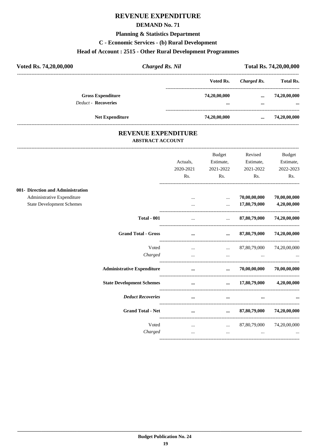#### **DEMAND No. 71**

#### **Planning & Statistics Department**

#### C - Economic Services - (b) Rural Development

# Head of Account: 2515 - Other Rural Development Programmes

| Voted Rs. 74,20,00,000 | <b>Charged Rs. Nil</b>                                 |  | Total Rs. 74,20,00,000 |              |                          |
|------------------------|--------------------------------------------------------|--|------------------------|--------------|--------------------------|
|                        |                                                        |  | Voted Rs.              | Charged Rs.  | <b>Total Rs.</b>         |
|                        | <b>Gross Expenditure</b><br><b>Deduct - Recoveries</b> |  | 74,20,00,000<br>       | $\cdots$<br> | 74,20,00,000<br>$\cdots$ |
|                        | <b>Net Expenditure</b>                                 |  | 74,20,00,000           |              | 74,20,00,000             |

#### REVENUE EXPENDITURE **ABSTRACT ACCOUNT**

|                                   |                                   |           | <b>Budget</b>                                                                                                                                                                                                                     | Revised                                                             | <b>Budget</b> |
|-----------------------------------|-----------------------------------|-----------|-----------------------------------------------------------------------------------------------------------------------------------------------------------------------------------------------------------------------------------|---------------------------------------------------------------------|---------------|
|                                   |                                   | Actuals.  | Estimate,                                                                                                                                                                                                                         | Estimate,                                                           | Estimate,     |
|                                   |                                   | 2020-2021 | 2021-2022                                                                                                                                                                                                                         | 2021-2022                                                           | 2022-2023     |
|                                   |                                   | Rs.       | Rs.                                                                                                                                                                                                                               | Rs.                                                                 | Rs.           |
| 001- Direction and Administration |                                   |           |                                                                                                                                                                                                                                   |                                                                     |               |
| Administrative Expenditure        |                                   | $\cdots$  | $\cdots$                                                                                                                                                                                                                          | 70,00,00,000                                                        | 70,00,00,000  |
| <b>State Development Schemes</b>  |                                   |           | $\ddot{\phantom{a}}$                                                                                                                                                                                                              | 17,80,79,000                                                        | 4,20,00,000   |
|                                   | <b>Total - 001</b>                | $\cdots$  | $\mathbf{1}$                                                                                                                                                                                                                      | 87,80,79,000                                                        | 74,20,00,000  |
|                                   | <b>Grand Total - Gross</b>        | $\cdots$  | $\cdots$                                                                                                                                                                                                                          | 87,80,79,000                                                        | 74,20,00,000  |
|                                   | Voted                             | $\cdots$  | $\cdots$                                                                                                                                                                                                                          | 87,80,79,000                                                        | 74,20,00,000  |
|                                   | Charged                           | $\cdots$  |                                                                                                                                                                                                                                   | the contract of the contract of the contract of the contract of the |               |
|                                   | <b>Administrative Expenditure</b> |           | $\mathbf{r}$ and $\mathbf{r}$ are all $\mathbf{r}$ and $\mathbf{r}$ are all $\mathbf{r}$                                                                                                                                          | $\ldots$ 70,00,00,000                                               | 70,00,00,000  |
|                                   | <b>State Development Schemes</b>  | $\cdots$  |                                                                                                                                                                                                                                   | $\ldots$ 17,80,79,000 4,20,00,000                                   |               |
|                                   | <b>Deduct Recoveries</b>          | $\cdots$  | $\cdots$                                                                                                                                                                                                                          | $\cdots$                                                            |               |
|                                   | <b>Grand Total - Net</b>          | $\cdots$  |                                                                                                                                                                                                                                   | $\dots$ 87,80,79,000                                                | 74,20,00,000  |
|                                   | Voted                             |           | $\mathbf{r}$ , and the contract of the contract of the contract of the contract of the contract of the contract of the contract of the contract of the contract of the contract of the contract of the contract of the contract o | $\ldots$ 87,80,79,000 74,20,00,000                                  |               |
|                                   | Charged                           | $\cdots$  | $\ddotsc$                                                                                                                                                                                                                         | $\cdots$                                                            |               |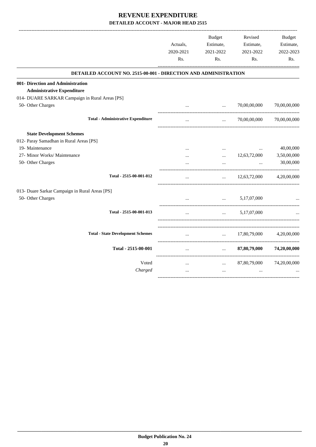|                                                                 | Actuals,<br>2020-2021<br>Rs. | <b>Budget</b><br>Estimate,<br>2021-2022<br>Rs. | Revised<br>Estimate,<br>2021-2022<br>Rs. | <b>Budget</b><br>Estimate,<br>2022-2023<br>Rs. |
|-----------------------------------------------------------------|------------------------------|------------------------------------------------|------------------------------------------|------------------------------------------------|
| DETAILED ACCOUNT NO. 2515-00-001 - DIRECTION AND ADMINISTRATION |                              |                                                |                                          |                                                |
| 001- Direction and Administration                               |                              |                                                |                                          |                                                |
| <b>Administrative Expenditure</b>                               |                              |                                                |                                          |                                                |
| 014- DUARE SARKAR Campaign in Rural Areas [PS]                  |                              |                                                |                                          |                                                |
| 50- Other Charges                                               |                              | $\ddotsc$                                      | 70,00,00,000                             | 70,00,00,000                                   |
| <b>Total - Administrative Expenditure</b>                       |                              | $\ddotsc$                                      | 70,00,00,000                             | 70,00,00,000                                   |
| <b>State Development Schemes</b>                                |                              |                                                |                                          |                                                |
| 012- Paray Samadhan in Rural Areas [PS]                         |                              |                                                |                                          |                                                |
| 19- Maintenance                                                 |                              | $\cdots$                                       | $\cdots$                                 | 40,00,000                                      |
| 27- Minor Works/ Maintenance                                    | $\cdots$                     | $\cdots$                                       | 12,63,72,000                             | 3,50,00,000                                    |
| 50- Other Charges                                               |                              |                                                | $\cdots$                                 | 30,00,000                                      |
| Total - 2515-00-001-012                                         |                              | $\cdots$                                       | 12,63,72,000                             | 4,20,00,000                                    |
| 013- Duare Sarkar Campaign in Rural Areas [PS]                  |                              |                                                |                                          |                                                |
| 50- Other Charges                                               |                              | $\mathbf{r}$                                   | 5,17,07,000                              |                                                |
| Total - 2515-00-001-013                                         |                              | $\cdots$                                       | 5,17,07,000                              |                                                |
| <b>Total - State Development Schemes</b>                        | $\cdots$                     | $\ddotsc$                                      | 17,80,79,000                             | 4,20,00,000                                    |
| Total - 2515-00-001                                             | $\cdots$                     | $\cdots$                                       | 87,80,79,000                             | 74,20,00,000                                   |
| Voted                                                           | $\cdots$                     | $\cdots$                                       | 87,80,79,000                             | 74,20,00,000                                   |
| Charged                                                         | $\cdots$                     | $\ddotsc$                                      | $\cdots$                                 |                                                |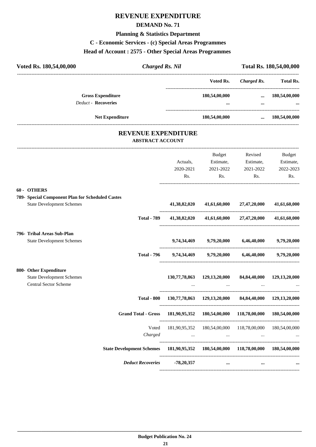#### **DEMAND No. 71**

# **Planning & Statistics Department**

# **C - Economic Services - (c) Special Areas Programmes**

# **Head of Account : 2575 - Other Special Areas Programmes**

| Voted Rs. 180,54,00,000<br><b>Charged Rs. Nil</b>                                                   |                                                                    | Total Rs. 180,54,00,000                                           |                                        |                            |
|-----------------------------------------------------------------------------------------------------|--------------------------------------------------------------------|-------------------------------------------------------------------|----------------------------------------|----------------------------|
|                                                                                                     |                                                                    | ---------------------------------<br>Voted Rs.                    |                                        | Charged Rs. Total Rs.      |
| <b>Gross Expenditure</b><br><b>Deduct - Recoveries</b>                                              |                                                                    | 180,54,00,000<br>$\cdots$                                         | $\cdots$                               | $\dots$ 180,54,00,000      |
| Net Expenditure                                                                                     |                                                                    | 180,54,00,000                                                     |                                        | $\dots$ 180,54,00,000      |
| <b>REVENUE EXPENDITURE</b><br><b>ABSTRACT ACCOUNT</b>                                               |                                                                    |                                                                   |                                        |                            |
|                                                                                                     | Actuals,                                                           | Budget                                                            | Revised<br>Estimate, Estimate,         | <b>Budget</b><br>Estimate, |
|                                                                                                     | 2020-2021                                                          | 2021-2022<br>Rs.                                                  | 2021-2022<br>Rs.<br>Rs.                | 2022-2023<br>Rs.           |
| 60 - OTHERS<br>789- Special Component Plan for Scheduled Castes<br><b>State Development Schemes</b> | 41,38,82,020                                                       |                                                                   | 41,61,60,000 27,47,20,000 41,61,60,000 |                            |
| <b>Total - 789</b>                                                                                  | 41,38,82,020                                                       |                                                                   | 41,61,60,000 27,47,20,000              | 41,61,60,000               |
| 796- Tribal Areas Sub-Plan<br><b>State Development Schemes</b>                                      |                                                                    | 9,74,34,469 9,79,20,000 6,46,40,000 9,79,20,000                   |                                        |                            |
|                                                                                                     | Total - 796 9,74,34,469 9,79,20,000 6,46,40,000 9,79,20,000        |                                                                   |                                        |                            |
| 800- Other Expenditure<br><b>State Development Schemes</b><br>Central Sector Scheme                 |                                                                    | 130,77,78,863 129,13,20,000 84,84,40,000 129,13,20,000            |                                        |                            |
|                                                                                                     | Total - 800 130,77,78,863 129,13,20,000 84,84,40,000 129,13,20,000 |                                                                   |                                        |                            |
| <b>Grand Total - Gross</b>                                                                          |                                                                    | 181,90,95,352 180,54,00,000                                       | 118,78,00,000                          | 180,54,00,000              |
| Voted<br>Charged                                                                                    | $\mathbf{1}$ and $\mathbf{1}$                                      | 181,90,95,352 180,54,00,000 118,78,00,000 180,54,00,000<br>$\sim$ |                                        |                            |
| <b>State Development Schemes</b>                                                                    |                                                                    | 181,90,95,352 180,54,00,000 118,78,00,000 180,54,00,000           |                                        |                            |
| <b>Deduct Recoveries</b>                                                                            | $-78,20,357$                                                       | $\cdots$                                                          | $\cdots$                               |                            |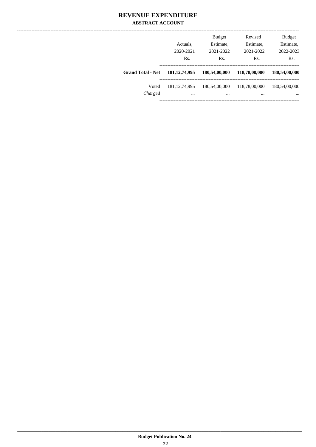#### REVENUE EXPENDITURE **ABSTRACT ACCOUNT**

|                          | Actuals,<br>2020-2021<br>Rs. | <b>Budget</b><br>Estimate,<br>2021-2022<br>Rs. | Revised<br>Estimate,<br>2021-2022<br>Rs. | <b>Budget</b><br>Estimate,<br>2022-2023<br>Rs. |
|--------------------------|------------------------------|------------------------------------------------|------------------------------------------|------------------------------------------------|
| <b>Grand Total - Net</b> | 181, 12, 74, 995             | 180,54,00,000                                  | 118,78,00,000                            | 180,54,00,000                                  |
| Voted<br>Charged         | 181, 12, 74, 995<br>$\cdots$ | 180,54,00,000<br>                              | 118,78,00,000<br>$\cdots$                | 180,54,00,000<br>$\cdots$                      |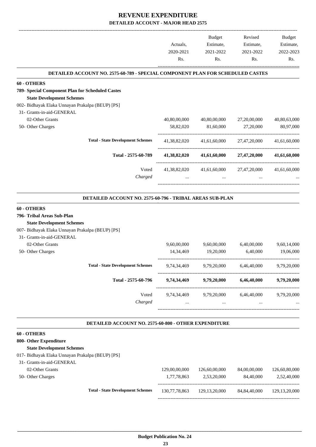|                                                                                                                                                           | Actuals,                 | Budget<br>Estimate,                            | Revised<br>Estimate,                  | Budget<br>Estimate,      |
|-----------------------------------------------------------------------------------------------------------------------------------------------------------|--------------------------|------------------------------------------------|---------------------------------------|--------------------------|
|                                                                                                                                                           | 2020-2021                | 2021-2022                                      | 2021-2022                             | 2022-2023                |
|                                                                                                                                                           | Rs.                      | Rs.                                            | Rs.                                   | Rs.                      |
| DETAILED ACCOUNT NO. 2575-60-789 - SPECIAL COMPONENT PLAN FOR SCHEDULED CASTES                                                                            |                          |                                                |                                       |                          |
| 60 - OTHERS                                                                                                                                               |                          |                                                |                                       |                          |
| 789- Special Component Plan for Scheduled Castes                                                                                                          |                          |                                                |                                       |                          |
| <b>State Development Schemes</b>                                                                                                                          |                          |                                                |                                       |                          |
| 002- Bidhayak Elaka Unnayan Prakalpa (BEUP) [PS]                                                                                                          |                          |                                                |                                       |                          |
| 31- Grants-in-aid-GENERAL                                                                                                                                 |                          |                                                |                                       |                          |
| 02-Other Grants                                                                                                                                           | 40,80,00,000             | 40,80,00,000                                   | 27,20,00,000                          | 40,80,63,000             |
| 50- Other Charges                                                                                                                                         | 58,82,020                | 81,60,000                                      | 27,20,000                             | 80,97,000                |
| <b>Total - State Development Schemes</b>                                                                                                                  | 41,38,82,020             | 41,61,60,000                                   | 27,47,20,000                          | 41,61,60,000             |
| Total - 2575-60-789                                                                                                                                       | 41,38,82,020             | 41,61,60,000                                   | 27,47,20,000                          | 41,61,60,000             |
| Voted<br>Charged                                                                                                                                          | 41,38,82,020<br>$\cdots$ | $\cdots$                                       | 41,61,60,000 27,47,20,000<br>$\cdots$ | 41,61,60,000             |
| <b>State Development Schemes</b><br>007- Bidhayak Elaka Unnayan Prakalpa (BEUP) [PS]<br>31- Grants-in-aid-GENERAL<br>02-Other Grants<br>50- Other Charges | 9,60,00,000<br>14,34,469 | 9,60,00,000<br>19,20,000                       | 6,40,00,000<br>6.40.000               | 9,60,14,000<br>19,06,000 |
| <b>Total - State Development Schemes</b>                                                                                                                  | 9,74,34,469              | 9,79,20,000                                    | 6,46,40,000                           | 9,79,20,000              |
| Total - 2575-60-796                                                                                                                                       | 9,74,34,469              | 9,79,20,000                                    | 6,46,40,000                           | 9,79,20,000              |
| Voted                                                                                                                                                     |                          | 9,74,34,469 9,79,20,000 6,46,40,000            |                                       | 9,79,20,000              |
| Charged                                                                                                                                                   | $\cdots$                 | $\mathbf{1}$ and $\mathbf{1}$ and $\mathbf{1}$ | $\cdots$                              |                          |
| DETAILED ACCOUNT NO. 2575-60-800 - OTHER EXPENDITURE                                                                                                      |                          |                                                |                                       |                          |
| 60 - OTHERS                                                                                                                                               |                          |                                                |                                       |                          |
| 800- Other Expenditure                                                                                                                                    |                          |                                                |                                       |                          |
| <b>State Development Schemes</b>                                                                                                                          |                          |                                                |                                       |                          |
| 017- Bidhayak Elaka Unnayan Prakalpa (BEUP) [PS]                                                                                                          |                          |                                                |                                       |                          |
| 31- Grants-in-aid-GENERAL                                                                                                                                 |                          |                                                |                                       |                          |
| 02-Other Grants                                                                                                                                           | 129,00,00,000            | 126,60,00,000                                  | 84,00,00,000                          | 126,60,80,000            |
| 50- Other Charges                                                                                                                                         | 1,77,78,863              | 2,53,20,000                                    | 84,40,000                             | 2,52,40,000              |

**Total - State Development Schemes** 130,77,78,863 129,13,20,000 84,84,40,000 129,13,20,000

-----------------------------------------------------------------------------------------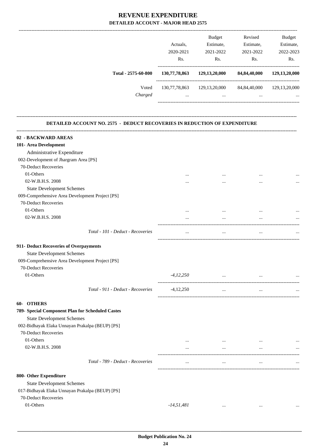|                                                                                     | Actuals,<br>2020-2021<br>Rs. | <b>Budget</b><br>Estimate,<br>2021-2022<br>Rs.         | Revised<br>Estimate,<br>2021-2022<br>Rs.                                                                                                                                                                                                     | Budget<br>Estimate,<br>2022-2023<br>Rs. |
|-------------------------------------------------------------------------------------|------------------------------|--------------------------------------------------------|----------------------------------------------------------------------------------------------------------------------------------------------------------------------------------------------------------------------------------------------|-----------------------------------------|
| Total - 2575-60-800                                                                 |                              | 130,77,78,863 129,13,20,000 84,84,40,000               |                                                                                                                                                                                                                                              | 129, 13, 20, 000                        |
| Voted<br>Charged                                                                    | $\cdots$                     | 130,77,78,863 129,13,20,000 84,84,40,000 129,13,20,000 | $\mathbf{1}$ , and the set of the set of the set of the set of the set of the set of the set of the set of the set of the set of the set of the set of the set of the set of the set of the set of the set of the set of the set<br>$\cdots$ |                                         |
| DETAILED ACCOUNT NO. 2575 - DEDUCT RECOVERIES IN REDUCTION OF EXPENDITURE           |                              |                                                        |                                                                                                                                                                                                                                              |                                         |
| 02 - BACKWARD AREAS                                                                 |                              |                                                        |                                                                                                                                                                                                                                              |                                         |
|                                                                                     |                              |                                                        |                                                                                                                                                                                                                                              |                                         |
| 101- Area Development                                                               |                              |                                                        |                                                                                                                                                                                                                                              |                                         |
| Administrative Expenditure                                                          |                              |                                                        |                                                                                                                                                                                                                                              |                                         |
| 002-Development of Jhargram Area [PS]                                               |                              |                                                        |                                                                                                                                                                                                                                              |                                         |
| 70-Deduct Recoveries                                                                |                              |                                                        |                                                                                                                                                                                                                                              |                                         |
| 01-Others                                                                           |                              |                                                        |                                                                                                                                                                                                                                              |                                         |
| 02-W.B.H.S. 2008                                                                    |                              |                                                        |                                                                                                                                                                                                                                              |                                         |
| <b>State Development Schemes</b>                                                    |                              |                                                        |                                                                                                                                                                                                                                              |                                         |
| 009-Comprehensive Area Development Project [PS]                                     |                              |                                                        |                                                                                                                                                                                                                                              |                                         |
| 70-Deduct Recoveries                                                                |                              |                                                        |                                                                                                                                                                                                                                              |                                         |
| 01-Others                                                                           |                              |                                                        |                                                                                                                                                                                                                                              |                                         |
| 02-W.B.H.S. 2008                                                                    |                              | $\cdots$                                               | $\cdots$                                                                                                                                                                                                                                     |                                         |
| Total - 101 - Deduct - Recoveries                                                   | $\cdots$                     | $\cdots$                                               | $\cdots$                                                                                                                                                                                                                                     |                                         |
| 911- Deduct Recoveries of Overpayments                                              |                              |                                                        |                                                                                                                                                                                                                                              |                                         |
| <b>State Development Schemes</b>                                                    |                              |                                                        |                                                                                                                                                                                                                                              |                                         |
| 009-Comprehensive Area Development Project [PS]                                     |                              |                                                        |                                                                                                                                                                                                                                              |                                         |
| 70-Deduct Recoveries                                                                |                              |                                                        |                                                                                                                                                                                                                                              |                                         |
| 01-Others                                                                           | $-4, 12, 250$                |                                                        | $\mathbf{r}$ and $\mathbf{r}$ are all the set of the set of the $\mathbf{r}$<br>$\cdots$                                                                                                                                                     |                                         |
| Total - 911 - Deduct - Recoveries                                                   | $-4,12,250$                  | $\cdots$                                               | $\cdots$                                                                                                                                                                                                                                     |                                         |
| 60- OTHERS                                                                          |                              |                                                        |                                                                                                                                                                                                                                              |                                         |
|                                                                                     |                              |                                                        |                                                                                                                                                                                                                                              |                                         |
| 789- Special Component Plan for Scheduled Castes                                    |                              |                                                        |                                                                                                                                                                                                                                              |                                         |
| <b>State Development Schemes</b><br>002-Bidhayak Elaka Unnayan Prakalpa (BEUP) [PS] |                              |                                                        |                                                                                                                                                                                                                                              |                                         |
| 70-Deduct Recoveries                                                                |                              |                                                        |                                                                                                                                                                                                                                              |                                         |
| 01-Others                                                                           |                              |                                                        |                                                                                                                                                                                                                                              |                                         |
|                                                                                     | $\cdots$                     | $\cdots$                                               | $\cdots$                                                                                                                                                                                                                                     |                                         |
| 02-W.B.H.S. 2008                                                                    | $\cdots$                     | $\cdots$                                               | $\cdots$                                                                                                                                                                                                                                     |                                         |
| Total - 789 - Deduct - Recoveries                                                   | $\cdots$                     | $\cdots$                                               | $\cdots$                                                                                                                                                                                                                                     |                                         |
| 800- Other Expenditure                                                              |                              |                                                        |                                                                                                                                                                                                                                              |                                         |
| <b>State Development Schemes</b>                                                    |                              |                                                        |                                                                                                                                                                                                                                              |                                         |
| 017-Bidhayak Elaka Unnayan Prakalpa (BEUP) [PS]                                     |                              |                                                        |                                                                                                                                                                                                                                              |                                         |
| 70-Deduct Recoveries                                                                |                              |                                                        |                                                                                                                                                                                                                                              |                                         |
| 01-Others                                                                           | $-14, 51, 481$               | $\cdots$                                               | $\cdots$                                                                                                                                                                                                                                     |                                         |
|                                                                                     |                              |                                                        |                                                                                                                                                                                                                                              |                                         |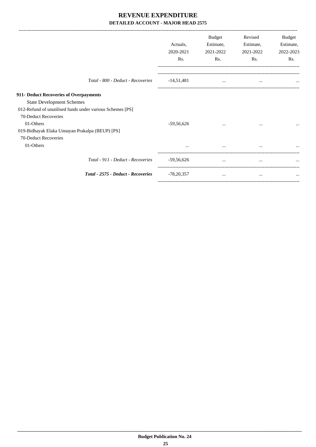|                                                           |                                    | Actuals,<br>2020-2021<br>Rs. | <b>Budget</b><br>Estimate,<br>2021-2022<br>Rs. | Revised<br>Estimate,<br>2021-2022<br>Rs. | Budget<br>Estimate,<br>2022-2023<br>Rs. |
|-----------------------------------------------------------|------------------------------------|------------------------------|------------------------------------------------|------------------------------------------|-----------------------------------------|
|                                                           | Total - 800 - Deduct - Recoveries  | $-14,51,481$                 | $\cdots$                                       | $\cdots$                                 |                                         |
| 911- Deduct Recoveries of Overpayments                    |                                    |                              |                                                |                                          |                                         |
| <b>State Development Schemes</b>                          |                                    |                              |                                                |                                          |                                         |
| 012-Refund of unutilised funds under various Schemes [PS] |                                    |                              |                                                |                                          |                                         |
| 70-Deduct Recoveries                                      |                                    |                              |                                                |                                          |                                         |
| 01-Others                                                 |                                    | $-59,56,626$                 | $\cdots$                                       | $\cdots$                                 | $\cdots$                                |
| 019-Bidhayak Elaka Unnayan Prakalpa (BEUP) [PS]           |                                    |                              |                                                |                                          |                                         |
| 70-Deduct Recoveries                                      |                                    |                              |                                                |                                          |                                         |
| 01-Others                                                 |                                    |                              | $\cdots$                                       |                                          |                                         |
|                                                           | Total - 911 - Deduct - Recoveries  | $-59,56,626$                 | $\cdots$                                       | $\cdots$                                 |                                         |
|                                                           | Total - 2575 - Deduct - Recoveries | $-78,20,357$                 | $\cdots$                                       | $\cdots$                                 |                                         |
|                                                           |                                    |                              |                                                |                                          |                                         |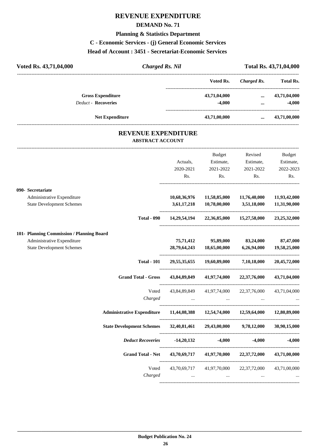#### **DEMAND No. 71**

#### **Planning & Statistics Department**

**C - Economic Services - (j) General Economic Services**

#### **Head of Account : 3451 - Secretariat-Economic Services**

| Voted Rs. 43,71,04,000     | <b>Charged Rs. Nil</b> |              |             | Total Rs. 43,71,04,000 |
|----------------------------|------------------------|--------------|-------------|------------------------|
|                            |                        | Voted Rs.    | Charged Rs. | <b>Total Rs.</b>       |
| <b>Gross Expenditure</b>   |                        | 43,71,04,000 | $\cdots$    | 43,71,04,000           |
| <b>Deduct - Recoveries</b> |                        | $-4.000$     | $\cdots$    | $-4,000$               |
| <b>Net Expenditure</b>     |                        | 43,71,00,000 | $\cdots$    | 43,71,00,000           |
|                            |                        |              |             |                        |

#### **REVENUE EXPENDITURE ABSTRACT ACCOUNT**

---------------------------------------------------------------------------------------------------------------------------------------------------------------------------------

|                                           |                                                                                |             | Budget                                       | Revised                                             | <b>Budget</b>   |
|-------------------------------------------|--------------------------------------------------------------------------------|-------------|----------------------------------------------|-----------------------------------------------------|-----------------|
|                                           |                                                                                | Actuals,    | Estimate,                                    | Estimate,                                           | Estimate,       |
|                                           |                                                                                | 2020-2021   | 2021-2022                                    | 2021-2022                                           | 2022-2023       |
|                                           |                                                                                | Rs.         | Rs.                                          | Rs.                                                 | Rs.             |
| 090- Secretariate                         |                                                                                |             |                                              |                                                     |                 |
| Administrative Expenditure                |                                                                                |             | $10,68,36,976$ $11,58,85,000$ $11,76,40,000$ |                                                     | 11,93,42,000    |
| <b>State Development Schemes</b>          |                                                                                | 3,61,17,218 | 10,78,00,000                                 | 3,51,18,000                                         | 11,31,90,000    |
|                                           | <b>Total - 090</b>                                                             |             |                                              | 14,29,54,194 22,36,85,000 15,27,58,000              | 23, 25, 32, 000 |
| 101- Planning Commission / Planning Board |                                                                                |             |                                              |                                                     |                 |
| Administrative Expenditure                |                                                                                | 75,71,412   |                                              | 95,89,000 83,24,000 87,47,000                       |                 |
| <b>State Development Schemes</b>          |                                                                                |             | 28,79,64,243 18,65,00,000                    | 6,26,94,000                                         | 19,58,25,000    |
|                                           | <b>Total - 101</b>                                                             |             |                                              | 29,55,35,655 19,60,89,000 7,10,18,000               | 20,45,72,000    |
|                                           | <b>Grand Total - Gross</b>                                                     |             |                                              | 43,84,89,849 41,97,74,000 22,37,76,000              | 43,71,04,000    |
|                                           | Voted                                                                          |             |                                              | 43,84,89,849 41,97,74,000 22,37,76,000 43,71,04,000 |                 |
|                                           |                                                                                |             |                                              | $Charged$ $\ldots$ $\ldots$ $\ldots$ $\ldots$       |                 |
|                                           | Administrative Expenditure 11,44,08,388 12,54,74,000 12,59,64,000 12,80,89,000 |             |                                              |                                                     |                 |
|                                           | State Development Schemes 32,40,81,461 29,43,00,000 9,78,12,000                |             |                                              |                                                     | 30,90,15,000    |
|                                           | <b>Deduct Recoveries</b>                                                       |             | $-14,20,132$ $-4,000$                        | $-4.000$                                            | $-4,000$        |
|                                           | Grand Total - Net 43,70,69,717 41,97,70,000 22,37,72,000                       |             |                                              |                                                     | 43,71,00,000    |
|                                           | Voted                                                                          |             |                                              | 43,70,69,717 41,97,70,000 22,37,72,000              | 43,71,00,000    |
|                                           | Charged                                                                        | $\ddots$    | $\ddots$                                     |                                                     |                 |
|                                           |                                                                                |             |                                              |                                                     |                 |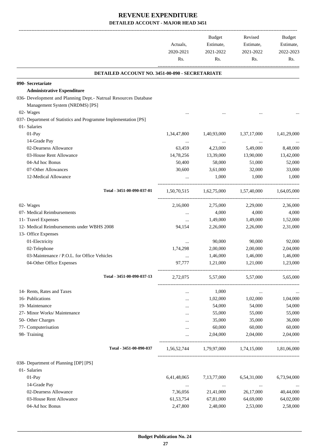|                                                                 | Actuals,<br>2020-2021<br>Rs. | Budget<br>Estimate,<br>2021-2022<br>Rs. | Revised<br>Estimate,<br>2021-2022<br>Rs. | Budget<br>Estimate,<br>2022-2023<br>Rs. |
|-----------------------------------------------------------------|------------------------------|-----------------------------------------|------------------------------------------|-----------------------------------------|
| DETAILED ACCOUNT NO. 3451-00-090 - SECRETARIATE                 |                              |                                         |                                          |                                         |
| 090- Secretariate                                               |                              |                                         |                                          |                                         |
| <b>Administrative Expenditure</b>                               |                              |                                         |                                          |                                         |
| 036- Development and Planning Dept.- Natrual Resources Database |                              |                                         |                                          |                                         |
| Management System (NRDMS) [PS]                                  |                              |                                         |                                          |                                         |
| 02- Wages                                                       |                              |                                         |                                          |                                         |
| 037- Department of Statistics and Programme Implementation [PS] |                              |                                         |                                          |                                         |
| 01- Salaries                                                    |                              |                                         |                                          |                                         |
| 01-Pay                                                          | 1,34,47,800                  | 1,40,93,000                             | 1,37,17,000                              | 1,41,29,000                             |
| 14-Grade Pay                                                    | $\cdots$                     | $\cdots$                                | $\ldots$                                 |                                         |
| 02-Dearness Allowance                                           | 63,459                       | 4,23,000                                | 5,49,000                                 | 8,48,000                                |
| 03-House Rent Allowance                                         | 14,78,256                    | 13,39,000                               | 13,90,000                                | 13,42,000                               |
| 04-Ad hoc Bonus                                                 | 50,400                       | 58,000                                  | 51,000                                   | 52,000                                  |
| 07-Other Allowances                                             | 30,600                       | 3,61,000                                | 32,000                                   | 33,000                                  |
| 12-Medical Allowance                                            |                              | 1,000                                   | 1,000                                    | 1.000                                   |
| Total - 3451-00-090-037-01                                      | 1,50,70,515                  | 1,62,75,000                             | 1,57,40,000                              | 1,64,05,000                             |
| 02- Wages                                                       | 2,16,000                     | 2,75,000                                | 2,29,000                                 | 2,36,000                                |
| 07- Medical Reimbursements                                      | $\cdots$                     | 4,000                                   | 4,000                                    | 4,000                                   |
| 11- Travel Expenses                                             | $\cdots$                     | 1,49,000                                | 1,49,000                                 | 1,52,000                                |
| 12- Medical Reimbursements under WBHS 2008                      | 94,154                       | 2,26,000                                | 2,26,000                                 | 2,31,000                                |
| 13- Office Expenses                                             |                              |                                         |                                          |                                         |
| 01-Electricity                                                  |                              | 90,000                                  | 90,000                                   | 92,000                                  |
| 02-Telephone                                                    | 1,74,298                     | 2,00,000                                | 2,00,000                                 | 2,04,000                                |
| 03-Maintenance / P.O.L. for Office Vehicles                     |                              | 1,46,000                                | 1,46,000                                 | 1,46,000                                |
| 04-Other Office Expenses                                        | 97,777                       | 1,21,000                                | 1,21,000                                 | 1,23,000                                |
| Total - 3451-00-090-037-13                                      | 2,72,075                     | 5,57,000                                | 5,57,000                                 | 5,65,000                                |
| 14- Rents, Rates and Taxes                                      | $\cdots$                     | 1,000                                   | $\cdots$                                 | $\cdots$                                |
| 16- Publications                                                |                              | 1,02,000                                | 1,02,000                                 | 1,04,000                                |
| 19- Maintenance                                                 |                              | 54,000                                  | 54,000                                   | 54,000                                  |
| 27- Minor Works/ Maintenance                                    |                              | 55,000                                  | 55,000                                   | 55,000                                  |
| 50- Other Charges                                               |                              | 35,000                                  | 35,000                                   | 36,000                                  |
| 77- Computerisation                                             |                              | 60,000                                  | 60,000                                   | 60,000                                  |
| 98- Training                                                    |                              | 2,04,000                                | 2,04,000                                 | 2,04,000                                |
| Total - 3451-00-090-037                                         | 1,56,52,744                  | 1,79,97,000 1,74,15,000                 |                                          | 1,81,06,000                             |
| 038- Department of Planning [DP] [PS]                           |                              |                                         |                                          |                                         |
| 01- Salaries                                                    |                              |                                         |                                          |                                         |
| $01-Pay$                                                        | 6,41,48,065                  | 7,13,77,000                             | 6,54,31,000                              | 6,73,94,000                             |
| 14-Grade Pay                                                    | $\cdots$                     | $\cdots$                                | $\cdots$                                 |                                         |
| 02-Dearness Allowance                                           | 7,36,056                     | 21,41,000                               | 26,17,000                                | 40,44,000                               |
| 03-House Rent Allowance                                         | 61, 53, 754                  | 67,81,000                               | 64,69,000                                | 64,02,000                               |
| 04-Ad hoc Bonus                                                 | 2,47,800                     | 2,48,000                                | 2,53,000                                 | 2,58,000                                |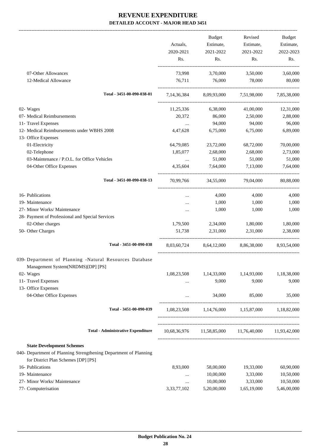|                                                                                                         |             | <b>Budget</b> | Revised                                | Budget       |
|---------------------------------------------------------------------------------------------------------|-------------|---------------|----------------------------------------|--------------|
|                                                                                                         | Actuals,    | Estimate,     | Estimate,                              | Estimate,    |
|                                                                                                         | 2020-2021   | 2021-2022     | 2021-2022                              | 2022-2023    |
|                                                                                                         | Rs.         | Rs.           | Rs.                                    | Rs.          |
| 07-Other Allowances                                                                                     | 73,998      | 3,70,000      | 3,50,000                               | 3,60,000     |
| 12-Medical Allowance                                                                                    | 76,711      | 76,000        | 78,000                                 | 80,000       |
| Total - 3451-00-090-038-01                                                                              |             |               | 7,14,36,384 8,09,93,000 7,51,98,000    | 7,85,38,000  |
|                                                                                                         |             |               |                                        |              |
| 02- Wages                                                                                               | 11,25,336   | 6,38,000      | 41,00,000                              | 12,31,000    |
| 07- Medical Reimbursements                                                                              | 20,372      | 86,000        | 2,50,000                               | 2,88,000     |
| 11- Travel Expenses                                                                                     | $\cdots$    | 94,000        | 94,000                                 | 96,000       |
| 12- Medical Reimbursements under WBHS 2008                                                              | 4,47,628    | 6,75,000      | 6,75,000                               | 6,89,000     |
| 13- Office Expenses                                                                                     |             |               |                                        |              |
| 01-Electricity                                                                                          | 64,79,085   | 23,72,000     | 68,72,000                              | 70,00,000    |
| 02-Telephone                                                                                            | 1,85,077    | 2,68,000      | 2,68,000                               | 2,73,000     |
| 03-Maintenance / P.O.L. for Office Vehicles                                                             | $\ldots$    | 51,000        | 51,000                                 | 51,000       |
| 04-Other Office Expenses                                                                                | 4,35,604    | 7,64,000      | 7,13,000                               | 7,64,000     |
| Total - 3451-00-090-038-13                                                                              | 70,99,766   | 34,55,000     | 79,04,000                              | 80,88,000    |
| 16- Publications                                                                                        |             | 4,000         | 4,000                                  | 4,000        |
| 19- Maintenance                                                                                         | $\cdots$    | 1,000         | 1,000                                  | 1,000        |
|                                                                                                         |             |               | 1,000                                  |              |
| 27- Minor Works/ Maintenance                                                                            |             | 1,000         |                                        | 1,000        |
| 28- Payment of Professional and Special Services                                                        |             |               |                                        |              |
| 02-Other charges                                                                                        | 1,79,500    | 2,34,000      | 1,80,000                               | 1,80,000     |
| 50- Other Charges                                                                                       | 51,738      | 2,31,000      | 2,31,000                               | 2,38,000     |
| Total - 3451-00-090-038                                                                                 | 8,03,60,724 | 8,64,12,000   | 8,86,38,000                            | 8,93,54,000  |
| 039- Department of Planning -Natural Resources Database<br>Management System(NRDMS)[DP] [PS]            |             |               |                                        |              |
| 02- Wages                                                                                               | 1,08,23,508 | 1,14,33,000   | 1,14,93,000                            | 1,18,38,000  |
| 11- Travel Expenses                                                                                     |             | 9,000         | 9,000                                  | 9,000        |
| 13- Office Expenses                                                                                     |             |               |                                        |              |
| 04-Other Office Expenses                                                                                | $\cdots$    | 34,000        | 85,000                                 | 35,000       |
| Total - 3451-00-090-039                                                                                 | 1,08,23,508 |               | 1,14,76,000 1,15,87,000                | 1.18.82.000  |
| <b>Total - Administrative Expenditure</b>                                                               |             |               | 10,68,36,976 11,58,85,000 11,76,40,000 | 11,93,42,000 |
|                                                                                                         |             |               |                                        |              |
| <b>State Development Schemes</b>                                                                        |             |               |                                        |              |
| 040- Department of Planning Strengthening Department of Planning<br>for District Plan Schemes [DP] [PS] |             |               |                                        |              |
| 16- Publications                                                                                        | 8,93,000    | 58,00,000     | 19,33,000                              | 60,90,000    |
| 19- Maintenance                                                                                         |             | 10,00,000     | 3,33,000                               | 10,50,000    |
| 27- Minor Works/ Maintenance                                                                            | $\cdots$    | 10,00,000     | 3,33,000                               | 10,50,000    |
| 77- Computerisation                                                                                     | 3,33,77,102 | 5,20,00,000   | 1,65,19,000                            | 5,46,00,000  |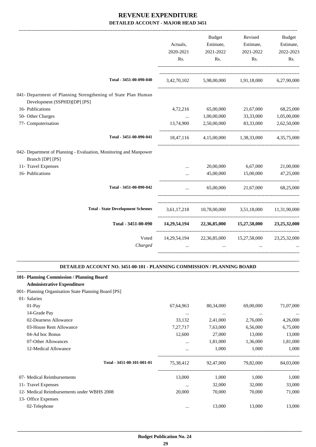| Actuals,<br>2020-2021<br>R <sub>s</sub> .<br>3,42,70,102 | Estimate,<br>2021-2022<br>Rs. | Estimate,<br>2021-2022<br>Rs. | Estimate,<br>2022-2023<br>Rs.                                                                                                                                         |
|----------------------------------------------------------|-------------------------------|-------------------------------|-----------------------------------------------------------------------------------------------------------------------------------------------------------------------|
|                                                          |                               |                               |                                                                                                                                                                       |
|                                                          |                               |                               |                                                                                                                                                                       |
|                                                          |                               |                               |                                                                                                                                                                       |
|                                                          | 5,98,00,000                   | 1,91,18,000                   | 6,27,90,000                                                                                                                                                           |
|                                                          |                               |                               |                                                                                                                                                                       |
| 4,72,216                                                 | 65,00,000                     | 21,67,000                     | 68,25,000                                                                                                                                                             |
| $\ddotsc$                                                | 1,00,00,000                   | 33,33,000                     | 1,05,00,000                                                                                                                                                           |
| 13,74,900                                                | 2,50,00,000                   | 83,33,000                     | 2,62,50,000                                                                                                                                                           |
| 18,47,116                                                | 4,15,00,000                   | 1,38,33,000                   | 4, 35, 75, 000                                                                                                                                                        |
|                                                          |                               |                               |                                                                                                                                                                       |
|                                                          | 20,00,000                     | 6,67,000                      | 21,00,000                                                                                                                                                             |
|                                                          | 45,00,000                     | 15,00,000                     | 47,25,000                                                                                                                                                             |
| $\cdots$                                                 |                               |                               | 68,25,000                                                                                                                                                             |
|                                                          |                               |                               |                                                                                                                                                                       |
|                                                          |                               |                               | 23, 25, 32, 000                                                                                                                                                       |
|                                                          |                               |                               | 23, 25, 32, 000                                                                                                                                                       |
|                                                          |                               |                               |                                                                                                                                                                       |
|                                                          |                               |                               | 65,00,000<br>21,67,000<br>3,61,17,218 10,78,00,000 3,51,18,000 11,31,90,000<br>$14,29,54,194$ $22,36,85,000$ $15,27,58,000$<br>14,29,54,194 22,36,85,000 15,27,58,000 |

| <b>Administrative Expenditure</b>                     |                            |           |           |           |           |
|-------------------------------------------------------|----------------------------|-----------|-----------|-----------|-----------|
| 001 - Planning Organisation State Planning Board [PS] |                            |           |           |           |           |
| 01- Salaries                                          |                            |           |           |           |           |
| $01-Pav$                                              |                            | 67,64,963 | 80,34,000 | 69,00,000 | 71,07,000 |
| 14-Grade Pay                                          |                            | $\cdots$  | $\cdots$  | $\cdots$  | $\cdots$  |
| 02-Dearness Allowance                                 |                            | 33.132    | 2,41,000  | 2,76,000  | 4,26,000  |
| 03-House Rent Allowance                               |                            | 7,27,717  | 7,63,000  | 6,56,000  | 6,75,000  |
| 04-Ad hoc Bonus                                       |                            | 12,600    | 27,000    | 13,000    | 13,000    |
| 07-Other Allowances                                   |                            | $\cdots$  | 1,81,000  | 1,36,000  | 1,81,000  |
| 12-Medical Allowance                                  |                            | $\cdots$  | 1,000     | 1.000     | 1.000     |
|                                                       | Total - 3451-00-101-001-01 | 75,38,412 | 92,47,000 | 79,82,000 | 84,03,000 |
|                                                       |                            |           |           |           |           |

**.**

**101- Planning Commission / Planning Board**

| 07- Medical Reimbursements                 | 13,000   | 1.000  | 1.000  | 1.000  |
|--------------------------------------------|----------|--------|--------|--------|
| 11- Travel Expenses                        | $\cdots$ | 32,000 | 32,000 | 33,000 |
| 12- Medical Reimbursements under WBHS 2008 | 20,000   | 70.000 | 70,000 | 71,000 |
| 13- Office Expenses                        |          |        |        |        |
| 02-Telephone                               | $\cdots$ | 13,000 | 13,000 | 13,000 |
|                                            |          |        |        |        |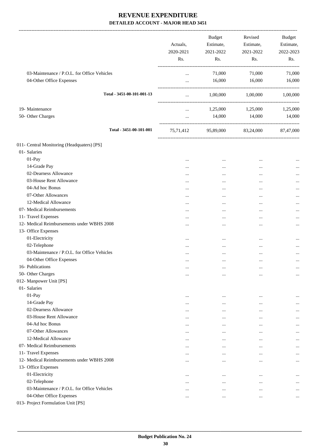|                                             | Actuals,<br>2020-2021<br>Rs. | Budget<br>Estimate,<br>2021-2022<br>Rs. | Revised<br>Estimate,<br>2021-2022<br>Rs. | <b>Budget</b><br>Estimate,<br>2022-2023<br>Rs. |
|---------------------------------------------|------------------------------|-----------------------------------------|------------------------------------------|------------------------------------------------|
| 03-Maintenance / P.O.L. for Office Vehicles | $\cdots$                     | 71,000                                  | 71,000                                   | 71,000                                         |
| 04-Other Office Expenses                    | $\cdots$                     | 16,000                                  | 16,000                                   | 16,000                                         |
|                                             |                              |                                         | -----------------------                  |                                                |
| Total - 3451-00-101-001-13                  | $\cdots$                     |                                         | 1,00,000 1,00,000                        | 1,00,000                                       |
| 19- Maintenance                             | $\cdots$                     |                                         | 1,25,000 1,25,000                        | 1,25,000                                       |
| 50- Other Charges                           | $\cdots$                     | 14,000                                  | 14,000                                   | 14,000                                         |
| Total - 3451-00-101-001                     | 75,71,412                    | 95,89,000                               | 83,24,000                                | 87,47,000                                      |
| 011- Central Monitoring (Headquaters) [PS]  |                              |                                         |                                          |                                                |
| 01- Salaries                                |                              |                                         |                                          |                                                |
| 01-Pay                                      | $\ddotsc$                    |                                         | $\cdots$                                 |                                                |
| 14-Grade Pay                                |                              | $\cdots$                                |                                          |                                                |
| 02-Dearness Allowance                       |                              | $\cdots$                                | $\cdots$                                 |                                                |
| 03-House Rent Allowance                     | $\ddotsc$                    |                                         |                                          |                                                |
| 04-Ad hoc Bonus                             |                              |                                         | $\cdots$                                 |                                                |
| 07-Other Allowances                         |                              |                                         | $\ddotsc$                                |                                                |
| 12-Medical Allowance                        |                              |                                         | $\ddotsc$                                |                                                |
| 07- Medical Reimbursements                  |                              |                                         | $\ddotsc$                                |                                                |
| 11- Travel Expenses                         |                              |                                         | $\ddotsc$                                |                                                |
| 12- Medical Reimbursements under WBHS 2008  |                              |                                         | $\ddotsc$                                |                                                |
| 13- Office Expenses                         |                              |                                         |                                          |                                                |
| 01-Electricity                              | $\ddotsc$                    | $\cdots$                                | $\cdots$                                 |                                                |
| 02-Telephone                                |                              |                                         | $\ddotsc$                                |                                                |
| 03-Maintenance / P.O.L. for Office Vehicles | $\cdots$                     | $\cdots$                                |                                          |                                                |
| 04-Other Office Expenses                    |                              |                                         |                                          | $\cdots$                                       |
| 16- Publications                            | $\ldots$                     | $\cdots$                                | $\cdots$                                 | $\cdots$                                       |
| 50- Other Charges                           | $\ddotsc$                    | $\cdots$                                | $\ddotsc$                                | $\cdots$                                       |
| 012- Manpower Unit [PS]                     |                              |                                         |                                          |                                                |
| 01- Salaries                                |                              |                                         |                                          |                                                |
| 01-Pay                                      | $\ddotsc$                    | $\cdots$                                | $\cdots$                                 |                                                |
| 14-Grade Pay                                | $\cdots$                     | $\cdots$                                | $\ddotsc$                                | $\cdots$                                       |
| 02-Dearness Allowance                       | $\cdots$                     | $\cdots$                                | $\ddotsc$                                | $\cdots$                                       |
| 03-House Rent Allowance                     | $\ddotsc$                    | $\cdots$                                | $\ddotsc$                                | $\cdots$                                       |
| 04-Ad hoc Bonus                             | $\cdots$                     | $\cdots$                                | $\ddotsc$                                | $\cdots$                                       |
| 07-Other Allowances                         | $\cdots$                     | $\cdots$                                | $\cdots$                                 | $\cdots$                                       |
| 12-Medical Allowance                        | $\cdots$                     | $\cdots$                                | $\ddotsc$                                | $\cdots$                                       |
| 07- Medical Reimbursements                  | $\cdots$                     | $\cdots$                                | $\cdots$                                 | $\cdots$                                       |
| 11- Travel Expenses                         | $\cdots$                     | $\cdots$                                | $\ddotsc$                                | $\cdots$                                       |
| 12- Medical Reimbursements under WBHS 2008  | $\cdots$                     | $\cdots$                                | $\cdots$                                 | $\cdots$                                       |
| 13- Office Expenses                         |                              |                                         |                                          |                                                |
| 01-Electricity                              |                              | $\cdots$                                | $\cdots$                                 | $\cdots$                                       |
| 02-Telephone                                | $\cdots$                     | $\cdots$                                | $\ddotsc$                                | $\cdots$                                       |
| 03-Maintenance / P.O.L. for Office Vehicles | $\cdots$                     | $\cdots$                                | $\cdots$                                 | $\cdots$                                       |
| 04-Other Office Expenses                    | $\cdots$                     | $\cdots$                                | $\cdots$                                 | $\cdots$                                       |
| 013- Project Formulation Unit [PS]          |                              |                                         |                                          |                                                |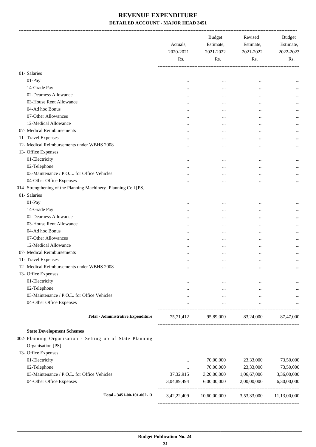|                                                                  | Actuals,<br>2020-2021<br>Rs. | <b>Budget</b><br>Estimate,<br>2021-2022<br>Rs. | Revised<br>Estimate,<br>2021-2022<br>Rs. | <b>Budget</b><br>Estimate,<br>2022-2023<br>Rs. |
|------------------------------------------------------------------|------------------------------|------------------------------------------------|------------------------------------------|------------------------------------------------|
| 01- Salaries                                                     |                              |                                                |                                          |                                                |
| 01-Pay                                                           |                              |                                                |                                          |                                                |
| 14-Grade Pay                                                     |                              | $\ddotsc$                                      | $\cdots$                                 |                                                |
| 02-Dearness Allowance                                            | $\cdots$                     |                                                |                                          |                                                |
| 03-House Rent Allowance                                          |                              | $\cdots$                                       |                                          |                                                |
| 04-Ad hoc Bonus                                                  |                              | $\cdots$                                       |                                          |                                                |
| 07-Other Allowances                                              |                              | $\cdots$                                       | $\ddotsc$                                |                                                |
| 12-Medical Allowance                                             |                              |                                                | $\ddotsc$                                | $\cdots$                                       |
| 07- Medical Reimbursements                                       |                              |                                                | $\cdots$                                 | $\cdots$                                       |
| 11- Travel Expenses                                              | $\cdots$                     |                                                |                                          | $\cdots$                                       |
| 12- Medical Reimbursements under WBHS 2008                       | $\cdots$                     | $\cdots$                                       |                                          | $\cdots$                                       |
| 13- Office Expenses                                              |                              | $\cdots$                                       | $\ddotsc$                                | $\cdots$                                       |
| 01-Electricity                                                   |                              |                                                |                                          |                                                |
| 02-Telephone                                                     |                              |                                                | $\cdots$                                 |                                                |
| 03-Maintenance / P.O.L. for Office Vehicles                      |                              | $\cdots$                                       |                                          |                                                |
| 04-Other Office Expenses                                         |                              |                                                | $\cdots$                                 | $\cdots$                                       |
| 014- Strengthening of the Planning Machinery- Planning Cell [PS] |                              |                                                |                                          | $\cdots$                                       |
| 01- Salaries                                                     |                              |                                                |                                          |                                                |
| 01-Pay                                                           |                              |                                                |                                          |                                                |
| 14-Grade Pay                                                     |                              | $\cdots$                                       | $\cdots$                                 |                                                |
| 02-Dearness Allowance                                            |                              | $\cdots$                                       | $\cdots$                                 |                                                |
| 03-House Rent Allowance                                          |                              | $\cdots$                                       |                                          |                                                |
| 04-Ad hoc Bonus                                                  |                              | $\cdots$                                       | $\cdots$                                 |                                                |
| 07-Other Allowances                                              |                              |                                                | $\ddotsc$                                | $\cdots$                                       |
| 12-Medical Allowance                                             |                              | $\cdots$                                       | $\ddotsc$                                | $\cdots$                                       |
| 07- Medical Reimbursements                                       |                              |                                                | $\cdots$                                 | $\cdots$                                       |
| 11- Travel Expenses                                              |                              | $\cdots$                                       | $\cdots$                                 |                                                |
| 12- Medical Reimbursements under WBHS 2008                       |                              |                                                | $\cdots$                                 | $\cdots$                                       |
|                                                                  |                              | $\cdots$                                       | $\cdots$                                 | $\cdots$                                       |
| 13- Office Expenses<br>01-Electricity                            |                              |                                                |                                          |                                                |
|                                                                  | $\cdots$                     | $\cdots$                                       | $\cdots$                                 |                                                |
| 02-Telephone<br>03-Maintenance / P.O.L. for Office Vehicles      |                              | $\cdots$                                       | $\cdots$                                 | $\cdots$                                       |
| 04-Other Office Expenses                                         | $\cdots$                     | $\cdots$                                       | $\cdots$                                 |                                                |
|                                                                  | $\cdots$                     | $\cdots$                                       | $\cdots$                                 |                                                |
| <b>Total - Administrative Expenditure</b>                        | 75,71,412                    | 95,89,000 83,24,000                            |                                          | 87,47,000                                      |
| <b>State Development Schemes</b>                                 |                              |                                                |                                          |                                                |
| 002- Planning Organisation - Setting up of State Planning        |                              |                                                |                                          |                                                |
| Organisation [PS]                                                |                              |                                                |                                          |                                                |
| 13- Office Expenses                                              |                              |                                                |                                          |                                                |
| 01-Electricity                                                   | $\cdots$                     | 70,00,000                                      | 23,33,000                                | 73,50,000                                      |
| 02-Telephone                                                     | $\cdots$                     | 70,00,000                                      | 23,33,000                                | 73,50,000                                      |
| 03-Maintenance / P.O.L. for Office Vehicles                      | 37, 32, 915                  | 3,20,00,000                                    | 1,06,67,000                              | 3,36,00,000                                    |
| 04-Other Office Expenses                                         | 3,04,89,494                  | 6,00,00,000                                    | 2,00,00,000                              | 6,30,00,000                                    |
| Total - 3451-00-101-002-13                                       | 3,42,22,409                  | 10,60,00,000                                   | 3,53,33,000                              | 11,13,00,000                                   |
|                                                                  |                              |                                                |                                          |                                                |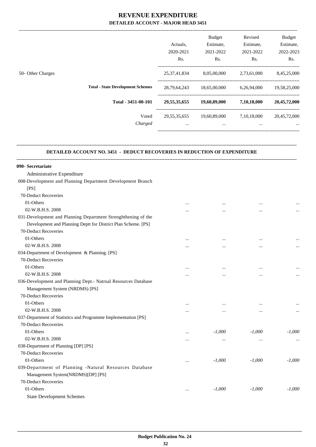-------------------------------------------------------------------------------------------------------------------------------------------------------------------------------

|                                          |                  | Actuals.<br>2020-2021<br>Rs. | <b>Budget</b><br>Estimate,<br>2021-2022<br>Rs. | Revised<br>Estimate,<br>2021-2022<br>Rs. | <b>Budget</b><br>Estimate,<br>2022-2023<br>Rs. |
|------------------------------------------|------------------|------------------------------|------------------------------------------------|------------------------------------------|------------------------------------------------|
| 50- Other Charges                        |                  | 25, 37, 41, 834              | 8,05,00,000                                    | 2,73,61,000                              | 8,45,25,000                                    |
| <b>Total - State Development Schemes</b> |                  | 28,79,64,243                 | 18,65,00,000                                   | 6,26,94,000                              | 19,58,25,000                                   |
| Total - 3451-00-101                      |                  | 29, 55, 35, 655              | 19,60,89,000                                   | 7,10,18,000                              | 20,45,72,000                                   |
|                                          | Voted<br>Charged | 29, 55, 35, 655<br>$\cdots$  | 19,60,89,000<br>$\cdots$                       | 7,10,18,000<br>$\cdots$                  | 20,45,72,000<br>$\cdots$                       |

#### **DETAILED ACCOUNT NO. 3451 - DEDUCT RECOVERIES IN REDUCTION OF EXPENDITURE**

**--------------------------------------------------------------------------------------------------------------------------------------------------------------------------------**

| 090- Secretariate                                              |          |           |           |          |
|----------------------------------------------------------------|----------|-----------|-----------|----------|
| Administrative Expenditure                                     |          |           |           |          |
| 008-Development and Planning Department Development Branch     |          |           |           |          |
| [PS]                                                           |          |           |           |          |
| 70-Deduct Recoveries                                           |          |           |           |          |
| 01-Others                                                      |          | $\cdots$  |           |          |
| 02-W.B.H.S. 2008                                               | .        | $\cdots$  |           | $\cdots$ |
| 031-Development and Planning Department Strenghthening of the  |          |           |           |          |
| Development and Planning Deptt for District Plan Scheme. [PS]  |          |           |           |          |
| 70-Deduct Recoveries                                           |          |           |           |          |
| 01-Others                                                      |          | $\ddotsc$ | $\cdots$  |          |
| 02-W.B.H.S. 2008                                               |          |           | $\cdots$  | $\cdots$ |
| 034-Department of Development & Planning. [PS]                 |          |           |           |          |
| 70-Deduct Recoveries                                           |          |           |           |          |
| 01-Others                                                      |          |           | $\ddotsc$ |          |
| 02-W.B.H.S. 2008                                               | $\cdots$ | $\cdots$  |           | $\cdots$ |
| 036-Development and Planning Dept.- Natrual Resources Database |          |           |           |          |
| Management System (NRDMS) [PS]                                 |          |           |           |          |
| 70-Deduct Recoveries                                           |          |           |           |          |
| 01-Others                                                      |          | $\ddotsc$ | $\cdots$  |          |
| 02-W.B.H.S. 2008                                               | $\cdots$ | $\cdots$  |           | $\cdots$ |
| 037-Department of Statistics and Programme Implementation [PS] |          |           |           |          |
| 70-Deduct Recoveries                                           |          |           |           |          |
| 01-Others                                                      |          | $-1,000$  | $-1,000$  | $-1,000$ |
| 02-W.B.H.S. 2008                                               |          | $\ddotsc$ | $\cdots$  |          |
| 038-Department of Planning [DP] [PS]                           |          |           |           |          |
| 70-Deduct Recoveries                                           |          |           |           |          |
| 01-Others                                                      | $\cdots$ | $-1,000$  | $-1,000$  | $-1,000$ |
| 039-Department of Planning -Natural Resources Database         |          |           |           |          |
| Management System(NRDMS)[DP] [PS]                              |          |           |           |          |
| 70-Deduct Recoveries                                           |          |           |           |          |
| 01-Others                                                      |          | $-1,000$  | $-1,000$  | $-1,000$ |
| <b>State Development Schemes</b>                               |          |           |           |          |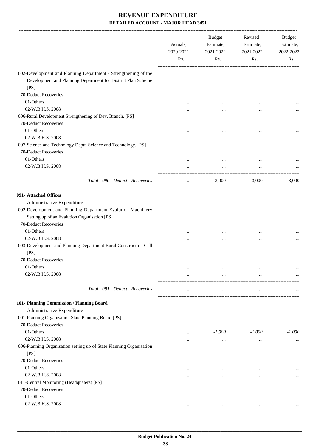|                                                                                                                                        | Actuals,<br>2020-2021 | <b>Budget</b><br>Estimate,<br>2021-2022           | Revised<br>Estimate,<br>2021-2022 | Budget<br>Estimate,<br>2022-2023 |
|----------------------------------------------------------------------------------------------------------------------------------------|-----------------------|---------------------------------------------------|-----------------------------------|----------------------------------|
|                                                                                                                                        | Rs.                   | Rs.                                               | Rs.                               | Rs.                              |
| 002-Development and Planning Department - Strengthening of the<br>Development and Planning Department for District Plan Scheme<br>[PS] |                       |                                                   |                                   |                                  |
| 70-Deduct Recoveries                                                                                                                   |                       |                                                   |                                   |                                  |
| 01-Others                                                                                                                              | $\cdots$              |                                                   |                                   |                                  |
| 02-W.B.H.S. 2008                                                                                                                       |                       | $\cdots$                                          |                                   |                                  |
| 006-Rural Development Strengthening of Dev. Branch. [PS]<br>70-Deduct Recoveries<br>01-Others                                          |                       |                                                   |                                   |                                  |
| 02-W.B.H.S. 2008                                                                                                                       |                       | $\cdots$                                          |                                   |                                  |
| 007-Science and Technology Deptt. Science and Technology. [PS]                                                                         |                       |                                                   |                                   |                                  |
| 70-Deduct Recoveries                                                                                                                   |                       |                                                   |                                   |                                  |
| 01-Others                                                                                                                              |                       |                                                   |                                   |                                  |
| 02-W.B.H.S. 2008                                                                                                                       |                       |                                                   |                                   |                                  |
|                                                                                                                                        |                       |                                                   |                                   |                                  |
| Total - 090 - Deduct - Recoveries                                                                                                      | $\cdots$              | $-3,000$                                          | $-3,000$                          | $-3,000$                         |
| 091- Attached Offices                                                                                                                  |                       |                                                   |                                   |                                  |
| Administrative Expenditure                                                                                                             |                       |                                                   |                                   |                                  |
| 002-Development and Planning Department Evalution Machinery<br>Setting up of an Evalution Organisation [PS]                            |                       |                                                   |                                   |                                  |
| 70-Deduct Recoveries                                                                                                                   |                       |                                                   |                                   |                                  |
| 01-Others                                                                                                                              |                       | $\cdots$                                          |                                   |                                  |
| 02-W.B.H.S. 2008                                                                                                                       | .                     | $\cdots$                                          |                                   |                                  |
| 003-Development and Planning Department Rural Construction Cell<br>[PS]                                                                |                       |                                                   |                                   |                                  |
| 70-Deduct Recoveries                                                                                                                   |                       |                                                   |                                   |                                  |
| 01-Others                                                                                                                              | $\cdots$              | $\cdots$                                          | $\cdots$                          | $\cdots$                         |
| 02-W.B.H.S. 2008                                                                                                                       | $\cdots$              | $\cdots$<br>------------------------------------- | $\cdots$                          | $\cdots$                         |
| Total - 091 - Deduct - Recoveries                                                                                                      | $\cdots$              | $\cdots$                                          | $\cdots$                          |                                  |
| 101- Planning Commission / Planning Board                                                                                              |                       |                                                   |                                   |                                  |
| Administrative Expenditure                                                                                                             |                       |                                                   |                                   |                                  |
| 001-Planning Organisation State Planning Board [PS]<br>70-Deduct Recoveries                                                            |                       |                                                   |                                   |                                  |
| 01-Others                                                                                                                              | $\cdots$              | $-1,000$                                          | $-1,000$                          | $-1,000$                         |
| 02-W.B.H.S. 2008                                                                                                                       |                       | $\cdots$                                          | $\cdots$                          | $\cdots$                         |
| 006-Planning Organisation setting up of State Planning Organisation<br>[PS]                                                            |                       |                                                   |                                   |                                  |
| 70-Deduct Recoveries                                                                                                                   |                       |                                                   |                                   |                                  |
| 01-Others                                                                                                                              |                       | $\cdots$                                          | $\cdots$                          | $\cdots$                         |
| 02-W.B.H.S. 2008                                                                                                                       | $\cdots$              |                                                   | $\ddotsc$                         | $\cdots$                         |
| 011-Central Monitoring (Headquaters) [PS]                                                                                              |                       |                                                   |                                   |                                  |
| 70-Deduct Recoveries                                                                                                                   |                       |                                                   |                                   |                                  |
| 01-Others                                                                                                                              | $\cdots$              | $\cdots$                                          | $\cdots$                          |                                  |
| 02-W.B.H.S. 2008                                                                                                                       |                       | $\cdots$                                          | $\cdots$                          |                                  |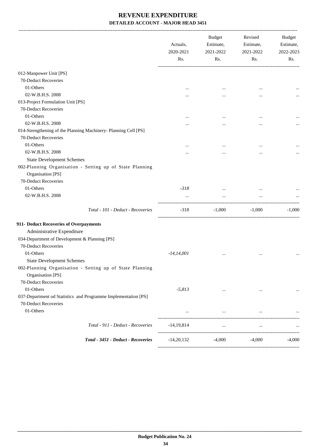|                                                                                        | Actuals,<br>2020-2021 | <b>Budget</b><br>Estimate,<br>2021-2022 | Revised<br>Estimate,<br>2021-2022 | Budget<br>Estimate,<br>2022-2023 |
|----------------------------------------------------------------------------------------|-----------------------|-----------------------------------------|-----------------------------------|----------------------------------|
|                                                                                        | Rs.                   | Rs.                                     | Rs.                               | Rs.                              |
| 012-Manpower Unit [PS]                                                                 |                       |                                         |                                   |                                  |
| 70-Deduct Recoveries                                                                   |                       |                                         |                                   |                                  |
| 01-Others                                                                              |                       |                                         |                                   |                                  |
| 02-W.B.H.S. 2008                                                                       |                       |                                         |                                   |                                  |
| 013-Project Formulation Unit [PS]                                                      |                       |                                         |                                   |                                  |
| 70-Deduct Recoveries                                                                   |                       |                                         |                                   |                                  |
| 01-Others                                                                              |                       |                                         |                                   |                                  |
| 02-W.B.H.S. 2008                                                                       |                       |                                         |                                   |                                  |
| 014-Strengthening of the Planning Machinery- Planning Cell [PS]                        |                       |                                         |                                   |                                  |
| 70-Deduct Recoveries                                                                   |                       |                                         |                                   |                                  |
| 01-Others                                                                              |                       |                                         |                                   |                                  |
| 02-W.B.H.S. 2008                                                                       |                       |                                         |                                   |                                  |
| <b>State Development Schemes</b>                                                       |                       |                                         |                                   |                                  |
| 002-Planning Organisation - Setting up of State Planning<br>Organisation [PS]          |                       |                                         |                                   |                                  |
| 70-Deduct Recoveries                                                                   |                       |                                         |                                   |                                  |
| 01-Others                                                                              | $-318$                |                                         |                                   |                                  |
| 02-W.B.H.S. 2008                                                                       | $\cdots$              | $\ddotsc$                               |                                   |                                  |
| Total - 101 - Deduct - Recoveries                                                      | $-318$                | $-1,000$                                | $-1,000$                          | $-1,000$                         |
| 911- Deduct Recoveries of Overpayments                                                 |                       |                                         |                                   |                                  |
| Administrative Expenditure                                                             |                       |                                         |                                   |                                  |
| 034-Department of Development & Planning [PS]<br>70-Deduct Recoveries                  |                       |                                         |                                   |                                  |
|                                                                                        |                       |                                         |                                   |                                  |
| 01-Others                                                                              | $-14,14,001$          |                                         |                                   |                                  |
| <b>State Development Schemes</b>                                                       |                       |                                         |                                   |                                  |
| 002-Planning Organisation - Setting up of State Planning<br>Organisation [PS]          |                       |                                         |                                   |                                  |
| 70-Deduct Recoveries                                                                   |                       |                                         |                                   |                                  |
| 01-Others                                                                              | $-5,813$              | $\cdots$                                | $\cdots$                          | $\ldots$                         |
| 037-Department od Statistics and Programme Implementation [PS]<br>70-Deduct Recoveries |                       |                                         |                                   |                                  |
| 01-Others                                                                              | $\cdots$              | $\cdots$                                | $\cdots$                          |                                  |
| Total - 911 - Deduct - Recoveries                                                      | $-14,19,814$          | $\cdots$                                | $\cdots$                          |                                  |
| Total - 3451 - Deduct - Recoveries                                                     | $-14,20,132$          | $-4,000$                                | $-4,000$                          | $-4,000$                         |
|                                                                                        |                       |                                         |                                   |                                  |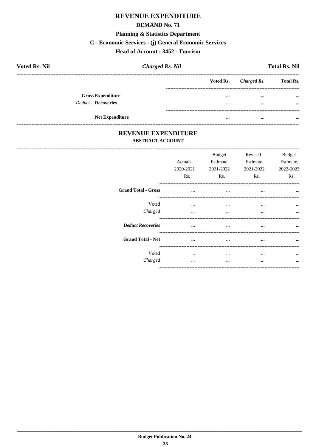#### **DEMAND No. 71**

## **Planning & Statistics Department**

#### C - Economic Services - (j) General Economic Services

### Head of Account: 3452 - Tourism

| <b>Voted Rs. Nil</b>       | <b>Charged Rs. Nil</b> |           |             | <b>Total Rs. Nil</b> |
|----------------------------|------------------------|-----------|-------------|----------------------|
|                            |                        | Voted Rs. | Charged Rs. | <b>Total Rs.</b>     |
| <b>Gross Expenditure</b>   |                        | $\cdots$  | $\cdots$    | $\cdots$             |
| <b>Deduct - Recoveries</b> |                        |           | $\cdots$    | $\cdots$             |
| <b>Net Expenditure</b>     |                        | $\cdots$  | $\cdots$    |                      |

### REVENUE EXPENDITURE **ABSTRACT ACCOUNT**

| Actuals,<br>2020-2021<br>Rs. | <b>Budget</b><br>Estimate,<br>Rs. | Revised<br>Estimate,<br>Rs. | <b>Budget</b><br>Estimate,<br>2022-2023<br>Rs.     |
|------------------------------|-----------------------------------|-----------------------------|----------------------------------------------------|
| $\cdots$                     | $\cdots$                          |                             | $\ddotsc$                                          |
| $\cdots$                     | $\cdots$                          | $\cdots$                    |                                                    |
|                              | $\cdots$                          | $\cdots$                    |                                                    |
|                              |                                   |                             |                                                    |
|                              |                                   |                             |                                                    |
| $\cdots$                     | $\cdots$<br>                      | $\cdots$<br>                | $\cdots$                                           |
|                              | $\cdots$<br>$\ddotsc$<br>$\cdots$ | <br>$\cdots$                | 2021-2022<br>2021-2022<br>$\cdots$<br><br>$\cdots$ |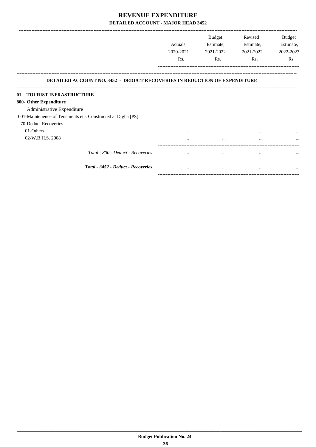|                                                                                  | Actuals,<br>2020-2021<br>Rs. | Budget<br>Estimate,<br>2021-2022<br>Rs. | Revised<br>Estimate,<br>2021-2022<br>Rs. | <b>Budget</b><br>Estimate,<br>2022-2023<br>Rs. |
|----------------------------------------------------------------------------------|------------------------------|-----------------------------------------|------------------------------------------|------------------------------------------------|
| <b>DETAILED ACCOUNT NO. 3452 - DEDUCT RECOVERIES IN REDUCTION OF EXPENDITURE</b> |                              |                                         |                                          |                                                |
| 01 - TOURIST INFRASTRUCTURE                                                      |                              |                                         |                                          |                                                |
| 800- Other Expenditure                                                           |                              |                                         |                                          |                                                |
| Administrative Expenditure                                                       |                              |                                         |                                          |                                                |
| 001-Maintenence of Tenements etc. Constructed at Digha [PS]                      |                              |                                         |                                          |                                                |
| 70-Deduct Recoveries                                                             |                              |                                         |                                          |                                                |
| 01-Others                                                                        | $\cdots$                     |                                         | $\cdots$                                 |                                                |
| 02-W.B.H.S. 2008                                                                 |                              |                                         | $\cdots$                                 |                                                |
| Total - 800 - Deduct - Recoveries                                                | $\cdots$                     | $\cdots$                                | $\cdots$                                 | $\cdots$                                       |
| Total - 3452 - Deduct - Recoveries                                               | $\cdots$                     |                                         | $\cdots$                                 | $\cdots$                                       |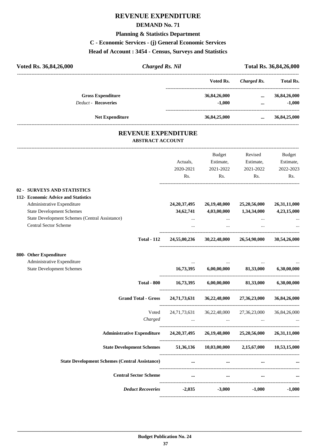#### **DEMAND No. 71**

## **Planning & Statistics Department**

#### **C - Economic Services - (j) General Economic Services**

#### **Head of Account : 3454 - Census, Surveys and Statistics**

| Voted Rs. 36,84,26,000                                 | <b>Charged Rs. Nil</b> |              | Total Rs. 36,84,26,000    |                       |
|--------------------------------------------------------|------------------------|--------------|---------------------------|-----------------------|
|                                                        |                        | Voted Rs.    | Charged Rs.               | <b>Total Rs.</b>      |
| <b>Gross Expenditure</b><br><b>Deduct - Recoveries</b> |                        | 36,84,26,000 | $\cdots$                  | 36,84,26,000          |
|                                                        |                        | $-1,000$     | $\cdots$                  | $-1,000$              |
| <b>Net Expenditure</b>                                 |                        | 36,84,25,000 |                           | $\ldots$ 36,84,25,000 |
| <b>REVENUE EXPENDITURE</b><br><b>ABSTRACT ACCOUNT</b>  |                        |              |                           |                       |
|                                                        |                        | Budget       | Revised                   | <b>Budget</b>         |
|                                                        | Actuals,               | Estimate.    | Estimate,                 | Estimate,             |
|                                                        | 2020-2021              | 2021-2022    | 2021-2022                 | 2022-2023             |
|                                                        | Rs.                    | Rs.          | Rs.                       | Rs.                   |
| <b>SURVEYS AND STATISTICS</b><br>$02 -$                |                        |              |                           |                       |
| 112- Economic Advice and Statistics                    |                        |              |                           |                       |
| Administrative Expenditure                             | 24, 20, 37, 495        | 26,19,48,000 | 25,20,56,000              | 26,31,11,000          |
| <b>State Development Schemes</b>                       | 34,62,741              | 4,03,00,000  | 1,34,34,000               | 4,23,15,000           |
| State Development Schemes (Central Assistance)         | $\cdots$               | $\cdots$     | $\cdots$                  |                       |
| <b>Central Sector Scheme</b>                           | $\cdots$               | $\cdots$     | $\cdots$                  |                       |
| <b>Total - 112</b>                                     | 24,55,00,236           |              | 30,22,48,000 26,54,90,000 | 30,54,26,000          |
| 800- Other Expenditure                                 |                        |              |                           |                       |
| Administrative Expenditure                             |                        |              |                           |                       |
| <b>State Development Schemes</b>                       | 16,73,395              | 6,00,00,000  | 81,33,000                 | 6,30,00,000           |

| <b>Total - 800</b>                                    | 16,73,395                | 6,00,00,000              | 81,33,000                | 6,30,00,000  |
|-------------------------------------------------------|--------------------------|--------------------------|--------------------------|--------------|
| <b>Grand Total - Gross</b>                            | 24,71,73,631             | 36,22,48,000             | 27,36,23,000             | 36,84,26,000 |
| Voted<br>Charged                                      | 24,71,73,631<br>$\cdots$ | 36,22,48,000<br>$\cdots$ | 27,36,23,000<br>$\cdots$ | 36,84,26,000 |
| <b>Administrative Expenditure</b>                     | 24,20,37,495             | 26,19,48,000             | 25,20,56,000             | 26,31,11,000 |
| <b>State Development Schemes</b>                      | 51,36,136                | 10,03,00,000             | 2,15,67,000              | 10,53,15,000 |
| <b>State Development Schemes (Central Assistance)</b> | $\cdots$                 | $\cdots$                 | $\cdots$                 | $\cdots$     |
| <b>Central Sector Scheme</b>                          | $\cdots$                 | $\cdots$                 | $\cdots$                 | $\cdots$     |
| <b>Deduct Recoveries</b>                              | $-2,035$                 | $-3,000$                 | $-1,000$                 | $-1,000$     |
|                                                       |                          |                          |                          |              |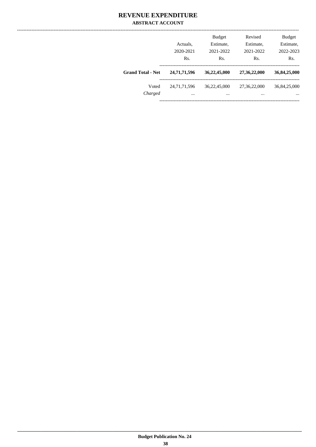### **REVENUE EXPENDITURE ABSTRACT ACCOUNT**

|                          | Actuals,<br>2020-2021<br>Rs. | <b>Budget</b><br>Estimate,<br>2021-2022<br>Rs. | Revised<br>Estimate,<br>2021-2022<br>Rs. | <b>Budget</b><br>Estimate,<br>2022-2023<br>Rs. |
|--------------------------|------------------------------|------------------------------------------------|------------------------------------------|------------------------------------------------|
| <b>Grand Total - Net</b> | 24,71,71,596                 | 36,22,45,000                                   | 27,36,22,000                             | 36,84,25,000                                   |
| Voted<br>Charged         | 24,71,71,596<br>$\cdots$     | 36,22,45,000<br>                               | 27,36,22,000<br>$\cdots$                 | 36,84,25,000<br>$\cdots$                       |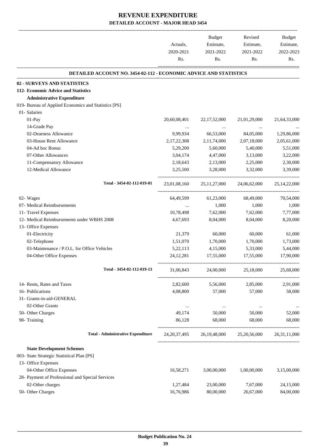-------------------------------------------------------------------------------------------------------------------------------------------------------------------------------

|                                                                          | Actuals,<br>2020-2021 | <b>Budget</b><br>Estimate,<br>2021-2022 | Revised<br>Estimate,<br>2021-2022 | <b>Budget</b><br>Estimate,<br>2022-2023 |
|--------------------------------------------------------------------------|-----------------------|-----------------------------------------|-----------------------------------|-----------------------------------------|
|                                                                          | Rs.                   | Rs.                                     | Rs.                               | Rs.                                     |
| <b>DETAILED ACCOUNT NO. 3454-02-112 - ECONOMIC ADVICE AND STATISTICS</b> |                       |                                         |                                   |                                         |
| 02 - SURVEYS AND STATISTICS                                              |                       |                                         |                                   |                                         |
| 112- Economic Advice and Statistics                                      |                       |                                         |                                   |                                         |
| <b>Administrative Expenditure</b>                                        |                       |                                         |                                   |                                         |
| 019- Bureau of Applied Economics and Statistics [PS]                     |                       |                                         |                                   |                                         |
| 01- Salaries                                                             |                       |                                         |                                   |                                         |
| $01-Pay$                                                                 | 20,60,08,401          | 22, 17, 52, 000                         | 21,01,29,000                      | 21,64,33,000                            |
| 14-Grade Pay                                                             | $\cdots$              | $\cdots$                                | $\cdots$                          |                                         |
| 02-Dearness Allowance                                                    | 9,99,934              | 66,53,000                               | 84,05,000                         | 1,29,86,000                             |
| 03-House Rent Allowance                                                  | 2,17,22,308           | 2,11,74,000                             | 2,07,18,000                       | 2,05,61,000                             |
| 04-Ad hoc Bonus                                                          | 5,29,200              | 5,60,000                                | 5,40,000                          | 5,51,000                                |
| 07-Other Allowances                                                      | 3,04,174              | 4,47,000                                | 3,13,000                          | 3,22,000                                |
| 11-Compensatory Allowance                                                | 2,18,643              | 2,13,000                                | 2,25,000                          | 2,30,000                                |
| 12-Medical Allowance                                                     | 3,25,500              | 3,28,000                                | 3,32,000                          | 3,39,000                                |
| Total - 3454-02-112-019-01                                               | 23,01,08,160          | 25, 11, 27, 000                         | 24,06,62,000                      | 25, 14, 22, 000                         |
| 02- Wages                                                                | 64,49,599             | 61,23,000                               | 68,49,000                         | 70,54,000                               |
| 07- Medical Reimbursements                                               |                       | 1,000                                   | 1,000                             | 1,000                                   |
| 11- Travel Expenses                                                      | 10,78,498             | 7,62,000                                | 7,62,000                          | 7,77,000                                |
| 12- Medical Reimbursements under WBHS 2008                               | 4,67,693              | 8,04,000                                | 8,04,000                          | 8,20,000                                |
| 13- Office Expenses                                                      |                       |                                         |                                   |                                         |
| 01-Electricity                                                           | 21,379                | 60,000                                  | 60,000                            | 61,000                                  |
| 02-Telephone                                                             | 1,51,070              | 1,70,000                                | 1,70,000                          | 1,73,000                                |
| 03-Maintenance / P.O.L. for Office Vehicles                              | 5,22,113              | 4,15,000                                | 5,33,000                          | 5,44,000                                |
| 04-Other Office Expenses                                                 | 24, 12, 281           | 17,55,000                               | 17,55,000                         | 17,90,000                               |
| Total - 3454-02-112-019-13                                               | 31,06,843             | 24,00,000                               | 25,18,000                         | 25,68,000                               |
| 14- Rents, Rates and Taxes                                               | 2,82,600              | 5,56,000                                | 2,85,000                          | 2,91,000                                |
| 16- Publications                                                         | 4,08,800              | 57,000                                  | 57,000                            | 58,000                                  |
| 31- Grants-in-aid-GENERAL                                                |                       |                                         |                                   |                                         |
| 02-Other Grants                                                          | $\cdots$              | $\ldots$                                | $\cdots$                          |                                         |
| 50- Other Charges                                                        | 49,174                | 50,000                                  | 50,000                            | 52,000                                  |
| 98- Training                                                             | 86,128                | 68,000                                  | 68,000                            | 68,000                                  |
| <b>Total - Administrative Expenditure</b>                                | 24, 20, 37, 495       | 26, 19, 48, 000                         | 25, 20, 56, 000                   | 26, 31, 11, 000                         |
| <b>State Development Schemes</b>                                         |                       |                                         |                                   |                                         |
| 003- State Strategic Statistical Plan [PS]                               |                       |                                         |                                   |                                         |
| 13- Office Expenses                                                      |                       |                                         |                                   |                                         |
| 04-Other Office Expenses                                                 | 16,58,271             | 3,00,00,000                             | 1,00,00,000                       | 3,15,00,000                             |
| 28- Payment of Professional and Special Services                         |                       |                                         |                                   |                                         |
| 02-Other charges                                                         | 1,27,484              | 23,00,000                               | 7,67,000                          | 24,15,000                               |
| 50- Other Charges                                                        | 16,76,986             | 80,00,000                               | 26,67,000                         | 84,00,000                               |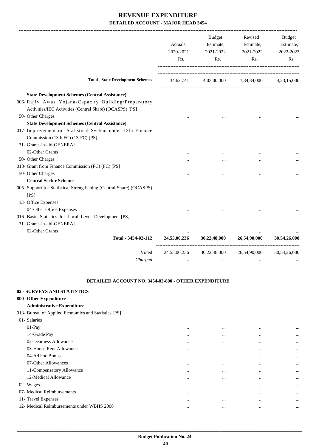|                                                                                                                 | Actuals,<br>2020-2021<br>Rs. | Budget<br>Estimate,<br>2021-2022<br>Rs.       | Revised<br>Estimate,<br>2021-2022<br>Rs. | Budget<br>Estimate,<br>2022-2023<br>Rs. |
|-----------------------------------------------------------------------------------------------------------------|------------------------------|-----------------------------------------------|------------------------------------------|-----------------------------------------|
| <b>Total - State Development Schemes</b>                                                                        |                              | 34,62,741 4,03,00,000 1,34,34,000 4,23,15,000 |                                          |                                         |
| <b>State Development Schemes (Central Assistance)</b>                                                           |                              |                                               |                                          |                                         |
| 006- Rajiv Awas Yojana-Capacity Building/Preparatory<br>Activities/IEC Activities (Central Share) (OCASPS) [PS] |                              |                                               |                                          |                                         |
| 50- Other Charges                                                                                               |                              |                                               |                                          |                                         |
| <b>State Development Schemes (Central Assistance)</b>                                                           |                              |                                               |                                          |                                         |
| 017- Improvement in Statistical System under 13th Finance<br>Commission (13th FC) (13-FC) [PS]                  |                              |                                               |                                          |                                         |
| 31- Grants-in-aid-GENERAL                                                                                       |                              |                                               |                                          |                                         |
| 02-Other Grants                                                                                                 |                              |                                               |                                          |                                         |
| 50- Other Charges                                                                                               |                              |                                               |                                          |                                         |
| 018- Grant from Finance Commission (FC) (FC) [PS]                                                               |                              |                                               |                                          |                                         |
| 50- Other Charges<br><b>Central Sector Scheme</b>                                                               |                              |                                               |                                          |                                         |
| 005- Support for Statistical Strengthening (Central Share) (OCASPS)<br>[PS]<br>13- Office Expenses              |                              |                                               |                                          |                                         |
| 04-Other Office Expenses                                                                                        |                              |                                               |                                          |                                         |
| 016- Basic Statistics for Local Level Development [PS]                                                          |                              |                                               |                                          |                                         |
| 31- Grants-in-aid-GENERAL                                                                                       |                              |                                               |                                          |                                         |
| 02-Other Grants                                                                                                 |                              |                                               |                                          |                                         |
| Total - 3454-02-112                                                                                             | 24,55,00,236                 | 30,22,48,000                                  | 26,54,90,000                             | 30,54,26,000                            |
| Voted                                                                                                           |                              | 24,55,00,236 30,22,48,000 26,54,90,000        |                                          | 30,54,26,000                            |
| Charged                                                                                                         | $\cdots$                     | $\cdots$                                      | $\cdots$                                 |                                         |
| <b>DETAILED ACCOUNT NO. 3454-02-800 - OTHER EXPENDITURE</b>                                                     |                              |                                               |                                          |                                         |
| 02 - SURVEYS AND STATISTICS                                                                                     |                              |                                               |                                          |                                         |
| 800- Other Expenditure                                                                                          |                              |                                               |                                          |                                         |
| <b>Administrative Expenditure</b>                                                                               |                              |                                               |                                          |                                         |
| 013- Bureau of Applied Economics and Statistics [PS]                                                            |                              |                                               |                                          |                                         |
| 01- Salaries                                                                                                    |                              |                                               |                                          |                                         |
| 01-Pay                                                                                                          | $\cdots$                     | $\cdots$                                      | $\cdots$                                 |                                         |
| 14-Grade Pay                                                                                                    |                              | $\cdots$                                      | $\cdots$                                 |                                         |
| 02-Dearness Allowance                                                                                           |                              | $\ddotsc$                                     | $\cdots$                                 |                                         |
|                                                                                                                 |                              |                                               |                                          |                                         |

| $01-Pay$                                   | $\cdots$ | $\cdots$ | $\cdots$ | $\cdots$ |
|--------------------------------------------|----------|----------|----------|----------|
| 14-Grade Pay                               |          |          | $\cdots$ | $\cdots$ |
| 02-Dearness Allowance                      | $\cdots$ | $\cdots$ | $\cdots$ | $\cdots$ |
| 03-House Rent Allowance                    | $\cdots$ | $\cdots$ | $\cdots$ | $\cdots$ |
| 04-Ad hoc Bonus                            | $\cdots$ | $\cdots$ | $\cdots$ | $\cdots$ |
| 07-Other Allowances                        | $\cdots$ | $\cdots$ | $\cdots$ | $\cdots$ |
| 11-Compensatory Allowance                  | $\cdots$ | $\cdots$ | $\cdots$ | $\cdots$ |
| 12-Medical Allowance                       | $\cdots$ | $\cdots$ | $\cdots$ | $\cdots$ |
| 02- Wages                                  | $\cdots$ | $\cdots$ | $\cdots$ | $\cdots$ |
| 07- Medical Reimbursements                 | $\cdots$ | $\cdots$ | $\cdots$ | $\cdots$ |
| 11- Travel Expenses                        | $\cdots$ | $\cdots$ | $\cdots$ | $\cdots$ |
| 12- Medical Reimbursements under WBHS 2008 |          |          | $\cdots$ | $\cdots$ |
|                                            |          |          |          |          |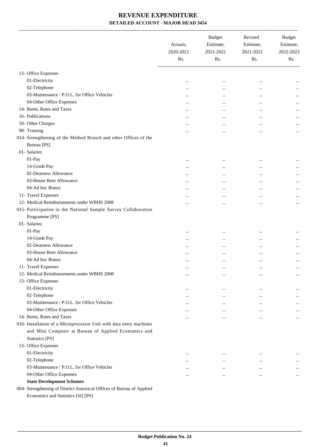|                                                                         | Actuals,<br>2020-2021<br>Rs. | <b>Budget</b><br>Estimate,<br>2021-2022<br>Rs. | Revised<br>Estimate,<br>2021-2022<br>Rs. | <b>Budget</b><br>Estimate,<br>2022-2023<br>Rs. |
|-------------------------------------------------------------------------|------------------------------|------------------------------------------------|------------------------------------------|------------------------------------------------|
| 13- Office Expenses                                                     |                              |                                                |                                          |                                                |
| 01-Electricity                                                          | $\cdots$                     | $\ddotsc$                                      |                                          |                                                |
| 02-Telephone                                                            |                              |                                                | $\cdots$<br>$\ddotsc$                    |                                                |
| 03-Maintenance / P.O.L. for Office Vehicles                             |                              | $\cdots$                                       |                                          |                                                |
| 04-Other Office Expenses                                                | $\cdots$                     | $\cdots$                                       |                                          |                                                |
| 14- Rents, Rates and Taxes                                              | <br>                         | $\cdots$                                       | <br>$\ddotsc$                            |                                                |
| 16- Publications                                                        |                              |                                                | $\ddotsc$                                | $\cdots$                                       |
| 50- Other Charges                                                       |                              |                                                |                                          |                                                |
| 98- Training                                                            |                              | $\cdots$                                       | $\ddotsc$                                | $\cdots$                                       |
| 014- Strengthening of the Method Branch and other Offices of the        |                              | $\cdots$                                       | $\cdots$                                 | $\cdots$                                       |
| <b>Bureau</b> [PS]                                                      |                              |                                                |                                          |                                                |
| 01- Salaries                                                            |                              |                                                |                                          |                                                |
| 01-Pay                                                                  |                              |                                                |                                          |                                                |
| 14-Grade Pay                                                            |                              |                                                | $\cdots$                                 |                                                |
| 02-Dearness Allowance                                                   |                              | $\cdots$                                       |                                          |                                                |
| 03-House Rent Allowance                                                 | $\cdots$                     |                                                | $\cdots$                                 | $\cdots$                                       |
| 04-Ad hoc Bonus                                                         | $\cdots$                     |                                                | $\ddotsc$                                | $\cdots$                                       |
| 11- Travel Expenses                                                     |                              | $\cdots$                                       | $\cdots$                                 |                                                |
| 12- Medical Reimbursements under WBHS 2008                              |                              |                                                | $\cdots$                                 |                                                |
|                                                                         |                              |                                                |                                          | $\cdots$                                       |
| 015- Participation in the National Sample Survey Collaboration          |                              |                                                |                                          |                                                |
| Programme [PS]                                                          |                              |                                                |                                          |                                                |
| 01- Salaries                                                            |                              |                                                |                                          |                                                |
| 01-Pay                                                                  |                              |                                                |                                          |                                                |
| 14-Grade Pay                                                            |                              |                                                | $\ddotsc$                                |                                                |
| 02-Dearness Allowance                                                   |                              |                                                | $\cdots$                                 |                                                |
| 03-House Rent Allowance                                                 |                              | $\cdots$                                       | $\cdots$                                 |                                                |
| 04-Ad hoc Bonus                                                         |                              |                                                | $\cdots$                                 |                                                |
| 11- Travel Expenses                                                     | $\cdots$                     | $\cdots$                                       | $\cdots$                                 | $\cdots$                                       |
| 12- Medical Reimbursements under WBHS 2008                              |                              | $\ddotsc$                                      | $\ddotsc$                                | $\cdots$                                       |
| 13- Office Expenses                                                     |                              |                                                |                                          |                                                |
| 01-Electricity                                                          |                              | $\ddotsc$                                      | $\cdots$                                 | $\cdots$                                       |
| 02-Telephone                                                            | $\cdots$                     |                                                |                                          | $\cdots$                                       |
| 03-Maintenance / P.O.L. for Office Vehicles                             |                              |                                                |                                          | $\cdots$                                       |
| 04-Other Office Expenses                                                |                              | $\cdots$                                       | $\cdots$                                 | $\cdots$                                       |
| 14- Rents, Rates and Taxes                                              |                              |                                                | $\ddotsc$                                | $\cdots$                                       |
| 016- Installation of a Microprocessor Unit with data entry machines     |                              |                                                |                                          |                                                |
| and Mini Computer at Bureau of Applied Economics and                    |                              |                                                |                                          |                                                |
| <b>Statistics [PS]</b>                                                  |                              |                                                |                                          |                                                |
| 13- Office Expenses                                                     |                              |                                                |                                          |                                                |
| 01-Electricity                                                          | $\cdots$                     | $\ddotsc$                                      | $\cdots$                                 | $\cdots$                                       |
| 02-Telephone                                                            | $\cdots$                     | $\cdots$                                       | $\cdots$                                 | $\cdots$                                       |
| 03-Maintenance / P.O.L. for Office Vehicles                             | $\cdots$                     | $\cdots$                                       | $\cdots$                                 | $\cdots$                                       |
| 04-Other Office Expenses                                                | $\cdots$                     | $\cdots$                                       | $\cdots$                                 | $\cdots$                                       |
| <b>State Development Schemes</b>                                        |                              |                                                |                                          |                                                |
| 004- Strengthening of District Statistical Offices of Bureau of Applied |                              |                                                |                                          |                                                |

Economics and Statistics [SI] [PS]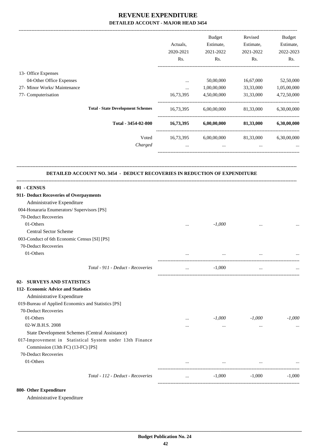|                                                                                                                                                 |                  | Actuals,<br>2020-2021<br>Rs. | Budget<br>Estimate,<br>2021-2022<br>Rs.     | Revised<br>Estimate,<br>2021-2022<br>Rs. | Budget<br>Estimate,<br>2022-2023<br>Rs. |
|-------------------------------------------------------------------------------------------------------------------------------------------------|------------------|------------------------------|---------------------------------------------|------------------------------------------|-----------------------------------------|
| 13- Office Expenses                                                                                                                             |                  |                              |                                             |                                          |                                         |
| 04-Other Office Expenses<br>27- Minor Works/ Maintenance                                                                                        |                  | $\cdots$                     | 50,00,000<br>1,00,00,000                    | 16,67,000                                | 52,50,000                               |
| 77- Computerisation                                                                                                                             |                  | $\cdots$<br>16,73,395        | 4,50,00,000                                 | 33,33,000<br>31,33,000                   | 1,05,00,000<br>4,72,50,000              |
|                                                                                                                                                 |                  |                              |                                             |                                          |                                         |
| <b>Total - State Development Schemes</b>                                                                                                        |                  |                              | 16,73,395 6,00,00,000                       | 81,33,000                                | 6,30,00,000                             |
| Total - 3454-02-800                                                                                                                             |                  | 16,73,395                    | 6,00,00,000                                 | 81,33,000                                | 6,30,00,000                             |
|                                                                                                                                                 | Voted<br>Charged | $\cdots$                     | 16,73,395 6,00,00,000 81,33,000<br>$\cdots$ | $\cdots$                                 | 6,30,00,000                             |
|                                                                                                                                                 |                  |                              |                                             |                                          |                                         |
| DETAILED ACCOUNT NO. 3454 - DEDUCT RECOVERIES IN REDUCTION OF EXPENDITURE                                                                       |                  |                              |                                             |                                          |                                         |
| 01 - CENSUS                                                                                                                                     |                  |                              |                                             |                                          |                                         |
| 911- Deduct Recoveries of Overpayments                                                                                                          |                  |                              |                                             |                                          |                                         |
| Administrative Expenditure                                                                                                                      |                  |                              |                                             |                                          |                                         |
| 004-Honararia Enumerators/ Supervisors [PS]                                                                                                     |                  |                              |                                             |                                          |                                         |
| 70-Deduct Recoveries                                                                                                                            |                  |                              |                                             |                                          |                                         |
| 01-Others                                                                                                                                       |                  | $\cdots$                     | $-1,000$                                    | $\cdots$                                 |                                         |
| Central Sector Scheme                                                                                                                           |                  |                              |                                             |                                          |                                         |
| 003-Conduct of 6th Economic Census [SI] [PS]                                                                                                    |                  |                              |                                             |                                          |                                         |
| 70-Deduct Recoveries                                                                                                                            |                  |                              |                                             |                                          |                                         |
| 01-Others                                                                                                                                       |                  |                              |                                             |                                          |                                         |
| Total - 911 - Deduct - Recoveries                                                                                                               |                  | $\ddotsc$                    | $-1,000$                                    |                                          |                                         |
| 02- SURVEYS AND STATISTICS                                                                                                                      |                  |                              |                                             |                                          |                                         |
| 112- Economic Advice and Statistics                                                                                                             |                  |                              |                                             |                                          |                                         |
| Administrative Expenditure                                                                                                                      |                  |                              |                                             |                                          |                                         |
| 019-Bureau of Applied Economics and Statistics [PS]                                                                                             |                  |                              |                                             |                                          |                                         |
| 70-Deduct Recoveries                                                                                                                            |                  |                              |                                             |                                          |                                         |
|                                                                                                                                                 |                  | $\cdots$                     | $-1,000$                                    | $-1,000$                                 | $-1,000$                                |
| 01-Others                                                                                                                                       |                  |                              |                                             |                                          |                                         |
| 02-W.B.H.S. 2008                                                                                                                                |                  | $\cdots$                     | $\cdots$                                    | $\cdots$                                 |                                         |
|                                                                                                                                                 |                  |                              |                                             |                                          |                                         |
| State Development Schemes (Central Assistance)<br>017-Improvement in Statistical System under 13th Finance<br>Commission (13th FC) (13-FC) [PS] |                  |                              |                                             |                                          |                                         |
| 70-Deduct Recoveries                                                                                                                            |                  |                              |                                             |                                          |                                         |
| 01-Others                                                                                                                                       |                  | $\cdots$                     | $\ldots$                                    | $\cdots$                                 |                                         |

#### **800- Other Expenditure**

Administrative Expenditure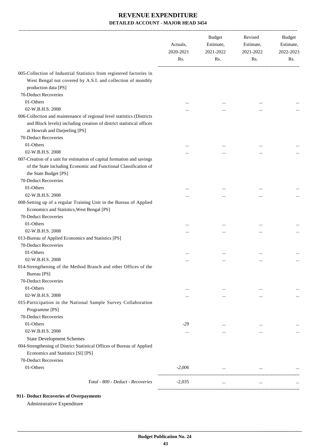|                                                                                                                                                                                                                 | Actuals,<br>2020-2021<br>Rs. | <b>Budget</b><br>Estimate,<br>2021-2022<br>Rs. | Revised<br>Estimate,<br>2021-2022<br>Rs. | Budget<br>Estimate,<br>2022-2023<br>Rs. |
|-----------------------------------------------------------------------------------------------------------------------------------------------------------------------------------------------------------------|------------------------------|------------------------------------------------|------------------------------------------|-----------------------------------------|
| 005-Collection of Industrial Statistics from registered factories in<br>West Bengal not covered by A.S.I. and collection of monthly<br>production data [PS]                                                     |                              |                                                |                                          |                                         |
| 70-Deduct Recoveries                                                                                                                                                                                            |                              |                                                |                                          |                                         |
| 01-Others                                                                                                                                                                                                       |                              |                                                | $\cdots$                                 |                                         |
| 02-W.B.H.S. 2008                                                                                                                                                                                                |                              |                                                |                                          |                                         |
| 006-Collection and maintenance of regional level statistics (Districts<br>and Block levels) including creation of district statistical offices<br>at Howrah and Darjeeling [PS]                                 |                              |                                                |                                          |                                         |
| 70-Deduct Recoveries                                                                                                                                                                                            |                              |                                                |                                          |                                         |
| 01-Others                                                                                                                                                                                                       |                              |                                                | $\cdots$                                 |                                         |
| 02-W.B.H.S. 2008<br>007-Creation of a unit for estimation of capital formation and savings<br>of the State including Economic and Functional Classification of<br>the State Budget [PS]<br>70-Deduct Recoveries |                              |                                                |                                          |                                         |
| 01-Others                                                                                                                                                                                                       |                              |                                                | $\cdots$                                 |                                         |
| 02-W.B.H.S. 2008                                                                                                                                                                                                |                              |                                                | $\cdots$                                 |                                         |
| 008-Setting up of a regular Training Unit in the Bureau of Applied<br>Economics and Statistics, West Bengal [PS]<br>70-Deduct Recoveries                                                                        |                              |                                                |                                          |                                         |
| 01-Others                                                                                                                                                                                                       |                              |                                                |                                          |                                         |
| 02-W.B.H.S. 2008                                                                                                                                                                                                |                              |                                                | $\ddotsc$                                |                                         |
| 013-Bureau of Applied Economics and Statistics [PS]<br>70-Deduct Recoveries<br>01-Others                                                                                                                        |                              |                                                | $\cdots$                                 |                                         |
| 02-W.B.H.S. 2008                                                                                                                                                                                                |                              | $\cdots$                                       | $\cdots$                                 |                                         |
| 014-Strengthening of the Method Branch and other Offices of the<br>Bureau [PS]<br>70-Deduct Recoveries<br>01-Others                                                                                             | $\cdots$                     | $\ldots$                                       | $\cdots$                                 | $\cdots$                                |
| 02-W.B.H.S. 2008                                                                                                                                                                                                |                              | $\ddotsc$                                      | $\cdots$                                 |                                         |
| 015-Participation in the National Sample Survey Collaboration<br>Programme [PS]<br>70-Deduct Recoveries                                                                                                         |                              |                                                |                                          |                                         |
| 01-Others                                                                                                                                                                                                       | $-29$                        | $\cdots$                                       | $\ddotsc$                                |                                         |
| 02-W.B.H.S. 2008                                                                                                                                                                                                | $\cdots$                     | $\cdots$                                       | $\cdots$                                 |                                         |
| <b>State Development Schemes</b><br>004-Strengthening of District Statistical Offices of Bureau of Applied<br>Economics and Statistics [SI] [PS]<br>70-Deduct Recoveries                                        |                              |                                                |                                          |                                         |
| 01-Others                                                                                                                                                                                                       | $-2,006$                     | $\cdots$                                       | $\cdots$                                 |                                         |
| Total - 800 - Deduct - Recoveries                                                                                                                                                                               | $-2,035$                     | $\cdots$                                       | $\cdots$                                 |                                         |

#### **911- Deduct Recoveries of Overpayments**

Administrative Expenditure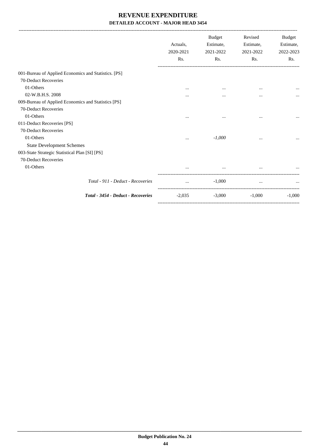|                                                      | Actuals.<br>2020-2021<br>Rs. | <b>Budget</b><br>Estimate,<br>2021-2022<br>Rs. | Revised<br>Estimate,<br>2021-2022<br>Rs. | <b>Budget</b><br>Estimate,<br>2022-2023<br>Rs. |
|------------------------------------------------------|------------------------------|------------------------------------------------|------------------------------------------|------------------------------------------------|
| 001-Bureau of Applied Economics and Statistics. [PS] |                              |                                                |                                          |                                                |
| 70-Deduct Recoveries                                 |                              |                                                |                                          |                                                |
| 01-Others                                            | $\cdots$                     | $\cdots$                                       | $\cdots$                                 |                                                |
| 02-W.B.H.S. 2008                                     | $\cdots$                     | $\cdots$                                       | $\cdots$                                 |                                                |
| 009-Bureau of Applied Economics and Statistics [PS]  |                              |                                                |                                          |                                                |
| 70-Deduct Recoveries                                 |                              |                                                |                                          |                                                |
| 01-Others                                            | $\cdots$                     | $\cdots$                                       | $\cdots$                                 |                                                |
| 011-Deduct Recoveries [PS]                           |                              |                                                |                                          |                                                |
| 70-Deduct Recoveries                                 |                              |                                                |                                          |                                                |
| 01-Others                                            | $\cdots$                     | $-1,000$                                       | $\cdots$                                 |                                                |
| <b>State Development Schemes</b>                     |                              |                                                |                                          |                                                |
| 003-State Strategic Statistical Plan [SI] [PS]       |                              |                                                |                                          |                                                |
| 70-Deduct Recoveries                                 |                              |                                                |                                          |                                                |
| 01-Others                                            |                              | $\cdots$                                       |                                          |                                                |
| Total - 911 - Deduct - Recoveries                    | $\cdots$                     | $-1,000$                                       | $\cdots$                                 |                                                |
| Total - 3454 - Deduct - Recoveries                   | $-2,035$                     | $-3,000$                                       | $-1,000$                                 | $-1.000$                                       |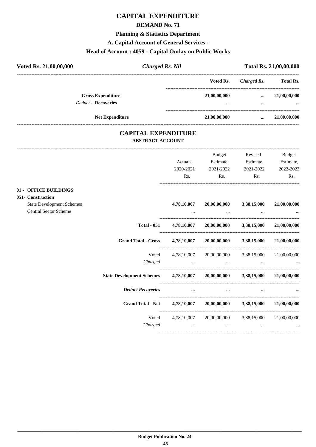## **CAPITAL EXPENDITURE**

#### **DEMAND No. 71**

### **Planning & Statistics Department**

**A. Capital Account of General Services -**

## **Head of Account : 4059 - Capital Outlay on Public Works**

| Voted Rs. 21,00,00,000 |                                                        | <b>Charged Rs. Nil</b> | Total Rs. 21,00,00,000 |              |                          |
|------------------------|--------------------------------------------------------|------------------------|------------------------|--------------|--------------------------|
|                        |                                                        |                        | Voted Rs.              | Charged Rs.  | <b>Total Rs.</b>         |
|                        | <b>Gross Expenditure</b><br><b>Deduct - Recoveries</b> |                        | 21,00,00,000<br>       | $\cdots$<br> | 21,00,00,000<br>$\cdots$ |
|                        | <b>Net Expenditure</b>                                 |                        | 21,00,00,000           | $\cdots$     | 21,00,00,000             |

### **CAPITAL EXPENDITURE ABSTRACT ACCOUNT**

---------------------------------------------------------------------------------------------------------------------------------------------------------------------------------

|                                                                  |                                                                             | Actuals.<br>2020-2021 | Budget<br>Estimate,<br>2021-2022                                                                             | Revised<br>Estimate,<br>2021-2022 | Budget<br>Estimate,<br>2022-2023                |
|------------------------------------------------------------------|-----------------------------------------------------------------------------|-----------------------|--------------------------------------------------------------------------------------------------------------|-----------------------------------|-------------------------------------------------|
|                                                                  |                                                                             | Rs.                   | Rs.                                                                                                          | Rs.                               | Rs.                                             |
| 01 - OFFICE BUILDINGS<br>051- Construction                       |                                                                             |                       |                                                                                                              |                                   |                                                 |
| <b>State Development Schemes</b><br><b>Central Sector Scheme</b> |                                                                             | 4,78,10,007           | 20,00,00,000                                                                                                 | 3,38,15,000                       | 21,00,00,000                                    |
|                                                                  | <b>Total - 051</b>                                                          |                       | $4,78,10,007$ $20,00,00,000$                                                                                 | 3,38,15,000                       | 21,00,00,000                                    |
|                                                                  | <b>Grand Total - Gross</b>                                                  |                       | $4,78,10,007$ $20,00,00,000$ $3,38,15,000$                                                                   |                                   | 21,00,00,000                                    |
|                                                                  | Voted                                                                       |                       | 4,78,10,007 20,00,00,000 3,38,15,000                                                                         |                                   | 21,00,00,000                                    |
|                                                                  | State Development Schemes 4,78,10,007 20,00,00,000 3,38,15,000 21,00,00,000 |                       |                                                                                                              |                                   |                                                 |
|                                                                  | <b>Deduct Recoveries</b>                                                    |                       |                                                                                                              |                                   |                                                 |
|                                                                  | Grand Total - Net 4,78,10,007 20,00,00,000 3,38,15,000                      |                       |                                                                                                              |                                   | 21,00,00,000                                    |
|                                                                  | Voted<br>Charged                                                            | 4,78,10,007           | and the control of the control of the control of the control of the control of the control of the control of | 20,00,00,000 3,38,15,000          | 21,00,00,000<br><b>Second Contract Contract</b> |
|                                                                  |                                                                             |                       |                                                                                                              |                                   |                                                 |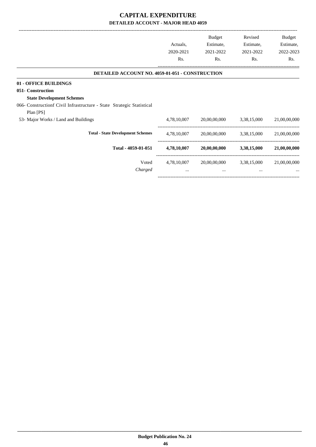## **CAPITAL EXPENDITURE DETAILED ACCOUNT - MAJOR HEAD 4059**

-------------------------------------------------------------------------------------------------------------------------------------------------------------------------------

-----------------------------------------------------------------------------------------

|                                                                                    | Actuals,<br>2020-2021<br>Rs. | <b>Budget</b><br>Estimate,<br>2021-2022<br>Rs. | Revised<br>Estimate,<br>2021-2022<br>Rs. | Budget<br>Estimate,<br>2022-2023<br>Rs. |
|------------------------------------------------------------------------------------|------------------------------|------------------------------------------------|------------------------------------------|-----------------------------------------|
| <b>DETAILED ACCOUNT NO. 4059-01-051 - CONSTRUCTION</b>                             |                              |                                                |                                          |                                         |
| 01 - OFFICE BUILDINGS<br>051- Construction<br><b>State Development Schemes</b>     |                              |                                                |                                          |                                         |
| 066- Constructionf Civil Infrastructure - State Strategic Statistical<br>Plan [PS] |                              |                                                |                                          |                                         |
| 53- Major Works / Land and Buildings                                               | 4,78,10,007                  | 20,00,00,000                                   | 3,38,15,000                              | 21,00,00,000                            |
| <b>Total - State Development Schemes</b>                                           | 4,78,10,007                  | 20,00,00,000                                   | 3,38,15,000                              | 21,00,00,000                            |
| Total - 4059-01-051                                                                | 4,78,10,007                  | 20,00,00,000                                   | 3,38,15,000                              | 21,00,00,000                            |
| Voted<br>Charged                                                                   | 4,78,10,007<br>$\cdots$      | 20,00,00,000<br>$\cdots$                       | 3,38,15,000<br>$\cdots$                  | 21,00,00,000<br>$\cdots$                |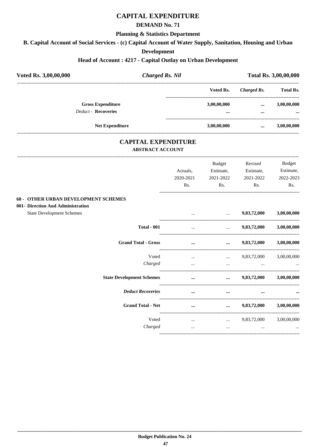## **CAPITAL EXPENDITURE**

#### **DEMAND No. 71**

#### **Planning & Statistics Department**

**B. Capital Account of Social Services - (c) Capital Account of Water Supply, Sanitation, Housing and Urban**

#### **Development**

## **Head of Account : 4217 - Capital Outlay on Urban Development**

| Voted Rs. 3,00,00,000                       | <b>Charged Rs. Nil</b>  |                            |                                             |                                | Total Rs. 3,00,00,000 |
|---------------------------------------------|-------------------------|----------------------------|---------------------------------------------|--------------------------------|-----------------------|
|                                             |                         |                            | Voted Rs.                                   | .<br><b>Charged Rs.</b>        | <b>Total Rs.</b>      |
| <b>Gross Expenditure</b>                    |                         |                            | 3,00,00,000                                 | $\cdots$                       | 3,00,00,000           |
| <b>Deduct - Recoveries</b>                  |                         |                            | $\cdots$                                    | $\cdots$<br>------------------ |                       |
| <b>Net Expenditure</b>                      |                         |                            | 3,00,00,000                                 | $\cdots$                       | 3,00,00,000           |
|                                             | <b>ABSTRACT ACCOUNT</b> | <b>CAPITAL EXPENDITURE</b> |                                             |                                |                       |
|                                             |                         |                            | Budget                                      | Revised                        | <b>Budget</b>         |
|                                             |                         | Actuals,                   | Estimate,                                   | Estimate,                      | Estimate,             |
|                                             |                         | 2020-2021<br>Rs.           | 2021-2022<br>Rs.                            | 2021-2022<br>Rs.               | 2022-2023<br>Rs.      |
|                                             |                         |                            |                                             |                                |                       |
| <b>60 - OTHER URBAN DEVELOPMENT SCHEMES</b> |                         |                            |                                             |                                |                       |
| 001- Direction And Administration           |                         |                            |                                             |                                |                       |
| <b>State Development Schemes</b>            |                         |                            | $\cdots$                                    | 9,83,72,000                    | 3,00,00,000           |
|                                             | <b>Total - 001</b>      | $\ddots$                   | -------------------------------<br>$\cdots$ | 9,83,72,000                    | 3,00,00,000           |
| <b>Grand Total - Gross</b>                  |                         | $\cdots$                   | $\cdots$                                    | 9,83,72,000                    | 3,00,00,000           |
|                                             | Voted                   | $\ddotsc$                  | $\ddots$                                    | 9,83,72,000                    | 3,00,00,000           |
|                                             | Charged                 | $\dddotsc$                 | $\ddots$                                    | $\cdots$                       |                       |
|                                             |                         |                            |                                             |                                |                       |
| <b>State Development Schemes</b>            |                         | $\cdots$                   | $\cdots$                                    | 9,83,72,000                    | 3,00,00,000           |
| <b>Deduct Recoveries</b>                    |                         | $\cdots$                   | $\cdots$                                    |                                |                       |
| <b>Grand Total - Net</b>                    |                         | $\cdots$                   | $\cdots$                                    | 9,83,72,000                    | 3,00,00,000           |
|                                             | Voted                   | $\cdots$                   | _______________________________<br>$\cdots$ | 9,83,72,000                    | 3,00,00,000           |
|                                             | Charged                 | $\cdots$                   | $\cdots$                                    |                                |                       |
|                                             |                         |                            |                                             |                                |                       |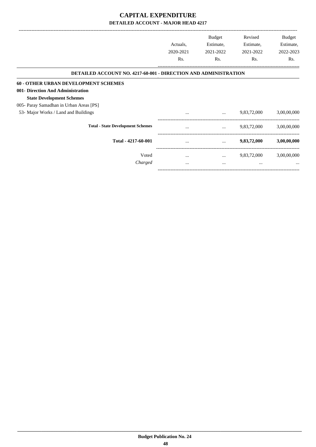## **CAPITAL EXPENDITURE DETAILED ACCOUNT - MAJOR HEAD 4217**

|                                                                        | Actuals,<br>2020-2021 | <b>Budget</b><br>Estimate,<br>2021-2022 | Revised<br>Estimate,<br>2021-2022 | Budget<br>Estimate,<br>2022-2023 |
|------------------------------------------------------------------------|-----------------------|-----------------------------------------|-----------------------------------|----------------------------------|
|                                                                        | Rs.                   | Rs.                                     | Rs.                               | Rs.                              |
| <b>DETAILED ACCOUNT NO. 4217-60-001 - DIRECTION AND ADMINISTRATION</b> |                       |                                         |                                   |                                  |
| <b>60 - OTHER URBAN DEVELOPMENT SCHEMES</b>                            |                       |                                         |                                   |                                  |
| 001- Direction And Administration                                      |                       |                                         |                                   |                                  |
| <b>State Development Schemes</b>                                       |                       |                                         |                                   |                                  |
| 005- Paray Samadhan in Urban Areas [PS]                                |                       |                                         |                                   |                                  |
| 53- Major Works / Land and Buildings                                   | $\cdots$              | $\cdots$                                | 9,83,72,000                       | 3,00,00,000                      |
| <b>Total - State Development Schemes</b>                               |                       | $\cdots$                                | 9,83,72,000                       | 3,00,00,000                      |
| Total - 4217-60-001                                                    | $\cdots$              |                                         | 9,83,72,000                       | 3,00,00,000                      |
| Voted                                                                  | $\cdots$              | $\cdots$                                | 9,83,72,000                       | 3,00,00,000                      |
| Charged                                                                | $\cdots$              | $\cdots$                                | $\cdots$                          | $\cdots$                         |

-----------------------------------------------------------------------------------------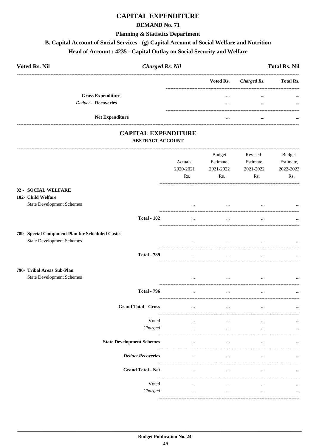## **CAPITAL EXPENDITURE**

#### **DEMAND No. 71**

#### **Planning & Statistics Department**

## B. Capital Account of Social Services - (g) Capital Account of Social Welfare and Nutrition

## Head of Account: 4235 - Capital Outlay on Social Security and Welfare

| <b>Voted Rs. Nil</b>       |                          | <b>Charged Rs. Nil</b> |                         |             | <b>Total Rs. Nil</b> |
|----------------------------|--------------------------|------------------------|-------------------------|-------------|----------------------|
|                            |                          |                        | Voted Rs.               | Charged Rs. | <b>Total Rs.</b>     |
|                            | <b>Gross Expenditure</b> |                        |                         | $\cdots$    | $\cdots$             |
| <b>Deduct - Recoveries</b> |                          |                        | $\bullet\bullet\bullet$ | $\cdots$    | $\cdots$             |
|                            | <b>Net Expenditure</b>   |                        | $\cdots$                | $\cdots$    | $\cdots$             |

### **CAPITAL EXPENDITURE ABSTRACT ACCOUNT**

|                                                                | Actuals,<br>2020-2021<br>Rs.  | <b>Budget</b><br>Estimate,<br>2021-2022<br>Rs. | Revised<br>Estimate,<br>2021-2022<br>Rs. | <b>Budget</b><br>Estimate,<br>2022-2023<br>Rs. |
|----------------------------------------------------------------|-------------------------------|------------------------------------------------|------------------------------------------|------------------------------------------------|
| 02 - SOCIAL WELFARE<br>102- Child Welfare                      |                               |                                                |                                          |                                                |
| <b>State Development Schemes</b>                               | $\ddotsc$                     | $\cdots$                                       |                                          |                                                |
| <b>Total - 102</b>                                             | $\dddotsc$                    | $\ddotsc$                                      |                                          |                                                |
| 789- Special Component Plan for Scheduled Castes               |                               |                                                |                                          |                                                |
| <b>State Development Schemes</b>                               | $\cdots$                      | $\cdots$                                       |                                          |                                                |
| <b>Total - 789</b>                                             | $\cdots$                      | $\ldots$                                       | $\ddots$                                 |                                                |
| 796- Tribal Areas Sub-Plan<br><b>State Development Schemes</b> | $\cdots$                      | $\cdots$                                       |                                          |                                                |
| <b>Total - 796</b>                                             | -----------------<br>$\cdots$ | $\overline{\phantom{a}}$                       |                                          |                                                |
| <b>Grand Total - Gross</b>                                     | $\cdots$                      | $\cdots$                                       |                                          |                                                |
| Voted                                                          | $\cdots$                      | $\cdots$                                       | $\ddotsc$                                |                                                |
| Charged                                                        | $\cdots$                      | $\ddots$                                       | $\dddotsc$                               | $\ddotsc$                                      |
| <b>State Development Schemes</b>                               | $\cdots$                      | $\cdots$                                       | $\ddotsc$                                |                                                |
| <b>Deduct Recoveries</b>                                       | $\cdots$                      | $\cdots$                                       | $\ddotsc$                                |                                                |
| <b>Grand Total - Net</b>                                       | $\cdots$                      | $\cdots$                                       | $\ddotsc$                                |                                                |
| Voted                                                          | $\cdots$                      | $\cdots$                                       | $\cdots$                                 |                                                |
| Charged                                                        | $\cdots$                      | $\ldots$                                       | $\cdots$                                 |                                                |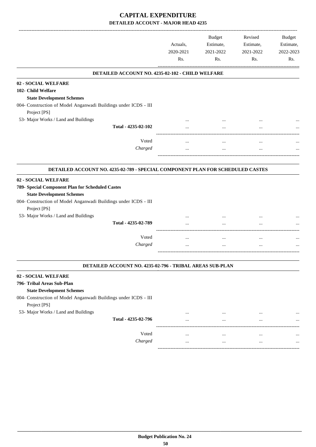## **CAPITAL EXPENDITURE DETAILED ACCOUNT - MAJOR HEAD 4235**

|                                                                                 |           | <b>Budget</b> | Revised   | <b>Budget</b> |
|---------------------------------------------------------------------------------|-----------|---------------|-----------|---------------|
|                                                                                 | Actuals,  | Estimate,     | Estimate, | Estimate,     |
|                                                                                 | 2020-2021 | 2021-2022     | 2021-2022 | 2022-2023     |
|                                                                                 | Rs.       | Rs.           | Rs.       | Rs.           |
| DETAILED ACCOUNT NO. 4235-02-102 - CHILD WELFARE                                |           |               |           |               |
| 02 - SOCIAL WELFARE                                                             |           |               |           |               |
| 102- Child Welfare                                                              |           |               |           |               |
| <b>State Development Schemes</b>                                                |           |               |           |               |
| 004- Construction of Model Anganwadi Buildings under ICDS - III<br>Project [PS] |           |               |           |               |
| 53- Major Works / Land and Buildings                                            |           |               |           |               |
| Total - 4235-02-102                                                             |           |               |           |               |
| Voted                                                                           |           |               | $\ddotsc$ |               |
| Charged                                                                         |           | $\cdots$      | $\cdots$  |               |
|                                                                                 |           |               |           |               |
| DETAILED ACCOUNT NO. 4235-02-789 - SPECIAL COMPONENT PLAN FOR SCHEDULED CASTES  |           |               |           |               |
| 02 - SOCIAL WELFARE                                                             |           |               |           |               |
| 789- Special Component Plan for Scheduled Castes                                |           |               |           |               |
| <b>State Development Schemes</b>                                                |           |               |           |               |
| 004- Construction of Model Anganwadi Buildings under ICDS - III                 |           |               |           |               |
| Project [PS]                                                                    |           |               |           |               |
| 53- Major Works / Land and Buildings                                            |           |               |           |               |
| Total - 4235-02-789                                                             |           |               |           |               |
|                                                                                 |           |               |           |               |
| Voted                                                                           | $\cdots$  | $\cdots$      | $\cdots$  |               |
| Charged                                                                         |           |               |           |               |
|                                                                                 |           |               |           |               |
| DETAILED ACCOUNT NO. 4235-02-796 - TRIBAL AREAS SUB-PLAN                        |           |               |           |               |
| 02 - SOCIAL WELFARE                                                             |           |               |           |               |
| 796- Tribal Areas Sub-Plan                                                      |           |               |           |               |
| <b>State Development Schemes</b>                                                |           |               |           |               |
| 004- Construction of Model Anganwadi Buildings under ICDS - III<br>Project [PS] |           |               |           |               |
| 53- Major Works / Land and Buildings                                            |           |               |           |               |
| Total - 4235-02-796                                                             |           |               |           |               |
|                                                                                 |           |               |           |               |
| Voted                                                                           |           |               | $\ddotsc$ |               |
| Charged                                                                         | $\cdots$  | $\cdots$      | $\cdots$  | $\cdots$      |

-----------------------------------------------------------------------------------------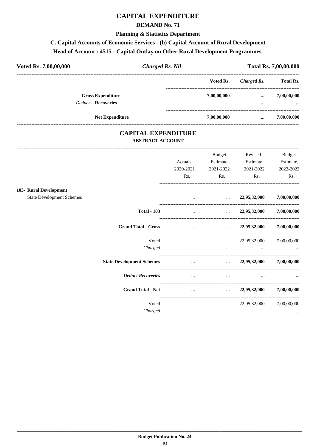## **CAPITAL EXPENDITURE**

### **DEMAND No. 71**

#### **Planning & Statistics Department**

## C. Capital Accounts of Economic Services - (b) Capital Account of Rural Development

#### Head of Account: 4515 - Capital Outlay on Other Rural Development Programmes

| Voted Rs. 7,00,00,000 | <b>Charged Rs. Nil</b>                                 |  | Total Rs. 7,00,00,000 |              |                         |
|-----------------------|--------------------------------------------------------|--|-----------------------|--------------|-------------------------|
|                       |                                                        |  | Voted Rs.             | Charged Rs.  | <b>Total Rs.</b>        |
|                       | <b>Gross Expenditure</b><br><b>Deduct - Recoveries</b> |  | 7,00,00,000<br>       | $\cdots$<br> | 7,00,00,000<br>$\cdots$ |
|                       | <b>Net Expenditure</b>                                 |  | 7,00,00,000           | $\cdots$     | 7,00,00,000             |

### **CAPITAL EXPENDITURE ABSTRACT ACCOUNT**

|                                  |                                  | Actuals.<br>2020-2021<br>Rs. | <b>Budget</b><br>Estimate,<br>2021-2022<br>Rs. | Revised<br>Estimate,<br>2021-2022<br>Rs. | <b>Budget</b><br>Estimate,<br>2022-2023<br>Rs. |
|----------------------------------|----------------------------------|------------------------------|------------------------------------------------|------------------------------------------|------------------------------------------------|
| 103- Rural Development           |                                  |                              |                                                |                                          |                                                |
| <b>State Development Schemes</b> |                                  | $\cdots$                     | $\ddotsc$                                      | 22,95,32,000                             | 7,00,00,000                                    |
|                                  | <b>Total - 103</b>               | $\cdots$                     | $\mathbf{r}$ and $\mathbf{r}$ and $\mathbf{r}$ | 22,95,32,000                             | 7,00,00,000                                    |
|                                  | <b>Grand Total - Gross</b>       | $\cdots$                     | $\cdots$                                       | 22,95,32,000                             | 7,00,00,000                                    |
|                                  | Voted                            | $\cdots$                     | $\cdots$                                       | 22,95,32,000                             | 7,00,00,000                                    |
|                                  | Charged                          | $\cdots$                     | $\cdots$                                       | $\cdots$                                 |                                                |
|                                  | <b>State Development Schemes</b> | $\cdots$                     | $\cdots$                                       | 22,95,32,000                             | 7,00,00,000                                    |
|                                  | <b>Deduct Recoveries</b>         | $\cdots$                     | $\cdots$                                       | $\cdots$                                 | $\cdots$                                       |
|                                  | <b>Grand Total - Net</b>         | $\cdots$                     | $\cdots$                                       | 22,95,32,000                             | 7,00,00,000                                    |
|                                  | Voted                            | $\cdots$                     | $\cdots$                                       | 22,95,32,000                             | 7,00,00,000                                    |
|                                  | Charged                          | $\cdots$                     | $\cdots$                                       | $\cdots$                                 | $\cdots$                                       |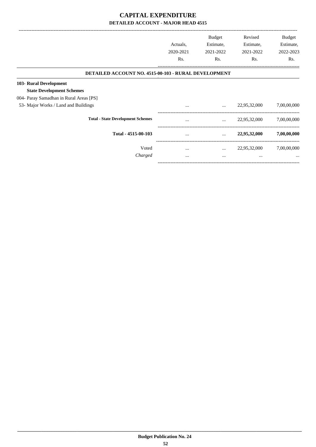## **CAPITAL EXPENDITURE DETAILED ACCOUNT - MAJOR HEAD 4515**

|                                                             | Actuals,<br>2020-2021<br>Rs. | <b>Budget</b><br>Estimate,<br>2021-2022<br>Rs. | Revised<br>Estimate,<br>2021-2022<br>Rs. | Budget<br>Estimate,<br>2022-2023<br>Rs. |
|-------------------------------------------------------------|------------------------------|------------------------------------------------|------------------------------------------|-----------------------------------------|
| <b>DETAILED ACCOUNT NO. 4515-00-103 - RURAL DEVELOPMENT</b> |                              |                                                |                                          |                                         |
| 103- Rural Development                                      |                              |                                                |                                          |                                         |
| <b>State Development Schemes</b>                            |                              |                                                |                                          |                                         |
| 004- Paray Samadhan in Rural Areas [PS]                     |                              |                                                |                                          |                                         |
| 53- Major Works / Land and Buildings                        | $\cdots$                     | $\cdots$                                       | 22,95,32,000                             | 7,00,00,000                             |
| <b>Total - State Development Schemes</b>                    | $\cdots$                     | $\cdots$                                       | 22,95,32,000                             | 7,00,00,000                             |
| Total - 4515-00-103                                         | $\cdots$                     | $\cdots$                                       | 22,95,32,000                             | 7,00,00,000                             |
| Voted                                                       | $\cdots$                     | $\cdots$                                       | 22,95,32,000                             | 7,00,00,000                             |
| Charged                                                     | $\cdots$                     | $\cdots$                                       | $\cdots$                                 | $\cdots$                                |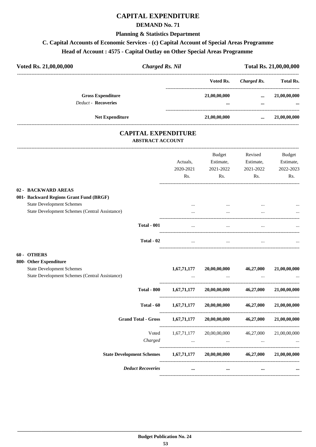## **CAPITAL EXPENDITURE**

#### **DEMAND No. 71**

#### **Planning & Statistics Department**

## **C. Capital Accounts of Economic Services - (c) Capital Account of Special Areas Programme**

## **Head of Account : 4575 - Capital Outlay on Other Special Areas Programme**

| Voted Rs. 21,00,00,000                                 | <b>Charged Rs. Nil</b> |                  | Total Rs. 21,00,00,000 |                          |  |
|--------------------------------------------------------|------------------------|------------------|------------------------|--------------------------|--|
|                                                        |                        | Voted Rs.        | Charged Rs.            | <b>Total Rs.</b>         |  |
| <b>Gross Expenditure</b><br><b>Deduct - Recoveries</b> |                        | 21,00,00,000<br> | $\cdots$<br>           | 21,00,00,000<br>$\cdots$ |  |
|                                                        | <b>Net Expenditure</b> | 21,00,00,000     | $\cdots$               | 21,00,00,000             |  |

### **CAPITAL EXPENDITURE ABSTRACT ACCOUNT**

---------------------------------------------------------------------------------------------------------------------------------------------------------------------------------

|                                                                                    | Actuals,<br>2020-2021<br>Rs. | <b>Budget</b><br>Estimate,<br>2021-2022<br>Rs.                                                                                       | Revised<br>Estimate,<br>2021-2022<br>Rs. | <b>Budget</b><br>Estimate,<br>2022-2023<br>Rs. |
|------------------------------------------------------------------------------------|------------------------------|--------------------------------------------------------------------------------------------------------------------------------------|------------------------------------------|------------------------------------------------|
| 02 - BACKWARD AREAS                                                                |                              |                                                                                                                                      |                                          |                                                |
| 001- Backward Regions Grant Fund (BRGF)                                            |                              |                                                                                                                                      |                                          |                                                |
| <b>State Development Schemes</b>                                                   |                              |                                                                                                                                      |                                          |                                                |
| State Development Schemes (Central Assistance)                                     | $\cdots$                     | $\cdots$                                                                                                                             |                                          |                                                |
| <b>Total - 001</b>                                                                 | $\ddotsc$                    | $\ddotsc$                                                                                                                            |                                          |                                                |
| Total - 02                                                                         | $\cdots$                     | $\cdots$                                                                                                                             | $\cdots$                                 |                                                |
| 60 - OTHERS                                                                        |                              |                                                                                                                                      |                                          |                                                |
| 800- Other Expenditure                                                             |                              |                                                                                                                                      |                                          |                                                |
| <b>State Development Schemes</b><br>State Development Schemes (Central Assistance) | 1,67,71,177                  | 20,00,00,000                                                                                                                         | 46,27,000                                | 21,00,00,000                                   |
| <b>Total - 800</b>                                                                 | 1,67,71,177                  |                                                                                                                                      | $20,00,00,000$ $46,27,000$               | 21,00,00,000                                   |
| Total $-60$                                                                        | 1,67,71,177                  | 20,00,00,000                                                                                                                         | 46,27,000                                | 21,00,00,000                                   |
| <b>Grand Total - Gross</b>                                                         | 1,67,71,177                  | 20,00,00,000 46,27,000                                                                                                               |                                          | 21,00,00,000                                   |
| Voted                                                                              | 1,67,71,177                  | 20,00,00,000 46,27,000                                                                                                               |                                          | 21,00,00,000                                   |
| Charged                                                                            |                              | and the contract of the contract of the contract of the contract of the contract of the contract of the contract of<br>$\sim$ $\sim$ | $\ddots$                                 |                                                |
| State Development Schemes 1,67,71,177 20,00,00,000 46,27,000 21,00,00,000          |                              |                                                                                                                                      |                                          |                                                |
| <b>Deduct Recoveries</b>                                                           | $\cdots$                     | $\cdots$                                                                                                                             | $\cdots$                                 |                                                |
|                                                                                    |                              |                                                                                                                                      |                                          |                                                |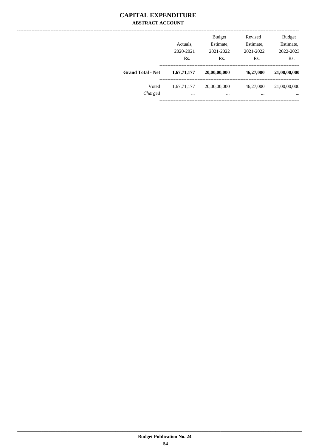### **CAPITAL EXPENDITURE ABSTRACT ACCOUNT**

|                          | Actuals,<br>2020-2021<br>Rs. | <b>Budget</b><br>Estimate,<br>2021-2022<br>Rs. | Revised<br>Estimate,<br>2021-2022<br>Rs. | <b>Budget</b><br>Estimate,<br>2022-2023<br>Rs. |
|--------------------------|------------------------------|------------------------------------------------|------------------------------------------|------------------------------------------------|
| <b>Grand Total - Net</b> | 1,67,71,177                  | 20,00,00,000                                   | 46,27,000                                | 21,00,00,000                                   |
| Voted<br>Charged         | 1,67,71,177<br>              | 20,00,00,000<br>                               | 46,27,000<br>                            | 21,00,00,000<br>$\cdots$                       |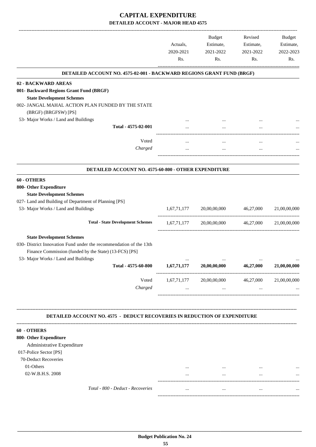## **CAPITAL EXPENDITURE DETAILED ACCOUNT - MAJOR HEAD 4575**

|                                                                                                                                                                  | Actuals,<br>2020-2021<br>Rs. | <b>Budget</b><br>Estimate,<br>2021-2022<br>Rs. | Revised<br>Estimate,<br>2021-2022<br>Rs. | <b>Budget</b><br>Estimate,<br>2022-2023<br>Rs. |
|------------------------------------------------------------------------------------------------------------------------------------------------------------------|------------------------------|------------------------------------------------|------------------------------------------|------------------------------------------------|
| DETAILED ACCOUNT NO. 4575-02-001 - BACKWARD REGIONS GRANT FUND (BRGF)                                                                                            |                              |                                                |                                          |                                                |
| 02 - BACKWARD AREAS                                                                                                                                              |                              |                                                |                                          |                                                |
| 001- Backward Regions Grant Fund (BRGF)<br><b>State Development Schemes</b><br>002- JANGAL MAHAL ACTION PLAN FUNDED BY THE STATE                                 |                              |                                                |                                          |                                                |
| (BRGF) (BRGFSW) [PS]                                                                                                                                             |                              |                                                |                                          |                                                |
| 53- Major Works / Land and Buildings<br>Total - 4575-02-001                                                                                                      |                              |                                                |                                          |                                                |
|                                                                                                                                                                  |                              |                                                |                                          |                                                |
| Voted                                                                                                                                                            |                              | $\cdots$                                       | $\ddotsc$                                |                                                |
| Charged                                                                                                                                                          |                              | $\cdots$                                       | $\cdots$                                 |                                                |
| DETAILED ACCOUNT NO. 4575-60-800 - OTHER EXPENDITURE                                                                                                             |                              |                                                |                                          |                                                |
| 60 - OTHERS                                                                                                                                                      |                              |                                                |                                          |                                                |
| 800- Other Expenditure<br><b>State Development Schemes</b><br>027- Land and Building of Department of Planning [PS]                                              |                              |                                                |                                          |                                                |
| 53- Major Works / Land and Buildings                                                                                                                             | 1,67,71,177                  | 20,00,00,000                                   | 46,27,000                                | 21,00,00,000                                   |
| <b>Total - State Development Schemes</b>                                                                                                                         | 1,67,71,177                  | 20,00,00,000 46,27,000                         |                                          | 21,00,00,000                                   |
| <b>State Development Schemes</b><br>030- District Innovation Fund under the recommendation of the 13th<br>Finance Commission (funded by the State) (13-FCS) [PS] |                              |                                                |                                          |                                                |
| 53- Major Works / Land and Buildings<br>Total - 4575-60-800                                                                                                      | 1,67,71,177                  | 20,00,00,000                                   | 46,27,000                                | 21,00,00,000                                   |
| Voted<br>Charged                                                                                                                                                 | 1,67,71,177                  | 20,00,00,000                                   | 46,27,000                                | 21,00,00,000                                   |
|                                                                                                                                                                  |                              |                                                |                                          |                                                |
| DETAILED ACCOUNT NO. 4575 - DEDUCT RECOVERIES IN REDUCTION OF EXPENDITURE                                                                                        |                              |                                                |                                          |                                                |
| 60 - OTHERS                                                                                                                                                      |                              |                                                |                                          |                                                |
| 800- Other Expenditure                                                                                                                                           |                              |                                                |                                          |                                                |
| Administrative Expenditure                                                                                                                                       |                              |                                                |                                          |                                                |
| 017-Police Sector [PS]                                                                                                                                           |                              |                                                |                                          |                                                |
| 70-Deduct Recoveries<br>01-Others                                                                                                                                |                              |                                                |                                          |                                                |
| 02-W.B.H.S. 2008                                                                                                                                                 |                              | $\cdots$                                       | $\cdots$                                 |                                                |
| Total - 800 - Deduct - Recoveries                                                                                                                                |                              |                                                |                                          |                                                |
|                                                                                                                                                                  | $\cdots$                     | $\cdots$                                       | $\cdots$                                 |                                                |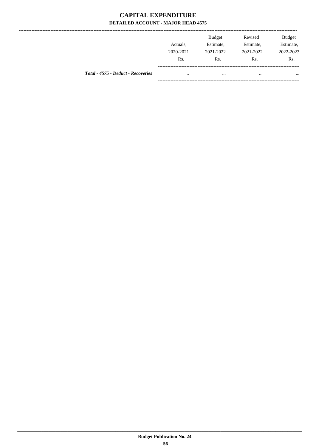## **CAPITAL EXPENDITURE** DETAILED ACCOUNT - MAJOR HEAD 4575

---------------

|                                    | Actuals.<br>2020-2021<br>Rs. | Budget<br>Estimate,<br>2021-2022<br>Rs. | Revised<br>Estimate,<br>2021-2022<br>Rs. | <b>Budget</b><br>Estimate,<br>2022-2023<br>Rs. |
|------------------------------------|------------------------------|-----------------------------------------|------------------------------------------|------------------------------------------------|
| Total - 4575 - Deduct - Recoveries | $\cdots$                     | $\cdots$                                |                                          | $\cdots$                                       |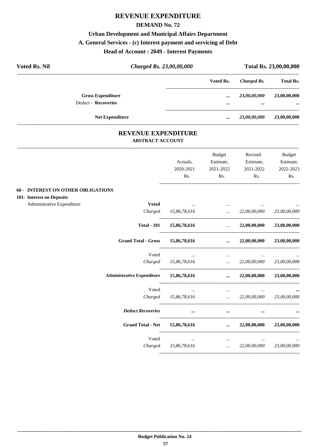#### **DEMAND No. 72**

### **Urban Development and Municipal Affairs Department**

#### **A. General Services - (c) Interest payment and servicing of Debt**

#### **Head of Account : 2049 - Interest Payments**

| <b>Voted Rs. Nil</b> |                            | Charged Rs. 23,00,00,000 |           | Total Rs. 23,00,00,000 |                  |  |
|----------------------|----------------------------|--------------------------|-----------|------------------------|------------------|--|
|                      |                            |                          | Voted Rs. | Charged Rs.            | <b>Total Rs.</b> |  |
|                      | <b>Gross Expenditure</b>   |                          | $\ddotsc$ | 23,00,00,000           | 23,00,00,000     |  |
|                      | <b>Deduct - Recoveries</b> |                          |           | $\cdots$               | $\cdots$         |  |
|                      | <b>Net Expenditure</b>     |                          |           | 23,00,00,000           | 23,00,00,000     |  |

### **REVENUE EXPENDITURE ABSTRACT ACCOUNT**

---------------------------------------------------------------------------------------------------------------------------------------------------------------------------------

|                                            | Actuals,<br>2020-2021<br>Rs.                    | <b>Budget</b><br>Estimate,<br>2021-2022<br>Rs. | Revised<br>Estimate,<br>2021-2022<br>Rs.                                                            | <b>Budget</b><br>Estimate,<br>2022-2023<br>Rs. |
|--------------------------------------------|-------------------------------------------------|------------------------------------------------|-----------------------------------------------------------------------------------------------------|------------------------------------------------|
| <b>60 - INTEREST ON OTHER OBLIGATIONS</b>  |                                                 |                                                |                                                                                                     |                                                |
| 101- Interest on Deposits                  |                                                 |                                                |                                                                                                     |                                                |
| Administrative Expenditure<br><b>Voted</b> |                                                 | <b>See College</b>                             |                                                                                                     |                                                |
| Charged                                    |                                                 |                                                | 15,86,78,616  22,00,00,000 23,00,00,000                                                             |                                                |
| <b>Total - 101</b>                         |                                                 |                                                | $15,86,78,616$ $22,00,00,000$ $23,00,00,000$                                                        |                                                |
| <b>Grand Total - Gross</b>                 | 15,86,78,616                                    |                                                | $\ldots$ 22,00,00,000                                                                               | 23,00,00,000                                   |
| Voted                                      | $\cdots$                                        | $\cdots$                                       |                                                                                                     |                                                |
|                                            | Charged 15,86,78,616  22,00,00,000 23,00,00,000 |                                                |                                                                                                     |                                                |
| <b>Administrative Expenditure</b>          |                                                 |                                                | $15,86,78,616$ $22,00,00,000$                                                                       | 23,00,00,000                                   |
| Voted                                      | and the state of the state and                  |                                                | and the state of the state of                                                                       |                                                |
|                                            | Charged 15,86,78,616                            |                                                | $\ldots$ 22,00,00,000 23,00,00,000                                                                  |                                                |
| <b>Deduct Recoveries</b>                   | $\cdots$                                        | $\cdots$                                       |                                                                                                     |                                                |
| <b>Grand Total - Net</b>                   | 15,86,78,616                                    |                                                | $\ldots$ 22,00,00,000                                                                               | 23,00,00,000                                   |
| Voted                                      | $\cdots$                                        |                                                | $\mathbf{1}$ and $\mathbf{1}$ are all the set of the set of the set of the $\mathbf{1}$<br>$\cdots$ |                                                |
|                                            | Charged 15,86,78,616                            |                                                | $\ldots$ 22,00,00,000 23,00,00,000                                                                  |                                                |
|                                            |                                                 |                                                |                                                                                                     |                                                |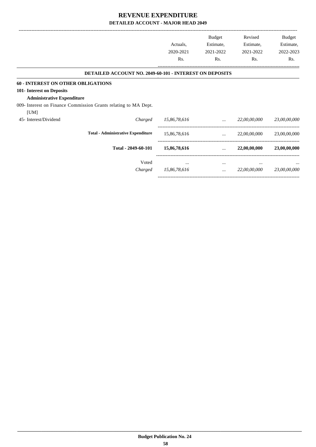|                                                                 |              | <b>Budget</b> | Revised      | Budget       |
|-----------------------------------------------------------------|--------------|---------------|--------------|--------------|
|                                                                 | Actuals,     | Estimate,     | Estimate,    | Estimate,    |
|                                                                 | 2020-2021    | 2021-2022     | 2021-2022    | 2022-2023    |
|                                                                 | Rs.          | Rs.           | Rs.          | Rs.          |
| <b>DETAILED ACCOUNT NO. 2049-60-101 - INTEREST ON DEPOSITS</b>  |              |               |              |              |
| <b>60 - INTEREST ON OTHER OBLIGATIONS</b>                       |              |               |              |              |
| 101- Interest on Deposits                                       |              |               |              |              |
| <b>Administrative Expenditure</b>                               |              |               |              |              |
| 009- Interest on Finance Commission Grants relating to MA Dept. |              |               |              |              |
| [UM]                                                            |              |               |              |              |
| 45- Interest/Dividend<br>Charged                                | 15,86,78,616 | $\cdots$      | 22,00,00,000 | 23,00,00,000 |
| <b>Total - Administrative Expenditure</b>                       | 15,86,78,616 | $\cdots$      | 22,00,00,000 | 23,00,00,000 |
| Total - 2049-60-101                                             | 15,86,78,616 | $\cdots$      | 22,00,00,000 | 23,00,00,000 |
| Voted                                                           | $\cdots$     | $\cdots$      | $\cdots$     | $\cdots$     |
| Charged                                                         | 15,86,78,616 | $\cdots$      | 22,00,00,000 | 23,00,00,000 |

-----------------------------------------------------------------------------------------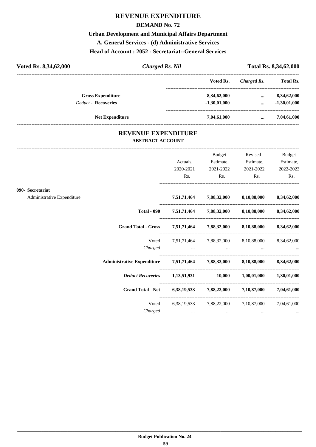#### **DEMAND No. 72**

## **Urban Development and Municipal Affairs Department A. General Services - (d) Administrative Services**

## **Head of Account : 2052 - Secretariat--General Services**

| Voted Rs. 8,34,62,000      | <b>Charged Rs. Nil</b> |                | Total Rs. 8,34,62,000 |                  |  |
|----------------------------|------------------------|----------------|-----------------------|------------------|--|
|                            |                        | Voted Rs.      | Charged Rs.           | <b>Total Rs.</b> |  |
| <b>Gross Expenditure</b>   |                        | 8,34,62,000    | $\cdots$              | 8,34,62,000      |  |
| <b>Deduct - Recoveries</b> |                        | $-1,30,01,000$ | $\cdots$              | $-1,30,01,000$   |  |
| <b>Net Expenditure</b>     |                        | 7,04,61,000    |                       | 7,04,61,000      |  |

### **REVENUE EXPENDITURE ABSTRACT ACCOUNT**

---------------------------------------------------------------------------------------------------------------------------------------------------------------------------------

|                            |                                                                            | Actuals,<br>2020-2021                                                                                                                                                                                                          | Budget<br>Estimate,<br>2021-2022                                                | Revised<br>Estimate,<br>2021-2022               | <b>Budget</b><br>Estimate,<br>2022-2023 |
|----------------------------|----------------------------------------------------------------------------|--------------------------------------------------------------------------------------------------------------------------------------------------------------------------------------------------------------------------------|---------------------------------------------------------------------------------|-------------------------------------------------|-----------------------------------------|
|                            |                                                                            | Rs.                                                                                                                                                                                                                            | $\mathbf{Rs.}$                                                                  | $\mathbf{Rs.}$                                  | Rs.                                     |
| 090- Secretariat           |                                                                            |                                                                                                                                                                                                                                |                                                                                 |                                                 |                                         |
| Administrative Expenditure |                                                                            |                                                                                                                                                                                                                                |                                                                                 | 7,51,71,464 7,88,32,000 8,10,88,000 8,34,62,000 |                                         |
|                            |                                                                            | Total - 090 7,51,71,464 7,88,32,000 8,10,88,000 8,34,62,000                                                                                                                                                                    |                                                                                 |                                                 |                                         |
|                            | Grand Total - Gross 7,51,71,464 7,88,32,000 8,10,88,000 8,34,62,000        |                                                                                                                                                                                                                                |                                                                                 |                                                 |                                         |
|                            |                                                                            | Voted 7,51,71,464 7,88,32,000 8,10,88,000 8,34,62,000                                                                                                                                                                          |                                                                                 |                                                 |                                         |
|                            |                                                                            | $Charged$ $$ $$ $$ $$                                                                                                                                                                                                          |                                                                                 |                                                 |                                         |
|                            | Administrative Expenditure 7,51,71,464 7,88,32,000 8,10,88,000 8,34,62,000 |                                                                                                                                                                                                                                |                                                                                 |                                                 |                                         |
|                            |                                                                            |                                                                                                                                                                                                                                |                                                                                 |                                                 | $-1,30,01,000$                          |
|                            | Grand Total - Net 6,38,19,533 7,88,22,000 7,10,87,000 7,04,61,000          |                                                                                                                                                                                                                                |                                                                                 |                                                 |                                         |
|                            |                                                                            | Voted 6,38,19,533 7,88,22,000 7,10,87,000 7,04,61,000                                                                                                                                                                          |                                                                                 |                                                 |                                         |
|                            | Charged                                                                    | and the contract of the contract of the contract of the contract of the contract of the contract of the contract of the contract of the contract of the contract of the contract of the contract of the contract of the contra | the contract of the contract of the contract of the contract of the contract of |                                                 |                                         |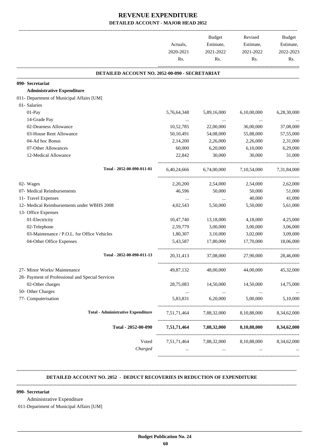|                                                  |                  | <b>Budget</b>                                   | Revised                 | Budget           |
|--------------------------------------------------|------------------|-------------------------------------------------|-------------------------|------------------|
|                                                  | Actuals,         | Estimate,                                       | Estimate,               | Estimate,        |
|                                                  | 2020-2021<br>Rs. | 2021-2022<br>Rs.                                | 2021-2022<br>Rs.        | 2022-2023<br>Rs. |
|                                                  |                  |                                                 |                         |                  |
| DETAILED ACCOUNT NO. 2052-00-090 - SECRETARIAT   |                  |                                                 |                         |                  |
| 090- Secretariat                                 |                  |                                                 |                         |                  |
| <b>Administrative Expenditure</b>                |                  |                                                 |                         |                  |
| 011- Department of Municipal Affairs [UM]        |                  |                                                 |                         |                  |
| 01- Salaries                                     |                  |                                                 |                         |                  |
| 01-Pay                                           | 5,76,64,348      | 5,89,16,000                                     | 6,10,00,000             | 6,28,30,000      |
| 14-Grade Pay                                     |                  |                                                 | $\ldots$                |                  |
| 02-Dearness Allowance                            | 10,52,785        | 22,00,000                                       | 36,00,000               | 37,08,000        |
| 03-House Rent Allowance                          | 50,10,491        | 54,08,000                                       | 55,88,000               | 57,55,000        |
| 04-Ad hoc Bonus                                  | 2,14,200         | 2,26,000                                        | 2,26,000                | 2,31,000         |
| 07-Other Allowances                              | 60,000           | 6,20,000                                        | 6,10,000                | 6,29,000         |
| 12-Medical Allowance                             | 22,842           | 30,000                                          | 30,000                  | 31,000           |
| Total - 2052-00-090-011-01                       |                  | 6,40,24,666 6,74,00,000                         | 7,10,54,000 7,31,84,000 |                  |
| 02- Wages                                        | 2,20,200         | 2,54,000                                        | 2,54,000                | 2,62,000         |
| 07- Medical Reimbursements                       | 46,596           | 50,000                                          | 50,000                  | 51,000           |
| 11- Travel Expenses                              |                  | $\cdots$                                        | 40,000                  | 41,000           |
| 12- Medical Reimbursements under WBHS 2008       | 4,02,543         | 5,50,000                                        | 5,50,000                | 5,61,000         |
| 13- Office Expenses                              |                  |                                                 |                         |                  |
| 01-Electricity                                   | 10,47,740        | 13,18,000                                       | 4,18,000                | 4,25,000         |
| 02-Telephone                                     | 2,59,779         | 3,00,000                                        | 3,00,000                | 3,06,000         |
| 03-Maintenance / P.O.L. for Office Vehicles      | 1,80,307         | 3,10,000                                        | 3,02,000                | 3,09,000         |
| 04-Other Office Expenses                         | 5,43,587         | 17,80,000                                       | 17,70,000               | 18,06,000        |
| Total - 2052-00-090-011-13                       | 20, 31, 413      | 37,08,000                                       | 27,90,000               | 28,46,000        |
| 27- Minor Works/ Maintenance                     | 49,87,132        | 48,00,000                                       | 44,00,000               | 45,32,000        |
| 28- Payment of Professional and Special Services |                  |                                                 |                         |                  |
| 02-Other charges                                 | 28,75,083        | 14,50,000                                       | 14,50,000               | 14,75,000        |
| 50- Other Charges                                | $\cdots$         | $\ldots$                                        | $\cdots$                | $\cdots$         |
| 77- Computerisation                              | 5,83,831         | 6,20,000                                        | 5,00,000                | 5,10,000         |
| <b>Total - Administrative Expenditure</b>        |                  | 7,51,71,464 7,88,32,000 8,10,88,000             |                         | 8,34,62,000      |
| Total - 2052-00-090                              |                  | 7,51,71,464 7,88,32,000 8,10,88,000             |                         | 8,34,62,000      |
| Voted                                            |                  | 7,51,71,464 7,88,32,000 8,10,88,000 8,34,62,000 |                         |                  |
| Charged                                          | $\ldots$         | $\cdots$                                        | $\cdots$                |                  |

#### **DETAILED ACCOUNT NO. 2052 - DEDUCT RECOVERIES IN REDUCTION OF EXPENDITURE**

**--------------------------------------------------------------------------------------------------------------------------------------------------------------------------------**

**--------------------------------------------------------------------------------------------------------------------------------------------------------------------------------**

 **\_\_\_\_\_\_\_\_\_\_\_\_\_\_\_\_\_\_\_\_\_\_\_\_\_\_\_\_\_\_\_\_\_\_\_\_\_\_\_\_\_\_\_\_\_\_\_\_\_\_\_\_\_\_\_\_\_\_\_\_\_\_\_\_\_\_\_\_\_\_\_\_\_\_\_\_\_\_\_\_\_\_\_\_\_\_\_\_\_\_\_\_\_\_\_\_\_\_\_\_\_\_\_\_\_\_\_\_\_\_\_\_\_\_\_\_\_\_\_**

#### **090- Secretariat**

Administrative Expenditure

011-Department of Municipal Affairs [UM]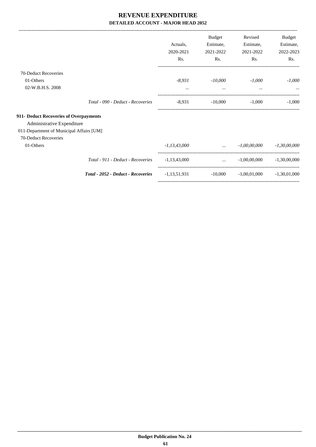-------------------------------------------------------------------------------------------------------------------------------------------------------------------------------

|                                          |                                           | Actuals,<br>2020-2021<br>Rs. | <b>Budget</b><br>Estimate,<br>2021-2022<br>Rs. | Revised<br>Estimate,<br>2021-2022<br>Rs. | Budget<br>Estimate,<br>2022-2023<br>Rs. |
|------------------------------------------|-------------------------------------------|------------------------------|------------------------------------------------|------------------------------------------|-----------------------------------------|
| 70-Deduct Recoveries                     |                                           |                              |                                                |                                          |                                         |
| 01-Others                                |                                           | $-8,931$                     | $-10,000$                                      | $-1,000$                                 | $-1,000$                                |
| 02-W.B.H.S. 2008                         |                                           | $\cdots$                     | $\cdots$                                       | $\cdots$                                 | $\cdots$                                |
|                                          | Total - 090 - Deduct - Recoveries         | $-8,931$                     | $-10,000$                                      | $-1,000$                                 | $-1,000$                                |
| 911- Deduct Recoveries of Overpayments   |                                           |                              |                                                |                                          |                                         |
| Administrative Expenditure               |                                           |                              |                                                |                                          |                                         |
| 011-Department of Municipal Affairs [UM] |                                           |                              |                                                |                                          |                                         |
| 70-Deduct Recoveries                     |                                           |                              |                                                |                                          |                                         |
| 01-Others                                |                                           | $-1, 13, 43, 000$            | $\mathbf{r} = \mathbf{r} \cdot \mathbf{r}$     | $-1,00,00,000$                           | $-1,30,00,000$                          |
|                                          | Total - 911 - Deduct - Recoveries         | $-1,13,43,000$               | $\cdots$                                       | $-1,00,00,000$                           | $-1,30,00,000$                          |
|                                          | <b>Total - 2052 - Deduct - Recoveries</b> | $-1, 13, 51, 931$            | $-10,000$                                      | $-1,00,01,000$                           | $-1,30,01,000$                          |
|                                          |                                           |                              |                                                |                                          |                                         |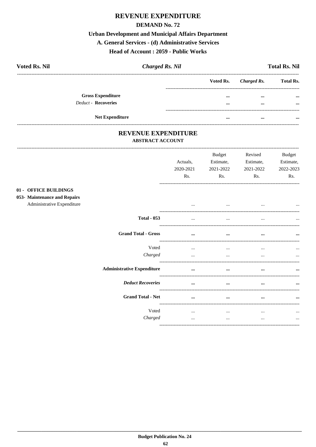#### **DEMAND No. 72**

## **Urban Development and Municipal Affairs Department**

#### A. General Services - (d) Administrative Services

## Head of Account: 2059 - Public Works

| <b>Voted Rs. Nil</b>     | <b>Charged Rs. Nil</b> |           |             | <b>Total Rs. Nil</b> |
|--------------------------|------------------------|-----------|-------------|----------------------|
|                          |                        | Voted Rs. | Charged Rs. | <b>Total Rs.</b>     |
| <b>Gross Expenditure</b> |                        | $\cdots$  | $\cdots$    | $\cdots$             |
| Deduct - Recoveries      |                        | $\cdots$  | $\cdots$    | $\cdots$             |
| <b>Net Expenditure</b>   |                        | $\cdots$  | $\cdots$    | $\cdots$             |

### REVENUE EXPENDITURE **ABSTRACT ACCOUNT**

 $01 053-$ 

| <b>Budget</b><br>Estimate,<br>Actuals,<br>2020-2021<br>2021-2022<br>Rs.<br>Rs.<br><b>OFFICE BUILDINGS</b><br><b>Maintenance and Repairs</b><br>Administrative Expenditure<br><br>$\cdots$<br><b>Total - 053</b><br>$\cdots$<br>$\cdots$<br><b>Grand Total - Gross</b><br>$\cdots$<br>$\cdots$<br>Voted<br>$\cdots$<br>$\cdots$<br>Charged<br>$\cdots$<br>$\cdots$<br><b>Administrative Expenditure</b><br>$\cdots$<br>$\cdots$<br><b>Deduct Recoveries</b><br>$\cdots$<br>$\cdots$<br><b>Grand Total - Net</b><br>$\cdots$<br>$\cdots$ |                                                                                            |  |  |  |
|----------------------------------------------------------------------------------------------------------------------------------------------------------------------------------------------------------------------------------------------------------------------------------------------------------------------------------------------------------------------------------------------------------------------------------------------------------------------------------------------------------------------------------------|--------------------------------------------------------------------------------------------|--|--|--|
|                                                                                                                                                                                                                                                                                                                                                                                                                                                                                                                                        | Revised<br><b>Budget</b><br>Estimate,<br>Estimate,<br>2021-2022<br>2022-2023<br>Rs.<br>Rs. |  |  |  |
|                                                                                                                                                                                                                                                                                                                                                                                                                                                                                                                                        | $\ddotsc$                                                                                  |  |  |  |
|                                                                                                                                                                                                                                                                                                                                                                                                                                                                                                                                        |                                                                                            |  |  |  |
|                                                                                                                                                                                                                                                                                                                                                                                                                                                                                                                                        | $\cdots$                                                                                   |  |  |  |
|                                                                                                                                                                                                                                                                                                                                                                                                                                                                                                                                        | $\cdots$<br>$\cdots$                                                                       |  |  |  |
|                                                                                                                                                                                                                                                                                                                                                                                                                                                                                                                                        | $\cdots$                                                                                   |  |  |  |
|                                                                                                                                                                                                                                                                                                                                                                                                                                                                                                                                        | $\cdots$                                                                                   |  |  |  |
|                                                                                                                                                                                                                                                                                                                                                                                                                                                                                                                                        | $\cdots$                                                                                   |  |  |  |
| Voted<br>$\cdots$<br>$\cdots$<br>Charged<br>$\cdots$<br>$\cdots$                                                                                                                                                                                                                                                                                                                                                                                                                                                                       | $\cdots$<br>$\cdots$                                                                       |  |  |  |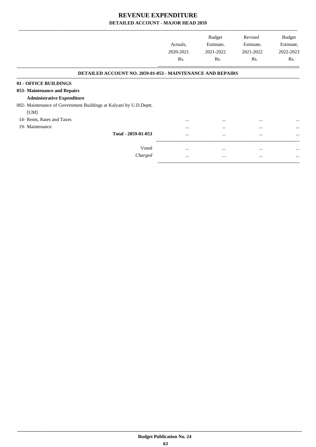-------------------------------------------------------------------------------------------------------------------------------------------------------------------------------

-----------------------------------------------------------------------------------------

|                                                                   | Actuals,<br>2020-2021<br>Rs. | <b>Budget</b><br>Estimate,<br>2021-2022<br>Rs. | Revised<br>Estimate,<br>2021-2022<br>Rs. | <b>Budget</b><br>Estimate,<br>2022-2023<br>Rs. |
|-------------------------------------------------------------------|------------------------------|------------------------------------------------|------------------------------------------|------------------------------------------------|
| <b>DETAILED ACCOUNT NO. 2059-01-053 - MAINTENANCE AND REPAIRS</b> |                              |                                                |                                          |                                                |
| 01 - OFFICE BUILDINGS                                             |                              |                                                |                                          |                                                |
| 053- Maintenance and Repairs                                      |                              |                                                |                                          |                                                |
| <b>Administrative Expenditure</b>                                 |                              |                                                |                                          |                                                |
| 002- Maintenance of Government Buildings at Kalyani by U.D.Deptt. |                              |                                                |                                          |                                                |
| [UM]                                                              |                              |                                                |                                          |                                                |
| 14- Rents, Rates and Taxes                                        | $\cdots$                     | $\cdots$                                       | $\cdots$                                 | $\cdots$                                       |
| 19- Maintenance                                                   |                              | $\cdots$                                       | $\cdots$                                 | $\cdots$                                       |
| Total - 2059-01-053                                               | $\cdots$                     | $\ddotsc$                                      | $\cdots$                                 | $\cdots$                                       |
| Voted                                                             | $\cdots$                     | $\cdots$                                       | $\cdots$                                 |                                                |
| Charged                                                           | $\cdots$                     | $\cdots$                                       | $\cdots$                                 | $\cdots$                                       |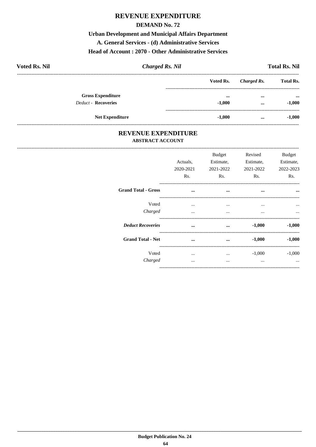#### **DEMAND No. 72**

**Urban Development and Municipal Affairs Department** A. General Services - (d) Administrative Services

## Head of Account: 2070 - Other Administrative Services

| <b>Voted Rs. Nil</b>       | <b>Charged Rs. Nil</b> |           |             | <b>Total Rs. Nil</b>      |
|----------------------------|------------------------|-----------|-------------|---------------------------|
|                            |                        | Voted Rs. | Charged Rs. | <b>Total Rs.</b>          |
| <b>Gross Expenditure</b>   |                        | $\cdots$  | $\cdots$    | $\bullet \bullet \bullet$ |
| <b>Deduct - Recoveries</b> |                        | $-1.000$  | $\cdots$    | $-1,000$                  |
| <b>Net Expenditure</b>     |                        | $-1.000$  | $\cdots$    | $-1,000$                  |

### REVENUE EXPENDITURE **ABSTRACT ACCOUNT**

--------------------------------------

|                            | Actuals,<br>2020-2021<br>Rs. | <b>Budget</b><br>Estimate,<br>2021-2022<br>Rs. | Revised<br>Estimate,<br>2021-2022<br>Rs. | <b>Budget</b><br>Estimate,<br>2022-2023<br>Rs. |
|----------------------------|------------------------------|------------------------------------------------|------------------------------------------|------------------------------------------------|
| <b>Grand Total - Gross</b> | $\cdots$                     | $\cdots$                                       | $\cdots$                                 | $\cdots$                                       |
| Voted<br>Charged           | $\cdots$<br>$\cdots$         | $\cdots$<br>$\cdots$                           | $\cdots$<br>$\cdots$                     | $\cdots$<br>$\cdots$                           |
| <b>Deduct Recoveries</b>   |                              | $\cdots$                                       | $-1,000$                                 | $-1,000$                                       |
| <b>Grand Total - Net</b>   | $\cdots$                     | $\cdots$                                       | $-1,000$                                 | $-1,000$                                       |
| Voted<br>Charged           | $\cdots$                     | $\cdots$<br>                                   | $-1,000$<br>$\cdots$                     | $-1,000$<br>$\ddotsc$                          |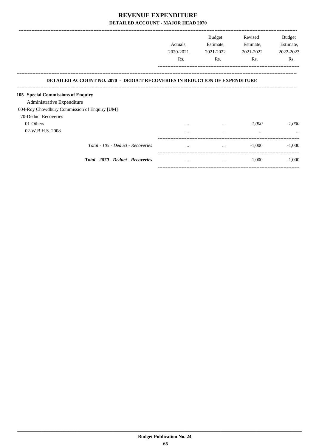|                                                                                  | Actuals,<br>2020-2021 | <b>Budget</b><br>Estimate,<br>2021-2022 | Revised<br>Estimate,<br>2021-2022 | <b>Budget</b><br>Estimate,<br>2022-2023 |
|----------------------------------------------------------------------------------|-----------------------|-----------------------------------------|-----------------------------------|-----------------------------------------|
|                                                                                  | Rs.                   | R <sub>s</sub> .                        | Rs.                               | Rs.                                     |
| <b>DETAILED ACCOUNT NO. 2070 - DEDUCT RECOVERIES IN REDUCTION OF EXPENDITURE</b> |                       |                                         |                                   |                                         |
| 105- Special Commissions of Enquiry                                              |                       |                                         |                                   |                                         |
| Administrative Expenditure                                                       |                       |                                         |                                   |                                         |
| 004-Roy Chowdhury Commission of Enquiry [UM]                                     |                       |                                         |                                   |                                         |
| 70-Deduct Recoveries                                                             |                       |                                         |                                   |                                         |
| 01-Others                                                                        | $\cdots$              | $\cdots$                                | $-1,000$                          | $-1,000$                                |
| 02-W.B.H.S. 2008                                                                 | $\cdots$              | $\cdots$                                | $\cdots$                          |                                         |
| Total - 105 - Deduct - Recoveries                                                | $\cdots$              | $\cdots$                                | $-1,000$                          | $-1,000$                                |
| Total - 2070 - Deduct - Recoveries                                               |                       | $\sim$ $\sim$ $\sim$                    | $-1.000$                          | $-1.000$                                |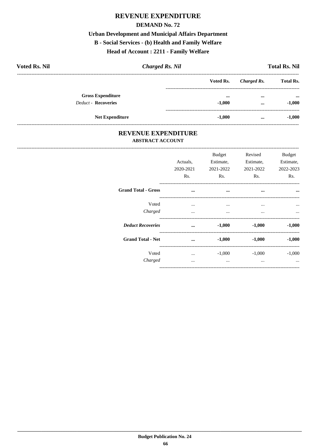#### **DEMAND No. 72**

# **Urban Development and Municipal Affairs Department B** - Social Services - (b) Health and Family Welfare

## Head of Account: 2211 - Family Welfare

| <b>Voted Rs. Nil</b>       | <b>Charged Rs. Nil</b> |          | <b>Total Rs. Nil</b> |                           |  |
|----------------------------|------------------------|----------|----------------------|---------------------------|--|
|                            | Voted Rs.              |          | Charged Rs.          | <b>Total Rs.</b>          |  |
| <b>Gross Expenditure</b>   |                        | $\cdots$ | $\cdots$             | $\bullet \bullet \bullet$ |  |
| <b>Deduct - Recoveries</b> |                        | $-1.000$ | $\cdots$             | $-1,000$                  |  |
| <b>Net Expenditure</b>     |                        | $-1,000$ | $\cdots$             | $-1,000$                  |  |

### REVENUE EXPENDITURE **ABSTRACT ACCOUNT**

----------------------------

|                            | Actuals,<br>2020-2021<br>Rs. | Budget<br>Estimate,<br>2021-2022<br>Rs. | Revised<br>Estimate,<br>2021-2022<br>Rs. | <b>Budget</b><br>Estimate,<br>2022-2023<br>Rs. |
|----------------------------|------------------------------|-----------------------------------------|------------------------------------------|------------------------------------------------|
| <b>Grand Total - Gross</b> | $\cdots$                     | $\cdots$                                | $\cdots$                                 | $\ddotsc$                                      |
| Voted<br>Charged           | $\cdots$<br>$\cdots$         | $\cdots$<br>$\cdots$                    | $\cdots$<br>$\cdots$                     | $\ddotsc$<br>                                  |
| <b>Deduct Recoveries</b>   | $\ddotsc$                    | $-1,000$                                | $-1,000$                                 | $-1,000$                                       |
| <b>Grand Total - Net</b>   | $\cdots$                     | $-1,000$                                | $-1,000$                                 | $-1,000$                                       |
| Voted<br>Charged           | $\cdots$<br>$\cdots$         | $-1,000$<br>$\cdots$                    | $-1,000$<br>                             | $-1,000$<br>$\cdots$                           |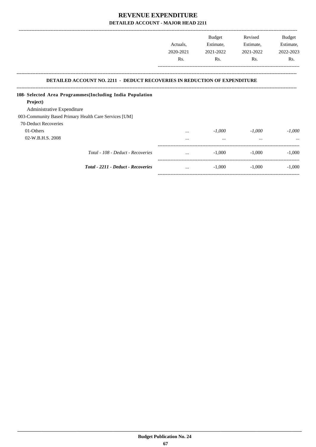|                                                                                                                                               | Actuals,<br>2020-2021 | Budget<br>Estimate,<br>2021-2022 | Revised<br>Estimate,<br>2021-2022 | Budget<br>Estimate,<br>2022-2023 |
|-----------------------------------------------------------------------------------------------------------------------------------------------|-----------------------|----------------------------------|-----------------------------------|----------------------------------|
|                                                                                                                                               | Rs.                   | Rs.                              | Rs.                               | Rs.                              |
| <b>DETAILED ACCOUNT NO. 2211 - DEDUCT RECOVERIES IN REDUCTION OF EXPENDITURE</b><br>108- Selected Area Programmes (Including India Population |                       |                                  |                                   |                                  |
| Project)                                                                                                                                      |                       |                                  |                                   |                                  |
| Administrative Expenditure                                                                                                                    |                       |                                  |                                   |                                  |
| 003-Community Based Primary Health Care Services [UM]                                                                                         |                       |                                  |                                   |                                  |
| 70-Deduct Recoveries                                                                                                                          |                       |                                  |                                   |                                  |
| 01-Others                                                                                                                                     | $\cdots$              | $-1,000$                         | $-1,000$                          | $-1,000$                         |
| 02-W.B.H.S. 2008                                                                                                                              | $\cdots$              | $\cdots$                         | $\cdots$                          |                                  |
| Total - 108 - Deduct - Recoveries                                                                                                             |                       | $-1.000$                         | $-1.000$                          | $-1.000$                         |
|                                                                                                                                               |                       |                                  |                                   |                                  |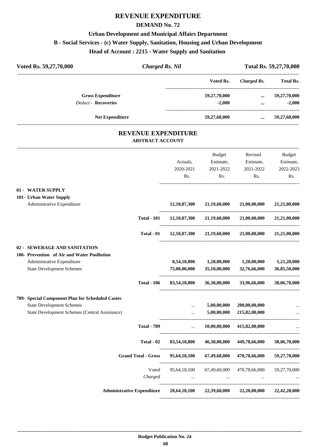#### **DEMAND No. 72**

## **Urban Development and Municipal Affairs Department**

### **B - Social Services - (c) Water Supply, Sanitation, Housing and Urban Development**

**Head of Account : 2215 - Water Supply and Sanitation** 

| Voted Rs. 59,27,70,000                                | <b>Charged Rs. Nil</b> |              |                                     | Total Rs. 59,27,70,000 |
|-------------------------------------------------------|------------------------|--------------|-------------------------------------|------------------------|
|                                                       |                        | Voted Rs.    | Charged Rs.                         | Total Rs.              |
| <b>Gross Expenditure</b>                              |                        | 59,27,70,000 | $\cdots$                            | 59,27,70,000           |
| <b>Deduct - Recoveries</b>                            |                        | $-2,000$     | $\cdots$                            | $-2,000$               |
| <b>Net Expenditure</b>                                |                        | 59,27,68,000 | $\cdots$                            | 59,27,68,000           |
| <b>REVENUE EXPENDITURE</b><br><b>ABSTRACT ACCOUNT</b> |                        |              |                                     |                        |
|                                                       |                        | Budget       | Revised                             | Budget                 |
|                                                       | Actuals,               | Estimate,    | Estimate,                           | Estimate,              |
|                                                       | 2020-2021              | 2021-2022    | 2021-2022                           | 2022-2023              |
|                                                       | Rs.                    | Rs.          | Rs.                                 | Rs.                    |
| 01 - WATER SUPPLY                                     |                        |              |                                     |                        |
| 101- Urban Water Supply                               |                        |              |                                     |                        |
| Administrative Expenditure                            | 12,10,07,300           | 21,19,60,000 | 21,00,00,000                        | 21,21,00,000           |
| <b>Total - 101</b>                                    | 12,10,07,300           | 21,19,60,000 | 21,00,00,000                        | 21,21,00,000           |
| Total - 01                                            | 12,10,07,300           | 21,19,60,000 | 21,00,00,000                        | 21,21,00,000           |
| 02 - SEWERAGE AND SANITATION                          |                        |              |                                     |                        |
| 106- Prevention of Air and Water Poollution           |                        |              |                                     |                        |
| Administrative Expenditure                            | 8,54,10,800            | 1,20,00,000  | 1,20,00,000                         | 1,21,20,000            |
| <b>State Development Schemes</b>                      | 75,00,00,000           | 35,10,00,000 | 32,76,66,000<br>------------------- | 36,85,50,000           |
| <b>Total - 106</b>                                    | 83,54,10,800           | 36,30,00,000 | 33,96,66,000                        | 38,06,70,000           |
| 789- Special Component Plan for Scheduled Castes      |                        |              |                                     |                        |
| <b>State Development Schemes</b>                      |                        | 5,00,00,000  | 200,00,00,000                       |                        |
| State Development Schemes (Central Assistance)        |                        | 5,00,00,000  | 215,82,00,000                       |                        |
| <b>Total - 789</b>                                    | $\ddotsc$              | 10,00,00,000 | 415,82,00,000                       |                        |

| Total - 02                        | 83,54,10,800             | 46,30,00,000             | 449,78,66,000     | 38,06,70,000             |
|-----------------------------------|--------------------------|--------------------------|-------------------|--------------------------|
| <b>Grand Total - Gross</b>        | 95,64,18,100             | 67,49,60,000             | 470,78,66,000     | 59,27,70,000             |
| Voted<br>Charged                  | 95,64,18,100<br>$\cdots$ | 67,49,60,000<br>$\cdots$ | 470,78,66,000<br> | 59,27,70,000<br>$\cdots$ |
| <b>Administrative Expenditure</b> | 20,64,18,100             | 22,39,60,000             | 22,20,00,000      | 22,42,20,000             |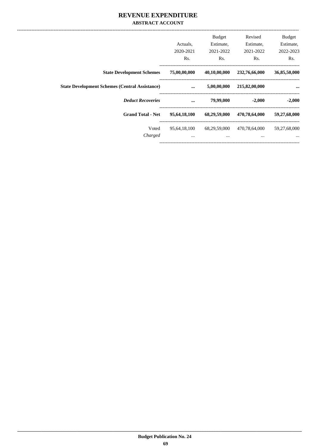### **REVENUE EXPENDITURE ABSTRACT ACCOUNT**

|                                                       | Actuals.<br>2020-2021    | <b>Budget</b><br>Estimate,<br>2021-2022 | Revised<br>Estimate,<br>2021-2022 | <b>Budget</b><br>Estimate,<br>2022-2023 |
|-------------------------------------------------------|--------------------------|-----------------------------------------|-----------------------------------|-----------------------------------------|
|                                                       | Rs.                      | Rs.                                     | Rs.                               | Rs.                                     |
| <b>State Development Schemes</b>                      | 75,00,00,000             | 40,10,00,000                            | 232,76,66,000                     | 36,85,50,000                            |
| <b>State Development Schemes (Central Assistance)</b> | $\ddotsc$                | 5,00,00,000                             | 215,82,00,000                     | $\cdots$                                |
| <b>Deduct Recoveries</b>                              | $\ddotsc$                | 79,99,000                               | $-2,000$                          | $-2,000$                                |
| <b>Grand Total - Net</b>                              | 95,64,18,100             | 68,29,59,000                            | 470,78,64,000                     | 59,27,68,000                            |
| Voted<br>Charged                                      | 95,64,18,100<br>$\cdots$ | 68,29,59,000<br>$\cdots$                | 470,78,64,000<br>$\cdots$         | 59,27,68,000<br>$\cdots$                |
|                                                       |                          |                                         |                                   |                                         |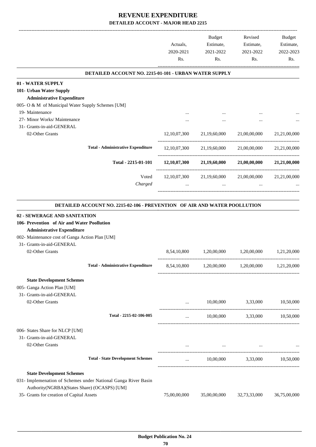|                                                                                                                | Actuals,<br>2020-2021<br>Rs.          | Budget<br>Estimate,<br>2021-2022<br>Rs. | Revised<br>Estimate,<br>2021-2022<br>Rs.                                                                         | Budget<br>Estimate,<br>2022-2023<br>Rs. |
|----------------------------------------------------------------------------------------------------------------|---------------------------------------|-----------------------------------------|------------------------------------------------------------------------------------------------------------------|-----------------------------------------|
| DETAILED ACCOUNT NO. 2215-01-101 - URBAN WATER SUPPLY                                                          |                                       |                                         |                                                                                                                  |                                         |
| 01 - WATER SUPPLY                                                                                              |                                       |                                         |                                                                                                                  |                                         |
| 101- Urban Water Supply                                                                                        |                                       |                                         |                                                                                                                  |                                         |
| <b>Administrative Expenditure</b>                                                                              |                                       |                                         |                                                                                                                  |                                         |
| 005- O & M of Municipal Water Supply Schemes [UM]                                                              |                                       |                                         |                                                                                                                  |                                         |
| 19- Maintenance                                                                                                |                                       |                                         |                                                                                                                  |                                         |
| 27- Minor Works/ Maintenance<br>31- Grants-in-aid-GENERAL                                                      |                                       |                                         |                                                                                                                  |                                         |
| 02-Other Grants                                                                                                | 12, 10, 07, 300                       | 21,19,60,000                            | 21,00,00,000                                                                                                     | 21,21,00,000                            |
|                                                                                                                |                                       |                                         |                                                                                                                  |                                         |
| <b>Total - Administrative Expenditure</b>                                                                      |                                       |                                         | $12,10,07,300$ $21,19,60,000$ $21,00,00,000$                                                                     | 21,21,00,000                            |
| Total - 2215-01-101                                                                                            |                                       | $12,10,07,300$ $21,19,60,000$           | 21,00,00,000                                                                                                     | 21,21,00,000                            |
| Voted                                                                                                          |                                       |                                         |                                                                                                                  |                                         |
|                                                                                                                |                                       |                                         | $12,10,07,300$ $21,19,60,000$ $21,00,00,000$                                                                     | 21,21,00,000                            |
| Charged                                                                                                        |                                       | $\cdots$                                |                                                                                                                  |                                         |
| 106- Prevention of Air and Water Poollution<br><b>Administrative Expenditure</b>                               |                                       |                                         |                                                                                                                  |                                         |
| 002- Maintenance cost of Ganga Action Plan [UM]<br>31- Grants-in-aid-GENERAL<br>02-Other Grants                |                                       |                                         | 1,20,00,000                                                                                                      |                                         |
|                                                                                                                | 8,54,10,800                           | 1,20,00,000                             |                                                                                                                  |                                         |
| <b>Total - Administrative Expenditure</b>                                                                      |                                       | 8,54,10,800 1,20,00,000                 | 1,20,00,000                                                                                                      |                                         |
| <b>State Development Schemes</b>                                                                               |                                       |                                         |                                                                                                                  |                                         |
| 005- Ganga Action Plan [UM]                                                                                    |                                       |                                         |                                                                                                                  |                                         |
| 31- Grants-in-aid-GENERAL                                                                                      |                                       |                                         |                                                                                                                  |                                         |
| 02-Other Grants                                                                                                | $\mathbf{1.1.1}$ and $\mathbf{1.1.1}$ |                                         | 10,00,000 3,33,000                                                                                               |                                         |
| Total - 2215-02-106-005                                                                                        | $\cdots$                              |                                         | 10,00,000 3,33,000 10,50,000                                                                                     |                                         |
|                                                                                                                |                                       |                                         |                                                                                                                  |                                         |
| 006- States Share for NLCP [UM]                                                                                |                                       |                                         |                                                                                                                  |                                         |
| 31- Grants-in-aid-GENERAL<br>02-Other Grants                                                                   |                                       |                                         |                                                                                                                  |                                         |
|                                                                                                                |                                       |                                         | and the control of the control of the control of the control of the control of the control of the control of the |                                         |
| <b>Total - State Development Schemes</b>                                                                       |                                       |                                         | $10,00,000$ $3,33,000$ $10,50,000$                                                                               |                                         |
|                                                                                                                |                                       |                                         |                                                                                                                  | 1,21,20,000<br>1,21,20,000<br>10,50,000 |
| <b>State Development Schemes</b>                                                                               |                                       |                                         |                                                                                                                  |                                         |
| 031- Implemenation of Schemes under National Ganga River Basin<br>Authority(NGRBA)(States Share) (OCASPS) [UM] |                                       |                                         |                                                                                                                  |                                         |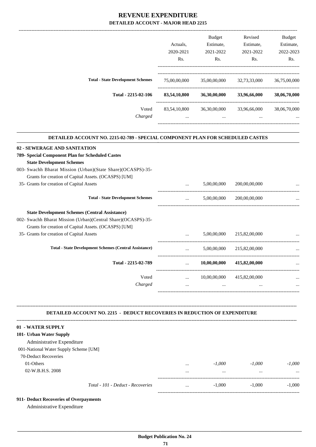|                                                                                  |              | Budget       | Revised       | <b>Budget</b> |
|----------------------------------------------------------------------------------|--------------|--------------|---------------|---------------|
|                                                                                  | Actuals,     | Estimate,    | Estimate,     | Estimate,     |
|                                                                                  | 2020-2021    | 2021-2022    | 2021-2022     | 2022-2023     |
|                                                                                  | Rs.          | Rs.          | Rs.           | Rs.           |
| <b>Total - State Development Schemes</b>                                         | 75,00,00,000 | 35,00,00,000 | 32,73,33,000  | 36,75,00,000  |
| Total - 2215-02-106                                                              | 83,54,10,800 | 36,30,00,000 | 33,96,66,000  | 38,06,70,000  |
|                                                                                  |              |              |               |               |
| Voted                                                                            | 83,54,10,800 | 36,30,00,000 | 33,96,66,000  | 38,06,70,000  |
| Charged                                                                          | $\cdots$     | $\cdots$     |               |               |
| DETAILED ACCOUNT NO. 2215-02-789 - SPECIAL COMPONENT PLAN FOR SCHEDULED CASTES   |              |              |               |               |
| 02 - SEWERAGE AND SANITATION                                                     |              |              |               |               |
| 789- Special Component Plan for Scheduled Castes                                 |              |              |               |               |
| <b>State Development Schemes</b>                                                 |              |              |               |               |
| 003- Swachh Bharat Mission (Urban)(State Share)(OCASPS)-35-                      |              |              |               |               |
| Grants for creation of Capital Assets. (OCASPS) [UM]                             |              |              |               |               |
| 35- Grants for creation of Capital Assets                                        |              | 5,00,00,000  | 200,00,00,000 |               |
| <b>Total - State Development Schemes</b>                                         | $\cdots$     | 5,00,00,000  | 200,00,00,000 |               |
| <b>State Development Schemes (Central Assistance)</b>                            |              |              |               |               |
| 002- Swachh Bharat Mission (Urban)(Central Share)(OCASPS)-35-                    |              |              |               |               |
| Grants for creation of Capital Assets. (OCASPS) [UM]                             |              |              |               |               |
| 35- Grants for creation of Capital Assets                                        |              | 5,00,00,000  | 215,82,00,000 |               |
| <b>Total - State Development Schemes (Central Assistance)</b>                    | $\cdots$     | 5,00,00,000  | 215,82,00,000 |               |
| Total - 2215-02-789                                                              |              | 10,00,00,000 | 415,82,00,000 |               |
| Voted                                                                            | $\cdots$     | 10,00,00,000 | 415,82,00,000 |               |
| Charged                                                                          | $\cdots$     |              | $\cdots$      |               |
|                                                                                  |              |              |               |               |
| <b>DETAILED ACCOUNT NO. 2215 - DEDUCT RECOVERIES IN REDUCTION OF EXPENDITURE</b> |              |              |               |               |
| 01 - WATER SUPPLY                                                                |              |              |               |               |
| 101- Urban Water Supply                                                          |              |              |               |               |
| Administrative Expenditure                                                       |              |              |               |               |
| 001-National Water Supply Scheme [UM]                                            |              |              |               |               |
| 70-Deduct Recoveries                                                             |              |              |               |               |
| 01-Others                                                                        |              | $-1,000$     | $-1,000$      | $-1,000$      |
| 02-W.B.H.S. 2008                                                                 | $\cdots$     | $\cdots$     | $\cdots$      |               |

| 101- Urban Water Supply               |          |          |          |          |
|---------------------------------------|----------|----------|----------|----------|
| Administrative Expenditure            |          |          |          |          |
| 001-National Water Supply Scheme [UM] |          |          |          |          |
| 70-Deduct Recoveries                  |          |          |          |          |
| 01-Others                             | $\cdots$ | $-1.000$ | $-1.000$ | $-1.000$ |
| 02-W.B.H.S. 2008                      |          | $\cdots$ |          |          |
| Total - 101 - Deduct - Recoveries     | $\cdots$ | $-1.000$ | $-1.000$ | $-1,000$ |

**911- Deduct Recoveries of Overpayments**

Administrative Expenditure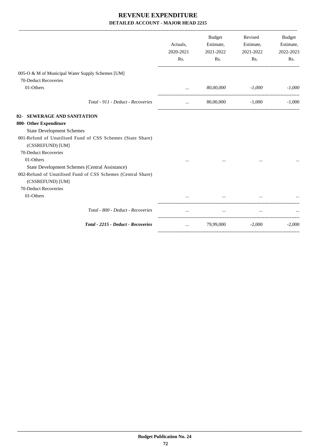|                                                              | Actuals,<br>2020-2021<br>Rs. | <b>Budget</b><br>Estimate,<br>2021-2022<br>$\mathbf{Rs.}$ | Revised<br>Estimate,<br>2021-2022<br>Rs. | <b>Budget</b><br>Estimate,<br>2022-2023<br>Rs. |
|--------------------------------------------------------------|------------------------------|-----------------------------------------------------------|------------------------------------------|------------------------------------------------|
| 005-O & M of Municipal Water Supply Schemes [UM]             |                              |                                                           |                                          |                                                |
| 70-Deduct Recoveries                                         |                              |                                                           |                                          |                                                |
| 01-Others                                                    | $\cdots$                     | 80,00,000                                                 | $-1,000$                                 | $-1,000$                                       |
| Total - 911 - Deduct - Recoveries                            | $\cdots$                     | 80,00,000                                                 | $-1,000$                                 | $-1,000$                                       |
| 02- SEWERAGE AND SANITATION                                  |                              |                                                           |                                          |                                                |
| 800- Other Expenditure                                       |                              |                                                           |                                          |                                                |
| <b>State Development Schemes</b>                             |                              |                                                           |                                          |                                                |
| 001-Refund of Unutilised Fund of CSS Schemes (State Share)   |                              |                                                           |                                          |                                                |
| (CSSREFUND) [UM]                                             |                              |                                                           |                                          |                                                |
| 70-Deduct Recoveries                                         |                              |                                                           |                                          |                                                |
| 01-Others                                                    |                              |                                                           |                                          |                                                |
| State Development Schemes (Central Assistance)               |                              |                                                           |                                          |                                                |
| 002-Refund of Unutilised Fund of CSS Schemes (Central Share) |                              |                                                           |                                          |                                                |
| (CSSREFUND) [UM]<br>70-Deduct Recoveries                     |                              |                                                           |                                          |                                                |
| 01-Others                                                    |                              |                                                           |                                          |                                                |
|                                                              | $\cdots$                     | $\cdots$                                                  | $\cdots$                                 |                                                |
| Total - 800 - Deduct - Recoveries                            | $\cdots$                     | $\cdots$                                                  | $\cdots$                                 |                                                |
| Total - 2215 - Deduct - Recoveries                           | $\cdots$                     | 79,99,000                                                 | $-2,000$                                 | $-2,000$                                       |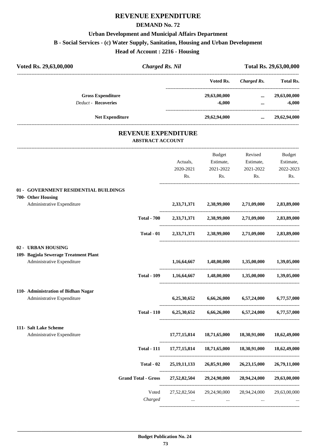# **REVENUE EXPENDITURE**

### **DEMAND No. 72**

# **Urban Development and Municipal Affairs Department**

**B - Social Services - (c) Water Supply, Sanitation, Housing and Urban Development**

**Head of Account : 2216 - Housing** 

| Voted Rs. 29,63,00,000                                              | <b>Charged Rs. Nil</b>     |                            |                                                     |                       | Total Rs. 29,63,00,000   |
|---------------------------------------------------------------------|----------------------------|----------------------------|-----------------------------------------------------|-----------------------|--------------------------|
|                                                                     |                            |                            | Voted Rs.                                           | Charged Rs. Total Rs. |                          |
| <b>Gross Expenditure</b><br><b>Deduct - Recoveries</b>              |                            |                            | 29,63,00,000<br>$-6,000$                            | $\cdots$<br>$\cdots$  | 29,63,00,000<br>$-6,000$ |
| <b>Net Expenditure</b>                                              |                            |                            | 29,62,94,000                                        | $\cdots$              | 29,62,94,000             |
|                                                                     | <b>ABSTRACT ACCOUNT</b>    | <b>REVENUE EXPENDITURE</b> |                                                     |                       |                          |
|                                                                     |                            |                            | Budget                                              | Revised               | Budget                   |
|                                                                     |                            | Actuals,                   | Estimate,                                           | Estimate,             | Estimate,                |
|                                                                     |                            | 2020-2021                  | 2021-2022                                           | 2021-2022             | 2022-2023                |
|                                                                     |                            | Rs.                        | Rs.                                                 | Rs.                   | Rs.                      |
| 01 - GOVERNMENT RESIDENTIAL BUILDINGS<br>700- Other Housing         |                            |                            |                                                     |                       |                          |
| Administrative Expenditure                                          |                            |                            | 2,33,71,371 2,38,99,000 2,71,09,000                 |                       | 2,83,89,000              |
|                                                                     | <b>Total - 700</b>         |                            | 2,33,71,371 2,38,99,000 2,71,09,000                 |                       | 2,83,89,000              |
|                                                                     | <b>Total - 01</b>          |                            | 2,33,71,371 2,38,99,000 2,71,09,000                 |                       | 2,83,89,000              |
| 02 - URBAN HOUSING                                                  |                            |                            |                                                     |                       |                          |
| 109- Bagjola Sewerage Treatment Plant<br>Administrative Expenditure |                            | 1,16,64,667                | 1,48,00,000 1,35,00,000                             |                       | 1,39,05,000              |
|                                                                     | <b>Total - 109</b>         | 1,16,64,667                | 1,48,00,000                                         | 1,35,00,000           | 1,39,05,000              |
| 110- Administration of Bidhan Nagar                                 |                            |                            |                                                     |                       |                          |
| Administrative Expenditure                                          |                            | 6,25,30,652                | 6,66,26,000                                         | 6,57,24,000           | 6,77,57,000              |
|                                                                     | <b>Total - 110</b>         |                            | 6,25,30,652 6,66,26,000 6,57,24,000 6,77,57,000     |                       |                          |
| 111- Salt Lake Scheme                                               |                            |                            |                                                     |                       |                          |
| Administrative Expenditure                                          |                            | 17,77,15,814               | 18,71,65,000                                        | 18,30,91,000          | 18,62,49,000             |
|                                                                     | <b>Total - 111</b>         | 17,77,15,814               | 18,71,65,000                                        | 18,30,91,000          | 18,62,49,000             |
|                                                                     | Total - 02                 | 25, 19, 11, 133            | 26,85,91,000                                        | 26,23,15,000          | 26,79,11,000             |
|                                                                     | <b>Grand Total - Gross</b> |                            | 27,52,82,504 29,24,90,000 28,94,24,000 29,63,00,000 |                       |                          |
|                                                                     | Voted                      | 27,52,82,504               | 29,24,90,000                                        | 28,94,24,000          | 29,63,00,000             |
|                                                                     | Charged                    | $\cdots$                   | $\cdots$                                            | $\cdots$              |                          |

----------------------------------------------------------------------------------------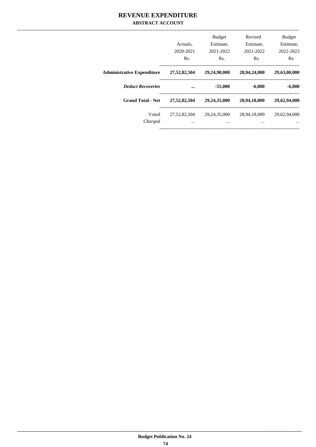|                                   | Actuals.<br>2020-2021<br>Rs. | <b>Budget</b><br>Estimate.<br>2021-2022<br>Rs. | Revised<br>Estimate,<br>2021-2022<br>Rs. | <b>Budget</b><br>Estimate,<br>2022-2023<br>Rs. |
|-----------------------------------|------------------------------|------------------------------------------------|------------------------------------------|------------------------------------------------|
| <b>Administrative Expenditure</b> | 27,52,82,504                 | 29,24,90,000                                   | 28,94,24,000                             | 29,63,00,000                                   |
| <b>Deduct Recoveries</b>          | $\ddotsc$                    | $-55,000$                                      | $-6,000$                                 | $-6,000$                                       |
|                                   |                              |                                                |                                          |                                                |
| <b>Grand Total - Net</b>          | 27,52,82,504                 | 29,24,35,000                                   | 28,94,18,000                             | 29,62,94,000                                   |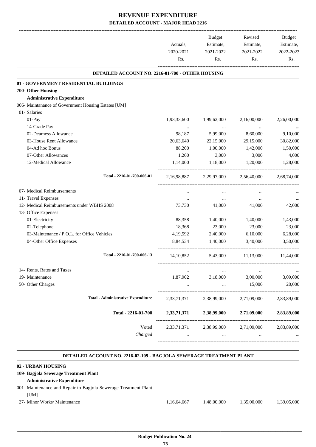|                                                     |             | Budget      | Revised     | Budget      |
|-----------------------------------------------------|-------------|-------------|-------------|-------------|
|                                                     | Actuals,    | Estimate,   | Estimate,   | Estimate,   |
|                                                     | 2020-2021   | 2021-2022   | 2021-2022   | 2022-2023   |
|                                                     | Rs.         | Rs.         | Rs.         | Rs.         |
| DETAILED ACCOUNT NO. 2216-01-700 - OTHER HOUSING    |             |             |             |             |
| 01 - GOVERNMENT RESIDENTIAL BUILDINGS               |             |             |             |             |
| 700- Other Housing                                  |             |             |             |             |
| <b>Administrative Expenditure</b>                   |             |             |             |             |
| 006- Maintanance of Government Housing Estates [UM] |             |             |             |             |
| 01- Salaries                                        |             |             |             |             |
| 01-Pay                                              | 1,93,33,600 | 1,99,62,000 | 2,16,00,000 | 2,26,00,000 |
| 14-Grade Pay                                        | $\ldots$    |             |             |             |
| 02-Dearness Allowance                               | 98,187      | 5,99,000    | 8,60,000    | 9,10,000    |
| 03-House Rent Allowance                             | 20,63,640   | 22,15,000   | 29,15,000   | 30,82,000   |
| 04-Ad hoc Bonus                                     | 88,200      | 1,00,000    | 1,42,000    | 1,50,000    |
| 07-Other Allowances                                 | 1,260       | 3,000       | 3,000       | 4,000       |
| 12-Medical Allowance                                | 1,14,000    | 1,18,000    | 1,20,000    | 1,28,000    |
| Total - 2216-01-700-006-01                          | 2,16,98,887 | 2,29,97,000 | 2.56.40.000 | 2.68.74.000 |
| 07- Medical Reimbursements                          | $\cdots$    | $\cdots$    | $\cdots$    |             |
| 11- Travel Expenses                                 | $\cdots$    | $\cdots$    | $\cdots$    |             |
| 12- Medical Reimbursements under WBHS 2008          | 73,730      | 41,000      | 41,000      | 42,000      |
| 13- Office Expenses                                 |             |             |             |             |
| 01-Electricity                                      | 88,358      | 1,40,000    | 1,40,000    | 1,43,000    |
| 02-Telephone                                        | 18,368      | 23,000      | 23,000      | 23,000      |
| 03-Maintenance / P.O.L. for Office Vehicles         | 4,19,592    | 2,40,000    | 6,10,000    | 6,28,000    |
| 04-Other Office Expenses                            | 8,84,534    | 1,40,000    | 3,40,000    | 3.50,000    |
| Total - 2216-01-700-006-13                          | 14, 10, 852 | 5,43,000    | 11,13,000   | 11,44,000   |
| 14- Rents, Rates and Taxes                          | $\ldots$    | $\ldots$    | $\ldots$    | $\cdots$    |
| 19- Maintenance                                     | 1,87,902    | 3,18,000    | 3,00,000    | 3,09,000    |
| 50- Other Charges                                   |             | $\cdots$    | 15,000      | 20,000      |
| <b>Total - Administrative Expenditure</b>           | 2,33,71,371 | 2,38,99,000 | 2,71,09,000 | 2,83,89,000 |
| Total - 2216-01-700                                 | 2,33,71,371 | 2,38,99,000 | 2,71,09,000 | 2,83,89,000 |
| Voted                                               | 2,33,71,371 | 2,38,99,000 | 2,71,09,000 | 2,83,89,000 |
| Charged                                             |             | $\cdots$    |             |             |

### **DETAILED ACCOUNT NO. 2216-02-109 - BAGJOLA SEWERAGE TREATMENT PLANT**

.

### **. 02 - URBAN HOUSING 109- Bagjola Sewerage Treatment Plant Administrative Expenditure** 001- Maintenance and Repair to Bagjola Sewerage Treatment Plant [UM] 27- Minor Works/ Maintenance 1,16,64,667 1,48,00,000 1,35,00,000 1,39,05,000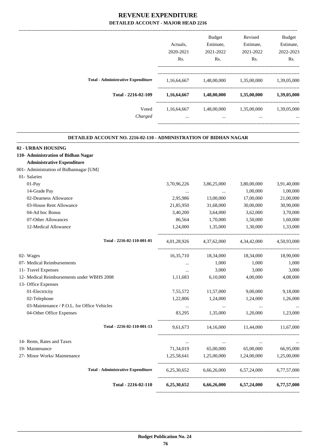|                                           |             | <b>Budget</b> | Revised     | <b>Budget</b> |
|-------------------------------------------|-------------|---------------|-------------|---------------|
|                                           | Actuals.    | Estimate,     | Estimate,   | Estimate,     |
|                                           | 2020-2021   | 2021-2022     | 2021-2022   | 2022-2023     |
|                                           | Rs.         | Rs.           | Rs.         | Rs.           |
| <b>Total - Administrative Expenditure</b> | 1,16,64,667 | 1,48,00,000   | 1,35,00,000 | 1,39,05,000   |
| Total - 2216-02-109                       | 1,16,64,667 | 1,48,00,000   | 1,35,00,000 | 1,39,05,000   |
| Voted                                     | 1,16,64,667 | 1,48,00,000   | 1,35,00,000 | 1,39,05,000   |
| Charged                                   | $\cdots$    | $\cdots$      | $\cdots$    | $\cdots$      |
|                                           |             |               |             |               |

.

### **DETAILED ACCOUNT NO. 2216-02-110 - ADMINISTRATION OF BIDHAN NAGAR**

| 02 - URBAN HOUSING                          |                 |                          |                                                         |             |
|---------------------------------------------|-----------------|--------------------------|---------------------------------------------------------|-------------|
| 110- Administration of Bidhan Nagar         |                 |                          |                                                         |             |
| <b>Administrative Expenditure</b>           |                 |                          |                                                         |             |
| 001- Administration of Bidhannagar [UM]     |                 |                          |                                                         |             |
| 01- Salaries                                |                 |                          |                                                         |             |
| 01-Pay                                      | 3,70,96,226     | 3,86,25,000              | 3,80,00,000                                             | 3,91,40,000 |
| 14-Grade Pay                                | $\ldots$        | <b>Contract Contract</b> | 1,00,000                                                | 1,00,000    |
| 02-Dearness Allowance                       | 2,95,986        | 13,00,000                | 17,00,000                                               | 21,00,000   |
| 03-House Rent Allowance                     | 21,85,950       | 31,68,000                | 30,00,000                                               | 30,90,000   |
| 04-Ad hoc Bonus                             | 3,40,200        | 3,64,000                 | 3,62,000                                                | 3,70,000    |
| 07-Other Allowances                         | 86,564          | 1,70,000                 | 1,50,000                                                | 1,60,000    |
| 12-Medical Allowance                        | 1,24,000        | 1,35,000                 | 1,30,000                                                | 1,33,000    |
| Total - 2216-02-110-001-01                  |                 |                          | 4,01,28,926 4,37,62,000 4,34,42,000 4,50,93,000         |             |
| 02- Wages                                   |                 | 16,35,710 18,34,000      | 18,34,000                                               | 18,90,000   |
| 07- Medical Reimbursements                  | $\sim 10^{-10}$ | 1,000                    | 1,000                                                   | 1,000       |
| 11- Travel Expenses                         | $\cdots$        | 3,000                    | 3,000                                                   | 3,000       |
| 12- Medical Reimbursements under WBHS 2008  | 1,11,683        | 6,10,000                 | 4,00,000                                                | 4,08,000    |
| 13- Office Expenses                         |                 |                          |                                                         |             |
| 01-Electricity                              | 7,55,572        | 11,57,000                | 9,00,000                                                | 9,18,000    |
| 02-Telephone                                | 1,22,806        | 1,24,000                 | 1,24,000                                                | 1,26,000    |
| 03-Maintenance / P.O.L. for Office Vehicles | $\ddots$        | $\sim$ $\sim$            | <b>Contract State</b>                                   | $\ldots$    |
| 04-Other Office Expenses                    | 83.295          | 1.35.000                 | 1,20,000                                                | 1,23,000    |
| Total - 2216-02-110-001-13                  |                 |                          | 9,61,673 14,16,000 11,44,000 11,67,000                  |             |
| 14- Rents, Rates and Taxes                  | <b>Section</b>  |                          | the contract of the contract of the contract of         |             |
| 19- Maintenance                             |                 |                          | 71,34,019 65,00,000 65,00,000 66,95,000                 |             |
| 27- Minor Works/ Maintenance                |                 |                          | 1,25,58,641 1,25,00,000 1,24,00,000 1,25,00,000         |             |
| <b>Total - Administrative Expenditure</b>   |                 |                          | 6,25,30,652 6,66,26,000 6,57,24,000 6,77,57,000         |             |
| Total - 2216-02-110                         |                 |                          | $6,25,30,652$ $6,66,26,000$ $6,57,24,000$ $6,77,57,000$ |             |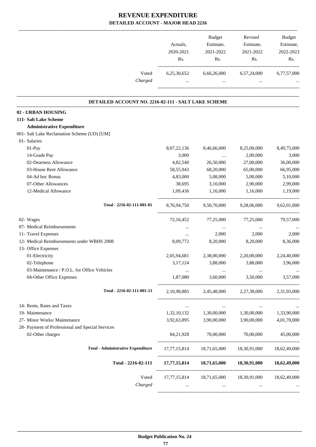|                                                     | Actuals,<br>2020-2021<br>Rs. | Budget<br>Estimate,<br>2021-2022<br>Rs. | Revised<br>Estimate,<br>2021-2022<br>Rs.            | <b>Budget</b><br>Estimate,<br>2022-2023<br>Rs. |
|-----------------------------------------------------|------------------------------|-----------------------------------------|-----------------------------------------------------|------------------------------------------------|
| Voted<br>Charged                                    | 6,25,30,652                  | 6,66,26,000<br>$\cdots$                 | 6,57,24,000<br>$\cdots$                             | 6,77,57,000                                    |
| DETAILED ACCOUNT NO. 2216-02-111 - SALT LAKE SCHEME |                              |                                         |                                                     |                                                |
| 02 - URBAN HOUSING                                  |                              |                                         |                                                     |                                                |
| 111- Salt Lake Scheme                               |                              |                                         |                                                     |                                                |
| <b>Administrative Expenditure</b>                   |                              |                                         |                                                     |                                                |
| 001- Salt Lake Reclamation Scheme (UD) [UM]         |                              |                                         |                                                     |                                                |
| 01- Salaries                                        |                              |                                         |                                                     |                                                |
| 01-Pay                                              | 8,07,22,136                  | 8,46,66,000                             | 8,25,00,000                                         | 8,49,75,000                                    |
| 14-Grade Pay                                        | 3,000                        | $\ldots$                                | 2,00,000                                            | 3,000                                          |
| 02-Dearness Allowance                               | 4,82,540                     | 26,50,000                               | 27,00,000                                           | 36,00,000                                      |
| 03-House Rent Allowance                             | 58, 55, 943                  | 68,20,000                               | 65,00,000                                           | 66,95,000                                      |
| 04-Ad hoc Bonus                                     | 4,83,000                     | 5,08,000                                | 5,00,000                                            | 5,10,000                                       |
| 07-Other Allowances                                 | 38,695                       | 3,10,000                                | 2,90,000                                            | 2,99,000                                       |
| 12-Medical Allowance                                | 1,09,436                     | 1,16,000                                | 1,16,000                                            | 1,19,000                                       |
| Total - 2216-02-111-001-01                          | 8,76,94,750                  | 9,50,70,000                             | 9,28,06,000                                         | 9,62,01,000                                    |
| 02- Wages                                           | 72,16,452                    | 77,25,000                               | 77,25,000                                           | 79,57,000                                      |
| 07- Medical Reimbursements                          | $\cdots$                     | $\cdots$                                | $\cdots$                                            |                                                |
| 11- Travel Expenses                                 | $\cdots$                     | 2,000                                   | 2,000                                               | 2,000                                          |
| 12- Medical Reimbursements under WBHS 2008          | 8,09,772                     | 8,20,000                                | 8,20,000                                            | 8,36,000                                       |
| 13- Office Expenses                                 |                              |                                         |                                                     |                                                |
| 01-Electricity                                      | 2,05,94,681                  | 2,38,00,000                             | 2,20,00,000                                         | 2,24,40,000                                    |
| 02-Telephone                                        | 3,17,124                     | 3,88,000                                | 3,88,000                                            | 3,96,000                                       |
| 03-Maintenance / P.O.L. for Office Vehicles         | $\cdots$                     | $\cdots$                                | $\ldots$                                            | $\cdots$                                       |
| 04-Other Office Expenses                            | 1,87,080                     | 3,60,000                                | 3,50,000                                            | 3,57,000                                       |
| Total - 2216-02-111-001-13                          | 2,10,98,885                  |                                         | 2,45,48,000 2,27,38,000                             | 2,31,93,000                                    |
| 14- Rents, Rates and Taxes                          | $\cdots$                     | $\ldots$                                | $\cdots$                                            |                                                |
| 19- Maintenance                                     |                              | 1,32,10,132 1,30,00,000                 | 1,30,00,000 1,33,90,000                             |                                                |
| 27- Minor Works/ Maintenance                        | 3,92,63,895                  | 3,90,00,000                             | 3,90,00,000                                         | 4,01,70,000                                    |
| 28- Payment of Professional and Special Services    |                              |                                         |                                                     |                                                |
| 02-Other charges                                    | 84,21,928                    | 70,00,000                               | 70,00,000                                           | 45,00,000                                      |
| <b>Total - Administrative Expenditure</b>           |                              |                                         | 17,77,15,814 18,71,65,000 18,30,91,000 18,62,49,000 |                                                |
| Total - 2216-02-111                                 |                              |                                         | 17,77,15,814 18,71,65,000 18,30,91,000 18,62,49,000 |                                                |
| Voted                                               |                              |                                         | 17,77,15,814 18,71,65,000 18,30,91,000 18,62,49,000 |                                                |
| Charged                                             | $\cdots$                     | $\cdots$                                | $\cdots$                                            |                                                |
|                                                     |                              |                                         |                                                     |                                                |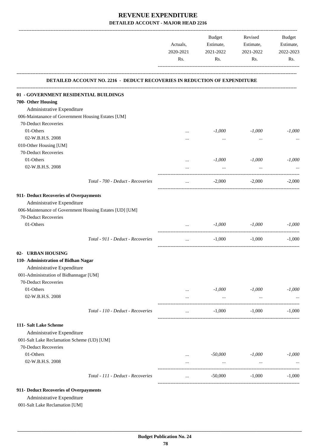|                                                                           | Actuals,<br>2020-2021<br>Rs. | Budget<br>Estimate,<br>2021-2022<br>Rs. | Revised<br>Estimate,<br>2021-2022<br>Rs. | Budget<br>Estimate,<br>2022-2023<br>Rs. |
|---------------------------------------------------------------------------|------------------------------|-----------------------------------------|------------------------------------------|-----------------------------------------|
|                                                                           |                              |                                         |                                          |                                         |
| DETAILED ACCOUNT NO. 2216 - DEDUCT RECOVERIES IN REDUCTION OF EXPENDITURE |                              |                                         |                                          |                                         |
| 01 - GOVERNMENT RESIDENTIAL BUILDINGS                                     |                              |                                         |                                          |                                         |
| 700- Other Housing                                                        |                              |                                         |                                          |                                         |
| Administrative Expenditure                                                |                              |                                         |                                          |                                         |
| 006-Maintanance of Government Housing Estates [UM]                        |                              |                                         |                                          |                                         |
| 70-Deduct Recoveries                                                      |                              |                                         |                                          |                                         |
| 01-Others                                                                 | $\cdots$                     | $-1,000$                                | $-1,000$                                 | $-1,000$                                |
| 02-W.B.H.S. 2008                                                          | $\cdots$                     | $\cdots$                                | $\cdots$                                 |                                         |
| 010-Other Housing [UM]                                                    |                              |                                         |                                          |                                         |
| 70-Deduct Recoveries                                                      |                              |                                         |                                          |                                         |
| 01-Others                                                                 | $\cdots$                     | $-1,000$                                | $-1,000$                                 | $-1,000$                                |
| 02-W.B.H.S. 2008                                                          | $\cdots$                     | $\ddots$                                | $\ddots$                                 |                                         |
| Total - 700 - Deduct - Recoveries                                         | $\cdots$                     | $-2,000$                                | $-2,000$                                 | $-2,000$                                |
| 911- Deduct Recoveries of Overpayments                                    |                              |                                         |                                          |                                         |
| Administrative Expenditure                                                |                              |                                         |                                          |                                         |
| 006-Maintenance of Government Housing Estates [UD] [UM]                   |                              |                                         |                                          |                                         |
| 70-Deduct Recoveries                                                      |                              |                                         |                                          |                                         |
| 01-Others                                                                 | $\cdots$                     | $-1,000$                                | -1,000                                   | $-1,000$                                |
| Total - 911 - Deduct - Recoveries                                         | $\ldots$                     | $-1,000$                                | $-1,000$                                 | $-1,000$                                |
| 02- URBAN HOUSING                                                         |                              |                                         |                                          |                                         |
| 110- Administration of Bidhan Nagar                                       |                              |                                         |                                          |                                         |
| Administrative Expenditure                                                |                              |                                         |                                          |                                         |
| 001-Administration of Bidhannagar [UM]                                    |                              |                                         |                                          |                                         |
| 70-Deduct Recoveries                                                      |                              |                                         |                                          |                                         |
| 01-Others                                                                 | $\cdots$                     | $-1,000$                                | $-1,000$                                 | $-1,000$                                |
| 02-W.B.H.S. 2008                                                          | $\cdots$                     | $\cdots$                                | $\cdots$                                 |                                         |
| Total - 110 - Deduct - Recoveries                                         | $\cdots$                     | $-1,000$                                | $-1,000$                                 | $-1,000$                                |
| 111- Salt Lake Scheme                                                     |                              |                                         |                                          |                                         |
| Administrative Expenditure                                                |                              |                                         |                                          |                                         |
| 001-Salt Lake Reclamation Scheme (UD) [UM]                                |                              |                                         |                                          |                                         |
| 70-Deduct Recoveries                                                      |                              |                                         |                                          |                                         |
| 01-Others                                                                 | $\cdots$                     | -50,000                                 | $-1,000$                                 | $-1,000$                                |
| 02-W.B.H.S. 2008                                                          | $\cdots$                     | $\cdots$                                | $\cdots$                                 |                                         |
| Total - 111 - Deduct - Recoveries                                         | $\cdots$                     | $-50,000$                               | $-1,000$                                 | $-1,000$                                |
| 911- Deduct Recoveries of Overpayments                                    |                              |                                         |                                          |                                         |

Administrative Expenditure

001-Salt Lake Reclamation [UM]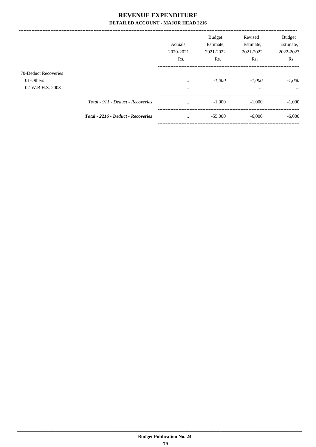|                                                       |                                           | Actuals.<br>2020-2021<br>Rs. | <b>Budget</b><br>Estimate,<br>2021-2022<br>Rs. | Revised<br>Estimate,<br>2021-2022<br>Rs. | <b>Budget</b><br>Estimate,<br>2022-2023<br>Rs. |
|-------------------------------------------------------|-------------------------------------------|------------------------------|------------------------------------------------|------------------------------------------|------------------------------------------------|
| 70-Deduct Recoveries<br>01-Others<br>02-W.B.H.S. 2008 |                                           | $\cdots$<br>$\cdots$         | $-1,000$<br>$\cdots$                           | $-1,000$<br>$\cdots$                     | $-1,000$<br>$\cdots$                           |
|                                                       | Total - 911 - Deduct - Recoveries         | $\cdots$                     | $-1,000$                                       | $-1,000$                                 | $-1,000$                                       |
|                                                       | <b>Total - 2216 - Deduct - Recoveries</b> | $\cdots$                     | $-55,000$                                      | $-6,000$                                 | $-6,000$                                       |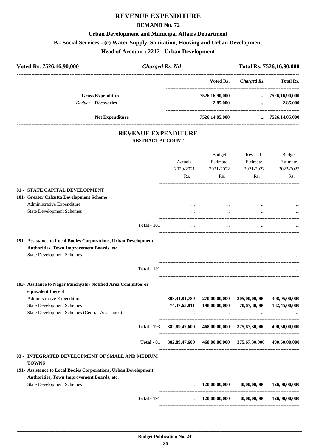# **REVENUE EXPENDITURE**

### **DEMAND No. 72**

# **Urban Development and Municipal Affairs Department B - Social Services - (c) Water Supply, Sanitation, Housing and Urban Development Head of Account : 2217 - Urban Development**

| Voted Rs. 7526,16,90,000   | <b>Charged Rs. Nil</b>                                | Total Rs. 7526,16,90,000 |             |                         |
|----------------------------|-------------------------------------------------------|--------------------------|-------------|-------------------------|
|                            |                                                       | Voted Rs.                | Charged Rs. | <b>Total Rs.</b>        |
| <b>Gross Expenditure</b>   |                                                       | 7526,16,90,000           |             | $\ldots$ 7526,16,90,000 |
| <b>Deduct - Recoveries</b> |                                                       | $-2,85,000$              | $\cdots$    | $-2,85,000$             |
| <b>Net Expenditure</b>     |                                                       | 7526,14,05,000           |             | $\ldots$ 7526,14,05,000 |
|                            | <b>REVENUE EXPENDITURE</b><br><b>ABSTRACT ACCOUNT</b> |                          |             |                         |
|                            |                                                       |                          |             |                         |

|                                                                                      |                    | Actuals,<br>2020-2021<br>Rs. | <b>Budget</b><br>Estimate,<br>2021-2022<br>Rs. | Revised<br>Estimate,<br>2021-2022<br>Rs. | <b>Budget</b><br>Estimate,<br>2022-2023<br>Rs. |
|--------------------------------------------------------------------------------------|--------------------|------------------------------|------------------------------------------------|------------------------------------------|------------------------------------------------|
| 01 - STATE CAPITAL DEVELOPMENT                                                       |                    |                              |                                                |                                          |                                                |
| 101- Greater Calcutta Development Scheme                                             |                    |                              |                                                |                                          |                                                |
| Administrative Expenditure                                                           |                    | $\cdots$                     | $\cdots$                                       |                                          |                                                |
| <b>State Development Schemes</b>                                                     |                    |                              |                                                |                                          |                                                |
|                                                                                      | <b>Total - 101</b> |                              |                                                |                                          |                                                |
| 191- Assistance to Local Bodies Corporations, Urban Development                      |                    |                              |                                                |                                          |                                                |
| Authorities, Town Improvement Boards, etc.                                           |                    |                              |                                                |                                          |                                                |
| <b>State Development Schemes</b>                                                     |                    | $\ddotsc$                    |                                                |                                          |                                                |
|                                                                                      | <b>Total - 191</b> | $\cdots$                     | $\ldots$                                       | $\ddotsc$                                |                                                |
| 193- Assitance to Nagar Panchyats / Notified Area Committes or<br>equivalent thereof |                    |                              |                                                |                                          |                                                |
| Administrative Expenditure                                                           |                    | 308,41,81,789                | 270,00,00,000                                  | 305,00,00,000                            | 308,05,00,000                                  |
| <b>State Development Schemes</b>                                                     |                    | 74, 47, 65, 811              | 198,00,00,000                                  | 70,67,30,000                             | 182,45,00,000                                  |
| State Development Schemes (Central Assistance)                                       |                    |                              |                                                |                                          |                                                |
|                                                                                      | <b>Total - 193</b> | 382,89,47,600                | 468,00,00,000                                  | 375,67,30,000                            | 490,50,00,000                                  |
|                                                                                      | Total - 01         |                              | 382,89,47,600 468,00,00,000 375,67,30,000      |                                          | 490,50,00,000                                  |
| 03 - INTEGRATED DEVELOPMENT OF SMALL AND MEDIUM<br><b>TOWNS</b>                      |                    |                              |                                                |                                          |                                                |
| 191- Assistance to Local Bodies Corporations, Urban Development                      |                    |                              |                                                |                                          |                                                |
| Authorities, Town Improvement Boards, etc.                                           |                    |                              |                                                |                                          |                                                |
| <b>State Development Schemes</b>                                                     |                    |                              | 120,00,00,000                                  | 30,00,00,000                             | 126,00,00,000                                  |
|                                                                                      | <b>Total - 191</b> | $\ddotsc$                    | 120,00,00,000                                  | 30,00,00,000                             | 126,00,00,000                                  |
|                                                                                      |                    |                              |                                                |                                          |                                                |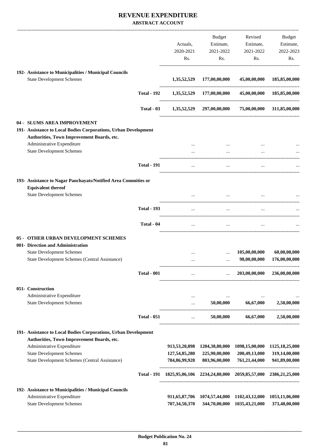|                                                                                |                    |                                                                         | Budget                                      | Revised        | Budget                        |
|--------------------------------------------------------------------------------|--------------------|-------------------------------------------------------------------------|---------------------------------------------|----------------|-------------------------------|
|                                                                                |                    | Actuals,                                                                | Estimate,                                   | Estimate,      | Estimate,                     |
|                                                                                |                    | 2020-2021                                                               | 2021-2022                                   | 2021-2022      | 2022-2023                     |
|                                                                                |                    | Rs.                                                                     | Rs.                                         | Rs.            | Rs.                           |
|                                                                                |                    |                                                                         |                                             |                |                               |
| 192- Assistance to Municipalities / Municipal Councils                         |                    |                                                                         |                                             |                |                               |
| <b>State Development Schemes</b>                                               |                    | 1,35,52,529                                                             | 177,00,00,000                               | 45,00,00,000   | 185,85,00,000                 |
|                                                                                | <b>Total - 192</b> | 1,35,52,529                                                             | 177,00,00,000                               | 45,00,00,000   | 185,85,00,000                 |
|                                                                                | Total - 03         |                                                                         | 1,35,52,529 297,00,00,000                   | 75,00,00,000   | 311,85,00,000                 |
| 04 - SLUMS AREA IMPROVEMENT                                                    |                    |                                                                         |                                             |                |                               |
| 191- Assistance to Local Bodies Corporations, Urban Development                |                    |                                                                         |                                             |                |                               |
| Authorities, Town Improvement Boards, etc.                                     |                    |                                                                         |                                             |                |                               |
| Administrative Expenditure                                                     |                    |                                                                         |                                             |                |                               |
| <b>State Development Schemes</b>                                               |                    |                                                                         | $\cdots$                                    |                |                               |
|                                                                                |                    |                                                                         |                                             |                |                               |
|                                                                                | <b>Total - 191</b> | $\cdots$                                                                | $\cdots$                                    |                |                               |
| 193- Assistance to Nagar Panchayats/Notified Area Commities or                 |                    |                                                                         |                                             |                |                               |
| <b>Equivalent thereof</b>                                                      |                    |                                                                         |                                             |                |                               |
| <b>State Development Schemes</b>                                               |                    |                                                                         |                                             |                |                               |
|                                                                                |                    |                                                                         |                                             |                |                               |
|                                                                                | <b>Total - 193</b> | $\cdots$                                                                | $\ddotsc$                                   | $\ddotsc$      |                               |
|                                                                                | Total - 04         | $\cdots$                                                                | $\cdots$                                    | $\cdots$       |                               |
|                                                                                |                    |                                                                         |                                             |                |                               |
| OTHER URBAN DEVELOPMENT SCHEMES<br>$05 -$<br>001- Direction and Administration |                    |                                                                         |                                             |                |                               |
|                                                                                |                    |                                                                         |                                             |                |                               |
| <b>State Development Schemes</b>                                               |                    |                                                                         |                                             | 105,00,00,000  | 60,00,00,000<br>176,00,00,000 |
| State Development Schemes (Central Assistance)                                 |                    | $\cdots$                                                                | $\cdots$                                    | 98,00,00,000   |                               |
|                                                                                | <b>Total - 001</b> | $\cdots$                                                                | $\cdots$                                    | 203,00,00,000  | 236,00,00,000                 |
| 051- Construction                                                              |                    |                                                                         |                                             |                |                               |
| Administrative Expenditure                                                     |                    | $\cdots$                                                                |                                             |                |                               |
| <b>State Development Schemes</b>                                               |                    | $\ldots$                                                                | 50,00,000                                   | 66,67,000      | 2,50,00,000                   |
|                                                                                |                    |                                                                         |                                             |                |                               |
|                                                                                | <b>Total - 051</b> | $\cdots$                                                                | 50,00,000                                   | 66,67,000      | 2,50,00,000                   |
| 191- Assistance to Local Bodies Corporations, Urban Development                |                    |                                                                         |                                             |                |                               |
| Authorities, Town Improvement Boards, etc.                                     |                    |                                                                         |                                             |                |                               |
| Administrative Expenditure                                                     |                    |                                                                         | 913,53,20,898 1204,38,80,000                | 1098,15,00,000 | 1125, 18, 25, 000             |
| <b>State Development Schemes</b>                                               |                    |                                                                         | 127,54,85,280 225,90,00,000                 | 200,49,13,000  | 319,14,00,000                 |
| State Development Schemes (Central Assistance)                                 |                    |                                                                         | 784,86,99,928 803,96,00,000                 | 761,21,44,000  | 941,89,00,000                 |
|                                                                                |                    |                                                                         |                                             |                |                               |
|                                                                                |                    | Total - 191 1825,95,06,106 2234,24,80,000 2059,85,57,000 2386,21,25,000 |                                             |                |                               |
| 192- Assistance to Municipalities / Municipal Councils                         |                    |                                                                         |                                             |                |                               |
| Administrative Expenditure                                                     |                    |                                                                         | 911,65,87,706 1074,57,44,000 1102,43,12,000 |                | 1053,11,06,000                |
| <b>State Development Schemes</b>                                               |                    | 707,34,50,370                                                           | 344,70,00,000                               | 1035,43,21,000 | 373,48,00,000                 |
|                                                                                |                    |                                                                         |                                             |                |                               |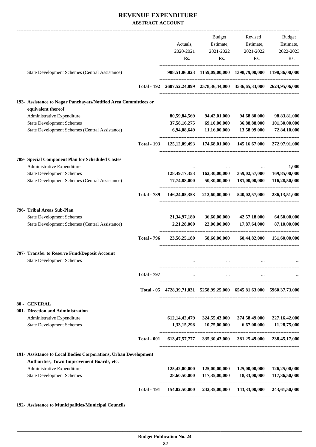|                                                                                        |                    |                                                                                    | Budget                                      | Revised                                                             | Budget                         |
|----------------------------------------------------------------------------------------|--------------------|------------------------------------------------------------------------------------|---------------------------------------------|---------------------------------------------------------------------|--------------------------------|
|                                                                                        |                    | Actuals,                                                                           | Estimate,                                   | Estimate,                                                           | Estimate,                      |
|                                                                                        |                    | 2020-2021                                                                          | 2021-2022                                   | 2021-2022                                                           | 2022-2023                      |
|                                                                                        |                    | Rs.                                                                                | Rs.                                         | Rs.                                                                 | Rs.                            |
| State Development Schemes (Central Assistance)                                         |                    |                                                                                    |                                             | 988,51,86,823 1159,09,00,000 1398,79,00,000 1198,36,00,000          |                                |
|                                                                                        | <b>Total - 192</b> |                                                                                    |                                             | 2607,52,24,899 2578,36,44,000 3536,65,33,000 2624,95,06,000         |                                |
| 193- Assistance to Nagar Panchayats/Notified Area Committiees or<br>equivalent thereof |                    |                                                                                    |                                             |                                                                     |                                |
| Administrative Expenditure                                                             |                    | 80,59,84,569                                                                       | 94,42,01,000                                | 94,68,80,000                                                        | 98,83,81,000                   |
| <b>State Development Schemes</b>                                                       |                    | 37,58,16,275                                                                       | 69,10,00,000                                | 36,88,88,000                                                        | 101,30,00,000                  |
| State Development Schemes (Central Assistance)                                         |                    | 6,94,08,649                                                                        | 11,16,00,000                                | 13,58,99,000                                                        | 72,84,10,000                   |
|                                                                                        | <b>Total - 193</b> |                                                                                    |                                             | 125, 12, 09, 493 174, 68, 01, 000 145, 16, 67, 000 272, 97, 91, 000 |                                |
| 789- Special Component Plan for Scheduled Castes                                       |                    |                                                                                    |                                             |                                                                     |                                |
| Administrative Expenditure                                                             |                    |                                                                                    |                                             |                                                                     | 1,000                          |
| <b>State Development Schemes</b><br>State Development Schemes (Central Assistance)     |                    | 17,74,88,000                                                                       | 128,49,17,353 162,30,00,000<br>50,30,00,000 | 359,02,57,000<br>181,00,00,000                                      | 169,85,00,000<br>116,28,50,000 |
|                                                                                        |                    |                                                                                    |                                             |                                                                     |                                |
|                                                                                        | <b>Total - 789</b> |                                                                                    |                                             | 146,24,05,353 212,60,00,000 540,02,57,000                           | 286, 13, 51, 000               |
| 796- Tribal Areas Sub-Plan                                                             |                    |                                                                                    |                                             |                                                                     |                                |
| <b>State Development Schemes</b>                                                       |                    | 21, 34, 97, 180                                                                    | 36,60,00,000                                | 42,57,18,000                                                        | 64,50,00,000                   |
| State Development Schemes (Central Assistance)                                         |                    | 2,21,28,000                                                                        | 22,00,00,000                                | 17,87,64,000                                                        | 87,10,00,000                   |
|                                                                                        | <b>Total - 796</b> | 23,56,25,180                                                                       | 58,60,00,000                                |                                                                     | 60,44,82,000 151,60,00,000     |
| 797- Transfer to Reserve Fund/Deposit Account                                          |                    |                                                                                    |                                             |                                                                     |                                |
| <b>State Development Schemes</b>                                                       |                    |                                                                                    |                                             |                                                                     |                                |
|                                                                                        | <b>Total - 797</b> | $\cdots$                                                                           | $\ldots$                                    | $\cdots$                                                            |                                |
|                                                                                        |                    | Total - 05 4728, 39, 71, 031 5258, 99, 25, 000 6545, 81, 63, 000 5960, 37, 73, 000 |                                             |                                                                     |                                |
| 80 - GENERAL                                                                           |                    |                                                                                    |                                             |                                                                     |                                |
| 001- Direction and Administration                                                      |                    |                                                                                    |                                             |                                                                     |                                |
| Administrative Expenditure                                                             |                    | 612, 14, 42, 479                                                                   | 324,55,43,000                               | 374,58,49,000                                                       | 227, 16, 42, 000               |
| <b>State Development Schemes</b>                                                       |                    | 1,33,15,298                                                                        | 10,75,00,000                                | 6,67,00,000                                                         | 11,28,75,000                   |
|                                                                                        | <b>Total - 001</b> |                                                                                    |                                             | 613,47,57,777 335,30,43,000 381,25,49,000 238,45,17,000             |                                |
| 191- Assistance to Local Bodies Corporations, Urban Development                        |                    |                                                                                    |                                             |                                                                     |                                |
| Authorities, Town Improvement Boards, etc.<br>Administrative Expenditure               |                    |                                                                                    |                                             | 125,00,00,000                                                       | 126,25,00,000                  |
| <b>State Development Schemes</b>                                                       |                    | 125,42,00,000<br>28,60,50,000                                                      | 125,00,00,000<br>117,35,00,000              | 18,33,00,000                                                        | 117,36,50,000                  |
|                                                                                        | <b>Total - 191</b> |                                                                                    | 154,02,50,000 242,35,00,000                 |                                                                     | 143,33,00,000 243,61,50,000    |
|                                                                                        |                    |                                                                                    |                                             |                                                                     |                                |

**192- Assistance to Municipalities/Municipal Councils**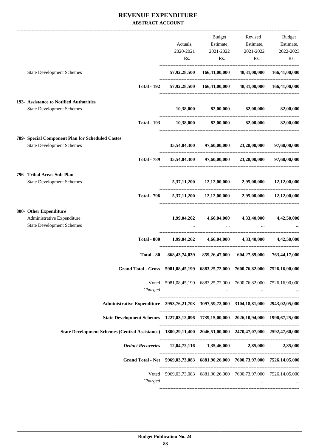|                                                                                                            |                                                                   | Budget                   | Revised                                                                       | Budget       |
|------------------------------------------------------------------------------------------------------------|-------------------------------------------------------------------|--------------------------|-------------------------------------------------------------------------------|--------------|
|                                                                                                            | Actuals,                                                          |                          | Estimate, Estimate, Estimate,                                                 |              |
|                                                                                                            |                                                                   | 2020-2021 2021-2022      | 2021-2022                                                                     | 2022-2023    |
|                                                                                                            |                                                                   | Rs.                      | Rs.                                                                           | Rs.<br>Rs.   |
| <b>State Development Schemes</b>                                                                           |                                                                   |                          | 57,92,28,500 166,41,00,000 48,31,00,000 166,41,00,000                         |              |
| <b>Total - 192</b>                                                                                         |                                                                   |                          | 57,92,28,500 166,41,00,000 48,31,00,000 166,41,00,000                         |              |
| 193- Assistance to Notified Authorities                                                                    |                                                                   |                          |                                                                               |              |
| <b>State Development Schemes</b>                                                                           |                                                                   |                          | $10,38,000$ $82,00,000$ $82,00,000$ $82,00,000$                               |              |
| <b>Total - 193</b>                                                                                         |                                                                   |                          | $10,38,000$ $82,00,000$ $82,00,000$                                           | 82,00,000    |
| 789- Special Component Plan for Scheduled Castes                                                           |                                                                   |                          |                                                                               |              |
| <b>State Development Schemes</b>                                                                           | 35,54,84,300                                                      |                          | 97,60,00,000 23,28,00,000 97,60,00,000                                        |              |
|                                                                                                            | Total - 789 35,54,84,300 97,60,00,000 23,28,00,000 97,60,00,000   |                          |                                                                               |              |
| 796- Tribal Areas Sub-Plan                                                                                 |                                                                   |                          |                                                                               |              |
| <b>State Development Schemes</b>                                                                           |                                                                   |                          | 5,37,11,200 12,12,00,000 2,95,00,000                                          | 12,12,00,000 |
| <b>Total - 796</b>                                                                                         |                                                                   |                          | $5,37,11,200$ $12,12,00,000$ $2,95,00,000$ $12,12,00,000$                     |              |
| 800- Other Expenditure                                                                                     |                                                                   |                          |                                                                               |              |
| Administrative Expenditure<br><b>State Development Schemes</b>                                             |                                                                   |                          | 1,99,04,262 4,66,04,000 4,33,40,000 4,42,50,000                               |              |
| <b>Total - 800</b>                                                                                         |                                                                   |                          | $1,99,04,262$ $4,66,04,000$ $4,33,40,000$ $4,42,50,000$                       |              |
| Total - 80                                                                                                 |                                                                   |                          | 868, 43, 74, 039 859, 26, 47, 000 604, 27, 89, 000 763, 44, 17, 000           |              |
| Grand Total - Gross 5981,08,45,199 6883,25,72,000 7600,76,82,000 7526,16,90,000                            |                                                                   |                          |                                                                               |              |
|                                                                                                            | Voted 5981,08,45,199 6883,25,72,000 7600,76,82,000 7526,16,90,000 |                          |                                                                               |              |
| Charged                                                                                                    |                                                                   |                          | المقارب والمستحدث والمتفاول والمستحدث والمستحدث والمستحدث والمستحدث والمستحدث |              |
| Administrative Expenditure 2953,76,21,703 3097,59,72,000 3104,18,81,000 2943,02,05,000                     |                                                                   |                          |                                                                               |              |
| State Development Schemes 1227,03,12,096 1739,15,00,000 2026,10,94,000 1990,67,25,000                      |                                                                   |                          |                                                                               |              |
| State Development Schemes (Central Assistance) 1800,29,11,400 2046,51,00,000 2470,47,07,000 2592,47,60,000 |                                                                   |                          |                                                                               |              |
| Deduct Recoveries -12,04,72,116 -1,35,46,000 -2,85,000 -2,85,000                                           |                                                                   |                          |                                                                               |              |
| Grand Total - Net 5969,03,73,083 6881,90,26,000 7600,73,97,000 7526,14,05,000                              |                                                                   |                          |                                                                               |              |
|                                                                                                            | Voted 5969,03,73,083 6881,90,26,000 7600,73,97,000 7526,14,05,000 |                          |                                                                               |              |
| Charged                                                                                                    | <b>Contract Contract</b>                                          | <b>Contract Contract</b> |                                                                               |              |
|                                                                                                            |                                                                   |                          |                                                                               |              |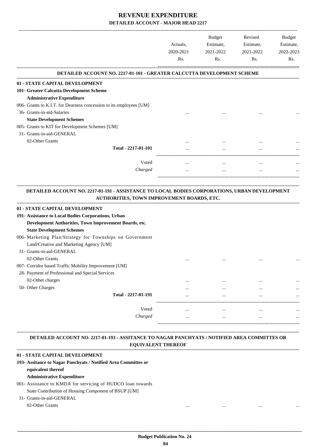|                                                                        |           | Budget    | Revised   | Budget    |
|------------------------------------------------------------------------|-----------|-----------|-----------|-----------|
|                                                                        | Actuals,  | Estimate, | Estimate, | Estimate, |
|                                                                        | 2020-2021 | 2021-2022 | 2021-2022 | 2022-2023 |
|                                                                        | Rs.       | Rs.       | Rs.       | Rs.       |
| DETAILED ACCOUNT NO. 2217-01-101 - GREATER CALCUTTA DEVELOPMENT SCHEME |           |           |           |           |
| 01 - STATE CAPITAL DEVELOPMENT                                         |           |           |           |           |
| 101- Greater Calcutta Development Scheme                               |           |           |           |           |
| <b>Administrative Expenditure</b>                                      |           |           |           |           |
| 006- Grants to K.I.T. for Dearness concession to its employees [UM]    |           |           |           |           |
| 36- Grants-in-aid-Salaries                                             |           |           |           |           |
| <b>State Development Schemes</b>                                       |           |           |           |           |
| 005- Grants to KIT for Development Schemes [UM]                        |           |           |           |           |
| 31- Grants-in-aid-GENERAL                                              |           |           |           |           |
| 02-Other Grants                                                        | $\cdots$  |           |           | $\cdots$  |
| Total - 2217-01-101                                                    |           |           |           |           |
| Voted                                                                  |           | $\cdots$  | $\cdots$  | $\cdots$  |
| Charged                                                                | $\cdots$  | $\cdots$  | $\cdots$  |           |
|                                                                        |           |           |           |           |

#### **DETAILED ACCOUNT NO. 2217-01-191 - ASSISTANCE TO LOCAL BODIES CORPORATIONS, URBAN DEVELOPMENT AUTHORITIES, TOWN IMPROVEMENT BOARDS, ETC. .**

.

.

| 01 - STATE CAPITAL DEVELOPMENT                           |          |          |          |          |
|----------------------------------------------------------|----------|----------|----------|----------|
| 191- Assistance to Local Bodies Corporations, Urban      |          |          |          |          |
| Development Authorities, Town Improvement Boards, etc.   |          |          |          |          |
| <b>State Development Schemes</b>                         |          |          |          |          |
| 006- Marketing Plan/Strategy for Townships on Government |          |          |          |          |
| Land/Creative and Marketing Agency [UM]                  |          |          |          |          |
| 31- Grants-in-aid-GENERAL                                |          |          |          |          |
| 02-Other Grants                                          | $\cdots$ | $\cdots$ |          |          |
| 007- Corridor based Traffic Mobility Improvement [UM]    |          |          |          |          |
| 28- Payment of Professional and Special Services         |          |          |          |          |
| 02-Other charges                                         | $\cdots$ | $\cdots$ | $\cdots$ | $\cdots$ |
| 50- Other Charges                                        | $\cdots$ | $\cdots$ | $\cdots$ | $\cdots$ |
| Total - 2217-01-191                                      | $\cdots$ | $\cdots$ | $\cdots$ | $\cdots$ |
|                                                          |          |          |          |          |
| Voted                                                    | $\cdots$ |          | $\cdots$ | $\cdots$ |
| Charged                                                  | $\cdots$ | $\cdots$ | $\cdots$ | $\cdots$ |
|                                                          |          |          |          |          |

#### **DETAILED ACCOUNT NO. 2217-01-193 - ASSITANCE TO NAGAR PANCHYATS / NOTIFIED AREA COMMITTES OR EQUIVALENT THEREOF .**

### **01 - STATE CAPITAL DEVELOPMENT**

### **193- Assitance to Nagar Panchyats / Notified Area Committes or equivalent thereof**

### **Administrative Expenditure**

### 001- Assistance to KMDA for servicing of HUDCO loan towards State Contribution of Housing Component of BSUP [UM]

### 31- Grants-in-aid-GENERAL

### 02-Other Grants ... ... ... ...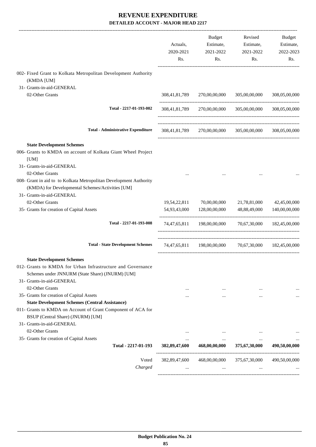|                                                                                                                | Actuals,<br>2020-2021<br>Rs. | Budget<br>Estimate,<br>2021-2022<br>Rs. | Revised<br>Estimate,<br>2021-2022<br>Rs.              | Budget<br>Estimate,<br>2022-2023<br>Rs. |
|----------------------------------------------------------------------------------------------------------------|------------------------------|-----------------------------------------|-------------------------------------------------------|-----------------------------------------|
| 002- Fixed Grant to Kolkata Metropolitan Development Authority                                                 |                              |                                         |                                                       |                                         |
| (KMDA [UM]                                                                                                     |                              |                                         |                                                       |                                         |
| 31- Grants-in-aid-GENERAL<br>02-Other Grants                                                                   |                              |                                         |                                                       | 308,05,00,000                           |
|                                                                                                                | 308,41,81,789                | 270,00,00,000                           | 305,00,00,000                                         |                                         |
| Total - 2217-01-193-002                                                                                        |                              | 308,41,81,789 270,00,00,000             | 305,00,00,000                                         | 308,05,00,000                           |
| <b>Total - Administrative Expenditure</b>                                                                      | 308,41,81,789                | 270,00,00,000                           | 305,00,00,000                                         | 308,05,00,000                           |
|                                                                                                                |                              |                                         |                                                       |                                         |
| <b>State Development Schemes</b><br>006- Grants to KMDA on account of Kolkata Giant Wheel Project<br>[UM]      |                              |                                         |                                                       |                                         |
| 31- Grants-in-aid-GENERAL                                                                                      |                              |                                         |                                                       |                                         |
| 02-Other Grants                                                                                                |                              |                                         |                                                       |                                         |
| 008- Grant in aid to to Kolkata Metropolitan Development Authority                                             |                              |                                         |                                                       |                                         |
| (KMDA) for Developmental Schemes/Activities [UM]                                                               |                              |                                         |                                                       |                                         |
| 31- Grants-in-aid-GENERAL                                                                                      |                              |                                         |                                                       |                                         |
| 02-Other Grants<br>35- Grants for creation of Capital Assets                                                   | 19,54,22,811<br>54,93,43,000 | 70,00,00,000<br>128,00,00,000           | 21,78,81,000<br>48,88,49,000                          | 42,45,00,000<br>140,00,00,000           |
|                                                                                                                |                              |                                         |                                                       |                                         |
| Total - 2217-01-193-008                                                                                        |                              |                                         | 74,47,65,811 198,00,00,000 70,67,30,000 182,45,00,000 |                                         |
| <b>Total - State Development Schemes</b>                                                                       |                              |                                         | 74,47,65,811 198,00,00,000 70,67,30,000 182,45,00,000 |                                         |
| <b>State Development Schemes</b>                                                                               |                              |                                         |                                                       |                                         |
| 012- Grants to KMDA for Urban Infrastructure and Governance<br>Schemes under JNNURM (State Share) (JNURM) [UM] |                              |                                         |                                                       |                                         |
| 31- Grants-in-aid-GENERAL<br>02-Other Grants                                                                   |                              |                                         |                                                       |                                         |
| 35- Grants for creation of Capital Assets                                                                      | $\cdots$<br>                 | $\ddotsc$<br>                           | $\cdots$<br>$\cdots$                                  |                                         |
| <b>State Development Schemes (Central Assistance)</b>                                                          |                              |                                         |                                                       |                                         |
| 011- Grants to KMDA on Account of Grant Component of ACA for                                                   |                              |                                         |                                                       |                                         |
| BSUP (Central Share) (JNURM) [UM]                                                                              |                              |                                         |                                                       |                                         |
| 31- Grants-in-aid-GENERAL                                                                                      |                              |                                         |                                                       |                                         |
| 02-Other Grants                                                                                                | $\cdots$                     |                                         |                                                       |                                         |
| 35- Grants for creation of Capital Assets<br>Total - 2217-01-193                                               | $\cdots$<br>382, 89, 47, 600 | $\ddotsc$<br>468,00,00,000              | $\cdots$<br>375,67,30,000                             | 490,50,00,000                           |
|                                                                                                                |                              |                                         |                                                       |                                         |
| Voted                                                                                                          | 382,89,47,600                | 468,00,00,000                           | 375,67,30,000                                         | 490,50,00,000                           |
| Charged                                                                                                        |                              |                                         |                                                       |                                         |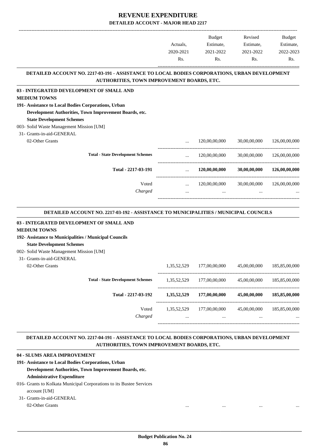|                                                                                               |           | <b>Budget</b>                                     | Revised                                  | Budget        |
|-----------------------------------------------------------------------------------------------|-----------|---------------------------------------------------|------------------------------------------|---------------|
|                                                                                               | Actuals,  |                                                   | Estimate, Estimate,                      | Estimate,     |
|                                                                                               | 2020-2021 | 2021-2022                                         | 2021-2022                                | 2022-2023     |
|                                                                                               | Rs.       | Rs.                                               | Rs.                                      | Rs.           |
| DETAILED ACCOUNT NO. 2217-03-191 - ASSISTANCE TO LOCAL BODIES CORPORATIONS, URBAN DEVELOPMENT |           |                                                   |                                          |               |
| AUTHORITIES, TOWN IMPROVEMENT BOARDS, ETC.                                                    |           |                                                   |                                          |               |
| 03 - INTEGRATED DEVELOPMENT OF SMALL AND                                                      |           |                                                   |                                          |               |
| <b>MEDIUM TOWNS</b>                                                                           |           |                                                   |                                          |               |
| 191- Assistance to Local Bodies Corporations, Urban                                           |           |                                                   |                                          |               |
| Development Authorities, Town Improvement Boards, etc.                                        |           |                                                   |                                          |               |
| <b>State Development Schemes</b>                                                              |           |                                                   |                                          |               |
| 003- Solid Waste Management Mission [UM]                                                      |           |                                                   |                                          |               |
| 31- Grants-in-aid-GENERAL                                                                     |           |                                                   |                                          |               |
| 02-Other Grants                                                                               |           | 120,00,00,000                                     | 30,00,00,000                             | 126,00,00,000 |
| <b>Total - State Development Schemes</b>                                                      | $\cdots$  |                                                   | 120,00,00,000 30,00,00,000 126,00,00,000 |               |
| Total - 2217-03-191                                                                           |           | $120,00,00,000$ $30,00,00,000$ $126,00,00,000$    |                                          |               |
| Voted                                                                                         |           | $\ldots$ 120,00,00,000 30,00,00,000 126,00,00,000 |                                          |               |
| Charged                                                                                       |           |                                                   |                                          |               |
| DETAILED ACCOUNT NO. 2217-03-192 - ASSISTANCE TO MUNICIPALITIES / MUNICIPAL COUNCILS          |           |                                                   |                                          |               |
| 03 - INTEGRATED DEVELOPMENT OF SMALL AND<br><b>MEDIUM TOWNS</b>                               |           |                                                   |                                          |               |

**192- Assistance to Municipalities / Municipal Councils**

### **State Development Schemes**

### 002- Solid Waste Management Mission [UM]

| 31- Grants-in-aid-GENERAL<br>02-Other Grants |                                          | 1,35,52,529             | 177,00,00,000             | 45,00,00,000     | 185,85,00,000     |
|----------------------------------------------|------------------------------------------|-------------------------|---------------------------|------------------|-------------------|
|                                              | <b>Total - State Development Schemes</b> | 1.35.52.529             | 177,00,00,000             | 45,00,00,000     | 185,85,00,000     |
|                                              | Total - 2217-03-192                      | 1,35,52,529             | 177,00,00,000             | 45,00,00,000     | 185,85,00,000     |
|                                              | Voted<br>Charged                         | 1.35.52.529<br>$\cdots$ | 177,00,00,000<br>$\cdots$ | 45,00,00,000<br> | 185,85,00,000<br> |
|                                              |                                          |                         |                           |                  |                   |

#### **DETAILED ACCOUNT NO. 2217-04-191 - ASSISTANCE TO LOCAL BODIES CORPORATIONS, URBAN DEVELOPMENT AUTHORITIES, TOWN IMPROVEMENT BOARDS, ETC. .**

.

### **04 - SLUMS AREA IMPROVEMENT**

**191- Assistance to Local Bodies Corporations, Urban Development Authorities, Town Improvement Boards, etc. Administrative Expenditure**

016- Grants to Kolkata Municipal Corporations to its Bustee Services account [UM]

### 31- Grants-in-aid-GENERAL 02-Other Grants ... ... ... ...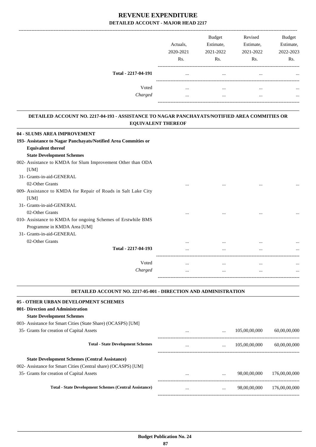|                     |           | <b>Budget</b> | Revised   | <b>Budget</b> |
|---------------------|-----------|---------------|-----------|---------------|
|                     | Actuals.  | Estimate,     | Estimate, | Estimate,     |
|                     | 2020-2021 | 2021-2022     | 2021-2022 | 2022-2023     |
|                     | Rs.       | Rs.           | Rs.       | Rs.           |
| Total - 2217-04-191 | $\cdots$  | $\cdots$      |           |               |
| Voted               | $\cdots$  | $\cdots$      |           |               |
| Charged             |           |               |           |               |
|                     |           |               |           |               |

#### **DETAILED ACCOUNT NO. 2217-04-193 - ASSISTANCE TO NAGAR PANCHAYATS/NOTIFIED AREA COMMITIES OR EQUIVALENT THEREOF .**

.

.

| 04 - SLUMS AREA IMPROVEMENT                                    |          |          |          |          |
|----------------------------------------------------------------|----------|----------|----------|----------|
| 193- Assistance to Nagar Panchayats/Notified Area Commities or |          |          |          |          |
| <b>Equivalent thereof</b>                                      |          |          |          |          |
| <b>State Development Schemes</b>                               |          |          |          |          |
| 002- Assistance to KMDA for Slum Improvement Other than ODA    |          |          |          |          |
| [UM]                                                           |          |          |          |          |
| 31- Grants-in-aid-GENERAL                                      |          |          |          |          |
| 02-Other Grants                                                | $\cdots$ | $\cdots$ | $\cdots$ | $\cdots$ |
| 009- Assistance to KMDA for Repair of Roads in Salt Lake City  |          |          |          |          |
| [UM]                                                           |          |          |          |          |
| 31- Grants-in-aid-GENERAL                                      |          |          |          |          |
| 02-Other Grants                                                | $\cdots$ | $\cdots$ | $\cdots$ |          |
| 010- Assistance to KMDA for ongoing Schemes of Erstwhile BMS   |          |          |          |          |
| Programme in KMDA Area [UM]                                    |          |          |          |          |
| 31- Grants-in-aid-GENERAL                                      |          |          |          |          |
| 02-Other Grants                                                | $\cdots$ |          | $\cdots$ |          |
| Total - 2217-04-193                                            | $\cdots$ | $\cdots$ |          | $\cdots$ |
|                                                                |          |          |          |          |
| Voted                                                          | $\cdots$ | $\cdots$ | $\cdots$ | $\cdots$ |
| Charged                                                        | $\cdots$ | $\cdots$ | $\cdots$ | $\cdots$ |
|                                                                |          |          |          |          |

### **DETAILED ACCOUNT NO. 2217-05-001 - DIRECTION AND ADMINISTRATION**

| 05 - OTHER URBAN DEVELOPMENT SCHEMES                           |          |          |               |               |
|----------------------------------------------------------------|----------|----------|---------------|---------------|
| 001- Direction and Administration                              |          |          |               |               |
| <b>State Development Schemes</b>                               |          |          |               |               |
| 003- Assistance for Smart Cities (State Share) (OCASPS) [UM]   |          |          |               |               |
| 35- Grants for creation of Capital Assets                      | $\cdots$ | $\cdots$ | 105,00,00,000 | 60,00,00,000  |
| <b>Total - State Development Schemes</b>                       | $\cdots$ | $\cdots$ | 105,00,00,000 | 60,00,00,000  |
| <b>State Development Schemes (Central Assistance)</b>          |          |          |               |               |
| 002- Assistance for Smart Cities (Central share) (OCASPS) [UM] |          |          |               |               |
| 35- Grants for creation of Capital Assets                      | $\cdots$ | $\cdots$ | 98,00,00,000  | 176,00,00,000 |
| <b>Total - State Development Schemes (Central Assistance)</b>  | $\cdots$ | $\cdots$ | 98,00,00,000  | 176,00,00,000 |
|                                                                |          |          |               |               |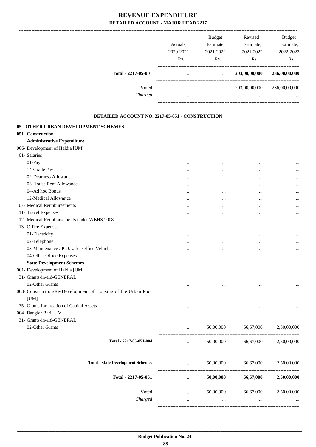|                     | Actuals.  | <b>Budget</b><br>Estimate, | Revised<br>Estimate, | Budget<br>Estimate, |
|---------------------|-----------|----------------------------|----------------------|---------------------|
|                     | 2020-2021 | 2021-2022                  | 2021-2022            | 2022-2023           |
|                     | Rs.       | Rs.                        | Rs.                  | Rs.                 |
| Total - 2217-05-001 | $\cdots$  | $\cdots$                   | 203,00,00,000        | 236,00,00,000       |
| Voted               | $\cdots$  | $\cdots$                   | 203,00,00,000        | 236,00,00,000       |
| Charged             |           | $\cdots$                   | $\cdots$             | $\cdots$            |
|                     |           |                            |                      |                     |

| DETAILED ACCOUNT NO. 2217-05-051 - CONSTRUCTION               |           |           |           |             |
|---------------------------------------------------------------|-----------|-----------|-----------|-------------|
| 05 - OTHER URBAN DEVELOPMENT SCHEMES                          |           |           |           |             |
| 051- Construction                                             |           |           |           |             |
| <b>Administrative Expenditure</b>                             |           |           |           |             |
| 006- Development of Haldia [UM]                               |           |           |           |             |
| 01- Salaries                                                  |           |           |           |             |
| 01-Pay                                                        | $\ddotsc$ |           | $\ddotsc$ |             |
| 14-Grade Pay                                                  | $\cdots$  | $\ddotsc$ | $\cdots$  |             |
| 02-Dearness Allowance                                         |           |           | $\cdots$  |             |
| 03-House Rent Allowance                                       | $\cdots$  | $\ddotsc$ | $\cdots$  |             |
| 04-Ad hoc Bonus                                               | $\cdots$  | $\cdots$  | $\cdots$  | $\cdots$    |
| 12-Medical Allowance                                          | $\cdots$  | $\ddotsc$ | $\cdots$  |             |
| 07- Medical Reimbursements                                    |           |           | $\ddotsc$ |             |
| 11- Travel Expenses                                           | $\cdots$  | $\ddotsc$ | $\cdots$  |             |
| 12- Medical Reimbursements under WBHS 2008                    | $\cdots$  |           | $\cdots$  | $\cdots$    |
| 13- Office Expenses                                           |           |           |           |             |
| 01-Electricity                                                |           | $\ddotsc$ | $\cdots$  | $\cdots$    |
| 02-Telephone                                                  | $\cdots$  | $\cdots$  | $\cdots$  | $\cdots$    |
| 03-Maintenance / P.O.L. for Office Vehicles                   |           | $\cdots$  | $\cdots$  |             |
| 04-Other Office Expenses                                      |           | $\ddotsc$ | $\ddotsc$ |             |
| <b>State Development Schemes</b>                              |           |           |           |             |
| 001- Development of Haldia [UM]                               |           |           |           |             |
| 31- Grants-in-aid-GENERAL                                     |           |           |           |             |
| 02-Other Grants                                               | $\cdots$  | $\ddotsc$ | $\ddotsc$ |             |
| 003- Construction/Re-Development of Housing of the Urban Poor |           |           |           |             |
| [UM]                                                          |           |           |           |             |
| 35- Grants for creation of Capital Assets                     | $\cdots$  | $\cdots$  |           |             |
| 004- Banglar Bari [UM]                                        |           |           |           |             |
| 31- Grants-in-aid-GENERAL                                     |           |           |           |             |
| 02-Other Grants                                               |           | 50,00,000 | 66,67,000 | 2,50,00,000 |
| Total - 2217-05-051-004                                       |           | 50,00,000 | 66,67,000 | 2,50,00,000 |
|                                                               |           |           |           |             |
| <b>Total - State Development Schemes</b>                      |           | 50,00,000 | 66,67,000 | 2,50,00,000 |
| Total - 2217-05-051                                           |           | 50,00,000 | 66,67,000 | 2,50,00,000 |
| Voted                                                         |           | 50,00,000 | 66,67,000 | 2,50,00,000 |
| Charged                                                       |           | $\cdots$  | $\cdots$  |             |

-----------------------------------------------------------------------------------------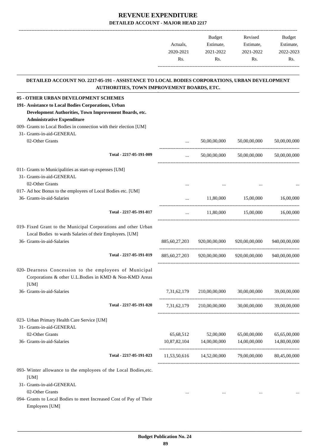|           | <b>Budget</b> | Revised   | <b>Budget</b> |
|-----------|---------------|-----------|---------------|
| Actuals.  | Estimate.     | Estimate, | Estimate,     |
| 2020-2021 | 2021-2022     | 2021-2022 | 2022-2023     |
| Rs.       | Rs.           | Rs.       | Rs.           |
|           |               |           |               |

#### **DETAILED ACCOUNT NO. 2217-05-191 - ASSISTANCE TO LOCAL BODIES CORPORATIONS, URBAN DEVELOPMENT AUTHORITIES, TOWN IMPROVEMENT BOARDS, ETC. .**

.

| 05 - OTHER URBAN DEVELOPMENT SCHEMES                                                                                                                    |              |                             |                                                         |               |
|---------------------------------------------------------------------------------------------------------------------------------------------------------|--------------|-----------------------------|---------------------------------------------------------|---------------|
| 191- Assistance to Local Bodies Corporations, Urban                                                                                                     |              |                             |                                                         |               |
| Development Authorities, Town Improvement Boards, etc.                                                                                                  |              |                             |                                                         |               |
| <b>Administrative Expenditure</b>                                                                                                                       |              |                             |                                                         |               |
| 009- Grants to Local Bodies in connection with their election [UM]                                                                                      |              |                             |                                                         |               |
| 31- Grants-in-aid-GENERAL                                                                                                                               |              |                             |                                                         |               |
| 02-Other Grants                                                                                                                                         | $\ddots$     | 50,00,00,000                | 50,00,00,000                                            | 50,00,00,000  |
| Total - 2217-05-191-009                                                                                                                                 | $\cdots$     |                             | 50,00,00,000 50,00,00,000                               | 50,00,00,000  |
| 011- Grants to Municipalities as start-up expenses [UM]                                                                                                 |              |                             |                                                         |               |
| 31- Grants-in-aid-GENERAL                                                                                                                               |              |                             |                                                         |               |
| 02-Other Grants                                                                                                                                         |              |                             |                                                         |               |
| 017- Ad hoc Bonus to the employees of Local Bodies etc. [UM]                                                                                            |              |                             |                                                         |               |
| 36- Grants-in-aid-Salaries                                                                                                                              |              | <b>Sales Committee</b>      | 11,80,000 15,00,000                                     | 16,00,000     |
| Total - 2217-05-191-017                                                                                                                                 |              |                             | $11,80,000$ $15,00,000$ $16,00,000$                     |               |
| 019- Fixed Grant to the Municipal Corporations and other Urban<br>Local Bodies to wards Salaries of their Employees. [UM]<br>36- Grants-in-aid-Salaries |              | 885,60,27,203 920,00,00,000 | 920,00,00,000                                           | 940,00,00,000 |
| Total - 2217-05-191-019                                                                                                                                 |              |                             | 885,60,27,203 920,00,00,000 920,00,00,000 940,00,00,000 |               |
| 020- Dearness Concession to the employees of Municipal<br>Corporations & other U.L.Bodies in KMD & Non-KMD Areas<br>[UM]                                |              |                             |                                                         |               |
| 36- Grants-in-aid-Salaries                                                                                                                              | 7,31,62,179  | 210,00,00,000               | 30,00,00,000                                            | 39,00,00,000  |
| Total - 2217-05-191-020                                                                                                                                 | 7.31.62.179  | 210,00,00,000               | 30,00,00,000                                            | 39,00,00,000  |
| 023- Urban Primary Health Care Service [UM]                                                                                                             |              |                             |                                                         |               |
| 31- Grants-in-aid-GENERAL                                                                                                                               |              |                             |                                                         |               |
| 02-Other Grants                                                                                                                                         | 65,68,512    | 52,00,000                   | 65,00,00,000                                            | 65,65,00,000  |
| 36- Grants-in-aid-Salaries                                                                                                                              | 10,87,82,104 | 14,00,00,000                | 14,00,00,000                                            | 14,80,00,000  |
| Total - 2217-05-191-023                                                                                                                                 |              | 11,53,50,616 14,52,00,000   | 79,00,00,000                                            | 80,45,00,000  |
| 093- Winter allowance to the employees of the Local Bodies, etc.<br>[UM]<br>31- Grants-in-aid-GENERAL                                                   |              |                             |                                                         |               |
| 02-Other Grants                                                                                                                                         | $\cdots$     | $\cdots$                    | $\cdots$                                                |               |
| 094- Grants to Local Bodies to meet Increased Cost of Pay of Their<br>Employees [UM]                                                                    |              |                             |                                                         |               |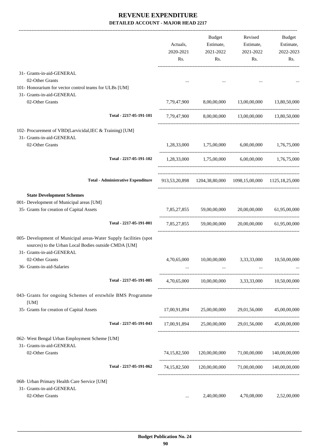|                                                                                                                                                        |                                           | Actuals,<br>2020-2021<br>Rs. | Budget<br>Estimate,<br>2021-2022<br>Rs. | Revised<br>Estimate,<br>2021-2022<br>Rs.                   | Budget<br>Estimate,<br>2022-2023<br>Rs. |
|--------------------------------------------------------------------------------------------------------------------------------------------------------|-------------------------------------------|------------------------------|-----------------------------------------|------------------------------------------------------------|-----------------------------------------|
| 31- Grants-in-aid-GENERAL                                                                                                                              |                                           |                              |                                         |                                                            |                                         |
| 02-Other Grants                                                                                                                                        |                                           |                              |                                         |                                                            |                                         |
| 101- Honorarium for vector control teams for ULBs [UM]                                                                                                 |                                           |                              |                                         |                                                            |                                         |
| 31- Grants-in-aid-GENERAL                                                                                                                              |                                           |                              |                                         |                                                            |                                         |
| 02-Other Grants                                                                                                                                        |                                           | 7,79,47,900                  |                                         | 8,00,00,000 13,00,00,000                                   | 13,80,50,000                            |
|                                                                                                                                                        | Total - 2217-05-191-101                   |                              |                                         | 7,79,47,900 8,00,00,000 13,00,00,000 13,80,50,000          |                                         |
| 102- Procurement of VBD(Larvicidal, IEC & Training) [UM]<br>31- Grants-in-aid-GENERAL                                                                  |                                           |                              |                                         |                                                            |                                         |
| 02-Other Grants                                                                                                                                        |                                           |                              | 1,28,33,000 1,75,00,000                 |                                                            | 6,00,00,000 1,76,75,000                 |
|                                                                                                                                                        | Total - 2217-05-191-102                   |                              |                                         | 1,28,33,000 1,75,00,000 6,00,00,000 1,76,75,000            |                                         |
|                                                                                                                                                        | <b>Total - Administrative Expenditure</b> |                              |                                         | 913,53,20,898 1204,38,80,000 1098,15,00,000 1125,18,25,000 |                                         |
| <b>State Development Schemes</b>                                                                                                                       |                                           |                              |                                         |                                                            |                                         |
| 001- Development of Municipal areas [UM]                                                                                                               |                                           |                              |                                         |                                                            |                                         |
| 35- Grants for creation of Capital Assets                                                                                                              |                                           | 7,85,27,855                  | 59,00,00,000                            | 20,00,00,000                                               | 61,95,00,000                            |
|                                                                                                                                                        | Total - 2217-05-191-001                   |                              |                                         | 7,85,27,855 59,00,00,000 20,00,00,000 61,95,00,000         |                                         |
| 005- Development of Municipal areas-Water Supply facilities (spot<br>sources) to the Urban Local Bodies outside CMDA [UM]<br>31- Grants-in-aid-GENERAL |                                           |                              |                                         |                                                            |                                         |
| 02-Other Grants                                                                                                                                        |                                           | 4,70,65,000                  | 10,00,00,000                            | 3,33,33,000                                                | 10,50,00,000                            |
| 36- Grants-in-aid-Salaries                                                                                                                             |                                           |                              |                                         |                                                            |                                         |
|                                                                                                                                                        | Total - 2217-05-191-005                   |                              |                                         | 4,70,65,000 10,00,00,000 3,33,33,000 10,50,00,000          |                                         |
| 043- Grants for ongoing Schemes of erstwhile BMS Programme<br>[UM]                                                                                     |                                           |                              |                                         |                                                            |                                         |
| 35- Grants for creation of Capital Assets                                                                                                              |                                           |                              |                                         | 17,00,91,894 25,00,00,000 29,01,56,000 45,00,00,000        |                                         |
|                                                                                                                                                        | Total - 2217-05-191-043                   |                              |                                         | 17,00,91,894 25,00,00,000 29,01,56,000 45,00,00,000        |                                         |
| 062- West Bengal Urban Employment Scheme [UM]<br>31- Grants-in-aid-GENERAL                                                                             |                                           |                              |                                         |                                                            |                                         |
| 02-Other Grants                                                                                                                                        |                                           |                              |                                         | 74,15,82,500 120,00,00,000 71,00,00,000                    | 140,00,00,000                           |
|                                                                                                                                                        | Total - 2217-05-191-062                   |                              |                                         | 74,15,82,500 120,00,00,000 71,00,00,000 140,00,00,000      |                                         |
| 068- Urban Primary Health Care Service [UM]                                                                                                            |                                           |                              |                                         |                                                            |                                         |
| 31- Grants-in-aid-GENERAL                                                                                                                              |                                           |                              |                                         |                                                            |                                         |
| 02-Other Grants                                                                                                                                        |                                           | $\cdots$                     | 2,40,00,000                             | 4,70,08,000                                                | 2,52,00,000                             |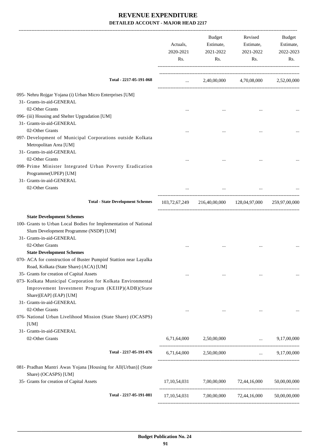|                                                                                         | Actuals,<br>2020-2021<br>Rs. | Budget<br>Estimate,<br>2021-2022<br>Rs.                 | Revised<br>Estimate,<br>2021-2022<br>Rs. | Budget<br>Estimate,<br>2022-2023<br>Rs. |
|-----------------------------------------------------------------------------------------|------------------------------|---------------------------------------------------------|------------------------------------------|-----------------------------------------|
| Total - 2217-05-191-068                                                                 | <b>Sales Committee</b>       |                                                         | 2,40,00,000 4,70,08,000 2,52,00,000      |                                         |
| 095- Nehru Rojgar Yojana (i) Urban Micro Enterprises [UM]                               |                              |                                                         |                                          |                                         |
| 31- Grants-in-aid-GENERAL                                                               |                              |                                                         |                                          |                                         |
| 02-Other Grants                                                                         |                              | $\cdots$                                                |                                          |                                         |
| 096- (iii) Housing and Shelter Upgradation [UM]                                         |                              |                                                         |                                          |                                         |
| 31- Grants-in-aid-GENERAL                                                               |                              |                                                         |                                          |                                         |
| 02-Other Grants                                                                         |                              |                                                         |                                          |                                         |
| 097- Development of Municipal Corporations outside Kolkata                              |                              |                                                         |                                          |                                         |
| Metropolitan Area [UM]                                                                  |                              |                                                         |                                          |                                         |
| 31- Grants-in-aid-GENERAL                                                               |                              |                                                         |                                          |                                         |
| 02-Other Grants                                                                         |                              |                                                         |                                          |                                         |
| 098- Prime Minister Integrated Urban Poverty Eradication<br>Programme(UPEP) [UM]        |                              |                                                         |                                          |                                         |
| 31- Grants-in-aid-GENERAL                                                               |                              |                                                         |                                          |                                         |
| 02-Other Grants                                                                         |                              |                                                         |                                          |                                         |
|                                                                                         |                              |                                                         |                                          |                                         |
| <b>Total - State Development Schemes</b>                                                |                              | 103,72,67,249 216,40,00,000 128,04,97,000 259,97,00,000 |                                          |                                         |
| <b>State Development Schemes</b>                                                        |                              |                                                         |                                          |                                         |
| 100- Grants to Urban Local Bodies for Implementation of National                        |                              |                                                         |                                          |                                         |
| Slum Development Programme (NSDP) [UM]                                                  |                              |                                                         |                                          |                                         |
| 31- Grants-in-aid-GENERAL                                                               |                              |                                                         |                                          |                                         |
| 02-Other Grants                                                                         |                              |                                                         |                                          |                                         |
| <b>State Development Schemes</b>                                                        |                              |                                                         |                                          |                                         |
| 070- ACA for construction of Buster Pumpinf Stattion near Layalka                       |                              |                                                         |                                          |                                         |
| Road, Kolkata (State Share) (ACA) [UM]                                                  |                              |                                                         |                                          |                                         |
| 35- Grants for creation of Capital Assets                                               |                              |                                                         |                                          |                                         |
| 073- Kolkata Municipal Corporation for Kolkata Environmental                            |                              |                                                         |                                          |                                         |
| Improvement Investment Program (KEIIP)(ADB)(State                                       |                              |                                                         |                                          |                                         |
| Share)[EAP] (EAP) [UM]                                                                  |                              |                                                         |                                          |                                         |
| 31- Grants-in-aid-GENERAL                                                               |                              |                                                         |                                          |                                         |
| 02-Other Grants                                                                         |                              |                                                         |                                          |                                         |
| 076- National Urban Livelihood Mission (State Share) (OCASPS)<br>[UM]                   |                              |                                                         |                                          |                                         |
| 31- Grants-in-aid-GENERAL                                                               |                              |                                                         |                                          |                                         |
| 02-Other Grants                                                                         |                              | 6,71,64,000 2,50,00,000                                 | $\ldots$ 9,17,00,000                     |                                         |
|                                                                                         |                              |                                                         |                                          |                                         |
| Total - 2217-05-191-076                                                                 |                              | 6,71,64,000 2,50,00,000                                 |                                          | $\ldots$ 9,17,00,000                    |
| 081- Pradhan Mantri Awas Yojana [Housing for All(Urban)] (State<br>Share) (OCASPS) [UM] |                              |                                                         |                                          |                                         |
| 35- Grants for creation of Capital Assets                                               |                              | 17,10,54,031 7,00,00,000 72,44,16,000                   |                                          | 50,00,00,000                            |
| Total - 2217-05-191-081                                                                 |                              | 17,10,54,031 7,00,00,000 72,44,16,000 50,00,00,000      |                                          |                                         |
|                                                                                         |                              |                                                         |                                          |                                         |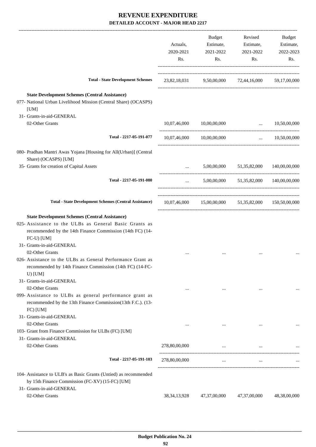|                                                                                                                                                                                            | Actuals,<br>2020-2021<br>Rs. | Budget<br>Estimate,<br>2021-2022<br>Rs.              | Revised<br>Estimate,<br>2021-2022<br>Rs.                                                                                                                                                    | Budget<br>Estimate,<br>2022-2023<br>Rs. |
|--------------------------------------------------------------------------------------------------------------------------------------------------------------------------------------------|------------------------------|------------------------------------------------------|---------------------------------------------------------------------------------------------------------------------------------------------------------------------------------------------|-----------------------------------------|
| <b>Total - State Development Schemes</b>                                                                                                                                                   | 23,82,18,031                 |                                                      | 9,50,00,000 72,44,16,000 59,17,00,000                                                                                                                                                       |                                         |
| <b>State Development Schemes (Central Assistance)</b><br>077- National Urban Livelihood Mission (Central Share) (OCASPS)<br>[UM]<br>31- Grants-in-aid-GENERAL                              |                              |                                                      |                                                                                                                                                                                             |                                         |
| 02-Other Grants                                                                                                                                                                            | 10,07,46,000                 | 10,00,00,000                                         | $\cdots$                                                                                                                                                                                    | 10,50,00,000                            |
| Total - 2217-05-191-077                                                                                                                                                                    |                              | 10,07,46,000 10,00,00,000                            | $\mathbf{1}_{\mathbf{1}_{\mathbf{2}}\mathbf{3}_{\mathbf{3}}\mathbf{4}_{\mathbf{4}}\mathbf{5}_{\mathbf{5}_{\mathbf{5}}\mathbf{6}_{\mathbf{6}}\mathbf{6}_{\mathbf{7}}\mathbf{6}_{\mathbf{8}}$ | 10,50,00,000                            |
| 080- Pradhan Mantri Awas Yojana [Housing for All(Urban)] (Central<br>Share) (OCASPS) [UM]                                                                                                  |                              |                                                      |                                                                                                                                                                                             |                                         |
| 35- Grants for creation of Capital Assets                                                                                                                                                  | $\ddotsc$                    |                                                      | 5,00,00,000 51,35,82,000 140,00,00,000                                                                                                                                                      |                                         |
| Total - 2217-05-191-080                                                                                                                                                                    | $\cdots$                     |                                                      | 5,00,00,000 51,35,82,000 140,00,00,000                                                                                                                                                      |                                         |
| <b>Total - State Development Schemes (Central Assistance)</b>                                                                                                                              |                              | 10,07,46,000 15,00,00,000 51,35,82,000 150,50,00,000 |                                                                                                                                                                                             |                                         |
| <b>State Development Schemes (Central Assistance)</b><br>025- Assistance to the ULBs as General Basic Grants as<br>recommended by the 14th Finance Commission (14th FC) (14-<br>FC-U) [UM] |                              |                                                      |                                                                                                                                                                                             |                                         |
| 31- Grants-in-aid-GENERAL<br>02-Other Grants<br>026- Assistance to the ULBs as General Performance Grant as<br>recommended by 14th Finance Commission (14th FC) (14-FC-                    |                              |                                                      |                                                                                                                                                                                             |                                         |
| U) [ $UM$ ]<br>31- Grants-in-aid-GENERAL<br>02-Other Grants<br>099- Assistance to ULBs as general performance grant as                                                                     | $\cdots$                     | $\cdots$                                             | $\cdots$                                                                                                                                                                                    |                                         |
| recommended by the 13th Finance Commission(13th F.C.). (13-<br>$FC)$ [UM]<br>31- Grants-in-aid-GENERAL                                                                                     |                              |                                                      |                                                                                                                                                                                             |                                         |
| 02-Other Grants<br>103- Grant from Finance Commission for ULBs (FC) [UM]<br>31- Grants-in-aid-GENERAL                                                                                      |                              | $\cdots$                                             |                                                                                                                                                                                             |                                         |
| 02-Other Grants                                                                                                                                                                            | 278,80,00,000                | $\cdots$                                             |                                                                                                                                                                                             |                                         |
| Total - 2217-05-191-103                                                                                                                                                                    | 278,80,00,000                | $\cdots$                                             | $\cdots$                                                                                                                                                                                    |                                         |
| 104- Assistance to ULB's as Basic Grants (Untied) as recommended<br>by 15th Finance Commission (FC-XV) (15-FC) [UM]<br>31- Grants-in-aid-GENERAL<br>02-Other Grants                        | 38, 34, 13, 928              | 47,37,00,000                                         | 47,37,00,000                                                                                                                                                                                | 48,38,00,000                            |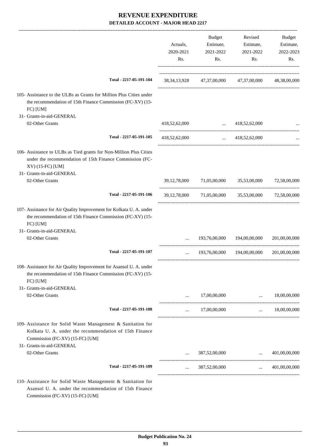|                                                                                                                                                                                       | Actuals,<br>2020-2021<br>Rs. | <b>Budget</b><br>Estimate,<br>2021-2022<br>Rs. | Revised<br>Estimate,<br>2021-2022<br>Rs.                        | Budget<br>Estimate,<br>2022-2023<br>Rs. |
|---------------------------------------------------------------------------------------------------------------------------------------------------------------------------------------|------------------------------|------------------------------------------------|-----------------------------------------------------------------|-----------------------------------------|
| Total - 2217-05-191-104                                                                                                                                                               |                              |                                                | 38, 34, 13, 928 47, 37, 00, 000 47, 37, 00, 000 48, 38, 00, 000 |                                         |
| 105- Assistance to the ULBs as Grants for Million Plus Cities under<br>the recommendation of 15th Finance Commission (FC-XV) (15-<br>FC) [UM]                                         |                              |                                                |                                                                 |                                         |
| 31- Grants-in-aid-GENERAL                                                                                                                                                             |                              |                                                |                                                                 |                                         |
| 02-Other Grants                                                                                                                                                                       | 418,52,62,000                | <b>Service Contract Contract Contract</b>      | 418,52,62,000                                                   |                                         |
| Total - 2217-05-191-105                                                                                                                                                               | 418,52,62,000                |                                                | $\ldots$ 418,52,62,000                                          |                                         |
| 106- Assistance to ULBs as Tied grants for Non-Million Plus Cities<br>under the recommendation of 15th Finance Commission (FC-<br>XV) (15-FC) [UM]<br>31- Grants-in-aid-GENERAL       |                              |                                                |                                                                 |                                         |
| 02-Other Grants                                                                                                                                                                       |                              |                                                | 39,12,78,000 71,05,00,000 35,53,00,000 72,58,00,000             |                                         |
| Total - 2217-05-191-106                                                                                                                                                               |                              |                                                | 39,12,78,000 71,05,00,000 35,53,00,000 72,58,00,000             |                                         |
| 107- Assistance for Air Quality Improvement for Kolkata U. A. under<br>the recommendation of 15th Finance Commission (FC-XV) (15-<br>FC) [UM]                                         |                              |                                                |                                                                 |                                         |
| 31- Grants-in-aid-GENERAL                                                                                                                                                             |                              |                                                |                                                                 |                                         |
| 02-Other Grants                                                                                                                                                                       | $\cdots$                     | 193,76,00,000                                  | 194,00,00,000                                                   | 201,00,00,000                           |
| Total - 2217-05-191-107                                                                                                                                                               | $\cdots$                     |                                                | 193,76,00,000 194,00,00,000                                     | 201,00,00,000                           |
| 108- Assistance for Air Quality Improvement for Asansol U. A. under<br>the recommendation of 15th Finance Commission (FC-XV) (15-<br>FC) [UM]                                         |                              |                                                |                                                                 |                                         |
| 31- Grants-in-aid-GENERAL                                                                                                                                                             |                              |                                                |                                                                 |                                         |
| 02-Other Grants                                                                                                                                                                       | $\cdots$                     | 17,00,00,000                                   | $\mathbf{r}$ and $\mathbf{r}$                                   | 18,00,00,000                            |
| Total - 2217-05-191-108                                                                                                                                                               |                              | $\ldots$ 17,00,00,000                          |                                                                 | $\ldots$ 18.00.00.000                   |
| 109- Assistance for Solid Waste Management & Sanitation for<br>Kolkata U. A. under the recommendation of 15th Finance<br>Commission (FC-XV) (15-FC) [UM]<br>31- Grants-in-aid-GENERAL |                              |                                                |                                                                 |                                         |
| 02-Other Grants                                                                                                                                                                       |                              |                                                | $387,52,00,000$                                                 | 401,00,00,000                           |
| Total - 2217-05-191-109                                                                                                                                                               |                              | 387,52,00,000                                  |                                                                 | $\dots$ 401,00,00,000                   |
|                                                                                                                                                                                       |                              |                                                |                                                                 |                                         |
| 110- Assistance for Solid Waste Management & Sanitation for                                                                                                                           |                              |                                                |                                                                 |                                         |

Asansol U. A. under the recommendation of 15th Finance Commission (FC-XV) (15-FC) [UM]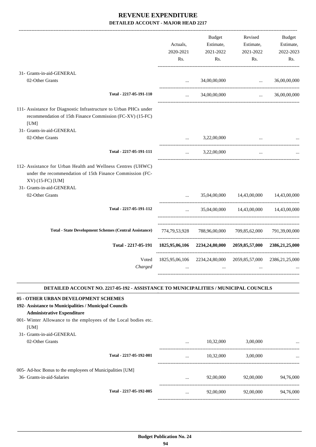|                                                                                                                                                                           | Actuals,<br>2020-2021<br>Rs. | <b>Budget</b><br>Estimate,<br>2021-2022<br>Rs.              | Revised<br>Estimate,<br>2021-2022<br>Rs.    | <b>Budget</b><br>Estimate,<br>2022-2023<br>Rs. |
|---------------------------------------------------------------------------------------------------------------------------------------------------------------------------|------------------------------|-------------------------------------------------------------|---------------------------------------------|------------------------------------------------|
| 31- Grants-in-aid-GENERAL                                                                                                                                                 |                              |                                                             |                                             |                                                |
| 02-Other Grants                                                                                                                                                           | $\ddotsc$                    | 34,00,00,000                                                | $\ddotsc$<br>------------------------------ | 36,00,00,000                                   |
| Total - 2217-05-191-110                                                                                                                                                   |                              | 34,00,00,000                                                | $\cdots$                                    | 36,00,00,000                                   |
| 111- Assistance for Diagnostic Infrastructure to Urban PHCs under<br>recommendation of 15th Finance Commission (FC-XV) (15-FC)<br>[UM]                                    |                              |                                                             |                                             |                                                |
| 31- Grants-in-aid-GENERAL                                                                                                                                                 |                              |                                                             |                                             |                                                |
| 02-Other Grants                                                                                                                                                           | $\ddotsc$                    | 3,22,00,000                                                 |                                             |                                                |
| Total - 2217-05-191-111                                                                                                                                                   | $\cdots$                     | 3,22,00,000                                                 | $\cdots$                                    |                                                |
| 112- Assistance for Urban Health and Wellness Centres (UHWC)<br>under the recommendation of 15th Finance Commission (FC-<br>XV) (15-FC) [UM]<br>31- Grants-in-aid-GENERAL |                              |                                                             |                                             |                                                |
| 02-Other Grants                                                                                                                                                           | $\ddotsc$                    | 35,04,00,000                                                | 14,43,00,000                                | 14,43,00,000                                   |
| Total - 2217-05-191-112                                                                                                                                                   | $\ddotsc$                    | 35,04,00,000                                                | 14,43,00,000                                | 14,43,00,000                                   |
| <b>Total - State Development Schemes (Central Assistance)</b>                                                                                                             | 774,79,53,928                | 788,96,00,000                                               | 709,85,62,000                               | 791,39,00,000                                  |
| Total - 2217-05-191                                                                                                                                                       | 1825,95,06,106               |                                                             | 2234,24,80,000 2059,85,57,000               | 2386, 21, 25, 000                              |
| Voted<br>Charged                                                                                                                                                          |                              | 1825,95,06,106 2234,24,80,000 2059,85,57,000 2386,21,25,000 |                                             |                                                |

#### **DETAILED ACCOUNT NO. 2217-05-192 - ASSISTANCE TO MUNICIPALITIES / MUNICIPAL COUNCILS .**

### **05 - OTHER URBAN DEVELOPMENT SCHEMES**

### **192- Assistance to Municipalities / Municipal Councils**

- **Administrative Expenditure**
- 001- Winter Allowance to the employees of the Local bodies etc. [UM]
- 31- Grants-in-aid-GENERAL

| 02-Other Grants                                                                         |                         | $\cdots$ | 10.32,000 | 3,00,000  | $\cdots$  |
|-----------------------------------------------------------------------------------------|-------------------------|----------|-----------|-----------|-----------|
|                                                                                         | Total - 2217-05-192-001 | $\cdots$ | 10.32,000 | 3,00,000  |           |
| 005- Ad-hoc Bonus to the employees of Municipalities [UM]<br>36- Grants-in-aid-Salaries |                         | $\cdots$ | 92,00,000 | 92,00,000 | 94,76,000 |
|                                                                                         | Total - 2217-05-192-005 | $\cdots$ | 92,00,000 | 92,00,000 | 94,76,000 |
|                                                                                         |                         |          |           |           |           |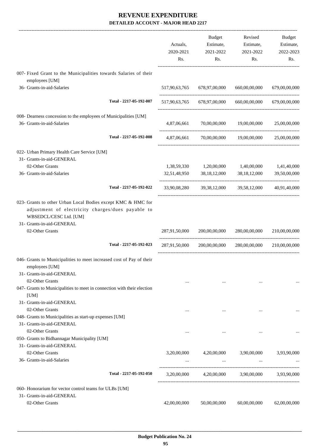|                                                                                                                                                                          | Actuals,<br>2020-2021<br>Rs. | <b>Budget</b><br>Estimate,<br>2021-2022<br>Rs. | Revised<br>Estimate,<br>2021-2022<br>Rs.                                                                | <b>Budget</b><br>Estimate,<br>2022-2023<br>Rs. |
|--------------------------------------------------------------------------------------------------------------------------------------------------------------------------|------------------------------|------------------------------------------------|---------------------------------------------------------------------------------------------------------|------------------------------------------------|
| 007- Fixed Grant to the Municipalities towards Salaries of their<br>employees [UM]                                                                                       |                              |                                                |                                                                                                         |                                                |
| 36- Grants-in-aid-Salaries                                                                                                                                               | 517,90,63,765                | 678,97,00,000                                  | 660,00,00,000                                                                                           | 679,00,00,000                                  |
| Total - 2217-05-192-007                                                                                                                                                  | 517,90,63,765                | 678,97,00,000                                  | 660,00,00,000                                                                                           | 679,00,00,000                                  |
| 008- Dearness concession to the employees of Municipalities [UM]<br>36- Grants-in-aid-Salaries                                                                           | 4,87,06,661                  | 70,00,00,000                                   | 19,00,00,000                                                                                            | 25,00,00,000                                   |
| Total - 2217-05-192-008                                                                                                                                                  | 4,87,06,661                  |                                                | 70,00,00,000 19,00,00,000 25,00,00,000                                                                  |                                                |
| 022- Urban Primary Health Care Service [UM]<br>31- Grants-in-aid-GENERAL                                                                                                 |                              |                                                |                                                                                                         |                                                |
| 02-Other Grants                                                                                                                                                          | 1,38,59,330                  | 1,20,00,000                                    | 1,40,00,000                                                                                             | 1,41,40,000                                    |
| 36- Grants-in-aid-Salaries                                                                                                                                               |                              | 32,51,48,950 38,18,12,000                      | 38,18,12,000                                                                                            | 39,50,00,000                                   |
| Total - 2217-05-192-022                                                                                                                                                  | 33,90,08,280                 |                                                | 39, 38, 12, 000 39, 58, 12, 000                                                                         | 40,91,40,000                                   |
| 023- Grants to other Urban Local Bodies except KMC & HMC for<br>adjustment of electricity charges/dues payable to<br>WBSEDCL/CESC Ltd. [UM]<br>31- Grants-in-aid-GENERAL |                              |                                                |                                                                                                         |                                                |
| 02-Other Grants                                                                                                                                                          | 287,91,50,000                | 200,00,00,000                                  | 280,00,00,000                                                                                           | 210,00,00,000                                  |
| Total - 2217-05-192-023                                                                                                                                                  | 287,91,50,000                | 200,00,00,000                                  | 280,00,00,000                                                                                           | 210,00,00,000                                  |
| 046- Grants to Municipalities to meet increased cost of Pay of their<br>employees [UM]<br>31- Grants-in-aid-GENERAL                                                      |                              |                                                |                                                                                                         |                                                |
| 02-Other Grants<br>047- Grants to Municipalities to meet in connection with their election<br>[UM]                                                                       | $\cdots$                     | $\cdots$                                       | $\cdots$                                                                                                |                                                |
| 31- Grants-in-aid-GENERAL                                                                                                                                                |                              |                                                |                                                                                                         |                                                |
| 02-Other Grants<br>048- Grants to Municipalities as start-up expenses [UM]<br>31- Grants-in-aid-GENERAL                                                                  | $\cdots$                     | $\cdots$                                       | $\cdots$                                                                                                |                                                |
| 02-Other Grants<br>050- Grants to Bidhannagar Municipality [UM]<br>31- Grants-in-aid-GENERAL                                                                             | $\cdots$                     | $\cdots$                                       | $\cdots$                                                                                                |                                                |
| 02-Other Grants<br>36- Grants-in-aid-Salaries                                                                                                                            |                              |                                                | 3,20,00,000 4,20,00,000 3,90,00,000 3,93,90,000<br>and the state of the state<br><b>Second Contract</b> |                                                |
| Total - 2217-05-192-050                                                                                                                                                  |                              |                                                | 3,20,00,000 4,20,00,000 3,90,00,000 3,93,90,000                                                         |                                                |
| 060- Honorarium for vector control teams for ULBs [UM]                                                                                                                   |                              |                                                |                                                                                                         |                                                |
| 31- Grants-in-aid-GENERAL                                                                                                                                                |                              |                                                |                                                                                                         |                                                |
| 02-Other Grants                                                                                                                                                          | 42,00,00,000                 | 50,00,00,000                                   | 60,00,00,000                                                                                            | 62,00,00,000                                   |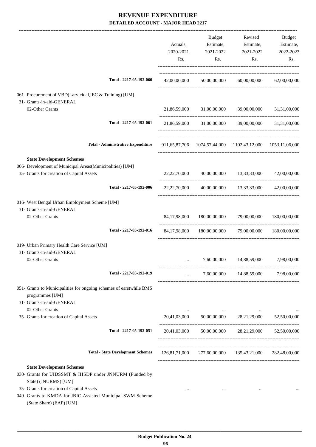|                                                                                                                                                                                                                                                            | Actuals,<br>2020-2021<br>Rs. | Budget<br>Estimate,<br>2021-2022<br>Rs. | Revised<br>Estimate,<br>2021-2022<br>Rs.                                    | Budget<br>Estimate,<br>2022-2023<br>Rs. |
|------------------------------------------------------------------------------------------------------------------------------------------------------------------------------------------------------------------------------------------------------------|------------------------------|-----------------------------------------|-----------------------------------------------------------------------------|-----------------------------------------|
| Total - 2217-05-192-060                                                                                                                                                                                                                                    |                              |                                         | 42,00,00,000 50,00,00,000 60,00,00,000 62,00,00,000                         |                                         |
| 061- Procurement of VBD(Larvicidal, IEC & Training) [UM]<br>31- Grants-in-aid-GENERAL                                                                                                                                                                      |                              |                                         |                                                                             |                                         |
| 02-Other Grants                                                                                                                                                                                                                                            |                              |                                         | 21,86,59,000 31,00,00,000 39,00,00,000 31,31,00,000                         |                                         |
| Total - 2217-05-192-061                                                                                                                                                                                                                                    |                              |                                         | 21,86,59,000 31,00,00,000 39,00,00,000 31,31,00,000                         |                                         |
| <b>Total - Administrative Expenditure</b>                                                                                                                                                                                                                  |                              |                                         | 911,65,87,706 1074,57,44,000 1102,43,12,000 1053,11,06,000                  |                                         |
| <b>State Development Schemes</b>                                                                                                                                                                                                                           |                              |                                         |                                                                             |                                         |
| 006- Development of Municipal Areas(Municipalities) [UM]<br>35- Grants for creation of Capital Assets                                                                                                                                                      |                              |                                         | 22, 22, 70, 000 40, 00, 00, 000 42, 00, 00, 000 42, 00, 00, 000 42, 00, 000 |                                         |
| Total - 2217-05-192-006                                                                                                                                                                                                                                    | 22, 22, 70, 000              |                                         | 40,00,00,000 13,33,33,000 42,00,00,000                                      |                                         |
| 016- West Bengal Urban Employment Scheme [UM]<br>31- Grants-in-aid-GENERAL                                                                                                                                                                                 |                              |                                         |                                                                             |                                         |
| 02-Other Grants                                                                                                                                                                                                                                            | 84,17,98,000                 | 180,00,00,000                           | 79,00,00,000                                                                | 180,00,00,000                           |
| Total - 2217-05-192-016                                                                                                                                                                                                                                    |                              |                                         | 84,17,98,000 180,00,00,000 79,00,00,000 180,00,00,000                       |                                         |
| 019- Urban Primary Health Care Service [UM]                                                                                                                                                                                                                |                              |                                         |                                                                             |                                         |
| 31- Grants-in-aid-GENERAL<br>02-Other Grants                                                                                                                                                                                                               |                              | 7,60,00,000                             | 14,88,59,000                                                                | 7,98,00,000                             |
| Total - 2217-05-192-019                                                                                                                                                                                                                                    | $\cdots$                     |                                         | 7,60,00,000 14,88,59,000                                                    | 7,98,00,000                             |
| 051- Grants to Municipalities for ongoing schemes of earstwhile BMS                                                                                                                                                                                        |                              |                                         |                                                                             |                                         |
| programmes [UM]<br>31- Grants-in-aid-GENERAL                                                                                                                                                                                                               |                              |                                         |                                                                             |                                         |
| 02-Other Grants                                                                                                                                                                                                                                            |                              |                                         |                                                                             |                                         |
| 35- Grants for creation of Capital Assets                                                                                                                                                                                                                  |                              |                                         | 20,41,03,000 50,00,00,000 28,21,29,000                                      | 52,50,00,000                            |
| Total - 2217-05-192-051                                                                                                                                                                                                                                    | 20,41,03,000                 |                                         | 50,00,00,000 28,21,29,000 52,50,00,000                                      |                                         |
| <b>Total - State Development Schemes</b>                                                                                                                                                                                                                   |                              |                                         | 126,81,71,000 277,60,00,000 135,43,21,000 282,48,00,000                     |                                         |
| <b>State Development Schemes</b><br>030- Grants for UIDSSMT & IHSDP under JNNURM (Funded by<br>State) (JNURMS) [UM]<br>35- Grants for creation of Capital Assets<br>049- Grants to KMDA for JBIC Assisted Municipal SWM Scheme<br>(State Share) (EAP) [UM] |                              |                                         |                                                                             |                                         |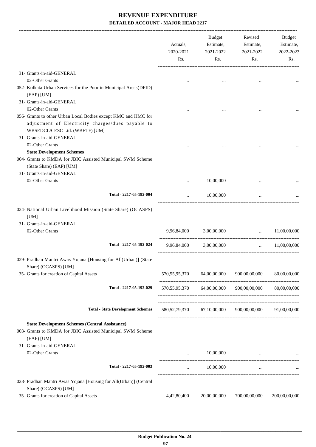|                                                                                                                                   | Actuals,<br>2020-2021<br>Rs. | <b>Budget</b><br>Estimate,<br>2021-2022<br>Rs. | Revised<br>Estimate,<br>2021-2022<br>Rs.              | Budget<br>Estimate,<br>2022-2023<br>Rs. |
|-----------------------------------------------------------------------------------------------------------------------------------|------------------------------|------------------------------------------------|-------------------------------------------------------|-----------------------------------------|
| 31- Grants-in-aid-GENERAL                                                                                                         |                              |                                                |                                                       |                                         |
| 02-Other Grants                                                                                                                   |                              |                                                |                                                       |                                         |
| 052- Kolkata Urban Services for the Poor in Municipal Areas(DFID)                                                                 |                              |                                                |                                                       |                                         |
| (EAP) [UM]                                                                                                                        |                              |                                                |                                                       |                                         |
| 31- Grants-in-aid-GENERAL                                                                                                         |                              |                                                |                                                       |                                         |
| 02-Other Grants                                                                                                                   |                              |                                                |                                                       |                                         |
| 056- Grants to other Urban Local Bodies except KMC and HMC for                                                                    |                              |                                                |                                                       |                                         |
| adjustment of Electricity charges/dues payable to<br>WBSEDCL/CESC Ltd. (WBETF) [UM]                                               |                              |                                                |                                                       |                                         |
| 31- Grants-in-aid-GENERAL                                                                                                         |                              |                                                |                                                       |                                         |
| 02-Other Grants                                                                                                                   |                              |                                                |                                                       |                                         |
| <b>State Development Schemes</b>                                                                                                  |                              |                                                |                                                       |                                         |
| 004- Grants to KMDA for JBIC Assisted Municipal SWM Scheme                                                                        |                              |                                                |                                                       |                                         |
| (State Share) (EAP) [UM]                                                                                                          |                              |                                                |                                                       |                                         |
| 31- Grants-in-aid-GENERAL                                                                                                         |                              |                                                |                                                       |                                         |
| 02-Other Grants                                                                                                                   | $\cdots$                     | 10,00,000                                      | $\ddots$                                              |                                         |
| Total - 2217-05-192-004                                                                                                           | $\cdots$                     | 10,00,000                                      | $\cdots$                                              |                                         |
| 024- National Urban Livelihood Mission (State Share) (OCASPS)<br>[UM]<br>31- Grants-in-aid-GENERAL<br>02-Other Grants             | 9,96,84,000                  | 3,00,00,000                                    | $\ddotsc$                                             | 11,00,00,000                            |
| Total - 2217-05-192-024                                                                                                           | 9,96,84,000                  | 3,00,00,000                                    | $\cdots$                                              | 11,00,00,000                            |
| 029- Pradhan Mantri Awas Yojana [Housing for All(Urban)] (State<br>Share) (OCASPS) [UM]                                           |                              |                                                |                                                       |                                         |
| 35- Grants for creation of Capital Assets                                                                                         | 570,55,95,370                | 64,00,00,000                                   | 900,00,00,000                                         | 80,00,00,000                            |
| Total - 2217-05-192-029                                                                                                           | ---------------------------- | 570,55,95,370 64,00,00,000                     | 900,00,00,000                                         | 80,00,00,000                            |
| <b>Total - State Development Schemes</b>                                                                                          |                              |                                                | 580,52,79,370 67,10,00,000 900,00,00,000 91,00,00,000 |                                         |
| <b>State Development Schemes (Central Assistance)</b><br>003- Grants to KMDA for JBIC Assisted Municipal SWM Scheme<br>(EAP) [UM] |                              |                                                |                                                       |                                         |
| 31- Grants-in-aid-GENERAL                                                                                                         |                              |                                                |                                                       |                                         |
| 02-Other Grants                                                                                                                   | $\cdots$                     | 10,00,000                                      |                                                       |                                         |
| Total - 2217-05-192-003                                                                                                           | $\cdots$                     | 10,00,000                                      | $\cdots$                                              |                                         |
| 028- Pradhan Mantri Awas Yojana [Housing for All(Urban)] (Central<br>Share) (OCASPS) [UM]                                         |                              |                                                |                                                       |                                         |
| 35- Grants for creation of Capital Assets                                                                                         | 4,42,80,400                  | 20,00,00,000                                   | 700,00,00,000                                         | 200,00,00,000                           |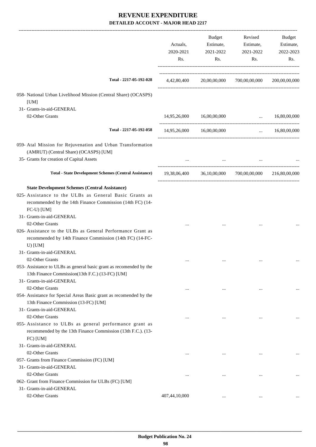|                                                                                                                                                                                                                                            | Actuals,<br>2020-2021<br>Rs. | <b>Budget</b><br>Estimate,<br>2021-2022<br>Rs. | Revised<br>Estimate,<br>2021-2022<br>Rs.                 | Budget<br>Estimate,<br>2022-2023<br>Rs. |
|--------------------------------------------------------------------------------------------------------------------------------------------------------------------------------------------------------------------------------------------|------------------------------|------------------------------------------------|----------------------------------------------------------|-----------------------------------------|
| Total - 2217-05-192-028                                                                                                                                                                                                                    |                              |                                                | 4,42,80,400 20,00,00,000 700,00,00,000                   | 200,00,00,000                           |
| 058- National Urban Livelihood Mission (Central Share) (OCASPS)<br>[UM]                                                                                                                                                                    |                              |                                                |                                                          |                                         |
| 31- Grants-in-aid-GENERAL                                                                                                                                                                                                                  |                              |                                                |                                                          |                                         |
| 02-Other Grants                                                                                                                                                                                                                            |                              | 14,95,26,000 16,00,00,000                      | $\mathbf{1}$                                             | 16,80,00,000                            |
| Total - 2217-05-192-058                                                                                                                                                                                                                    |                              | 14,95,26,000 16,00,00,000                      | $\mathbf{1}$ and $\mathbf{1}$ and $\mathbf{1}$           | 16,80,00,000                            |
| 059- Atal Mission for Rejuvenation and Urban Transformation<br>(AMRUT) (Central Share) (OCASPS) [UM]<br>35- Grants for creation of Capital Assets                                                                                          |                              |                                                | and the state of the state of                            |                                         |
| <b>Total - State Development Schemes (Central Assistance)</b>                                                                                                                                                                              |                              |                                                | 19,38,06,400  36,10,00,000  700,00,00,000  216,80,00,000 |                                         |
| <b>State Development Schemes (Central Assistance)</b><br>025- Assistance to the ULBs as General Basic Grants as<br>recommended by the 14th Finance Commission (14th FC) (14-<br>FC-U) [UM]<br>31- Grants-in-aid-GENERAL<br>02-Other Grants |                              |                                                |                                                          |                                         |
| 026- Assistance to the ULBs as General Performance Grant as<br>recommended by 14th Finance Commission (14th FC) (14-FC-<br>$U)$ [UM]<br>31- Grants-in-aid-GENERAL                                                                          |                              |                                                |                                                          |                                         |
| 02-Other Grants<br>053- Assistance to ULBs as general basic grant as recomended by the<br>13th Finance Commission(13th F.C.) (13-FC) [UM]                                                                                                  |                              |                                                |                                                          |                                         |
| 31- Grants-in-aid-GENERAL<br>02-Other Grants                                                                                                                                                                                               | $\ddotsc$                    | $\cdots$                                       | $\cdots$                                                 |                                         |
| 054- Assistance for Special Areas Basic grant as recomended by the<br>13th Finance Commission (13-FC) [UM]<br>31- Grants-in-aid-GENERAL<br>02-Other Grants                                                                                 |                              |                                                |                                                          |                                         |
| 055- Assistance to ULBs as general performance grant as<br>recommended by the 13th Finance Commission (13th F.C.). (13-<br>FC) [UM]                                                                                                        | $\cdots$                     |                                                |                                                          |                                         |
| 31- Grants-in-aid-GENERAL<br>02-Other Grants<br>057- Grants from Finance Commission (FC) [UM]<br>31- Grants-in-aid-GENERAL                                                                                                                 |                              |                                                |                                                          |                                         |
| 02-Other Grants<br>062- Grant from Finance Commission for ULBs (FC) [UM]<br>31- Grants-in-aid-GENERAL                                                                                                                                      | $\cdots$                     | $\cdots$                                       | $\cdots$                                                 |                                         |
| 02-Other Grants                                                                                                                                                                                                                            | 407,44,10,000                |                                                |                                                          |                                         |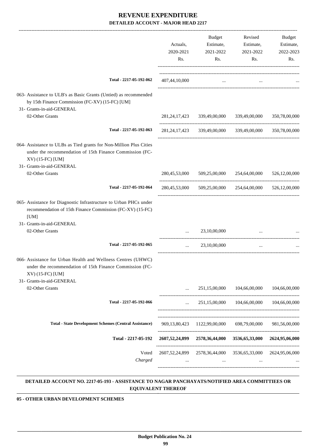|                                                                                                                                                                                 | Actuals,<br>2020-2021<br>Rs. | <b>Budget</b><br>Estimate,<br>2021-2022<br>Rs. | Revised<br>Estimate,<br>2021-2022<br>Rs.                                | Budget<br>Estimate,<br>2022-2023<br>Rs. |
|---------------------------------------------------------------------------------------------------------------------------------------------------------------------------------|------------------------------|------------------------------------------------|-------------------------------------------------------------------------|-----------------------------------------|
| Total - 2217-05-192-062                                                                                                                                                         | 407,44,10,000                | $\ldots$                                       |                                                                         |                                         |
| 063- Assistance to ULB's as Basic Grants (Untied) as recommended<br>by 15th Finance Commission (FC-XV) (15-FC) [UM]<br>31- Grants-in-aid-GENERAL                                |                              |                                                |                                                                         |                                         |
| 02-Other Grants                                                                                                                                                                 |                              | 281,24,17,423 339,49,00,000                    | 339,49,00,000                                                           | 350,78,00,000                           |
| Total - 2217-05-192-063                                                                                                                                                         |                              |                                                | 281,24,17,423 339,49,00,000 339,49,00,000                               | 350,78,00,000                           |
| 064- Assistance to ULBs as Tied grants for Non-Million Plus Cities<br>under the recommendation of 15th Finance Commission (FC-<br>XV) (15-FC) [UM]<br>31- Grants-in-aid-GENERAL |                              |                                                |                                                                         |                                         |
| 02-Other Grants                                                                                                                                                                 | 280,45,53,000                | 509,25,00,000                                  | 254,64,00,000                                                           | 526,12,00,000                           |
| Total - 2217-05-192-064                                                                                                                                                         | 280,45,53,000                |                                                | 509,25,00,000 254,64,00,000                                             | 526,12,00,000                           |
| 065- Assistance for Diagnostic Infrastructure to Urban PHCs under<br>recommendation of 15th Finance Commission (FC-XV) (15-FC)<br>[UM]                                          |                              |                                                |                                                                         |                                         |
| 31- Grants-in-aid-GENERAL<br>02-Other Grants                                                                                                                                    |                              | 23,10,00,000                                   | $\cdots$                                                                |                                         |
| Total - 2217-05-192-065                                                                                                                                                         | $\cdots$                     | 23,10,00,000                                   | $\cdots$                                                                |                                         |
| 066- Assistance for Urban Health and Wellness Centres (UHWC)<br>under the recommendation of 15th Finance Commission (FC-<br>XV) (15-FC) [UM]                                    |                              |                                                |                                                                         |                                         |
| 31- Grants-in-aid-GENERAL<br>02-Other Grants                                                                                                                                    | $\cdots$                     | 251,15,00,000                                  | 104,66,00,000                                                           | 104,66,00,000                           |
|                                                                                                                                                                                 |                              |                                                |                                                                         |                                         |
| Total - 2217-05-192-066                                                                                                                                                         |                              |                                                | $251,15,00,000$ $104,66,00,000$ $104,66,00,000$                         |                                         |
| <b>Total - State Development Schemes (Central Assistance)</b>                                                                                                                   |                              | 969, 13, 80, 423 1122, 99, 00, 000             | 698,79,00,000                                                           | 981,56,00,000                           |
| Total - 2217-05-192                                                                                                                                                             |                              |                                                | 2607,52,24,899 2578,36,44,000 3536,65,33,000 2624,95,06,000             |                                         |
| Voted<br>Charged                                                                                                                                                                | $\cdots$                     | <b>Section</b>                                 | 2607,52,24,899 2578,36,44,000 3536,65,33,000 2624,95,06,000<br>$\cdots$ |                                         |
|                                                                                                                                                                                 |                              |                                                |                                                                         |                                         |

#### **DETAILED ACCOUNT NO. 2217-05-193 - ASSISTANCE TO NAGAR PANCHAYATS/NOTIFIED AREA COMMITTIEES OR EQUIVALENT THEREOF .**

**05 - OTHER URBAN DEVELOPMENT SCHEMES**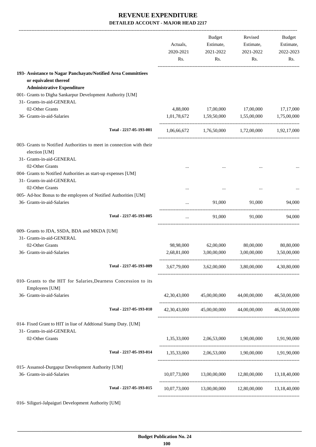|                                                                                               |                         | Actuals,<br>2020-2021<br>Rs. | Budget<br>Estimate,<br>2021-2022<br>Rs. | Revised<br>Estimate,<br>2021-2022<br>Rs.        | Budget<br>Estimate,<br>2022-2023<br>Rs. |
|-----------------------------------------------------------------------------------------------|-------------------------|------------------------------|-----------------------------------------|-------------------------------------------------|-----------------------------------------|
| 193- Assistance to Nagar Panchayats/Notified Area Committiees<br>or equivalent thereof        |                         |                              |                                         |                                                 |                                         |
| <b>Administrative Expenditure</b>                                                             |                         |                              |                                         |                                                 |                                         |
| 001- Grants to Digha Sankarpur Development Authority [UM]<br>31- Grants-in-aid-GENERAL        |                         |                              |                                         |                                                 |                                         |
| 02-Other Grants                                                                               |                         |                              |                                         | 4,88,000 17,00,000 17,00,000                    | 17,17,000                               |
| 36- Grants-in-aid-Salaries                                                                    |                         |                              |                                         | 1,01,78,672 1,59,50,000 1,55,00,000 1,75,00,000 |                                         |
|                                                                                               | Total - 2217-05-193-001 |                              |                                         | 1,06,66,672 1,76,50,000 1,72,00,000 1,92,17,000 |                                         |
| 003- Grants to Notified Authorities to meet in connection with their<br>election [UM]         |                         |                              |                                         |                                                 |                                         |
| 31- Grants-in-aid-GENERAL                                                                     |                         |                              |                                         |                                                 |                                         |
| 02-Other Grants                                                                               |                         |                              |                                         |                                                 |                                         |
| 004- Grants to Notified Authorities as start-up expenses [UM]<br>31- Grants-in-aid-GENERAL    |                         |                              |                                         |                                                 |                                         |
| 02-Other Grants                                                                               |                         |                              |                                         |                                                 |                                         |
| 005- Ad-hoc Bonus to the employees of Notified Authorities [UM]<br>36- Grants-in-aid-Salaries |                         |                              | 91,000                                  | 91,000                                          | 94,000                                  |
|                                                                                               |                         | $\cdots$                     |                                         |                                                 |                                         |
|                                                                                               | Total - 2217-05-193-005 | $\cdots$                     |                                         | 91,000 91,000                                   | 94.000                                  |
| 009- Grants to JDA, SSDA, BDA and MKDA [UM]                                                   |                         |                              |                                         |                                                 |                                         |
| 31- Grants-in-aid-GENERAL                                                                     |                         |                              |                                         |                                                 |                                         |
| 02-Other Grants                                                                               |                         |                              | 98,98,000 62,00,000 80,00,000           |                                                 | 80,80,000                               |
| 36- Grants-in-aid-Salaries                                                                    |                         | 2,68,81,000                  | 3,00,00,000                             |                                                 | 3,00,00,000 3,50,00,000                 |
|                                                                                               | Total - 2217-05-193-009 |                              |                                         | 3,67,79,000 3,62,00,000 3,80,00,000 4,30,80,000 |                                         |
| 010- Grants to the HIT for Salaries, Dearness Concession to its<br>Employees [UM]             |                         |                              |                                         |                                                 |                                         |
| 36- Grants-in-aid-Salaries                                                                    |                         | 42,30,43,000                 | 45,00,00,000                            | 44,00,00,000                                    | 46,50,00,000                            |
|                                                                                               | Total - 2217-05-193-010 |                              |                                         | 42,30,43,000 45,00,00,000 44,00,00,000          | 46,50,00,000                            |
| 014- Fixed Grant to HIT in liue of Addtional Stamp Duty. [UM]                                 |                         |                              |                                         |                                                 |                                         |
| 31- Grants-in-aid-GENERAL                                                                     |                         |                              |                                         |                                                 |                                         |
| 02-Other Grants                                                                               |                         |                              |                                         | 1,35,33,000 2,06,53,000 1,90,00,000 1,91,90,000 |                                         |
|                                                                                               | Total - 2217-05-193-014 |                              |                                         | 1,35,33,000 2,06,53,000 1,90,00,000 1,91,90,000 |                                         |
| 015- Assansol-Durgapur Development Authority [UM]                                             |                         |                              |                                         |                                                 |                                         |
| 36- Grants-in-aid-Salaries                                                                    |                         | 10,07,73,000                 | 13,00,00,000                            | 12,80,00,000                                    | 13,18,40,000                            |
|                                                                                               | Total - 2217-05-193-015 | 10,07,73,000                 |                                         | 13,00,00,000 12,80,00,000                       | 13,18,40,000                            |
|                                                                                               |                         |                              |                                         |                                                 |                                         |

016- Siliguri-Jalpaiguri Development Authority [UM]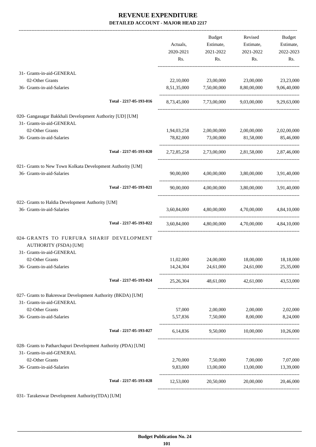-------------------------------------------------------------------------------------------------------------------------------------------------------------------------------

|                                                                                                        |                         | Actuals,<br>2020-2021<br>Rs. | <b>Budget</b><br>Estimate,<br>2021-2022<br>Rs. | Revised<br>Estimate,<br>2021-2022<br>Rs.        | <b>Budget</b><br>Estimate,<br>2022-2023<br>Rs. |
|--------------------------------------------------------------------------------------------------------|-------------------------|------------------------------|------------------------------------------------|-------------------------------------------------|------------------------------------------------|
| 31- Grants-in-aid-GENERAL                                                                              |                         |                              |                                                |                                                 |                                                |
| 02-Other Grants<br>36- Grants-in-aid-Salaries                                                          |                         |                              | 8,51,35,000 7,50,00,000                        | 22,10,000 23,00,000 23,00,000<br>8,80,00,000    | 23,23,000<br>9,06,40,000                       |
|                                                                                                        | Total - 2217-05-193-016 | 8,73,45,000                  | 7,73,00,000                                    | 9,03,00,000                                     | 9,29,63,000                                    |
| 020- Gangasagar Bakkhali Development Authority [UD] [UM]                                               |                         |                              |                                                |                                                 |                                                |
| 31- Grants-in-aid-GENERAL<br>02-Other Grants                                                           |                         | 1,94,03,258                  |                                                | 2,00,00,000 2,00,00,000                         | 2,02,00,000                                    |
| 36- Grants-in-aid-Salaries                                                                             |                         | 78,82,000                    | 73,00,000                                      | 81,58,000                                       | 85,46,000                                      |
|                                                                                                        | Total - 2217-05-193-020 |                              |                                                | 2,72,85,258 2,73,00,000 2,81,58,000 2,87,46,000 |                                                |
| 021- Grants to New Town Kolkata Development Authority [UM]<br>36- Grants-in-aid-Salaries               |                         |                              |                                                | 90,00,000 4,00,00,000 3,80,00,000 3,91,40,000   |                                                |
|                                                                                                        |                         |                              |                                                |                                                 |                                                |
|                                                                                                        | Total - 2217-05-193-021 | 90,00,000                    | 4,00,00,000                                    | 3,80,00,000                                     | 3,91,40,000                                    |
| 022- Grants to Haldia Development Authority [UM]                                                       |                         |                              |                                                |                                                 |                                                |
| 36- Grants-in-aid-Salaries                                                                             |                         | 3,60,84,000                  | 4,80,00,000                                    | 4,70,00,000                                     | 4,84,10,000                                    |
|                                                                                                        | Total - 2217-05-193-022 | 3,60,84,000                  | 4,80,00,000                                    | 4,70,00,000                                     | 4,84,10,000                                    |
| 024- GRANTS TO FURFURA SHARIF DEVELOPMENT<br><b>AUTHORITY (FSDA) [UM]</b><br>31- Grants-in-aid-GENERAL |                         |                              |                                                |                                                 |                                                |
| 02-Other Grants                                                                                        |                         | 11,02,000                    | 24,00,000                                      | 18,00,000                                       | 18,18,000                                      |
| 36- Grants-in-aid-Salaries                                                                             |                         | 14,24,304                    | 24,61,000                                      | 24,61,000                                       | 25,35,000                                      |
|                                                                                                        | Total - 2217-05-193-024 | 25, 26, 304                  |                                                | 48,61,000 42,61,000                             | 43,53,000                                      |
| 027- Grants to Bakreswar Development Authority (BKDA) [UM]<br>31- Grants-in-aid-GENERAL                |                         |                              |                                                |                                                 |                                                |
| 02-Other Grants                                                                                        |                         | 57,000                       | 2,00,000                                       | 2,00,000                                        | 2,02,000                                       |
| 36- Grants-in-aid-Salaries                                                                             |                         | 5,57,836                     | 7,50,000                                       | 8,00,000                                        | 8,24,000                                       |
|                                                                                                        | Total - 2217-05-193-027 |                              |                                                | 6,14,836 9,50,000 10,00,000 10,26,000           |                                                |
| 028- Grants to Patharchapuri Development Authority (PDA) [UM]                                          |                         |                              |                                                |                                                 |                                                |
| 31- Grants-in-aid-GENERAL<br>02-Other Grants                                                           |                         | 2,70,000                     | 7,50,000                                       | 7,00,000                                        | 7,07,000                                       |
| 36- Grants-in-aid-Salaries                                                                             |                         | 9,83,000                     | 13,00,000                                      | 13,00,000                                       | 13,39,000                                      |
|                                                                                                        | Total - 2217-05-193-028 | 12,53,000                    | 20,50,000                                      | 20,00,000                                       | 20,46,000                                      |
|                                                                                                        |                         |                              |                                                |                                                 |                                                |

031- Tarakeswar Development Authority(TDA) [UM]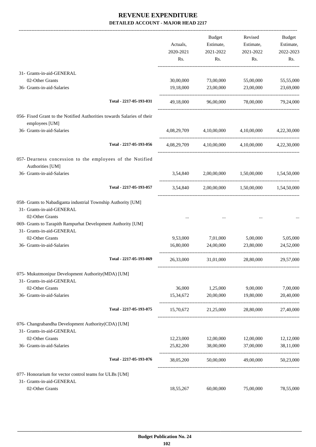-------------------------------------------------------------------------------------------------------------------------------------------------------------------------------

|                                                                                            | Actuals,<br>2020-2021<br>Rs. | <b>Budget</b><br>Estimate,<br>2021-2022<br>Rs. | Revised<br>Estimate,<br>2021-2022<br>Rs. | <b>Budget</b><br>Estimate,<br>2022-2023<br>Rs. |
|--------------------------------------------------------------------------------------------|------------------------------|------------------------------------------------|------------------------------------------|------------------------------------------------|
| 31- Grants-in-aid-GENERAL                                                                  |                              |                                                |                                          |                                                |
| 02-Other Grants                                                                            | 30,00,000                    | 73,00,000                                      | 55,00,000                                | 55,55,000                                      |
| 36- Grants-in-aid-Salaries                                                                 | 19,18,000                    | 23,00,000                                      | 23,00,000                                | 23,69,000                                      |
| Total - 2217-05-193-031                                                                    | 49,18,000                    | 96,00,000                                      | 78,00,000                                | 79,24,000                                      |
| 056- Fixed Grant to the Notified Authorities towards Salaries of their<br>employees [UM]   |                              |                                                |                                          |                                                |
| 36- Grants-in-aid-Salaries                                                                 | 4,08,29,709                  | 4,10,00,000                                    | 4,10,00,000                              | 4,22,30,000                                    |
| Total - 2217-05-193-056                                                                    |                              |                                                | 4,08,29,709 4,10,00,000 4,10,00,000      | 4,22,30,000                                    |
| 057- Dearness concession to the employees of the Notified<br>Authorities [UM]              |                              |                                                |                                          |                                                |
| 36- Grants-in-aid-Salaries                                                                 | 3,54,840                     |                                                | 2,00,00,000 1,50,00,000                  | 1,54,50,000                                    |
| Total - 2217-05-193-057                                                                    | 3,54,840                     |                                                | 2,00,00,000 1,50,00,000                  | 1,54,50,000                                    |
| 058- Grants to Nabadiganta industrial Township Authority [UM]<br>31- Grants-in-aid-GENERAL |                              |                                                |                                          |                                                |
| 02-Other Grants<br>069- Grants to Tarapith Rampurhat Development Authority [UM]            |                              |                                                |                                          |                                                |
| 31- Grants-in-aid-GENERAL                                                                  |                              |                                                |                                          |                                                |
| 02-Other Grants                                                                            | 9,53,000                     | 7,01,000                                       | 5,00,000                                 | 5,05,000                                       |
| 36- Grants-in-aid-Salaries                                                                 | 16,80,000                    | 24,00,000                                      | 23,80,000                                | 24,52,000                                      |
| Total - 2217-05-193-069                                                                    | 26,33,000                    | 31,01,000                                      | 28,80,000                                | 29,57,000                                      |
| 075- Mukutmonipur Development Authority(MDA) [UM]                                          |                              |                                                |                                          |                                                |
| 31- Grants-in-aid-GENERAL                                                                  |                              |                                                |                                          |                                                |
| 02-Other Grants                                                                            | 36,000                       | 1,25,000                                       | 9,00,000                                 | 7,00,000                                       |
| 36- Grants-in-aid-Salaries                                                                 | 15,34,672                    | 20,00,000                                      | 19,80,000                                | 20,40,000                                      |
| Total - 2217-05-193-075                                                                    | 15,70,672                    | 21,25,000                                      | 28,80,000                                | 27,40,000                                      |
| 076- Changrabandha Development Authority(CDA) [UM]<br>31- Grants-in-aid-GENERAL            |                              |                                                |                                          |                                                |
| 02-Other Grants                                                                            | 12,23,000                    | 12,00,000                                      | 12,00,000                                | 12,12,000                                      |
| 36- Grants-in-aid-Salaries                                                                 | 25,82,200                    | 38,00,000                                      | 37,00,000                                | 38,11,000                                      |
| Total - 2217-05-193-076                                                                    | 38,05,200                    | 50,00,000                                      | 49,00,000                                | 50,23,000                                      |
| 077- Honorarium for vector control teams for ULBs [UM]<br>31- Grants-in-aid-GENERAL        |                              |                                                |                                          |                                                |
| 02-Other Grants                                                                            | 18,55,267                    | 60,00,000                                      | 75,00,000                                | 78,55,000                                      |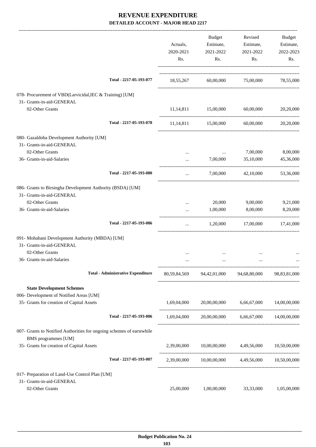|                                                                                       | Actuals,<br>2020-2021<br>Rs. | <b>Budget</b><br>Estimate,<br>2021-2022<br>Rs. | Revised<br>Estimate,<br>2021-2022<br>Rs.                  | <b>Budget</b><br>Estimate,<br>2022-2023<br>Rs. |
|---------------------------------------------------------------------------------------|------------------------------|------------------------------------------------|-----------------------------------------------------------|------------------------------------------------|
| Total - 2217-05-193-077                                                               | 18,55,267                    | 60,00,000                                      | 75,00,000                                                 | 78,55,000                                      |
| 078- Procurement of VBD(Larvicidal, IEC & Training) [UM]<br>31- Grants-in-aid-GENERAL |                              |                                                |                                                           |                                                |
| 02-Other Grants                                                                       | 11,14,811                    | 15,00,000                                      | 60,00,000                                                 | 20,20,000                                      |
| Total - 2217-05-193-078                                                               | 11,14,811                    | 15,00,000                                      | 60,00,000                                                 | 20,20,000                                      |
| 080- Gazaldoba Development Authority [UM]                                             |                              |                                                |                                                           |                                                |
| 31- Grants-in-aid-GENERAL                                                             |                              |                                                |                                                           |                                                |
| 02-Other Grants                                                                       | $\cdots$                     | $\ldots$                                       | 7,00,000                                                  | 8,00,000                                       |
| 36- Grants-in-aid-Salaries                                                            |                              | 7,00,000                                       | 35,10,000                                                 | 45,36,000                                      |
| Total - 2217-05-193-080                                                               | $\ldots$                     | 7,00,000                                       | 42,10,000                                                 | 53,36,000                                      |
| 086- Grants to Birsingha Development Authority (BSDA) [UM]                            |                              |                                                |                                                           |                                                |
| 31- Grants-in-aid-GENERAL<br>02-Other Grants                                          |                              |                                                |                                                           |                                                |
| 36- Grants-in-aid-Salaries                                                            | $\cdots$                     | 20,000<br>1,00,000                             | 9,00,000<br>8,00,000                                      | 9,21,000<br>8,20,000                           |
|                                                                                       |                              |                                                |                                                           |                                                |
| Total - 2217-05-193-086                                                               | $\cdots$                     | 1,20,000                                       | 17,00,000                                                 | 17,41,000                                      |
| 091- Mohabani Development Authority (MBDA) [UM]                                       |                              |                                                |                                                           |                                                |
| 31- Grants-in-aid-GENERAL                                                             |                              |                                                |                                                           |                                                |
| 02-Other Grants                                                                       |                              |                                                |                                                           |                                                |
| 36- Grants-in-aid-Salaries                                                            |                              |                                                |                                                           |                                                |
| <b>Total - Administrative Expenditure</b>                                             |                              | 80,59,84,569 94,42,01,000 94,68,80,000         |                                                           | 98,83,81,000                                   |
| <b>State Development Schemes</b>                                                      |                              |                                                |                                                           |                                                |
| 006- Development of Notified Areas [UM]                                               |                              |                                                |                                                           |                                                |
| 35- Grants for creation of Capital Assets                                             | 1,69,04,000                  | 20,00,00,000                                   |                                                           | 6,66,67,000 14,00,00,000                       |
| Total - 2217-05-193-006                                                               |                              |                                                | $1,69,04,000$ $20,00,00,000$ $6,66,67,000$ $14,00,00,000$ |                                                |
| 007- Grants to Notified Authorities for ongoing schemes of earstwhile                 |                              |                                                |                                                           |                                                |
| BMS programmes [UM]<br>35- Grants for creation of Capital Assets                      | 2,39,00,000                  |                                                | 10,00,00,000 4,49,56,000                                  | 10,50,00,000                                   |
| Total - 2217-05-193-007                                                               |                              |                                                | 2,39,00,000 10,00,00,000 4,49,56,000 10,50,00,000         |                                                |
|                                                                                       |                              |                                                |                                                           |                                                |
| 017- Preparation of Land-Use Control Plan [UM]                                        |                              |                                                |                                                           |                                                |
| 31- Grants-in-aid-GENERAL<br>02-Other Grants                                          | 25,00,000                    | 1,00,00,000                                    | 33,33,000                                                 | 1,05,00,000                                    |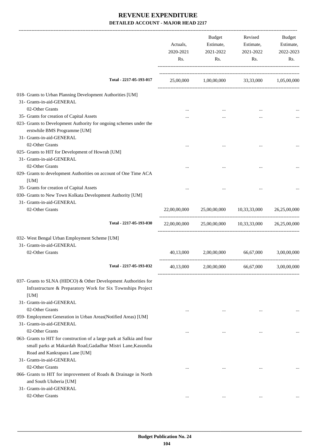|                                                                                                                                                                     | Actuals,<br>2020-2021<br>Rs. | Budget<br>Estimate,<br>2021-2022<br>Rs.             | Revised<br>Estimate,<br>2021-2022<br>Rs. | Budget<br>Estimate,<br>2022-2023<br>Rs. |
|---------------------------------------------------------------------------------------------------------------------------------------------------------------------|------------------------------|-----------------------------------------------------|------------------------------------------|-----------------------------------------|
| Total - 2217-05-193-017                                                                                                                                             |                              | 25,00,000 1,00,00,000 33,33,000 1,05,00,000         |                                          |                                         |
| 018- Grants to Urban Planning Development Authorities [UM]                                                                                                          |                              |                                                     |                                          |                                         |
| 31- Grants-in-aid-GENERAL                                                                                                                                           |                              |                                                     |                                          |                                         |
| 02-Other Grants                                                                                                                                                     |                              |                                                     |                                          |                                         |
| 35- Grants for creation of Capital Assets                                                                                                                           |                              | $\cdots$                                            |                                          |                                         |
| 023- Grants to Development Authority for ongoing schemes under the<br>erstwhile BMS Programme [UM]                                                                  |                              |                                                     |                                          |                                         |
| 31- Grants-in-aid-GENERAL                                                                                                                                           |                              |                                                     |                                          |                                         |
| 02-Other Grants                                                                                                                                                     |                              |                                                     |                                          |                                         |
| 025- Grants to HIT for Development of Howrah [UM]                                                                                                                   |                              |                                                     |                                          |                                         |
| 31- Grants-in-aid-GENERAL                                                                                                                                           |                              |                                                     |                                          |                                         |
| 02-Other Grants<br>029- Grants to development Authorities on account of One Time ACA                                                                                |                              |                                                     |                                          |                                         |
| [UM]                                                                                                                                                                |                              |                                                     |                                          |                                         |
| 35- Grants for creation of Capital Assets<br>030- Grants to New Town Kolkata Development Authority [UM]<br>31- Grants-in-aid-GENERAL                                |                              |                                                     |                                          |                                         |
| 02-Other Grants                                                                                                                                                     | 22,00,00,000                 |                                                     | 25,00,00,000 10,33,33,000 26,25,00,000   |                                         |
|                                                                                                                                                                     |                              |                                                     |                                          |                                         |
| Total - 2217-05-193-030                                                                                                                                             |                              | 22,00,00,000 25,00,00,000 10,33,33,000 26,25,00,000 |                                          |                                         |
| 032- West Bengal Urban Employment Scheme [UM]                                                                                                                       |                              |                                                     |                                          |                                         |
| 31- Grants-in-aid-GENERAL                                                                                                                                           |                              |                                                     |                                          |                                         |
| 02-Other Grants                                                                                                                                                     |                              | 40,13,000 2,00,00,000 66,67,000                     |                                          | 3.00.00.000                             |
| Total - 2217-05-193-032                                                                                                                                             |                              | 40,13,000 2,00,00,000 66,67,000 3,00,00,000         |                                          |                                         |
| 037- Grants to SLNA (HIDCO) & Other Development Authorities for<br>Infrastructure & Preparatory Work for Six Townships Project<br>[UM]<br>31- Grants-in-aid-GENERAL |                              |                                                     |                                          |                                         |
| 02-Other Grants                                                                                                                                                     | $\ddotsc$                    | $\cdots$                                            | $\cdots$                                 |                                         |
| 059- Employment Generation in Urban Areas(Notified Areas) [UM]<br>31- Grants-in-aid-GENERAL                                                                         |                              |                                                     |                                          |                                         |
| 02-Other Grants                                                                                                                                                     |                              |                                                     |                                          |                                         |
| 063- Grants to HIT for construction of a large park at Salkia and four                                                                                              |                              |                                                     |                                          |                                         |
| small parks at Makardah Road, Gadadhar Mistri Lane, Kasundia                                                                                                        |                              |                                                     |                                          |                                         |
| Road and Kankrapara Lane [UM]                                                                                                                                       |                              |                                                     |                                          |                                         |
| 31- Grants-in-aid-GENERAL                                                                                                                                           |                              |                                                     |                                          |                                         |
| 02-Other Grants                                                                                                                                                     | $\cdots$                     | $\cdots$                                            | $\cdots$                                 |                                         |
| 066- Grants to HIT for improvement of Roads & Drainage in North<br>and South Uluberia [UM]<br>31- Grants-in-aid-GENERAL                                             |                              |                                                     |                                          |                                         |
|                                                                                                                                                                     |                              |                                                     |                                          |                                         |
| 02-Other Grants                                                                                                                                                     | $\cdots$                     |                                                     |                                          |                                         |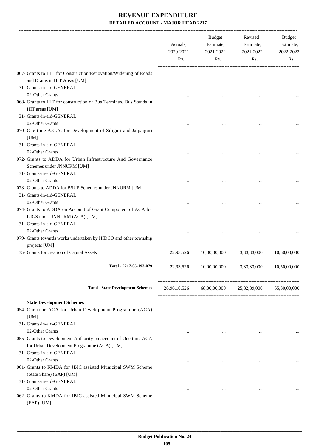|                                                                                                     | Actuals,<br>2020-2021<br>Rs. | Budget<br>Estimate,<br>2021-2022<br>Rs.         | Revised<br>Estimate,<br>2021-2022<br>Rs. | Budget<br>Estimate,<br>2022-2023<br>Rs. |
|-----------------------------------------------------------------------------------------------------|------------------------------|-------------------------------------------------|------------------------------------------|-----------------------------------------|
| 067- Grants to HIT for Construction/Renovation/Widening of Roads<br>and Drains in HIT Areas [UM]    |                              |                                                 |                                          |                                         |
| 31- Grants-in-aid-GENERAL                                                                           |                              |                                                 |                                          |                                         |
| 02-Other Grants                                                                                     |                              |                                                 |                                          |                                         |
| 068- Grants to HIT for construction of Bus Terminus/ Bus Stands in<br>HIT areas [UM]                |                              |                                                 |                                          |                                         |
| 31- Grants-in-aid-GENERAL                                                                           |                              |                                                 |                                          |                                         |
| 02-Other Grants<br>070- One time A.C.A. for Development of Siliguri and Jalpaiguri<br>[UM]          |                              |                                                 |                                          |                                         |
| 31- Grants-in-aid-GENERAL                                                                           |                              |                                                 |                                          |                                         |
| 02-Other Grants                                                                                     |                              |                                                 |                                          |                                         |
| 072- Grants to ADDA for Urban Infrastructure And Governance<br>Schemes under JNNURM [UM]            |                              |                                                 |                                          |                                         |
| 31- Grants-in-aid-GENERAL                                                                           |                              |                                                 |                                          |                                         |
| 02-Other Grants                                                                                     |                              |                                                 |                                          |                                         |
| 073- Grants to ADDA for BSUP Schemes under JNNURM [UM]                                              |                              |                                                 |                                          |                                         |
| 31- Grants-in-aid-GENERAL                                                                           |                              |                                                 |                                          |                                         |
| 02-Other Grants                                                                                     |                              |                                                 |                                          |                                         |
| 074- Grants to ADDA on Account of Grant Component of ACA for<br>UIGS under JNNURM (ACA) [UM]        |                              |                                                 |                                          |                                         |
| 31- Grants-in-aid-GENERAL                                                                           |                              |                                                 |                                          |                                         |
| 02-Other Grants                                                                                     |                              |                                                 |                                          |                                         |
| 079- Grants towards works undertaken by HIDCO and other township<br>projects [UM]                   |                              |                                                 |                                          |                                         |
| 35- Grants for creation of Capital Assets                                                           | 22,93,526                    |                                                 | 10,00,00,000 3,33,33,000                 | 10,50,00,000                            |
| Total - 2217-05-193-079                                                                             |                              | 22,93,526 10,00,00,000 3,33,33,000 10,50,00,000 | ------------------------                 |                                         |
| <b>Total - State Development Schemes</b>                                                            |                              | 26,96,10,526 68,00,00,000 25,82,89,000          |                                          | 65,30,00,000                            |
|                                                                                                     |                              |                                                 |                                          |                                         |
| <b>State Development Schemes</b><br>054- One time ACA for Urban Development Programme (ACA)<br>[UM] |                              |                                                 |                                          |                                         |
| 31- Grants-in-aid-GENERAL<br>02-Other Grants                                                        | $\cdots$                     | $\cdots$                                        | $\cdots$                                 |                                         |
| 055- Grants to Development Authority on account of One time ACA                                     |                              |                                                 |                                          |                                         |
| for Urban Development Programme (ACA) [UM]<br>31- Grants-in-aid-GENERAL                             |                              |                                                 |                                          |                                         |
| 02-Other Grants                                                                                     | $\cdots$                     | $\cdots$                                        | $\cdots$                                 |                                         |
| 061- Grants to KMDA for JBIC assisted Municipal SWM Scheme                                          |                              |                                                 |                                          |                                         |
| (State Share) (EAP) [UM]                                                                            |                              |                                                 |                                          |                                         |
| 31- Grants-in-aid-GENERAL                                                                           |                              |                                                 |                                          |                                         |
| 02-Other Grants                                                                                     | $\cdots$                     | $\cdots$                                        | $\cdots$                                 |                                         |
| 062- Grants to KMDA for JBIC assisted Municipal SWM Scheme<br>(EAP) [UM]                            |                              |                                                 |                                          |                                         |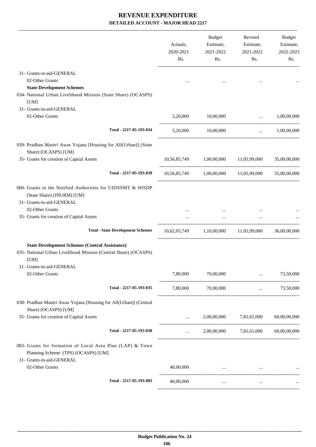|                                                                                                                                           | Actuals,<br>2020-2021<br>Rs. | Budget<br>Estimate,<br>2021-2022<br>Rs. | Revised<br>Estimate,<br>2021-2022<br>Rs.           | Budget<br>Estimate,<br>2022-2023<br>Rs. |
|-------------------------------------------------------------------------------------------------------------------------------------------|------------------------------|-----------------------------------------|----------------------------------------------------|-----------------------------------------|
| 31- Grants-in-aid-GENERAL<br>02-Other Grants                                                                                              | $\cdots$                     |                                         |                                                    |                                         |
| <b>State Development Schemes</b><br>034- National Urban Livelihood Mission (State Share) (OCASPS)<br>[UM]                                 |                              |                                         |                                                    |                                         |
| 31- Grants-in-aid-GENERAL<br>02-Other Grants                                                                                              |                              | 5,20,000 10,00,000                      |                                                    | $\ldots$ 1,00,00,000                    |
| Total - 2217-05-193-034                                                                                                                   | 5,20,000                     | 10,00,000                               |                                                    | $\ldots$ 1,00,00,000                    |
| 039- Pradhan Mantri Awas Yojana [Housing for All(Urban)] (State<br>Share) (OCASPS) [UM]                                                   |                              |                                         |                                                    |                                         |
| 35- Grants for creation of Capital Assets                                                                                                 |                              |                                         | 10,56,85,749 1,00,00,000 11,05,99,000              | 35,00,00,000                            |
| Total - 2217-05-193-039                                                                                                                   |                              |                                         | 10,56,85,749 1,00,00,000 11,05,99,000 35,00,00,000 |                                         |
| 060- Grants to the Notified Authorities for UIDSSMT & IHSDP<br>(State Share) (JNURM) [UM]<br>31- Grants-in-aid-GENERAL<br>02-Other Grants |                              |                                         |                                                    |                                         |
| 35- Grants for creation of Capital Assets                                                                                                 |                              | $\cdots$<br>$\mathbf{r}$                |                                                    |                                         |
| <b>Total - State Development Schemes</b>                                                                                                  |                              |                                         | 10,62,05,749 1,10,00,000 11,05,99,000 36,00,00,000 |                                         |
| <b>State Development Schemes (Central Assistance)</b><br>035- National Urban Livelihood Mission (Central Share) (OCASPS)<br>[UM]          |                              |                                         |                                                    |                                         |
| 31- Grants-in-aid-GENERAL<br>02-Other Grants                                                                                              | 7,80,000                     | 70,00,000                               | $\cdots$                                           | 73,50,000                               |
| Total - 2217-05-193-035                                                                                                                   | 7,80,000                     | 70,00,000                               | $\ddotsc$                                          | 73,50,000                               |
| 038- Pradhan Mantri Awas Yojana [Housing for All(Urban)] (Central<br>Share) (OCASPS) [UM]                                                 |                              |                                         |                                                    |                                         |
| 35- Grants for creation of Capital Assets                                                                                                 | $\cdots$                     |                                         | 2,00,00,000 7,81,61,000                            | 60,00,00,000                            |
| Total - 2217-05-193-038                                                                                                                   | $\cdots$                     |                                         | 2,00,00,000 7,81,61,000                            | 60,00,00,000                            |
| 083- Grants for formation of Local Area Plan (LAP) & Town<br>Planning Scheme (TPS) (OCASPS) [UM]<br>31- Grants-in-aid-GENERAL             |                              |                                         |                                                    |                                         |
| 02-Other Grants                                                                                                                           | 40,00,000                    | $\cdots$                                |                                                    |                                         |
| Total - 2217-05-193-083                                                                                                                   | 40,00,000                    | $\cdots$                                | $\cdots$                                           |                                         |
|                                                                                                                                           |                              |                                         |                                                    |                                         |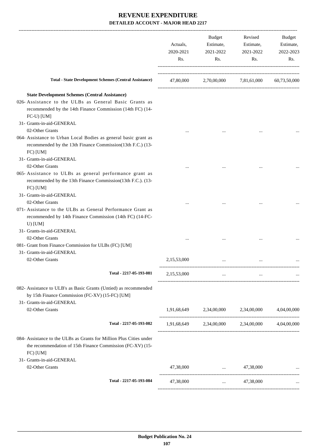|                                                                                                                                                  | Actuals,<br>2020-2021<br>Rs. | Budget<br>Estimate,<br>2021-2022<br>Rs.         | Revised<br>Estimate,<br>2021-2022<br>Rs. | Budget<br>Estimate,<br>2022-2023<br>Rs. |
|--------------------------------------------------------------------------------------------------------------------------------------------------|------------------------------|-------------------------------------------------|------------------------------------------|-----------------------------------------|
| <b>Total - State Development Schemes (Central Assistance)</b>                                                                                    | 47,80,000                    |                                                 | 2,70,00,000 7,81,61,000                  | 60,73,50,000                            |
| <b>State Development Schemes (Central Assistance)</b>                                                                                            |                              |                                                 |                                          |                                         |
| 026- Assistance to the ULBs as General Basic Grants as<br>recommended by the 14th Finance Commission (14th FC) (14-<br>FC-U) [UM]                |                              |                                                 |                                          |                                         |
| 31- Grants-in-aid-GENERAL<br>02-Other Grants                                                                                                     |                              |                                                 |                                          |                                         |
| 064- Assistance to Urban Local Bodies as general basic grant as<br>recommended by the 13th Finance Commission(13th F.C.) (13-<br>FC) [UM]        |                              |                                                 |                                          |                                         |
| 31- Grants-in-aid-GENERAL<br>02-Other Grants                                                                                                     |                              |                                                 |                                          |                                         |
| 065- Assistance to ULBs as general performance grant as<br>recommended by the 13th Finance Commission(13th F.C.). (13-<br>FC) [UM]               |                              |                                                 |                                          |                                         |
| 31- Grants-in-aid-GENERAL<br>02-Other Grants                                                                                                     |                              |                                                 |                                          |                                         |
| 071- Assistance to the ULBs as General Performance Grant as<br>recommended by 14th Finance Commission (14th FC) (14-FC-<br>$U)$ [UM]             |                              |                                                 |                                          |                                         |
| 31- Grants-in-aid-GENERAL                                                                                                                        |                              |                                                 |                                          |                                         |
| 02-Other Grants<br>081- Grant from Finance Commission for ULBs (FC) [UM]<br>31- Grants-in-aid-GENERAL                                            |                              |                                                 |                                          |                                         |
| 02-Other Grants                                                                                                                                  | 2,15,53,000                  | $\cdots$                                        |                                          |                                         |
| Total - 2217-05-193-081                                                                                                                          | 2,15,53,000                  | $\cdots$                                        | $\cdots$                                 |                                         |
| 082- Assistance to ULB's as Basic Grants (Untied) as recommended<br>by 15th Finance Commission (FC-XV) (15-FC) [UM]<br>31- Grants-in-aid-GENERAL |                              |                                                 |                                          |                                         |
| 02-Other Grants                                                                                                                                  |                              | 1,91,68,649 2,34,00,000 2,34,00,000 4,04,00,000 |                                          |                                         |
| Total - 2217-05-193-082                                                                                                                          |                              | 1,91,68,649 2,34,00,000 2,34,00,000 4,04,00,000 |                                          |                                         |
| 084- Assistance to the ULBs as Grants for Million Plus Cities under<br>the recommendation of 15th Finance Commission (FC-XV) (15-<br>FC) [UM]    |                              |                                                 |                                          |                                         |
| 31- Grants-in-aid-GENERAL<br>02-Other Grants                                                                                                     | 47,38,000                    | $\ldots$ 47,38,000                              |                                          |                                         |
| Total - 2217-05-193-084                                                                                                                          | 47,38,000                    | $\sim 10^{-10}$                                 | 47,38,000                                |                                         |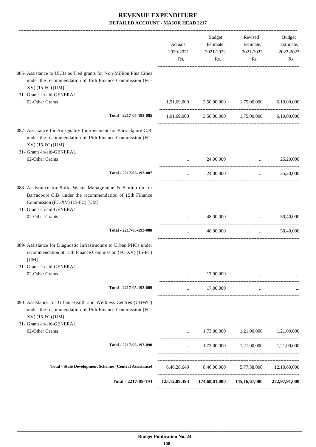|                                                                                                                                                                                         | Actuals,<br>2020-2021<br>Rs. | <b>Budget</b><br>Estimate,<br>2021-2022<br>Rs. | Revised<br>Estimate,<br>2021-2022<br>Rs.                            | Budget<br>Estimate,<br>2022-2023<br>Rs. |
|-----------------------------------------------------------------------------------------------------------------------------------------------------------------------------------------|------------------------------|------------------------------------------------|---------------------------------------------------------------------|-----------------------------------------|
| 085- Assistance to ULBs as Tied grants for Non-Million Plus Cities<br>under the recommendation of 15th Finance Commission (FC-<br>XV) (15-FC) [UM]                                      |                              |                                                |                                                                     |                                         |
| 31- Grants-in-aid-GENERAL<br>02-Other Grants                                                                                                                                            | 1,91,69,000                  | 3,50,00,000                                    | 1,75,00,000                                                         | 6,10,00,000                             |
| Total - 2217-05-193-085                                                                                                                                                                 |                              |                                                | 1,91,69,000 3,50,00,000 1,75,00,000                                 | 6,10,00,000                             |
| 087- Assistance for Air Quality Improvement for Barrackpore C.B.<br>under the recommendation of 15th Finance Commission (FC-<br>XV) (15-FC) [UM]<br>31- Grants-in-aid-GENERAL           |                              |                                                |                                                                     |                                         |
| 02-Other Grants                                                                                                                                                                         |                              | 24,00,000                                      | $\cdots$                                                            | 25,20,000                               |
| Total - 2217-05-193-087                                                                                                                                                                 | $\cdots$                     | 24,00,000                                      | $\cdots$                                                            | 25,20,000                               |
| 088- Assistance for Solid Waste Management & Sanitation for<br>Barracpore C.B. under the recommendation of 15th Finance<br>Commission (FC-XV) (15-FC) [UM]<br>31- Grants-in-aid-GENERAL |                              |                                                |                                                                     |                                         |
| 02-Other Grants                                                                                                                                                                         |                              | 48,00,000                                      | $\ddotsc$                                                           | 50,40,000                               |
| Total - 2217-05-193-088                                                                                                                                                                 | $\cdots$                     | 48,00,000                                      | $\cdots$                                                            | 50,40,000                               |
| 089- Assistance for Diagnostic Infrastructure to Urban PHCs under<br>recommendation of 15th Finance Commission (FC-XV) (15-FC)<br>[UM]                                                  |                              |                                                |                                                                     |                                         |
| 31- Grants-in-aid-GENERAL<br>02-Other Grants                                                                                                                                            |                              | 17,00,000                                      |                                                                     |                                         |
| Total - 2217-05-193-089                                                                                                                                                                 | $\cdots$                     | 17,00,000                                      | $\cdots$                                                            |                                         |
| 090- Assistance for Urban Health and Wellness Centres (UHWC)<br>under the recommendation of 15th Finance Commission (FC-<br>XV) (15-FC) [UM]                                            |                              |                                                |                                                                     |                                         |
| 31- Grants-in-aid-GENERAL<br>02-Other Grants                                                                                                                                            | $\cdots$                     |                                                | 1,73,00,000 1,21,00,000                                             | 1,21,00,000                             |
| Total - 2217-05-193-090                                                                                                                                                                 | $\cdots$                     |                                                | 1,73,00,000 1,21,00,000 1,21,00,000                                 |                                         |
|                                                                                                                                                                                         |                              |                                                |                                                                     |                                         |
| <b>Total - State Development Schemes (Central Assistance)</b>                                                                                                                           |                              |                                                | 6,46,28,649 8,46,00,000 5,77,38,000 12,10,60,000                    |                                         |
| Total - 2217-05-193                                                                                                                                                                     |                              |                                                | 125, 12, 09, 493 174, 68, 01, 000 145, 16, 67, 000 272, 97, 91, 000 |                                         |
|                                                                                                                                                                                         |                              |                                                |                                                                     |                                         |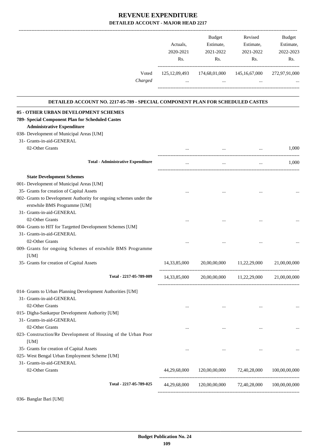|         |                  | <b>Budget</b> | Revised          | <b>Budget</b> |
|---------|------------------|---------------|------------------|---------------|
|         | Actuals,         | Estimate,     | Estimate,        | Estimate,     |
|         | 2020-2021        | 2021-2022     | 2021-2022        | 2022-2023     |
|         | Rs.              | Rs.           | Rs.              | Rs.           |
|         |                  |               |                  |               |
| Voted   | 125, 12, 09, 493 | 174,68,01,000 | 145, 16, 67, 000 | 272,97,91,000 |
| Charged |                  |               |                  | $\cdots$      |
|         |                  |               |                  |               |

#### **DETAILED ACCOUNT NO. 2217-05-789 - SPECIAL COMPONENT PLAN FOR SCHEDULED CASTES**

.

| 05 - OTHER URBAN DEVELOPMENT SCHEMES                               |                 |               |                           |               |
|--------------------------------------------------------------------|-----------------|---------------|---------------------------|---------------|
| 789- Special Component Plan for Scheduled Castes                   |                 |               |                           |               |
| <b>Administrative Expenditure</b>                                  |                 |               |                           |               |
| 038- Development of Municipal Areas [UM]                           |                 |               |                           |               |
| 31- Grants-in-aid-GENERAL                                          |                 |               |                           |               |
| 02-Other Grants                                                    |                 |               |                           | 1,000         |
| <b>Total - Administrative Expenditure</b>                          | $\cdots$        | $\cdots$      | $\cdots$                  | 1,000         |
| <b>State Development Schemes</b>                                   |                 |               |                           |               |
| 001- Development of Municipal Areas [UM]                           |                 |               |                           |               |
| 35- Grants for creation of Capital Assets                          |                 | $\cdots$      |                           |               |
| 002- Grants to Development Authority for ongoing schemes under the |                 |               |                           |               |
| erstwhile BMS Programme [UM]                                       |                 |               |                           |               |
| 31- Grants-in-aid-GENERAL                                          |                 |               |                           |               |
| 02-Other Grants                                                    |                 |               |                           |               |
| 004- Grants to HIT for Targetted Development Schemes [UM]          |                 |               |                           |               |
| 31- Grants-in-aid-GENERAL                                          |                 |               |                           |               |
| 02-Other Grants                                                    |                 |               |                           |               |
| 009- Grants for ongoing Schemes of erstwhile BMS Programme         |                 |               |                           |               |
| [UM]                                                               |                 |               |                           |               |
| 35- Grants for creation of Capital Assets                          | 14,33,85,000    |               | 20,00,00,000 11,22,29,000 | 21,00,00,000  |
| Total - 2217-05-789-009                                            | 14, 33, 85, 000 | 20,00,00,000  | 11,22,29,000              | 21,00,00,000  |
| 014- Grants to Urban Planning Development Authorities [UM]         |                 |               |                           |               |
| 31- Grants-in-aid-GENERAL                                          |                 |               |                           |               |
| 02-Other Grants                                                    |                 |               |                           |               |
| 015- Digha-Sankarpur Development Authority [UM]                    |                 |               |                           |               |
| 31- Grants-in-aid-GENERAL                                          |                 |               |                           |               |
| 02-Other Grants                                                    |                 |               | $\ddotsc$                 |               |
| 023- Construction/Re Development of Housing of the Urban Poor      |                 |               |                           |               |
| [UM]                                                               |                 |               |                           |               |
| 35- Grants for creation of Capital Assets                          | $\cdots$        |               |                           |               |
| 025- West Bengal Urban Employment Scheme [UM]                      |                 |               |                           |               |
| 31- Grants-in-aid-GENERAL                                          |                 |               |                           |               |
| 02-Other Grants                                                    | 44,29,68,000    | 120,00,00,000 | 72,40,28,000              | 100,00,00,000 |
| Total - 2217-05-789-025                                            | 44,29,68,000    | 120,00,00,000 | 72,40,28,000              | 100,00,00,000 |
| 036- Banglar Bari [UM]                                             |                 |               |                           |               |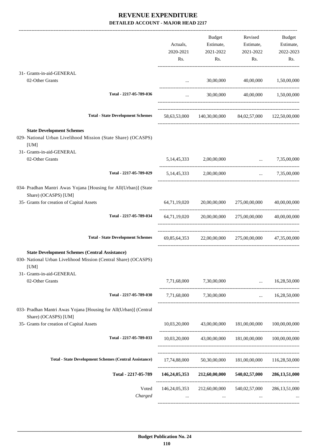|                                                                                                                                  |                  | Budget                      | Revised                                                      | Budget                |
|----------------------------------------------------------------------------------------------------------------------------------|------------------|-----------------------------|--------------------------------------------------------------|-----------------------|
|                                                                                                                                  | Actuals,         | Estimate,                   | Estimate,                                                    | Estimate,             |
|                                                                                                                                  | 2020-2021        | 2021-2022                   | 2021-2022                                                    | 2022-2023             |
|                                                                                                                                  | Rs.              | Rs.                         | Rs.                                                          | Rs.                   |
| 31- Grants-in-aid-GENERAL                                                                                                        |                  |                             |                                                              |                       |
| 02-Other Grants                                                                                                                  |                  | <b>Section</b> (1997)       | 30,00,000 40,00,000                                          | 1,50,00,000           |
| Total - 2217-05-789-036                                                                                                          | $\cdots$         |                             | 30,00,000 40,00,000 1,50,00,000                              |                       |
|                                                                                                                                  |                  |                             |                                                              |                       |
| <b>Total - State Development Schemes</b>                                                                                         |                  |                             | 58,63,53,000 140,30,00,000 84,02,57,000 122,50,00,000        |                       |
| <b>State Development Schemes</b>                                                                                                 |                  |                             |                                                              |                       |
| 029- National Urban Livelihood Mission (State Share) (OCASPS)<br>[UM]                                                            |                  |                             |                                                              |                       |
| 31- Grants-in-aid-GENERAL                                                                                                        |                  |                             |                                                              |                       |
| 02-Other Grants                                                                                                                  | 5, 14, 45, 333   | 2,00,00,000                 |                                                              | $\ldots$ 7,35,00,000  |
| Total - 2217-05-789-029                                                                                                          |                  | 5,14,45,333 2,00,00,000     |                                                              | $\ldots$ 7,35,00,000  |
| 034- Pradhan Mantri Awas Yojana [Housing for All(Urban)] (State                                                                  |                  |                             |                                                              |                       |
| Share) (OCASPS) [UM]<br>35- Grants for creation of Capital Assets                                                                |                  |                             | 64,71,19,020 20,00,00,000 275,00,00,000                      | 40,00,00,000          |
|                                                                                                                                  |                  |                             |                                                              |                       |
| Total - 2217-05-789-034                                                                                                          |                  |                             | $64,71,19,020$ $20,00,00,000$ $275,00,00,000$ $40,00,00,000$ |                       |
| <b>Total - State Development Schemes</b>                                                                                         |                  |                             | 69,85,64,353 22,00,00,000 275,00,00,000 47,35,00,000         |                       |
| <b>State Development Schemes (Central Assistance)</b><br>030- National Urban Livelihood Mission (Central Share) (OCASPS)<br>[UM] |                  |                             |                                                              |                       |
| 31- Grants-in-aid-GENERAL<br>02-Other Grants                                                                                     |                  | 7,71,68,000 7,30,00,000     |                                                              | $\ldots$ 16,28,50,000 |
| Total - 2217-05-789-030                                                                                                          |                  | 7,71,68,000 7,30,00,000     |                                                              | $\ldots$ 16,28,50,000 |
| 033- Pradhan Mantri Awas Yojana [Housing for All(Urban)] (Central<br>Share) (OCASPS) [UM]                                        |                  |                             |                                                              |                       |
| 35- Grants for creation of Capital Assets                                                                                        |                  | 10,03,20,000 43,00,00,000   | 181,00,00,000                                                | 100,00,00,000         |
| Total - 2217-05-789-033                                                                                                          |                  |                             | 10,03,20,000 43,00,00,000 181,00,00,000 100,00,00,000        |                       |
|                                                                                                                                  |                  |                             |                                                              |                       |
| <b>Total - State Development Schemes (Central Assistance)</b>                                                                    |                  |                             | 17,74,88,000 50,30,00,000 181,00,00,000 116,28,50,000        |                       |
| Total - 2217-05-789                                                                                                              |                  | 146,24,05,353 212,60,00,000 | 540,02,57,000                                                | 286, 13, 51, 000      |
| Voted                                                                                                                            | 146, 24, 05, 353 | 212,60,00,000               | 540,02,57,000                                                | 286, 13, 51, 000      |
| Charged                                                                                                                          |                  | $\cdots$                    |                                                              |                       |
|                                                                                                                                  |                  |                             |                                                              |                       |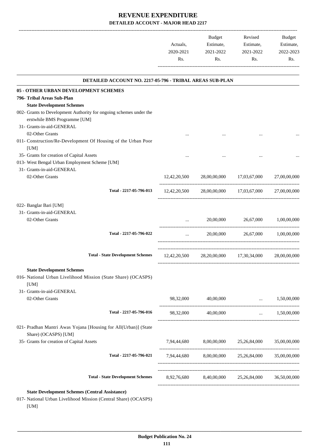|           | Budget    | Revised   | <b>Budget</b> |
|-----------|-----------|-----------|---------------|
| Actuals.  | Estimate, | Estimate, | Estimate,     |
| 2020-2021 | 2021-2022 | 2021-2022 | 2022-2023     |
| Rs.       | Rs.       | Rs.       | Rs.           |
|           |           |           |               |
|           |           |           |               |

|             | $\cdots$                                                                                          |                                                                                                                                                                                                                                                                                                                                                              |
|-------------|---------------------------------------------------------------------------------------------------|--------------------------------------------------------------------------------------------------------------------------------------------------------------------------------------------------------------------------------------------------------------------------------------------------------------------------------------------------------------|
|             |                                                                                                   |                                                                                                                                                                                                                                                                                                                                                              |
|             |                                                                                                   |                                                                                                                                                                                                                                                                                                                                                              |
|             |                                                                                                   |                                                                                                                                                                                                                                                                                                                                                              |
|             |                                                                                                   |                                                                                                                                                                                                                                                                                                                                                              |
|             |                                                                                                   |                                                                                                                                                                                                                                                                                                                                                              |
|             |                                                                                                   |                                                                                                                                                                                                                                                                                                                                                              |
|             |                                                                                                   |                                                                                                                                                                                                                                                                                                                                                              |
|             |                                                                                                   |                                                                                                                                                                                                                                                                                                                                                              |
|             |                                                                                                   |                                                                                                                                                                                                                                                                                                                                                              |
|             |                                                                                                   |                                                                                                                                                                                                                                                                                                                                                              |
|             |                                                                                                   |                                                                                                                                                                                                                                                                                                                                                              |
|             |                                                                                                   |                                                                                                                                                                                                                                                                                                                                                              |
|             |                                                                                                   |                                                                                                                                                                                                                                                                                                                                                              |
|             |                                                                                                   |                                                                                                                                                                                                                                                                                                                                                              |
|             |                                                                                                   |                                                                                                                                                                                                                                                                                                                                                              |
|             |                                                                                                   |                                                                                                                                                                                                                                                                                                                                                              |
|             |                                                                                                   |                                                                                                                                                                                                                                                                                                                                                              |
| 98,32,000   |                                                                                                   | 1,50,00,000                                                                                                                                                                                                                                                                                                                                                  |
|             |                                                                                                   | 1,50,00,000                                                                                                                                                                                                                                                                                                                                                  |
|             |                                                                                                   |                                                                                                                                                                                                                                                                                                                                                              |
|             |                                                                                                   |                                                                                                                                                                                                                                                                                                                                                              |
|             | 25,26,84,000                                                                                      | 35,00,00,000                                                                                                                                                                                                                                                                                                                                                 |
|             |                                                                                                   |                                                                                                                                                                                                                                                                                                                                                              |
|             |                                                                                                   |                                                                                                                                                                                                                                                                                                                                                              |
| 8,92,76,680 |                                                                                                   | 36,50,00,000                                                                                                                                                                                                                                                                                                                                                 |
|             | $\cdots$ . The same state $\cdots$<br>40,00,000<br>98,32,000 40,00,000<br>7,94,44,680 8,00,00,000 | $12,42,20,500$ $28,00,00,000$ $17,03,67,000$ $27,00,00,000$<br>12,42,20,500 28,00,00,000 17,03,67,000 27,00,00,000<br>20,00,000 26,67,000 1,00,00,000<br>20,00,000 26,67,000 1,00,00,000<br>12,42,20,500 28,20,00,000 17,30,34,000 28,00,00,000<br><b>Contract Contract</b><br>7,94,44,680 8,00,00,000 25,26,84,000 35,00,00,000<br>8,40,00,000 25,26,84,000 |

017- National Urban Livelihood Mission (Central Share) (OCASPS) [UM]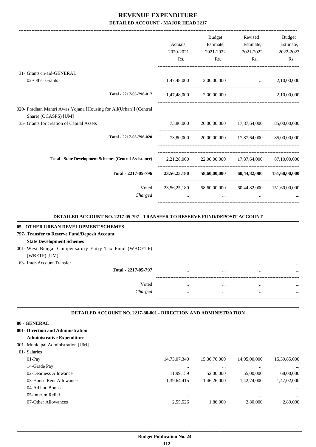-------------------------------------------------------------------------------------------------------------------------------------------------------------------------------

|                                                                                           |           | <b>Budget</b>                                        | Revised              | <b>Budget</b> |
|-------------------------------------------------------------------------------------------|-----------|------------------------------------------------------|----------------------|---------------|
|                                                                                           | Actuals,  | Estimate,                                            | Estimate,            | Estimate,     |
|                                                                                           | 2020-2021 | 2021-2022                                            | 2021-2022            | 2022-2023     |
|                                                                                           | Rs.       | Rs.                                                  | Rs.                  | Rs.           |
| 31- Grants-in-aid-GENERAL                                                                 |           |                                                      |                      |               |
| 02-Other Grants                                                                           |           | 1,47,48,000 2,00,00,000                              | $\ldots$ 2,10,00,000 |               |
| Total - 2217-05-796-017                                                                   |           | 1,47,48,000 2,00,00,000                              | $\ldots$ 2,10,00,000 |               |
| 020- Pradhan Mantri Awas Yojana [Housing for All(Urban)] (Central<br>Share) (OCASPS) [UM] |           |                                                      |                      |               |
| 35- Grants for creation of Capital Assets                                                 |           | 73,80,000 20,00,00,000 17,87,64,000 85,00,00,000     |                      |               |
| Total - 2217-05-796-020                                                                   |           | 73,80,000 20,00,00,000 17,87,64,000 85,00,00,000     |                      |               |
| <b>Total - State Development Schemes (Central Assistance)</b>                             |           | 2,21,28,000 22,00,00,000 17,87,64,000 87,10,00,000   |                      |               |
| Total - 2217-05-796                                                                       |           | 23,56,25,180 58,60,00,000 60,44,82,000 151,60,00,000 |                      |               |
| Voted                                                                                     |           | 23,56,25,180 58,60,00,000 60,44,82,000 151,60,00,000 |                      |               |
| Charged                                                                                   | $\cdots$  | $\cdots$                                             | $\cdots$             |               |
|                                                                                           |           |                                                      |                      |               |

#### **DETAILED ACCOUNT NO. 2217-05-797 - TRANSFER TO RESERVE FUND/DEPOSIT ACCOUNT .**

.

.

| 05 - OTHER URBAN DEVELOPMENT SCHEMES                                  |          |          |      |
|-----------------------------------------------------------------------|----------|----------|------|
| 797- Transfer to Reserve Fund/Deposit Account                         |          |          |      |
| <b>State Development Schemes</b>                                      |          |          |      |
| 001- West Bengal Compensatory Entry Tax Fund (WBCETF)<br>(WBETF) [UM] |          |          |      |
| 63- Inter-Account Transfer                                            |          |          | <br> |
| Total - 2217-05-797                                                   |          | $\cdots$ | <br> |
|                                                                       |          |          |      |
| Voted                                                                 | $\cdots$ |          | <br> |
| Charged                                                               |          |          | <br> |
|                                                                       |          |          |      |

#### **DETAILED ACCOUNT NO. 2217-80-001 - DIRECTION AND ADMINISTRATION .**

| 80 - GENERAL                       |              |              |              |              |
|------------------------------------|--------------|--------------|--------------|--------------|
| 001- Direction and Administration  |              |              |              |              |
| <b>Administrative Expenditure</b>  |              |              |              |              |
| 001- Municipal Administration [UM] |              |              |              |              |
| 01- Salaries                       |              |              |              |              |
| $01-Pav$                           | 14,73,07,340 | 15,36,76,000 | 14,95,00,000 | 15,39,85,000 |
| 14-Grade Pay                       |              | $\cdots$     | $\cdots$     | $\cdots$     |
| 02-Dearness Allowance              | 11,99,159    | 52,00,000    | 55,00,000    | 68,00,000    |
| 03-House Rent Allowance            | 1,39,64,415  | 1,46,26,000  | 1,42,74,000  | 1,47,02,000  |
| 04-Ad hoc Bonus                    | $\cdots$     | $\cdots$     | $\cdots$     | $\cdots$     |
| 05-Interim Relief                  |              | $\cdots$     | $\cdots$     | $\cdots$     |
| 07-Other Allowances                | 2,55,526     | 1.86,000     | 2,80,000     | 2,89,000     |
|                                    |              |              |              |              |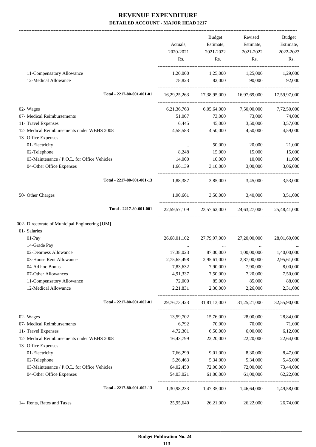|                                                | Actuals,       | Budget<br>Estimate, | Revised<br>Estimate,                                | Budget<br>Estimate, |
|------------------------------------------------|----------------|---------------------|-----------------------------------------------------|---------------------|
|                                                | 2020-2021      | 2021-2022           | 2021-2022                                           | 2022-2023           |
|                                                | Rs.            | Rs.                 | Rs.                                                 | Rs.                 |
| 11-Compensatory Allowance                      | 1,20,000       | 1,25,000            | 1,25,000                                            | 1,29,000            |
| 12-Medical Allowance                           | 78,823         | 82,000              | 90,000                                              | 92,000              |
| Total - 2217-80-001-001-01                     |                |                     | 16,29,25,263 17,38,95,000 16,97,69,000 17,59,97,000 |                     |
| 02- Wages                                      | 6, 21, 36, 763 | 6,05,64,000         | 7,50,00,000                                         | 7,72,50,000         |
| 07- Medical Reimbursements                     | 51,007         | 73,000              | 73,000                                              | 74,000              |
| 11- Travel Expenses                            | 6,445          | 45,000              | 3,50,000                                            | 3,57,000            |
| 12- Medical Reimbursements under WBHS 2008     | 4,58,583       | 4,50,000            | 4,50,000                                            | 4,59,000            |
| 13- Office Expenses                            |                |                     |                                                     |                     |
| 01-Electricity                                 | $\cdots$       | 50,000              | 20,000                                              | 21,000              |
| 02-Telephone                                   | 8,248          | 15,000              | 15,000                                              | 15,000              |
| 03-Maintenance / P.O.L. for Office Vehicles    | 14,000         | 10,000              | 10,000                                              | 11,000              |
| 04-Other Office Expenses                       | 1,66,139       | 3,10,000            | 3,00,000                                            | 3,06,000            |
| Total - 2217-80-001-001-13                     |                |                     | 1,88,387 3,85,000 3,45,000                          | 3,53,000            |
| 50- Other Charges                              |                |                     | 1,90,661 3,50,000 3,40,000 3,51,000                 |                     |
| Total - 2217-80-001-001                        |                |                     | 22,59,57,109 23,57,62,000 24,63,27,000 25,48,41,000 |                     |
| 002- Directorate of Municipal Engineering [UM] |                |                     |                                                     |                     |
| 01- Salaries                                   |                |                     |                                                     |                     |
| 01-Pay                                         | 26,68,01,102   | 27,79,97,000        | 27,20,00,000                                        | 28,01,60,000        |
| 14-Grade Pay                                   |                | $\cdots$            | $\cdots$                                            |                     |
| 02-Dearness Allowance                          | 17,38,023      | 87,00,000           | 1,00,00,000                                         | 1,40,00,000         |
| 03-House Rent Allowance                        | 2,75,65,498    | 2,95,61,000         | 2,87,00,000                                         | 2,95,61,000         |
| 04-Ad hoc Bonus                                | 7,83,632       | 7,90,000            | 7,90,000                                            | 8,00,000            |
| 07-Other Allowances                            | 4,91,337       | 7,50,000            | 7,20,000                                            | 7,50,000            |
| 11-Compensatory Allowance                      | 72,000         | 85,000              | 85,000                                              | 88,000              |
| 12-Medical Allowance                           | 2,21,831       | 2,30,000            | 2,26,000                                            | 2,31,000            |
| Total - 2217-80-001-002-01                     |                |                     | 29,76,73,423 31,81,13,000 31,25,21,000 32,55,90,000 |                     |
| 02- Wages                                      | 13,59,702      | 15,76,000           | 28,00,000                                           | 28,84,000           |
| 07- Medical Reimbursements                     | 6,792          | 70,000              | 70,000                                              | 71,000              |
| 11- Travel Expenses                            | 4,72,301       | 6,50,000            | 6,00,000                                            | 6,12,000            |
| 12- Medical Reimbursements under WBHS 2008     | 16,43,799      | 22,20,000           | 22,20,000                                           | 22,64,000           |
| 13- Office Expenses                            |                |                     |                                                     |                     |
| 01-Electricity                                 | 7,66,299       | 9,01,000            | 8,30,000                                            | 8,47,000            |
| 02-Telephone                                   | 5,26,463       | 5,34,000            | 5,34,000                                            | 5,45,000            |
| 03-Maintenance / P.O.L. for Office Vehicles    | 64,02,450      | 72,00,000           | 72,00,000                                           | 73,44,000           |
| 04-Other Office Expenses                       | 54,03,021      | 61,00,000           | 61,00,000                                           | 62,22,000           |
| Total - 2217-80-001-002-13                     |                |                     | 1,30,98,233 1,47,35,000 1,46,64,000 1,49,58,000     |                     |
| 14- Rents, Rates and Taxes                     | 25,95,640      | 26,21,000           | 26,22,000                                           | 26,74,000           |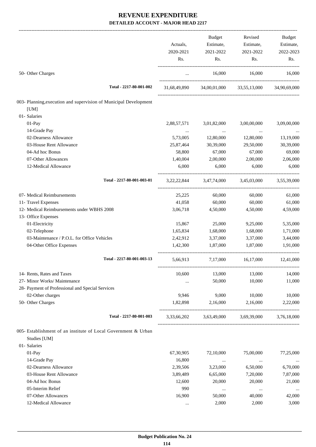|                                                                   |                  | <b>Budget</b>    | Revised                             | Budget           |
|-------------------------------------------------------------------|------------------|------------------|-------------------------------------|------------------|
|                                                                   | Actuals,         | Estimate,        | Estimate,                           | Estimate,        |
|                                                                   | 2020-2021<br>Rs. | 2021-2022<br>Rs. | 2021-2022<br>Rs.                    | 2022-2023<br>Rs. |
|                                                                   |                  |                  |                                     |                  |
| 50- Other Charges                                                 | $\cdots$         | 16,000           | 16,000                              | 16,000           |
| Total - 2217-80-001-002                                           | 31,68,49,890     |                  | 34,00,01,000 33,55,13,000           | 34,90,69,000     |
| 003- Planning, execution and supervision of Municipal Development |                  |                  |                                     |                  |
| [UM]                                                              |                  |                  |                                     |                  |
| 01- Salaries                                                      |                  |                  |                                     |                  |
| 01-Pay                                                            | 2,88,57,571      | 3,01,82,000      | 3,00,00,000                         | 3,09,00,000      |
| 14-Grade Pay                                                      |                  | $\ldots$         | $\cdots$                            |                  |
| 02-Dearness Allowance                                             | 5,73,005         | 12,80,000        | 12,80,000                           | 13,19,000        |
| 03-House Rent Allowance                                           | 25,87,464        | 30,39,000        | 29,50,000                           | 30,39,000        |
| 04-Ad hoc Bonus                                                   | 58,800           | 67,000           | 67,000                              | 69,000           |
| 07-Other Allowances                                               | 1,40,004         | 2,00,000         | 2,00,000                            | 2,06,000         |
| 12-Medical Allowance                                              | 6,000            | 6,000            | 6,000                               | 6,000            |
| Total - 2217-80-001-003-01                                        |                  |                  | 3,22,22,844 3,47,74,000 3,45,03,000 | 3,55,39,000      |
| 07- Medical Reimbursements                                        | 25,225           | 60,000           | 60,000                              | 61,000           |
| 11- Travel Expenses                                               | 41,058           | 60,000           | 60,000                              | 61,000           |
| 12- Medical Reimbursements under WBHS 2008                        | 3,06,718         | 4,50,000         | 4,50,000                            | 4,59,000         |
| 13- Office Expenses                                               |                  |                  |                                     |                  |
| 01-Electricity                                                    | 15,867           | 25,000           | 9,25,000                            | 5,35,000         |
| 02-Telephone                                                      | 1,65,834         | 1,68,000         | 1,68,000                            | 1,71,000         |
| 03-Maintenance / P.O.L. for Office Vehicles                       | 2,42,912         | 3,37,000         | 3,37,000                            | 3,44,000         |
| 04-Other Office Expenses                                          | 1,42,300         | 1,87,000         | 1,87,000                            | 1,91,000         |
| Total - 2217-80-001-003-13                                        | 5,66,913         | 7,17,000         | 16,17,000                           | 12,41,000        |
| 14- Rents, Rates and Taxes                                        | 10,600           | 13,000           | 13,000                              | 14,000           |
| 27- Minor Works/ Maintenance                                      |                  | 50,000           | 10,000                              | 11,000           |
| 28- Payment of Professional and Special Services                  |                  |                  |                                     |                  |
| 02-Other charges                                                  | 9,946            | 9,000            | 10,000                              | 10,000           |
| 50- Other Charges                                                 | 1,82,898         | 2,16,000         | 2,16,000                            | 2,22,000         |
| Total - 2217-80-001-003                                           | 3,33,66,202      | 3,63,49,000      | 3,69,39,000                         | 3,76,18,000      |
| 005- Establishment of an institute of Local Government & Urban    |                  |                  |                                     |                  |
| Studies [UM]                                                      |                  |                  |                                     |                  |
| 01- Salaries                                                      |                  |                  |                                     |                  |
| 01-Pay                                                            | 67,30,905        | 72,10,000        | 75,00,000                           | 77,25,000        |
| 14-Grade Pay                                                      | 16,800           | $\cdots$         | $\cdots$                            |                  |
| 02-Dearness Allowance                                             | 2,39,506         | 3,23,000         | 6,50,000                            | 6,70,000         |
| 03-House Rent Allowance                                           | 3,89,489         | 6,65,000         | 7,20,000                            | 7,87,000         |
| 04-Ad hoc Bonus                                                   | 12,600           | 20,000           | 20,000                              | 21,000           |
| 05-Interim Relief                                                 | 990              | $\ldots$         | $\cdots$                            |                  |
| 07-Other Allowances                                               | 16,900           | 50,000           | 40,000                              | 42,000           |
| 12-Medical Allowance                                              | $\cdots$         | 2,000            | 2,000                               | 3,000            |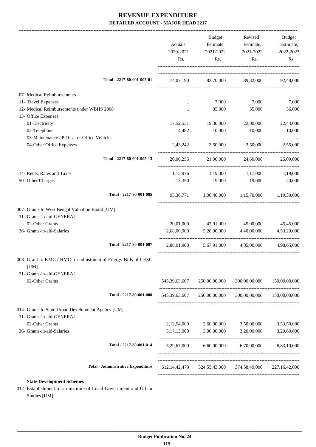|                                                                | Actuals,<br>2020-2021<br>Rs. | Budget<br>Estimate,<br>2021-2022<br>Rs.       | Revised<br>Estimate,<br>2021-2022<br>Rs. | Budget<br>Estimate,<br>2022-2023<br>Rs. |
|----------------------------------------------------------------|------------------------------|-----------------------------------------------|------------------------------------------|-----------------------------------------|
|                                                                |                              |                                               |                                          |                                         |
| Total - 2217-80-001-005-01                                     | 74,07,190                    |                                               | 82,70,000 89,32,000 92,48,000            |                                         |
| 07- Medical Reimbursements                                     |                              | $\cdots$                                      | $\cdots$                                 |                                         |
| 11- Travel Expenses                                            |                              | 7,000                                         | 7,000                                    | 7,000                                   |
| 12- Medical Reimbursements under WBHS 2008                     |                              | 35,000                                        | 35,000                                   | 36,000                                  |
| 13- Office Expenses                                            |                              |                                               |                                          |                                         |
| 01-Electricity                                                 | 17,52,531                    | 19,30,000                                     | 22,00,000                                | 22,44,000                               |
| 02-Telephone                                                   | 4,482                        | 10,000                                        | 10,000                                   | 10,000                                  |
| 03-Maintenance / P.O.L. for Office Vehicles                    | $\cdots$                     | $\sim 100$ and $\sim 100$                     | $\ldots$                                 |                                         |
| 04-Other Office Expenses                                       | 2,43,242                     | 2,50,000                                      | 2,50,000                                 | 2,55,000                                |
| Total - 2217-80-001-005-13                                     | 20,00,255                    | 21,90,000                                     | 24,60,000                                | 25,09,000                               |
| 14- Rents, Rates and Taxes                                     |                              | $1,15,976$ $1,19,000$ $1,17,000$              |                                          | 1,19,000                                |
| 50- Other Charges                                              | 13,350                       | 19,000                                        | 19,000                                   | 20,000                                  |
| Total - 2217-80-001-005                                        |                              | 95,36,771 1,06,40,000 1,15,70,000 1,19,39,000 |                                          |                                         |
| 007- Grants to West Bengal Valuation Board [UM]                |                              |                                               |                                          |                                         |
| 31- Grants-in-aid-GENERAL                                      |                              |                                               |                                          |                                         |
| 02-Other Grants                                                | 20,01,000                    | 47,91,000                                     | 45,00,000                                | 45,45,000                               |
| 36- Grants-in-aid-Salaries                                     | 2,68,00,900                  | 5,20,00,000                                   | 4,40,00,000                              | 4,53,20,000                             |
| Total - 2217-80-001-007                                        | 2,88,01,900                  | 5,67,91,000                                   | 4,85,00,000                              | 4,98,65,000                             |
| 008- Grant to KMC / HMC for adjustment of Energy Bills of CESC |                              |                                               |                                          |                                         |
| [UM]                                                           |                              |                                               |                                          |                                         |
| 31- Grants-in-aid-GENERAL                                      |                              |                                               |                                          |                                         |
| 02-Other Grants                                                | 545, 39, 63, 607             | 250,00,00,000                                 | 300,00,00,000                            | 150,00,00,000                           |
| Total - 2217-80-001-008                                        | 545,39,63,607                | 250,00,00,000                                 | 300,00,00,000 150,00,00,000              |                                         |
| 014- Grants to State Urban Development Agency [UM]             |                              |                                               |                                          |                                         |
| 31- Grants-in-aid-GENERAL                                      |                              |                                               |                                          |                                         |
| 02-Other Grants                                                | 2,12,54,000                  | 3,60,00,000                                   | 3,50,00,000                              | 3,53,50,000                             |
| 36- Grants-in-aid-Salaries                                     | 3,17,13,000                  | 3,00,00,000                                   | 3,20,00,000                              | 3,29,60,000                             |
| Total - 2217-80-001-014                                        | 5,29,67,000                  |                                               | 6,60,00,000 6,70,00,000                  | 6,83,10,000                             |
| <b>Total - Administrative Expenditure</b>                      |                              | 612,14,42,479 324,55,43,000 374,58,49,000     |                                          | 227, 16, 42, 000                        |
| <b>State Development Schemes</b>                               |                              |                                               |                                          |                                         |

012- Establishment of an institute of Local Government and Urban Studies [UM]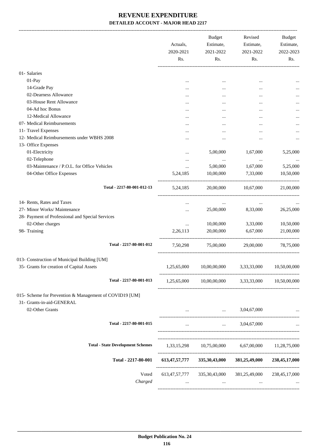|                                                                                      | Actuals,<br>2020-2021<br>Rs. | <b>Budget</b><br>Estimate,<br>2021-2022<br>Rs. | Revised<br>Estimate,<br>2021-2022<br>Rs.          | Budget<br>Estimate,<br>2022-2023<br>Rs. |
|--------------------------------------------------------------------------------------|------------------------------|------------------------------------------------|---------------------------------------------------|-----------------------------------------|
| 01- Salaries                                                                         |                              |                                                |                                                   |                                         |
| 01-Pay                                                                               |                              | $\cdots$                                       | $\ddotsc$                                         |                                         |
| 14-Grade Pay                                                                         |                              |                                                |                                                   |                                         |
| 02-Dearness Allowance                                                                |                              |                                                |                                                   |                                         |
| 03-House Rent Allowance                                                              |                              |                                                |                                                   |                                         |
| 04-Ad hoc Bonus                                                                      |                              |                                                |                                                   |                                         |
| 12-Medical Allowance                                                                 |                              |                                                |                                                   |                                         |
| 07- Medical Reimbursements                                                           |                              |                                                |                                                   |                                         |
| 11- Travel Expenses                                                                  |                              |                                                | $\ddotsc$                                         |                                         |
| 12- Medical Reimbursements under WBHS 2008                                           |                              |                                                |                                                   |                                         |
|                                                                                      |                              |                                                |                                                   |                                         |
| 13- Office Expenses                                                                  |                              |                                                |                                                   |                                         |
| 01-Electricity                                                                       | $\ddotsc$                    | 5,00,000                                       | 1,67,000                                          | 5,25,000                                |
| 02-Telephone                                                                         | $\ddotsc$                    | $\cdots$                                       | $\ldots$                                          |                                         |
| 03-Maintenance / P.O.L. for Office Vehicles                                          | $\cdots$                     | 5,00,000                                       | 1,67,000                                          | 5,25,000                                |
| 04-Other Office Expenses                                                             | 5,24,185                     | 10,00,000                                      | 7,33,000                                          | 10,50,000                               |
| Total - 2217-80-001-012-13                                                           | 5, 24, 185                   | 20,00,000                                      | 10,67,000                                         | 21,00,000                               |
| 14- Rents, Rates and Taxes                                                           | $\cdots$                     | $\cdots$                                       | $\cdots$                                          |                                         |
| 27- Minor Works/ Maintenance                                                         |                              | 25,00,000                                      | 8,33,000                                          | 26,25,000                               |
| 28- Payment of Professional and Special Services                                     |                              |                                                |                                                   |                                         |
| 02-Other charges                                                                     | $\cdots$                     | 10,00,000                                      | 3,33,000                                          | 10,50,000                               |
| 98- Training                                                                         | 2,26,113                     | 20,00,000                                      | 6,67,000                                          | 21,00,000                               |
| Total - 2217-80-001-012                                                              | 7,50,298                     | 75,00,000                                      | 29,00,000                                         | 78,75,000                               |
| 013- Construction of Municipal Building [UM]                                         |                              |                                                |                                                   |                                         |
| 35- Grants for creation of Capital Assets                                            | 1,25,65,000                  | 10,00,00,000                                   | 3,33,33,000                                       | 10,50,00,000                            |
|                                                                                      |                              |                                                |                                                   |                                         |
| Total - 2217-80-001-013                                                              | 1,25,65,000                  |                                                | 10,00,00,000 3,33,33,000                          | 10,50,00,000                            |
| 015- Scheme for Prevention & Management of COVID19 [UM]<br>31- Grants-in-aid-GENERAL |                              |                                                |                                                   |                                         |
| 02-Other Grants                                                                      |                              |                                                | 3,04,67,000<br>$\cdots$ . The same of $\cdots$    |                                         |
| Total - 2217-80-001-015                                                              | $\cdots$                     | $\mathbf{1}$                                   | 3,04,67,000                                       |                                         |
| <b>Total - State Development Schemes</b>                                             |                              |                                                | 1,33,15,298 10,75,00,000 6,67,00,000 11,28,75,000 |                                         |
|                                                                                      |                              |                                                |                                                   |                                         |
| Total - 2217-80-001                                                                  |                              | 613,47,57,777 335,30,43,000                    | 381,25,49,000                                     | 238,45,17,000                           |
| Voted<br>Charged                                                                     | 613, 47, 57, 777<br>$\cdots$ | 335,30,43,000<br>$\cdots$                      | 381,25,49,000<br>$\cdots$                         | 238, 45, 17, 000                        |
|                                                                                      |                              |                                                |                                                   |                                         |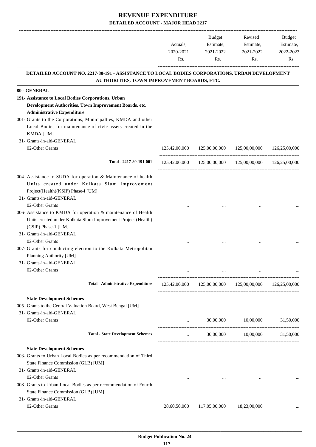-------------------------------------------------------------------------------------------------------------------------------------------------------------------------------

|                                                                                                                                             | Actuals,<br>2020-2021 | <b>Budget</b><br>Revised   |                                                            |               | <b>Budget</b> |
|---------------------------------------------------------------------------------------------------------------------------------------------|-----------------------|----------------------------|------------------------------------------------------------|---------------|---------------|
|                                                                                                                                             |                       | Estimate,                  | Estimate,                                                  | Estimate,     |               |
|                                                                                                                                             |                       |                            | 2021-2022                                                  | 2021-2022     | 2022-2023     |
|                                                                                                                                             | Rs.                   | Rs.                        | Rs.                                                        | Rs.           |               |
| DETAILED ACCOUNT NO. 2217-80-191 - ASSISTANCE TO LOCAL BODIES CORPORATIONS, URBAN DEVELOPMENT<br>AUTHORITIES, TOWN IMPROVEMENT BOARDS, ETC. |                       |                            |                                                            |               |               |
| 80 - GENERAL                                                                                                                                |                       |                            |                                                            |               |               |
| 191- Assistance to Local Bodies Corporations, Urban                                                                                         |                       |                            |                                                            |               |               |
| Development Authorities, Town Improvement Boards, etc.                                                                                      |                       |                            |                                                            |               |               |
| <b>Administrative Expenditure</b>                                                                                                           |                       |                            |                                                            |               |               |
| 001- Grants to the Corporations, Municipalties, KMDA and other                                                                              |                       |                            |                                                            |               |               |
| Local Bodies for maintenance of civic assets created in the<br>KMDA [UM]                                                                    |                       |                            |                                                            |               |               |
| 31- Grants-in-aid-GENERAL                                                                                                                   |                       |                            |                                                            |               |               |
| 02-Other Grants                                                                                                                             | 125,42,00,000         | 125,00,00,000              | 125,00,00,000                                              | 126,25,00,000 |               |
| Total - 2217-80-191-001                                                                                                                     | 125,42,00,000         | 125,00,00,000              | 125,00,00,000                                              | 126,25,00,000 |               |
| 004- Assistance to SUDA for operation & Maintenance of health<br>Units created under Kolkata Slum Improvement                               |                       |                            |                                                            |               |               |
| Project(Health)(KSIP) Phase-I [UM]                                                                                                          |                       |                            |                                                            |               |               |
| 31- Grants-in-aid-GENERAL                                                                                                                   |                       |                            |                                                            |               |               |
| 02-Other Grants                                                                                                                             |                       |                            |                                                            |               |               |
| 006- Assistance to KMDA for operation & maintenance of Health                                                                               |                       |                            |                                                            |               |               |
| Units created under Kolkata Slum Improvement Project (Health)                                                                               |                       |                            |                                                            |               |               |
| (CSIP) Phase-1 [UM]                                                                                                                         |                       |                            |                                                            |               |               |
| 31- Grants-in-aid-GENERAL                                                                                                                   |                       |                            |                                                            |               |               |
| 02-Other Grants                                                                                                                             |                       |                            |                                                            |               |               |
| 007- Grants for conducting election to the Kolkata Metropolitan<br>Planning Authority [UM]                                                  |                       |                            |                                                            |               |               |
| 31- Grants-in-aid-GENERAL                                                                                                                   |                       |                            |                                                            |               |               |
| 02-Other Grants                                                                                                                             |                       |                            |                                                            |               |               |
| <b>Total - Administrative Expenditure</b>                                                                                                   |                       |                            | 125,42,00,000  125,00,00,000  125,00,00,000  126,25,00,000 |               |               |
| <b>State Development Schemes</b>                                                                                                            |                       |                            |                                                            |               |               |
| 005- Grants to the Central Valuation Board, West Bengal [UM]                                                                                |                       |                            |                                                            |               |               |
| 31- Grants-in-aid-GENERAL                                                                                                                   |                       |                            |                                                            |               |               |
| 02-Other Grants                                                                                                                             |                       | 30,00,000<br>and the state | 10,00,000                                                  | 31,50,000     |               |
| <b>Total - State Development Schemes</b>                                                                                                    | $\cdots$              |                            | 30,00,000 10,00,000 31,50,000                              |               |               |
| <b>State Development Schemes</b>                                                                                                            |                       |                            |                                                            |               |               |
| 003- Grants to Urban Local Bodies as per recommendation of Third<br>State Finance Commission (GLB) [UM]                                     |                       |                            |                                                            |               |               |
| 31- Grants-in-aid-GENERAL                                                                                                                   |                       |                            |                                                            |               |               |
| 02-Other Grants                                                                                                                             |                       |                            |                                                            |               |               |
| 008- Grants to Urban Local Bodies as per recommendation of Fourth                                                                           |                       |                            |                                                            |               |               |
| State Finance Commission (GLB) [UM]                                                                                                         |                       |                            |                                                            |               |               |
| 31- Grants-in-aid-GENERAL                                                                                                                   |                       |                            |                                                            |               |               |
| 02-Other Grants                                                                                                                             | 28,60,50,000          | 117,05,00,000              | 18,23,00,000                                               |               |               |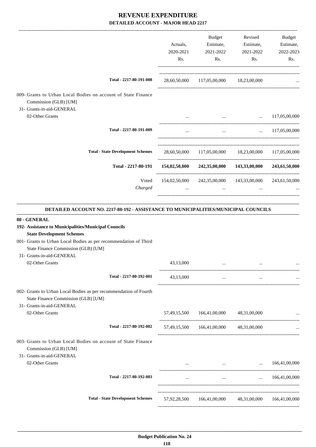|                                                                                                                                       | Actuals,<br>2020-2021<br>Rs. | Budget<br>Estimate,<br>2021-2022<br>Rs.                             | Revised<br>Estimate,<br>2021-2022<br>Rs.                                                                                                                                                                                             | Budget<br>Estimate,<br>2022-2023<br>Rs. |
|---------------------------------------------------------------------------------------------------------------------------------------|------------------------------|---------------------------------------------------------------------|--------------------------------------------------------------------------------------------------------------------------------------------------------------------------------------------------------------------------------------|-----------------------------------------|
| Total - 2217-80-191-008                                                                                                               |                              | 28,60,50,000 117,05,00,000 18,23,00,000                             |                                                                                                                                                                                                                                      |                                         |
| 009- Grants to Urban Local Bodies on account of State Finance<br>Commission (GLB) [UM]                                                |                              |                                                                     |                                                                                                                                                                                                                                      |                                         |
| 31- Grants-in-aid-GENERAL                                                                                                             |                              |                                                                     |                                                                                                                                                                                                                                      |                                         |
| 02-Other Grants                                                                                                                       |                              |                                                                     | $\ldots$ 117,05,00,000                                                                                                                                                                                                               |                                         |
| Total - 2217-80-191-009                                                                                                               |                              |                                                                     | $\mathbf{1}$ and $\mathbf{1}$ are the set of the set of the set of the set of the set of the set of the set of the set of the set of the set of the set of the set of the set of the set of the set of the set of the set of the set | $\ldots$ 117,05,00,000                  |
| <b>Total - State Development Schemes</b>                                                                                              |                              | 28,60,50,000 117,05,00,000 18,23,00,000 117,05,00,000               |                                                                                                                                                                                                                                      |                                         |
| Total - 2217-80-191                                                                                                                   |                              | $154,02,50,000$ $242,35,00,000$ $143,33,00,000$                     |                                                                                                                                                                                                                                      | 243,61,50,000                           |
| Voted<br>Charged                                                                                                                      |                              | 154,02,50,000 242,35,00,000 143,33,00,000 243,61,50,000<br>$\cdots$ |                                                                                                                                                                                                                                      |                                         |
| DETAILED ACCOUNT NO. 2217-80-192 - ASSISTANCE TO MUNICIPALITIES/MUNICIPAL COUNCILS                                                    |                              |                                                                     |                                                                                                                                                                                                                                      |                                         |
| 80 - GENERAL<br>192- Assistance to Municipalities/Municipal Councils<br><b>State Development Schemes</b>                              |                              |                                                                     |                                                                                                                                                                                                                                      |                                         |
| 001- Grants to Urban Local Bodies as per recommendation of Third<br>State Finance Commission (GLB) [UM]                               |                              |                                                                     |                                                                                                                                                                                                                                      |                                         |
| 31- Grants-in-aid-GENERAL<br>02-Other Grants                                                                                          | 43,13,000                    |                                                                     |                                                                                                                                                                                                                                      |                                         |
|                                                                                                                                       |                              |                                                                     |                                                                                                                                                                                                                                      |                                         |
| Total - 2217-80-192-001                                                                                                               | 43,13,000                    | $\cdots$                                                            | $\ldots$                                                                                                                                                                                                                             |                                         |
| 002- Grants to Urban Local Bodies as per recommendation of Fourth<br>State Finance Commission (GLB) [UM]<br>31- Grants-in-aid-GENERAL |                              |                                                                     |                                                                                                                                                                                                                                      |                                         |
| 02-Other Grants                                                                                                                       |                              | 57,49,15,500 166,41,00,000 48,31,00,000                             |                                                                                                                                                                                                                                      |                                         |
| Total - 2217-80-192-002                                                                                                               |                              | 57,49,15,500 166,41,00,000                                          | 48,31,00,000                                                                                                                                                                                                                         |                                         |
| 003- Grants to Urban Local Bodies on account of State Finance<br>Commission (GLB) [UM]                                                |                              |                                                                     |                                                                                                                                                                                                                                      |                                         |
| 31- Grants-in-aid-GENERAL<br>02-Other Grants                                                                                          |                              |                                                                     | $\mathbf{1}$ and $\mathbf{1}$ are all $\mathbf{1}$ and $\mathbf{1}$ and $\mathbf{1}$<br>$\cdots$                                                                                                                                     | 166,41,00,000                           |
| Total - 2217-80-192-003                                                                                                               | $\cdots$                     | $\ldots$                                                            | $\cdots$                                                                                                                                                                                                                             | 166,41,00,000                           |

-----------------------------------------------------------------------------------------

-----------------------------------------------------------------------------------------

-----------------------------------------------------------------------------------------

**Total - State Development Schemes** 57,92,28,500 166,41,00,000 48,31,00,000 166,41,00,000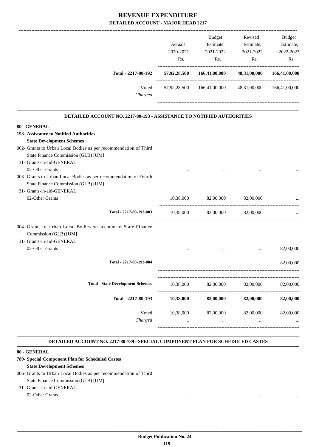|                                                                              |              | <b>Budget</b> | Revised      | <b>Budget</b> |
|------------------------------------------------------------------------------|--------------|---------------|--------------|---------------|
|                                                                              | Actuals.     | Estimate,     | Estimate,    | Estimate,     |
|                                                                              | 2020-2021    | 2021-2022     | 2021-2022    | 2022-2023     |
|                                                                              | Rs.          | Rs.           | Rs.          | Rs.           |
| Total - 2217-80-192                                                          | 57,92,28,500 | 166,41,00,000 | 48,31,00,000 | 166,41,00,000 |
| Voted                                                                        | 57,92,28,500 | 166,41,00,000 | 48,31,00,000 | 166,41,00,000 |
| Charged                                                                      | $\cdots$     | $\cdots$      | $\cdots$     | $\cdots$      |
|                                                                              |              |               |              |               |
| <b>DETAILED ACCOUNT NO. 2217-80-193 - ASSISTANCE TO NOTIFIED AUTHORITIES</b> |              |               |              |               |
| 80 - GENERAL                                                                 |              |               |              |               |
| 193- Assistance to Notified Authorities                                      |              |               |              |               |
| <b>State Development Schemes</b>                                             |              |               |              |               |

| 002- Grants to Urban Local Bodies as per recommendation of Third                                                    |           |                     |                                                                                 |           |
|---------------------------------------------------------------------------------------------------------------------|-----------|---------------------|---------------------------------------------------------------------------------|-----------|
| State Finance Commission (GLB) [UM]                                                                                 |           |                     |                                                                                 |           |
| 31- Grants-in-aid-GENERAL                                                                                           |           |                     |                                                                                 |           |
| 02-Other Grants                                                                                                     |           |                     |                                                                                 |           |
| 003- Grants to Urban Local Bodies as per recommendation of Fourth                                                   |           |                     |                                                                                 |           |
| State Finance Commission (GLB) [UM]                                                                                 |           |                     |                                                                                 |           |
| 31- Grants-in-aid-GENERAL                                                                                           |           |                     |                                                                                 |           |
| 02-Other Grants                                                                                                     | 10,38,000 | 82,00,000           | 82,00,000                                                                       |           |
| Total - 2217-80-193-003                                                                                             | 10,38,000 | 82,00,000 82,00,000 |                                                                                 |           |
| 004- Grants to Urban Local Bodies on account of State Finance<br>Commission (GLB) [UM]<br>31- Grants-in-aid-GENERAL |           |                     |                                                                                 |           |
| 02-Other Grants                                                                                                     |           |                     | the contract of the contract of the contract of the contract of the contract of | 82,00,000 |
| Total - 2217-80-193-004                                                                                             | $\cdots$  |                     | $\mathbf{r}$ and $\mathbf{r}$ and $\mathbf{r}$<br>and the state of the state of | 82,00,000 |
| <b>Total - State Development Schemes</b>                                                                            |           |                     | 10,38,000 82,00,000 82,00,000 82,00,000                                         |           |
| Total - 2217-80-193                                                                                                 | 10,38,000 |                     | 82,00,000 82,00,000                                                             | 82,00,000 |
| Voted                                                                                                               | 10,38,000 | 82,00,000           | 82,00,000                                                                       | 82,00,000 |
| Charged                                                                                                             | $\cdots$  | $\cdots$            | $\cdots$                                                                        |           |
|                                                                                                                     |           |                     |                                                                                 |           |

#### **DETAILED ACCOUNT NO. 2217-80-789 - SPECIAL COMPONENT PLAN FOR SCHEDULED CASTES .**

.

#### **80 - GENERAL**

#### **789- Special Component Plan for Scheduled Castes**

#### **State Development Schemes**

006- Grants to Urban Local Bodies as per recommendation of Third

State Finance Commission (GLB) [UM]

#### 31- Grants-in-aid-GENERAL

02-Other Grants ... ... ... ...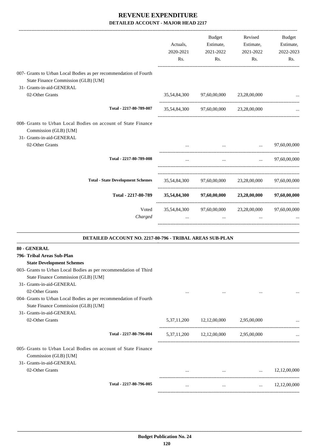|                                                                                                                     |              |                                                                 | Revised                                                                    | Budget                 |
|---------------------------------------------------------------------------------------------------------------------|--------------|-----------------------------------------------------------------|----------------------------------------------------------------------------|------------------------|
|                                                                                                                     | Actuals,     | Budget<br>Estimate,                                             | Estimate,                                                                  | Estimate,              |
|                                                                                                                     | 2020-2021    | 2021-2022                                                       | 2021-2022                                                                  | 2022-2023              |
|                                                                                                                     | Rs.          | Rs.                                                             | Rs.                                                                        | Rs.                    |
| 007- Grants to Urban Local Bodies as per recommendation of Fourth<br>State Finance Commission (GLB) [UM]            |              |                                                                 |                                                                            |                        |
| 31- Grants-in-aid-GENERAL<br>02-Other Grants                                                                        |              |                                                                 |                                                                            |                        |
|                                                                                                                     | 35,54,84,300 | 97,60,00,000                                                    | 23,28,00,000                                                               | ---------------------- |
| Total - 2217-80-789-007                                                                                             |              | 35,54,84,300 97,60,00,000 23,28,00,000                          |                                                                            |                        |
| 008- Grants to Urban Local Bodies on account of State Finance<br>Commission (GLB) [UM]<br>31- Grants-in-aid-GENERAL |              |                                                                 |                                                                            |                        |
| 02-Other Grants                                                                                                     |              |                                                                 | $\mathbf{r}$ and $\mathbf{r}$ are the set of $\mathbf{r}$ and $\mathbf{r}$ | 97,60,00,000           |
| Total - 2217-80-789-008                                                                                             |              | $\cdots$                                                        |                                                                            | $\ldots$ 97,60,00,000  |
| <b>Total - State Development Schemes</b>                                                                            |              | 35,54,84,300 97,60,00,000 23,28,00,000 97,60,00,000             |                                                                            |                        |
| Total - 2217-80-789                                                                                                 |              | 35,54,84,300 97,60,00,000 23,28,00,000 97,60,00,000             |                                                                            |                        |
| Voted<br>Charged                                                                                                    |              | 35,54,84,300 97,60,00,000 23,28,00,000 97,60,00,000<br>$\cdots$ |                                                                            |                        |
| DETAILED ACCOUNT NO. 2217-80-796 - TRIBAL AREAS SUB-PLAN                                                            |              |                                                                 |                                                                            |                        |
| 80 - GENERAL                                                                                                        |              |                                                                 |                                                                            |                        |
| 796- Tribal Areas Sub-Plan                                                                                          |              |                                                                 |                                                                            |                        |
| <b>State Development Schemes</b>                                                                                    |              |                                                                 |                                                                            |                        |
| 003- Grants to Urban Local Bodies as per recommendation of Third                                                    |              |                                                                 |                                                                            |                        |
| State Finance Commission (GLB) [UM]                                                                                 |              |                                                                 |                                                                            |                        |
| 31- Grants-in-aid-GENERAL                                                                                           |              |                                                                 |                                                                            |                        |
| 02-Other Grants                                                                                                     | $\cdots$     | $\cdots$                                                        | $\cdots$                                                                   |                        |
| 004- Grants to Urban Local Bodies as per recommendation of Fourth                                                   |              |                                                                 |                                                                            |                        |
| State Finance Commission (GLB) [UM]                                                                                 |              |                                                                 |                                                                            |                        |

31- Grants-in-aid-GENERAL

02-Other Grants 2.95,00,000 ... 5,37,11,200 12,12,00,000 2,95,00,000 ... ---------------------------------------------------------------------------------------- **Total - 2217-80-796-004** 5,37,11,200 12,12,00,000 2,95,00,000 ... ----------------------------------------------------------------------------------------- 005- Grants to Urban Local Bodies on account of State Finance Commission (GLB) [UM] 31- Grants-in-aid-GENERAL 02-Other Grants ... 12,12,00,000 ... ... 12,12,00,000 ... 12,12,00,000 ... ---------------------------------------------------------------------------------------- **Total - 2217-80-796-005** ... ... ... 12,12,00,000 -----------------------------------------------------------------------------------------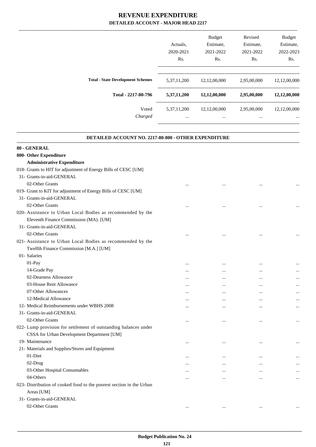|                                          |                | <b>Budget</b> | Revised     | <b>Budget</b> |
|------------------------------------------|----------------|---------------|-------------|---------------|
|                                          | Actuals.       | Estimate,     | Estimate,   | Estimate,     |
|                                          | 2020-2021      | 2021-2022     | 2021-2022   | 2022-2023     |
|                                          | Rs.            | Rs.           | Rs.         | Rs.           |
| <b>Total - State Development Schemes</b> | 5,37,11,200    | 12,12,00,000  | 2,95,00,000 | 12,12,00,000  |
| Total - 2217-80-796                      | 5,37,11,200    | 12,12,00,000  | 2,95,00,000 | 12,12,00,000  |
| Voted                                    | 5, 37, 11, 200 | 12,12,00,000  | 2,95,00,000 | 12,12,00,000  |
| Charged                                  | $\cdots$       | $\cdots$      | $\cdots$    | $\cdots$      |
|                                          |                |               |             |               |

.

| <b>DETAILED ACCOUNT NO. 2217-80-800 - OTHER EXPENDITURE</b>          |           |          |           |           |
|----------------------------------------------------------------------|-----------|----------|-----------|-----------|
| 80 - GENERAL                                                         |           |          |           |           |
| 800- Other Expenditure                                               |           |          |           |           |
| <b>Administrative Expenditure</b>                                    |           |          |           |           |
| 018- Grants to HIT for adjustment of Energy Bills of CESC [UM]       |           |          |           |           |
| 31- Grants-in-aid-GENERAL                                            |           |          |           |           |
| 02-Other Grants                                                      |           |          |           |           |
| 019- Grant to KIT for adjustment of Energy Bills of CESC [UM]        |           |          |           |           |
| 31- Grants-in-aid-GENERAL                                            |           |          |           |           |
| 02-Other Grants                                                      |           |          |           |           |
| 020- Assistance to Urban Local Bodies as recommended by the          |           |          |           |           |
| Eleventh Finance Commission (MA). [UM]                               |           |          |           |           |
| 31- Grants-in-aid-GENERAL                                            |           |          |           |           |
| 02-Other Grants                                                      |           |          |           |           |
| 021- Assistance to Urban Local Bodies as recommended by the          |           |          |           |           |
| Twelfth Finance Commission [M.A.] [UM]                               |           |          |           |           |
| 01- Salaries                                                         |           |          |           |           |
| 01-Pay                                                               | $\ddotsc$ |          |           |           |
| 14-Grade Pay                                                         |           |          |           |           |
| 02-Dearness Allowance                                                |           |          |           |           |
| 03-House Rent Allowance                                              |           |          |           |           |
| 07-Other Allowances                                                  |           |          |           | $\cdots$  |
| 12-Medical Allowance                                                 | $\ddotsc$ |          |           |           |
| 12- Medical Reimbursements under WBHS 2008                           |           |          |           | $\cdots$  |
| 31- Grants-in-aid-GENERAL                                            |           |          |           |           |
| 02-Other Grants                                                      |           |          |           | $\cdots$  |
| 022- Lump provision for settlement of outstanding balances under     |           |          |           |           |
| CSSA for Urban Development Department [UM]                           |           |          |           |           |
| 19- Maintenance                                                      | $\cdots$  |          | $\ddotsc$ | $\ddotsc$ |
| 21- Materials and Supplies/Stores and Equipment                      |           |          |           |           |
| 01-Diet                                                              |           |          |           |           |
| 02-Drug                                                              | $\cdots$  |          |           | $\cdots$  |
| 03-Other Hospital Consumables                                        |           |          |           |           |
| 04-Others                                                            | $\cdots$  | $\cdots$ | $\cdots$  | $\ldots$  |
| 023- Distribution of cooked food to the poorest section in the Urban |           |          |           |           |
| Areas [UM]                                                           |           |          |           |           |
| 31- Grants-in-aid-GENERAL                                            |           |          |           |           |
| 02-Other Grants                                                      | $\cdots$  | $\cdots$ | $\cdots$  | $\cdots$  |
|                                                                      |           |          |           |           |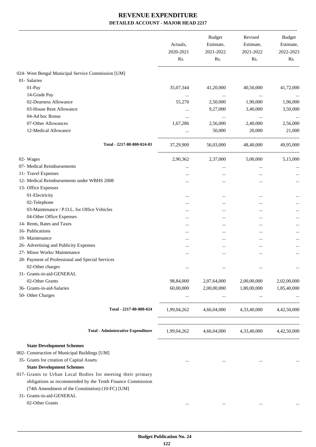|                                                                      | Actuals,<br>2020-2021<br>Rs. | <b>Budget</b><br>Estimate,<br>2021-2022<br>Rs. | Revised<br>Estimate,<br>2021-2022<br>Rs.        | <b>Budget</b><br>Estimate,<br>2022-2023<br>Rs. |
|----------------------------------------------------------------------|------------------------------|------------------------------------------------|-------------------------------------------------|------------------------------------------------|
| 024- West Bengal Municipal Service Commission [UM]                   |                              |                                                |                                                 |                                                |
| 01- Salaries                                                         |                              |                                                |                                                 |                                                |
| 01-Pay                                                               | 35,07,344                    | 41,20,000                                      | 40,50,000                                       | 41,72,000                                      |
| 14-Grade Pay                                                         | $\ldots$                     | $\ldots$                                       | $\cdots$                                        |                                                |
| 02-Dearness Allowance                                                | 55,270                       | 2,50,000                                       | 1,90,000                                        | 1,96,000                                       |
| 03-House Rent Allowance                                              |                              | 9,27,000                                       | 3,40,000                                        | 3,50,000                                       |
| 04-Ad hoc Bonus                                                      |                              | $\ldots$                                       | $\cdots$                                        | $\cdots$                                       |
| 07-Other Allowances                                                  | 1,67,286                     | 2,56,000                                       | 2,40,000                                        | 2,56,000                                       |
| 12-Medical Allowance                                                 |                              | 50,000                                         | 20,000                                          | 21,000                                         |
| Total - 2217-80-800-024-01                                           | 37,29,900                    | 56,03,000                                      | 48,40,000                                       | 49,95,000                                      |
| 02- Wages                                                            | 2,90,362                     | 2,37,000                                       | 5,00,000                                        | 5,15,000                                       |
| 07- Medical Reimbursements                                           | $\cdots$                     | $\ldots$                                       | $\ldots$                                        |                                                |
| 11- Travel Expenses                                                  |                              |                                                | $\cdots$                                        |                                                |
| 12- Medical Reimbursements under WBHS 2008                           |                              |                                                |                                                 |                                                |
| 13- Office Expenses                                                  |                              |                                                |                                                 |                                                |
| 01-Electricity                                                       |                              |                                                |                                                 |                                                |
| 02-Telephone                                                         |                              | $\cdots$                                       | $\ddotsc$                                       |                                                |
| 03-Maintenance / P.O.L. for Office Vehicles                          |                              | $\cdots$                                       | $\ddotsc$                                       |                                                |
| 04-Other Office Expenses                                             |                              |                                                | $\ddotsc$                                       |                                                |
| 14- Rents, Rates and Taxes                                           |                              |                                                |                                                 |                                                |
| 16- Publications                                                     |                              | $\cdots$                                       | $\cdots$                                        |                                                |
| 19- Maintenance                                                      |                              |                                                |                                                 |                                                |
| 26- Advertising and Publicity Expenses                               | $\cdots$                     |                                                | $\ddotsc$                                       |                                                |
| 27- Minor Works/ Maintenance                                         | $\cdots$                     | $\cdots$                                       | $\ddotsc$                                       |                                                |
| 28- Payment of Professional and Special Services<br>02-Other charges |                              |                                                |                                                 |                                                |
| 31- Grants-in-aid-GENERAL                                            |                              |                                                |                                                 |                                                |
| 02-Other Grants                                                      | 98,84,000                    | 2,07,64,000                                    | 2,00,00,000                                     | 2,02,00,000                                    |
| 36- Grants-in-aid-Salaries                                           | 60,00,000                    | 2,00,00,000                                    | 1,80,00,000                                     | 1,85,40,000                                    |
| 50- Other Charges                                                    | $\cdots$                     | $\mathbf{z}$ and $\mathbf{z}$ and $\mathbf{z}$ | $\cdots$                                        |                                                |
| Total - 2217-80-800-024                                              |                              |                                                | 1,99,04,262 4,66,04,000 4,33,40,000 4,42,50,000 |                                                |
| <b>Total - Administrative Expenditure</b>                            | 1,99,04,262                  |                                                | 4,66,04,000 4,33,40,000 4,42,50,000             |                                                |
| <b>State Development Schemes</b>                                     |                              |                                                |                                                 |                                                |
| 002- Construction of Municipal Buildings [UM]                        |                              |                                                |                                                 |                                                |
| 35- Grants for creation of Capital Assets                            | $\cdots$                     | $\ldots$                                       | $\cdots$                                        |                                                |
| <b>State Development Schemes</b>                                     |                              |                                                |                                                 |                                                |
| 017- Grants to Urban Local Bodies for meeting their primary          |                              |                                                |                                                 |                                                |
| obligations as recommended by the Tenth Finance Commission           |                              |                                                |                                                 |                                                |
| (74th Amendment of the Constitution) (10-FC) [UM]                    |                              |                                                |                                                 |                                                |
| 31- Grants-in-aid-GENERAL                                            |                              |                                                |                                                 |                                                |
| 02-Other Grants                                                      | $\cdots$                     | $\cdots$                                       | $\cdots$                                        |                                                |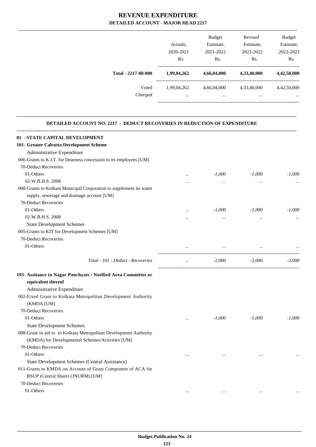|                                                                                  | Actuals.<br>2020-2021<br>Rs. | Budget<br>Estimate,<br>2021-2022<br>Rs. | Revised<br>Estimate,<br>2021-2022<br>Rs. | <b>Budget</b><br>Estimate,<br>2022-2023<br>Rs. |
|----------------------------------------------------------------------------------|------------------------------|-----------------------------------------|------------------------------------------|------------------------------------------------|
| Total - 2217-80-800                                                              | 1,99,04,262                  | 4,66,04,000                             | 4,33,40,000                              | 4,42,50,000                                    |
|                                                                                  |                              |                                         |                                          |                                                |
| Voted<br>Charged                                                                 | 1,99,04,262<br>$\cdots$      | 4,66,04,000<br>$\cdots$                 | 4,33,40,000                              | 4,42,50,000                                    |
| <b>DETAILED ACCOUNT NO. 2217 - DEDUCT RECOVERIES IN REDUCTION OF EXPENDITURE</b> |                              |                                         |                                          |                                                |
| 01 - STATE CAPITAL DEVELOPMENT                                                   |                              |                                         |                                          |                                                |
| 101- Greater Calcutta Development Scheme                                         |                              |                                         |                                          |                                                |
| Administrative Expenditure                                                       |                              |                                         |                                          |                                                |
| 006-Grants to K.I.T. for Dearness concession to its employees [UM]               |                              |                                         |                                          |                                                |
| 70-Deduct Recoveries                                                             |                              |                                         |                                          |                                                |
| 01-Others                                                                        |                              | $-1,000$                                | $-1,000$                                 | $-1,000$                                       |
| 02-W.B.H.S. 2008                                                                 |                              | $\cdots$                                |                                          |                                                |
| 008-Grants to Kolkata Municipal Corporation to supplement its water              |                              |                                         |                                          |                                                |
| supply, sewerage and drainage account [UM]                                       |                              |                                         |                                          |                                                |
| 70-Deduct Recoveries                                                             |                              |                                         |                                          |                                                |
| 01-Others                                                                        |                              | $-1,000$                                | $-1,000$                                 | $-1,000$                                       |
| 02-W.B.H.S. 2008                                                                 |                              | $\cdots$                                |                                          |                                                |
| <b>State Development Schemes</b>                                                 |                              |                                         |                                          |                                                |
| 005-Grants to KIT for Development Schemes [UM]                                   |                              |                                         |                                          |                                                |
| 70-Deduct Recoveries                                                             |                              |                                         |                                          |                                                |
| 01-Others                                                                        |                              |                                         |                                          |                                                |
| Total - 101 - Deduct - Recoveries                                                | $\cdots$                     | $-2,000$                                | $-2,000$                                 | $-2,000$                                       |
| 193- Assitance to Nagar Panchyats / Notified Area Committes or                   |                              |                                         |                                          |                                                |
| equivalent thereof                                                               |                              |                                         |                                          |                                                |
| Administrative Expenditure                                                       |                              |                                         |                                          |                                                |
| 002-Fixed Grant to Kolkata Metropolitan Development Authority                    |                              |                                         |                                          |                                                |
| (KMDA [UM]                                                                       |                              |                                         |                                          |                                                |
| 70-Deduct Recoveries                                                             |                              |                                         |                                          |                                                |
| 01-Others                                                                        | $\cdots$                     | $-1,000$                                | $-1,000$                                 | $-1,000$                                       |
| <b>State Development Schemes</b>                                                 |                              |                                         |                                          |                                                |
| 008-Grant in aid to to Kolkata Metropolitan Development Authority                |                              |                                         |                                          |                                                |
| (KMDA) for Developmental Schemes/Activities [UM]                                 |                              |                                         |                                          |                                                |
| 70-Deduct Recoveries                                                             |                              |                                         |                                          |                                                |
| 01-Others                                                                        | $\ddotsc$                    | $\cdots$                                | $\ddotsc$                                |                                                |
| State Development Schemes (Central Assistance)                                   |                              |                                         |                                          |                                                |
| 011-Grants to KMDA on Account of Grant Component of ACA for                      |                              |                                         |                                          |                                                |
| BSUP (Central Share) (JNURM) [UM]                                                |                              |                                         |                                          |                                                |
| 70-Deduct Recoveries                                                             |                              |                                         |                                          |                                                |
| 01-Others                                                                        |                              |                                         |                                          |                                                |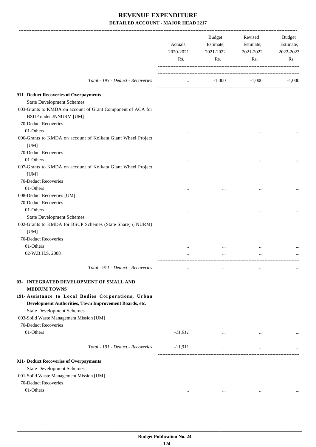|                                                                                                       | Actuals,<br>2020-2021<br>Rs. | Budget<br>Estimate,<br>2021-2022<br>Rs. | Revised<br>Estimate,<br>2021-2022<br>Rs. | Budget<br>Estimate,<br>2022-2023<br>Rs. |
|-------------------------------------------------------------------------------------------------------|------------------------------|-----------------------------------------|------------------------------------------|-----------------------------------------|
| Total - 193 - Deduct - Recoveries                                                                     | $\cdots$                     | $-1,000$                                | $-1,000$                                 | $-1,000$                                |
| 911- Deduct Recoveries of Overpayments                                                                |                              |                                         |                                          |                                         |
| <b>State Development Schemes</b>                                                                      |                              |                                         |                                          |                                         |
| 003-Grants to KMDA on account of Grant Component of ACA for<br><b>BSUP</b> under JNNURM [UM]          |                              |                                         |                                          |                                         |
| 70-Deduct Recoveries                                                                                  |                              |                                         |                                          |                                         |
| 01-Others                                                                                             |                              |                                         |                                          |                                         |
| 006-Grants to KMDA on account of Kolkata Giant Wheel Project<br>[UM]                                  |                              |                                         |                                          |                                         |
| 70-Deduct Recoveries                                                                                  |                              |                                         |                                          |                                         |
| 01-Others                                                                                             |                              |                                         |                                          |                                         |
| 007-Grants to KMDA on account of Kolkata Giant Wheel Project<br>[UM]                                  |                              |                                         |                                          |                                         |
| 70-Deduct Recoveries                                                                                  |                              |                                         |                                          |                                         |
| 01-Others                                                                                             | $\cdots$                     |                                         |                                          |                                         |
| 008-Deduct Recoveries [UM]<br>70-Deduct Recoveries                                                    |                              |                                         |                                          |                                         |
| 01-Others                                                                                             |                              |                                         |                                          |                                         |
|                                                                                                       |                              |                                         |                                          |                                         |
| <b>State Development Schemes</b><br>002-Grants to KMDA for BSUP Schemes (State Share) (JNURM)<br>[UM] |                              |                                         |                                          |                                         |
| 70-Deduct Recoveries                                                                                  |                              |                                         |                                          |                                         |
| 01-Others                                                                                             |                              |                                         |                                          |                                         |
| 02-W.B.H.S. 2008                                                                                      |                              | $\cdots$                                |                                          |                                         |
|                                                                                                       |                              |                                         |                                          |                                         |
| Total - 911 - Deduct - Recoveries                                                                     |                              | $\cdots$                                |                                          |                                         |
| 03- INTEGRATED DEVELOPMENT OF SMALL AND<br><b>MEDIUM TOWNS</b>                                        |                              |                                         |                                          |                                         |
| 191- Assistance to Local Bodies Corporations, Urban                                                   |                              |                                         |                                          |                                         |
| Development Authorities, Town Improvement Boards, etc.                                                |                              |                                         |                                          |                                         |
| <b>State Development Schemes</b>                                                                      |                              |                                         |                                          |                                         |
| 003-Solid Waste Management Mission [UM]                                                               |                              |                                         |                                          |                                         |
| 70-Deduct Recoveries                                                                                  |                              |                                         |                                          |                                         |
| 01-Others                                                                                             | $-11,911$                    | and the contract of the contract of     | $\cdots$                                 |                                         |
| Total - 191 - Deduct - Recoveries                                                                     | $-11,911$                    | $\sim$ $\sim$                           | $\cdots$                                 |                                         |
| 911- Deduct Recoveries of Overpayments                                                                |                              |                                         |                                          |                                         |
| <b>State Development Schemes</b>                                                                      |                              |                                         |                                          |                                         |
| 001-Solid Waste Management Mission [UM]                                                               |                              |                                         |                                          |                                         |
| 70-Deduct Recoveries                                                                                  |                              |                                         |                                          |                                         |
| 01-Others                                                                                             | $\cdots$                     | $\cdots$                                | $\cdots$                                 |                                         |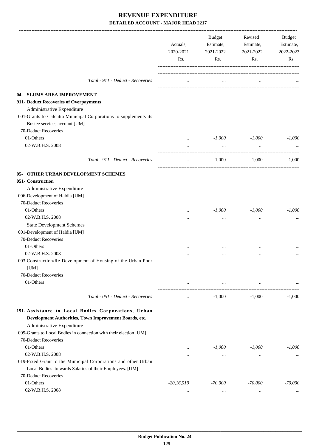|                                                                                                                                             | Actuals,<br>2020-2021<br>Rs. | Budget<br>Estimate,<br>2021-2022<br>Rs. | Revised<br>Estimate,<br>2021-2022<br>Rs.   | Budget<br>Estimate,<br>2022-2023<br>Rs. |
|---------------------------------------------------------------------------------------------------------------------------------------------|------------------------------|-----------------------------------------|--------------------------------------------|-----------------------------------------|
| Total - 911 - Deduct - Recoveries                                                                                                           | $\cdots$                     | $\cdots$                                |                                            |                                         |
| 04- SLUMS AREA IMPROVEMENT                                                                                                                  |                              |                                         |                                            |                                         |
| 911- Deduct Recoveries of Overpayments                                                                                                      |                              |                                         |                                            |                                         |
| Administrative Expenditure                                                                                                                  |                              |                                         |                                            |                                         |
| 001-Grants to Calcutta Municipal Corporations to supplements its                                                                            |                              |                                         |                                            |                                         |
| Bustee services account [UM]                                                                                                                |                              |                                         |                                            |                                         |
| 70-Deduct Recoveries                                                                                                                        |                              |                                         |                                            |                                         |
| 01-Others                                                                                                                                   | $\cdots$                     | $-1,000$                                | $-1,000$                                   | $-1,000$                                |
| 02-W.B.H.S. 2008                                                                                                                            | $\cdots$                     | $\cdots$                                |                                            |                                         |
|                                                                                                                                             |                              |                                         |                                            |                                         |
| Total - 911 - Deduct - Recoveries                                                                                                           | $\cdots$                     | $-1,000$                                | $-1,000$                                   | $-1.000$                                |
| <b>05- OTHER URBAN DEVELOPMENT SCHEMES</b>                                                                                                  |                              |                                         |                                            |                                         |
| 051- Construction                                                                                                                           |                              |                                         |                                            |                                         |
| Administrative Expenditure                                                                                                                  |                              |                                         |                                            |                                         |
| 006-Development of Haldia [UM]                                                                                                              |                              |                                         |                                            |                                         |
| 70-Deduct Recoveries                                                                                                                        |                              |                                         |                                            |                                         |
| 01-Others                                                                                                                                   |                              | $-1,000$                                | $-1,000$                                   | $-1,000$                                |
| 02-W.B.H.S. 2008                                                                                                                            | $\cdots$                     | $\cdots$                                |                                            |                                         |
| <b>State Development Schemes</b>                                                                                                            |                              |                                         |                                            |                                         |
| 001-Development of Haldia [UM]                                                                                                              |                              |                                         |                                            |                                         |
| 70-Deduct Recoveries                                                                                                                        |                              |                                         |                                            |                                         |
| 01-Others                                                                                                                                   |                              |                                         |                                            |                                         |
| 02-W.B.H.S. 2008                                                                                                                            |                              |                                         |                                            |                                         |
| 003-Construction/Re-Development of Housing of the Urban Poor<br>[UM]                                                                        |                              |                                         |                                            |                                         |
| 70-Deduct Recoveries                                                                                                                        |                              |                                         |                                            |                                         |
| 01-Others                                                                                                                                   |                              | and the state of the state of           | <b>The Committee Committee</b><br>$\ldots$ |                                         |
|                                                                                                                                             |                              |                                         |                                            |                                         |
| Total - 051 - Deduct - Recoveries                                                                                                           | $\cdots$                     | $-1,000$                                | $-1,000$                                   | $-1,000$                                |
| 191- Assistance to Local Bodies Corporations, Urban<br>Development Authorities, Town Improvement Boards, etc.<br>Administrative Expenditure |                              |                                         |                                            |                                         |
| 009-Grants to Local Bodies in connection with their election [UM]                                                                           |                              |                                         |                                            |                                         |
| 70-Deduct Recoveries                                                                                                                        |                              |                                         |                                            |                                         |
| 01-Others                                                                                                                                   |                              | $-1,000$                                | $-1,000$                                   | $-1,000$                                |
| 02-W.B.H.S. 2008                                                                                                                            |                              | $\cdots$                                |                                            | $\cdots$                                |
| 019-Fixed Grant to the Municipal Corporations and other Urban                                                                               |                              |                                         |                                            |                                         |
| Local Bodies to wards Salaries of their Employees. [UM]                                                                                     |                              |                                         |                                            |                                         |
| 70-Deduct Recoveries                                                                                                                        |                              |                                         |                                            |                                         |
| 01-Others                                                                                                                                   | $-20,16,519$                 | $-70,000$                               | $-70,000$                                  | $-70,000$                               |
| 02-W.B.H.S. 2008                                                                                                                            | $\cdots$                     | $\cdots$                                | $\cdots$                                   |                                         |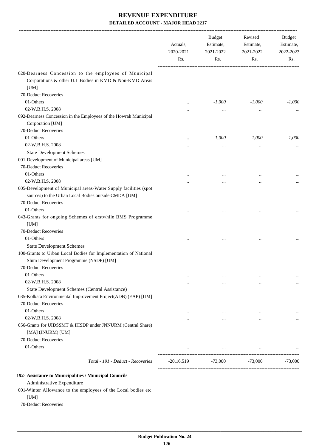|                                                                                                                         | Actuals,<br>2020-2021<br>Rs. | <b>Budget</b><br>Estimate,<br>2021-2022<br>Rs. | Revised<br>Estimate,<br>2021-2022<br>Rs. | Budget<br>Estimate,<br>2022-2023<br>Rs. |
|-------------------------------------------------------------------------------------------------------------------------|------------------------------|------------------------------------------------|------------------------------------------|-----------------------------------------|
| 020-Dearness Concession to the employees of Municipal<br>Corporations & other U.L.Bodies in KMD & Non-KMD Areas<br>[UM] |                              |                                                |                                          |                                         |
| 70-Deduct Recoveries                                                                                                    |                              |                                                |                                          |                                         |
| 01-Others                                                                                                               |                              | $-1,000$                                       | $-1,000$                                 | $-1,000$                                |
| 02-W.B.H.S. 2008                                                                                                        | $\ddotsc$                    |                                                |                                          |                                         |
| 092-Dearness Concession in the Employees of the Howrah Municipal                                                        | $\cdots$                     |                                                | $\cdots$                                 |                                         |
| Corporation [UM]                                                                                                        |                              |                                                |                                          |                                         |
| 70-Deduct Recoveries                                                                                                    |                              |                                                |                                          |                                         |
| 01-Others                                                                                                               |                              | $-1,000$                                       | $-1,000$                                 | $-1,000$                                |
| 02-W.B.H.S. 2008                                                                                                        |                              |                                                |                                          |                                         |
| <b>State Development Schemes</b>                                                                                        | $\cdots$                     | $\cdots$                                       | $\cdots$                                 |                                         |
| 001-Development of Municipal areas [UM]                                                                                 |                              |                                                |                                          |                                         |
| 70-Deduct Recoveries                                                                                                    |                              |                                                |                                          |                                         |
| 01-Others                                                                                                               |                              |                                                |                                          |                                         |
| 02-W.B.H.S. 2008                                                                                                        |                              |                                                |                                          |                                         |
| 005-Development of Municipal areas-Water Supply facilities (spot                                                        |                              |                                                | $\cdots$                                 |                                         |
| sources) to the Urban Local Bodies outside CMDA [UM]                                                                    |                              |                                                |                                          |                                         |
| 70-Deduct Recoveries                                                                                                    |                              |                                                |                                          |                                         |
| 01-Others                                                                                                               |                              |                                                |                                          |                                         |
| 043-Grants for ongoing Schemes of erstwhile BMS Programme                                                               |                              |                                                |                                          |                                         |
| [UM]                                                                                                                    |                              |                                                |                                          |                                         |
| 70-Deduct Recoveries                                                                                                    |                              |                                                |                                          |                                         |
| 01-Others                                                                                                               |                              |                                                |                                          |                                         |
| <b>State Development Schemes</b>                                                                                        |                              |                                                |                                          |                                         |
| 100-Grants to Urban Local Bodies for Implementation of National<br>Slum Development Programme (NSDP) [UM]               |                              |                                                |                                          |                                         |
| 70-Deduct Recoveries                                                                                                    |                              |                                                |                                          |                                         |
| 01-Others                                                                                                               | $\cdots$                     |                                                | $\cdots$                                 |                                         |
| 02-W.B.H.S. 2008                                                                                                        | $\ddotsc$                    | $\cdots$                                       | $\cdots$                                 | $\cdots$                                |
| State Development Schemes (Central Assistance)                                                                          |                              |                                                |                                          |                                         |
| 035-Kolkata Environmental Improvement Project(ADB) (EAP) [UM]                                                           |                              |                                                |                                          |                                         |
| 70-Deduct Recoveries                                                                                                    |                              |                                                |                                          |                                         |
| 01-Others                                                                                                               |                              | $\cdots$                                       | $\cdots$                                 |                                         |
| 02-W.B.H.S. 2008                                                                                                        |                              |                                                |                                          |                                         |
| 056-Grants for UIDSSMT & IHSDP under JNNURM (Central Share)<br>[MA] (JNURM) [UM]                                        |                              |                                                |                                          |                                         |
| 70-Deduct Recoveries                                                                                                    |                              |                                                |                                          |                                         |
| 01-Others                                                                                                               |                              | $\cdots$                                       | $\cdots$                                 | -------------------                     |
| Total - 191 - Deduct - Recoveries                                                                                       | $-20,16,519$                 | -73,000                                        | $-73,000$                                | $-73,000$                               |

#### **192- Assistance to Municipalities / Municipal Councils**

Administrative Expenditure

001-Winter Allowance to the employees of the Local bodies etc.

[UM]

70-Deduct Recoveries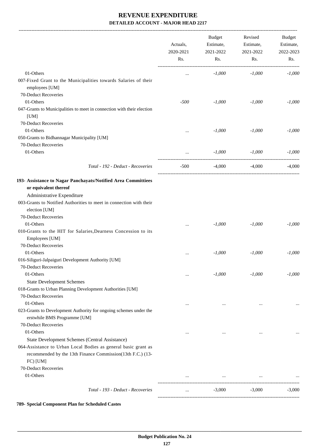-------------------------------------------------------------------------------------------------------------------------------------------------------------------------------

|                                                                                                   | Actuals,<br>2020-2021<br>Rs. | <b>Budget</b><br>Estimate,<br>2021-2022<br>Rs. | Revised<br>Estimate,<br>2021-2022<br>Rs. | <b>Budget</b><br>Estimate,<br>2022-2023<br>Rs. |
|---------------------------------------------------------------------------------------------------|------------------------------|------------------------------------------------|------------------------------------------|------------------------------------------------|
| 01-Others                                                                                         | $\cdots$                     | $-1,000$                                       | $-1,000$                                 | $-1,000$                                       |
| 007-Fixed Grant to the Municipalities towards Salaries of their<br>employees [UM]                 |                              |                                                |                                          |                                                |
| 70-Deduct Recoveries                                                                              |                              |                                                |                                          |                                                |
| 01-Others                                                                                         | $-500$                       | $-1,000$                                       | $-1,000$                                 | $-1,000$                                       |
| 047-Grants to Municipalities to meet in connection with their election                            |                              |                                                |                                          |                                                |
| [UM]                                                                                              |                              |                                                |                                          |                                                |
| 70-Deduct Recoveries                                                                              |                              |                                                |                                          |                                                |
| 01-Others                                                                                         | $\cdots$                     | $-1,000$                                       | $-1,000$                                 | $-1,000$                                       |
| 050-Grants to Bidhannagar Municipality [UM]                                                       |                              |                                                |                                          |                                                |
| 70-Deduct Recoveries                                                                              |                              |                                                |                                          |                                                |
| 01-Others                                                                                         | $\cdots$                     | $-1,000$                                       | $-1,000$                                 | $-1,000$                                       |
| Total - 192 - Deduct - Recoveries                                                                 | $-500$                       | $-4,000$                                       | $-4,000$                                 | $-4,000$                                       |
| 193- Assistance to Nagar Panchayats/Notified Area Committiees                                     |                              |                                                |                                          |                                                |
| or equivalent thereof                                                                             |                              |                                                |                                          |                                                |
| Administrative Expenditure                                                                        |                              |                                                |                                          |                                                |
| 003-Grants to Notified Authorities to meet in connection with their                               |                              |                                                |                                          |                                                |
| election [UM]                                                                                     |                              |                                                |                                          |                                                |
| 70-Deduct Recoveries                                                                              |                              |                                                |                                          |                                                |
| 01-Others                                                                                         |                              | $-1,000$                                       | $-1,000$                                 | $-1,000$                                       |
| 010-Grants to the HIT for Salaries, Dearness Concession to its                                    |                              |                                                |                                          |                                                |
| Employees [UM]                                                                                    |                              |                                                |                                          |                                                |
| 70-Deduct Recoveries                                                                              |                              |                                                |                                          |                                                |
| 01-Others                                                                                         | $\cdots$                     | $-1,000$                                       | $-1,000$                                 | $-1,000$                                       |
| 016-Siliguri-Jalpaiguri Development Authority [UM]                                                |                              |                                                |                                          |                                                |
| 70-Deduct Recoveries                                                                              |                              |                                                |                                          |                                                |
| 01-Others                                                                                         |                              | $-1,000$                                       | $-1,000$                                 | $-1,000$                                       |
| <b>State Development Schemes</b>                                                                  |                              |                                                |                                          |                                                |
| 018-Grants to Urban Planning Development Authorities [UM]                                         |                              |                                                |                                          |                                                |
| 70-Deduct Recoveries                                                                              |                              |                                                |                                          |                                                |
| 01-Others                                                                                         | $\cdots$                     | $\cdots$                                       | $\cdots$                                 |                                                |
| 023-Grants to Development Authority for ongoing schemes under the<br>erstwhile BMS Programme [UM] |                              |                                                |                                          |                                                |
| 70-Deduct Recoveries                                                                              |                              |                                                |                                          |                                                |
| 01-Others                                                                                         | $\cdots$                     |                                                | $\cdots$                                 |                                                |
| State Development Schemes (Central Assistance)                                                    |                              |                                                |                                          |                                                |
| 064-Assistance to Urban Local Bodies as general basic grant as                                    |                              |                                                |                                          |                                                |
| recommended by the 13th Finance Commission(13th F.C.) (13-<br>FC) [UM]                            |                              |                                                |                                          |                                                |
| 70-Deduct Recoveries                                                                              |                              |                                                |                                          |                                                |
| 01-Others                                                                                         |                              |                                                |                                          |                                                |
|                                                                                                   |                              |                                                | . _ _ _ _ _ _ _ _ _ _ _ _ _ _ _ .        | -----------------                              |
| Total - 193 - Deduct - Recoveries                                                                 | $\cdots$                     | $-3,000$                                       | $-3,000$                                 | $-3,000$                                       |

**789- Special Component Plan for Scheduled Castes**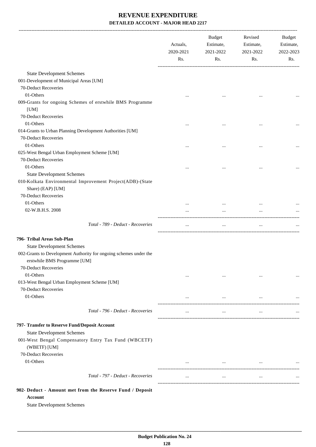|                                                                                                                           | Actuals,<br>2020-2021<br>Rs. | Budget<br>Estimate,<br>2021-2022<br>Rs. | Revised<br>Estimate,<br>2021-2022<br>Rs. | Budget<br>Estimate,<br>2022-2023<br>Rs. |
|---------------------------------------------------------------------------------------------------------------------------|------------------------------|-----------------------------------------|------------------------------------------|-----------------------------------------|
| <b>State Development Schemes</b>                                                                                          |                              |                                         |                                          |                                         |
| 001-Development of Municipal Areas [UM]                                                                                   |                              |                                         |                                          |                                         |
| 70-Deduct Recoveries                                                                                                      |                              |                                         |                                          |                                         |
| 01-Others                                                                                                                 |                              |                                         | $\cdots$                                 |                                         |
| 009-Grants for ongoing Schemes of erstwhile BMS Programme<br>[UM]                                                         |                              |                                         |                                          |                                         |
| 70-Deduct Recoveries                                                                                                      |                              |                                         |                                          |                                         |
| 01-Others                                                                                                                 |                              |                                         |                                          |                                         |
| 014-Grants to Urban Planning Development Authorities [UM]                                                                 |                              |                                         |                                          |                                         |
| 70-Deduct Recoveries                                                                                                      |                              |                                         |                                          |                                         |
| 01-Others                                                                                                                 | $\cdots$                     | $\cdots$                                | $\ddotsc$                                |                                         |
| 025-West Bengal Urban Employment Scheme [UM]                                                                              |                              |                                         |                                          |                                         |
| 70-Deduct Recoveries                                                                                                      |                              |                                         |                                          |                                         |
| 01-Others                                                                                                                 | $\cdots$                     |                                         | $\ddotsc$                                |                                         |
| <b>State Development Schemes</b>                                                                                          |                              |                                         |                                          |                                         |
| 010-Kolkata Environmental Improvement Project(ADB)-(State                                                                 |                              |                                         |                                          |                                         |
| Share) (EAP) [UM]                                                                                                         |                              |                                         |                                          |                                         |
| 70-Deduct Recoveries                                                                                                      |                              |                                         |                                          |                                         |
| 01-Others                                                                                                                 |                              |                                         | $\ddotsc$                                |                                         |
| 02-W.B.H.S. 2008                                                                                                          |                              |                                         |                                          |                                         |
| Total - 789 - Deduct - Recoveries                                                                                         | $\cdots$                     | $\cdots$                                | $\cdots$                                 |                                         |
| 796- Tribal Areas Sub-Plan                                                                                                |                              |                                         |                                          |                                         |
| <b>State Development Schemes</b>                                                                                          |                              |                                         |                                          |                                         |
| 002-Grants to Development Authority for ongoing schemes under the<br>erstwhile BMS Programme [UM]<br>70-Deduct Recoveries |                              |                                         |                                          |                                         |
| 01-Others                                                                                                                 |                              |                                         |                                          |                                         |
| 013-West Bengal Urban Employment Scheme [UM]<br>70-Deduct Recoveries                                                      | $\cdots$                     | $\cdots$                                | $\cdots$                                 | $\cdots$                                |
| 01-Others                                                                                                                 | $\cdots$                     | $\cdots$                                | $\cdots$                                 |                                         |
|                                                                                                                           |                              |                                         |                                          |                                         |
| Total - 796 - Deduct - Recoveries                                                                                         | $\cdots$                     | $\cdots$                                | $\cdots$                                 |                                         |
| 797- Transfer to Reserve Fund/Deposit Account<br><b>State Development Schemes</b>                                         |                              |                                         |                                          |                                         |
| 001-West Bengal Compensatory Entry Tax Fund (WBCETF)<br>(WBETF) [UM]                                                      |                              |                                         |                                          |                                         |
| 70-Deduct Recoveries                                                                                                      |                              |                                         |                                          |                                         |
| 01-Others                                                                                                                 | $\cdots$                     | $\cdots$                                | $\ddotsc$                                |                                         |
| Total - 797 - Deduct - Recoveries                                                                                         | $\cdots$                     | $\cdots$                                | $\cdots$                                 |                                         |
| 902- Deduct - Amount met from the Reserve Fund / Deposit<br><b>Account</b>                                                |                              |                                         |                                          |                                         |

State Development Schemes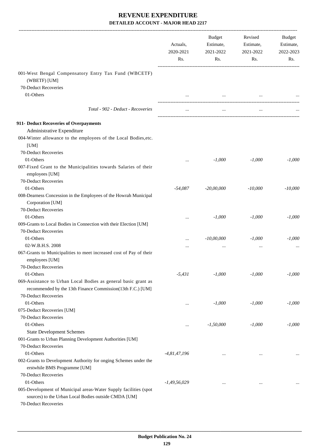|                                                                                                                                                  | Actuals,<br>2020-2021<br>Rs. | Estimate,<br>2021-2022<br>Rs. | Estimate,<br>2021-2022<br>Rs. | Budget<br>Estimate,<br>2022-2023<br>Rs. |
|--------------------------------------------------------------------------------------------------------------------------------------------------|------------------------------|-------------------------------|-------------------------------|-----------------------------------------|
| 001-West Bengal Compensatory Entry Tax Fund (WBCETF)                                                                                             |                              |                               |                               |                                         |
| (WBETF) [UM]                                                                                                                                     |                              |                               |                               |                                         |
| 70-Deduct Recoveries                                                                                                                             |                              |                               |                               |                                         |
| 01-Others                                                                                                                                        |                              |                               |                               |                                         |
| Total - 902 - Deduct - Recoveries                                                                                                                |                              |                               |                               |                                         |
| 911- Deduct Recoveries of Overpayments                                                                                                           |                              |                               |                               |                                         |
| Administrative Expenditure                                                                                                                       |                              |                               |                               |                                         |
| 004-Winter allowance to the employees of the Local Bodies, etc.<br>[UM]                                                                          |                              |                               |                               |                                         |
| 70-Deduct Recoveries                                                                                                                             |                              |                               |                               |                                         |
| 01-Others                                                                                                                                        |                              | $-1,000$                      | $-1,000$                      | $-1,000$                                |
| 007-Fixed Grant to the Municipalities towards Salaries of their<br>employees [UM]                                                                |                              |                               |                               |                                         |
| 70-Deduct Recoveries                                                                                                                             |                              |                               |                               |                                         |
| 01-Others                                                                                                                                        | $-54,087$                    | $-20,00,000$                  | $-10,000$                     | $-10,000$                               |
| 008-Dearness Concession in the Employees of the Howrah Municipal<br>Corporation [UM]                                                             |                              |                               |                               |                                         |
| 70-Deduct Recoveries                                                                                                                             |                              |                               |                               |                                         |
| 01-Others                                                                                                                                        | $\cdots$                     | $-1,000$                      | $-1,000$                      | $-1,000$                                |
| 009-Grants to Local Bodies in Connection with their Election [UM]                                                                                |                              |                               |                               |                                         |
| 70-Deduct Recoveries                                                                                                                             |                              |                               |                               |                                         |
| 01-Others                                                                                                                                        | $\cdots$                     | $-10,00,000$                  | $-1,000$                      | $-1,000$                                |
| 02-W.B.H.S. 2008                                                                                                                                 |                              | $\cdots$                      | $\ddotsc$                     |                                         |
| 067-Grants to Municipalities to meet increased cost of Pay of their<br>employees [UM]                                                            |                              |                               |                               |                                         |
| 70-Deduct Recoveries                                                                                                                             |                              |                               |                               |                                         |
| 01-Others                                                                                                                                        | $-5,431$                     | $-1,000$                      | $-1,000$                      | $-1,000$                                |
| 069-Assistance to Urban Local Bodies as general basic grant as<br>recommended by the 13th Finance Commission(13th F.C.) [UM]                     |                              |                               |                               |                                         |
| 70-Deduct Recoveries                                                                                                                             |                              |                               |                               |                                         |
| 01-Others                                                                                                                                        |                              | $-1,000$                      | $-1,000$                      | $-1,000$                                |
| 075-Deduct Recoveries [UM]                                                                                                                       |                              |                               |                               |                                         |
| 70-Deduct Recoveries                                                                                                                             |                              |                               |                               |                                         |
| 01-Others                                                                                                                                        | $\cdots$                     | $-1,50,000$                   | $-1,000$                      | $-1,000$                                |
| <b>State Development Schemes</b>                                                                                                                 |                              |                               |                               |                                         |
| 001-Grants to Urban Planning Development Authorities [UM]                                                                                        |                              |                               |                               |                                         |
| 70-Deduct Recoveries                                                                                                                             |                              |                               |                               |                                         |
| 01-Others                                                                                                                                        | $-4,81,47,196$               | $\cdots$                      | $\ddotsc$                     |                                         |
| 002-Grants to Development Authority for onging Schemes under the<br>erstwhile BMS Programme [UM]                                                 |                              |                               |                               |                                         |
| 70-Deduct Recoveries                                                                                                                             |                              |                               |                               |                                         |
| 01-Others                                                                                                                                        | $-1,49,56,029$               | $\cdots$                      | $\cdots$                      |                                         |
| 005-Development of Municipal areas-Water Supply facilities (spot<br>sources) to the Urban Local Bodies outside CMDA [UM]<br>70-Deduct Recoveries |                              |                               |                               |                                         |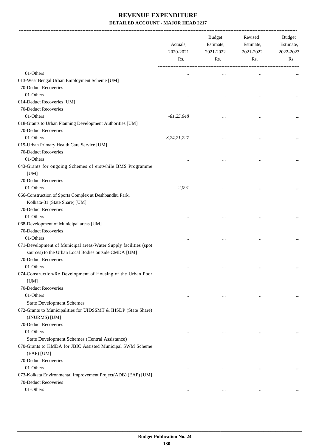-------------------------------------------------------------------------------------------------------------------------------------------------------------------------------

|                                                                  | Actuals,<br>2020-2021<br>Rs. | <b>Budget</b><br>Estimate,<br>2021-2022<br>Rs. | Revised<br>Estimate,<br>2021-2022<br>Rs. | <b>Budget</b><br>Estimate,<br>2022-2023<br>Rs. |
|------------------------------------------------------------------|------------------------------|------------------------------------------------|------------------------------------------|------------------------------------------------|
| 01-Others                                                        |                              | $\cdots$                                       |                                          |                                                |
| 013-West Bengal Urban Employment Scheme [UM]                     |                              |                                                |                                          |                                                |
| 70-Deduct Recoveries                                             |                              |                                                |                                          |                                                |
| 01-Others                                                        |                              | $\ddotsc$                                      | $\ddotsc$                                |                                                |
| 014-Deduct Recoveries [UM]                                       |                              |                                                |                                          |                                                |
| 70-Deduct Recoveries                                             |                              |                                                |                                          |                                                |
| 01-Others                                                        | $-81,25,648$                 | $\ddotsc$                                      | $\ddotsc$                                |                                                |
| 018-Grants to Urban Planning Development Authorities [UM]        |                              |                                                |                                          |                                                |
| 70-Deduct Recoveries                                             |                              |                                                |                                          |                                                |
| 01-Others                                                        | $-3,74,71,727$               |                                                |                                          |                                                |
| 019-Urban Primary Health Care Service [UM]                       |                              |                                                |                                          |                                                |
| 70-Deduct Recoveries                                             |                              |                                                |                                          |                                                |
| 01-Others                                                        |                              |                                                |                                          |                                                |
| 043-Grants for ongoing Schemes of erstwhile BMS Programme        |                              |                                                |                                          |                                                |
| [UM]<br>70-Deduct Recoveries                                     |                              |                                                |                                          |                                                |
| 01-Others                                                        | $-2,091$                     |                                                |                                          |                                                |
| 066-Construction of Sports Complex at Deshbandhu Park,           |                              |                                                |                                          |                                                |
| Kolkata-31 (State Share) [UM]                                    |                              |                                                |                                          |                                                |
| 70-Deduct Recoveries                                             |                              |                                                |                                          |                                                |
| 01-Others                                                        |                              |                                                |                                          |                                                |
| 068-Development of Municipal areas [UM]                          |                              |                                                |                                          |                                                |
| 70-Deduct Recoveries                                             |                              |                                                |                                          |                                                |
| 01-Others                                                        |                              |                                                |                                          |                                                |
| 071-Development of Municipal areas-Water Supply facilities (spot |                              | $\ddotsc$                                      | $\ddotsc$                                | $\cdots$                                       |
| sources) to the Urban Local Bodies outside CMDA [UM]             |                              |                                                |                                          |                                                |
| 70-Deduct Recoveries                                             |                              |                                                |                                          |                                                |
| 01-Others                                                        | $\ddotsc$                    | $\ddotsc$                                      | $\ddotsc$                                |                                                |
| 074-Construction/Re Development of Housing of the Urban Poor     |                              |                                                |                                          |                                                |
| [UM]                                                             |                              |                                                |                                          |                                                |
| 70-Deduct Recoveries                                             |                              |                                                |                                          |                                                |
| 01-Others                                                        | $\ddotsc$                    | $\cdots$                                       | $\cdots$                                 | $\cdots$                                       |
| <b>State Development Schemes</b>                                 |                              |                                                |                                          |                                                |
| 072-Grants to Municipalities for UIDSSMT & IHSDP (State Share)   |                              |                                                |                                          |                                                |
| (JNURMS) [UM]                                                    |                              |                                                |                                          |                                                |
| 70-Deduct Recoveries                                             |                              |                                                |                                          |                                                |
| 01-Others                                                        | $\cdots$                     | $\cdots$                                       | $\cdots$                                 | $\cdots$                                       |
| State Development Schemes (Central Assistance)                   |                              |                                                |                                          |                                                |
| 070-Grants to KMDA for JBIC Assisted Municipal SWM Scheme        |                              |                                                |                                          |                                                |
| (EAP) [UM]                                                       |                              |                                                |                                          |                                                |
| 70-Deduct Recoveries                                             |                              |                                                |                                          |                                                |
| 01-Others                                                        | $\cdots$                     | $\ddotsc$                                      | $\ddotsc$                                |                                                |
| 073-Kolkata Environmental Improvement Project(ADB) (EAP) [UM]    |                              |                                                |                                          |                                                |
| 70-Deduct Recoveries                                             |                              |                                                |                                          |                                                |
| 01-Others                                                        | $\cdots$                     | $\cdots$                                       | $\cdots$                                 | $\cdots$                                       |
|                                                                  |                              |                                                |                                          |                                                |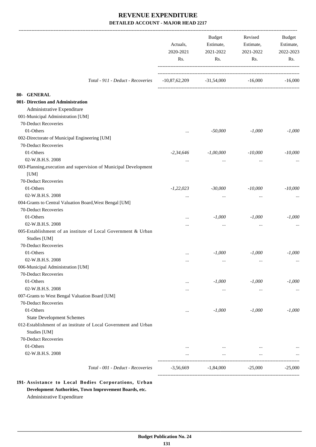|                                                                                 | Actuals,<br>2020-2021<br>Rs. | <b>Budget</b><br>Estimate,<br>2021-2022<br>Rs. | Revised<br>Estimate,<br>2021-2022<br>Rs. | Budget<br>Estimate,<br>2022-2023<br>Rs. |
|---------------------------------------------------------------------------------|------------------------------|------------------------------------------------|------------------------------------------|-----------------------------------------|
| Total - 911 - Deduct - Recoveries                                               | $-10,87,62,209$              | $-31,54,000$                                   | $-16,000$                                | $-16,000$                               |
| 80- GENERAL                                                                     |                              |                                                |                                          |                                         |
| 001- Direction and Administration                                               |                              |                                                |                                          |                                         |
| Administrative Expenditure                                                      |                              |                                                |                                          |                                         |
| 001-Municipal Administration [UM]                                               |                              |                                                |                                          |                                         |
| 70-Deduct Recoveries                                                            |                              |                                                |                                          |                                         |
| 01-Others                                                                       | $\cdots$                     | $-50,000$                                      | $-1,000$                                 | $-1,000$                                |
| 002-Directorate of Municipal Engineering [UM]                                   |                              |                                                |                                          |                                         |
| 70-Deduct Recoveries                                                            |                              |                                                |                                          |                                         |
| 01-Others                                                                       | $-2,34,646$                  | $-1,00,000$                                    | $-10,000$                                | $-10,000$                               |
| 02-W.B.H.S. 2008                                                                | $\cdots$                     | $\cdots$                                       | $\cdots$                                 |                                         |
| 003-Planning, execution and supervision of Municipal Development                |                              |                                                |                                          |                                         |
| [UM]                                                                            |                              |                                                |                                          |                                         |
| 70-Deduct Recoveries                                                            |                              |                                                |                                          |                                         |
| 01-Others                                                                       | $-1,22,023$                  | $-30,000$                                      | $-10,000$                                | $-10,000$                               |
| 02-W.B.H.S. 2008                                                                | $\cdots$                     | $\cdots$                                       | $\cdots$                                 |                                         |
| 004-Grants to Central Valuation Board, West Bengal [UM]                         |                              |                                                |                                          |                                         |
| 70-Deduct Recoveries                                                            |                              |                                                |                                          |                                         |
| 01-Others                                                                       |                              | $-1,000$                                       | $-1,000$                                 | $-1,000$                                |
| 02-W.B.H.S. 2008                                                                |                              | $\cdots$                                       | $\cdots$                                 |                                         |
| 005-Establishment of an institute of Local Government & Urban<br>Studies [UM]   |                              |                                                |                                          |                                         |
| 70-Deduct Recoveries                                                            |                              |                                                |                                          |                                         |
| 01-Others                                                                       | .                            | $-1,000$                                       | $-1,000$                                 | $-1,000$                                |
| 02-W.B.H.S. 2008                                                                | .                            | $\cdots$                                       | $\cdots$                                 |                                         |
| 006-Municipal Administration [UM]                                               |                              |                                                |                                          |                                         |
| 70-Deduct Recoveries                                                            |                              |                                                |                                          |                                         |
| 01-Others                                                                       | $\cdots$                     | $-1,000$                                       | $-1,000$                                 | $-1,000$                                |
| 02-W.B.H.S. 2008                                                                | $\cdots$                     | $\cdots$                                       | $\cdots$                                 | $\cdots$                                |
| 007-Grants to West Bengal Valuation Board [UM]                                  |                              |                                                |                                          |                                         |
| 70-Deduct Recoveries                                                            |                              |                                                |                                          |                                         |
| 01-Others                                                                       |                              | $-1,000$                                       | $-1,000$                                 | $-1,000$                                |
| <b>State Development Schemes</b>                                                |                              |                                                |                                          |                                         |
| 012-Establishment of an institute of Local Government and Urban<br>Studies [UM] |                              |                                                |                                          |                                         |
| 70-Deduct Recoveries                                                            |                              |                                                |                                          |                                         |
| 01-Others                                                                       | $\cdots$                     | $\cdots$                                       |                                          |                                         |
| 02-W.B.H.S. 2008                                                                |                              | $\cdots$                                       | $\cdots$                                 |                                         |
| Total - 001 - Deduct - Recoveries                                               | $-3,56,669$                  | $-1,84,000$                                    | $-25,000$                                | $-25,000$                               |

**191- Assistance to Local Bodies Corporations, Urban Development Authorities, Town Improvement Boards, etc.** Administrative Expenditure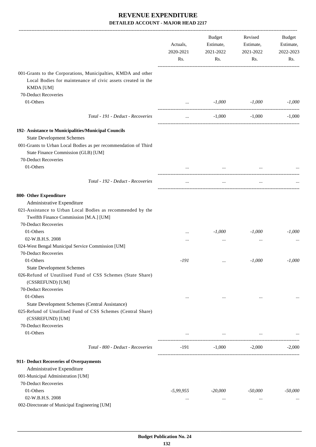|                                                                                                                                                  | Actuals,<br>2020-2021<br>Rs. | Budget<br>Estimate,<br>2021-2022<br>Rs.             | Revised<br>Estimate,<br>2021-2022<br>Rs. | <b>Budget</b><br>Estimate,<br>2022-2023<br>Rs. |
|--------------------------------------------------------------------------------------------------------------------------------------------------|------------------------------|-----------------------------------------------------|------------------------------------------|------------------------------------------------|
| 001-Grants to the Corporations, Municipalties, KMDA and other<br>Local Bodies for maintenance of civic assets created in the<br><b>KMDA</b> [UM] |                              |                                                     |                                          |                                                |
| 70-Deduct Recoveries                                                                                                                             |                              |                                                     |                                          |                                                |
| 01-Others                                                                                                                                        | $\cdots$                     | $-1,000$                                            | $-1,000$                                 | $-1,000$                                       |
| Total - 191 - Deduct - Recoveries                                                                                                                | $\cdots$                     | $-1,000$                                            | $-1,000$                                 | $-1,000$                                       |
| 192- Assistance to Municipalities/Municipal Councils                                                                                             |                              |                                                     |                                          |                                                |
| <b>State Development Schemes</b>                                                                                                                 |                              |                                                     |                                          |                                                |
| 001-Grants to Urban Local Bodies as per recommendation of Third                                                                                  |                              |                                                     |                                          |                                                |
| State Finance Commission (GLB) [UM]                                                                                                              |                              |                                                     |                                          |                                                |
| 70-Deduct Recoveries                                                                                                                             |                              |                                                     |                                          |                                                |
| 01-Others                                                                                                                                        |                              | $\cdots$                                            |                                          |                                                |
|                                                                                                                                                  |                              |                                                     |                                          |                                                |
| Total - 192 - Deduct - Recoveries                                                                                                                | $\cdots$                     | $\cdots$                                            | $\cdots$                                 |                                                |
| 800- Other Expenditure                                                                                                                           |                              |                                                     |                                          |                                                |
| Administrative Expenditure                                                                                                                       |                              |                                                     |                                          |                                                |
| 021-Assistance to Urban Local Bodies as recommended by the                                                                                       |                              |                                                     |                                          |                                                |
| Twelfth Finance Commission [M.A.] [UM]                                                                                                           |                              |                                                     |                                          |                                                |
| 70-Deduct Recoveries                                                                                                                             |                              |                                                     |                                          |                                                |
| 01-Others                                                                                                                                        |                              | $-1,000$                                            | $-1,000$                                 | $-1,000$                                       |
| 02-W.B.H.S. 2008                                                                                                                                 |                              | $\cdots$                                            | $\cdots$                                 |                                                |
| 024-West Bengal Municipal Service Commission [UM]                                                                                                |                              |                                                     |                                          |                                                |
| 70-Deduct Recoveries                                                                                                                             |                              |                                                     |                                          |                                                |
| 01-Others                                                                                                                                        | $-191$                       |                                                     | $-1,000$                                 | $-1,000$                                       |
| <b>State Development Schemes</b>                                                                                                                 |                              |                                                     |                                          |                                                |
| 026-Refund of Unutilised Fund of CSS Schemes (State Share)                                                                                       |                              |                                                     |                                          |                                                |
| (CSSREFUND) [UM]                                                                                                                                 |                              |                                                     |                                          |                                                |
| 70-Deduct Recoveries                                                                                                                             |                              |                                                     |                                          |                                                |
| 01-Others                                                                                                                                        | $\cdots$                     | $\cdots$                                            | $\cdots$                                 | $\cdots$                                       |
| State Development Schemes (Central Assistance)                                                                                                   |                              |                                                     |                                          |                                                |
| 025-Refund of Unutilised Fund of CSS Schemes (Central Share)<br>(CSSREFUND) [UM]                                                                 |                              |                                                     |                                          |                                                |
| 70-Deduct Recoveries                                                                                                                             |                              |                                                     |                                          |                                                |
| 01-Others                                                                                                                                        |                              | the contract of the contract of the contract of the | $\cdots$                                 |                                                |
|                                                                                                                                                  |                              |                                                     |                                          |                                                |
| Total - 800 - Deduct - Recoveries                                                                                                                | -191                         | $-1,000$                                            | $-2,000$                                 | $-2,000$                                       |
| 911- Deduct Recoveries of Overpayments                                                                                                           |                              |                                                     |                                          |                                                |
| Administrative Expenditure                                                                                                                       |                              |                                                     |                                          |                                                |
| 001-Municipal Administration [UM]                                                                                                                |                              |                                                     |                                          |                                                |
| 70-Deduct Recoveries                                                                                                                             |                              |                                                     |                                          |                                                |
| 01-Others                                                                                                                                        | $-5,99,955$                  | $-20,000$                                           | $-50,000$                                | $-50,000$                                      |
| 02-W.B.H.S. 2008                                                                                                                                 | $\cdots$                     |                                                     | $\cdots$                                 |                                                |
| 002-Directorate of Municipal Engineering [UM]                                                                                                    |                              |                                                     |                                          |                                                |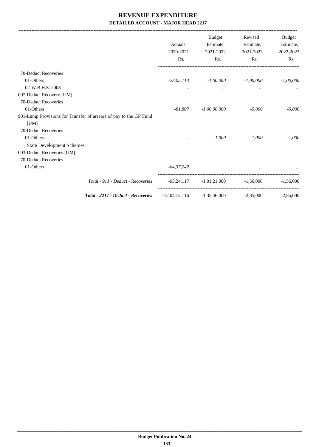-------------------------------------------------------------------------------------------------------------------------------------------------------------------------------

|                                                                   | Actuals.<br>2020-2021<br>Rs. | <b>Budget</b><br>Estimate,<br>2021-2022<br>Rs. | Revised<br>Estimate,<br>2021-2022<br>Rs. | <b>Budget</b><br>Estimate,<br>2022-2023<br>Rs. |
|-------------------------------------------------------------------|------------------------------|------------------------------------------------|------------------------------------------|------------------------------------------------|
| 70-Deduct Recoveries                                              |                              |                                                |                                          |                                                |
| 01-Others                                                         | $-22,05,113$                 | $-1,00,000$                                    | $-1,00,000$                              | $-1,00,000$                                    |
| 02-W.B.H.S. 2008                                                  | $\cdots$                     | $\cdots$                                       | $\cdots$                                 | $\cdots$                                       |
| 007-Deduct Recovery [UM]                                          |                              |                                                |                                          |                                                |
| 70-Deduct Recoveries                                              |                              |                                                |                                          |                                                |
| 01-Others                                                         | -81,807                      | $-1,00,00,000$                                 | $-5,000$                                 | $-5,000$                                       |
| 901-Lump Provisions for Transfer of arrears of pay to the GP Fund |                              |                                                |                                          |                                                |
| [UM]                                                              |                              |                                                |                                          |                                                |
| 70-Deduct Recoveries                                              |                              |                                                |                                          |                                                |
| 01-Others                                                         | $\cdots$                     | $-1,000$                                       | $-1.000$                                 | $-1.000$                                       |
| <b>State Development Schemes</b>                                  |                              |                                                |                                          |                                                |
| 003-Deduct Recoveries [UM]                                        |                              |                                                |                                          |                                                |
| 70-Deduct Recoveries                                              |                              |                                                |                                          |                                                |
| 01-Others                                                         | $-64,37,242$                 |                                                | and the company of the company of the    |                                                |
| Total - 911 - Deduct - Recoveries                                 |                              | $-93,24,117$ $-1,01,21,000$ $-1,56,000$        |                                          | $-1.56,000$                                    |
| <b>Total - 2217 - Deduct - Recoveries</b>                         |                              | $-12,04,72,116$ $-1,35,46,000$                 | $-2.85,000$                              | $-2.85,000$                                    |
|                                                                   |                              |                                                |                                          |                                                |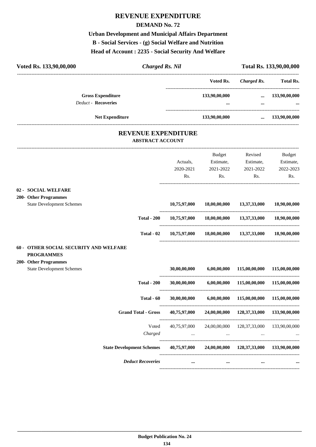# **REVENUE EXPENDITURE**

#### **DEMAND No. 72**

**Urban Development and Municipal Affairs Department B - Social Services - (g) Social Welfare and Nutrition Head of Account : 2235 - Social Security And Welfare**

| Voted Rs. 133,90,00,000                                   | <b>Charged Rs. Nil</b>                                |              |               |                                        | Total Rs. 133,90,00,000 |
|-----------------------------------------------------------|-------------------------------------------------------|--------------|---------------|----------------------------------------|-------------------------|
|                                                           |                                                       |              | Voted Rs.     | <b>Charged Rs.</b>                     | <b>Total Rs.</b>        |
|                                                           | <b>Gross Expenditure</b>                              |              | 133,90,00,000 | $\cdots$                               | 133,90,00,000           |
|                                                           | <b>Deduct - Recoveries</b>                            |              |               | $\cdots$<br>-------------------------- |                         |
|                                                           | <b>Net Expenditure</b>                                |              | 133,90,00,000 | $\cdots$                               | 133,90,00,000           |
|                                                           | <b>REVENUE EXPENDITURE</b><br><b>ABSTRACT ACCOUNT</b> |              |               |                                        |                         |
|                                                           |                                                       |              | Budget        | Revised                                | <b>Budget</b>           |
|                                                           |                                                       | Actuals,     | Estimate,     | Estimate,                              | Estimate,               |
|                                                           |                                                       | 2020-2021    | 2021-2022     | 2021-2022                              | 2022-2023               |
|                                                           |                                                       | Rs.          | Rs.           | Rs.                                    | Rs.                     |
| 02 - SOCIAL WELFARE                                       |                                                       |              |               |                                        |                         |
| 200- Other Programmes<br><b>State Development Schemes</b> |                                                       | 10,75,97,000 | 18,00,00,000  | 13,37,33,000                           | 18,90,00,000            |
|                                                           | <b>Total - 200</b>                                    | 10,75,97,000 | 18,00,00,000  | 13,37,33,000                           | 18,90,00,000            |
|                                                           | Total - 02                                            | 10,75,97,000 | 18,00,00,000  | 13,37,33,000                           | 18,90,00,000            |
| 60 - OTHER SOCIAL SECURITY AND WELFARE                    |                                                       |              |               |                                        |                         |
| <b>PROGRAMMES</b><br>200- Other Programmes                |                                                       |              |               |                                        |                         |
| <b>State Development Schemes</b>                          |                                                       | 30,00,00,000 | 6,00,00,000   | 115,00,00,000                          | 115,00,00,000           |
|                                                           | <b>Total - 200</b>                                    | 30,00,00,000 | 6,00,00,000   | 115,00,00,000                          | 115,00,00,000           |
|                                                           | Total - 60                                            | 30,00,00,000 | 6,00,00,000   | 115,00,00,000                          | 115,00,00,000           |
|                                                           | <b>Grand Total - Gross</b>                            | 40,75,97,000 |               | 24,00,00,000 128,37,33,000             | 133,90,00,000           |
|                                                           | Voted                                                 | 40,75,97,000 | 24,00,00,000  | 128, 37, 33, 000                       | 133,90,00,000           |
|                                                           | Charged                                               | $\cdots$     | $\ldots$      | $\cdots$                               |                         |
|                                                           | <b>State Development Schemes</b>                      | 40,75,97,000 |               | 24,00,00,000 128,37,33,000             | 133,90,00,000           |
|                                                           | <b>Deduct Recoveries</b>                              |              | $\cdots$      |                                        |                         |
|                                                           |                                                       |              |               |                                        |                         |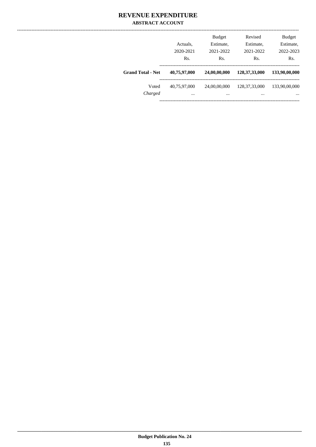#### **REVENUE EXPENDITURE ABSTRACT ACCOUNT**

|                          | Actuals,<br>2020-2021<br>Rs. | <b>Budget</b><br>Estimate,<br>2021-2022<br>Rs. | Revised<br>Estimate,<br>2021-2022<br>Rs. | <b>Budget</b><br>Estimate,<br>2022-2023<br>Rs. |
|--------------------------|------------------------------|------------------------------------------------|------------------------------------------|------------------------------------------------|
| <b>Grand Total - Net</b> | 40,75,97,000                 | 24,00,00,000                                   | 128, 37, 33, 000                         | 133,90,00,000                                  |
| Voted<br>Charged         | 40,75,97,000<br>             | 24,00,00,000<br>                               | 128, 37, 33, 000<br>                     | 133,90,00,000<br>$\cdots$                      |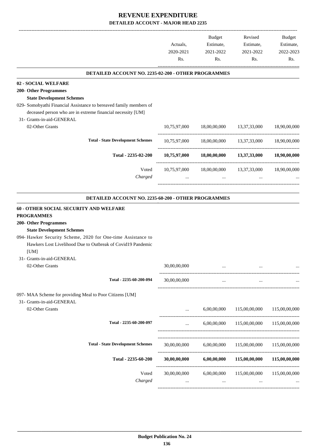-------------------------------------------------------------------------------------------------------------------------------------------------------------------------------

|                                                                    | Actuals,<br>2020-2021<br>Rs. | <b>Budget</b><br>Estimate,<br>2021-2022<br>Rs. | Revised<br>Estimate,<br>2021-2022<br>Rs.                    | <b>Budget</b><br>Estimate,<br>2022-2023<br>Rs. |
|--------------------------------------------------------------------|------------------------------|------------------------------------------------|-------------------------------------------------------------|------------------------------------------------|
| <b>DETAILED ACCOUNT NO. 2235-02-200 - OTHER PROGRAMMES</b>         |                              |                                                |                                                             |                                                |
| 02 - SOCIAL WELFARE                                                |                              |                                                |                                                             |                                                |
| 200- Other Programmes                                              |                              |                                                |                                                             |                                                |
| <b>State Development Schemes</b>                                   |                              |                                                |                                                             |                                                |
| 029- Somobyathi Financial Assistance to bereaved family members of |                              |                                                |                                                             |                                                |
| deceased person who are in extreme financial necessity [UM]        |                              |                                                |                                                             |                                                |
| 31- Grants-in-aid-GENERAL                                          |                              |                                                |                                                             |                                                |
| 02-Other Grants                                                    | 10,75,97,000                 |                                                | 18,00,00,000  13,37,33,000  18,90,00,000                    |                                                |
| <b>Total - State Development Schemes</b>                           |                              |                                                | 10,75,97,000 18,00,00,000 13,37,33,000 18,90,00,000         |                                                |
| Total - 2235-02-200                                                |                              |                                                | $10,75,97,000$ $18,00,00,000$ $13,37,33,000$ $18,90,00,000$ |                                                |
| Voted                                                              |                              |                                                | 10,75,97,000 18,00,00,000 13,37,33,000 18,90,00,000         |                                                |
| Charged                                                            |                              | $\cdots$                                       |                                                             |                                                |
| <b>DETAILED ACCOUNT NO. 2235-60-200 - OTHER PROGRAMMES</b>         |                              |                                                |                                                             |                                                |
| <b>60 - OTHER SOCIAL SECURITY AND WELFARE</b>                      |                              |                                                |                                                             |                                                |
| <b>PROGRAMMES</b>                                                  |                              |                                                |                                                             |                                                |
| 200- Other Programmes                                              |                              |                                                |                                                             |                                                |
| <b>State Development Schemes</b>                                   |                              |                                                |                                                             |                                                |
| 094- Hawker Security Scheme, 2020 for One-time Assistance to       |                              |                                                |                                                             |                                                |
| Hawkers Lost Livelihood Due to Outbreak of Covid19 Pandemic        |                              |                                                |                                                             |                                                |
| [UM]                                                               |                              |                                                |                                                             |                                                |
| 31- Grants-in-aid-GENERAL                                          |                              |                                                |                                                             |                                                |
| 02-Other Grants                                                    | 30,00,00,000                 | $\ddotsc$                                      |                                                             |                                                |
| Total - 2235-60-200-094                                            | 30,00,00,000                 | $\ddotsc$                                      | $\cdots$                                                    |                                                |
| 097- MAA Scheme for providing Meal to Poor Citizens [UM]           |                              |                                                |                                                             |                                                |
| 31- Grants-in-aid-GENERAL                                          |                              |                                                |                                                             |                                                |
| 02-Other Grants                                                    | $\cdots$                     | 6,00,00,000                                    | 115,00,00,000                                               | 115,00,00,000                                  |
| Total - 2235-60-200-097                                            | $\cdots$                     | 6,00,00,000                                    | 115,00,00,000                                               | 115,00,00,000                                  |
|                                                                    |                              |                                                |                                                             |                                                |
| <b>Total - State Development Schemes</b>                           | 30,00,00,000                 | 6,00,00,000                                    | 115,00,00,000                                               | 115,00,00,000                                  |
| Total - 2235-60-200                                                |                              |                                                |                                                             |                                                |
|                                                                    | 30,00,00,000                 | 6,00,00,000                                    | 115,00,00,000                                               | 115,00,00,000                                  |
| Voted                                                              | 30,00,00,000                 | 6,00,00,000                                    | 115,00,00,000                                               | 115,00,00,000                                  |
| Charged                                                            |                              | $\cdots$                                       | $\cdots$                                                    |                                                |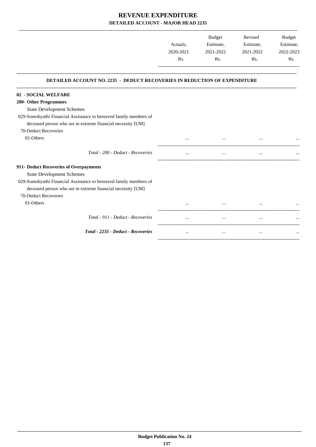-------------------------------------------------------------------------------------------------------------------------------------------------------------------------------

|                                                                                                                                  |                              | <b>Budget</b> | Revised   | <b>Budget</b>                 |
|----------------------------------------------------------------------------------------------------------------------------------|------------------------------|---------------|-----------|-------------------------------|
|                                                                                                                                  | Actuals,<br>2020-2021<br>Rs. | Estimate,     | Estimate, | Estimate,<br>2022-2023<br>Rs. |
|                                                                                                                                  |                              | 2021-2022     | 2021-2022 |                               |
|                                                                                                                                  |                              | Rs.           | Rs.       |                               |
| <b>DETAILED ACCOUNT NO. 2235 - DEDUCT RECOVERIES IN REDUCTION OF EXPENDITURE</b>                                                 |                              |               |           |                               |
| 02 - SOCIAL WELFARE                                                                                                              |                              |               |           |                               |
| 200- Other Programmes                                                                                                            |                              |               |           |                               |
| <b>State Development Schemes</b>                                                                                                 |                              |               |           |                               |
| 029-Somobyathi Financial Assistance to bereaved family members of<br>deceased person who are in extreme financial necessity [UM] |                              |               |           |                               |
| 70-Deduct Recoveries                                                                                                             |                              |               |           |                               |
| 01-Others                                                                                                                        |                              |               |           |                               |
| Total - 200 - Deduct - Recoveries                                                                                                |                              | $\cdots$      | $\cdots$  |                               |
| 911- Deduct Recoveries of Overpayments                                                                                           |                              |               |           |                               |
| <b>State Development Schemes</b>                                                                                                 |                              |               |           |                               |
| 029-Somobyathi Financial Assistance to bereaved family members of                                                                |                              |               |           |                               |
| deceased person who are in extreme financial necessity [UM]                                                                      |                              |               |           |                               |
| 70-Deduct Recoveries                                                                                                             |                              |               |           |                               |
| 01-Others                                                                                                                        |                              |               |           |                               |
| Total - 911 - Deduct - Recoveries                                                                                                |                              | $\cdots$      | $\cdots$  |                               |
| Total - 2235 - Deduct - Recoveries                                                                                               |                              | $\cdots$      | $\cdots$  |                               |
|                                                                                                                                  |                              |               |           |                               |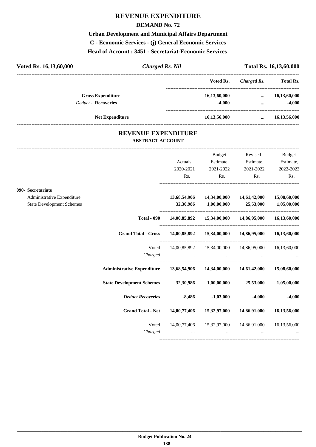## **REVENUE EXPENDITURE**

#### **DEMAND No. 72**

**Urban Development and Municipal Affairs Department C - Economic Services - (j) General Economic Services Head of Account : 3451 - Secretariat-Economic Services** 

| Voted Rs. 16,13,60,000     | <b>Charged Rs. Nil</b> |                 |             | Total Rs. 16,13,60,000 |
|----------------------------|------------------------|-----------------|-------------|------------------------|
|                            |                        | Voted Rs.       | Charged Rs. | <b>Total Rs.</b>       |
| <b>Gross Expenditure</b>   |                        | 16,13,60,000    | $\cdots$    | 16,13,60,000           |
| <b>Deduct - Recoveries</b> |                        | $-4.000$        | $\cdots$    | $-4,000$               |
| <b>Net Expenditure</b>     |                        | 16, 13, 56, 000 | $\cdots$    | 16,13,56,000           |
|                            |                        |                 |             |                        |

#### **REVENUE EXPENDITURE ABSTRACT ACCOUNT**

---------------------------------------------------------------------------------------------------------------------------------------------------------------------------------

|                                  |                                                                                |                                                                                                                                                                                                                                      | Budget       | Revised                                                | Budget                                   |
|----------------------------------|--------------------------------------------------------------------------------|--------------------------------------------------------------------------------------------------------------------------------------------------------------------------------------------------------------------------------------|--------------|--------------------------------------------------------|------------------------------------------|
|                                  |                                                                                | Actuals,                                                                                                                                                                                                                             | Estimate,    | Estimate,                                              | Estimate,                                |
|                                  |                                                                                | 2020-2021                                                                                                                                                                                                                            | 2021-2022    | 2021-2022                                              | 2022-2023                                |
|                                  |                                                                                | Rs.                                                                                                                                                                                                                                  | Rs.          | Rs.                                                    | Rs.                                      |
| 090- Secretariate                |                                                                                |                                                                                                                                                                                                                                      |              |                                                        |                                          |
| Administrative Expenditure       |                                                                                | 13,68,54,906                                                                                                                                                                                                                         | 14,34,00,000 | 14,61,42,000                                           | 15,08,60,000                             |
| <b>State Development Schemes</b> |                                                                                |                                                                                                                                                                                                                                      |              | 32,30,986 1,00,00,000 25,53,000 1,05,00,000            |                                          |
|                                  | <b>Total - 090</b>                                                             |                                                                                                                                                                                                                                      |              | 14,00,85,892  15,34,00,000  14,86,95,000  16,13,60,000 |                                          |
|                                  | Grand Total - Gross 14,00,85,892 15,34,00,000 14,86,95,000 16,13,60,000        |                                                                                                                                                                                                                                      |              |                                                        |                                          |
|                                  | Voted                                                                          |                                                                                                                                                                                                                                      |              | 14,00,85,892  15,34,00,000  14,86,95,000  16,13,60,000 |                                          |
|                                  | Charged                                                                        |                                                                                                                                                                                                                                      |              |                                                        |                                          |
|                                  | Administrative Expenditure 13,68,54,906 14,34,00,000 14,61,42,000 15,08,60,000 |                                                                                                                                                                                                                                      |              |                                                        |                                          |
|                                  | State Development Schemes 32,30,986 1,00,00,000 25,53,000 1,05,00,000          |                                                                                                                                                                                                                                      |              |                                                        |                                          |
|                                  | Deduct Recoveries -8,486 -1,03,000 -4,000 -4,000                               |                                                                                                                                                                                                                                      |              |                                                        |                                          |
|                                  | Grand Total - Net 14,00,77,406 15,32,97,000 14,86,91,000 16,13,56,000          |                                                                                                                                                                                                                                      |              |                                                        |                                          |
|                                  | Voted                                                                          |                                                                                                                                                                                                                                      |              | 14,00,77,406  15,32,97,000  14,86,91,000  16,13,56,000 |                                          |
|                                  | Charged                                                                        | <u>and the contract of the contract of the contract of the contract of the contract of the contract of the contract of the contract of the contract of the contract of the contract of the contract of the contract of the contr</u> |              |                                                        | <b>The Committee Committee Committee</b> |
|                                  |                                                                                |                                                                                                                                                                                                                                      |              |                                                        |                                          |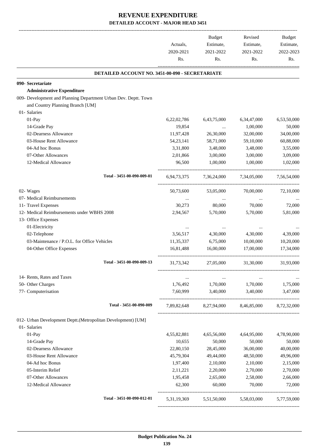|                                                                 | Actuals,<br>2020-2021<br>Rs. | Budget<br>Estimate,<br>2021-2022<br>Rs. | Revised<br>Estimate,<br>2021-2022<br>Rs.        | Budget<br>Estimate,<br>2022-2023<br>Rs. |
|-----------------------------------------------------------------|------------------------------|-----------------------------------------|-------------------------------------------------|-----------------------------------------|
| DETAILED ACCOUNT NO. 3451-00-090 - SECRETARIATE                 |                              |                                         |                                                 |                                         |
| 090- Secretariate                                               |                              |                                         |                                                 |                                         |
| <b>Administrative Expenditure</b>                               |                              |                                         |                                                 |                                         |
| 009- Development and Planning Department Urban Dev. Deptt. Town |                              |                                         |                                                 |                                         |
| and Country Planning Branch [UM]                                |                              |                                         |                                                 |                                         |
| 01- Salaries                                                    |                              |                                         |                                                 |                                         |
| 01-Pay                                                          | 6,22,02,786<br>19,854        | 6,43,75,000                             | 6, 34, 47, 000                                  | 6,53,50,000                             |
| 14-Grade Pay<br>02-Dearness Allowance                           | 11,97,428                    | $\cdots$<br>26,30,000                   | 1,00,000<br>32,00,000                           | 50,000<br>34,00,000                     |
| 03-House Rent Allowance                                         | 54, 23, 141                  | 58,71,000                               | 59,10,000                                       | 60,88,000                               |
| 04-Ad hoc Bonus                                                 | 3,31,800                     | 3,48,000                                | 3,48,000                                        | 3,55,000                                |
| 07-Other Allowances                                             | 2,01,866                     | 3,00,000                                | 3,00,000                                        | 3,09,000                                |
| 12-Medical Allowance                                            | 96,500                       | 1,00,000                                | 1,00,000                                        | 1,02,000                                |
| Total - 3451-00-090-009-01                                      | 6,94,73,375                  | 7,36,24,000                             | 7,34,05,000                                     | 7,56,54,000                             |
| 02- Wages                                                       | 50,73,600                    | 53,05,000                               | 70,00,000                                       | 72,10,000                               |
| 07- Medical Reimbursements                                      | $\cdots$                     | $\cdots$                                |                                                 |                                         |
| 11- Travel Expenses                                             | 30,273                       | 80,000                                  | 70,000                                          | 72,000                                  |
| 12- Medical Reimbursements under WBHS 2008                      | 2,94,567                     | 5,70,000                                | 5,70,000                                        | 5,81,000                                |
| 13- Office Expenses                                             |                              |                                         |                                                 |                                         |
| 01-Electricity                                                  | $\ddotsc$                    |                                         |                                                 |                                         |
| 02-Telephone                                                    | 3,56,517                     | 4,30,000                                | 4,30,000                                        | 4,39,000                                |
| 03-Maintenance / P.O.L. for Office Vehicles                     | 11,35,337                    | 6,75,000                                | 10,00,000                                       | 10,20,000                               |
| 04-Other Office Expenses                                        | 16,81,488                    | 16,00,000                               | 17,00,000                                       | 17,34,000                               |
| Total - 3451-00-090-009-13                                      | 31,73,342                    | 27,05,000                               | 31,30,000                                       | 31,93,000                               |
| 14- Rents, Rates and Taxes                                      |                              |                                         |                                                 |                                         |
| 50- Other Charges                                               | 1,76,492                     | 1,70,000                                | 1,70,000                                        | 1,75,000                                |
| 77- Computerisation                                             | 7.60.999                     | 3,40,000                                | 3,40,000                                        | 3,47,000                                |
| Total - 3451-00-090-009                                         |                              |                                         | 7,89,82,648 8,27,94,000 8,46,85,000 8,72,32,000 |                                         |
| 012- Urban Development Deptt.(Metropolitan Development) [UM]    |                              |                                         |                                                 |                                         |
| 01- Salaries                                                    |                              |                                         |                                                 |                                         |
| $01-Pay$                                                        | 4,55,82,881                  | 4,65,56,000                             | 4,64,95,000                                     | 4,78,90,000                             |
| 14-Grade Pay                                                    | 10,655                       | 50,000                                  | 50,000                                          | 50,000                                  |
| 02-Dearness Allowance                                           | 22,80,150                    | 28,45,000                               | 36,00,000                                       | 40,00,000                               |
| 03-House Rent Allowance                                         | 45,79,304                    | 49,44,000                               | 48,50,000                                       | 49,96,000                               |
| 04-Ad hoc Bonus                                                 | 1,97,400                     | 2,10,000                                | 2,10,000                                        | 2,15,000                                |
| 05-Interim Relief                                               | 2,11,221                     | 2,20,000                                | 2,70,000                                        | 2,70,000                                |
| 07-Other Allowances                                             | 1,95,458                     | 2,65,000                                | 2,58,000                                        | 2,66,000                                |
| 12-Medical Allowance                                            | 62,300                       | 60,000                                  | 70,000                                          | 72,000                                  |
| Total - 3451-00-090-012-01                                      |                              | 5,31,19,369 5,51,50,000                 | 5,58,03,000                                     | 5,77,59,000                             |
|                                                                 |                              |                                         |                                                 |                                         |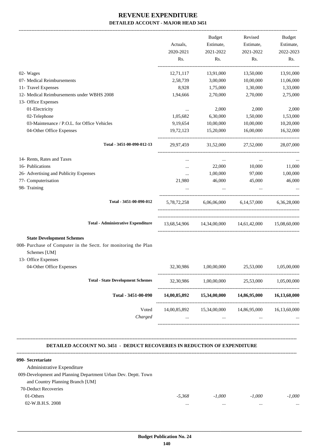| Rs.<br>13,91,000<br>3,00,000<br>1,75,000<br>2,70,000<br>2,000<br>6,30,000<br>10,00,000<br>15,20,000<br>31,52,000 | Rs.<br>13,50,000<br>10,00,000<br>1,30,000<br>2,70,000<br>2,000<br>1,50,000<br>10,00,000<br>16,00,000<br>27,52,000 | Rs.<br>13,91,000<br>11,06,000<br>1,33,000<br>2,75,000<br>2,000<br>1,53,000<br>10,20,000<br>16,32,000<br>28,07,000                         |
|------------------------------------------------------------------------------------------------------------------|-------------------------------------------------------------------------------------------------------------------|-------------------------------------------------------------------------------------------------------------------------------------------|
|                                                                                                                  |                                                                                                                   |                                                                                                                                           |
|                                                                                                                  |                                                                                                                   |                                                                                                                                           |
|                                                                                                                  |                                                                                                                   |                                                                                                                                           |
|                                                                                                                  |                                                                                                                   |                                                                                                                                           |
|                                                                                                                  |                                                                                                                   |                                                                                                                                           |
|                                                                                                                  |                                                                                                                   |                                                                                                                                           |
|                                                                                                                  |                                                                                                                   |                                                                                                                                           |
|                                                                                                                  |                                                                                                                   |                                                                                                                                           |
|                                                                                                                  |                                                                                                                   |                                                                                                                                           |
|                                                                                                                  |                                                                                                                   |                                                                                                                                           |
|                                                                                                                  |                                                                                                                   |                                                                                                                                           |
| $\cdots$                                                                                                         | $\cdots$                                                                                                          |                                                                                                                                           |
| 22,000                                                                                                           | 10,000                                                                                                            | 11,000                                                                                                                                    |
| 1,00,000                                                                                                         | 97,000                                                                                                            | 1,00,000                                                                                                                                  |
| 46,000                                                                                                           | 45,000                                                                                                            | 46,000                                                                                                                                    |
|                                                                                                                  |                                                                                                                   |                                                                                                                                           |
|                                                                                                                  | 5,78,72,258 6,06,06,000 6,14,57,000 6,36,28,000                                                                   |                                                                                                                                           |
|                                                                                                                  | 13,68,54,906  14,34,00,000  14,61,42,000  15,08,60,000                                                            |                                                                                                                                           |
|                                                                                                                  |                                                                                                                   |                                                                                                                                           |
|                                                                                                                  |                                                                                                                   |                                                                                                                                           |
| 1,00,00,000                                                                                                      | 25,53,000                                                                                                         | 1,05,00,000                                                                                                                               |
|                                                                                                                  |                                                                                                                   | 1,05,00,000                                                                                                                               |
|                                                                                                                  |                                                                                                                   | 16,13,60,000                                                                                                                              |
|                                                                                                                  |                                                                                                                   |                                                                                                                                           |
|                                                                                                                  | $\cdots$                                                                                                          |                                                                                                                                           |
|                                                                                                                  | $\mathbf{1}$ , $\mathbf{1}$                                                                                       | 25,53,000<br>32,30,986 1,00,00,000<br>14,00,85,892 15,34,00,000<br>14,86,95,000<br>14,00,85,892  15,34,00,000  14,86,95,000  16,13,60,000 |

#### **090- Secretariate**

| Administrative Expenditure                                     |          |          |          |          |
|----------------------------------------------------------------|----------|----------|----------|----------|
| 009-Development and Planning Department Urban Dev. Deptt. Town |          |          |          |          |
| and Country Planning Branch [UM]                               |          |          |          |          |
| 70-Deduct Recoveries                                           |          |          |          |          |
| 01-Others                                                      | $-5.368$ | $-1.000$ | $-1.000$ | $-1.000$ |
| 02-W.B.H.S. 2008                                               | $\cdots$ |          |          |          |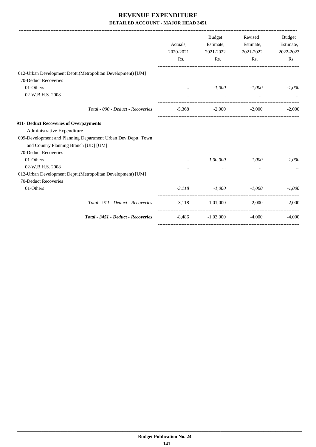|                                                               | Actuals,<br>2020-2021 | Budget<br>Estimate,<br>2021-2022 | Revised<br>Estimate,<br>2021-2022 | <b>Budget</b><br>Estimate,<br>2022-2023 |
|---------------------------------------------------------------|-----------------------|----------------------------------|-----------------------------------|-----------------------------------------|
|                                                               | Rs.                   | Rs.                              | Rs.                               | Rs.                                     |
| 012-Urban Development Deptt.(Metropolitan Development) [UM]   |                       |                                  |                                   |                                         |
| 70-Deduct Recoveries                                          |                       |                                  |                                   |                                         |
| 01-Others                                                     | $\cdots$              | $-1,000$                         | $-1,000$                          | $-1,000$                                |
| 02-W.B.H.S. 2008                                              |                       | $\cdots$                         |                                   |                                         |
| Total - 090 - Deduct - Recoveries                             | $-5,368$              | $-2,000$                         | $-2,000$                          | $-2,000$                                |
| 911- Deduct Recoveries of Overpayments                        |                       |                                  |                                   |                                         |
| Administrative Expenditure                                    |                       |                                  |                                   |                                         |
| 009-Development and Planning Department Urban Dev.Deptt. Town |                       |                                  |                                   |                                         |
| and Country Planning Branch [UD] [UM]                         |                       |                                  |                                   |                                         |
| 70-Deduct Recoveries                                          |                       |                                  |                                   |                                         |
| 01-Others                                                     |                       | $-1,00,000$                      | $-1,000$                          | $-1,000$                                |
| 02-W.B.H.S. 2008                                              | $\cdots$              | $\cdots$                         |                                   |                                         |
| 012-Urban Development Deptt.(Metropolitan Development) [UM]   |                       |                                  |                                   |                                         |
| 70-Deduct Recoveries                                          |                       |                                  |                                   |                                         |
| 01-Others                                                     |                       | $-3,118$ $-1,000$ $-1,000$       |                                   | $-1,000$                                |
| Total - 911 - Deduct - Recoveries                             |                       | $-3,118$ $-1,01,000$ $-2,000$    |                                   | $-2,000$                                |
| Total - 3451 - Deduct - Recoveries                            |                       | $-8,486$ $-1,03,000$             | $-4,000$                          | $-4,000$                                |
|                                                               |                       |                                  |                                   |                                         |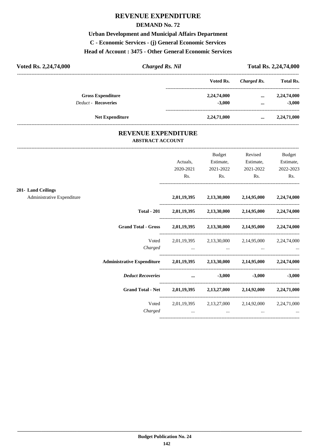## **REVENUE EXPENDITURE**

#### **DEMAND No. 72**

**Urban Development and Municipal Affairs Department C - Economic Services - (j) General Economic Services Head of Account : 3475 - Other General Economic Services**

| Voted Rs. 2,24,74,000      | Charged Rs. Nil |             | Total Rs. 2,24,74,000 |                  |
|----------------------------|-----------------|-------------|-----------------------|------------------|
|                            |                 | Voted Rs.   | Charged Rs.           | <b>Total Rs.</b> |
| <b>Gross Expenditure</b>   |                 | 2,24,74,000 | $\cdots$              | 2,24,74,000      |
| <b>Deduct - Recoveries</b> |                 | $-3.000$    | $\cdots$              | $-3,000$         |
| <b>Net Expenditure</b>     |                 | 2,24,71,000 |                       | 2,24,71,000      |

## **REVENUE EXPENDITURE ABSTRACT ACCOUNT**

---------------------------------------------------------------------------------------------------------------------------------------------------------------------------------

|                                                                                                                                                                                                                                |                                                                                                                 | Budget                                          | Revised        | <b>Budget</b>     |
|--------------------------------------------------------------------------------------------------------------------------------------------------------------------------------------------------------------------------------|-----------------------------------------------------------------------------------------------------------------|-------------------------------------------------|----------------|-------------------|
|                                                                                                                                                                                                                                | Actuals,                                                                                                        | Estimate,                                       | Estimate,      | Estimate,         |
|                                                                                                                                                                                                                                | 2020-2021                                                                                                       | 2021-2022                                       | 2021-2022      | 2022-2023         |
|                                                                                                                                                                                                                                | Rs.                                                                                                             | $\mathbf{Rs.}$                                  | $\mathbf{Rs.}$ | Rs.               |
| 201-Land Ceilings                                                                                                                                                                                                              |                                                                                                                 |                                                 |                |                   |
| Administrative Expenditure                                                                                                                                                                                                     |                                                                                                                 | 2,01,19,395 2,13,30,000 2,14,95,000 2,24,74,000 |                |                   |
|                                                                                                                                                                                                                                | Total - 201 2,01,19,395 2,13,30,000 2,14,95,000 2,24,74,000                                                     |                                                 |                |                   |
| Grand Total - Gross 2,01,19,395 2,13,30,000 2,14,95,000 2,24,74,000                                                                                                                                                            |                                                                                                                 |                                                 |                |                   |
|                                                                                                                                                                                                                                | Voted 2,01,19,395 2,13,30,000 2,14,95,000 2,24,74,000                                                           |                                                 |                |                   |
|                                                                                                                                                                                                                                |                                                                                                                 |                                                 |                |                   |
| Administrative Expenditure 2,01,19,395 2,13,30,000 2,14,95,000 2,24,74,000                                                                                                                                                     |                                                                                                                 |                                                 |                |                   |
| Deduct Recoveries and the set of the set of the set of the set of the set of the set of the set of the set of the set of the set of the set of the set of the set of the set of the set of the set of the set of the set of th |                                                                                                                 |                                                 |                | $-3,000$ $-3,000$ |
| Grand Total - Net 2,01,19,395 2,13,27,000 2,14,92,000 2,24,71,000                                                                                                                                                              |                                                                                                                 |                                                 |                |                   |
|                                                                                                                                                                                                                                | Voted 2,01,19,395 2,13,27,000 2,14,92,000 2,24,71,000                                                           |                                                 |                |                   |
| Charged                                                                                                                                                                                                                        | the contract of the contract of the contract of the contract of the contract of the contract of the contract of |                                                 |                |                   |
|                                                                                                                                                                                                                                |                                                                                                                 |                                                 |                |                   |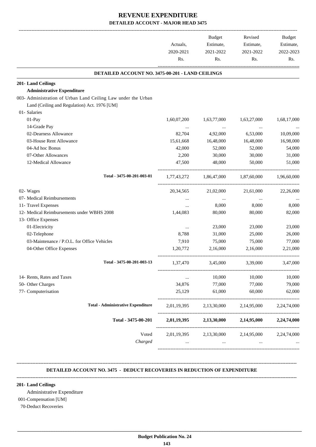|                                                               | Actuals,<br>2020-2021 | Budget<br>Estimate,<br>2021-2022 | Revised<br>Estimate,<br>2021-2022   | Budget<br>Estimate,<br>2022-2023 |
|---------------------------------------------------------------|-----------------------|----------------------------------|-------------------------------------|----------------------------------|
|                                                               | Rs.                   | Rs.                              | Rs.                                 | Rs.                              |
| DETAILED ACCOUNT NO. 3475-00-201 - LAND CEILINGS              |                       |                                  |                                     |                                  |
| 201-Land Ceilings                                             |                       |                                  |                                     |                                  |
| <b>Administrative Expenditure</b>                             |                       |                                  |                                     |                                  |
| 003- Administration of Urban Land Ceiling Law under the Urban |                       |                                  |                                     |                                  |
| Land (Ceiling and Regulation) Act. 1976 [UM]                  |                       |                                  |                                     |                                  |
| 01- Salaries                                                  |                       |                                  |                                     |                                  |
| 01-Pay                                                        | 1,60,07,200           | 1,63,77,000                      | 1,63,27,000                         | 1,68,17,000                      |
| 14-Grade Pay                                                  | $\ldots$              | $\ldots$                         |                                     |                                  |
| 02-Dearness Allowance                                         | 82,704                | 4,92,000                         | 6,53,000                            | 10,09,000                        |
| 03-House Rent Allowance                                       | 15,61,668             | 16,48,000                        | 16,48,000                           | 16,98,000                        |
| 04-Ad hoc Bonus                                               | 42,000                | 52,000                           | 52,000                              | 54,000                           |
| 07-Other Allowances                                           | 2,200                 | 30,000                           | 30,000                              | 31,000                           |
| 12-Medical Allowance                                          | 47,500                | 48,000                           | 50,000                              | 51,000                           |
| Total - 3475-00-201-003-01                                    | 1,77,43,272           | 1,86,47,000                      | 1,87,60,000                         | 1,96,60,000                      |
| 02- Wages                                                     | 20, 34, 565           | 21,02,000                        | 21,61,000                           | 22,26,000                        |
| 07- Medical Reimbursements                                    | $\cdots$              | $\cdots$                         | $\cdots$                            |                                  |
| 11- Travel Expenses                                           | $\cdots$              | 8,000                            | 8,000                               | 8,000                            |
| 12- Medical Reimbursements under WBHS 2008                    | 1,44,083              | 80,000                           | 80,000                              | 82,000                           |
| 13- Office Expenses                                           |                       |                                  |                                     |                                  |
| 01-Electricity                                                | $\cdots$              | 23,000                           | 23,000                              | 23,000                           |
| 02-Telephone                                                  | 8,788                 | 31,000                           | 25,000                              | 26,000                           |
| 03-Maintenance / P.O.L. for Office Vehicles                   | 7,910                 | 75,000                           | 75,000                              | 77,000                           |
| 04-Other Office Expenses                                      | 1,20,772              | 2,16,000                         | 2,16,000                            | 2,21,000                         |
| Total - 3475-00-201-003-13                                    | 1,37,470              | 3,45,000                         | 3,39,000                            | 3,47,000                         |
| 14- Rents, Rates and Taxes                                    |                       | 10,000                           | 10,000                              | 10,000                           |
| 50- Other Charges                                             | 34,876                | 77,000                           | 77,000                              | 79,000                           |
| 77- Computerisation                                           | 25,129                | 61,000                           | 60,000                              | 62,000                           |
| <b>Total - Administrative Expenditure</b>                     | 2,01,19,395           | 2,13,30,000                      | 2,14,95,000                         | 2,24,74,000                      |
| Total - 3475-00-201                                           | 2,01,19,395           | 2,13,30,000                      | 2,14,95,000                         | 2,24,74,000                      |
| Voted                                                         |                       |                                  | 2,01,19,395 2,13,30,000 2,14,95,000 | 2,24,74,000                      |
| Charged                                                       |                       | -----------------                |                                     |                                  |

#### **DETAILED ACCOUNT NO. 3475 - DEDUCT RECOVERIES IN REDUCTION OF EXPENDITURE**

**--------------------------------------------------------------------------------------------------------------------------------------------------------------------------------**

#### **201- Land Ceilings**

Administrative Expenditure

**--------------------------------------------------------------------------------------------------------------------------------------------------------------------------------**

## 001-Compensation [UM]

70-Deduct Recoveries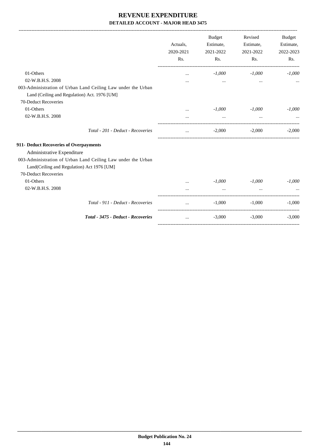|                                                                                                                                                                                    | Actuals,<br>2020-2021<br>Rs. | Budget<br>Estimate,<br>2021-2022<br>Rs. | Revised<br>Estimate,<br>2021-2022<br>Rs. | <b>Budget</b><br>Estimate,<br>2022-2023<br>Rs. |
|------------------------------------------------------------------------------------------------------------------------------------------------------------------------------------|------------------------------|-----------------------------------------|------------------------------------------|------------------------------------------------|
| 01-Others<br>02-W.B.H.S. 2008<br>003-Administration of Urban Land Ceiling Law under the Urban<br>Land (Ceiling and Regulation) Act. 1976 [UM]                                      | $\cdots$                     | $-1,000$<br>$\cdots$                    | $-1,000$<br>                             | $-1,000$                                       |
| 70-Deduct Recoveries                                                                                                                                                               |                              |                                         |                                          |                                                |
| 01-Others                                                                                                                                                                          | $\cdots$                     | $-1,000$                                | $-1,000$                                 | $-1,000$                                       |
| 02-W.B.H.S. 2008                                                                                                                                                                   |                              | $\cdots$                                | $\cdots$                                 |                                                |
| Total - 201 - Deduct - Recoveries                                                                                                                                                  |                              | $-2,000$                                | $-2,000$                                 | $-2,000$                                       |
| 911- Deduct Recoveries of Overpayments<br>Administrative Expenditure<br>003-Administration of Urban Land Ceiling Law under the Urban<br>Land(Ceiling and Regulation) Act 1976 [UM] |                              |                                         |                                          |                                                |
| 70-Deduct Recoveries                                                                                                                                                               |                              |                                         |                                          |                                                |
| 01-Others                                                                                                                                                                          | $\ddotsc$                    | $-1,000$                                | $-1,000$                                 | $-1,000$                                       |
| 02-W.B.H.S. 2008                                                                                                                                                                   |                              |                                         |                                          |                                                |
| Total - 911 - Deduct - Recoveries                                                                                                                                                  | $\cdots$                     | $-1,000$                                | $-1,000$                                 | $-1,000$                                       |
| Total - 3475 - Deduct - Recoveries                                                                                                                                                 | $\dddot{\phantom{0}}$        | $-3,000$                                | $-3,000$                                 | $-3,000$                                       |
|                                                                                                                                                                                    |                              |                                         |                                          |                                                |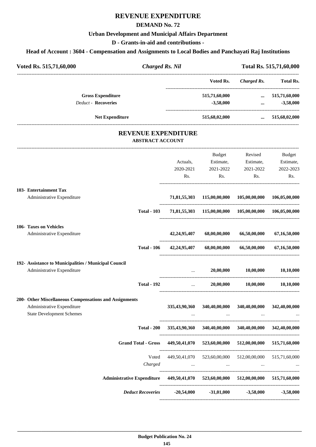# **REVENUE EXPENDITURE**

#### **DEMAND No. 72**

#### **Urban Development and Municipal Affairs Department**

**D - Grants-in-aid and contributions -**

#### **Head of Account : 3604 - Compensation and Assignments to Local Bodies and Panchayati Raj Institutions**

| Voted Rs. 515,71,60,000    | <b>Charged Rs. Nil</b> |               |             | Total Rs. 515,71,60,000 |
|----------------------------|------------------------|---------------|-------------|-------------------------|
|                            |                        | Voted Rs.     | Charged Rs. | <b>Total Rs.</b>        |
| <b>Gross Expenditure</b>   |                        | 515,71,60,000 | $\cdots$    | 515,71,60,000           |
| <b>Deduct - Recoveries</b> |                        | $-3,58,000$   | $\cdots$    | $-3,58,000$             |
| <b>Net Expenditure</b>     |                        | 515,68,02,000 | $\cdots$    | 515,68,02,000           |

## **REVENUE EXPENDITURE ABSTRACT ACCOUNT**

| <b>Deduct Recoveries</b>                                                                                                 | $-20,54,000$ $-31,01,000$ $-3,58,000$ |                                                         |                               | $-3,58,000$            |
|--------------------------------------------------------------------------------------------------------------------------|---------------------------------------|---------------------------------------------------------|-------------------------------|------------------------|
| <b>Administrative Expenditure</b>                                                                                        |                                       | 449,50,41,070 523,60,00,000 512,00,00,000 515,71,60,000 |                               |                        |
| Voted<br>Charged                                                                                                         | $\sim$                                | 449,50,41,070 523,60,00,000 512,00,00,000               |                               | 515,71,60,000          |
| <b>Grand Total - Gross</b>                                                                                               |                                       | 449,50,41,070 523,60,00,000 512,00,00,000               |                               | 515,71,60,000          |
| <b>Total - 200</b>                                                                                                       |                                       | 335,43,90,360 340,40,00,000 340,40,00,000               |                               | 342,40,00,000          |
| 200- Other Miscellaneous Compensations and Assignments<br>Administrative Expenditure<br><b>State Development Schemes</b> | 335,43,90,360                         | 340,40,00,000                                           | 340,40,00,000                 | 342,40,00,000          |
| <b>Total - 192</b>                                                                                                       |                                       | $\mathbf{m}$ and $\mathbf{m}$                           | 20,00,000 10,00,000 10,10,000 |                        |
| 192- Assistance to Municipalities / Municipal Council<br>Administrative Expenditure                                      | $\cdots$                              | 20,00,000                                               | 10,00,000                     | 10,10,000              |
| <b>Total - 106</b>                                                                                                       | 42,24,95,407                          | 68,00,00,000                                            | 66,50,00,000                  | 67,16,50,000           |
| 106- Taxes on Vehicles<br>Administrative Expenditure                                                                     | 42,24,95,407                          | 68,00,00,000                                            | 66,50,00,000                  | 67,16,50,000           |
| <b>Total - 103</b>                                                                                                       |                                       | 71,81,55,303 115,00,00,000 105,00,00,000 106,05,00,000  |                               |                        |
| 103- Entertainment Tax<br>Administrative Expenditure                                                                     | 71,81,55,303                          |                                                         | 115,00,00,000 105,00,00,000   | 106,05,00,000          |
|                                                                                                                          | Rs.                                   | Rs.                                                     | 202<br>Rs.                    | Rs.                    |
|                                                                                                                          | Actuals,<br>2020-2021                 | Estimate,<br>2021-2022                                  | Estimate,<br>2021-2022        | Estimate,<br>2022-2023 |
|                                                                                                                          |                                       | Budget                                                  | Revised                       | Budget                 |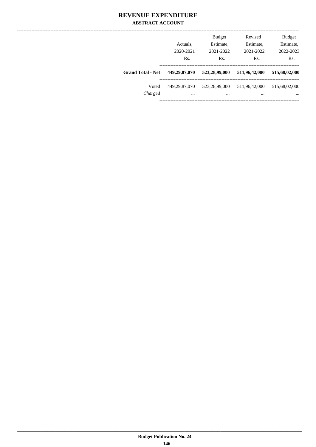## **REVENUE EXPENDITURE ABSTRACT ACCOUNT**

|                          | Actuals.<br>2020-2021<br>Rs. | <b>Budget</b><br>Estimate,<br>2021-2022<br>Rs. | Revised<br>Estimate,<br>2021-2022<br>Rs. | <b>Budget</b><br>Estimate,<br>2022-2023<br>Rs. |
|--------------------------|------------------------------|------------------------------------------------|------------------------------------------|------------------------------------------------|
| <b>Grand Total - Net</b> | 449,29,87,070                | 523,28,99,000                                  | 511,96,42,000                            | 515,68,02,000                                  |
| Voted<br>Charged         | 449.29.87.070<br>$\cdots$    | 523,28,99,000<br>$\cdots$                      | 511,96,42,000<br>$\cdots$                | 515,68,02,000<br>$\cdots$                      |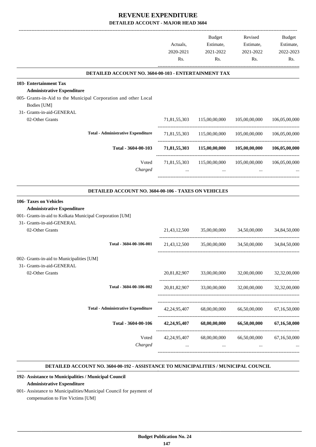|                                                                                |                 | <b>Budget</b>             | Revised       | <b>Budget</b> |
|--------------------------------------------------------------------------------|-----------------|---------------------------|---------------|---------------|
|                                                                                | Actuals,        | Estimate,                 | Estimate,     | Estimate,     |
|                                                                                | 2020-2021       | 2021-2022                 | 2021-2022     | 2022-2023     |
|                                                                                | Rs.             | Rs.                       | Rs.           | Rs.           |
| DETAILED ACCOUNT NO. 3604-00-103 - ENTERTAINMENT TAX                           |                 |                           |               |               |
| 103- Entertainment Tax<br><b>Administrative Expenditure</b>                    |                 |                           |               |               |
| 005- Grants-in-Aid to the Municipal Corporation and other Local                |                 |                           |               |               |
| Bodies [UM]                                                                    |                 |                           |               |               |
| 31- Grants-in-aid-GENERAL                                                      |                 |                           |               |               |
| 02-Other Grants                                                                | 71,81,55,303    | 115,00,00,000             | 105,00,00,000 | 106,05,00,000 |
| <b>Total - Administrative Expenditure</b>                                      | 71,81,55,303    | 115,00,00,000             | 105,00,00,000 | 106,05,00,000 |
| Total - 3604-00-103                                                            | 71,81,55,303    | 115,00,00,000             | 105,00,00,000 | 106,05,00,000 |
|                                                                                |                 |                           |               |               |
| Voted<br>Charged                                                               | 71,81,55,303    | 115,00,00,000<br>$\cdots$ | 105,00,00,000 | 106,05,00,000 |
| DETAILED ACCOUNT NO. 3604-00-106 - TAXES ON VEHICLES<br>106- Taxes on Vehicles |                 |                           |               |               |
| <b>Administrative Expenditure</b>                                              |                 |                           |               |               |
| 001- Grants-in-aid to Kolkata Municipal Corporation [UM]                       |                 |                           |               |               |
| 31- Grants-in-aid-GENERAL                                                      |                 |                           |               |               |
| 02-Other Grants                                                                | 21,43,12,500    | 35,00,00,000 34,50,00,000 |               | 34,84,50,000  |
| Total - 3604-00-106-001                                                        | 21,43,12,500    | 35,00,00,000              | 34,50,00,000  | 34,84,50,000  |
| 002- Grants-in-aid to Municipalities [UM]                                      |                 |                           |               |               |
| 31- Grants-in-aid-GENERAL                                                      |                 |                           |               |               |
| 02-Other Grants                                                                | 20,81,82,907    | 33,00,00,000              | 32,00,00,000  | 32,32,00,000  |
| Total - 3604-00-106-002                                                        | 20,81,82,907    | 33,00,00,000              | 32,00,00,000  | 32,32,00,000  |
|                                                                                |                 |                           |               |               |
| <b>Total - Administrative Expenditure</b>                                      | 42, 24, 95, 407 | 68,00,00,000              | 66,50,00,000  | 67,16,50,000  |
| Total - 3604-00-106                                                            | 42,24,95,407    | 68,00,00,000              | 66,50,00,000  | 67,16,50,000  |
| Voted                                                                          | 42, 24, 95, 407 | 68,00,00,000              | 66,50,00,000  | 67,16,50,000  |
| Charged                                                                        |                 | $\cdots$                  | $\cdots$      |               |
|                                                                                |                 |                           |               |               |

#### **DETAILED ACCOUNT NO. 3604-00-192 - ASSISTANCE TO MUNICIPALITIES / MUNICIPAL COUNCIL .**

.

#### **192- Assistance to Municipalities / Municipal Council Administrative Expenditure**

001- Assistance to Municipalities/Municipal Council for payment of compensation to Fire Victims [UM]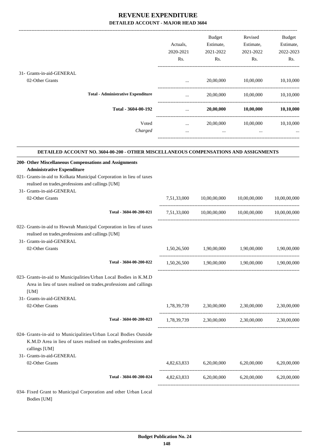|                                                                                                                                                                                             | Actuals,<br>2020-2021<br>Rs. | Budget<br>Estimate,<br>2021-2022<br>Rs. | Revised<br>Estimate,<br>2021-2022<br>Rs.        | Budget<br>Estimate,<br>2022-2023<br>Rs. |
|---------------------------------------------------------------------------------------------------------------------------------------------------------------------------------------------|------------------------------|-----------------------------------------|-------------------------------------------------|-----------------------------------------|
| 31- Grants-in-aid-GENERAL                                                                                                                                                                   |                              |                                         |                                                 |                                         |
| 02-Other Grants                                                                                                                                                                             | $\cdots$                     | 20,00,000                               | 10,00,000                                       | 10,10,000                               |
|                                                                                                                                                                                             |                              |                                         |                                                 |                                         |
| <b>Total - Administrative Expenditure</b>                                                                                                                                                   | $\cdots$                     | 20,00,000                               |                                                 | 10,00,000 10,10,000                     |
| Total - 3604-00-192                                                                                                                                                                         |                              |                                         | 20,00,000 10,00,000 10,10,000                   |                                         |
| Voted                                                                                                                                                                                       | $\cdots$                     | 20,00,000                               | 10,00,000                                       | 10,10,000                               |
| Charged                                                                                                                                                                                     | $\cdots$                     | $\cdots$                                | $\cdots$                                        |                                         |
| DETAILED ACCOUNT NO. 3604-00-200 - OTHER MISCELLANEOUS COMPENSATIONS AND ASSIGNMENTS                                                                                                        |                              |                                         |                                                 |                                         |
| 200- Other Miscellaneous Compensations and Assignments                                                                                                                                      |                              |                                         |                                                 |                                         |
| <b>Administrative Expenditure</b><br>021- Grants-in-aid to Kolkata Municipal Corporation in lieu of taxes<br>realised on trades, professions and callings [UM]<br>31- Grants-in-aid-GENERAL |                              |                                         |                                                 |                                         |
| 02-Other Grants                                                                                                                                                                             | 7,51,33,000                  |                                         | 10,00,00,000 10,00,00,000                       | 10,00,00,000                            |
| Total - 3604-00-200-021                                                                                                                                                                     |                              | 7,51,33,000 10,00,00,000                | 10,00,00,000                                    | 10,00,00,000                            |
|                                                                                                                                                                                             |                              |                                         |                                                 |                                         |
| 022- Grants-in-aid to Howrah Municipal Corporation in lieu of taxes<br>realised on trades, professions and callings [UM]<br>31- Grants-in-aid-GENERAL                                       |                              |                                         |                                                 |                                         |
| 02-Other Grants                                                                                                                                                                             | 1,50,26,500                  | 1,90,00,000                             | 1,90,00,000                                     | 1,90,00,000                             |
| Total - 3604-00-200-022                                                                                                                                                                     | 1,50,26,500                  | 1,90,00,000                             | 1,90,00,000                                     | 1,90,00,000                             |
| 023- Grants-in-aid to Municipalities/Urban Local Bodies in K.M.D<br>Area in lieu of taxes realised on trades, professions and callings<br>[UM]                                              |                              |                                         |                                                 |                                         |
| 31- Grants-in-aid-GENERAL                                                                                                                                                                   |                              |                                         |                                                 |                                         |
| 02-Other Grants                                                                                                                                                                             |                              | 1,78,39,739 2,30,00,000                 | 2,30,00,000                                     | 2,30,00,000                             |
| Total - 3604-00-200-023                                                                                                                                                                     |                              |                                         | 1,78,39,739 2,30,00,000 2,30,00,000 2,30,00,000 |                                         |
| 024- Grants-in-aid to Municipalities/Urban Local Bodies Outside<br>K.M.D Area in lieu of taxes realised on trades, professions and<br>callings [UM]                                         |                              |                                         |                                                 |                                         |
| 31- Grants-in-aid-GENERAL                                                                                                                                                                   |                              |                                         |                                                 |                                         |
| 02-Other Grants                                                                                                                                                                             |                              | 4,82,63,833 6,20,00,000                 | 6,20,00,000                                     | 6,20,00,000                             |
| Total - 3604-00-200-024                                                                                                                                                                     |                              |                                         | 4,82,63,833 6,20,00,000 6,20,00,000 6,20,00,000 |                                         |
| 034- Fixed Grant to Municipal Corporation and other Urban Local                                                                                                                             |                              |                                         |                                                 |                                         |

 **Budget Publication No. 24 148**

 **\_\_\_\_\_\_\_\_\_\_\_\_\_\_\_\_\_\_\_\_\_\_\_\_\_\_\_\_\_\_\_\_\_\_\_\_\_\_\_\_\_\_\_\_\_\_\_\_\_\_\_\_\_\_\_\_\_\_\_\_\_\_\_\_\_\_\_\_\_\_\_\_\_\_\_\_\_\_\_\_\_\_\_\_\_\_\_\_\_\_\_\_\_\_\_\_\_\_\_\_\_\_\_\_\_\_\_\_\_\_\_\_\_\_\_\_\_\_\_**

Bodies [UM]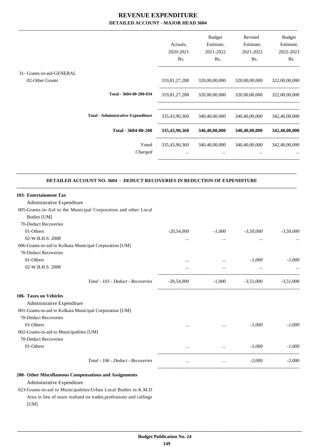| 319,81,27,288<br>319,81,27,288<br>335,43,90,360<br>335,43,90,360<br>335,43,90,360<br>$\cdots$ | 320,00,00,000<br>320,00,00,000<br>340,40,00,000<br>340,40,00,000<br>340,40,00,000<br>$\cdots$ | 320,00,00,000<br>320,00,00,000<br>340,40,00,000<br>340,40,00,000<br>340,40,00,000 342,40,00,000 | 322,00,00,000<br>322,00,00,000<br>342,40,00,000<br>342,40,00,000                                                                                                         |
|-----------------------------------------------------------------------------------------------|-----------------------------------------------------------------------------------------------|-------------------------------------------------------------------------------------------------|--------------------------------------------------------------------------------------------------------------------------------------------------------------------------|
|                                                                                               |                                                                                               |                                                                                                 |                                                                                                                                                                          |
|                                                                                               |                                                                                               |                                                                                                 |                                                                                                                                                                          |
|                                                                                               |                                                                                               |                                                                                                 |                                                                                                                                                                          |
|                                                                                               |                                                                                               |                                                                                                 |                                                                                                                                                                          |
|                                                                                               |                                                                                               |                                                                                                 |                                                                                                                                                                          |
|                                                                                               |                                                                                               | $\cdots$                                                                                        |                                                                                                                                                                          |
| $\cdots$<br>$\ddotsc$                                                                         | $-1,000$<br>$\cdots$<br>$\ddotsc$                                                             | $-3,50,000$<br>$\cdots$                                                                         | $-3,50,000$<br>$-1,000$                                                                                                                                                  |
|                                                                                               |                                                                                               |                                                                                                 |                                                                                                                                                                          |
|                                                                                               |                                                                                               |                                                                                                 |                                                                                                                                                                          |
| $\cdots$                                                                                      |                                                                                               | $-1,000$                                                                                        | $-1,000$                                                                                                                                                                 |
|                                                                                               |                                                                                               |                                                                                                 |                                                                                                                                                                          |
|                                                                                               |                                                                                               |                                                                                                 | $-1,000$                                                                                                                                                                 |
| $\cdots$                                                                                      | $\ldots$                                                                                      | $-2,000$                                                                                        | $-2,000$                                                                                                                                                                 |
|                                                                                               | $-20,54,000$<br>$-20,54,000$                                                                  | $\cdots$                                                                                        | <b>DETAILED ACCOUNT NO. 3604 - DEDUCT RECOVERIES IN REDUCTION OF EXPENDITURE</b><br>$-1,000$<br>$-1,000$ $-3,51,000$ $-3,51,000$<br><b>Contract Contract</b><br>$-1,000$ |

023-Grants-in-aid to Municipalities/Urban Local Bodies in K.M.D Area in lieu of taxes realised on trades,professions and callings [UM]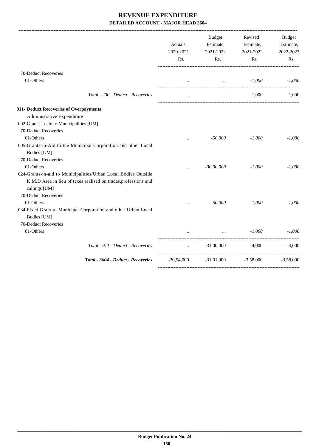| $\cdots$  |              | $-1,000$                                                       | $-1,000$                                                                                                                  |
|-----------|--------------|----------------------------------------------------------------|---------------------------------------------------------------------------------------------------------------------------|
| $\cdots$  | $\ddotsc$    | $-1,000$                                                       | $-1.000$                                                                                                                  |
|           |              |                                                                |                                                                                                                           |
|           |              |                                                                |                                                                                                                           |
|           |              |                                                                |                                                                                                                           |
|           |              |                                                                |                                                                                                                           |
| $\cdots$  | $-50,000$    | $-1,000$                                                       | $-1,000$                                                                                                                  |
|           |              |                                                                |                                                                                                                           |
|           |              |                                                                |                                                                                                                           |
|           |              |                                                                |                                                                                                                           |
| $\ddotsc$ | $-30,00,000$ | $-1,000$                                                       | $-1,000$                                                                                                                  |
|           |              |                                                                |                                                                                                                           |
|           |              |                                                                |                                                                                                                           |
|           |              |                                                                |                                                                                                                           |
|           |              |                                                                |                                                                                                                           |
| $\ddotsc$ | $-50,000$    | $-1.000$                                                       | $-1,000$                                                                                                                  |
|           |              |                                                                |                                                                                                                           |
|           |              |                                                                |                                                                                                                           |
|           |              |                                                                |                                                                                                                           |
|           |              | $-1.000$                                                       | $-1.000$                                                                                                                  |
|           |              |                                                                | $-4,000$                                                                                                                  |
|           |              |                                                                | $-3,58,000$                                                                                                               |
|           |              | $\mathbf{r}$ and $\mathbf{r}$ and $\mathbf{r}$<br>$-20,54,000$ | <b>Contract Contract Contract</b><br><b>Second Contract Contract</b><br>$-31,00,000$ $-4,000$<br>$-31,01,000$ $-3,58,000$ |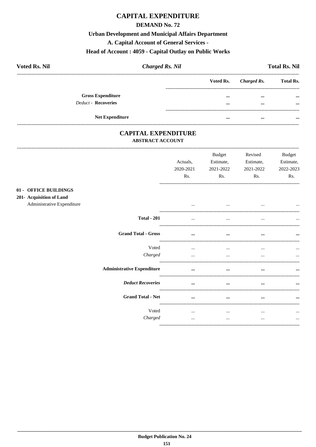# **CAPITAL EXPENDITURE**

#### **DEMAND No. 72**

#### **Urban Development and Municipal Affairs Department**

A. Capital Account of General Services -

#### Head of Account: 4059 - Capital Outlay on Public Works

| <b>Voted Rs. Nil</b>       | <b>Charged Rs. Nil</b> |          |                       | <b>Total Rs. Nil</b> |
|----------------------------|------------------------|----------|-----------------------|----------------------|
|                            |                        |          | Voted Rs. Charged Rs. | <b>Total Rs.</b>     |
| <b>Gross Expenditure</b>   |                        | $\cdots$ | $\cdots$              | $\cdots$             |
| <b>Deduct - Recoveries</b> |                        | $\cdots$ | $\cdots$              | $\cdots$             |
| <b>Net Expenditure</b>     |                        |          | $\cdots$              |                      |

## **CAPITAL EXPENDITURE ABSTRACT ACCOUNT**

-------------------------

---------------------------------

 $01 201 -$ 

|                                                                                     |                                   | Actuals,<br>2020-2021<br>Rs. | <b>Budget</b><br>Estimate,<br>2021-2022<br>Rs. | Revised<br>Estimate,<br>2021-2022<br>Rs. | <b>Budget</b><br>Estimate,<br>2022-2023<br>Rs. |
|-------------------------------------------------------------------------------------|-----------------------------------|------------------------------|------------------------------------------------|------------------------------------------|------------------------------------------------|
| <b>OFFICE BUILDINGS</b><br><b>Acquisition of Land</b><br>Administrative Expenditure |                                   | $\cdots$                     | $\cdots$                                       | $\cdots$                                 |                                                |
|                                                                                     | <b>Total - 201</b>                |                              | $\cdots$                                       |                                          |                                                |
|                                                                                     | <b>Grand Total - Gross</b>        | $\cdots$                     | $\cdots$                                       | $\cdots$                                 |                                                |
|                                                                                     | Voted<br>Charged                  | $\cdots$<br>$\cdots$         | $\cdots$<br>$\cdots$                           | $\cdots$<br>                             | $\cdots$<br>$\ddotsc$                          |
|                                                                                     | <b>Administrative Expenditure</b> | $\cdots$                     | $\cdots$                                       | $\cdots$                                 |                                                |
|                                                                                     | <b>Deduct Recoveries</b>          | $\cdots$                     | $\cdots$                                       | $\cdots$                                 |                                                |
|                                                                                     | <b>Grand Total - Net</b>          | $\cdots$                     | $\cdots$                                       | $\cdots$                                 |                                                |
|                                                                                     | Voted<br>Charged                  | $\cdots$<br>$\cdots$         | $\cdots$<br>$\cdots$                           | $\cdots$<br>$\cdots$                     | $\cdots$<br>$\cdots$                           |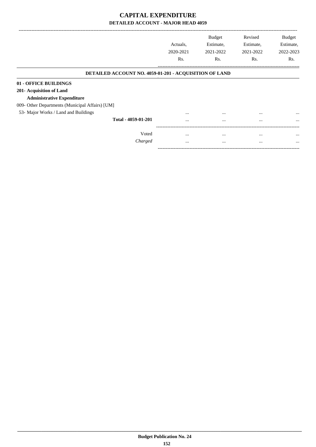|                                                        | Actuals.  | <b>Budget</b><br>Estimate, | Revised<br>Estimate, | <b>Budget</b><br>Estimate, |
|--------------------------------------------------------|-----------|----------------------------|----------------------|----------------------------|
|                                                        | 2020-2021 | 2021-2022                  | 2021-2022            | 2022-2023                  |
|                                                        | Rs.       | Rs.                        | Rs.                  | Rs.                        |
| DETAILED ACCOUNT NO. 4059-01-201 - ACQUISITION OF LAND |           |                            |                      |                            |
| 01 - OFFICE BUILDINGS                                  |           |                            |                      |                            |
| 201- Acquisition of Land                               |           |                            |                      |                            |
| <b>Administrative Expenditure</b>                      |           |                            |                      |                            |
| 009- Other Departments (Municipal Affairs) [UM]        |           |                            |                      |                            |
| 53- Major Works / Land and Buildings                   | $\cdots$  | $\cdots$                   |                      | $\cdots$                   |
| Total - 4059-01-201                                    | $\cdots$  | $\cdots$                   | $\cdots$             | $\cdots$                   |
|                                                        |           |                            |                      |                            |
| Voted                                                  | $\cdots$  | $\cdots$                   |                      | $\cdots$                   |
| Charged                                                | $\cdots$  | $\cdots$                   | $\cdots$             | $\cdots$                   |

-----------------------------------------------------------------------------------------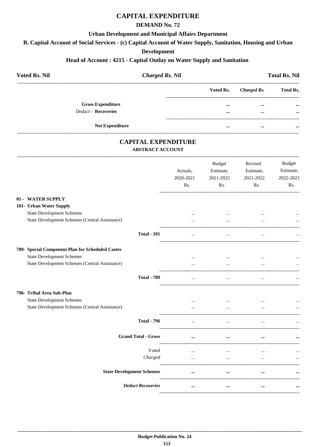# **CAPITAL EXPENDITURE**

## **DEMAND No. 72**

#### **Urban Development and Municipal Affairs Department**

B. Capital Account of Social Services - (c) Capital Account of Water Supply, Sanitation, Housing and Urban

#### **Development**

#### Head of Account: 4215 - Capital Outlay on Water Supply and Sanitation

| <b>Voted Rs. Nil</b>     | <b>Charged Rs. Nil</b> |           |             | <b>Total Rs. Nil</b> |
|--------------------------|------------------------|-----------|-------------|----------------------|
|                          |                        | Voted Rs. | Charged Rs. | <b>Total Rs.</b>     |
| <b>Gross Expenditure</b> |                        | $\cdots$  |             | $\cdots$             |
| Deduct - Recoveries      |                        |           | $\cdots$    | $\cdots$             |
| <b>Net Expenditure</b>   |                        |           | $\cdots$    | $\cdots$             |

## **CAPITAL EXPENDITURE**

## **ABSTRACT ACCOUNT**

|                                                  | Actuals,<br>2020-2021 | <b>Budget</b><br>Estimate,<br>2021-2022 | Revised<br>Estimate,<br>2021-2022 | <b>Budget</b><br>Estimate,<br>2022-2023 |
|--------------------------------------------------|-----------------------|-----------------------------------------|-----------------------------------|-----------------------------------------|
|                                                  | Rs.                   | Rs.                                     | Rs.                               | Rs.                                     |
| 01 - WATER SUPPLY                                |                       |                                         |                                   |                                         |
| 101- Urban Water Supply                          |                       |                                         |                                   |                                         |
| <b>State Development Schemes</b>                 |                       | $\cdots$                                | $\cdots$                          |                                         |
| State Development Schemes (Central Assistance)   |                       | $\cdots$                                |                                   |                                         |
| <b>Total - 101</b>                               | $\cdots$              | $\cdots$                                | $\cdots$                          |                                         |
| 789- Special Component Plan for Scheduled Castes |                       |                                         |                                   |                                         |
| <b>State Development Schemes</b>                 | $\cdots$              | $\cdots$                                | $\cdots$                          | $\cdots$                                |
| State Development Schemes (Central Assistance)   |                       | $\ddotsc$                               |                                   |                                         |
| <b>Total - 789</b>                               | $\ddotsc$             | $\cdots$                                |                                   |                                         |
| 796- Tribal Area Sub-Plan                        |                       |                                         |                                   |                                         |
| <b>State Development Schemes</b>                 |                       | $\cdots$                                | $\cdots$                          | $\cdots$                                |
| State Development Schemes (Central Assistance)   |                       | $\ddotsc$                               |                                   |                                         |
| <b>Total - 796</b>                               |                       | $\ddotsc$                               |                                   |                                         |
| <b>Grand Total - Gross</b>                       | $\cdots$              | $\ddotsc$                               | $\cdots$                          |                                         |
| Voted                                            | $\cdots$              | $\ddotsc$                               |                                   | $\cdots$                                |
| Charged                                          | $\ddotsc$             | $\ddotsc$                               |                                   |                                         |
| <b>State Development Schemes</b>                 | $\ddotsc$             | $\ddotsc$                               |                                   |                                         |
| <b>Deduct Recoveries</b>                         | $\cdots$              | $\cdots$                                | $\cdots$                          |                                         |
|                                                  |                       |                                         |                                   |                                         |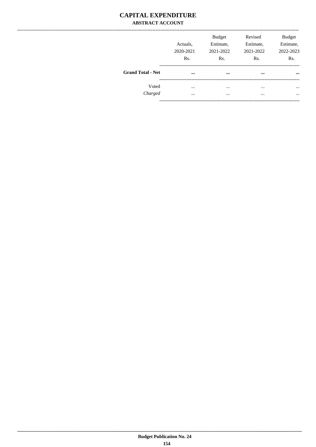## **CAPITAL EXPENDITURE ABSTRACT ACCOUNT**

|                          | Actuals.<br>2020-2021<br>Rs. | <b>Budget</b><br>Estimate,<br>2021-2022<br>Rs. | Revised<br>Estimate,<br>2021-2022<br>Rs. | <b>Budget</b><br>Estimate,<br>2022-2023<br>Rs. |
|--------------------------|------------------------------|------------------------------------------------|------------------------------------------|------------------------------------------------|
| <b>Grand Total - Net</b> | $\cdots$                     | $\cdots$                                       | $\cdots$                                 | $\cdots$                                       |
| Voted                    | $\cdots$                     |                                                | $\cdots$                                 | $\cdots$                                       |
| Charged                  | $\cdots$                     | $\cdots$                                       | $\cdots$                                 | $\ddotsc$                                      |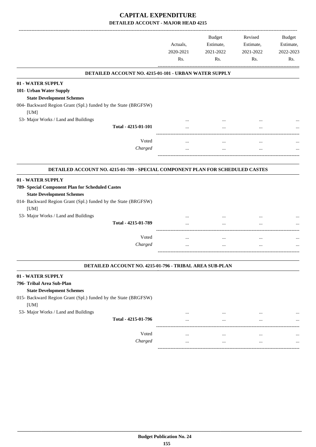|                                                                                                                                                                                     | Actuals,<br>2020-2021<br>Rs. | <b>Budget</b><br>Estimate,<br>2021-2022<br>Rs. | Revised<br>Estimate,<br>2021-2022<br>Rs. | Budget<br>Estimate,<br>2022-2023<br>Rs. |
|-------------------------------------------------------------------------------------------------------------------------------------------------------------------------------------|------------------------------|------------------------------------------------|------------------------------------------|-----------------------------------------|
| DETAILED ACCOUNT NO. 4215-01-101 - URBAN WATER SUPPLY                                                                                                                               |                              |                                                |                                          |                                         |
| 01 - WATER SUPPLY                                                                                                                                                                   |                              |                                                |                                          |                                         |
| 101- Urban Water Supply                                                                                                                                                             |                              |                                                |                                          |                                         |
| <b>State Development Schemes</b>                                                                                                                                                    |                              |                                                |                                          |                                         |
| 004- Backward Region Grant (Spl.) funded by the State (BRGFSW)<br>[UM]                                                                                                              |                              |                                                |                                          |                                         |
| 53- Major Works / Land and Buildings                                                                                                                                                |                              |                                                |                                          |                                         |
| Total - 4215-01-101                                                                                                                                                                 |                              |                                                |                                          |                                         |
| Voted                                                                                                                                                                               |                              |                                                |                                          |                                         |
| Charged                                                                                                                                                                             |                              | $\ldots$                                       | <br>$\cdots$                             |                                         |
|                                                                                                                                                                                     |                              |                                                |                                          |                                         |
| DETAILED ACCOUNT NO. 4215-01-789 - SPECIAL COMPONENT PLAN FOR SCHEDULED CASTES                                                                                                      |                              |                                                |                                          |                                         |
| 01 - WATER SUPPLY<br>789- Special Component Plan for Scheduled Castes<br><b>State Development Schemes</b><br>014- Backward Region Grant (Spl.) funded by the State (BRGFSW)<br>[UM] |                              |                                                |                                          |                                         |
| 53- Major Works / Land and Buildings                                                                                                                                                |                              |                                                |                                          |                                         |
| Total - 4215-01-789                                                                                                                                                                 |                              |                                                |                                          |                                         |
| Voted                                                                                                                                                                               | $\cdots$                     | $\cdots$                                       | $\cdots$                                 |                                         |
| Charged                                                                                                                                                                             | $\ddotsc$                    |                                                | $\cdots$                                 |                                         |
|                                                                                                                                                                                     |                              |                                                |                                          |                                         |
| DETAILED ACCOUNT NO. 4215-01-796 - TRIBAL AREA SUB-PLAN                                                                                                                             |                              |                                                |                                          |                                         |
| 01 - WATER SUPPLY                                                                                                                                                                   |                              |                                                |                                          |                                         |
|                                                                                                                                                                                     |                              |                                                |                                          |                                         |
| 796- Tribal Area Sub-Plan                                                                                                                                                           |                              |                                                |                                          |                                         |
| <b>State Development Schemes</b>                                                                                                                                                    |                              |                                                |                                          |                                         |
| 015- Backward Region Grant (Spl.) funded by the State (BRGFSW)<br>[UM]                                                                                                              |                              |                                                |                                          |                                         |
| 53- Major Works / Land and Buildings                                                                                                                                                | $\cdots$                     | $\cdots$                                       | $\cdots$                                 |                                         |

Voted ... ... ... ... *Charged* ... ... ... ...

------------------------------------------------------------------------------------------

-----------------------------------------------------------------------------------------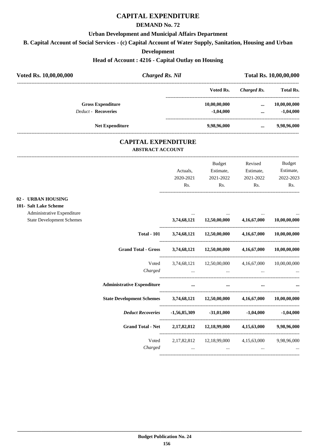# **CAPITAL EXPENDITURE**

#### **DEMAND No. 72**

#### **Urban Development and Municipal Affairs Department**

**B. Capital Account of Social Services - (c) Capital Account of Water Supply, Sanitation, Housing and Urban**

#### **Development**

#### **Head of Account : 4216 - Capital Outlay on Housing**

| Voted Rs. 10,00,00,000     | <b>Charged Rs. Nil</b>                                |              | Total Rs. 10,00,00,000 |                  |  |
|----------------------------|-------------------------------------------------------|--------------|------------------------|------------------|--|
|                            |                                                       | Voted Rs.    | Charged Rs.            | <b>Total Rs.</b> |  |
| <b>Gross Expenditure</b>   |                                                       | 10,00,00,000 | $\cdots$               | 10,00,00,000     |  |
| <b>Deduct - Recoveries</b> |                                                       | $-1,04,000$  |                        | $-1,04,000$      |  |
| <b>Net Expenditure</b>     |                                                       | 9.98.96.000  | $\cdots$               | 9,98,96,000      |  |
|                            | <b>CAPITAL EXPENDITURE</b><br><b>ABSTRACT ACCOUNT</b> |              |                        |                  |  |
|                            |                                                       |              |                        |                  |  |

**02** 

|                                  |                                                                |                                                                 | Budget                                                                                                          | Revised   | <b>Budget</b> |
|----------------------------------|----------------------------------------------------------------|-----------------------------------------------------------------|-----------------------------------------------------------------------------------------------------------------|-----------|---------------|
|                                  |                                                                | Actuals,                                                        | Estimate,                                                                                                       | Estimate, | Estimate,     |
|                                  |                                                                | 2020-2021                                                       | 2021-2022                                                                                                       | 2021-2022 | 2022-2023     |
|                                  |                                                                | Rs.                                                             | Rs.                                                                                                             | Rs.       | Rs.           |
| 02 - URBAN HOUSING               |                                                                |                                                                 |                                                                                                                 |           |               |
| 101- Salt Lake Scheme            |                                                                |                                                                 |                                                                                                                 |           |               |
| Administrative Expenditure       |                                                                |                                                                 |                                                                                                                 |           |               |
| <b>State Development Schemes</b> |                                                                |                                                                 | 3,74,68,121 12,50,00,000 4,16,67,000 10,00,00,000                                                               |           |               |
|                                  | <b>Total - 101</b>                                             |                                                                 | 3,74,68,121 12,50,00,000 4,16,67,000 10,00,00,000                                                               |           |               |
|                                  | <b>Grand Total - Gross</b>                                     |                                                                 | 3,74,68,121 12,50,00,000 4,16,67,000 10,00,00,000                                                               |           |               |
|                                  | Voted                                                          |                                                                 | 3,74,68,121 12,50,00,000 4,16,67,000 10,00,00,000                                                               |           |               |
|                                  | Charged                                                        | $\mathbf{r}$ and $\mathbf{r}$ and $\mathbf{r}$ and $\mathbf{r}$ | the contract of the contract of the contract of the contract of the contract of the contract of the contract of | $\cdots$  |               |
|                                  | <b>Administrative Expenditure</b>                              | $\cdots$                                                        | $\cdots$                                                                                                        |           |               |
|                                  | State Development Schemes 3,74,68,121 12,50,00,000 4,16,67,000 |                                                                 |                                                                                                                 |           | 10,00,00,000  |
|                                  |                                                                |                                                                 |                                                                                                                 |           |               |
|                                  | <b>Grand Total - Net</b>                                       |                                                                 | 2,17,82,812 12,18,99,000 4,15,63,000 9,98,96,000                                                                |           |               |
|                                  | Voted                                                          |                                                                 | 2,17,82,812 12,18,99,000 4,15,63,000 9,98,96,000                                                                |           |               |
|                                  | Charged                                                        |                                                                 | $\mathbf{r}$ and $\mathbf{r}$ and $\mathbf{r}$                                                                  |           |               |
|                                  |                                                                |                                                                 |                                                                                                                 |           |               |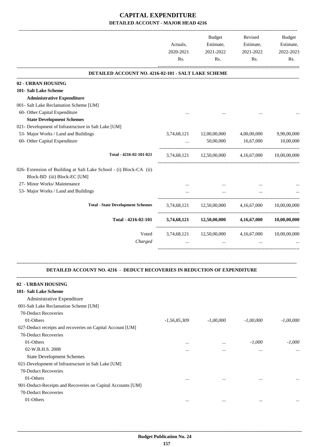|                                                                                  | Actuals,<br>2020-2021<br>Rs. | Budget<br>Estimate,<br>2021-2022<br>Rs. | Revised<br>Estimate,<br>2021-2022<br>Rs. | Budget<br>Estimate,<br>2022-2023<br>Rs. |
|----------------------------------------------------------------------------------|------------------------------|-----------------------------------------|------------------------------------------|-----------------------------------------|
| DETAILED ACCOUNT NO. 4216-02-101 - SALT LAKE SCHEME                              |                              |                                         |                                          |                                         |
| 02 - URBAN HOUSING                                                               |                              |                                         |                                          |                                         |
| 101- Salt Lake Scheme                                                            |                              |                                         |                                          |                                         |
| <b>Administrative Expenditure</b>                                                |                              |                                         |                                          |                                         |
| 001- Salt Lake Reclamation Scheme [UM]                                           |                              |                                         |                                          |                                         |
| 60- Other Capital Expenditure                                                    |                              |                                         |                                          |                                         |
| <b>State Development Schemes</b>                                                 |                              |                                         |                                          |                                         |
| 021- Development of Infrastructure in Salt Lake [UM]                             |                              |                                         |                                          |                                         |
| 53- Major Works / Land and Buildings                                             | 3,74,68,121                  | 12,00,00,000                            | 4,00,00,000                              | 9,90,00,000                             |
| 60- Other Capital Expenditure                                                    |                              | 50,00,000                               | 16,67,000                                | 10,00,000                               |
| Total - 4216-02-101-021                                                          | 3,74,68,121                  | 12,50,00,000                            | 4,16,67,000                              | 10,00,00,000                            |
| 026- Extension of Building at Salt Lake School - (i) Block-CA (ii)               |                              |                                         |                                          |                                         |
| Block-BD (iii) Block-EC [UM]                                                     |                              |                                         |                                          |                                         |
| 27- Minor Works/ Maintenance                                                     |                              |                                         |                                          |                                         |
| 53- Major Works / Land and Buildings                                             |                              |                                         |                                          |                                         |
| <b>Total - State Development Schemes</b>                                         |                              | 3,74,68,121 12,50,00,000                | 4,16,67,000                              | 10,00,00,000                            |
| Total - 4216-02-101                                                              | 3,74,68,121                  | 12,50,00,000                            | 4,16,67,000                              | 10,00,00,000                            |
| Voted                                                                            |                              | 3,74,68,121 12,50,00,000                | 4,16,67,000                              | 10,00,00,000                            |
| Charged                                                                          |                              | $\cdots$                                |                                          |                                         |
| <b>DETAILED ACCOUNT NO. 4216 - DEDUCT RECOVERIES IN REDUCTION OF EXPENDITURE</b> |                              |                                         |                                          |                                         |
| 02 - URBAN HOUSING                                                               |                              |                                         |                                          |                                         |
| 101- Salt Lake Scheme                                                            |                              |                                         |                                          |                                         |
| Administrative Expenditure                                                       |                              |                                         |                                          |                                         |
| 001-Salt Lake Reclamation Scheme [UM]                                            |                              |                                         |                                          |                                         |
| 70-Deduct Recoveries                                                             |                              |                                         |                                          |                                         |
| 01-Others                                                                        | $-1,56,85,309$               | $-1,00,000$                             | $-1,00,000$                              | $-1,00,000$                             |
| 027-Deduct receipts and recoveries on Capital Account [UM]                       |                              |                                         |                                          |                                         |
| 70-Deduct Recoveries                                                             |                              |                                         |                                          |                                         |
| 01-Others                                                                        |                              | $\cdots$                                | $-1,000$                                 | -1,000                                  |
| 02-W.B.H.S. 2008                                                                 |                              | $\ddotsc$                               | $\cdots$                                 | $\ddotsc$                               |
| <b>State Development Schemes</b>                                                 |                              |                                         |                                          |                                         |
| 021-Development of Infrastructure in Salt Lake [UM]                              |                              |                                         |                                          |                                         |
| 70-Deduct Recoveries                                                             |                              |                                         |                                          |                                         |
| 01-Others                                                                        |                              | $\cdots$                                | $\ddotsc$                                |                                         |
| 901-Deduct-Receipts and Recoveries on Capital Accounts [UM]                      |                              |                                         |                                          |                                         |
| 70-Deduct Recoveries                                                             |                              |                                         |                                          |                                         |
| 01-Others                                                                        | $\cdots$                     | $\cdots$                                | $\cdots$                                 | $\ddotsc$                               |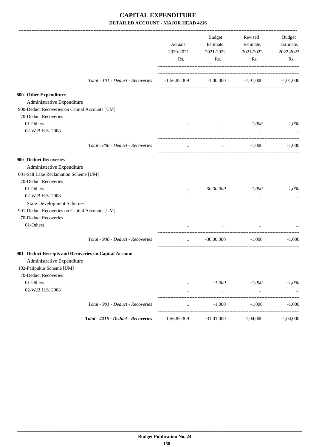|                                                        |                                    | Actuals,<br>2020-2021<br>Rs. | Budget<br>Estimate,<br>2021-2022<br>Rs. | Revised<br>Estimate,<br>2021-2022<br>Rs. | Budget<br>Estimate,<br>2022-2023<br>Rs. |
|--------------------------------------------------------|------------------------------------|------------------------------|-----------------------------------------|------------------------------------------|-----------------------------------------|
|                                                        | Total - 101 - Deduct - Recoveries  | $-1,56,85,309$               |                                         | $-1,00,000$ $-1,01,000$                  | $-1,01,000$                             |
| 800- Other Expenditure                                 |                                    |                              |                                         |                                          |                                         |
| Administrative Expenditure                             |                                    |                              |                                         |                                          |                                         |
| 900-Deduct Recoveries on Capital Accounts [UM]         |                                    |                              |                                         |                                          |                                         |
| 70-Deduct Recoveries                                   |                                    |                              |                                         |                                          |                                         |
| 01-Others                                              |                                    | $\cdots$                     | $\ldots$                                | $-1,000$                                 | $-1,000$                                |
| 02-W.B.H.S. 2008                                       |                                    | $\cdots$                     | $\cdots$                                | $\cdots$                                 |                                         |
|                                                        | Total - 800 - Deduct - Recoveries  | $\cdots$                     | $\cdots$                                | -1,000                                   | $-1,000$                                |
| 900- Deduct Recoveries                                 |                                    |                              |                                         |                                          |                                         |
| Administrative Expenditure                             |                                    |                              |                                         |                                          |                                         |
| 001-Salt Lake Reclamation Scheme [UM]                  |                                    |                              |                                         |                                          |                                         |
| 70-Deduct Recoveries                                   |                                    |                              |                                         |                                          |                                         |
| 01-Others                                              |                                    | $\cdots$                     | $-30,00,000$                            | $-1,000$                                 | $-1,000$                                |
| 02-W.B.H.S. 2008                                       |                                    |                              | $\cdots$                                | $\cdots$                                 |                                         |
| <b>State Development Schemes</b>                       |                                    |                              |                                         |                                          |                                         |
| 901-Deduct Recoveries on Capital Accounts [UM]         |                                    |                              |                                         |                                          |                                         |
| 70-Deduct Recoveries                                   |                                    |                              |                                         |                                          |                                         |
| 01-Others                                              |                                    | $\cdots$                     | $\cdots$                                | $\ddotsc$                                |                                         |
|                                                        | Total - 900 - Deduct - Recoveries  | $\cdots$                     | $-30,00,000$                            | $-1.000$                                 | $-1,000$                                |
| 901- Deduct Receipts and Recoveries on Capital Account |                                    |                              |                                         |                                          |                                         |
| Administrative Expenditure                             |                                    |                              |                                         |                                          |                                         |
| 102-Patipukur Scheme [UM]                              |                                    |                              |                                         |                                          |                                         |
| 70-Deduct Recoveries                                   |                                    |                              |                                         |                                          |                                         |
| 01-Others                                              |                                    |                              | $-1,000$                                | $-1,000$                                 | $-1,000$                                |
| 02-W.B.H.S. 2008                                       |                                    |                              | $\ldots$                                | $\ldots$                                 |                                         |
|                                                        | Total - 901 - Deduct - Recoveries  | $\cdots$                     | $-1,000$                                | $-1,000$                                 | $-1,000$                                |
|                                                        | Total - 4216 - Deduct - Recoveries | $-1,56,85,309$               | $-31,01,000$                            | $-1,04,000$                              | $-1,04,000$                             |
|                                                        |                                    |                              |                                         |                                          |                                         |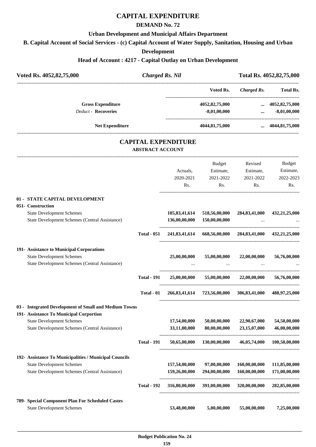# **CAPITAL EXPENDITURE**

## **DEMAND No. 72**

#### **Urban Development and Municipal Affairs Department**

**B. Capital Account of Social Services - (c) Capital Account of Water Supply, Sanitation, Housing and Urban**

#### **Development**

#### **Head of Account : 4217 - Capital Outlay on Urban Development**

| Voted Rs. 4052,82,75,000                                                                                                                                                               | <b>Charged Rs. Nil</b>  |                                |                                                         | Total Rs. 4052,82,75,000                 |                                           |
|----------------------------------------------------------------------------------------------------------------------------------------------------------------------------------------|-------------------------|--------------------------------|---------------------------------------------------------|------------------------------------------|-------------------------------------------|
|                                                                                                                                                                                        |                         |                                | Voted Rs.                                               | <b>Charged Rs.</b>                       | Total Rs.                                 |
| <b>Gross Expenditure</b><br><b>Deduct - Recoveries</b>                                                                                                                                 |                         |                                | 4052,82,75,000<br>$-8,01,00,000$                        | $\cdots$                                 | $\dots$ 4052,82,75,000<br>$-8,01,00,000$  |
| <b>Net Expenditure</b>                                                                                                                                                                 |                         |                                | 4044,81,75,000                                          |                                          | $\dots$ 4044,81,75,000                    |
|                                                                                                                                                                                        | <b>ABSTRACT ACCOUNT</b> | <b>CAPITAL EXPENDITURE</b>     |                                                         |                                          |                                           |
|                                                                                                                                                                                        |                         | Actuals,<br>2020-2021<br>Rs.   | Budget<br>Estimate,<br>2021-2022<br>Rs.                 | Revised<br>Estimate,<br>2021-2022<br>Rs. | Budget<br>Estimate,<br>2022-2023<br>Rs.   |
| 01 - STATE CAPITAL DEVELOPMENT<br>051- Construction<br><b>State Development Schemes</b><br>State Development Schemes (Central Assistance)                                              |                         | 105,83,41,614<br>136,00,00,000 | 518,56,00,000<br>150,00,00,000                          | 284,83,41,000                            | 432,21,25,000                             |
|                                                                                                                                                                                        | <b>Total - 051</b>      | 241,83,41,614                  |                                                         |                                          | 668,56,00,000 284,83,41,000 432,21,25,000 |
| 191- Assistance to Municipal Corporations<br><b>State Development Schemes</b><br>State Development Schemes (Central Assistance)                                                        |                         | 25,00,00,000                   |                                                         | $55,00,00,000$ $22,00,00,000$            | 56,76,00,000                              |
|                                                                                                                                                                                        | <b>Total - 191</b>      | 25,00,00,000                   |                                                         | $55,00,00,000$ $22,00,00,000$            | 56,76,00,000                              |
|                                                                                                                                                                                        | Total - 01              |                                | 266,83,41,614 723,56,00,000 306,83,41,000 488,97,25,000 |                                          |                                           |
| 03 - Integrated Development of Small and Medium Towns<br>191- Assistance To Municipal Corportion<br><b>State Development Schemes</b><br>State Development Schemes (Central Assistance) |                         | 17,54,00,000<br>33,11,00,000   | 50,00,00,000<br>80,00,00,000                            | 22,90,67,000<br>23,15,07,000             | 54,50,00,000<br>46,00,00,000              |
|                                                                                                                                                                                        | <b>Total - 191</b>      | 50,65,00,000                   | 130,00,00,000                                           | 46,05,74,000                             | 100,50,00,000                             |
| 192- Assistance To Municipalities / Municipal Councils<br><b>State Development Schemes</b><br>State Development Schemes (Central Assistance)                                           |                         | 157,54,00,000<br>159,26,00,000 | 97,00,00,000<br>294,00,00,000                           | 160,00,00,000<br>160,00,00,000           | 111,85,00,000<br>171,00,00,000            |
|                                                                                                                                                                                        | <b>Total - 192</b>      | 316,80,00,000                  | 391,00,00,000                                           | 320,00,00,000                            | 282,85,00,000                             |
| 789- Special Component Plan For Scheduled Castes<br><b>State Development Schemes</b>                                                                                                   |                         | 53,48,00,000                   | 5,00,00,000                                             | 55,00,00,000                             | 7,25,00,000                               |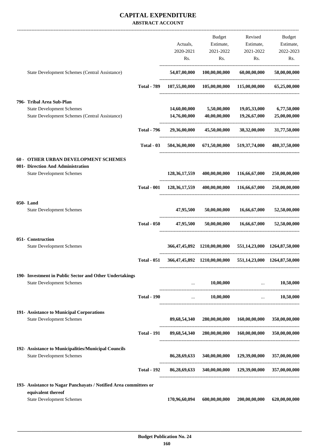## **CAPITAL EXPENDITURE ABSTRACT ACCOUNT**

|                                                                       |                    |                  | Budget                                                    | Revised                               | Budget        |
|-----------------------------------------------------------------------|--------------------|------------------|-----------------------------------------------------------|---------------------------------------|---------------|
|                                                                       |                    | Actuals,         | Estimate,                                                 | Estimate,                             | Estimate,     |
|                                                                       |                    | 2020-2021        | 2021-2022                                                 | 2021-2022                             | 2022-2023     |
|                                                                       |                    | Rs.              | Rs.                                                       | Rs.                                   | Rs.           |
| State Development Schemes (Central Assistance)                        |                    |                  | 54,07,00,000 100,00,00,000                                | 60,00,00,000                          | 58,00,00,000  |
|                                                                       | <b>Total - 789</b> |                  | $107,55,00,000$ $105,00,00,000$ $115,00,00,000$           |                                       | 65,25,00,000  |
| 796- Tribal Area Sub-Plan                                             |                    |                  |                                                           |                                       |               |
| <b>State Development Schemes</b>                                      |                    | 14,60,00,000     | 5,50,00,000                                               | 19,05,33,000                          | 6,77,50,000   |
| State Development Schemes (Central Assistance)                        |                    | 14,76,00,000     | 40,00,00,000                                              | 19,26,67,000<br>--------------------- | 25,00,00,000  |
|                                                                       | <b>Total - 796</b> | 29,36,00,000     | 45,50,00,000                                              | 38,32,00,000                          | 31,77,50,000  |
|                                                                       | Total - 03         |                  | 504,36,00,000 671,50,00,000 519,37,74,000                 |                                       | 480,37,50,000 |
| <b>60 - OTHER URBAN DEVELOPMENT SCHEMES</b>                           |                    |                  |                                                           |                                       |               |
| 001- Direction And Administration<br><b>State Development Schemes</b> |                    | 128, 36, 17, 559 |                                                           | 400,00,00,000 116,66,67,000           | 250,00,00,000 |
|                                                                       | <b>Total - 001</b> | 128,36,17,559    |                                                           | 400,00,00,000 116,66,67,000           | 250,00,00,000 |
| 050-Land<br><b>State Development Schemes</b>                          |                    | 47,95,500        | 50,00,00,000                                              | 16,66,67,000                          | 52,50,00,000  |
|                                                                       |                    |                  |                                                           |                                       |               |
|                                                                       | <b>Total - 050</b> | 47,95,500        |                                                           | $50,00,00,000$ $16,66,67,000$         | 52,50,00,000  |
| 051- Construction                                                     |                    |                  |                                                           |                                       |               |
| <b>State Development Schemes</b>                                      |                    |                  | 366,47,45,892 1210,00,00,000 551,14,23,000 1264,87,50,000 |                                       |               |
|                                                                       | <b>Total - 051</b> |                  | 366,47,45,892 1210,00,00,000 551,14,23,000 1264,87,50,000 |                                       |               |
| 190- Investment in Public Sector and Other Undertakings               |                    |                  |                                                           |                                       |               |
| <b>State Development Schemes</b>                                      |                    | $\cdots$         | 10,00,000                                                 | and the contract of the contract of   | 10,50,000     |
|                                                                       | <b>Total - 190</b> |                  | $\mathbf{r}$ and $\mathbf{r}$                             | $10,00,000$                           | 10,50,000     |
| 191- Assistance to Municipal Corporations                             |                    |                  |                                                           |                                       |               |
| <b>State Development Schemes</b>                                      |                    |                  | 89,68,54,340 280,00,00,000 160,00,00,000                  |                                       | 350,00,00,000 |
|                                                                       | <b>Total - 191</b> |                  | 89,68,54,340 280,00,00,000 160,00,00,000 350,00,00,000    |                                       |               |
| 192- Assistance to Municipalities/Municipal Councils                  |                    |                  |                                                           |                                       |               |
| <b>State Development Schemes</b>                                      |                    |                  | 86,28,69,633 340,00,00,000 129,39,00,000                  |                                       | 357,00,00,000 |
|                                                                       | <b>Total - 192</b> |                  | 86,28,69,633 340,00,00,000 129,39,00,000                  |                                       | 357,00,00,000 |
| 193- Assistance to Nagar Panchayats / Notified Area committees or     |                    |                  |                                                           |                                       |               |
| equivalent thereof<br><b>State Development Schemes</b>                |                    | 170,96,60,094    | 600,00,00,000                                             | 200,00,00,000                         | 620,00,00,000 |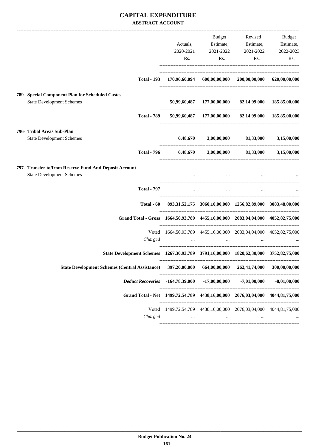## **CAPITAL EXPENDITURE ABSTRACT ACCOUNT**

|                                                                                             | Actuals,                                                                      | <b>Budget</b><br>Estimate,                                                                                          | Revised<br>Estimate,                                                   | Budget<br>Estimate,               |
|---------------------------------------------------------------------------------------------|-------------------------------------------------------------------------------|---------------------------------------------------------------------------------------------------------------------|------------------------------------------------------------------------|-----------------------------------|
|                                                                                             | 2020-2021<br>Rs.                                                              | 2021-2022<br>Rs.                                                                                                    | 2021-2022<br>Rs.                                                       | 2022-2023<br>Rs.                  |
| <b>Total - 193</b>                                                                          |                                                                               |                                                                                                                     | 170,96,60,094 600,00,00,000 200,00,00,000 620,00,00,000                |                                   |
| 789- Special Component Plan for Scheduled Castes                                            |                                                                               |                                                                                                                     |                                                                        |                                   |
| <b>State Development Schemes</b>                                                            |                                                                               |                                                                                                                     | 50,99,60,487 177,00,00,000 82,14,99,000 185,85,00,000                  |                                   |
| <b>Total - 789</b>                                                                          |                                                                               |                                                                                                                     | 50,99,60,487 177,00,00,000 82,14,99,000 185,85,00,000                  |                                   |
| 796- Tribal Areas Sub-Plan<br><b>State Development Schemes</b>                              | 6,48,670                                                                      |                                                                                                                     | 3,00,00,000 81,33,000 3,15,00,000                                      |                                   |
| <b>Total - 796</b>                                                                          |                                                                               |                                                                                                                     | 6,48,670 3,00,00,000 81,33,000 3,15,00,000                             |                                   |
| 797- Transfer to/from Reserve Fund And Deposit Account<br><b>State Development Schemes</b>  |                                                                               | $\cdots$                                                                                                            |                                                                        | the company of the company of the |
| <b>Total - 797</b>                                                                          | $\cdots$                                                                      | $\cdots$                                                                                                            | $\cdots$                                                               |                                   |
| Total - 60                                                                                  |                                                                               |                                                                                                                     | 893, 31, 52, 175 3060, 10, 00, 000 1256, 82, 89, 000 3083, 48, 00, 000 |                                   |
| Grand Total - Gross 1664, 50, 93, 789 4455, 16, 00, 000 2083, 04, 04, 000 4052, 82, 75, 000 |                                                                               |                                                                                                                     |                                                                        |                                   |
| Voted<br>Charged                                                                            | 1664,50,93,789 4455,16,00,000 2083,04,04,000 4052,82,75,000                   | and the contract of the contract of the contract of the contract of the contract of the contract of the contract of |                                                                        |                                   |
| State Development Schemes 1267,30,93,789 3791,16,00,000 1820,62,30,000 3752,82,75,000       |                                                                               |                                                                                                                     |                                                                        |                                   |
| State Development Schemes (Central Assistance) 397,20,00,000                                |                                                                               | 664,00,00,000 262,41,74,000                                                                                         |                                                                        | 300,00,00,000                     |
| Deduct Recoveries -164,78,39,000 -17,00,00,000                                              |                                                                               |                                                                                                                     | $-7,01,00,000$                                                         | $-8,01,00,000$                    |
| Grand Total - Net 1499,72,54,789 4438,16,00,000 2076,03,04,000 4044,81,75,000               |                                                                               |                                                                                                                     |                                                                        |                                   |
| Charged                                                                                     | Voted 1499,72,54,789 4438,16,00,000 2076,03,04,000 4044,81,75,000<br>$\cdots$ | $\ldots$                                                                                                            | $\cdots$                                                               |                                   |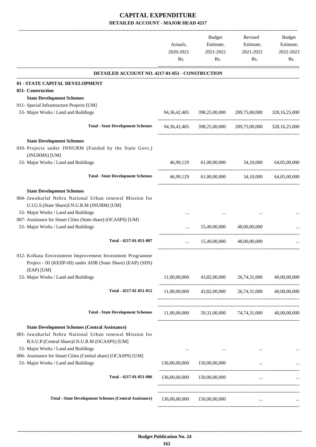-------------------------------------------------------------------------------------------------------------------------------------------------------------------------------

|                                                                                                                                                                                                                                                                                             | Actuals,<br>2020-2021<br>Rs. | <b>Budget</b><br>Estimate,<br>2021-2022<br>Rs. | Revised<br>Estimate,<br>2021-2022<br>Rs.                    | <b>Budget</b><br>Estimate,<br>2022-2023<br>Rs. |
|---------------------------------------------------------------------------------------------------------------------------------------------------------------------------------------------------------------------------------------------------------------------------------------------|------------------------------|------------------------------------------------|-------------------------------------------------------------|------------------------------------------------|
| DETAILED ACCOUNT NO. 4217-01-051 - CONSTRUCTION                                                                                                                                                                                                                                             |                              |                                                |                                                             |                                                |
| 01 - STATE CAPITAL DEVELOPMENT<br>051- Construction                                                                                                                                                                                                                                         |                              |                                                |                                                             |                                                |
| <b>State Development Schemes</b>                                                                                                                                                                                                                                                            |                              |                                                |                                                             |                                                |
| 011- Special Infrastructure Projects [UM]                                                                                                                                                                                                                                                   |                              |                                                |                                                             |                                                |
| 53- Major Works / Land and Buildings                                                                                                                                                                                                                                                        | 94,36,42,485                 | 398,25,00,000                                  | 209,75,00,000                                               | 328, 16, 25, 000                               |
| <b>Total - State Development Schemes</b>                                                                                                                                                                                                                                                    | 94,36,42,485                 | 398,25,00,000                                  | 209,75,00,000                                               | 328, 16, 25, 000                               |
| <b>State Development Schemes</b>                                                                                                                                                                                                                                                            |                              |                                                |                                                             |                                                |
| 010- Projects under JNNURM (Funded by the State Govt.)<br>(JNURMS) [UM]                                                                                                                                                                                                                     |                              |                                                |                                                             |                                                |
| 53- Major Works / Land and Buildings                                                                                                                                                                                                                                                        | 46,99,129                    | 61,00,00,000                                   | 34,10,000                                                   | 64,05,00,000                                   |
| <b>Total - State Development Schemes</b>                                                                                                                                                                                                                                                    | 46,99,129                    |                                                | $61,00,00,000$ $34,10,000$ $64,05,00,000$                   |                                                |
| <b>State Development Schemes</b><br>004- Jawaharlal Nehru National Urban renewal Mission for<br>U.I.G.S.(State Share)J.N.U.R.M (JNURM) [UM]<br>53- Major Works / Land and Buildings<br>007- Assistance for Smart Cities (State share) (OCASPS) [UM]<br>53- Major Works / Land and Buildings | $\cdots$                     | <br>15,49,00,000                               | 48,00,00,000                                                |                                                |
| Total - 4217-01-051-007                                                                                                                                                                                                                                                                     | $\cdots$                     | 15,49,00,000                                   | 48,00,00,000                                                |                                                |
| 012- Kolkata Environment Improvement Investment Programme<br>Project - III (KEIIP-III) under ADB (State Share) (EAP) (SDS)<br>(EAP) [UM]<br>53- Major Works / Land and Buildings                                                                                                            | 11,00,00,000                 |                                                | 43,82,00,000 26,74,31,000                                   | 40,00,00,000                                   |
|                                                                                                                                                                                                                                                                                             |                              |                                                |                                                             |                                                |
| Total - 4217-01-051-012                                                                                                                                                                                                                                                                     |                              |                                                | $11,00,00,000$ $43,82,00,000$ $26,74,31,000$ $40,00,00,000$ |                                                |
| <b>Total - State Development Schemes</b>                                                                                                                                                                                                                                                    |                              |                                                | 11,00,00,000 59,31,00,000 74,74,31,000 40,00,00,000         |                                                |
| <b>State Development Schemes (Central Assistance)</b><br>001- Jawaharlal Nehru National Urban renewal Mission for<br>B.S.U.P.(Central Share)J.N.U.R.M (OCASPS) [UM]<br>53- Major Works / Land and Buildings                                                                                 |                              |                                                |                                                             |                                                |
| 006- Assistance for Smart Cities (Central share) (OCASPS) [UM]<br>53- Major Works / Land and Buildings                                                                                                                                                                                      | $\cdots$<br>136,00,00,000    | 150,00,00,000                                  | $\cdots$                                                    |                                                |
| Total - 4217-01-051-006                                                                                                                                                                                                                                                                     |                              | 136,00,00,000 150,00,00,000                    |                                                             |                                                |
|                                                                                                                                                                                                                                                                                             |                              |                                                | $\cdots$                                                    |                                                |
| <b>Total - State Development Schemes (Central Assistance)</b>                                                                                                                                                                                                                               |                              | 136,00,00,000 150,00,00,000                    | $\cdots$                                                    |                                                |
|                                                                                                                                                                                                                                                                                             |                              |                                                |                                                             |                                                |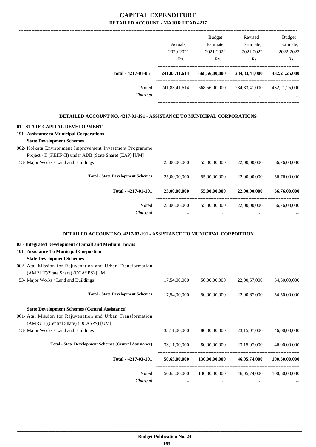|                                                                               | Actuals,         | Budget<br>Estimate,                       | Revised<br>Estimate,      | Budget<br>Estimate,         |
|-------------------------------------------------------------------------------|------------------|-------------------------------------------|---------------------------|-----------------------------|
|                                                                               | 2020-2021<br>Rs. | 2021-2022<br>Rs.                          | 2021-2022<br>Rs.          | 2022-2023<br>Rs.            |
| Total - 4217-01-051                                                           | 241,83,41,614    | 668,56,00,000                             | 284,83,41,000             | 432,21,25,000               |
| Voted                                                                         | 241,83,41,614    | 668,56,00,000                             |                           | 284,83,41,000 432,21,25,000 |
| Charged                                                                       |                  | $\mathbf{r}$ , and the state $\mathbf{r}$ | $\cdots$                  |                             |
| DETAILED ACCOUNT NO. 4217-01-191 - ASSISTANCE TO MUNICIPAL CORPORATIONS       |                  |                                           |                           |                             |
| 01 - STATE CAPITAL DEVELOPMENT                                                |                  |                                           |                           |                             |
| 191- Assistance to Municipal Corporations<br><b>State Development Schemes</b> |                  |                                           |                           |                             |
| 002- Kolkata Environment Improvement Investment Programme                     |                  |                                           |                           |                             |
| Project - II (KEIIP-II) under ADB (State Share) (EAP) [UM]                    |                  |                                           |                           |                             |
| 53- Major Works / Land and Buildings                                          | 25,00,00,000     | 55,00,00,000                              | 22,00,00,000              | 56,76,00,000                |
| <b>Total - State Development Schemes</b>                                      | 25,00,00,000     | 55,00,00,000                              | 22,00,00,000              | 56,76,00,000                |
| Total - 4217-01-191                                                           | 25,00,00,000     | 55,00,00,000                              | 22,00,00,000              | 56,76,00,000                |
| Voted<br>Charged                                                              | 25,00,00,000     | 55,00,00,000<br>$\cdots$                  | 22,00,00,000              | 56,76,00,000                |
| DETAILED ACCOUNT NO. 4217-03-191 - ASSISTANCE TO MUNICIPAL CORPORTION         |                  |                                           |                           |                             |
| 03 - Integrated Development of Small and Medium Towns                         |                  |                                           |                           |                             |
| 191- Assistance To Municipal Corportion                                       |                  |                                           |                           |                             |
| <b>State Development Schemes</b>                                              |                  |                                           |                           |                             |
| 002- Atal Mission for Rejuvenation and Urban Transformation                   |                  |                                           |                           |                             |
| (AMRUT)(State Share) (OCASPS) [UM]<br>53- Major Works / Land and Buildings    | 17,54,00,000     | 50,00,00,000                              | 22,90,67,000              | 54,50,00,000                |
|                                                                               |                  |                                           |                           |                             |
| <b>Total - State Development Schemes</b>                                      | 17,54,00,000     |                                           | 50,00,00,000 22,90,67,000 | 54,50,00,000                |
| <b>State Development Schemes (Central Assistance)</b>                         |                  |                                           |                           |                             |
| 001- Atal Mission for Rejuvenation and Urban Transformation                   |                  |                                           |                           |                             |
| (AMRUT)(Central Share) (OCASPS) [UM]                                          |                  |                                           |                           |                             |
| 53- Major Works / Land and Buildings                                          | 33,11,00,000     | 80,00,00,000                              | 23,15,07,000              | 46,00,00,000                |
| <b>Total - State Development Schemes (Central Assistance)</b>                 | 33,11,00,000     | 80,00,00,000                              | 23,15,07,000              | 46,00,00,000                |
| Total - 4217-03-191                                                           | 50,65,00,000     | 130,00,00,000                             | 46,05,74,000              | 100,50,00,000               |
| Voted                                                                         | 50,65,00,000     | 130,00,00,000                             | 46,05,74,000              | 100,50,00,000               |
| Charged                                                                       | $\cdots$         | $\cdots$                                  | $\ddotsc$                 |                             |

-----------------------------------------------------------------------------------------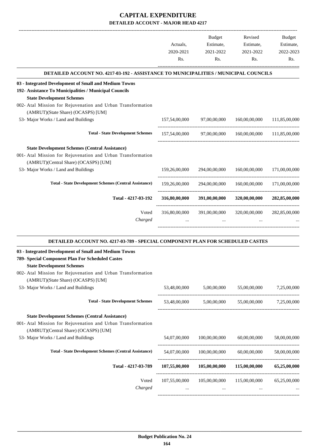|                                                                                             | Actuals,<br>2020-2021<br>Rs. | Budget<br>Estimate,<br>2021-2022<br>Rs. | Revised<br>Estimate,<br>2021-2022<br>Rs.          | Budget<br>Estimate,<br>2022-2023<br>Rs. |
|---------------------------------------------------------------------------------------------|------------------------------|-----------------------------------------|---------------------------------------------------|-----------------------------------------|
| <b>DETAILED ACCOUNT NO. 4217-03-192 - ASSISTANCE TO MUNICIPALITIES / MUNICIPAL COUNCILS</b> |                              |                                         |                                                   |                                         |
| 03 - Integrated Development of Small and Medium Towns                                       |                              |                                         |                                                   |                                         |
| 192- Assistance To Municipalities / Municipal Councils                                      |                              |                                         |                                                   |                                         |
| <b>State Development Schemes</b>                                                            |                              |                                         |                                                   |                                         |
| 002- Atal Mission for Rejuvenation and Urban Transformation                                 |                              |                                         |                                                   |                                         |
| (AMRUT)(State Share) (OCASPS) [UM]                                                          |                              |                                         |                                                   |                                         |
| 53- Major Works / Land and Buildings                                                        | 157,54,00,000                | 97,00,00,000                            | 160,00,00,000                                     | 111,85,00,000                           |
| <b>Total - State Development Schemes</b>                                                    | 157,54,00,000                | 97,00,00,000                            | 160,00,00,000                                     | 111.85.00.000                           |
| <b>State Development Schemes (Central Assistance)</b>                                       |                              |                                         |                                                   |                                         |
| 001- Atal Mission for Rejuvenation and Urban Transformation                                 |                              |                                         |                                                   |                                         |
| (AMRUT)(Central Share) (OCASPS) [UM]                                                        |                              |                                         |                                                   |                                         |
| 53- Major Works / Land and Buildings                                                        | 159,26,00,000                | 294,00,00,000                           | 160,00,00,000                                     | 171,00,00,000                           |
| <b>Total - State Development Schemes (Central Assistance)</b>                               | 159,26,00,000                | 294,00,00,000                           |                                                   | 160,00,00,000 171,00,00,000             |
| Total - 4217-03-192                                                                         | 316,80,00,000                | 391,00,00,000                           | 320,00,00,000                                     | 282,85,00,000                           |
|                                                                                             |                              |                                         |                                                   |                                         |
| Voted<br>Charged                                                                            | 316,80,00,000                | 391,00,00,000                           | 320,00,00,000                                     | 282,85,00,000                           |
|                                                                                             |                              |                                         |                                                   |                                         |
| DETAILED ACCOUNT NO. 4217-03-789 - SPECIAL COMPONENT PLAN FOR SCHEDULED CASTES              |                              |                                         |                                                   |                                         |
| 03 - Integrated Development of Small and Medium Towns                                       |                              |                                         |                                                   |                                         |
| 789- Special Component Plan For Scheduled Castes                                            |                              |                                         |                                                   |                                         |
| <b>State Development Schemes</b>                                                            |                              |                                         |                                                   |                                         |
| 002- Atal Mission for Rejuvenation and Urban Transformation                                 |                              |                                         |                                                   |                                         |
| (AMRUT)(State Share) (OCASPS) [UM]                                                          |                              |                                         |                                                   |                                         |
| 53- Major Works / Land and Buildings                                                        |                              |                                         | 53,48,00,000 5,00,00,000 55,00,00,000 7,25,00,000 |                                         |
| <b>Total - State Development Schemes</b>                                                    | 53,48,00,000                 |                                         | 5,00,00,000 55,00,00,000 7,25,00,000              |                                         |
| <b>State Development Schemes (Central Assistance)</b>                                       |                              |                                         |                                                   |                                         |
| 001- Atal Mission for Rejuvenation and Urban Transformation                                 |                              |                                         |                                                   |                                         |
| (AMRUT)(Central Share) (OCASPS) [UM]                                                        |                              |                                         |                                                   |                                         |
| 53- Major Works / Land and Buildings                                                        | 54,07,00,000                 | 100,00,00,000                           | 60,00,00,000                                      | 58,00,00,000                            |
| <b>Total - State Development Schemes (Central Assistance)</b>                               | 54,07,00,000                 | 100,00,00,000                           | 60,00,00,000                                      | 58,00,00,000                            |
|                                                                                             |                              |                                         |                                                   |                                         |
| Total - 4217-03-789                                                                         | 107,55,00,000                |                                         | $105,00,00,000$ $115,00,00,000$ $65,25,00,000$    |                                         |
| Voted                                                                                       | 107,55,00,000                | 105,00,00,000                           | 115,00,00,000                                     | 65,25,00,000                            |
| Charged                                                                                     | $\cdots$                     | $\ldots$                                | $\cdots$                                          |                                         |

-----------------------------------------------------------------------------------------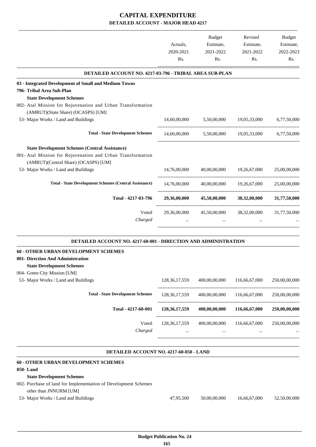|                                                                           |                                                                                              | <b>Budget</b> | Revised                   | Budget        |
|---------------------------------------------------------------------------|----------------------------------------------------------------------------------------------|---------------|---------------------------|---------------|
|                                                                           |                                                                                              | Estimate,     | Estimate,                 | Estimate,     |
|                                                                           | Actuals,<br>2020-2021<br>Rs.<br>14,60,00,000<br>14,60,00,000<br>14,76,00,000<br>14,76,00,000 | 2021-2022     | 2021-2022                 | 2022-2023     |
|                                                                           |                                                                                              | Rs.           | Rs.                       | Rs.           |
| DETAILED ACCOUNT NO. 4217-03-796 - TRIBAL AREA SUB-PLAN                   |                                                                                              |               |                           |               |
| 03 - Integrated Development of Small and Medium Towns                     |                                                                                              |               |                           |               |
| 796- Tribal Area Sub-Plan                                                 |                                                                                              |               |                           |               |
| <b>State Development Schemes</b>                                          |                                                                                              |               |                           |               |
| 002- Atal Mission for Rejuvenation and Urban Transformation               |                                                                                              |               |                           |               |
| (AMRUT)(State Share) (OCASPS) [UM]                                        |                                                                                              |               |                           |               |
| 53- Major Works / Land and Buildings                                      |                                                                                              | 5,50,00,000   | 19,05,33,000              | 6,77,50,000   |
| <b>Total - State Development Schemes</b>                                  |                                                                                              |               | 5,50,00,000 19,05,33,000  | 6,77,50,000   |
| <b>State Development Schemes (Central Assistance)</b>                     |                                                                                              |               |                           |               |
| 001- Atal Mission for Rejuvenation and Urban Transformation               |                                                                                              |               |                           |               |
| (AMRUT)(Central Share) (OCASPS) [UM]                                      |                                                                                              |               |                           |               |
| 53- Major Works / Land and Buildings                                      |                                                                                              |               | 40,00,00,000 19,26,67,000 | 25,00,00,000  |
| <b>Total - State Development Schemes (Central Assistance)</b>             |                                                                                              |               | 40,00,00,000 19,26,67,000 | 25,00,00,000  |
| Total - 4217-03-796                                                       | 29,36,00,000                                                                                 |               | 45,50,00,000 38,32,00,000 | 31,77,50,000  |
| Voted                                                                     |                                                                                              |               |                           |               |
| Charged                                                                   | 29,36,00,000                                                                                 | 45,50,00,000  | 38,32,00,000              | 31,77,50,000  |
| <b>DETAILED ACCOUNT NO. 4217-60-001 - DIRECTION AND ADMINISTRATION</b>    |                                                                                              |               |                           |               |
|                                                                           |                                                                                              |               |                           |               |
| 60 - OTHER URBAN DEVELOPMENT SCHEMES<br>001- Direction And Administration |                                                                                              |               |                           |               |
|                                                                           |                                                                                              |               |                           |               |
| <b>State Development Schemes</b><br>004- Green City Mission [UM]          |                                                                                              |               |                           |               |
| 53- Major Works / Land and Buildings                                      | 128, 36, 17, 559                                                                             | 400,00,00,000 | 116,66,67,000             | 250,00,00,000 |
|                                                                           |                                                                                              |               |                           |               |
| <b>Total - State Development Schemes</b>                                  | 128, 36, 17, 559                                                                             | 400,00,00,000 | 116,66,67,000             | 250,00,00,000 |
| Total - 4217-60-001                                                       | 128, 36, 17, 559                                                                             | 400,00,00,000 | 116,66,67,000             | 250,00,00,000 |
| Voted                                                                     | 128, 36, 17, 559                                                                             | 400,00,00,000 | 116,66,67,000             | 250,00,00,000 |
| Charged                                                                   |                                                                                              |               |                           |               |
|                                                                           |                                                                                              |               |                           |               |
|                                                                           |                                                                                              |               |                           |               |

#### **DETAILED ACCOUNT NO. 4217-60-050 - LAND .**

| 47,95,500 | 50,00,00,000 | 16.66.67.000 | 52,50,00,000 |
|-----------|--------------|--------------|--------------|
|           |              |              |              |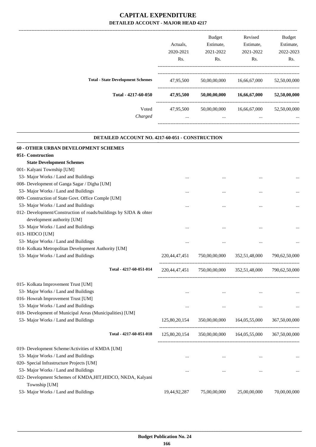|                                          |           | Budget           | Revised      | <b>Budget</b> |
|------------------------------------------|-----------|------------------|--------------|---------------|
|                                          | Actuals.  | Estimate,        | Estimate,    | Estimate,     |
|                                          | 2020-2021 | 2021-2022        | 2021-2022    | 2022-2023     |
|                                          | Rs.       | R <sub>s</sub> . | Rs.          | Rs.           |
| <b>Total - State Development Schemes</b> | 47,95,500 | 50,00,00,000     | 16,66,67,000 | 52,50,00,000  |
| Total - 4217-60-050                      | 47,95,500 | 50,00,00,000     | 16,66,67,000 | 52,50,00,000  |
| Voted                                    | 47,95,500 | 50,00,00,000     | 16,66,67,000 | 52,50,00,000  |
| Charged                                  | $\cdots$  | $\cdots$         | $\cdots$     |               |
|                                          |           |                  |              |               |

.

| <b>DETAILED ACCOUNT NO. 4217-60-051 - CONSTRUCTION</b>                       |                  |               |               |               |  |  |
|------------------------------------------------------------------------------|------------------|---------------|---------------|---------------|--|--|
| <b>60 - OTHER URBAN DEVELOPMENT SCHEMES</b>                                  |                  |               |               |               |  |  |
| 051- Construction                                                            |                  |               |               |               |  |  |
| <b>State Development Schemes</b>                                             |                  |               |               |               |  |  |
| 001- Kalyani Township [UM]                                                   |                  |               |               |               |  |  |
| 53- Major Works / Land and Buildings                                         |                  |               | $\ddotsc$     |               |  |  |
| 008- Development of Ganga Sagar / Digha [UM]                                 |                  |               |               |               |  |  |
| 53- Major Works / Land and Buildings                                         | $\cdots$         | $\cdots$      |               |               |  |  |
| 009- Construction of State Govt. Office Comple [UM]                          |                  |               |               |               |  |  |
| 53- Major Works / Land and Buildings                                         |                  |               | $\ddotsc$     |               |  |  |
| 012- Development/Construction of roads/buildings by SJDA & ohter             |                  |               |               |               |  |  |
| development authority [UM]                                                   |                  |               |               |               |  |  |
| 53- Major Works / Land and Buildings                                         | $\cdots$         |               | $\ddotsc$     |               |  |  |
| 013- HIDCO [UM]                                                              |                  |               |               |               |  |  |
| 53- Major Works / Land and Buildings                                         |                  |               | $\ddotsc$     |               |  |  |
| 014- Kolkata Metropolitan Development Authority [UM]                         |                  |               |               |               |  |  |
| 53- Major Works / Land and Buildings                                         | 220,44,47,451    | 750,00,00,000 | 352,51,48,000 | 790,62,50,000 |  |  |
| Total - 4217-60-051-014                                                      | 220, 44, 47, 451 | 750,00,00,000 | 352,51,48,000 | 790,62,50,000 |  |  |
| 015- Kolkata Improvement Trust [UM]                                          |                  |               |               |               |  |  |
| 53- Major Works / Land and Buildings                                         | $\cdots$         |               | $\cdots$      |               |  |  |
| 016- Howrah Improvement Trust [UM]                                           |                  |               |               |               |  |  |
| 53- Major Works / Land and Buildings                                         |                  |               |               |               |  |  |
| 018- Development of Municipal Areas (Municipalities) [UM]                    |                  |               |               |               |  |  |
| 53- Major Works / Land and Buildings                                         | 125,80,20,154    | 350,00,00,000 | 164,05,55,000 | 367,50,00,000 |  |  |
| Total - 4217-60-051-018                                                      | 125,80,20,154    | 350,00,00,000 | 164,05,55,000 | 367,50,00,000 |  |  |
| 019- Development Scheme/Activities of KMDA [UM]                              |                  |               |               |               |  |  |
| 53- Major Works / Land and Buildings                                         |                  |               |               |               |  |  |
| 020- Special Infrastructure Projects [UM]                                    |                  |               |               |               |  |  |
| 53- Major Works / Land and Buildings                                         |                  |               |               |               |  |  |
| 022- Development Schemes of KMDA, HIT, HIDCO, NKDA, Kalyani<br>Township [UM] |                  |               |               |               |  |  |
| 53- Major Works / Land and Buildings                                         | 19,44,92,287     | 75,00,00,000  | 25,00,00,000  | 70,00,00,000  |  |  |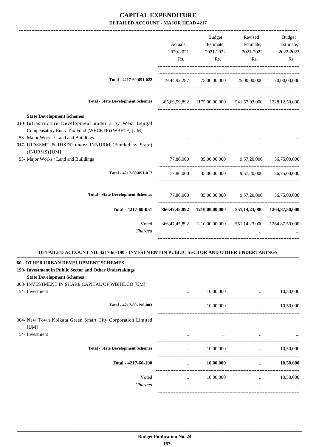|                                                                                                                                                                                                                                                                 | Actuals,<br>2020-2021<br>Rs. | Budget<br>Estimate,<br>2021-2022<br>Rs.                   | Revised<br>Estimate,<br>2021-2022<br>Rs.       | Budget<br>Estimate,<br>2022-2023<br>Rs. |
|-----------------------------------------------------------------------------------------------------------------------------------------------------------------------------------------------------------------------------------------------------------------|------------------------------|-----------------------------------------------------------|------------------------------------------------|-----------------------------------------|
| Total - 4217-60-051-022                                                                                                                                                                                                                                         |                              | 19,44,92,287 75,00,00,000 25,00,00,000 70,00,00,000       |                                                |                                         |
| <b>Total - State Development Schemes</b>                                                                                                                                                                                                                        |                              | 365,69,59,892 1175,00,00,000 541,57,03,000 1228,12,50,000 |                                                |                                         |
| <b>State Development Schemes</b><br>010- Infrastructure Development under a by West Bengal<br>Compensatory Entry Tax Fund (WBCETF) (WBETF) [UM]<br>53- Major Works / Land and Buildings<br>017- UIDSSMT & IHSDP under JNNURM (Funded by State)<br>(JNURMS) [UM] |                              |                                                           |                                                |                                         |
| 53- Major Works / Land and Buildings                                                                                                                                                                                                                            | 77,86,000                    |                                                           | 35,00,00,000 9,57,20,000                       | 36,75,00,000                            |
| Total - 4217-60-051-017                                                                                                                                                                                                                                         |                              | 77,86,000 35,00,00,000 9,57,20,000                        |                                                | 36,75,00,000                            |
| <b>Total - State Development Schemes</b>                                                                                                                                                                                                                        |                              | 77,86,000 35,00,00,000 9,57,20,000 36,75,00,000           |                                                |                                         |
| Total - 4217-60-051                                                                                                                                                                                                                                             |                              | 366,47,45,892 1210,00,00,000                              |                                                | 551,14,23,000 1264,87,50,000            |
| Voted<br>Charged                                                                                                                                                                                                                                                | $\cdots$                     | 366,47,45,892 1210,00,00,000<br>$\cdots$                  | $\ddots$                                       | 551,14,23,000 1264,87,50,000            |
| DETAILED ACCOUNT NO. 4217-60-190 - INVESTMENT IN PUBLIC SECTOR AND OTHER UNDERTAKINGS                                                                                                                                                                           |                              |                                                           |                                                |                                         |
| <b>60 - OTHER URBAN DEVELOPMENT SCHEMES</b><br>190- Investment in Public Sector and Other Undertakings<br><b>State Development Schemes</b><br>003- INVESTMENT IN SHARE CAPITAL OF WBHIDCO [UM]                                                                  |                              |                                                           |                                                |                                         |
| 54- Investment                                                                                                                                                                                                                                                  | $\cdots$                     | 10,00,000                                                 | $\cdots$<br>---------------------------------- | 10,50,000                               |
| Total - 4217-60-190-003                                                                                                                                                                                                                                         | $\cdots$                     | 10,00,000                                                 | $\cdots$                                       | 10,50,000                               |
| 004- New Town Kolkata Green Smart City Corporation Limited                                                                                                                                                                                                      |                              |                                                           |                                                |                                         |

[UM] 54- Investment

**Total - State Development** 

|                            | $\cdots$ | $\cdots$  | $\cdots$ | $\ddotsc$ |
|----------------------------|----------|-----------|----------|-----------|
| <b>Development Schemes</b> | $\cdots$ | 10,00,000 | $\cdots$ | 10,50,000 |
| Total - 4217-60-190        | $\cdots$ | 10,00,000 |          | 10,50,000 |
| Voted                      | $\cdots$ | 10,00,000 | $\cdots$ | 10,50,000 |
| Charged                    | $\cdots$ |           | $\cdots$ | $\ddotsc$ |
|                            |          |           |          |           |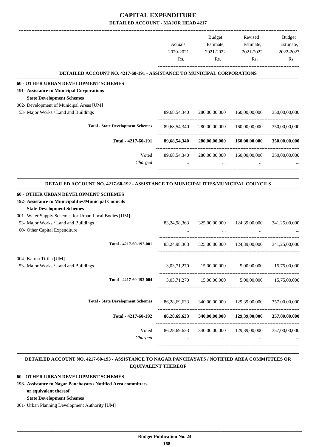|                                                                                              |                 | Budget        | Revised                     | Budget        |
|----------------------------------------------------------------------------------------------|-----------------|---------------|-----------------------------|---------------|
|                                                                                              | Actuals,        | Estimate,     | Estimate,                   | Estimate,     |
|                                                                                              | 2020-2021       | 2021-2022     | 2021-2022                   | 2022-2023     |
|                                                                                              | Rs.             | Rs.           | Rs.                         | Rs.           |
| DETAILED ACCOUNT NO. 4217-60-191 - ASSISTANCE TO MUNICIPAL CORPORATIONS                      |                 |               |                             |               |
| <b>60 - OTHER URBAN DEVELOPMENT SCHEMES</b>                                                  |                 |               |                             |               |
| 191- Assistance to Municipal Corporations                                                    |                 |               |                             |               |
| <b>State Development Schemes</b>                                                             |                 |               |                             |               |
| 002- Development of Municipal Areas [UM]                                                     |                 |               |                             |               |
| 53- Major Works / Land and Buildings                                                         | 89,68,54,340    | 280,00,00,000 | 160,00,00,000               | 350,00,00,000 |
| <b>Total - State Development Schemes</b>                                                     | 89,68,54,340    | 280,00,00,000 | 160,00,00,000               | 350,00,00,000 |
| Total - 4217-60-191                                                                          | 89,68,54,340    | 280,00,00,000 | 160,00,00,000               | 350,00,00,000 |
| Voted                                                                                        | 89,68,54,340    | 280,00,00,000 | 160,00,00,000               | 350,00,00,000 |
| Charged                                                                                      | $\cdots$        | $\cdots$      |                             |               |
|                                                                                              |                 |               |                             |               |
| DETAILED ACCOUNT NO. 4217-60-192 - ASSISTANCE TO MUNICIPALITIES/MUNICIPAL COUNCILS           |                 |               |                             |               |
| 60 - OTHER URBAN DEVELOPMENT SCHEMES<br>192- Assistance to Municipalities/Municipal Councils |                 |               |                             |               |
| <b>State Development Schemes</b>                                                             |                 |               |                             |               |
| 001- Water Supply Schemes for Urban Local Bodies [UM]                                        |                 |               |                             |               |
| 53- Major Works / Land and Buildings                                                         | 83, 24, 98, 363 | 325,00,00,000 | 124,39,00,000               | 341,25,00,000 |
| 60- Other Capital Expenditure                                                                |                 |               |                             |               |
| Total - 4217-60-192-001                                                                      |                 |               |                             |               |
|                                                                                              | 83, 24, 98, 363 |               | 325,00,00,000 124,39,00,000 | 341,25,00,000 |
| 004- Karma Tirtha [UM]                                                                       |                 |               |                             |               |
| 53- Major Works / Land and Buildings                                                         | 3,03,71,270     | 15,00,00,000  | 5,00,00,000                 | 15,75,00,000  |
| Total - 4217-60-192-004                                                                      | 3,03,71,270     | 15,00,00,000  | 5,00,00,000                 | 15,75,00,000  |
|                                                                                              |                 |               |                             |               |
| <b>Total - State Development Schemes</b>                                                     | 86,28,69,633    | 340,00,00,000 | 129,39,00,000               | 357,00,00,000 |
| Total - 4217-60-192                                                                          | 86,28,69,633    | 340,00,00,000 | 129,39,00,000               | 357,00,00,000 |
| Voted                                                                                        | 86,28,69,633    | 340,00,00,000 | 129,39,00,000               | 357,00,00,000 |
| Charged                                                                                      | $\cdots$        | $\cdots$      | $\cdots$                    |               |
|                                                                                              |                 |               |                             |               |

#### **DETAILED ACCOUNT NO. 4217-60-193 - ASSISTANCE TO NAGAR PANCHAYATS / NOTIFIED AREA COMMITTEES OR EQUIVALENT THEREOF .**

.

## **60 - OTHER URBAN DEVELOPMENT SCHEMES**

**193- Assistance to Nagar Panchayats / Notified Area committees**

```
or equivalent thereof
```
**State Development Schemes**

001- Urban Planning Development Authority [UM]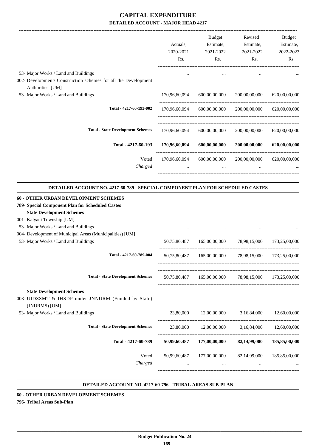|                                                                                                                                                                                                             | Actuals,<br>2020-2021<br>Rs. | <b>Budget</b><br>Estimate,<br>2021-2022<br>Rs.        | Revised<br>Estimate,<br>2021-2022<br>Rs. | Budget<br>Estimate,<br>2022-2023<br>Rs. |
|-------------------------------------------------------------------------------------------------------------------------------------------------------------------------------------------------------------|------------------------------|-------------------------------------------------------|------------------------------------------|-----------------------------------------|
| 53- Major Works / Land and Buildings<br>002- Development/ Construction schemes for all the Development<br>Authorities. [UM]                                                                                 |                              |                                                       |                                          |                                         |
| 53- Major Works / Land and Buildings                                                                                                                                                                        | 170,96,60,094                | 600,00,00,000                                         | 200,00,00,000                            | 620,00,00,000                           |
| Total - 4217-60-193-002                                                                                                                                                                                     | 170,96,60,094                | 600,00,00,000                                         | 200,00,00,000                            | 620,00,00,000                           |
| <b>Total - State Development Schemes</b>                                                                                                                                                                    | 170,96,60,094                | 600,00,00,000                                         | 200,00,00,000                            | 620,00,00,000                           |
| Total - 4217-60-193                                                                                                                                                                                         | 170,96,60,094                | 600,00,00,000                                         | 200,00,00,000                            | 620,00,00,000                           |
| Voted<br>Charged                                                                                                                                                                                            | 170,96,60,094                | 600,00,00,000                                         | 200,00,00,000                            | 620,00,00,000                           |
| <b>State Development Schemes</b><br>001- Kalyani Township [UM]<br>53- Major Works / Land and Buildings<br>004- Development of Municipal Areas (Municipalities) [UM]<br>53- Major Works / Land and Buildings | 50,75,80,487                 | 165,00,00,000                                         | 78,98,15,000                             | 173,25,00,000                           |
| Total - 4217-60-789-004                                                                                                                                                                                     | 50,75,80,487                 | 165,00,00,000                                         | 78,98,15,000                             | 173,25,00,000                           |
| <b>Total - State Development Schemes</b>                                                                                                                                                                    |                              | 50,75,80,487 165,00,00,000 78,98,15,000 173,25,00,000 |                                          |                                         |
| <b>State Development Schemes</b><br>003- UIDSSMT & IHSDP under JNNURM (Funded by State)<br>(JNURMS) [UM]                                                                                                    |                              |                                                       |                                          |                                         |
| 53- Major Works / Land and Buildings                                                                                                                                                                        | 23,80,000                    | 12,00,00,000 3,16,84,000 12,60,00,000                 |                                          |                                         |
| <b>Total - State Development Schemes</b>                                                                                                                                                                    |                              | 23,80,000 12,00,00,000 3,16,84,000 12,60,00,000       |                                          |                                         |
| Total - 4217-60-789                                                                                                                                                                                         |                              | 50,99,60,487 177,00,00,000 82,14,99,000 185,85,00,000 |                                          |                                         |
| Voted<br>Charged                                                                                                                                                                                            | 50,99,60,487                 | 177,00,00,000 82,14,99,000<br>$\cdots$                | $\cdots$                                 | 185,85,00,000                           |

#### **DETAILED ACCOUNT NO. 4217-60-796 - TRIBAL AREAS SUB-PLAN .**

#### **60 - OTHER URBAN DEVELOPMENT SCHEMES**

**796- Tribal Areas Sub-Plan**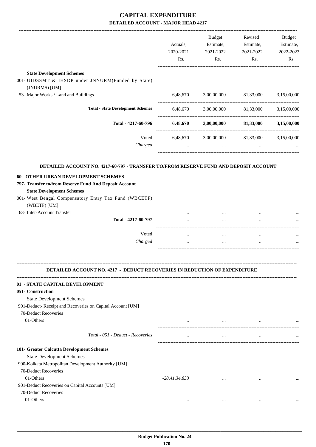|                                                                                                                                    | Actuals,<br>2020-2021<br>Rs. | <b>Budget</b><br>Estimate,<br>2021-2022<br>Rs. | Revised<br>Estimate,<br>2021-2022<br>Rs. | Budget<br>Estimate,<br>2022-2023<br>Rs. |
|------------------------------------------------------------------------------------------------------------------------------------|------------------------------|------------------------------------------------|------------------------------------------|-----------------------------------------|
| <b>State Development Schemes</b>                                                                                                   |                              |                                                |                                          |                                         |
| 001- UIDSSMT & IHSDP under JNNURM(Funded by State)                                                                                 |                              |                                                |                                          |                                         |
| (JNURMS) [UM]                                                                                                                      |                              |                                                |                                          |                                         |
| 53- Major Works / Land and Buildings                                                                                               | 6,48,670                     | 3,00,00,000                                    | 81,33,000                                | 3,15,00,000                             |
| <b>Total - State Development Schemes</b>                                                                                           | 6,48,670                     | 3,00,00,000                                    | 81,33,000                                | 3,15,00,000                             |
| Total - 4217-60-796                                                                                                                | 6,48,670                     | 3,00,00,000                                    | 81,33,000                                | 3,15,00,000                             |
| Voted<br>Charged                                                                                                                   | 6,48,670<br>$\cdots$         | 3,00,00,000<br>$\cdots$                        | 81,33,000                                | 3,15,00,000                             |
| DETAILED ACCOUNT NO. 4217-60-797 - TRANSFER TO/FROM RESERVE FUND AND DEPOSIT ACCOUNT                                               |                              |                                                |                                          |                                         |
| 60 - OTHER URBAN DEVELOPMENT SCHEMES<br>797- Transfer to/from Reserve Fund And Deposit Account<br><b>State Development Schemes</b> |                              |                                                |                                          |                                         |
| 001- West Bengal Compensatory Entry Tax Fund (WBCETF)<br>(WBETF) [UM]                                                              |                              |                                                |                                          |                                         |
| 63- Inter-Account Transfer                                                                                                         |                              |                                                |                                          |                                         |
| Total - 4217-60-797                                                                                                                |                              |                                                |                                          |                                         |
|                                                                                                                                    |                              |                                                |                                          |                                         |
| Voted<br>Charged                                                                                                                   | $\cdots$<br>                 | $\cdots$                                       |                                          |                                         |
| <b>DETAILED ACCOUNT NO. 4217 - DEDUCT RECOVERIES IN REDUCTION OF EXPENDITURE</b>                                                   |                              |                                                |                                          |                                         |
| 01 - STATE CAPITAL DEVELOPMENT                                                                                                     |                              |                                                |                                          |                                         |
| 051- Construction                                                                                                                  |                              |                                                |                                          |                                         |
| <b>State Development Schemes</b>                                                                                                   |                              |                                                |                                          |                                         |
| 901-Deduct- Receipt and Recoveries on Capital Account [UM]                                                                         |                              |                                                |                                          |                                         |
| 70-Deduct Recoveries<br>01-Others                                                                                                  |                              |                                                |                                          |                                         |
|                                                                                                                                    | $\cdots$                     | <b>Section</b> 1997                            | $\cdots$                                 |                                         |
| Total - 051 - Deduct - Recoveries                                                                                                  | $\cdots$                     | $\cdots$                                       | $\cdots$                                 |                                         |
| 101- Greater Calcutta Development Schemes                                                                                          |                              |                                                |                                          |                                         |
| <b>State Development Schemes</b>                                                                                                   |                              |                                                |                                          |                                         |
| 900-Kolkata Metropolitan Development Authority [UM]                                                                                |                              |                                                |                                          |                                         |
| 70-Deduct Recoveries                                                                                                               |                              |                                                |                                          |                                         |
| 01-Others                                                                                                                          | $-28,41,34,833$              |                                                |                                          |                                         |
| 901-Deduct Recoveries on Capital Accounts [UM]                                                                                     |                              |                                                |                                          |                                         |
| 70-Deduct Recoveries                                                                                                               |                              |                                                |                                          |                                         |
| 01-Others                                                                                                                          | $\cdots$                     | $\cdots$                                       | $\cdots$                                 |                                         |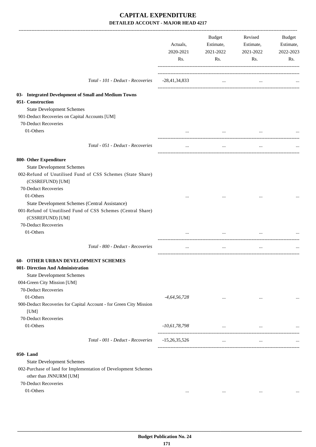|                                                                                                                                          | Actuals,<br>2020-2021<br>Rs. | Budget<br>Estimate,<br>2021-2022<br>Rs. | Revised<br>Estimate,<br>2021-2022<br>Rs. | Budget<br>Estimate,<br>2022-2023<br>Rs. |
|------------------------------------------------------------------------------------------------------------------------------------------|------------------------------|-----------------------------------------|------------------------------------------|-----------------------------------------|
| Total - 101 - Deduct - Recoveries                                                                                                        | $-28,41,34,833$              | $\ddotsc$                               | $\ddotsc$                                |                                         |
| 03- Integrated Development of Small and Medium Towns                                                                                     |                              |                                         |                                          |                                         |
| 051- Construction                                                                                                                        |                              |                                         |                                          |                                         |
| <b>State Development Schemes</b>                                                                                                         |                              |                                         |                                          |                                         |
| 901-Deduct Recoveries on Capital Accounts [UM]<br>70-Deduct Recoveries                                                                   |                              |                                         |                                          |                                         |
| 01-Others                                                                                                                                |                              |                                         |                                          |                                         |
|                                                                                                                                          | $\cdots$                     | $\cdots$                                |                                          |                                         |
| Total - 051 - Deduct - Recoveries                                                                                                        | $\cdots$                     | $\cdots$                                | $\cdots$                                 |                                         |
| 800- Other Expenditure                                                                                                                   |                              |                                         |                                          |                                         |
| <b>State Development Schemes</b>                                                                                                         |                              |                                         |                                          |                                         |
| 002-Refund of Unutilised Fund of CSS Schemes (State Share)<br>(CSSREFUND) [UM]                                                           |                              |                                         |                                          |                                         |
| 70-Deduct Recoveries                                                                                                                     |                              |                                         |                                          |                                         |
| 01-Others                                                                                                                                |                              |                                         |                                          |                                         |
| State Development Schemes (Central Assistance)<br>001-Refund of Unutilised Fund of CSS Schemes (Central Share)<br>(CSSREFUND) [UM]       |                              |                                         |                                          |                                         |
| 70-Deduct Recoveries                                                                                                                     |                              |                                         |                                          |                                         |
| 01-Others                                                                                                                                | $\cdots$                     | $\cdots$                                | $\cdots$                                 |                                         |
|                                                                                                                                          |                              |                                         |                                          |                                         |
| Total - 800 - Deduct - Recoveries                                                                                                        |                              | $\cdots$                                | $\cdots$                                 |                                         |
| <b>60- OTHER URBAN DEVELOPMENT SCHEMES</b>                                                                                               |                              |                                         |                                          |                                         |
| 001- Direction And Administration                                                                                                        |                              |                                         |                                          |                                         |
| <b>State Development Schemes</b>                                                                                                         |                              |                                         |                                          |                                         |
| 004-Green City Mission [UM]                                                                                                              |                              |                                         |                                          |                                         |
| 70-Deduct Recoveries                                                                                                                     |                              |                                         |                                          |                                         |
| 01-Others                                                                                                                                | $-4,64,56,728$               | $\cdots$                                | $\cdots$                                 |                                         |
| 900-Deduct Recoveries for Capital Account - for Green City Mission<br>[UM]                                                               |                              |                                         |                                          |                                         |
| 70-Deduct Recoveries                                                                                                                     |                              |                                         |                                          |                                         |
| 01-Others                                                                                                                                | $-10,61,78,798$              | $\ldots$                                | $\cdots$                                 |                                         |
| Total - 001 - Deduct - Recoveries                                                                                                        | $-15,26,35,526$              | $\cdots$                                | $\cdots$                                 |                                         |
| 050-Land<br><b>State Development Schemes</b><br>002-Purchase of land for Implementation of Development Schemes<br>other than JNNURM [UM] |                              |                                         |                                          |                                         |
| 70-Deduct Recoveries<br>01-Others                                                                                                        | $\cdots$                     | $\cdots$                                | $\cdots$                                 |                                         |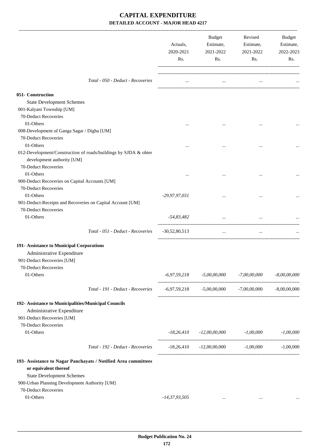|                                                                                                                                            |                                                                 | Actuals,<br>2020-2021<br>Rs. | Budget<br>Estimate,<br>2021-2022<br>Rs.                     | Revised<br>Estimate,<br>2021-2022<br>Rs. | Budget<br>Estimate,<br>2022-2023<br>Rs. |
|--------------------------------------------------------------------------------------------------------------------------------------------|-----------------------------------------------------------------|------------------------------|-------------------------------------------------------------|------------------------------------------|-----------------------------------------|
|                                                                                                                                            | Total - 050 - Deduct - Recoveries                               | $\cdots$                     | $\cdots$                                                    |                                          |                                         |
| 051- Construction<br><b>State Development Schemes</b><br>001-Kalyani Township [UM]<br>70-Deduct Recoveries                                 |                                                                 |                              |                                                             |                                          |                                         |
| 01-Others<br>008-Development of Ganga Sagar / Digha [UM]<br>70-Deduct Recoveries                                                           |                                                                 |                              |                                                             |                                          |                                         |
| 01-Others<br>development authority [UM]<br>70-Deduct Recoveries                                                                            | 012-Development/Construction of roads/buildings by SJDA & ohter |                              |                                                             |                                          |                                         |
| 01-Others<br>900-Deduct Recoveries on Capital Accounts [UM]<br>70-Deduct Recoveries                                                        |                                                                 |                              | $\cdots$                                                    |                                          |                                         |
| 01-Others<br>901-Deduct-Receipts and Recoveries on Capital Account [UM]<br>70-Deduct Recoveries                                            |                                                                 | -29,97,97,031                |                                                             |                                          |                                         |
| 01-Others                                                                                                                                  |                                                                 | -54,83,482                   | $\cdots$                                                    |                                          |                                         |
|                                                                                                                                            | Total - 051 - Deduct - Recoveries                               | $-30,52,80,513$              | $\cdots$                                                    | $\cdots$                                 |                                         |
| 191- Assistance to Municipal Corporations<br>Administrative Expenditure<br>901-Deduct Recoveries [UM]<br>70-Deduct Recoveries<br>01-Others |                                                                 |                              | $-6,97,59,218$ $-5,00,00,000$ $-7,00,00,000$ $-8,00,00,000$ |                                          |                                         |
|                                                                                                                                            | Total - 191 - Deduct - Recoveries                               |                              | $-6,97,59,218$ $-5,00,00,000$ $-7,00,00,000$ $-8,00,00,000$ |                                          |                                         |
| 192- Assistance to Municipalities/Municipal Councils<br>Administrative Expenditure<br>901-Deduct Recoveries [UM]<br>70-Deduct Recoveries   |                                                                 |                              |                                                             |                                          |                                         |
| 01-Others                                                                                                                                  |                                                                 |                              | $-18,26,410$ $-12,00,00,000$ $-1,00,000$ $-1,00,000$        |                                          |                                         |
|                                                                                                                                            | Total - 192 - Deduct - Recoveries                               |                              | $-18,26,410$ $-12,00,00,000$ $-1,00,000$ $-1,00,000$        |                                          |                                         |
| or equivalent thereof<br><b>State Development Schemes</b><br>900-Urban Planning Development Authority [UM]<br>70-Deduct Recoveries         | 193- Assistance to Nagar Panchayats / Notified Area committees  |                              |                                                             |                                          |                                         |
| 01-Others                                                                                                                                  |                                                                 | -14,37,93,505                | $\cdots$                                                    | $\cdots$                                 |                                         |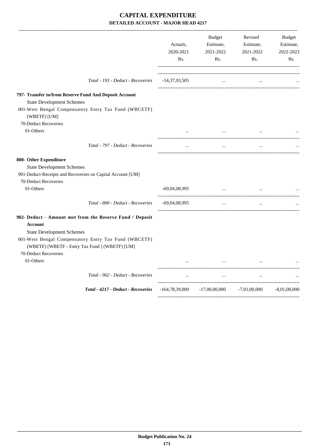|                                                                                                        | Actuals,<br>2020-2021<br>Rs. | <b>Budget</b><br>Estimate,<br>2021-2022<br>Rs.  | Revised<br>Estimate,<br>2021-2022<br>Rs. | <b>Budget</b><br>Estimate,<br>2022-2023<br>Rs. |
|--------------------------------------------------------------------------------------------------------|------------------------------|-------------------------------------------------|------------------------------------------|------------------------------------------------|
| Total - 193 - Deduct - Recoveries                                                                      | $-14,37,93,505$              | $\cdots$                                        |                                          |                                                |
| 797- Transfer to/from Reserve Fund And Deposit Account                                                 |                              |                                                 |                                          |                                                |
| <b>State Development Schemes</b>                                                                       |                              |                                                 |                                          |                                                |
| 001-West Bengal Compensatory Entry Tax Fund (WBCETF)<br>(WBETF) [UM]                                   |                              |                                                 |                                          |                                                |
| 70-Deduct Recoveries                                                                                   |                              |                                                 |                                          |                                                |
| 01-Others                                                                                              |                              |                                                 |                                          |                                                |
| Total - 797 - Deduct - Recoveries                                                                      | $\ddotsc$                    | $\cdots$                                        | $\ddotsc$                                |                                                |
| 800- Other Expenditure                                                                                 |                              |                                                 |                                          |                                                |
| <b>State Development Schemes</b>                                                                       |                              |                                                 |                                          |                                                |
| 901-Deduct-Receipts and Recoveries on Capital Account [UM]                                             |                              |                                                 |                                          |                                                |
| 70-Deduct Recoveries                                                                                   |                              |                                                 |                                          |                                                |
| 01-Others                                                                                              | $-69,04,08,995$              | <b>Sales Contracts</b>                          | $\cdots$                                 |                                                |
| Total - 800 - Deduct - Recoveries                                                                      | $-69,04,08,995$              | $\cdots$                                        | $\cdots$                                 |                                                |
| 902- Deduct - Amount met from the Reserve Fund / Deposit                                               |                              |                                                 |                                          |                                                |
| Account                                                                                                |                              |                                                 |                                          |                                                |
| <b>State Development Schemes</b>                                                                       |                              |                                                 |                                          |                                                |
| 001-West Bengal Compensatory Entry Tax Fund (WBCETF)<br>(WBETF) [WBETF - Entry Tax Fund ] (WBETF) [UM] |                              |                                                 |                                          |                                                |
| 70-Deduct Recoveries                                                                                   |                              |                                                 |                                          |                                                |
| 01-Others                                                                                              |                              |                                                 |                                          |                                                |
| Total - 902 - Deduct - Recoveries                                                                      | $\cdots$                     | $\cdots$                                        | $\ldots$                                 |                                                |
| Total - 4217 - Deduct - Recoveries                                                                     |                              | $-164,78,39,000$ $-17,00,00,000$ $-7,01,00,000$ |                                          | $-8,01,00,000$                                 |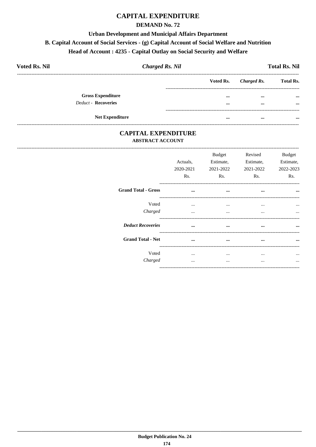# **CAPITAL EXPENDITURE**

## **DEMAND No. 72**

#### **Urban Development and Municipal Affairs Department**

#### B. Capital Account of Social Services - (g) Capital Account of Social Welfare and Nutrition

#### Head of Account: 4235 - Capital Outlay on Social Security and Welfare

| <b>Voted Rs. Nil</b>       | <b>Charged Rs. Nil</b> |           |             | <b>Total Rs. Nil</b> |
|----------------------------|------------------------|-----------|-------------|----------------------|
|                            |                        | Voted Rs. | Charged Rs. | <b>Total Rs.</b>     |
| <b>Gross Expenditure</b>   |                        |           | $\cdots$    | $\cdots$             |
| <b>Deduct - Recoveries</b> |                        |           | $\cdots$    | $\cdots$             |
| <b>Net Expenditure</b>     |                        |           | $\cdots$    |                      |

## **CAPITAL EXPENDITURE ABSTRACT ACCOUNT**

|                            | Actuals,<br>2020-2021<br>Rs. | <b>Budget</b><br>Estimate,<br>2021-2022<br>Rs. | Revised<br>Estimate,<br>2021-2022<br>Rs. | <b>Budget</b><br>Estimate,<br>2022-2023<br>Rs. |
|----------------------------|------------------------------|------------------------------------------------|------------------------------------------|------------------------------------------------|
| <b>Grand Total - Gross</b> | $\cdots$                     | $\cdots$                                       | $\cdots$                                 | $\ddotsc$                                      |
| Voted<br>Charged           | $\cdots$<br>$\cdots$         | $\cdots$<br>$\cdots$                           | $\cdots$<br>$\cdots$                     | $\ddotsc$                                      |
| <b>Deduct Recoveries</b>   | $\cdots$                     | $\cdots$                                       | $\cdots$                                 | $\ddotsc$                                      |
| <b>Grand Total - Net</b>   |                              | $\cdots$                                       | $\cdots$                                 | $\cdots$                                       |
| Voted<br>Charged           | <br>                         | $\cdots$<br>                                   | $\cdots$<br>$\cdots$                     | $\cdots$                                       |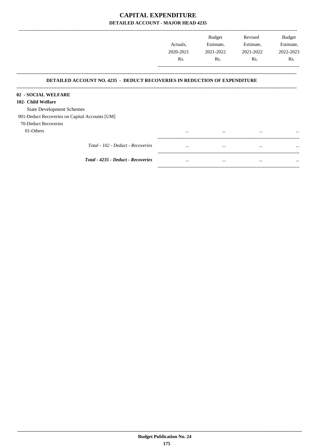|                                                                                  | Actuals,<br>2020-2021 | Budget<br>Estimate,<br>2021-2022 | Revised<br>Estimate,<br>2021-2022 | Budget<br>Estimate,<br>2022-2023 |
|----------------------------------------------------------------------------------|-----------------------|----------------------------------|-----------------------------------|----------------------------------|
|                                                                                  | Rs.                   | Rs.                              | Rs.                               | Rs.                              |
| <b>DETAILED ACCOUNT NO. 4235 - DEDUCT RECOVERIES IN REDUCTION OF EXPENDITURE</b> |                       |                                  |                                   |                                  |
| 02 - SOCIAL WELFARE                                                              |                       |                                  |                                   |                                  |
| 102- Child Welfare                                                               |                       |                                  |                                   |                                  |
| <b>State Development Schemes</b>                                                 |                       |                                  |                                   |                                  |
| 901-Deduct Recoveries on Capital Accounts [UM]                                   |                       |                                  |                                   |                                  |
| 70-Deduct Recoveries                                                             |                       |                                  |                                   |                                  |
| 01-Others                                                                        | $\cdots$              | $\cdots$                         | $\cdots$                          | $\cdots$                         |
| Total - 102 - Deduct - Recoveries                                                | $\cdots$              | $\cdots$                         | $\cdots$                          | $\cdots$                         |
| Total - 4235 - Deduct - Recoveries                                               | $\cdots$              | $\cdots$                         | $\cdots$                          | $\cdots$                         |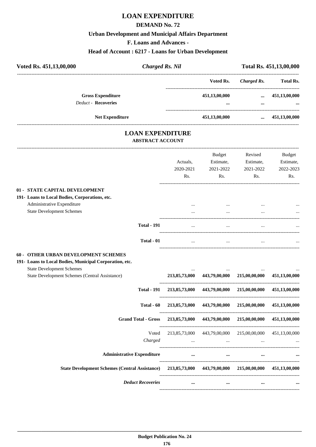# **LOAN EXPENDITURE**

#### **DEMAND No. 72**

## **Urban Development and Municipal Affairs Department**

**F. Loans and Advances -**

## **Head of Account : 6217 - Loans for Urban Development**

| <b>Charged Rs. Nil</b> |           |                                | Total Rs. 451,13,00,000 |
|------------------------|-----------|--------------------------------|-------------------------|
|                        | Voted Rs. | Charged Rs.                    | <b>Total Rs.</b>        |
|                        |           | $\cdots$                       | 451,13,00,000           |
|                        |           | $\cdots$                       | $\cdots$                |
|                        |           | $\cdots$                       | 451,13,00,000           |
|                        |           | 451,13,00,000<br>451,13,00,000 |                         |

## **LOAN EXPENDITURE ABSTRACT ACCOUNT**

---------------------------------------------------------------------------------------------------------------------------------------------------------------------------------

|                                                                                                                                                                                       | Actuals,<br>2020-2021<br>Rs. | <b>Budget</b><br>Estimate,<br>2021-2022<br>Rs.          | Revised<br>Estimate,<br>2021-2022<br>Rs. | <b>Budget</b><br>Estimate,<br>2022-2023<br>Rs. |
|---------------------------------------------------------------------------------------------------------------------------------------------------------------------------------------|------------------------------|---------------------------------------------------------|------------------------------------------|------------------------------------------------|
| 01 - STATE CAPITAL DEVELOPMENT                                                                                                                                                        |                              |                                                         |                                          |                                                |
| 191- Loans to Local Bodies, Corporations, etc.                                                                                                                                        |                              |                                                         |                                          |                                                |
| Administrative Expenditure                                                                                                                                                            |                              |                                                         |                                          |                                                |
| <b>State Development Schemes</b>                                                                                                                                                      |                              |                                                         |                                          |                                                |
| <b>Total - 191</b>                                                                                                                                                                    |                              |                                                         |                                          |                                                |
| Total - 01                                                                                                                                                                            | $\cdots$                     | $\cdots$                                                | $\cdots$                                 |                                                |
| 60 - OTHER URBAN DEVELOPMENT SCHEMES<br>191- Loans to Local Bodies, Municipal Corporation, etc.<br><b>State Development Schemes</b><br>State Development Schemes (Central Assistance) | 213,85,73,000                |                                                         | 443,79,00,000 215,00,00,000              | 451,13,00,000                                  |
| <b>Total - 191</b>                                                                                                                                                                    |                              | 213,85,73,000 443,79,00,000 215,00,00,000               |                                          | 451,13,00,000                                  |
| Total - 60                                                                                                                                                                            | 213,85,73,000                |                                                         | 443,79,00,000 215,00,00,000              | 451,13,00,000                                  |
| <b>Grand Total - Gross</b>                                                                                                                                                            | 213,85,73,000                |                                                         | 443,79,00,000 215,00,00,000              | 451,13,00,000                                  |
| Voted<br>Charged                                                                                                                                                                      |                              | 213,85,73,000 443,79,00,000 215,00,00,000 451,13,00,000 |                                          |                                                |
| <b>Administrative Expenditure</b>                                                                                                                                                     |                              | $\cdots$<br>$\cdots$                                    |                                          |                                                |
| <b>State Development Schemes (Central Assistance)</b>                                                                                                                                 |                              | 213,85,73,000 443,79,00,000 215,00,00,000               |                                          | 451,13,00,000                                  |
| <b>Deduct Recoveries</b>                                                                                                                                                              | $\cdots$                     | $\cdots$                                                | $\ddotsc$                                |                                                |
|                                                                                                                                                                                       |                              |                                                         |                                          |                                                |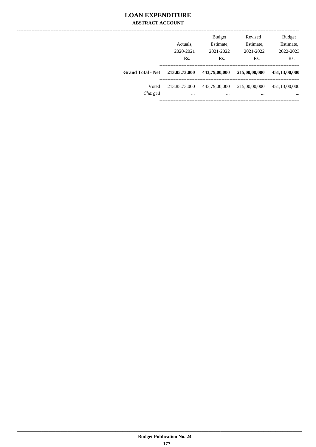## **LOAN EXPENDITURE ABSTRACT ACCOUNT**

|                          | Actuals.<br>2020-2021<br>Rs. | <b>Budget</b><br>Estimate,<br>2021-2022<br>Rs. | Revised<br>Estimate,<br>2021-2022<br>Rs. | <b>Budget</b><br>Estimate,<br>2022-2023<br>Rs. |
|--------------------------|------------------------------|------------------------------------------------|------------------------------------------|------------------------------------------------|
| <b>Grand Total - Net</b> | 213,85,73,000                | 443,79,00,000                                  | 215,00,00,000                            | 451,13,00,000                                  |
| Voted<br>Charged         | 213,85,73,000<br>$\cdots$    | 443,79,00,000<br>$\cdots$                      | 215,00,00,000<br>$\cdots$                | 451,13,00,000<br>$\cdots$                      |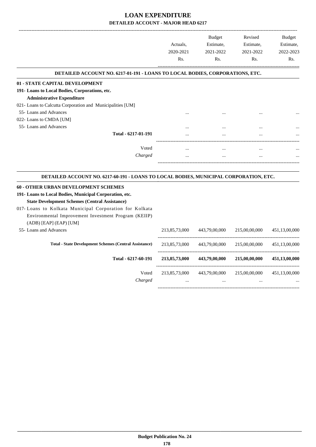|                                                                                                                                                                                                                                                                                                           | Actuals,<br>2020-2021<br>Rs. | <b>Budget</b><br>Estimate,<br>2021-2022<br>Rs. | Revised<br>Estimate,<br>2021-2022<br>Rs. | <b>Budget</b><br>Estimate,<br>2022-2023<br>Rs. |
|-----------------------------------------------------------------------------------------------------------------------------------------------------------------------------------------------------------------------------------------------------------------------------------------------------------|------------------------------|------------------------------------------------|------------------------------------------|------------------------------------------------|
| DETAILED ACCOUNT NO. 6217-01-191 - LOANS TO LOCAL BODIES, CORPORATIONS, ETC.                                                                                                                                                                                                                              |                              |                                                |                                          |                                                |
| 01 - STATE CAPITAL DEVELOPMENT                                                                                                                                                                                                                                                                            |                              |                                                |                                          |                                                |
| 191- Loans to Local Bodies, Corporations, etc.                                                                                                                                                                                                                                                            |                              |                                                |                                          |                                                |
| <b>Administrative Expenditure</b>                                                                                                                                                                                                                                                                         |                              |                                                |                                          |                                                |
| 021- Loans to Calcutta Corporation and Municipalities [UM]                                                                                                                                                                                                                                                |                              |                                                |                                          |                                                |
| 55- Loans and Advances                                                                                                                                                                                                                                                                                    |                              |                                                |                                          |                                                |
| 022- Loans to CMDA [UM]                                                                                                                                                                                                                                                                                   |                              |                                                |                                          |                                                |
| 55- Loans and Advances                                                                                                                                                                                                                                                                                    |                              |                                                |                                          |                                                |
| Total - 6217-01-191                                                                                                                                                                                                                                                                                       |                              |                                                |                                          |                                                |
| Voted                                                                                                                                                                                                                                                                                                     | $\cdots$                     | $\cdots$                                       | $\cdots$                                 |                                                |
| Charged                                                                                                                                                                                                                                                                                                   | $\ddotsc$                    | $\ddotsc$                                      | $\cdots$                                 |                                                |
| DETAILED ACCOUNT NO. 6217-60-191 - LOANS TO LOCAL BODIES, MUNICIPAL CORPORATION, ETC.                                                                                                                                                                                                                     |                              |                                                |                                          |                                                |
| 60 - OTHER URBAN DEVELOPMENT SCHEMES<br>191- Loans to Local Bodies, Municipal Corporation, etc.<br><b>State Development Schemes (Central Assistance)</b><br>017- Loans to Kolkata Municipal Corporation for Kolkata<br>Environmental Improvement Investment Program (KEIIP)<br>$(ADB)$ [EAP] $(EAP)$ [UM] |                              |                                                |                                          |                                                |
| 55- Loans and Advances                                                                                                                                                                                                                                                                                    | 213,85,73,000                | 443,79,00,000                                  | 215,00,00,000                            | 451,13,00,000                                  |
| <b>Total - State Development Schemes (Central Assistance)</b>                                                                                                                                                                                                                                             | 213,85,73,000                | 443,79,00,000                                  | 215,00,00,000                            | 451,13,00,000                                  |
| Total - 6217-60-191                                                                                                                                                                                                                                                                                       | 213,85,73,000                | 443,79,00,000                                  | 215,00,00,000                            | 451,13,00,000                                  |
| Voted<br>Charged                                                                                                                                                                                                                                                                                          | 213,85,73,000<br>$\cdots$    | 443,79,00,000<br>$\cdots$                      | 215,00,00,000                            | 451,13,00,000                                  |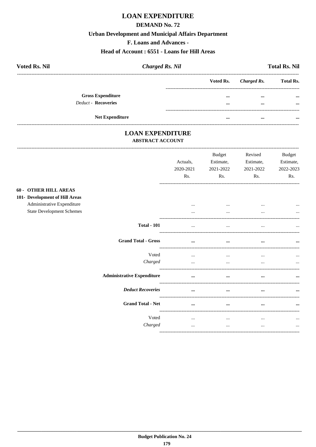# **LOAN EXPENDITURE**

#### **DEMAND No. 72**

#### **Urban Development and Municipal Affairs Department**

F. Loans and Advances -

#### Head of Account: 6551 - Loans for Hill Areas

| <b>Voted Rs. Nil</b>     | <b>Charged Rs. Nil</b> |                         |             | <b>Total Rs. Nil</b> |
|--------------------------|------------------------|-------------------------|-------------|----------------------|
|                          |                        | Voted Rs.               | Charged Rs. | <b>Total Rs.</b>     |
| <b>Gross Expenditure</b> |                        | $\bullet\bullet\bullet$ | $\cdots$    | $\cdots$             |
| Deduct - Recoveries      |                        | $\bullet\bullet\bullet$ | $\cdots$    | $\cdots$             |
| <b>Net Expenditure</b>   |                        | $\bullet\bullet\bullet$ | $\cdots$    | $\cdots$             |

#### **LOAN EXPENDITURE ABSTRACT ACCOUNT**

|                                                                                                                                  | Actuals,<br>2020-2021<br>Rs. | Budget<br>Estimate,<br>2021-2022<br>Rs. | Revised<br>Estimate,<br>2021-2022<br>Rs. | <b>Budget</b><br>Estimate,<br>2022-2023<br>Rs. |
|----------------------------------------------------------------------------------------------------------------------------------|------------------------------|-----------------------------------------|------------------------------------------|------------------------------------------------|
| <b>60 - OTHER HILL AREAS</b><br>101- Development of Hill Areas<br>Administrative Expenditure<br><b>State Development Schemes</b> | $\cdots$<br>$\cdots$         | $\cdots$<br>$\cdots$                    | $\cdots$<br>$\cdots$                     | $\ddotsc$                                      |
| <b>Total - 101</b>                                                                                                               | $\cdots$                     | $\cdots$                                | $\cdots$                                 | $\cdots$                                       |
| <b>Grand Total - Gross</b>                                                                                                       | $\cdots$                     | $\cdots$                                | $\cdots$                                 | $\cdots$                                       |
| Voted<br>Charged                                                                                                                 | $\cdots$<br>$\cdots$         | $\cdots$<br>$\cdots$                    | $\cdots$<br>$\cdots$                     | $\cdots$<br>$\cdots$                           |
| <b>Administrative Expenditure</b>                                                                                                | $\cdots$                     | $\cdots$                                | $\cdots$                                 | $\cdots$                                       |
| <b>Deduct Recoveries</b>                                                                                                         | $\cdots$                     | $\cdots$                                | $\cdots$                                 | $\cdots$                                       |
| <b>Grand Total - Net</b>                                                                                                         | $\cdots$                     | $\cdots$                                |                                          |                                                |
| Voted<br>Charged                                                                                                                 | $\cdots$<br>$\cdots$         | $\cdots$<br>$\cdots$                    | $\cdots$<br>$\cdots$                     | $\ddotsc$<br>$\cdots$                          |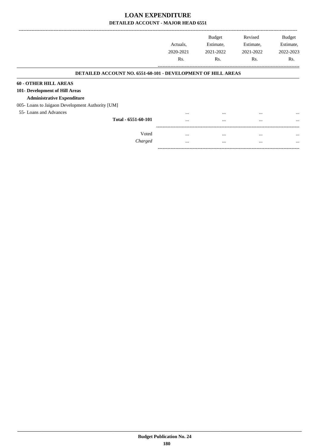|                                                                     | Actuals.  | <b>Budget</b><br>Estimate, | Revised<br>Estimate, | <b>Budget</b><br>Estimate, |
|---------------------------------------------------------------------|-----------|----------------------------|----------------------|----------------------------|
|                                                                     | 2020-2021 | 2021-2022                  | 2021-2022            | 2022-2023                  |
|                                                                     | Rs.       | R <sub>s</sub> .           | Rs.                  | Rs.                        |
| <b>DETAILED ACCOUNT NO. 6551-60-101 - DEVELOPMENT OF HILL AREAS</b> |           |                            |                      |                            |
| <b>60 - OTHER HILL AREAS</b>                                        |           |                            |                      |                            |
| 101- Development of Hill Areas                                      |           |                            |                      |                            |
| <b>Administrative Expenditure</b>                                   |           |                            |                      |                            |
| 005- Loans to Jaigaon Development Authority [UM]                    |           |                            |                      |                            |
| 55- Loans and Advances                                              | $\cdots$  | $\cdots$                   | $\cdots$             | $\cdots$                   |
| Total - 6551-60-101                                                 | $\cdots$  | $\cdots$                   | $\cdots$             | $\cdots$                   |
| Voted                                                               | $\cdots$  | $\cdots$                   | $\cdots$             | $\cdots$                   |
| Charged                                                             | $\cdots$  | $\cdots$                   | $\cdots$             | $\cdots$                   |

-----------------------------------------------------------------------------------------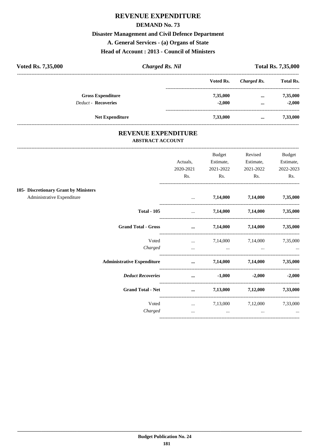# **REVENUE EXPENDITURE**

#### **DEMAND No. 73**

### **Disaster Management and Civil Defence Department**

A. General Services - (a) Organs of State

### **Head of Account: 2013 - Council of Ministers**

| Voted Rs. 7,35,000         | <b>Charged Rs. Nil</b> |           | <b>Total Rs. 7,35,000</b> |                  |  |
|----------------------------|------------------------|-----------|---------------------------|------------------|--|
|                            |                        | Voted Rs. | Charged Rs.               | <b>Total Rs.</b> |  |
| <b>Gross Expenditure</b>   |                        | 7,35,000  | $\cdots$                  | 7,35,000         |  |
| <b>Deduct - Recoveries</b> |                        | $-2.000$  | $\cdots$                  | $-2.000$         |  |
| <b>Net Expenditure</b>     |                        | 7,33,000  | $\cdots$                  | 7,33,000         |  |

#### REVENUE EXPENDITURE **ABSTRACT ACCOUNT**

|                                       |                                                                                                                                                                                                                                      | Budget                                                                                                           | Revised                                              | <b>Budget</b>     |
|---------------------------------------|--------------------------------------------------------------------------------------------------------------------------------------------------------------------------------------------------------------------------------------|------------------------------------------------------------------------------------------------------------------|------------------------------------------------------|-------------------|
|                                       | Actuals,                                                                                                                                                                                                                             | Estimate,                                                                                                        | Estimate,                                            | Estimate,         |
|                                       | 2020-2021                                                                                                                                                                                                                            | 2021-2022                                                                                                        | 2021-2022                                            | 2022-2023         |
|                                       | Rs.                                                                                                                                                                                                                                  | Rs.                                                                                                              | Rs.                                                  | Rs.               |
| 105- Discretionary Grant by Ministers |                                                                                                                                                                                                                                      |                                                                                                                  |                                                      |                   |
| Administrative Expenditure            | and the state of the                                                                                                                                                                                                                 |                                                                                                                  | 7,14,000 7,14,000 7,35,000                           |                   |
| <b>Total - 105</b>                    | and the state of the state                                                                                                                                                                                                           |                                                                                                                  | 7,14,000 7,14,000                                    | 7,35,000          |
| <b>Grand Total - Gross</b>            |                                                                                                                                                                                                                                      | $\ldots$ 7,14,000 7,14,000 7,35,000                                                                              |                                                      |                   |
| Voted                                 |                                                                                                                                                                                                                                      | $7,14,000$ $7,14,000$ $7,35,000$                                                                                 |                                                      |                   |
| Charged                               |                                                                                                                                                                                                                                      | and the control of the control of the control of the control of the control of the control of the control of the |                                                      |                   |
| <b>Administrative Expenditure</b>     |                                                                                                                                                                                                                                      | $\ldots$ 7,14,000 7,14,000                                                                                       |                                                      | 7,35,000          |
| <b>Deduct Recoveries</b>              |                                                                                                                                                                                                                                      | $\ldots$ $-1,000$                                                                                                |                                                      | $-2,000$ $-2,000$ |
| <b>Grand Total - Net</b>              | <u>and the company of the company of the company of the company of the company of the company of the company of the company of the company of the company of the company of the company of the company of the company of the com</u> |                                                                                                                  | $7,13,000$ $7,12,000$                                | 7,33,000          |
| Voted                                 |                                                                                                                                                                                                                                      | $\ldots$ 7,13,000 7,12,000                                                                                       |                                                      | 7,33,000          |
| Charged                               | $\cdots$                                                                                                                                                                                                                             |                                                                                                                  | <b>The Committee Committee Committee</b><br>$\cdots$ |                   |
|                                       |                                                                                                                                                                                                                                      |                                                                                                                  |                                                      |                   |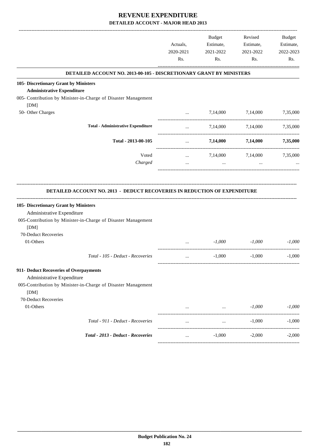|                                                                                                                                       |           | <b>Budget</b>                                   | Revised           | Budget    |
|---------------------------------------------------------------------------------------------------------------------------------------|-----------|-------------------------------------------------|-------------------|-----------|
|                                                                                                                                       | Actuals,  | Estimate,                                       | Estimate,         | Estimate, |
|                                                                                                                                       | 2020-2021 | 2021-2022                                       | 2021-2022         | 2022-2023 |
|                                                                                                                                       | Rs.       | Rs.                                             | Rs.               | Rs.       |
| DETAILED ACCOUNT NO. 2013-00-105 - DISCRETIONARY GRANT BY MINISTERS                                                                   |           |                                                 |                   |           |
| 105- Discretionary Grant by Ministers                                                                                                 |           |                                                 |                   |           |
| <b>Administrative Expenditure</b>                                                                                                     |           |                                                 |                   |           |
| 005- Contribution by Minister-in-Charge of Disaster Management                                                                        |           |                                                 |                   |           |
| [DM]                                                                                                                                  |           |                                                 |                   |           |
| 50- Other Charges                                                                                                                     | $\ddotsc$ | 7,14,000                                        | 7,14,000          | 7,35,000  |
| <b>Total - Administrative Expenditure</b>                                                                                             | $\cdots$  | 7,14,000                                        | 7,14,000          | 7,35,000  |
| Total - 2013-00-105                                                                                                                   |           |                                                 | 7,14,000 7,14,000 | 7,35,000  |
| Voted                                                                                                                                 | $\cdots$  | 7,14,000                                        | 7,14,000          | 7,35,000  |
| Charged                                                                                                                               | $\cdots$  | $\ddots$                                        | $\cdots$          |           |
| <b>DETAILED ACCOUNT NO. 2013 - DEDUCT RECOVERIES IN REDUCTION OF EXPENDITURE</b>                                                      |           |                                                 |                   |           |
| 105- Discretionary Grant by Ministers                                                                                                 |           |                                                 |                   |           |
| Administrative Expenditure<br>005-Contribution by Minister-in-Charge of Disaster Management                                           |           |                                                 |                   |           |
| [DM]                                                                                                                                  |           |                                                 |                   |           |
| 70-Deduct Recoveries                                                                                                                  |           |                                                 |                   |           |
| 01-Others                                                                                                                             | $\cdots$  | $-1,000$                                        | $-1,000$          | $-1,000$  |
|                                                                                                                                       |           |                                                 |                   |           |
| Total - 105 - Deduct - Recoveries                                                                                                     | $\cdots$  | $-1,000$                                        | $-1,000$          | $-1,000$  |
| 911- Deduct Recoveries of Overpayments<br>Administrative Expenditure<br>005-Contribution by Minister-in-Charge of Disaster Management |           |                                                 |                   |           |
| [DM]<br>70-Deduct Recoveries                                                                                                          |           |                                                 |                   |           |
| 01-Others                                                                                                                             |           |                                                 | $-1,000$          | $-1,000$  |
|                                                                                                                                       | $\cdots$  | the contract of the contract of the contract of |                   |           |
| Total - 911 - Deduct - Recoveries                                                                                                     | $\cdots$  | $\cdots$                                        | $-1,000$          | $-1,000$  |
|                                                                                                                                       |           |                                                 |                   |           |
| Total - 2013 - Deduct - Recoveries                                                                                                    | $\cdots$  | $-1,000$                                        | $-2,000$          | $-2,000$  |
|                                                                                                                                       |           |                                                 |                   |           |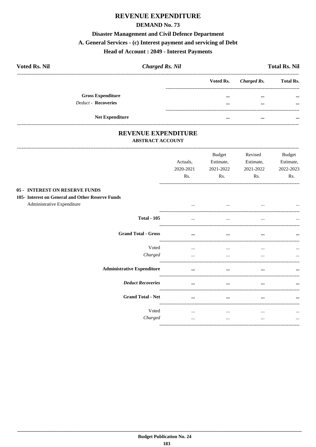# **REVENUE EXPENDITURE**

#### **DEMAND No. 73**

#### **Disaster Management and Civil Defence Department**

# A. General Services - (c) Interest payment and servicing of Debt

#### **Head of Account: 2049 - Interest Payments**

| <b>Voted Rs. Nil</b>     | <b>Charged Rs. Nil</b> |           |             | <b>Total Rs. Nil</b> |
|--------------------------|------------------------|-----------|-------------|----------------------|
|                          |                        | Voted Rs. | Charged Rs. | <b>Total Rs.</b>     |
| <b>Gross Expenditure</b> |                        | $\cdots$  | $\cdots$    | $\cdots$             |
| Deduct - Recoveries      |                        | $\cdots$  | $\cdots$    | $\cdots$             |
|                          | <b>Net Expenditure</b> |           | $\cdots$    | $\cdots$             |

#### REVENUE EXPENDITURE **ABSTRACT ACCOUNT**

|                                                                                | Actuals,<br>2020-2021<br>Rs. | <b>Budget</b><br>Estimate,<br>2021-2022<br>Rs. | Revised<br>Estimate,<br>2021-2022<br>Rs. | <b>Budget</b><br>Estimate,<br>2022-2023<br>Rs. |
|--------------------------------------------------------------------------------|------------------------------|------------------------------------------------|------------------------------------------|------------------------------------------------|
| <b>05 - INTEREST ON RESERVE FUNDS</b>                                          |                              |                                                |                                          |                                                |
| 105- Interest on General and Other Reserve Funds<br>Administrative Expenditure | $\cdots$                     | $\cdots$                                       | $\cdots$                                 |                                                |
| <b>Total - 105</b>                                                             | $\cdots$                     | $\cdots$                                       | $\cdots$                                 |                                                |
| <b>Grand Total - Gross</b>                                                     | $\cdots$                     | $\cdots$                                       | $\cdots$                                 | $\cdots$                                       |
| Voted                                                                          | $\cdots$                     | $\cdots$                                       | $\cdots$                                 | $\cdots$                                       |
| Charged                                                                        | $\cdots$                     | $\cdots$                                       | $\cdots$                                 | $\cdots$                                       |
| <b>Administrative Expenditure</b>                                              | $\ddotsc$                    | $\cdots$                                       | $\cdots$                                 |                                                |
| <b>Deduct Recoveries</b>                                                       | $\ddotsc$                    | $\ddotsc$                                      |                                          | $\cdots$                                       |
| <b>Grand Total - Net</b>                                                       |                              | $\ddotsc$                                      | $\ddotsc$<br>--------------------------- | $\cdots$                                       |
| Voted                                                                          | $\cdots$                     | $\cdots$                                       | $\cdots$                                 | $\cdots$                                       |
| Charged                                                                        | $\cdots$                     | $\cdots$                                       | $\cdots$                                 | $\cdots$                                       |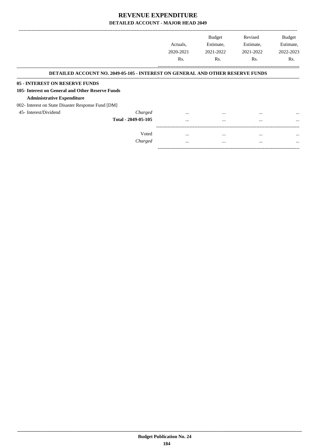|                                                    |                                                                                       | Actuals.<br>2020-2021 | <b>Budget</b><br>Estimate,<br>2021-2022 | Revised<br>Estimate,<br>2021-2022 | <b>Budget</b><br>Estimate,<br>2022-2023 |
|----------------------------------------------------|---------------------------------------------------------------------------------------|-----------------------|-----------------------------------------|-----------------------------------|-----------------------------------------|
|                                                    |                                                                                       | R <sub>s</sub> .      | R <sub>s</sub> .                        | Rs.                               | Rs.                                     |
|                                                    | <b>DETAILED ACCOUNT NO. 2049-05-105 - INTEREST ON GENERAL AND OTHER RESERVE FUNDS</b> |                       |                                         |                                   |                                         |
| 05 - INTEREST ON RESERVE FUNDS                     |                                                                                       |                       |                                         |                                   |                                         |
| 105- Interest on General and Other Reserve Funds   |                                                                                       |                       |                                         |                                   |                                         |
| <b>Administrative Expenditure</b>                  |                                                                                       |                       |                                         |                                   |                                         |
| 002- Interest on State Disaster Response Fund [DM] |                                                                                       |                       |                                         |                                   |                                         |
| 45- Interest/Dividend                              | Charged                                                                               | $\cdots$              | $\cdots$                                | $\cdots$                          | $\cdots$                                |
|                                                    | Total - 2049-05-105                                                                   | $\cdots$              | $\cdots$                                | $\cdots$                          | $\cdots$                                |
|                                                    | Voted                                                                                 | $\cdots$              | $\cdots$                                | $\cdots$                          | $\cdots$                                |
|                                                    | Charged                                                                               | $\cdots$              | $\cdots$                                | $\cdots$                          | $\cdots$                                |

-----------------------------------------------------------------------------------------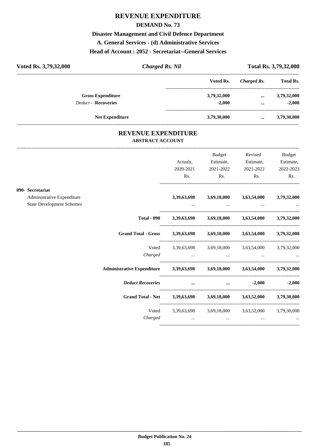# **REVENUE EXPENDITURE**

#### **DEMAND No. 73**

# **Disaster Management and Civil Defence Department**

**A. General Services - (d) Administrative Services**

#### **Head of Account : 2052 - Secretariat--General Services**

| Voted Rs. 3,79,32,000      | <b>Charged Rs. Nil</b> |             |             | Total Rs. 3,79,32,000 |
|----------------------------|------------------------|-------------|-------------|-----------------------|
|                            |                        | Voted Rs.   | Charged Rs. | <b>Total Rs.</b>      |
| <b>Gross Expenditure</b>   |                        | 3,79,32,000 | $\cdots$    | 3,79,32,000           |
| <b>Deduct - Recoveries</b> |                        | $-2.000$    | $\cdots$    | $-2.000$              |
| <b>Net Expenditure</b>     |                        | 3,79,30,000 | $\cdots$    | 3,79,30,000           |

#### **REVENUE EXPENDITURE ABSTRACT ACCOUNT**

---------------------------------------------------------------------------------------------------------------------------------------------------------------------------------

|                                                                                    |                                                                            | Actuals,<br>2020-2021                                                                                               | <b>Budget</b><br>Estimate,<br>2021-2022 | Revised<br>Estimate,<br>2021-2022               | <b>Budget</b><br>Estimate,<br>2022-2023 |
|------------------------------------------------------------------------------------|----------------------------------------------------------------------------|---------------------------------------------------------------------------------------------------------------------|-----------------------------------------|-------------------------------------------------|-----------------------------------------|
|                                                                                    |                                                                            | Rs.                                                                                                                 | Rs.                                     | Rs.                                             | Rs.                                     |
| 090- Secretariat<br>Administrative Expenditure<br><b>State Development Schemes</b> |                                                                            | 3,39,63,698                                                                                                         |                                         | 3,69,18,000 3,63,54,000                         | 3,79,32,000                             |
|                                                                                    | <b>Total - 090</b>                                                         | 3,39,63,698                                                                                                         |                                         | 3,69,18,000 3,63,54,000 3,79,32,000             |                                         |
|                                                                                    | <b>Grand Total - Gross</b>                                                 | 3,39,63,698 3,69,18,000 3,63,54,000 3,79,32,000                                                                     |                                         |                                                 |                                         |
|                                                                                    | Charged                                                                    | Voted 3,39,63,698 3,69,18,000 3,63,54,000 3,79,32,000                                                               | $\cdots$                                |                                                 |                                         |
|                                                                                    | Administrative Expenditure 3,39,63,698 3,69,18,000 3,63,54,000 3,79,32,000 |                                                                                                                     |                                         |                                                 |                                         |
|                                                                                    | <b>Deduct Recoveries</b>                                                   | and the contract of the contract of the contract of the contract of the contract of the contract of the contract of |                                         | $-2,000$<br>$\cdots$ . The contract of $\cdots$ | $-2,000$                                |
|                                                                                    | Grand Total - Net 3,39,63,698 3,69,18,000 3,63,52,000 3,79,30,000          |                                                                                                                     |                                         |                                                 |                                         |
|                                                                                    | Voted<br>Charged                                                           |                                                                                                                     | $\cdots$                                | 3,39,63,698 3,69,18,000 3,63,52,000 3,79,30,000 |                                         |
|                                                                                    |                                                                            |                                                                                                                     |                                         |                                                 |                                         |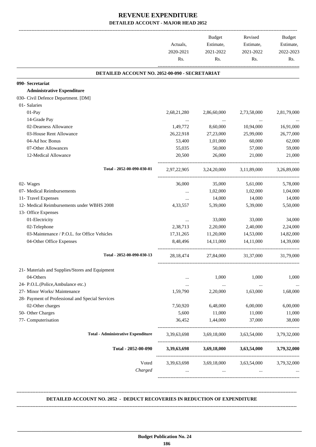|                                                  | Actuals,<br>2020-2021<br>Rs. | Budget<br>Estimate,<br>2021-2022<br>Rs. | Revised<br>Estimate,<br>2021-2022<br>Rs. | <b>Budget</b><br>Estimate,<br>2022-2023<br>Rs. |
|--------------------------------------------------|------------------------------|-----------------------------------------|------------------------------------------|------------------------------------------------|
| DETAILED ACCOUNT NO. 2052-00-090 - SECRETARIAT   |                              |                                         |                                          |                                                |
| 090- Secretariat                                 |                              |                                         |                                          |                                                |
| <b>Administrative Expenditure</b>                |                              |                                         |                                          |                                                |
| 030- Civil Defence Department. [DM]              |                              |                                         |                                          |                                                |
| 01- Salaries                                     |                              |                                         |                                          |                                                |
| 01-Pay                                           | 2,68,21,280                  | 2,86,60,000                             | 2,73,58,000                              | 2,81,79,000                                    |
| 14-Grade Pay                                     | $\cdots$                     | $\cdots$                                | $\cdots$                                 |                                                |
| 02-Dearness Allowance                            | 1,49,772                     | 8,60,000                                | 10,94,000                                | 16,91,000                                      |
| 03-House Rent Allowance                          | 26,22,918                    | 27,23,000                               | 25,99,000                                | 26,77,000                                      |
| 04-Ad hoc Bonus                                  | 53,400                       | 1,01,000                                | 60,000                                   | 62,000                                         |
| 07-Other Allowances                              | 55,035                       | 50,000                                  | 57,000                                   | 59,000                                         |
| 12-Medical Allowance                             | 20,500                       | 26,000                                  | 21,000                                   | 21,000                                         |
| Total - 2052-00-090-030-01                       |                              |                                         | 2,97,22,905 3,24,20,000 3,11,89,000      | 3,26,89,000                                    |
| 02- Wages                                        | 36,000                       | 35,000                                  | 5,61,000                                 | 5,78,000                                       |
| 07- Medical Reimbursements                       | $\cdots$                     | 1,02,000                                | 1,02,000                                 | 1,04,000                                       |
| 11- Travel Expenses                              | $\cdots$                     | 14,000                                  | 14,000                                   | 14,000                                         |
| 12- Medical Reimbursements under WBHS 2008       | 4,33,557                     | 5,39,000                                | 5,39,000                                 | 5,50,000                                       |
| 13- Office Expenses                              |                              |                                         |                                          |                                                |
| 01-Electricity                                   | $\cdots$                     | 33,000                                  | 33,000                                   | 34,000                                         |
| 02-Telephone                                     | 2,38,713                     | 2,20,000                                | 2,40,000                                 | 2,24,000                                       |
| 03-Maintenance / P.O.L. for Office Vehicles      | 17,31,265                    | 11,20,000                               | 14,53,000                                | 14,82,000                                      |
| 04-Other Office Expenses                         | 8,48,496                     | 14,11,000                               | 14.11.000                                | 14,39,000                                      |
| Total - 2052-00-090-030-13                       | 28, 18, 474                  | 27,84,000                               | 31,37,000                                | 31,79,000                                      |
| 21- Materials and Supplies/Stores and Equipment  |                              |                                         |                                          |                                                |
| 04-Others                                        |                              | 1,000                                   | 1,000                                    | 1,000                                          |
| 24- P.O.L.(Police,Ambulance etc.)                |                              | $\ldots$                                |                                          |                                                |
| 27- Minor Works/ Maintenance                     | 1,59,790                     | 2,20,000                                | 1,63,000                                 | 1,68,000                                       |
| 28- Payment of Professional and Special Services |                              |                                         |                                          |                                                |
| 02-Other charges                                 | 7,50,920                     | 6,48,000                                | 6,00,000                                 | 6,00,000                                       |
| 50- Other Charges                                | 5,600                        | 11,000                                  | 11,000                                   | 11,000                                         |
| 77- Computerisation                              | 36,452                       | 1,44,000                                | 37,000                                   | 38,000                                         |
| <b>Total - Administrative Expenditure</b>        | 3,39,63,698                  | 3,69,18,000                             | 3,63,54,000                              | 3,79,32,000                                    |
| Total - 2052-00-090                              | 3,39,63,698                  | 3,69,18,000                             | 3,63,54,000                              | 3,79,32,000                                    |
| Voted                                            | 3,39,63,698                  | 3,69,18,000                             | 3,63,54,000                              | 3,79,32,000                                    |
| Charged                                          |                              | $\cdots$                                |                                          |                                                |

#### **DETAILED ACCOUNT NO. 2052 - DEDUCT RECOVERIES IN REDUCTION OF EXPENDITURE**

**--------------------------------------------------------------------------------------------------------------------------------------------------------------------------------**

 **\_\_\_\_\_\_\_\_\_\_\_\_\_\_\_\_\_\_\_\_\_\_\_\_\_\_\_\_\_\_\_\_\_\_\_\_\_\_\_\_\_\_\_\_\_\_\_\_\_\_\_\_\_\_\_\_\_\_\_\_\_\_\_\_\_\_\_\_\_\_\_\_\_\_\_\_\_\_\_\_\_\_\_\_\_\_\_\_\_\_\_\_\_\_\_\_\_\_\_\_\_\_\_\_\_\_\_\_\_\_\_\_\_\_\_\_\_\_\_**

**--------------------------------------------------------------------------------------------------------------------------------------------------------------------------------**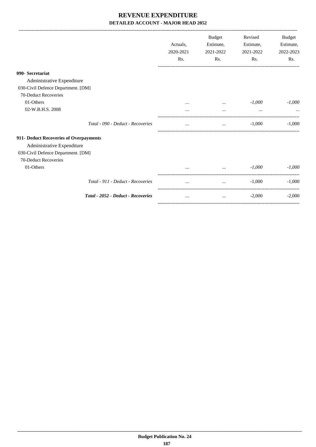|                                           | Actuals,<br>2020-2021<br>Rs. | <b>Budget</b><br>Estimate,<br>2021-2022<br>Rs. | Revised<br>Estimate,<br>2021-2022<br>Rs. | Budget<br>Estimate,<br>2022-2023<br>Rs. |
|-------------------------------------------|------------------------------|------------------------------------------------|------------------------------------------|-----------------------------------------|
| 090- Secretariat                          |                              |                                                |                                          |                                         |
| Administrative Expenditure                |                              |                                                |                                          |                                         |
| 030-Civil Defence Department. [DM]        |                              |                                                |                                          |                                         |
| 70-Deduct Recoveries                      |                              |                                                |                                          |                                         |
| 01-Others                                 |                              | $\cdots$                                       | $-1,000$                                 | $-1,000$                                |
| 02-W.B.H.S. 2008                          |                              | $\cdots$                                       | $\cdots$                                 |                                         |
| Total - 090 - Deduct - Recoveries         | $\cdots$                     | $\cdots$                                       | $-1,000$                                 | $-1.000$                                |
| 911- Deduct Recoveries of Overpayments    |                              |                                                |                                          |                                         |
| Administrative Expenditure                |                              |                                                |                                          |                                         |
| 030-Civil Defence Department. [DM]        |                              |                                                |                                          |                                         |
| 70-Deduct Recoveries                      |                              |                                                |                                          |                                         |
| 01-Others                                 |                              |                                                | $-1,000$                                 | $-1,000$                                |
| Total - 911 - Deduct - Recoveries         | $\cdots$                     | $\cdots$                                       | $-1,000$                                 | $-1,000$                                |
| <b>Total - 2052 - Deduct - Recoveries</b> | $\cdots$                     | $\cdots$                                       | $-2,000$                                 | $-2,000$                                |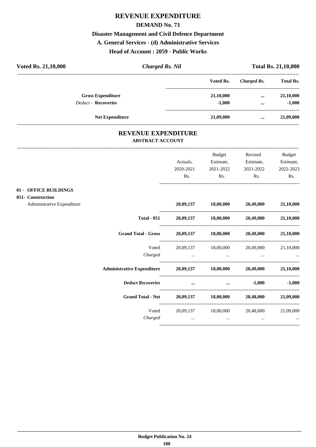# **REVENUE EXPENDITURE**

#### **DEMAND No. 73**

### **Disaster Management and Civil Defence Department**

**A. General Services - (d) Administrative Services**

**Head of Account : 2059 - Public Works**

| Voted Rs. 21,10,000        |                          | <b>Charged Rs. Nil</b> |           |             | <b>Total Rs. 21,10,000</b> |
|----------------------------|--------------------------|------------------------|-----------|-------------|----------------------------|
|                            |                          |                        | Voted Rs. | Charged Rs. | <b>Total Rs.</b>           |
|                            | <b>Gross Expenditure</b> |                        | 21,10,000 | $\cdots$    | 21,10,000                  |
| <b>Deduct - Recoveries</b> |                          |                        | $-1.000$  | $\cdots$    | $-1,000$                   |
|                            | <b>Net Expenditure</b>   |                        | 21,09,000 | $\cdots$    | 21,09,000                  |
|                            |                          |                        |           |             |                            |

#### **REVENUE EXPENDITURE ABSTRACT ACCOUNT**

|                                                                          |       | Actuals,<br>2020-2021<br>Rs. | Budget<br>Estimate,<br>2021-2022<br>Rs.                                    | Revised<br>Estimate,<br>2021-2022<br>Rs.        | <b>Budget</b><br>Estimate,<br>2022-2023<br>Rs.   |
|--------------------------------------------------------------------------|-------|------------------------------|----------------------------------------------------------------------------|-------------------------------------------------|--------------------------------------------------|
| 01 - OFFICE BUILDINGS<br>051- Construction<br>Administrative Expenditure |       |                              |                                                                            | 20,09,137 18,00,000 20,49,000 21,10,000         |                                                  |
| <b>Total - 051</b>                                                       |       |                              |                                                                            | 20,09,137 18,00,000 20,49,000                   | 21,10,000                                        |
| <b>Grand Total - Gross</b>                                               |       |                              |                                                                            | 20,09,137 18,00,000 20,49,000 21,10,000         |                                                  |
| Charged                                                                  | Voted |                              | the contract of the contract of the contract of the contract of the        | 20,09,137 18,00,000 20,49,000                   | 21,10,000<br><b>ALCOHOL:</b> The Contract of the |
| Administrative Expenditure 20,09,137 18,00,000 20,49,000 21,10,000       |       |                              |                                                                            |                                                 |                                                  |
| <b>Deduct Recoveries</b>                                                 |       | $\cdots$                     |                                                                            | $-1,000$<br>$\cdots$ . The contract of $\cdots$ | $-1,000$                                         |
| <b>Grand Total - Net</b>                                                 |       |                              |                                                                            | 20,09,137 18,00,000 20,48,000 21,09,000         |                                                  |
| Charged                                                                  | Voted |                              | 20,09,137 18,00,000<br>the contract of the contract of the contract of the | 20,48,000                                       | 21,09,000<br>and the state of the state          |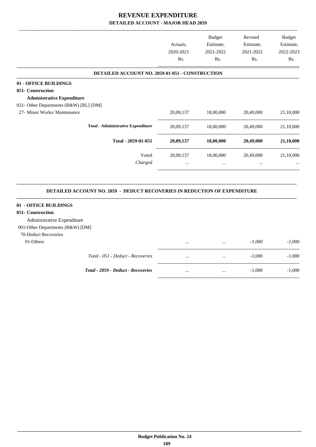|                                                                                  | Actuals,<br>2020-2021<br>Rs. | <b>Budget</b><br>Estimate,<br>2021-2022<br>Rs. | Revised<br>Estimate,<br>2021-2022<br>Rs. | Budget<br>Estimate,<br>2022-2023<br>Rs. |
|----------------------------------------------------------------------------------|------------------------------|------------------------------------------------|------------------------------------------|-----------------------------------------|
| DETAILED ACCOUNT NO. 2059-01-051 - CONSTRUCTION                                  |                              |                                                |                                          |                                         |
| 01 - OFFICE BUILDINGS                                                            |                              |                                                |                                          |                                         |
| 051- Construction                                                                |                              |                                                |                                          |                                         |
| <b>Administrative Expenditure</b>                                                |                              |                                                |                                          |                                         |
| 021- Other Departments (R&W) [RL] [DM]                                           |                              |                                                |                                          |                                         |
| 27- Minor Works/ Maintenance                                                     | 20,09,137                    | 18,00,000                                      | 20,49,000                                | 21,10,000                               |
| <b>Total - Administrative Expenditure</b>                                        | 20,09,137                    | 18,00,000                                      | 20,49,000                                | 21,10,000                               |
| Total - 2059-01-051                                                              | 20,09,137                    | 18,00,000                                      | 20,49,000                                | 21,10,000                               |
| Voted                                                                            | 20,09,137                    | 18,00,000                                      | 20,49,000                                | 21,10,000                               |
| Charged                                                                          | $\cdots$                     | $\cdots$                                       |                                          |                                         |
| <b>DETAILED ACCOUNT NO. 2059 - DEDUCT RECOVERIES IN REDUCTION OF EXPENDITURE</b> |                              |                                                |                                          |                                         |
| 01 - OFFICE BUILDINGS                                                            |                              |                                                |                                          |                                         |
| 051- Construction                                                                |                              |                                                |                                          |                                         |
| Administrative Expenditure                                                       |                              |                                                |                                          |                                         |
| 001-Other Departments (R&W) [DM]                                                 |                              |                                                |                                          |                                         |
| 70-Deduct Recoveries                                                             |                              |                                                |                                          |                                         |
| 01-Others                                                                        |                              |                                                | $-1,000$                                 | $-1,000$                                |
| Total - 051 - Deduct - Recoveries                                                | $\cdots$                     | $\ldots$                                       | $-1,000$                                 | $-1,000$                                |
| Total - 2059 - Deduct - Recoveries                                               | $\cdots$                     | $\ddotsc$                                      | $-1,000$                                 | $-1,000$                                |
|                                                                                  |                              |                                                |                                          |                                         |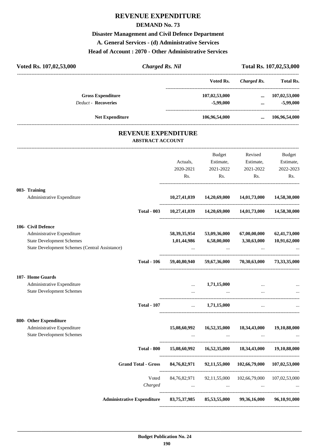# **REVENUE EXPENDITURE**

#### **DEMAND No. 73**

#### **Disaster Management and Civil Defence Department**

**A. General Services - (d) Administrative Services**

#### **Head of Account : 2070 - Other Administrative Services**

| Voted Rs. 107,02,53,000<br><b>Charged Rs. Nil</b>     |                                                |               |                                                        | Total Rs. 107,02,53,000 |
|-------------------------------------------------------|------------------------------------------------|---------------|--------------------------------------------------------|-------------------------|
|                                                       |                                                | Voted Rs.     | -----------------------<br><b>Charged Rs.</b>          | <b>Total Rs.</b>        |
| <b>Gross Expenditure</b>                              |                                                | 107,02,53,000 |                                                        | $\dots$ 107,02,53,000   |
| <b>Deduct - Recoveries</b>                            |                                                | $-5,99,000$   | $\cdots$                                               | $-5,99,000$             |
| <b>Net Expenditure</b>                                |                                                | 106,96,54,000 |                                                        | $\dots$ 106,96,54,000   |
| <b>REVENUE EXPENDITURE</b><br><b>ABSTRACT ACCOUNT</b> |                                                |               |                                                        |                         |
|                                                       |                                                | Budget        | Revised                                                | Budget                  |
|                                                       | Actuals,                                       |               | Estimate, Estimate,                                    | Estimate,               |
|                                                       | 2020-2021                                      | 2021-2022     | 2021-2022                                              | 2022-2023               |
|                                                       | Rs.                                            | Rs.           | Rs.                                                    | Rs.                     |
| 003- Training                                         |                                                |               |                                                        |                         |
| Administrative Expenditure                            |                                                |               | $10,27,41,039$ $14,20,69,000$ $14,01,73,000$           | 14,58,30,000            |
| <b>Total - 003</b>                                    |                                                |               | 10,27,41,039 14,20,69,000 14,01,73,000 14,58,30,000    |                         |
| 106- Civil Defence                                    |                                                |               |                                                        |                         |
| Administrative Expenditure                            | 58,39,35,954                                   | 53,09,36,000  | 67,00,00,000                                           | 62,41,73,000            |
| <b>State Development Schemes</b>                      | 1,01,44,986                                    | 6,58,00,000   | 3,30,63,000                                            | 10,91,62,000            |
| State Development Schemes (Central Assistance)        |                                                |               |                                                        |                         |
| <b>Total - 106</b>                                    |                                                |               | 59,40,80,940 59,67,36,000 70,30,63,000 73,33,35,000    |                         |
| 107- Home Guards                                      |                                                |               |                                                        |                         |
| Administrative Expenditure                            |                                                | 1,71,15,000   |                                                        |                         |
| <b>State Development Schemes</b>                      | $\ddotsc$                                      |               | $\cdots$                                               |                         |
| <b>Total - 107</b>                                    | $\mathbf{1}$ and $\mathbf{1}$ and $\mathbf{1}$ | 1,71,15,000   |                                                        |                         |
| 800- Other Expenditure                                |                                                |               |                                                        |                         |
| Administrative Expenditure                            | 15,08,60,992                                   | 16,52,35,000  | 18,34,43,000                                           | 19,10,88,000            |
| <b>State Development Schemes</b>                      |                                                | $\cdots$      | $\ddots$                                               |                         |
| <b>Total - 800</b>                                    |                                                |               | 15,08,60,992  16,52,35,000  18,34,43,000  19,10,88,000 |                         |
| <b>Grand Total - Gross</b>                            |                                                |               | 84,76,82,971 92,11,55,000 102,66,79,000 107,02,53,000  |                         |
| Voted                                                 |                                                |               |                                                        |                         |
| Charged                                               | $\cdots$                                       | $\cdots$      | 84,76,82,971 92,11,55,000 102,66,79,000<br>$\cdots$    | 107,02,53,000           |
| <b>Administrative Expenditure</b>                     | 83,75,37,985                                   | 85,53,55,000  | 99,36,16,000                                           | 96,10,91,000            |

----------------------------------------------------------------------------------------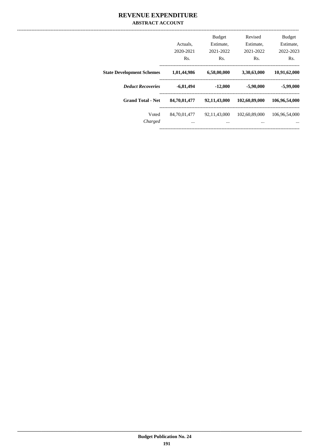#### REVENUE EXPENDITURE **ABSTRACT ACCOUNT**

|                                  | Actuals.<br>2020-2021<br>Rs. | <b>Budget</b><br>Estimate,<br>2021-2022<br>Rs. | Revised<br>Estimate,<br>2021-2022<br>Rs. | <b>Budget</b><br>Estimate,<br>2022-2023<br>Rs. |
|----------------------------------|------------------------------|------------------------------------------------|------------------------------------------|------------------------------------------------|
| <b>State Development Schemes</b> | 1,01,44,986                  | 6,58,00,000                                    | 3,30,63,000                              | 10,91,62,000                                   |
| <b>Deduct Recoveries</b>         | $-6,81,494$                  | $-12,000$                                      | $-5,90,000$                              | $-5,99,000$                                    |
| <b>Grand Total - Net</b>         | 84,70,01,477                 | 92,11,43,000                                   | 102,60,89,000                            | 106,96,54,000                                  |
| Voted<br>Charged                 | 84,70,01,477<br>$\cdots$     | 92, 11, 43, 000<br>$\cdots$                    | 102,60,89,000<br>$\cdots$                | 106.96.54.000<br>$\cdots$                      |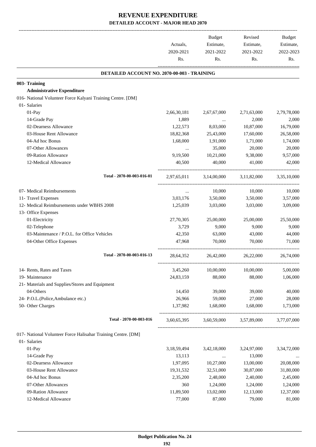|                                                               | Actuals,<br>2020-2021 | Budget<br>Estimate,<br>2021-2022 | Revised<br>Estimate,<br>2021-2022 | Budget<br>Estimate,<br>2022-2023 |
|---------------------------------------------------------------|-----------------------|----------------------------------|-----------------------------------|----------------------------------|
|                                                               | Rs.                   | Rs.                              | Rs.                               | Rs.                              |
| DETAILED ACCOUNT NO. 2070-00-003 - TRAINING                   |                       |                                  |                                   |                                  |
| 003- Training                                                 |                       |                                  |                                   |                                  |
| <b>Administrative Expenditure</b>                             |                       |                                  |                                   |                                  |
| 016- National Volunteer Force Kalyani Training Centre. [DM]   |                       |                                  |                                   |                                  |
| 01- Salaries                                                  |                       |                                  |                                   |                                  |
| 01-Pay                                                        | 2,66,30,181           | 2,67,67,000                      | 2,71,63,000                       | 2,79,78,000                      |
| 14-Grade Pay                                                  | 1,889                 | $\cdots$                         | 2,000                             | 2,000                            |
| 02-Dearness Allowance                                         | 1,22,573              | 8,03,000                         | 10,87,000                         | 16,79,000                        |
| 03-House Rent Allowance                                       | 18,82,368             | 25,43,000                        | 17,60,000                         | 26,58,000                        |
| 04-Ad hoc Bonus                                               | 1,68,000              | 1,91,000                         | 1,71,000                          | 1,74,000                         |
| 07-Other Allowances                                           | $\cdots$              | 35,000                           | 20,000                            | 20,000                           |
| 09-Ration Allowance                                           | 9,19,500              | 10,21,000                        | 9,38,000                          | 9,57,000                         |
| 12-Medical Allowance                                          | 40,500                | 40,000                           | 41,000                            | 42,000                           |
| Total - 2070-00-003-016-01                                    | 2.97.65.011           | 3,14,00,000                      | 3,11,82,000                       | 3.35.10.000                      |
| 07- Medical Reimbursements                                    | $\cdots$              | 10,000                           | 10,000                            | 10,000                           |
| 11- Travel Expenses                                           | 3,03,176              | 3,50,000                         | 3,50,000                          | 3,57,000                         |
| 12- Medical Reimbursements under WBHS 2008                    | 1,25,039              | 3,03,000                         | 3,03,000                          | 3,09,000                         |
| 13- Office Expenses                                           |                       |                                  |                                   |                                  |
| 01-Electricity                                                | 27,70,305             | 25,00,000                        | 25,00,000                         | 25,50,000                        |
| 02-Telephone                                                  | 3,729                 | 9,000                            | 9,000                             | 9,000                            |
| 03-Maintenance / P.O.L. for Office Vehicles                   | 42,350                | 63,000                           | 43,000                            | 44,000                           |
| 04-Other Office Expenses                                      | 47,968                | 70,000                           | 70,000                            | 71,000                           |
| Total - 2070-00-003-016-13                                    | 28,64,352             | 26,42,000                        | 26,22,000                         | 26,74,000                        |
| 14- Rents, Rates and Taxes                                    | 3,45,260              | 10,00,000                        | 10,00,000                         | 5,00,000                         |
| 19- Maintenance                                               | 24,83,159             | 88,000                           | 88,000                            | 1,06,000                         |
| 21- Materials and Supplies/Stores and Equipment               |                       |                                  |                                   |                                  |
| 04-Others                                                     | 14,450                | 39,000                           | 39,000                            | 40,000                           |
| 24- P.O.L.(Police,Ambulance etc.)                             | 26,966                | 59,000                           | 27,000                            | 28,000                           |
| 50- Other Charges                                             | 1,37,982              | 1,68,000                         | 1,68,000                          | 1,73,000                         |
| Total - 2070-00-003-016                                       | 3,60,65,395           |                                  | 3,60,59,000 3,57,89,000           | 3,77,07,000                      |
| 017- National Volunteer Force Halisahar Training Centre. [DM] |                       |                                  |                                   |                                  |
| 01- Salaries                                                  |                       |                                  |                                   |                                  |
| 01-Pay                                                        | 3,18,59,494           | 3,42,18,000                      | 3,24,97,000                       | 3, 34, 72, 000                   |
| 14-Grade Pay                                                  | 13,113                | $\cdots$                         | 13,000                            |                                  |
| 02-Dearness Allowance                                         | 1,97,095              | 10,27,000                        | 13,00,000                         | 20,08,000                        |
| 03-House Rent Allowance                                       | 19,31,532             | 32,51,000                        | 30,87,000                         | 31,80,000                        |
| 04-Ad hoc Bonus                                               | 2,35,200              | 2,48,000                         | 2,40,000                          | 2,45,000                         |
| 07-Other Allowances                                           | 360                   | 1,24,000                         | 1,24,000                          | 1,24,000                         |
| 09-Ration Allowance                                           | 11,89,500             | 13,02,000                        | 12,13,000                         | 12,37,000                        |
| 12-Medical Allowance                                          | 77,000                | 87,000                           | 79,000                            | 81,000                           |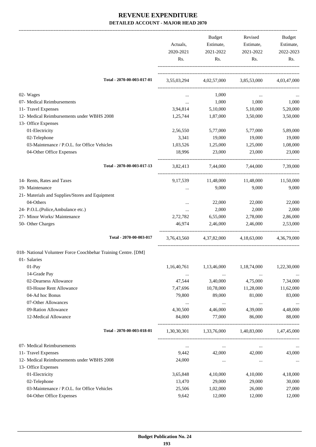|                                                                | Actuals,<br>2020-2021<br>Rs. | Budget<br>Estimate,<br>2021-2022<br>Rs. | Revised<br>Estimate,<br>2021-2022<br>Rs.        | Budget<br>Estimate,<br>2022-2023<br>Rs. |
|----------------------------------------------------------------|------------------------------|-----------------------------------------|-------------------------------------------------|-----------------------------------------|
| Total - 2070-00-003-017-01                                     |                              |                                         | 3,55,03,294 4,02,57,000 3,85,53,000 4,03,47,000 |                                         |
| 02- Wages                                                      | $\cdots$                     | 1,000                                   | $\ddotsc$                                       |                                         |
| 07- Medical Reimbursements                                     | $\cdots$                     | 1,000                                   | 1,000                                           | 1,000                                   |
| 11- Travel Expenses                                            | 3,94,814                     | 5,10,000                                | 5,10,000                                        | 5,20,000                                |
| 12- Medical Reimbursements under WBHS 2008                     | 1,25,744                     | 1,87,000                                | 3,50,000                                        | 3,50,000                                |
| 13- Office Expenses                                            |                              |                                         |                                                 |                                         |
| 01-Electricity                                                 | 2,56,550                     | 5,77,000                                | 5,77,000                                        | 5,89,000                                |
| 02-Telephone                                                   | 3,341                        | 19,000                                  | 19,000                                          | 19,000                                  |
| 03-Maintenance / P.O.L. for Office Vehicles                    | 1,03,526                     | 1,25,000                                | 1,25,000                                        | 1,08,000                                |
| 04-Other Office Expenses                                       | 18,996                       | 23,000                                  | 23,000                                          | 23,000                                  |
| Total - 2070-00-003-017-13                                     |                              |                                         | 3,82,413 7,44,000 7,44,000                      | 7,39,000                                |
| 14- Rents, Rates and Taxes                                     | 9, 17, 539                   | 11,48,000                               | 11,48,000                                       | 11,50,000                               |
| 19- Maintenance                                                |                              | 9,000                                   | 9,000                                           | 9,000                                   |
| 21- Materials and Supplies/Stores and Equipment                |                              |                                         |                                                 |                                         |
| 04-Others                                                      |                              | 22,000                                  | 22,000                                          | 22,000                                  |
| 24- P.O.L.(Police, Ambulance etc.)                             |                              | 2,000                                   | 2,000                                           | 2,000                                   |
| 27- Minor Works/ Maintenance                                   | 2,72,782                     | 6,55,000                                | 2,78,000                                        | 2,86,000                                |
| 50- Other Charges                                              | 46,974                       | 2,46,000                                | 2,46,000                                        | 2,53,000                                |
| Total - 2070-00-003-017                                        |                              |                                         | 3,76,43,560 4,37,82,000 4,18,63,000 4,36,79,000 |                                         |
| 018- National Volunteer Force Coochbehar Training Centre. [DM] |                              |                                         |                                                 |                                         |
| 01- Salaries                                                   |                              |                                         |                                                 |                                         |
| 01-Pay                                                         | 1,16,40,761                  | 1,13,46,000                             | 1,18,74,000                                     | 1,22,30,000                             |
| 14-Grade Pay                                                   | $\cdots$                     | $\cdots$                                | $\cdots$                                        |                                         |
| 02-Dearness Allowance                                          | 47,544                       | 3,40,000                                | 4,75,000                                        | 7,34,000                                |
| 03-House Rent Allowance                                        | 7,47,696                     | 10,78,000                               | 11,28,000                                       | 11,62,000                               |
| 04-Ad hoc Bonus                                                | 79,800                       | 89,000                                  | 81,000                                          | 83,000                                  |
| 07-Other Allowances                                            |                              | $\ldots$                                |                                                 | $\ldots$                                |
| 09-Ration Allowance<br>12-Medical Allowance                    | 4,30,500<br>84,000           | 4,46,000<br>77,000                      | 4,39,000<br>86,000                              | 4,48,000<br>88,000                      |
| Total - 2070-00-003-018-01                                     | 1,30,30,301                  | 1,33,76,000                             | 1,40,83,000                                     | 1,47,45,000                             |
|                                                                |                              |                                         |                                                 |                                         |
| 07- Medical Reimbursements                                     | $\ldots$                     | $\cdots$                                | $\cdots$                                        |                                         |
| 11- Travel Expenses                                            | 9,442                        | 42,000                                  | 42,000                                          | 43,000                                  |
| 12- Medical Reimbursements under WBHS 2008                     | 24,000                       | $\cdots$                                | $\cdots$                                        | $\cdots$                                |
| 13- Office Expenses                                            |                              |                                         |                                                 |                                         |
| 01-Electricity                                                 | 3,65,848                     | 4,10,000                                | 4,10,000                                        | 4,18,000                                |
| 02-Telephone                                                   | 13,470                       | 29,000                                  | 29,000                                          | 30,000                                  |
| 03-Maintenance / P.O.L. for Office Vehicles                    | 25,506                       | 1,02,000                                | 26,000                                          | 27,000                                  |
| 04-Other Office Expenses                                       | 9,642                        | 12,000                                  | 12,000                                          | 12,000                                  |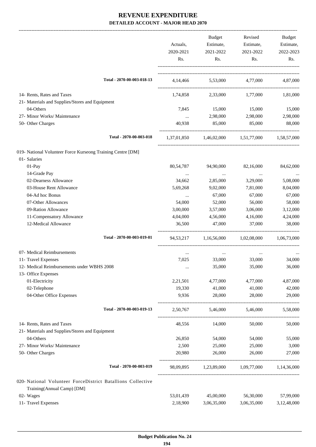|                                                                                           | Actuals,         | Budget<br>Estimate,        | Revised<br>Estimate,                            | Budget<br>Estimate, |
|-------------------------------------------------------------------------------------------|------------------|----------------------------|-------------------------------------------------|---------------------|
|                                                                                           | 2020-2021<br>Rs. | 2021-2022<br>Rs.           | 2021-2022<br>Rs.                                | 2022-2023<br>Rs.    |
| Total - 2070-00-003-018-13                                                                |                  |                            | 4,14,466 5,53,000 4,77,000                      | 4,87,000            |
| 14- Rents, Rates and Taxes                                                                | 1,74,858         | 2,33,000                   | 1,77,000                                        | 1,81,000            |
| 21- Materials and Supplies/Stores and Equipment                                           |                  |                            |                                                 |                     |
| 04-Others                                                                                 | 7,845            | 15,000                     | 15,000                                          | 15,000              |
| 27- Minor Works/ Maintenance                                                              | $\cdots$         | 2,98,000                   | 2,98,000                                        | 2,98,000            |
| 50- Other Charges                                                                         | 40,938           | 85,000                     | 85,000                                          | 88,000              |
| Total - 2070-00-003-018                                                                   |                  |                            | 1,37,01,850 1,46,02,000 1,51,77,000 1,58,57,000 |                     |
| 019- National Volunteer Force Kurseong Training Centre [DM]                               |                  |                            |                                                 |                     |
| 01- Salaries                                                                              |                  |                            |                                                 |                     |
| 01-Pay                                                                                    | 80,54,787        | 94,90,000                  | 82,16,000                                       | 84,62,000           |
| 14-Grade Pay                                                                              | $\cdots$         | $\cdots$                   | $\ldots$                                        | $\cdots$            |
| 02-Dearness Allowance                                                                     | 34,662           | 2,85,000                   | 3,29,000                                        | 5,08,000            |
| 03-House Rent Allowance                                                                   | 5,69,268         | 9,02,000                   | 7,81,000                                        | 8,04,000            |
| 04-Ad hoc Bonus                                                                           | $\cdots$         | 67,000                     | 67,000                                          | 67,000              |
| 07-Other Allowances                                                                       | 54,000           | 52,000                     | 56,000                                          | 58,000              |
| 09-Ration Allowance                                                                       | 3,00,000         | 3,57,000                   | 3,06,000                                        | 3,12,000            |
| 11-Compensatory Allowance                                                                 | 4,04,000         | 4,56,000                   | 4,16,000                                        | 4,24,000            |
| 12-Medical Allowance                                                                      | 36,500           | 47,000                     | 37,000                                          | 38,000              |
| Total - 2070-00-003-019-01                                                                |                  |                            | 94,53,217 1,16,56,000 1,02,08,000 1,06,73,000   |                     |
| 07- Medical Reimbursements                                                                | $\cdots$         | $\cdots$                   | $\cdots$                                        |                     |
| 11- Travel Expenses                                                                       | 7,025            | 33,000                     | 33,000                                          | 34,000              |
| 12- Medical Reimbursements under WBHS 2008                                                |                  | 35,000                     | 35,000                                          | 36,000              |
| 13- Office Expenses                                                                       |                  |                            |                                                 |                     |
| 01-Electricity                                                                            | 2,21,501         | 4,77,000                   | 4,77,000                                        | 4,87,000            |
| 02-Telephone                                                                              | 19,330           | 41,000                     | 41,000                                          | 42,000              |
| 04-Other Office Expenses                                                                  | 9,936            | 28,000                     | 28,000                                          | 29,000              |
| Total - 2070-00-003-019-13                                                                |                  | 2,50,767 5,46,000 5,46,000 |                                                 | 5,58,000            |
| 14- Rents, Rates and Taxes                                                                | 48,556           | 14,000                     | 50,000                                          | 50,000              |
| 21- Materials and Supplies/Stores and Equipment                                           |                  |                            |                                                 |                     |
| 04-Others                                                                                 | 26,850           | 54,000                     | 54,000                                          | 55,000              |
| 27- Minor Works/ Maintenance                                                              | 2,500            | 25,000                     | 25,000                                          | 3,000               |
| 50- Other Charges                                                                         | 20,980           | 26,000                     | 26,000                                          | 27,000              |
| Total - 2070-00-003-019                                                                   |                  |                            | 98,09,895 1,23,89,000 1,09,77,000 1,14,36,000   |                     |
| 020- National Volunteer ForceDistrict Batallions Collective<br>Training(Annual Camp) [DM] |                  |                            |                                                 |                     |
| 02- Wages                                                                                 | 53,01,439        | 45,00,000                  | 56,30,000                                       | 57,99,000           |
| 11- Travel Expenses                                                                       | 2,18,900         | 3,06,35,000                | 3,06,35,000                                     | 3,12,48,000         |
|                                                                                           |                  |                            |                                                 |                     |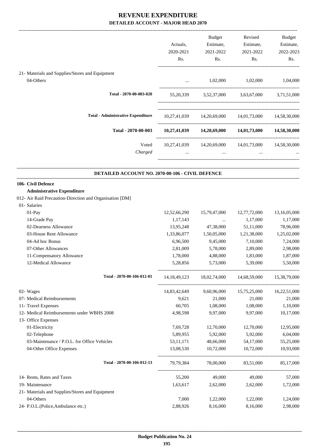| Actuals,<br>2020-2021<br>Rs. | Budget<br>Estimate,<br>2021-2022<br>Rs. | Revised<br>Estimate,<br>2021-2022<br>Rs. | Budget<br>Estimate,<br>2022-2023<br>Rs. |
|------------------------------|-----------------------------------------|------------------------------------------|-----------------------------------------|
|                              |                                         |                                          |                                         |
| $\cdots$                     | 1,02,000                                | 1,02,000                                 | 1,04,000                                |
| 55, 20, 339                  | 3,52,37,000                             | 3,63,67,000                              | 3,71,51,000                             |
| 10,27,41,039                 | 14,20,69,000                            | 14,01,73,000                             | 14,58,30,000                            |
| 10,27,41,039                 | 14,20,69,000                            | 14,01,73,000                             | 14,58,30,000                            |
| 10,27,41,039<br>$\cdots$     | 14,20,69,000<br>$\cdots$                | 14,01,73,000<br>$\cdots$                 | 14,58,30,000<br>$\cdots$                |
|                              |                                         |                                          |                                         |

#### **DETAILED ACCOUNT NO. 2070-00-106 - CIVIL DEFENCE .**

#### **106- Civil Defence**

#### **Administrative Expenditure**

012- Air Raid Precaution-Direction and Organisation [DM]

| 01- Salaries                                    |                            |              |               |                                                                 |              |
|-------------------------------------------------|----------------------------|--------------|---------------|-----------------------------------------------------------------|--------------|
| $01-Pay$                                        |                            | 12,52,66,290 | 15,79,47,000  | 12,77,72,000                                                    | 13,16,05,000 |
| 14-Grade Pay                                    |                            | 1,17,143     | $\cdots$      | 1,17,000                                                        | 1,17,000     |
| 02-Dearness Allowance                           |                            | 13,95,248    | 47,38,000     | 51,11,000                                                       | 78,96,000    |
| 03-House Rent Allowance                         |                            | 1,33,86,077  |               | 1,50,05,000 1,21,38,000                                         | 1,25,02,000  |
| 04-Ad hoc Bonus                                 |                            | 6,96,500     | 9,45,000      | 7,10,000                                                        | 7,24,000     |
| 07-Other Allowances                             |                            | 2,81,009     | 5,78,000      | 2,89,000                                                        | 2,98,000     |
| 11-Compensatory Allowance                       |                            | 1,78,000     | 4,88,000      | 1,83,000                                                        | 1,87,000     |
| 12-Medical Allowance                            |                            | 5,28,856     | 5,73,000      | 5,39,000                                                        | 5,50,000     |
|                                                 | Total - 2070-00-106-012-01 |              |               | 14, 18, 49, 123 18, 02, 74, 000 14, 68, 59, 000 15, 38, 79, 000 |              |
| 02- Wages                                       |                            | 14,83,42,649 | 9,60,96,000   | 15,75,25,000                                                    | 16,22,51,000 |
| 07- Medical Reimbursements                      |                            | 9,621        | 21,000        | 21,000                                                          | 21,000       |
| 11- Travel Expenses                             |                            | 60,705       | 1,08,000      | 1,08,000                                                        | 1,10,000     |
| 12- Medical Reimbursements under WBHS 2008      |                            | 4,98,598     | 9,97,000      | 9,97,000                                                        | 10,17,000    |
| 13- Office Expenses                             |                            |              |               |                                                                 |              |
| 01-Electricity                                  |                            | 7,69,728     | 12,70,000     | 12,70,000                                                       | 12,95,000    |
| 02-Telephone                                    |                            | 5,89,955     | 5,92,000      | 5,92,000                                                        | 6,04,000     |
| 03-Maintenance / P.O.L. for Office Vehicles     |                            | 53, 11, 171  | 48,66,000     | 54,17,000                                                       | 55,25,000    |
| 04-Other Office Expenses                        |                            | 13,08,530    | 10,72,000     | 10,72,000                                                       | 10,93,000    |
|                                                 | Total - 2070-00-106-012-13 | 79.79.384    | 78,00,000     | 83,51,000                                                       | 85,17,000    |
| 14- Rents, Rates and Taxes                      |                            |              | 55,200 49,000 | 49,000                                                          | 57,000       |
| 19- Maintenance                                 |                            | 1,63,617     | 2,62,000      | 2,62,000                                                        | 1,72,000     |
| 21- Materials and Supplies/Stores and Equipment |                            |              |               |                                                                 |              |
| 04-Others                                       |                            | 7,000        | 1,22,000      | 1,22,000                                                        | 1,24,000     |
| 24- P.O.L.(Police, Ambulance etc.)              |                            | 2,88,926     | 8,16,000      | 8,16,000                                                        | 2,98,000     |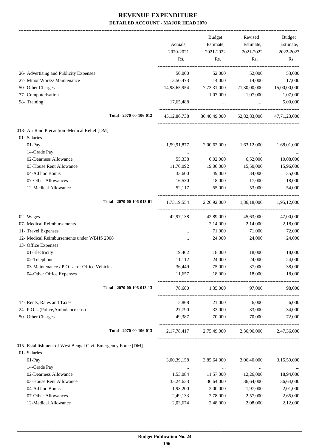-------------------------------------------------------------------------------------------------------------------------------------------------------------------------------

|                                                              | Actuals,<br>2020-2021<br>Rs. | <b>Budget</b><br>Estimate,<br>2021-2022<br>Rs. | Revised<br>Estimate,<br>2021-2022<br>Rs.            | <b>Budget</b><br>Estimate,<br>2022-2023<br>Rs. |
|--------------------------------------------------------------|------------------------------|------------------------------------------------|-----------------------------------------------------|------------------------------------------------|
| 26- Advertising and Publicity Expenses                       | 50,000                       | 52,000                                         | 52,000                                              | 53,000                                         |
| 27- Minor Works/ Maintenance                                 | 3,50,473                     | 14,000                                         | 14,000                                              | 17,000                                         |
| 50- Other Charges                                            |                              | 14,98,65,954 7,73,31,000                       | 21,30,00,000                                        | 15,00,00,000                                   |
| 77- Computerisation                                          | $\cdots$                     | 1,07,000 1,07,000                              |                                                     | 1,07,000                                       |
| 98- Training                                                 | 17,65,488                    | $\cdots$                                       | $\cdots$                                            | 5,00,000                                       |
| Total - 2070-00-106-012                                      |                              |                                                | 45,12,86,738 36,40,49,000 52,82,83,000 47,71,23,000 |                                                |
| 013- Air Raid Precaution -Medical Relief [DM]                |                              |                                                |                                                     |                                                |
| 01- Salaries                                                 |                              |                                                |                                                     |                                                |
| $01-Pay$                                                     | 1,59,91,877                  |                                                | 2,00,62,000 1,63,12,000                             | 1,68,01,000                                    |
| 14-Grade Pay                                                 | $\cdots$                     | $\ldots$                                       | $\ldots$                                            | $\cdots$                                       |
| 02-Dearness Allowance                                        | 55,338                       | 6,02,000                                       | 6,52,000                                            | 10,08,000                                      |
| 03-House Rent Allowance                                      | 11,70,092                    | 19,06,000                                      | 15,50,000                                           | 15,96,000                                      |
| 04-Ad hoc Bonus                                              | 33,600                       | 49,000                                         | 34,000                                              | 35,000                                         |
| 07-Other Allowances                                          | 16,530                       | 18,000                                         | 17,000                                              | 18,000                                         |
| 12-Medical Allowance                                         | 52,117                       | 55,000                                         | 53,000                                              | 54,000                                         |
| Total - 2070-00-106-013-01                                   |                              |                                                | 1,73,19,554 2,26,92,000 1,86,18,000 1,95,12,000     |                                                |
| 02- Wages                                                    | 42,97,138                    | 42,89,000                                      | 45,63,000                                           | 47,00,000                                      |
| 07- Medical Reimbursements                                   | $\cdots$                     | 2,14,000                                       | 2,14,000                                            | 2,18,000                                       |
| 11- Travel Expenses                                          | $\cdots$                     | 71,000                                         | 71,000                                              | 72,000                                         |
| 12- Medical Reimbursements under WBHS 2008                   | $\cdots$                     | 24,000                                         | 24,000                                              | 24,000                                         |
| 13- Office Expenses                                          |                              |                                                |                                                     |                                                |
| 01-Electricity                                               | 19,462                       | 18,000                                         | 18,000                                              | 18,000                                         |
| 02-Telephone                                                 | 11,112                       | 24,000                                         | 24,000                                              | 24,000                                         |
| 03-Maintenance / P.O.L. for Office Vehicles                  | 36,449                       | 75,000                                         | 37,000                                              | 38,000                                         |
| 04-Other Office Expenses                                     | 11,657                       | 18,000<br>--------------------                 | 18,000                                              | 18,000                                         |
| Total - 2070-00-106-013-13                                   | 78,680                       | 1,35,000                                       | 97,000                                              | 98,000                                         |
| 14- Rents, Rates and Taxes                                   | 5,868                        | 21,000                                         | 6,000                                               | 6,000                                          |
| 24- P.O.L.(Police, Ambulance etc.)                           | 27,790                       | 33,000                                         | 33,000                                              | 34,000                                         |
| 50- Other Charges                                            | 49,387                       | 70,000                                         | 70,000                                              | 72,000                                         |
| Total - 2070-00-106-013                                      |                              |                                                | 2,17,78,417 2,75,49,000 2,36,96,000 2,47,36,000     |                                                |
| 015- Establishment of West Bengal Civil Emergency Force [DM] |                              |                                                |                                                     |                                                |
| 01- Salaries                                                 |                              |                                                |                                                     |                                                |
| 01-Pay                                                       | 3,00,39,158                  | 3,85,64,000                                    | 3,06,40,000                                         | 3,15,59,000                                    |
| 14-Grade Pay                                                 | $\cdots$                     | $\cdots$                                       | $\cdots$                                            |                                                |
| 02-Dearness Allowance                                        | 1,53,084                     | 11,57,000                                      | 12,26,000                                           | 18,94,000                                      |
| 03-House Rent Allowance                                      | 35,24,633                    | 36,64,000                                      | 36,64,000                                           | 36,64,000                                      |
| 04-Ad hoc Bonus                                              | 1,93,200                     | 2,00,000                                       | 1,97,000                                            | 2,01,000                                       |
| 07-Other Allowances                                          | 2,49,133                     | 2,78,000                                       | 2,57,000                                            | 2,65,000                                       |
| 12-Medical Allowance                                         | 2,03,674                     | 2,48,000                                       | 2,08,000                                            | 2,12,000                                       |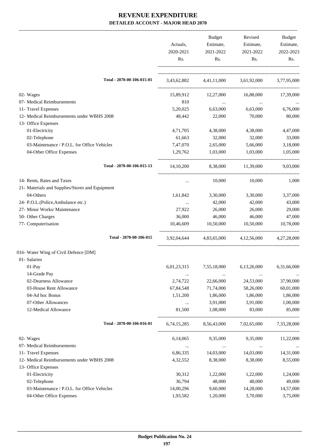|                                                 | Actuals,<br>2020-2021<br>Rs. | Budget<br>Estimate,<br>2021-2022<br>Rs. | Revised<br>Estimate,<br>2021-2022<br>Rs.        | Budget<br>Estimate,<br>2022-2023<br>Rs. |
|-------------------------------------------------|------------------------------|-----------------------------------------|-------------------------------------------------|-----------------------------------------|
| Total - 2070-00-106-015-01                      |                              |                                         | 3,43,62,882 4,41,11,000 3,61,92,000 3,77,95,000 |                                         |
| 02- Wages                                       | 15,89,912                    | 12,27,000                               | 16,88,000                                       | 17,39,000                               |
| 07- Medical Reimbursements                      | 810                          | $\cdots$                                | $\cdots$                                        |                                         |
| 11- Travel Expenses                             | 5,20,025                     | 6,63,000                                | 6,63,000                                        | 6,76,000                                |
| 12- Medical Reimbursements under WBHS 2008      | 48,442                       | 22,000                                  | 70,000                                          | 80,000                                  |
| 13- Office Expenses                             |                              |                                         |                                                 |                                         |
| 01-Electricity                                  | 4,71,705                     | 4,38,000                                | 4,38,000                                        | 4,47,000                                |
| 02-Telephone                                    | 61,663                       | 32,000                                  | 32,000                                          | 33,000                                  |
| 03-Maintenance / P.O.L. for Office Vehicles     | 7,47,070                     | 2,65,000                                | 5,66,000                                        | 3,18,000                                |
| 04-Other Office Expenses                        | 1,29,762                     | 1,03,000                                | 1,03,000                                        | 1,05,000                                |
| Total - 2070-00-106-015-13                      | 14, 10, 200                  |                                         | 8,38,000 11,39,000                              | 9,03,000                                |
| 14- Rents, Rates and Taxes                      | $\ldots$                     | 10,000                                  | 10,000                                          | 1,000                                   |
| 21- Materials and Supplies/Stores and Equipment |                              |                                         |                                                 |                                         |
| 04-Others                                       | 1,61,842                     | 3,30,000                                | 3,30,000                                        | 3,37,000                                |
| 24- P.O.L.(Police,Ambulance etc.)               | $\cdots$                     | 42,000                                  | 42,000                                          | 43,000                                  |
| 27- Minor Works/ Maintenance                    | 27,922                       | 26,000                                  | 26,000                                          | 29,000                                  |
| 50- Other Charges                               | 36,000                       | 46,000                                  | 46,000                                          | 47,000                                  |
| 77- Computerisation                             | 10,46,609                    | 10,50,000                               | 10,50,000                                       | 10,78,000                               |
| Total - 2070-00-106-015                         | 3,92,04,644                  |                                         | 4,83,65,000 4,12,56,000 4,27,28,000             |                                         |
| 016- Water Wing of Civil Defence [DM]           |                              |                                         |                                                 |                                         |
| 01- Salaries                                    |                              |                                         |                                                 |                                         |
| 01-Pay                                          | 6,01,23,315                  | 7,55,18,000                             | 6,13,26,000                                     | 6,31,66,000                             |
| 14-Grade Pay                                    | $\cdots$                     | $\cdots$                                | $\cdots$                                        |                                         |
| 02-Dearness Allowance                           | 2,74,722                     | 22,66,000                               | 24,53,000                                       | 37,90,000                               |
| 03-House Rent Allowance                         | 67,84,548                    | 71,74,000                               | 58,26,000                                       | 60,01,000                               |
| 04-Ad hoc Bonus                                 | 1,51,200                     | 1,86,000                                | 1,86,000                                        | 1,86,000                                |
| 07-Other Allowances                             | $\ldots$                     | 3,91,000                                | 3,91,000                                        | 1,00,000                                |
| 12-Medical Allowance                            | 81,500                       | 1,08,000                                | 83,000                                          | 85,000                                  |
| Total - 2070-00-106-016-01                      | 6, 74, 15, 285               | 8,56,43,000                             | 7,02,65,000                                     | 7,33,28,000                             |
| 02- Wages                                       | 6,14,065                     | 9,35,000                                | 9,35,000                                        | 11,22,000                               |
| 07- Medical Reimbursements                      | $\cdots$                     | $\sim 100$ and $\sim 100$               | $\ldots$                                        |                                         |
| 11- Travel Expenses                             | 6,86,335                     | 14,03,000                               | 14,03,000                                       | 14,31,000                               |
| 12- Medical Reimbursements under WBHS 2008      | 4,32,552                     | 8,38,000                                | 8,38,000                                        | 8,55,000                                |
| 13- Office Expenses                             |                              |                                         |                                                 |                                         |
| 01-Electricity                                  | 30,312                       | 1,22,000                                | 1,22,000                                        | 1,24,000                                |
| 02-Telephone                                    | 36,794                       | 48,000                                  | 48,000                                          | 49,000                                  |
| 03-Maintenance / P.O.L. for Office Vehicles     | 14,00,296                    | 9,60,000                                | 14,28,000                                       | 14,57,000                               |
| 04-Other Office Expenses                        | 1,93,582                     | 1,20,000                                | 3,70,000                                        | 3,75,000                                |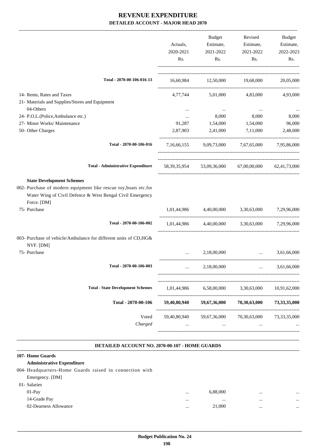|                           | Budget           | Revised                                                                                                                                                                                                                              | Budget                                                                                                                                                                                                                                                                                                        |
|---------------------------|------------------|--------------------------------------------------------------------------------------------------------------------------------------------------------------------------------------------------------------------------------------|---------------------------------------------------------------------------------------------------------------------------------------------------------------------------------------------------------------------------------------------------------------------------------------------------------------|
| Actuals,                  |                  | Estimate,                                                                                                                                                                                                                            | Estimate,                                                                                                                                                                                                                                                                                                     |
| 2020-2021                 | 2021-2022        | 2021-2022                                                                                                                                                                                                                            | 2022-2023                                                                                                                                                                                                                                                                                                     |
| Rs.                       | Rs.              | Rs.                                                                                                                                                                                                                                  | Rs.                                                                                                                                                                                                                                                                                                           |
|                           |                  |                                                                                                                                                                                                                                      | 20,05,000                                                                                                                                                                                                                                                                                                     |
|                           |                  |                                                                                                                                                                                                                                      | 4,93,000                                                                                                                                                                                                                                                                                                      |
|                           |                  |                                                                                                                                                                                                                                      |                                                                                                                                                                                                                                                                                                               |
| $\cdots$                  |                  |                                                                                                                                                                                                                                      |                                                                                                                                                                                                                                                                                                               |
| $\cdots$                  | 8,000            | 8,000                                                                                                                                                                                                                                | 8,000                                                                                                                                                                                                                                                                                                         |
| 91,287                    | 1,54,000         | 1,54,000                                                                                                                                                                                                                             | 96,000                                                                                                                                                                                                                                                                                                        |
| 2,87,903                  | 2,41,000         | 7,11,000                                                                                                                                                                                                                             | 2,48,000                                                                                                                                                                                                                                                                                                      |
|                           |                  |                                                                                                                                                                                                                                      |                                                                                                                                                                                                                                                                                                               |
|                           |                  |                                                                                                                                                                                                                                      |                                                                                                                                                                                                                                                                                                               |
|                           |                  |                                                                                                                                                                                                                                      |                                                                                                                                                                                                                                                                                                               |
|                           |                  |                                                                                                                                                                                                                                      |                                                                                                                                                                                                                                                                                                               |
|                           |                  | 3,30,63,000                                                                                                                                                                                                                          | 7,29,96,000                                                                                                                                                                                                                                                                                                   |
|                           |                  |                                                                                                                                                                                                                                      |                                                                                                                                                                                                                                                                                                               |
|                           |                  |                                                                                                                                                                                                                                      |                                                                                                                                                                                                                                                                                                               |
|                           | 2,18,00,000      | <u>and the company of the company of the company of the company of the company of the company of the company of the company of the company of the company of the company of the company of the company of the company of the com</u> | 3.61.66.000                                                                                                                                                                                                                                                                                                   |
|                           | 2,18,00,000      |                                                                                                                                                                                                                                      | 3,61,66,000                                                                                                                                                                                                                                                                                                   |
| 1,01,44,986               | 6,58,00,000      | 3,30,63,000                                                                                                                                                                                                                          | 10,91,62,000                                                                                                                                                                                                                                                                                                  |
| 59,40,80,940              | 59,67,36,000     | 70,30,63,000                                                                                                                                                                                                                         | 73,33,35,000                                                                                                                                                                                                                                                                                                  |
| 59,40,80,940<br>$\ddotsc$ | 59,67,36,000<br> | 70,30,63,000<br>                                                                                                                                                                                                                     | 73, 33, 35, 000                                                                                                                                                                                                                                                                                               |
|                           |                  | 4,77,744                                                                                                                                                                                                                             | Estimate,<br>16,60,984 12,50,000 19,68,000<br>5,01,000 4,83,000<br>7,16,66,155 9,09,73,000 7,67,65,000 7,95,86,000<br>58, 39, 35, 954 53, 09, 36, 000 67, 00, 00, 000 62, 41, 73, 000<br>1,01,44,986 4,40,00,000<br>1,01,44,986 4,40,00,000 3,30,63,000 7,29,96,000<br>-------------------------------------- |

#### **DETAILED ACCOUNT NO. 2070-00-107 - HOME GUARDS .**

#### **107- Home Guards**

| <b>Administrative Expenditure</b>                       |          |          |          |          |
|---------------------------------------------------------|----------|----------|----------|----------|
| 004- Headquarters-Home Guards raised in connection with |          |          |          |          |
| Emergency. [DM]                                         |          |          |          |          |
| 01- Salaries                                            |          |          |          |          |
| $01-Pav$                                                | $\cdots$ | 6,88,000 |          | $\cdots$ |
| 14-Grade Pay                                            | $\cdots$ |          | $\cdots$ | $\cdots$ |
| 02-Dearness Allowance                                   | $\cdots$ | 21,000   |          |          |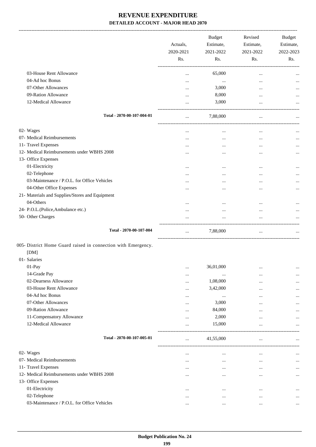|                                                               | Actuals,<br>2020-2021 | <b>Budget</b><br>Estimate,<br>2021-2022 | Revised<br>Estimate,<br>2021-2022 | Budget<br>Estimate,<br>2022-2023 |
|---------------------------------------------------------------|-----------------------|-----------------------------------------|-----------------------------------|----------------------------------|
|                                                               | Rs.                   | Rs.                                     | Rs.                               | Rs.                              |
| 03-House Rent Allowance                                       |                       | 65,000                                  | $\cdots$                          |                                  |
| 04-Ad hoc Bonus                                               |                       | $\cdots$                                | $\cdots$                          |                                  |
| 07-Other Allowances                                           | $\cdots$              | 3,000                                   |                                   |                                  |
| 09-Ration Allowance                                           |                       | 8,000                                   | $\cdots$                          |                                  |
| 12-Medical Allowance                                          |                       | 3,000                                   | $\cdots$                          |                                  |
| Total - 2070-00-107-004-01                                    | $\cdots$              | 7,88,000                                | $\cdots$                          |                                  |
| 02- Wages                                                     | $\cdots$              | $\cdots$                                | $\cdots$                          |                                  |
| 07- Medical Reimbursements                                    |                       | $\cdots$                                | $\cdots$                          |                                  |
| 11- Travel Expenses                                           |                       | $\cdots$                                | $\cdots$                          |                                  |
| 12- Medical Reimbursements under WBHS 2008                    | $\cdots$              |                                         |                                   |                                  |
| 13- Office Expenses                                           |                       |                                         |                                   |                                  |
| 01-Electricity                                                |                       | $\cdots$                                |                                   |                                  |
| 02-Telephone                                                  |                       | $\cdots$                                | $\cdots$                          | $\ldots$                         |
| 03-Maintenance / P.O.L. for Office Vehicles                   |                       | $\cdots$                                |                                   |                                  |
| 04-Other Office Expenses                                      | $\cdots$              |                                         | $\cdots$                          |                                  |
| 21- Materials and Supplies/Stores and Equipment               |                       |                                         |                                   |                                  |
| 04-Others                                                     |                       | $\cdots$                                | $\cdots$                          |                                  |
| 24- P.O.L.(Police,Ambulance etc.)                             | $\cdots$              | $\cdots$                                | $\cdots$                          |                                  |
| 50- Other Charges                                             |                       |                                         | $\cdots$                          |                                  |
| Total - 2070-00-107-004                                       | $\cdots$              | 7,88,000                                | $\cdots$                          | $\ldots$                         |
| 005- District Home Guard raised in connection with Emergency. |                       |                                         |                                   |                                  |
| [DM]                                                          |                       |                                         |                                   |                                  |
| 01- Salaries                                                  |                       |                                         |                                   |                                  |
| 01-Pay                                                        |                       | 36,01,000                               | $\cdots$                          |                                  |
| 14-Grade Pay                                                  | $\cdots$              | $\cdots$                                | $\cdots$                          |                                  |
| 02-Dearness Allowance                                         |                       | 1,08,000                                |                                   |                                  |
| 03-House Rent Allowance                                       | $\cdots$              | 3,42,000                                | $\cdots$                          |                                  |
| 04-Ad hoc Bonus                                               |                       | $\ldots$                                | $\ddotsc$                         |                                  |
| 07-Other Allowances                                           |                       | 3,000                                   |                                   |                                  |
| 09-Ration Allowance                                           |                       | 84,000                                  |                                   |                                  |
| 11-Compensatory Allowance                                     |                       | 2,000                                   |                                   |                                  |
| 12-Medical Allowance                                          |                       | 15,000                                  | $\ddotsc$                         |                                  |
| Total - 2070-00-107-005-01                                    |                       | 41,55,000                               | $\cdots$                          |                                  |
| 02- Wages                                                     |                       |                                         | ------------------------          |                                  |
| 07- Medical Reimbursements                                    | $\cdots$              |                                         | $\cdots$                          |                                  |
| 11- Travel Expenses                                           | $\cdots$              |                                         | $\cdots$                          |                                  |
| 12- Medical Reimbursements under WBHS 2008                    | $\cdots$              |                                         | $\cdots$                          |                                  |
| 13- Office Expenses                                           | $\cdots$              | $\cdots$                                | $\ddotsc$                         |                                  |
| 01-Electricity                                                |                       |                                         |                                   |                                  |
| 02-Telephone                                                  | $\cdots$<br>$\cdots$  | $\cdots$<br>$\cdots$                    | $\cdots$<br>$\ddotsc$             |                                  |
| 03-Maintenance / P.O.L. for Office Vehicles                   | $\cdots$              | $\cdots$                                | $\cdots$                          | $\cdots$                         |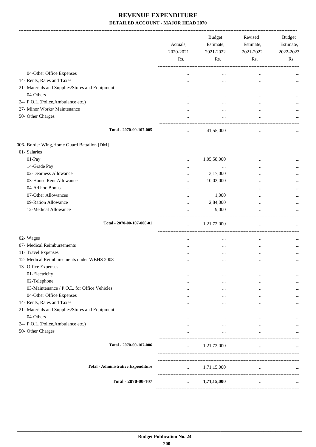-------------------------------------------------------------------------------------------------------------------------------------------------------------------------------

|                                                 | Actuals,<br>2020-2021<br>Rs. | <b>Budget</b><br>Estimate,<br>2021-2022<br>Rs. | Revised<br>Estimate,<br>2021-2022<br>Rs. | <b>Budget</b><br>Estimate,<br>2022-2023<br>Rs. |
|-------------------------------------------------|------------------------------|------------------------------------------------|------------------------------------------|------------------------------------------------|
| 04-Other Office Expenses                        | $\cdots$                     |                                                |                                          |                                                |
| 14- Rents, Rates and Taxes                      |                              | $\cdots$                                       | $\cdots$                                 |                                                |
| 21- Materials and Supplies/Stores and Equipment |                              |                                                |                                          |                                                |
| 04-Others                                       | $\cdots$                     | $\cdots$                                       | $\cdots$                                 |                                                |
| 24- P.O.L.(Police, Ambulance etc.)              |                              | $\cdots$                                       | $\ddotsc$                                |                                                |
| 27- Minor Works/ Maintenance                    |                              | $\cdots$                                       | $\cdots$                                 |                                                |
| 50- Other Charges                               |                              | $\cdots$                                       | $\ddotsc$                                |                                                |
| Total - 2070-00-107-005                         |                              | 41,55,000                                      | $\cdots$                                 |                                                |
| 006- Border Wing, Home Guard Battalion [DM]     |                              |                                                |                                          |                                                |
| 01- Salaries                                    |                              |                                                |                                          |                                                |
| 01-Pay                                          |                              | 1,05,58,000                                    | $\ddotsc$                                |                                                |
| 14-Grade Pay                                    |                              |                                                | $\cdots$                                 |                                                |
| 02-Dearness Allowance                           |                              | 3,17,000                                       |                                          |                                                |
| 03-House Rent Allowance                         |                              | 10,03,000                                      | $\cdots$                                 |                                                |
| 04-Ad hoc Bonus                                 | $\cdots$                     | $\cdots$                                       |                                          |                                                |
| 07-Other Allowances                             |                              | 1,000                                          |                                          |                                                |
| 09-Ration Allowance                             |                              | 2,84,000                                       |                                          |                                                |
| 12-Medical Allowance                            |                              | 9,000                                          |                                          |                                                |
| Total - 2070-00-107-006-01                      | $\ldots$                     | 1,21,72,000                                    | $\cdots$                                 |                                                |
| 02- Wages                                       | $\cdots$                     | $\cdots$                                       | $\cdots$                                 |                                                |
| 07- Medical Reimbursements                      |                              | $\cdots$                                       |                                          |                                                |
| 11- Travel Expenses                             | $\cdots$                     |                                                | $\cdots$                                 |                                                |
| 12- Medical Reimbursements under WBHS 2008      | $\cdots$                     | $\cdots$                                       | $\cdots$                                 | $\ddotsc$                                      |
| 13- Office Expenses                             |                              |                                                |                                          |                                                |
| 01-Electricity                                  |                              | $\cdots$                                       | $\cdots$                                 |                                                |
| 02-Telephone                                    | $\cdots$                     |                                                |                                          |                                                |
| 03-Maintenance / P.O.L. for Office Vehicles     | $\cdots$                     | $\cdots$                                       | $\ddotsc$                                |                                                |
| 04-Other Office Expenses                        | $\cdots$                     | $\cdots$                                       | $\cdots$                                 |                                                |
| 14- Rents, Rates and Taxes                      |                              |                                                | $\cdots$                                 |                                                |
| 21- Materials and Supplies/Stores and Equipment |                              |                                                |                                          |                                                |
| 04-Others                                       | $\cdots$                     | $\cdots$                                       | $\cdots$                                 |                                                |
| 24- P.O.L.(Police,Ambulance etc.)               |                              |                                                | $\cdots$                                 |                                                |
| 50- Other Charges                               |                              | $\cdots$                                       | $\cdots$                                 |                                                |
| Total - 2070-00-107-006                         | $\cdots$                     | 1,21,72,000                                    | $\ldots$                                 |                                                |
|                                                 |                              |                                                |                                          |                                                |
| <b>Total - Administrative Expenditure</b>       | $\cdots$                     | 1,71,15,000                                    | $\cdots$                                 |                                                |
| Total - 2070-00-107                             |                              | 1,71,15,000                                    | $\cdots$                                 | $\ddotsc$                                      |
|                                                 |                              |                                                |                                          |                                                |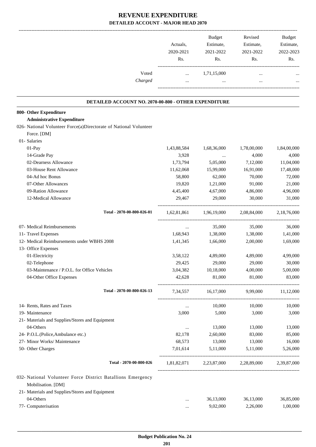|                                                                                   | Actuals,<br>2020-2021<br>Rs. | <b>Budget</b><br>Estimate,<br>2021-2022<br>Rs.  | Revised<br>Estimate,<br>2021-2022<br>Rs. | <b>Budget</b><br>Estimate,<br>2022-2023<br>Rs. |
|-----------------------------------------------------------------------------------|------------------------------|-------------------------------------------------|------------------------------------------|------------------------------------------------|
| Voted                                                                             | $\cdots$                     | 1,71,15,000                                     |                                          |                                                |
| Charged                                                                           | $\cdots$                     |                                                 |                                          |                                                |
| DETAILED ACCOUNT NO. 2070-00-800 - OTHER EXPENDITURE                              |                              |                                                 |                                          |                                                |
| 800- Other Expenditure                                                            |                              |                                                 |                                          |                                                |
| <b>Administrative Expenditure</b>                                                 |                              |                                                 |                                          |                                                |
| 026- National Volunteer Force(a)Directorate of National Volunteer                 |                              |                                                 |                                          |                                                |
| Force. [DM]                                                                       |                              |                                                 |                                          |                                                |
| 01- Salaries                                                                      |                              |                                                 |                                          |                                                |
| 01-Pay                                                                            | 1,43,88,584                  | 1,68,36,000                                     | 1,78,00,000                              | 1,84,00,000                                    |
| 14-Grade Pay                                                                      | 3,928                        | $\ldots$                                        | 4,000                                    | 4,000                                          |
| 02-Dearness Allowance                                                             | 1,73,794                     | 5,05,000                                        | 7,12,000                                 | 11,04,000                                      |
| 03-House Rent Allowance                                                           | 11,62,068                    | 15,99,000                                       | 16,91,000                                | 17,48,000                                      |
| 04-Ad hoc Bonus                                                                   | 58,800                       | 62,000                                          | 70,000                                   | 72,000                                         |
| 07-Other Allowances                                                               | 19,820                       | 1,21,000                                        | 91,000                                   | 21,000                                         |
| 09-Ration Allowance                                                               | 4,45,400                     | 4,67,000                                        | 4,86,000                                 | 4,96,000                                       |
| 12-Medical Allowance                                                              | 29,467                       | 29,000                                          | 30,000                                   | 31,000                                         |
| Total - 2070-00-800-026-01                                                        | 1,62,81,861                  | 1,96,19,000                                     | 2,08,84,000                              | 2,18,76,000                                    |
| 07- Medical Reimbursements                                                        | $\cdots$                     | 35,000                                          | 35,000                                   | 36,000                                         |
| 11- Travel Expenses                                                               | 1,68,943                     | 1,38,000                                        | 1,38,000                                 | 1,41,000                                       |
| 12- Medical Reimbursements under WBHS 2008                                        | 1,41,345                     | 1,66,000                                        | 2,00,000                                 | 1,69,000                                       |
| 13- Office Expenses                                                               |                              |                                                 |                                          |                                                |
| 01-Electricity                                                                    | 3,58,122                     | 4,89,000                                        | 4,89,000                                 | 4,99,000                                       |
| 02-Telephone                                                                      | 29,425                       | 29,000                                          | 29,000                                   | 30,000                                         |
| 03-Maintenance / P.O.L. for Office Vehicles                                       | 3,04,382                     | 10,18,000                                       | 4,00,000                                 | 5,00,000                                       |
| 04-Other Office Expenses                                                          | 42,628                       | 81,000                                          | 81,000                                   | 83,000                                         |
| Total - 2070-00-800-026-13                                                        |                              | 7,34,557 16,17,000 9,99,000 11,12,000           |                                          |                                                |
|                                                                                   |                              |                                                 |                                          |                                                |
| 14- Rents, Rates and Taxes                                                        | $\cdots$                     | 10,000                                          | 10,000                                   | 10,000                                         |
| 19- Maintenance                                                                   | 3,000                        | 5,000                                           | 3,000                                    | 3,000                                          |
| 21- Materials and Supplies/Stores and Equipment                                   |                              |                                                 |                                          |                                                |
| 04-Others                                                                         | $\cdots$                     | 13,000                                          | 13,000                                   | 13,000                                         |
| 24- P.O.L.(Police, Ambulance etc.)                                                | 82,178                       | 2,60,000                                        | 83,000                                   | 85,000                                         |
| 27- Minor Works/ Maintenance                                                      | 68,573                       | 13,000                                          | 13,000                                   | 16,000                                         |
| 50- Other Charges                                                                 | 7,01,614                     | 5,11,000                                        | 5,11,000                                 | 5,26,000                                       |
| Total - 2070-00-800-026                                                           |                              | 1,81,82,071 2,23,87,000 2,28,89,000 2,39,87,000 |                                          |                                                |
| 032- National Volunteer Force District Batallions Emergency<br>Mobilisation. [DM] |                              |                                                 |                                          |                                                |
|                                                                                   |                              |                                                 |                                          |                                                |
| 21- Materials and Supplies/Stores and Equipment                                   |                              |                                                 |                                          |                                                |
| 04-Others                                                                         | $\cdots$                     | 36,13,000                                       | 36,13,000                                | 36,85,000                                      |
| 77- Computerisation                                                               | $\cdots$                     | 9,02,000                                        | 2,26,000                                 | 1,00,000                                       |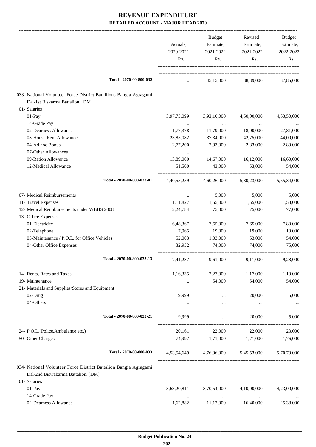|                                                                   |                                 | Budget                   | Revised                                         | Budget      |
|-------------------------------------------------------------------|---------------------------------|--------------------------|-------------------------------------------------|-------------|
|                                                                   | Actuals,                        | Estimate,                | Estimate,                                       | Estimate,   |
|                                                                   | 2020-2021                       | 2021-2022                | 2021-2022                                       | 2022-2023   |
|                                                                   | Rs.                             | Rs.                      | Rs.                                             | Rs.         |
| Total - 2070-00-800-032                                           | $\cdots$ . The same of $\cdots$ |                          | 45,15,000 38,39,000                             | 37,85,000   |
| 033- National Volunteer Force District Batallions Bangia Agragami |                                 |                          |                                                 |             |
| Dal-1st Biskarma Battalion. [DM]                                  |                                 |                          |                                                 |             |
| 01- Salaries                                                      |                                 |                          |                                                 |             |
| 01-Pay                                                            | 3,97,75,099                     | 3,93,10,000              | 4,50,00,000                                     | 4,63,50,000 |
| 14-Grade Pay                                                      | $\cdots$                        | $\cdots$                 | $\cdots$                                        |             |
| 02-Dearness Allowance                                             | 1,77,378                        | 11,79,000                | 18,00,000                                       | 27,81,000   |
| 03-House Rent Allowance                                           | 23,85,082                       | 37,34,000                | 42,75,000                                       | 44,00,000   |
| 04-Ad hoc Bonus                                                   | 2,77,200                        | 2,93,000                 | 2,83,000                                        | 2,89,000    |
| 07-Other Allowances                                               | $\cdots$                        | $\cdots$                 | $\ldots$                                        |             |
| 09-Ration Allowance                                               | 13,89,000                       | 14,67,000                | 16,12,000                                       | 16,60,000   |
| 12-Medical Allowance                                              | 51,500                          | 43,000                   | 53,000                                          | 54,000      |
| Total - 2070-00-800-033-01                                        | 4,40,55,259                     | 4,60,26,000              | 5,30,23,000                                     | 5,55,34,000 |
| 07- Medical Reimbursements                                        | $\cdots$                        | 5,000                    | 5,000                                           | 5,000       |
| 11- Travel Expenses                                               | 1,11,827                        | 1,55,000                 | 1,55,000                                        | 1,58,000    |
| 12- Medical Reimbursements under WBHS 2008                        | 2,24,784                        | 75,000                   | 75,000                                          | 77,000      |
| 13- Office Expenses                                               |                                 |                          |                                                 |             |
| 01-Electricity                                                    | 6,48,367                        | 7,65,000                 | 7,65,000                                        | 7,80,000    |
| 02-Telephone                                                      | 7,965                           | 19,000                   | 19,000                                          | 19,000      |
| 03-Maintenance / P.O.L. for Office Vehicles                       | 52,003                          | 1,03,000                 | 53,000                                          | 54,000      |
| 04-Other Office Expenses                                          | 32,952                          | 74,000                   | 74,000                                          | 75,000      |
| Total - 2070-00-800-033-13                                        | 7,41,287                        | 9,61,000                 | 9,11,000                                        | 9,28,000    |
| 14- Rents, Rates and Taxes                                        | 1,16,335                        | 2,27,000                 | 1,17,000                                        | 1,19,000    |
| 19- Maintenance                                                   |                                 | 54,000                   | 54,000                                          | 54,000      |
| 21- Materials and Supplies/Stores and Equipment                   |                                 |                          |                                                 |             |
| 02-Drug                                                           | 9,999                           | $\cdots$                 | 20,000                                          | 5,000       |
| 04-Others                                                         |                                 |                          |                                                 |             |
| Total - 2070-00-800-033-21                                        | 9,999                           | $\cdots$                 | 20,000                                          | 5.000       |
| 24- P.O.L.(Police, Ambulance etc.)                                | 20,161                          | 22,000                   | 22,000                                          | 23,000      |
| 50- Other Charges                                                 |                                 | 74,997 1,71,000 1,71,000 |                                                 | 1,76,000    |
| Total - 2070-00-800-033                                           |                                 |                          | 4,53,54,649 4,76,96,000 5,45,53,000 5,70,79,000 |             |
| 034- National Volunteer Force District Battalion Bangia Agragami  |                                 |                          |                                                 |             |
| Dal-2nd Biswakarma Battalion. [DM]                                |                                 |                          |                                                 |             |
| 01- Salaries                                                      |                                 |                          |                                                 |             |
| 01-Pay                                                            | 3,68,20,811                     | 3,70,54,000              | 4,10,00,000                                     | 4,23,00,000 |
| 14-Grade Pay                                                      | $\cdots$                        | $\ldots$                 | $\cdots$                                        |             |
| 02-Dearness Allowance                                             | 1,62,882                        | 11,12,000                | 16,40,000                                       | 25,38,000   |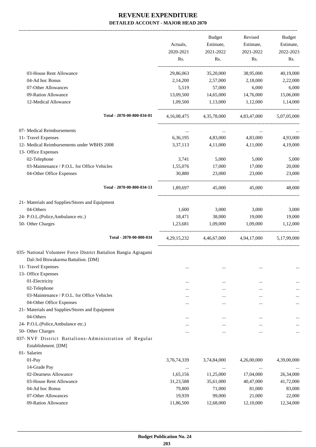|                                                                   | Actuals,         | <b>Budget</b><br>Estimate, | Revised<br>Estimate,    | <b>Budget</b><br>Estimate, |
|-------------------------------------------------------------------|------------------|----------------------------|-------------------------|----------------------------|
|                                                                   | 2020-2021<br>Rs. | 2021-2022<br>Rs.           | 2021-2022<br>Rs.        | 2022-2023<br>Rs.           |
| 03-House Rent Allowance                                           | 29,86,063        | 35,20,000                  | 38,95,000               | 40,19,000                  |
| 04-Ad hoc Bonus                                                   | 2,14,200         | 2,57,000                   | 2,18,000                | 2,22,000                   |
| 07-Other Allowances                                               | 5,519            | 57,000                     | 6,000                   | 6,000                      |
| 09-Ration Allowance                                               | 13,09,500        | 14,65,000                  | 14,76,000               | 15,06,000                  |
| 12-Medical Allowance                                              | 1,09,500         | 1,13,000                   | 1,12,000                | 1,14,000                   |
| Total - 2070-00-800-034-01                                        | 4,16,08,475      |                            | 4,35,78,000 4,83,47,000 | 5,07,05,000                |
| 07- Medical Reimbursements                                        | $\cdots$         | $\cdots$                   | $\cdots$                |                            |
| 11- Travel Expenses                                               | 6,36,195         | 4,83,000                   | 4,83,000                | 4,93,000                   |
| 12- Medical Reimbursements under WBHS 2008<br>13- Office Expenses | 3,37,113         | 4,11,000                   | 4,11,000                | 4,19,000                   |
| 02-Telephone                                                      | 3,741            | 5,000                      | 5,000                   | 5,000                      |
| 03-Maintenance / P.O.L. for Office Vehicles                       | 1,55,076         | 17,000                     | 17,000                  | 20,000                     |
| 04-Other Office Expenses                                          | 30,880           | 23,000                     | 23,000                  | 23,000                     |
| Total - 2070-00-800-034-13                                        | 1,89,697         | 45,000                     | 45,000                  | 48,000                     |
| 21- Materials and Supplies/Stores and Equipment                   |                  |                            |                         |                            |
| 04-Others                                                         | 1,600            | 3,000                      | 3,000                   | 3,000                      |
| 24- P.O.L.(Police, Ambulance etc.)                                | 18,471           | 38,000                     | 19,000                  | 19,000                     |
| 50- Other Charges                                                 | 1,23,681         | 1,09,000                   | 1,09,000                | 1,12,000                   |
| Total - 2070-00-800-034                                           | 4, 29, 15, 232   | 4,46,67,000                | 4,94,17,000             | 5,17,99,000                |
| 035- National Volunteer Force District Battalion Bangia Agragami  |                  |                            |                         |                            |
| Dal-3rd Biswakarma Battalion. [DM]                                |                  |                            |                         |                            |
| 11- Travel Expenses                                               |                  |                            |                         | $\ldots$                   |
| 13- Office Expenses                                               |                  |                            |                         |                            |
| 01-Electricity                                                    |                  | $\ddotsc$                  |                         |                            |
| 02-Telephone                                                      | .                |                            |                         | $\cdots$                   |
| 03-Maintenance / P.O.L. for Office Vehicles                       | .                |                            |                         |                            |
| 04-Other Office Expenses                                          |                  |                            |                         | $\cdots$                   |
| 21- Materials and Supplies/Stores and Equipment<br>04-Others      |                  |                            |                         |                            |
| 24- P.O.L.(Police, Ambulance etc.)                                | .                |                            |                         | $\cdots$                   |
| 50- Other Charges                                                 |                  |                            |                         | $\cdots$                   |
| 037-NVF District Battalions-Administration of Regular             |                  |                            |                         | $\cdots$                   |
| Establishment. [DM]                                               |                  |                            |                         |                            |
| 01- Salaries                                                      |                  |                            |                         |                            |
| 01-Pay                                                            | 3,76,74,339      | 3,74,84,000                | 4,26,00,000             | 4,39,00,000                |
| 14-Grade Pay                                                      | $\cdots$         | $\cdots$                   |                         |                            |
| 02-Dearness Allowance                                             | 1,65,156         | 11,25,000                  | 17,04,000               | 26,34,000                  |
| 03-House Rent Allowance                                           | 31,23,588        | 35,61,000                  | 40,47,000               | 41,72,000                  |
| 04-Ad hoc Bonus                                                   | 79,800           | 71,000                     | 81,000                  | 83,000                     |
| 07-Other Allowances                                               | 19,939           | 99,000                     | 21,000                  | 22,000                     |
| 09-Ration Allowance                                               | 11,86,500        | 12,68,000                  | 12,10,000               | 12,34,000                  |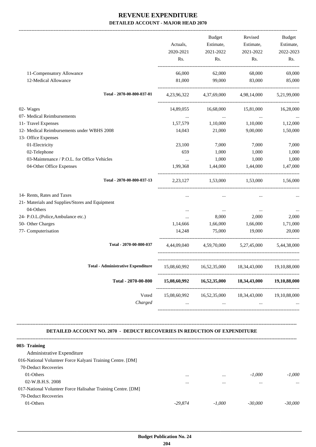|                                                 |              | <b>Budget</b> | Revised                             | <b>Budget</b> |
|-------------------------------------------------|--------------|---------------|-------------------------------------|---------------|
|                                                 | Actuals,     | Estimate,     | Estimate,                           | Estimate,     |
|                                                 | 2020-2021    | 2021-2022     | 2021-2022                           | 2022-2023     |
|                                                 | Rs.          | Rs.           | Rs.                                 | Rs.           |
| 11-Compensatory Allowance                       | 66,000       | 62,000        | 68,000                              | 69,000        |
| 12-Medical Allowance                            | 81,000       | 99,000        | 83,000                              | 85,000        |
| Total - 2070-00-800-037-01                      |              |               | 4,23,96,322 4,37,69,000 4,98,14,000 | 5,21,99,000   |
| 02- Wages                                       | 14,89,055    | 16,68,000     | 15,81,000                           | 16,28,000     |
| 07- Medical Reimbursements                      | $\cdots$     | $\cdots$      | $\ldots$                            |               |
| 11- Travel Expenses                             | 1,57,579     | 1,10,000      | 1,10,000                            | 1,12,000      |
| 12- Medical Reimbursements under WBHS 2008      | 14,043       | 21,000        | 9,00,000                            | 1,50,000      |
| 13- Office Expenses                             |              |               |                                     |               |
| 01-Electricity                                  | 23,100       | 7,000         | 7,000                               | 7,000         |
| 02-Telephone                                    | 659          | 1,000         | 1,000                               | 1,000         |
| 03-Maintenance / P.O.L. for Office Vehicles     | $\cdots$     | 1,000         | 1,000                               | 1,000         |
| 04-Other Office Expenses                        | 1,99,368     | 1,44,000      | 1,44,000                            | 1,47,000      |
| Total - 2070-00-800-037-13                      | 2,23,127     | 1,53,000      | 1,53,000                            | 1,56,000      |
| 14- Rents, Rates and Taxes                      |              | $\cdots$      | $\ddotsc$                           |               |
| 21- Materials and Supplies/Stores and Equipment |              |               |                                     |               |
| 04-Others                                       | $\cdots$     | $\cdots$      | $\cdots$                            |               |
| 24- P.O.L.(Police,Ambulance etc.)               | $\cdots$     | 8,000         | 2,000                               | 2,000         |
| 50- Other Charges                               | 1,14,666     | 1,66,000      | 1,66,000                            | 1,71,000      |
| 77- Computerisation                             | 14,248       | 75,000        | 19,000                              | 20,000        |
| Total - 2070-00-800-037                         | 4,44,09,040  |               | 4,59,70,000 5,27,45,000             | 5,44,38,000   |
| <b>Total - Administrative Expenditure</b>       | 15,08,60,992 |               | 16,52,35,000 18,34,43,000           | 19,10,88,000  |
| Total - 2070-00-800                             | 15,08,60,992 | 16,52,35,000  | 18,34,43,000                        | 19,10,88,000  |
| Voted                                           | 15,08,60,992 | 16,52,35,000  | 18,34,43,000                        | 19,10,88,000  |
| Charged                                         |              |               |                                     |               |

#### **DETAILED ACCOUNT NO. 2070 - DEDUCT RECOVERIES IN REDUCTION OF EXPENDITURE**

**--------------------------------------------------------------------------------------------------------------------------------------------------------------------------------**

| $\cdots$ | $\cdots$ | $-1.000$  | $-1.000$  |
|----------|----------|-----------|-----------|
|          |          |           | $\cdots$  |
|          |          |           |           |
|          |          |           |           |
| -29.874  | $-1.000$ | $-30,000$ | $-30,000$ |
|          |          |           |           |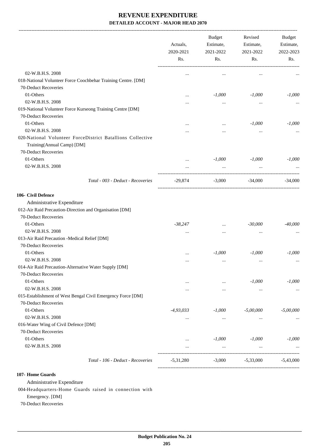|                                                                                                                  | Actuals,<br>2020-2021<br>Rs. | <b>Budget</b><br>Estimate,<br>2021-2022<br>Rs. | Revised<br>Estimate,<br>2021-2022<br>Rs. | Budget<br>Estimate,<br>2022-2023<br>Rs. |
|------------------------------------------------------------------------------------------------------------------|------------------------------|------------------------------------------------|------------------------------------------|-----------------------------------------|
| 02-W.B.H.S. 2008                                                                                                 |                              | $\cdots$                                       | $\cdots$                                 |                                         |
| 018-National Volunteer Force Coochbehar Training Centre. [DM]                                                    |                              |                                                |                                          |                                         |
| 70-Deduct Recoveries                                                                                             |                              |                                                |                                          |                                         |
| 01-Others                                                                                                        | $\cdots$                     | $-1,000$                                       | $-1,000$                                 | $-1,000$                                |
| 02-W.B.H.S. 2008                                                                                                 |                              | $\cdots$                                       | $\cdots$                                 |                                         |
| 019-National Volunteer Force Kurseong Training Centre [DM]                                                       |                              |                                                |                                          |                                         |
| 70-Deduct Recoveries                                                                                             |                              |                                                |                                          |                                         |
| 01-Others                                                                                                        |                              | $\cdots$                                       | $-1,000$                                 | $-1,000$                                |
| 02-W.B.H.S. 2008                                                                                                 |                              |                                                | $\cdots$                                 |                                         |
| 020-National Volunteer ForceDistrict Batallions Collective<br>Training(Annual Camp) [DM]<br>70-Deduct Recoveries |                              |                                                |                                          |                                         |
| 01-Others                                                                                                        |                              | $-1,000$                                       | $-1,000$                                 | $-1,000$                                |
| 02-W.B.H.S. 2008                                                                                                 |                              | $\ldots$                                       | $\cdots$                                 |                                         |
|                                                                                                                  |                              |                                                |                                          |                                         |
| Total - 003 - Deduct - Recoveries                                                                                | $-29,874$                    | $-3,000$                                       | $-34,000$                                | $-34,000$                               |
| 106- Civil Defence                                                                                               |                              |                                                |                                          |                                         |
| Administrative Expenditure                                                                                       |                              |                                                |                                          |                                         |
| 012-Air Raid Precaution-Direction and Organisation [DM]                                                          |                              |                                                |                                          |                                         |
| 70-Deduct Recoveries                                                                                             |                              |                                                |                                          |                                         |
| 01-Others                                                                                                        | $-38,247$                    | $\cdots$                                       | $-30,000$                                | $-40,000$                               |
| 02-W.B.H.S. 2008                                                                                                 | $\cdots$                     | $\cdots$                                       | $\ddotsc$                                |                                         |
| 013-Air Raid Precaution -Medical Relief [DM]                                                                     |                              |                                                |                                          |                                         |
| 70-Deduct Recoveries                                                                                             |                              |                                                |                                          |                                         |
| 01-Others                                                                                                        | $\cdots$                     | $-1,000$                                       | $-1,000$                                 | $-1,000$                                |
| 02-W.B.H.S. 2008                                                                                                 | $\cdots$                     | $\cdots$                                       | $\cdots$                                 |                                         |
| 014-Air Raid Precaution-Alternative Water Supply [DM]                                                            |                              |                                                |                                          |                                         |
| 70-Deduct Recoveries                                                                                             |                              |                                                |                                          |                                         |
| 01-Others                                                                                                        | $\cdots$                     | $\cdots$                                       | $-1,000$                                 | $-1,000$                                |
| 02-W.B.H.S. 2008                                                                                                 |                              | $\cdots$                                       | $\ldots$                                 | $\cdots$                                |
| 015-Establishment of West Bengal Civil Emergency Force [DM]<br>70-Deduct Recoveries                              |                              |                                                |                                          |                                         |
| 01-Others                                                                                                        | $-4,93,033$                  | $-1,000$                                       |                                          |                                         |
| 02-W.B.H.S. 2008                                                                                                 |                              |                                                | $-5,00,000$                              | $-5,00,000$                             |
| 016-Water Wing of Civil Defence [DM]                                                                             | $\cdots$                     | $\cdots$                                       | $\cdots$                                 |                                         |
| 70-Deduct Recoveries                                                                                             |                              |                                                |                                          |                                         |
| 01-Others                                                                                                        |                              | $-1,000$                                       | $-1,000$                                 | $-1,000$                                |
| 02-W.B.H.S. 2008                                                                                                 | $\cdots$<br>                 | $\cdots$                                       | $\cdots$                                 |                                         |
|                                                                                                                  |                              |                                                |                                          |                                         |
| Total - 106 - Deduct - Recoveries                                                                                | $-5,31,280$                  | $-3,000$                                       | $-5,33,000$                              | $-5,43,000$                             |

#### **107- Home Guards**

Administrative Expenditure

004-Headquarters-Home Guards raised in connection with

Emergency. [DM]

70-Deduct Recoveries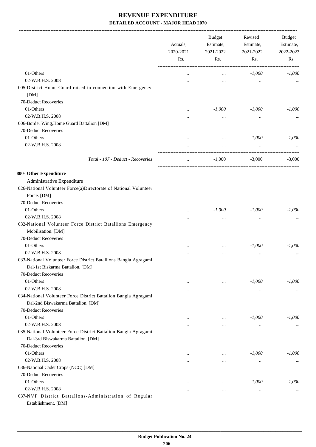|                                                                                                               | Actuals,<br>2020-2021    |                       | <b>Budget</b><br>Estimate,<br>2021-2022 | Revised<br>Estimate,<br>2021-2022 | Budget<br>Estimate,<br>2022-2023 |
|---------------------------------------------------------------------------------------------------------------|--------------------------|-----------------------|-----------------------------------------|-----------------------------------|----------------------------------|
|                                                                                                               | Rs.                      | Rs.                   | Rs.                                     | Rs.                               |                                  |
| 01-Others                                                                                                     |                          | $\cdots$              | $-1,000$                                | $-1,000$                          |                                  |
| 02-W.B.H.S. 2008                                                                                              |                          |                       | $\cdots$                                |                                   |                                  |
| 005-District Home Guard raised in connection with Emergency.<br>[DM]                                          |                          |                       |                                         |                                   |                                  |
| 70-Deduct Recoveries                                                                                          |                          |                       |                                         |                                   |                                  |
| 01-Others                                                                                                     |                          | $-1,000$              | $-1,000$                                | $-1,000$                          |                                  |
| 02-W.B.H.S. 2008                                                                                              | $\ddotsc$                |                       |                                         |                                   |                                  |
| 006-Border Wing, Home Guard Battalion [DM]                                                                    |                          | $\cdots$              | $\cdots$                                |                                   |                                  |
| 70-Deduct Recoveries                                                                                          |                          |                       |                                         |                                   |                                  |
| 01-Others                                                                                                     |                          |                       | $-1,000$                                | $-1,000$                          |                                  |
| 02-W.B.H.S. 2008                                                                                              | $\ddotsc$<br>$\ddotsc$   | $\ddotsc$<br>$\cdots$ |                                         |                                   |                                  |
| Total - 107 - Deduct - Recoveries                                                                             | $\overline{\phantom{a}}$ | $-1,000$              | $-3,000$                                | $-3,000$                          |                                  |
| 800- Other Expenditure                                                                                        |                          |                       |                                         |                                   |                                  |
|                                                                                                               |                          |                       |                                         |                                   |                                  |
| Administrative Expenditure<br>026-National Volunteer Force(a)Directorate of National Volunteer<br>Force. [DM] |                          |                       |                                         |                                   |                                  |
| 70-Deduct Recoveries                                                                                          |                          |                       |                                         |                                   |                                  |
| 01-Others                                                                                                     | $\ddotsc$                | $-1,000$              | $-1,000$                                | $-1,000$                          |                                  |
| 02-W.B.H.S. 2008                                                                                              | $\ddotsc$                | $\cdots$              | $\cdots$                                |                                   |                                  |
| 032-National Volunteer Force District Batallions Emergency                                                    |                          |                       |                                         |                                   |                                  |
| Mobilisation. [DM]                                                                                            |                          |                       |                                         |                                   |                                  |
| 70-Deduct Recoveries                                                                                          |                          |                       |                                         |                                   |                                  |
| 01-Others                                                                                                     |                          | $\cdots$              | $-1,000$                                | $-1,000$                          |                                  |
| 02-W.B.H.S. 2008                                                                                              |                          |                       | $\ddotsc$                               |                                   |                                  |
| 033-National Volunteer Force District Batallions Bangia Agragami<br>Dal-1st Biskarma Battalion. [DM]          |                          |                       |                                         |                                   |                                  |
| 70-Deduct Recoveries                                                                                          |                          |                       |                                         |                                   |                                  |
| 01-Others                                                                                                     | $\cdots$                 | $\cdots$              | $-1,000$                                | $-1,000$                          |                                  |
| 02-W.B.H.S. 2008                                                                                              | $\cdots$                 | $\cdots$              | $\cdots$                                |                                   |                                  |
| 034-National Volunteer Force District Battalion Bangia Agragami                                               |                          |                       |                                         |                                   |                                  |
| Dal-2nd Biswakarma Battalion. [DM]                                                                            |                          |                       |                                         |                                   |                                  |
| 70-Deduct Recoveries                                                                                          |                          |                       |                                         |                                   |                                  |
| 01-Others                                                                                                     | $\cdots$                 | $\cdots$              | $-1,000$                                | $-1,000$                          |                                  |
| 02-W.B.H.S. 2008                                                                                              | $\ddotsc$                | $\ddotsc$             | $\ddotsc$                               |                                   |                                  |
| 035-National Volunteer Force District Battalion Bangia Agragami                                               |                          |                       |                                         |                                   |                                  |
| Dal-3rd Biswakarma Battalion. [DM]                                                                            |                          |                       |                                         |                                   |                                  |
| 70-Deduct Recoveries                                                                                          |                          |                       |                                         |                                   |                                  |
| 01-Others<br>02-W.B.H.S. 2008                                                                                 | $\ddotsc$                | $\cdots$              | $-1,000$                                | $-1,000$                          |                                  |
|                                                                                                               | $\ddotsc$                | $\cdots$              | $\cdots$                                |                                   |                                  |
| 036-National Cadet Crops (NCC) [DM]<br>70-Deduct Recoveries                                                   |                          |                       |                                         |                                   |                                  |
| 01-Others                                                                                                     |                          |                       | $-1,000$                                | $-1,000$                          |                                  |
| 02-W.B.H.S. 2008                                                                                              | $\ddotsc$                |                       |                                         |                                   |                                  |
| 037-NVF District Battalions-Administration of Regular                                                         |                          | $\cdots$              | $\ddotsc$                               |                                   |                                  |
| Establishment. [DM]                                                                                           |                          |                       |                                         |                                   |                                  |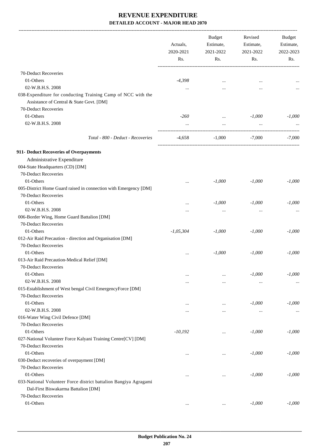-------------------------------------------------------------------------------------------------------------------------------------------------------------------------------

|                                                                                    | Actuals,<br>2020-2021<br>Rs. | <b>Budget</b><br>Estimate,<br>2021-2022<br>Rs. | Revised<br>Estimate,<br>2021-2022<br>Rs. | <b>Budget</b><br>Estimate,<br>2022-2023<br>Rs. |
|------------------------------------------------------------------------------------|------------------------------|------------------------------------------------|------------------------------------------|------------------------------------------------|
| 70-Deduct Recoveries                                                               |                              |                                                |                                          |                                                |
| 01-Others                                                                          | $-4,398$                     | $\ddotsc$                                      | $\cdots$                                 |                                                |
| 02-W.B.H.S. 2008                                                                   | $\cdots$                     | $\cdots$                                       | $\cdots$                                 |                                                |
| 038-Expenditure for conducting Training Camp of NCC with the                       |                              |                                                |                                          |                                                |
| Assistance of Central & State Govt. [DM]                                           |                              |                                                |                                          |                                                |
| 70-Deduct Recoveries                                                               |                              |                                                |                                          |                                                |
| 01-Others                                                                          | $-260$                       | $\cdots$                                       | $-1,000$                                 | $-1,000$                                       |
| 02-W.B.H.S. 2008                                                                   | $\cdots$                     | $\cdots$                                       | $\cdots$                                 |                                                |
| Total - 800 - Deduct - Recoveries                                                  | $-4,658$                     | $-1,000$                                       | $-7.000$                                 | $-7.000$                                       |
|                                                                                    |                              |                                                |                                          |                                                |
| 911- Deduct Recoveries of Overpayments                                             |                              |                                                |                                          |                                                |
| Administrative Expenditure                                                         |                              |                                                |                                          |                                                |
| 004-State Headquarters (CD) [DM]                                                   |                              |                                                |                                          |                                                |
| 70-Deduct Recoveries                                                               |                              |                                                |                                          |                                                |
| 01-Others                                                                          |                              | $-1,000$                                       | $-1,000$                                 | $-1,000$                                       |
| 005-District Home Guard raised in connection with Emergency [DM]                   |                              |                                                |                                          |                                                |
| 70-Deduct Recoveries                                                               |                              |                                                |                                          |                                                |
| 01-Others                                                                          | $\cdots$                     | $-1,000$                                       | $-1,000$                                 | $-1,000$                                       |
| 02-W.B.H.S. 2008                                                                   | $\ddotsc$                    | $\ddotsc$                                      | $\ddotsc$                                |                                                |
| 006-Border Wing, Home Guard Battalion [DM]                                         |                              |                                                |                                          |                                                |
| 70-Deduct Recoveries                                                               |                              |                                                |                                          |                                                |
| 01-Others                                                                          | $-1,05,304$                  | $-1,000$                                       | $-1,000$                                 | $-1,000$                                       |
| 012-Air Raid Precaution - direction and Organisation [DM]                          |                              |                                                |                                          |                                                |
| 70-Deduct Recoveries                                                               |                              |                                                |                                          |                                                |
| 01-Others                                                                          |                              | $-1,000$                                       | $-1,000$                                 | $-1,000$                                       |
| 013-Air Raid Precaution-Medical Relief [DM]<br>70-Deduct Recoveries                |                              |                                                |                                          |                                                |
|                                                                                    |                              |                                                |                                          |                                                |
| 01-Others<br>02-W.B.H.S. 2008                                                      | $\cdots$                     | $\ddotsc$                                      | $-1,000$                                 | $-1,000$                                       |
|                                                                                    | $\cdots$                     | $\cdots$                                       | $\ldots$                                 | $\cdots$                                       |
| 015-Establishment of West bengal Civil EmergencyForce [DM]<br>70-Deduct Recoveries |                              |                                                |                                          |                                                |
| 01-Others                                                                          |                              |                                                | $-1,000$                                 | $-1,000$                                       |
| 02-W.B.H.S. 2008                                                                   | $\cdots$                     | $\cdots$                                       |                                          |                                                |
| 016-Water Wing Civil Defence [DM]                                                  | $\cdots$                     | $\cdots$                                       | $\cdots$                                 | $\cdots$                                       |
| 70-Deduct Recoveries                                                               |                              |                                                |                                          |                                                |
| 01-Others                                                                          | $-10,192$                    |                                                | $-1,000$                                 | $-1,000$                                       |
| 027-National Volunteer Force Kalyani Training Centre[CV] [DM]                      |                              | $\ddotsc$                                      |                                          |                                                |
| 70-Deduct Recoveries                                                               |                              |                                                |                                          |                                                |
| 01-Others                                                                          |                              |                                                | $-1,000$                                 | $-1,000$                                       |
| 030-Deduct recoveries of overpayment [DM]                                          | $\ddotsc$                    | $\cdots$                                       |                                          |                                                |
| 70-Deduct Recoveries                                                               |                              |                                                |                                          |                                                |
| 01-Others                                                                          | $\ddotsc$                    | $\cdots$                                       | $-1,000$                                 | $-1,000$                                       |
| 033-National Volunteer Force district battalion Bangiya Agragami                   |                              |                                                |                                          |                                                |
| Dal-First Biswakarma Battalion [DM]                                                |                              |                                                |                                          |                                                |
| 70-Deduct Recoveries                                                               |                              |                                                |                                          |                                                |
| 01-Others                                                                          | $\cdots$                     | $\cdots$                                       | $-1,000$                                 | $-1,000$                                       |
|                                                                                    |                              |                                                |                                          |                                                |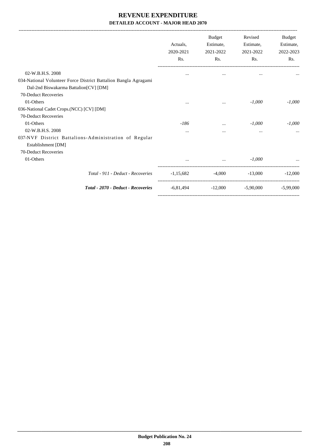-------------------------------------------------------------------------------------------------------------------------------------------------------------------------------

|                                                                                                          | Actuals,<br>2020-2021<br>Rs. | Budget<br>Estimate,<br>2021-2022<br>Rs. | Revised<br>Estimate,<br>2021-2022<br>Rs. | Budget<br>Estimate,<br>2022-2023<br>Rs. |
|----------------------------------------------------------------------------------------------------------|------------------------------|-----------------------------------------|------------------------------------------|-----------------------------------------|
| 02-W.B.H.S. 2008                                                                                         | $\cdots$                     | $\cdots$                                | $\cdots$                                 |                                         |
| 034-National Volunteer Force District Battalion Bangla Agragami<br>Dal-2nd Biswakarma Battalion[CV] [DM] |                              |                                         |                                          |                                         |
| 70-Deduct Recoveries                                                                                     |                              |                                         |                                          |                                         |
| 01-Others                                                                                                | $\cdots$                     | $\cdots$                                | $-1,000$                                 | $-1,000$                                |
| 036-National Cadet Crops.(NCC) [CV] [DM]                                                                 |                              |                                         |                                          |                                         |
| 70-Deduct Recoveries                                                                                     |                              |                                         |                                          |                                         |
| 01-Others                                                                                                | -186                         | $\cdots$                                | $-1,000$                                 | $-1,000$                                |
| 02-W.B.H.S. 2008                                                                                         | $\cdots$                     | $\cdots$                                | $\cdots$                                 |                                         |
| 037-NVF District Battalions-Administration of Regular<br>Establishment [DM]                              |                              |                                         |                                          |                                         |
| 70-Deduct Recoveries                                                                                     |                              |                                         |                                          |                                         |
| 01-Others                                                                                                | $\cdots$                     | $\cdots$                                | $-1,000$                                 |                                         |
| Total - 911 - Deduct - Recoveries                                                                        | $-1,15,682$                  | -4.000                                  | $-13,000$                                | $-12,000$                               |
| Total - 2070 - Deduct - Recoveries                                                                       | -6,81,494                    | $-12,000$                               | $-5,90,000$                              | $-5.99,000$                             |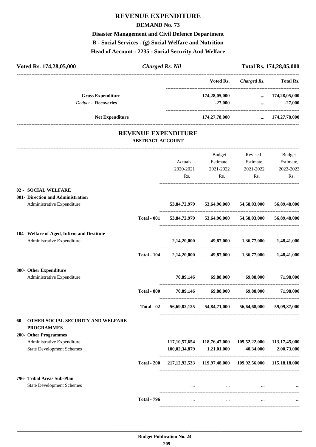# **REVENUE EXPENDITURE**

#### **DEMAND No. 73**

**Disaster Management and Civil Defence Department B - Social Services - (g) Social Welfare and Nutrition Head of Account : 2235 - Social Security And Welfare**

| Voted Rs. 174,28,05,000                                         | <b>Charged Rs. Nil</b>  |                              |                                                                     |                                          | Total Rs. 174,28,05,000                        |
|-----------------------------------------------------------------|-------------------------|------------------------------|---------------------------------------------------------------------|------------------------------------------|------------------------------------------------|
|                                                                 |                         |                              | Voted Rs.                                                           | <b>Charged Rs.</b>                       | <b>Total Rs.</b>                               |
| <b>Gross Expenditure</b><br><b>Deduct - Recoveries</b>          |                         |                              | 174,28,05,000<br>$-27,000$                                          | $\cdots$                                 | $\dots$ 174,28,05,000<br>$-27,000$             |
| Net Expenditure                                                 |                         |                              | 174,27,78,000                                                       |                                          | $\dots$ 174,27,78,000                          |
|                                                                 |                         | <b>REVENUE EXPENDITURE</b>   |                                                                     |                                          |                                                |
|                                                                 | <b>ABSTRACT ACCOUNT</b> |                              |                                                                     |                                          |                                                |
|                                                                 |                         | Actuals,<br>2020-2021<br>Rs. | Budget<br>Estimate,<br>2021-2022<br>Rs.                             | Revised<br>Estimate,<br>2021-2022<br>Rs. | <b>Budget</b><br>Estimate,<br>2022-2023<br>Rs. |
| 02 - SOCIAL WELFARE                                             |                         |                              |                                                                     |                                          |                                                |
| 001- Direction and Administration<br>Administrative Expenditure |                         |                              | 53,84,72,979 53,64,96,000 54,58,03,000 56,89,48,000                 |                                          |                                                |
|                                                                 | <b>Total - 001</b>      |                              | 53,84,72,979 53,64,96,000                                           |                                          | 54,58,03,000 56,89,48,000                      |
| 104- Welfare of Aged, Infirm and Destitute                      |                         |                              |                                                                     |                                          |                                                |
| Administrative Expenditure                                      |                         | 2,14,20,000                  | 49,87,000                                                           | 1,36,77,000                              | 1,48,41,000                                    |
|                                                                 | <b>Total - 104</b>      |                              | 2,14,20,000 49,87,000 1,36,77,000 1,48,41,000                       |                                          |                                                |
| 800- Other Expenditure                                          |                         |                              |                                                                     |                                          |                                                |
| Administrative Expenditure                                      |                         | 70,89,146                    | 69,88,000                                                           | 69,88,000                                | 71,98,000                                      |
|                                                                 | <b>Total - 800</b>      | 70,89,146                    | 69,88,000                                                           | 69,88,000                                | 71,98,000                                      |
|                                                                 | Total - 02              |                              | 56,69,82,125 54,84,71,000 56,64,68,000                              |                                          | 59,09,87,000                                   |
| 60 - OTHER SOCIAL SECURITY AND WELFARE<br><b>PROGRAMMES</b>     |                         |                              |                                                                     |                                          |                                                |
| 200- Other Programmes<br>Administrative Expenditure             |                         |                              | 117, 10, 57, 654 118, 76, 47, 000                                   | 109,52,22,000                            | 113,17,45,000                                  |
| <b>State Development Schemes</b>                                |                         | 100,02,34,879                | 1,21,01,000                                                         | 40,34,000                                | 2,00,73,000                                    |
|                                                                 | <b>Total - 200</b>      |                              | 217, 12, 92, 533 119, 97, 48, 000 109, 92, 56, 000 115, 18, 18, 000 |                                          |                                                |
| 796- Tribal Areas Sub-Plan                                      |                         |                              |                                                                     |                                          |                                                |
| <b>State Development Schemes</b>                                |                         |                              | the contract of the contract of the contract of the                 | $\cdots$                                 |                                                |
|                                                                 | <b>Total - 796</b>      | $\cdots$                     | $\cdots$                                                            | $\cdots$                                 |                                                |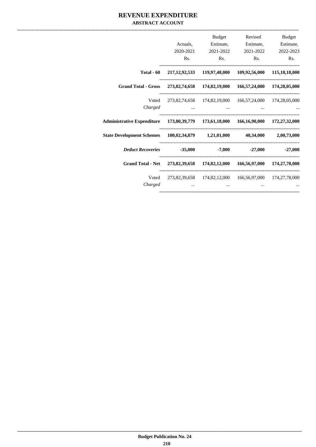#### **REVENUE EXPENDITURE ABSTRACT ACCOUNT**

|            | Revised   | Budget                                                                                                                                                                                                                                                                                                                                                                                                                                                                                                                                                                                                                                                                                                                                                              |
|------------|-----------|---------------------------------------------------------------------------------------------------------------------------------------------------------------------------------------------------------------------------------------------------------------------------------------------------------------------------------------------------------------------------------------------------------------------------------------------------------------------------------------------------------------------------------------------------------------------------------------------------------------------------------------------------------------------------------------------------------------------------------------------------------------------|
| Actuals,   |           |                                                                                                                                                                                                                                                                                                                                                                                                                                                                                                                                                                                                                                                                                                                                                                     |
|            | 2021-2022 | 2022-2023                                                                                                                                                                                                                                                                                                                                                                                                                                                                                                                                                                                                                                                                                                                                                           |
| Rs.        |           | $\mathbf{Rs.}$<br>Rs.                                                                                                                                                                                                                                                                                                                                                                                                                                                                                                                                                                                                                                                                                                                                               |
| Total - 60 |           |                                                                                                                                                                                                                                                                                                                                                                                                                                                                                                                                                                                                                                                                                                                                                                     |
|            |           |                                                                                                                                                                                                                                                                                                                                                                                                                                                                                                                                                                                                                                                                                                                                                                     |
|            |           |                                                                                                                                                                                                                                                                                                                                                                                                                                                                                                                                                                                                                                                                                                                                                                     |
|            |           |                                                                                                                                                                                                                                                                                                                                                                                                                                                                                                                                                                                                                                                                                                                                                                     |
|            |           |                                                                                                                                                                                                                                                                                                                                                                                                                                                                                                                                                                                                                                                                                                                                                                     |
|            |           |                                                                                                                                                                                                                                                                                                                                                                                                                                                                                                                                                                                                                                                                                                                                                                     |
|            |           | $-27.000$ $-27.000$                                                                                                                                                                                                                                                                                                                                                                                                                                                                                                                                                                                                                                                                                                                                                 |
|            |           |                                                                                                                                                                                                                                                                                                                                                                                                                                                                                                                                                                                                                                                                                                                                                                     |
| Voted      |           |                                                                                                                                                                                                                                                                                                                                                                                                                                                                                                                                                                                                                                                                                                                                                                     |
|            |           |                                                                                                                                                                                                                                                                                                                                                                                                                                                                                                                                                                                                                                                                                                                                                                     |
|            |           | <b>Budget</b><br>Estimate, Estimate, Estimate,<br>2020-2021 2021-2022<br>$\mathbf{Rs.}$<br>217,12,92,533 119,97,48,000 109,92,56,000 115,18,18,000<br>Grand Total - Gross 273,82,74,658 174,82,19,000 166,57,24,000 174,28,05,000<br>Voted 273,82,74,658 174,82,19,000 166,57,24,000 174,28,05,000<br>Administrative Expenditure 173,80,39,779 173,61,18,000 166,16,90,000 172,27,32,000<br>State Development Schemes 100,02,34,879 1,21,01,000 40,34,000 2,00,73,000<br>Deduct Recoveries 35,000 -7,000<br>Grand Total - Net 273,82,39,658 174,82,12,000 166,56,97,000 174,27,78,000<br>273,82,39,658 174,82,12,000 166,56,97,000 174,27,78,000<br>the contract of the contract of the contract of the contract of the contract of the contract of the contract of |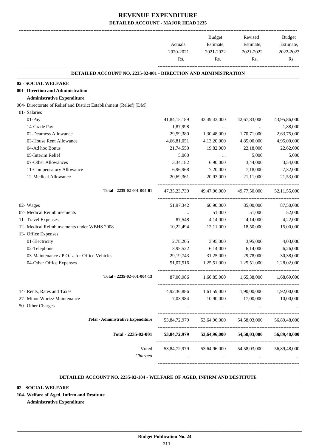|                                                                        | Actuals,<br>2020-2021<br>Rs. | <b>Budget</b><br>Estimate,<br>2021-2022<br>Rs. | Revised<br>Estimate,<br>2021-2022<br>Rs. | Budget<br>Estimate,<br>2022-2023<br>Rs. |
|------------------------------------------------------------------------|------------------------------|------------------------------------------------|------------------------------------------|-----------------------------------------|
| <b>DETAILED ACCOUNT NO. 2235-02-001 - DIRECTION AND ADMINISTRATION</b> |                              |                                                |                                          |                                         |
| 02 - SOCIAL WELFARE                                                    |                              |                                                |                                          |                                         |
| 001- Direction and Administration                                      |                              |                                                |                                          |                                         |
| <b>Administrative Expenditure</b>                                      |                              |                                                |                                          |                                         |
| 004- Directorate of Relief and District Establishment (Relief) [DM]    |                              |                                                |                                          |                                         |
| 01- Salaries                                                           |                              |                                                |                                          |                                         |
| 01-Pay                                                                 | 41,84,15,189                 | 43,49,43,000                                   | 42,67,83,000                             | 43,95,86,000                            |
| 14-Grade Pay                                                           | 1,87,998                     | $\cdots$                                       |                                          | 1,88,000                                |
| 02-Dearness Allowance                                                  | 29,59,380                    | 1,30,48,000                                    | 1,70,71,000                              | 2,63,75,000                             |
| 03-House Rent Allowance                                                | 4,66,81,051                  | 4,13,20,000                                    | 4,85,00,000                              | 4,95,00,000                             |
| 04-Ad hoc Bonus                                                        | 21,74,550                    | 19,82,000                                      | 22,18,000                                | 22,62,000                               |
| 05-Interim Relief                                                      | 5,060                        | $\ldots$                                       | 5,000                                    | 5,000                                   |
| 07-Other Allowances                                                    | 3,34,182                     | 6,90,000                                       | 3,44,000                                 | 3,54,000                                |
| 11-Compensatory Allowance                                              | 6,96,968                     | 7,20,000                                       | 7,18,000                                 | 7,32,000                                |
| 12-Medical Allowance                                                   | 20,69,361                    | 20,93,000                                      | 21,11,000                                | 21,53,000                               |
| Total - 2235-02-001-004-01                                             | 47, 35, 23, 739              | 49,47,96,000                                   | 49,77,50,000                             | 52, 11, 55, 000                         |
| 02- Wages                                                              | 51,97,342                    | 60,90,000                                      | 85,00,000                                | 87,50,000                               |
| 07- Medical Reimbursements                                             | $\cdots$                     | 51,000                                         | 51,000                                   | 52,000                                  |
| 11- Travel Expenses                                                    | 87,548                       | 4,14,000                                       | 4,14,000                                 | 4,22,000                                |
| 12- Medical Reimbursements under WBHS 2008                             | 10,22,494                    | 12,11,000                                      | 18,50,000                                | 15,00,000                               |
| 13- Office Expenses                                                    |                              |                                                |                                          |                                         |
| 01-Electricity                                                         | 2,78,205                     | 3,95,000                                       | 3,95,000                                 | 4,03,000                                |
| 02-Telephone                                                           | 3,95,522                     | 6,14,000                                       | 6,14,000                                 | 6,26,000                                |
| 03-Maintenance / P.O.L. for Office Vehicles                            | 29, 19, 743                  | 31,25,000                                      | 29,78,000                                | 30,38,000                               |
| 04-Other Office Expenses                                               | 51,07,516                    | 1,25,51,000                                    | 1,25,51,000                              | 1,28,02,000                             |
| Total - 2235-02-001-004-13                                             | 87,00,986                    | 1,66,85,000                                    | 1,65,38,000                              | 1,68,69,000                             |
| 14- Rents, Rates and Taxes                                             | 4,92,36,886                  | 1,61,59,000                                    | 1,90,00,000                              | 1,92,00,000                             |
| 27- Minor Works/ Maintenance                                           | 7,03,984                     | 10,90,000                                      | 17,00,000                                | 10,00,000                               |
| 50- Other Charges                                                      |                              | $\cdots$                                       | $\cdots$                                 |                                         |
|                                                                        |                              |                                                |                                          |                                         |
| <b>Total - Administrative Expenditure</b>                              | 53,84,72,979                 | 53,64,96,000                                   | 54, 58, 03, 000                          | 56,89,48,000                            |
| Total - 2235-02-001                                                    | 53,84,72,979                 | 53,64,96,000                                   | 54,58,03,000                             | 56,89,48,000                            |
| Voted                                                                  | 53,84,72,979                 | 53,64,96,000                                   | 54,58,03,000                             | 56,89,48,000                            |
| Charged                                                                |                              | $\cdots$                                       |                                          |                                         |
|                                                                        |                              |                                                |                                          |                                         |

#### **DETAILED ACCOUNT NO. 2235-02-104 - WELFARE OF AGED, INFIRM AND DESTITUTE .**

#### **02 - SOCIAL WELFARE**

**104- Welfare of Aged, Infirm and Destitute**

**Administrative Expenditure**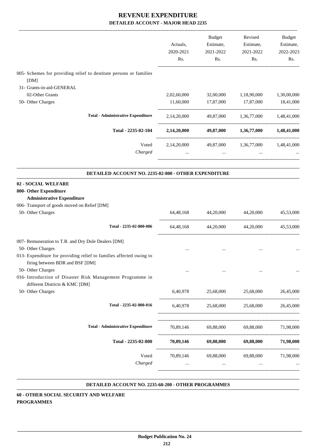|                                                                                                         | Actuals,<br>2020-2021<br>Rs. | <b>Budget</b><br>Estimate,<br>2021-2022<br>Rs. | Revised<br>Estimate,<br>2021-2022<br>Rs. | Budget<br>Estimate,<br>2022-2023<br>Rs. |
|---------------------------------------------------------------------------------------------------------|------------------------------|------------------------------------------------|------------------------------------------|-----------------------------------------|
| 005- Schemes for providing relief to destitute persons or families<br>[DM]<br>31- Grants-in-aid-GENERAL |                              |                                                |                                          |                                         |
| 02-Other Grants                                                                                         | 2,02,60,000                  | 32,00,000                                      | 1,18,90,000                              | 1,30,00,000                             |
| 50- Other Charges                                                                                       | 11,60,000                    | 17,87,000                                      | 17,87,000                                | 18,41,000                               |
| <b>Total - Administrative Expenditure</b>                                                               | 2,14,20,000                  | 49,87,000                                      | 1,36,77,000                              | 1,48,41,000                             |
| Total - 2235-02-104                                                                                     | 2,14,20,000                  | 49,87,000                                      | 1,36,77,000                              | 1,48,41,000                             |
| Voted<br>Charged                                                                                        | 2,14,20,000<br>$\cdots$      | 49,87,000<br>$\cdots$                          | 1,36,77,000<br>$\cdots$                  | 1,48,41,000                             |

#### **DETAILED ACCOUNT NO. 2235-02-800 - OTHER EXPENDITURE .**

#### **02 - SOCIAL WELFARE**

#### **800- Other Expenditure**

#### **Administrative Expenditure**

| 006- Transport of goods moved on Relief [DM]                                                           |                                         |                                         |                               |           |
|--------------------------------------------------------------------------------------------------------|-----------------------------------------|-----------------------------------------|-------------------------------|-----------|
| 50- Other Charges                                                                                      |                                         | 64,48,168 44,20,000 44,20,000           |                               | 45,53,000 |
| Total - 2235-02-800-006                                                                                |                                         | 64,48,168 44,20,000 44,20,000 45,53,000 |                               |           |
| 007- Remuneration to T.R. and Dry Dole Dealers [DM]                                                    |                                         |                                         |                               |           |
| 50- Other Charges                                                                                      | $\cdots$                                |                                         |                               |           |
| 013- Expenditure for providing relief to families affected owing to<br>firing between BDR and BSF [DM] |                                         |                                         |                               |           |
| 50- Other Charges                                                                                      |                                         |                                         |                               |           |
| 016- Introduction of Disaster Risk Management Programme in<br>different Districts & KMC [DM]           |                                         |                                         |                               |           |
| 50- Other Charges                                                                                      |                                         | 6,40,978 25,68,000 25,68,000 26,45,000  |                               |           |
| Total - 2235-02-800-016                                                                                | 6,40,978                                |                                         | 25,68,000 25,68,000 26,45,000 |           |
| <b>Total - Administrative Expenditure</b>                                                              |                                         | 70,89,146 69,88,000 69,88,000 71,98,000 |                               |           |
| Total - 2235-02-800                                                                                    | 70,89,146 69,88,000 69,88,000 71,98,000 |                                         |                               |           |
| Voted                                                                                                  |                                         | 70,89,146 69,88,000 69,88,000 71,98,000 |                               |           |
| Charged                                                                                                |                                         | $\cdots$                                |                               |           |
|                                                                                                        |                                         |                                         |                               |           |

#### **DETAILED ACCOUNT NO. 2235-60-200 - OTHER PROGRAMMES .**

.

**60 - OTHER SOCIAL SECURITY AND WELFARE PROGRAMMES**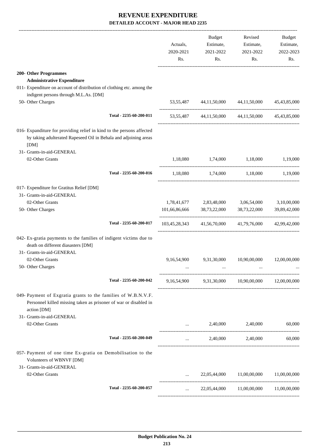|                                                                                                                                                   | Actuals,<br>2020-2021<br>Rs. | Budget<br>Estimate,<br>2021-2022<br>Rs. | Revised<br>Estimate,<br>2021-2022<br>Rs.             | Budget<br>Estimate,<br>2022-2023<br>Rs. |
|---------------------------------------------------------------------------------------------------------------------------------------------------|------------------------------|-----------------------------------------|------------------------------------------------------|-----------------------------------------|
| 200- Other Programmes                                                                                                                             |                              |                                         |                                                      |                                         |
| <b>Administrative Expenditure</b>                                                                                                                 |                              |                                         |                                                      |                                         |
| 011- Expenditure on account of distribution of clothing etc. among the                                                                            |                              |                                         |                                                      |                                         |
| indigent persons through M.L.As. [DM]                                                                                                             |                              |                                         |                                                      |                                         |
| 50- Other Charges                                                                                                                                 |                              | 53,55,487 44,11,50,000                  | 44,11,50,000                                         | 45, 43, 85, 000                         |
| Total - 2235-60-200-011                                                                                                                           |                              |                                         | 53,55,487 44,11,50,000 44,11,50,000 45,43,85,000     |                                         |
| 016- Expanditure for providing relief in kind to the persons affected<br>by taking adulterated Rapeseed Oil in Behala and adjoining areas<br>[DM] |                              |                                         |                                                      |                                         |
| 31- Grants-in-aid-GENERAL                                                                                                                         |                              |                                         |                                                      |                                         |
| 02-Other Grants                                                                                                                                   | 1,18,080                     | 1,74,000                                | 1,18,000                                             | 1,19,000                                |
| Total - 2235-60-200-016                                                                                                                           |                              |                                         | 1,18,080 1,74,000 1,18,000 1,19,000                  |                                         |
| 017- Expenditure for Gratitus Relief [DM]<br>31- Grants-in-aid-GENERAL                                                                            |                              |                                         |                                                      |                                         |
| 02-Other Grants                                                                                                                                   |                              | 1,78,41,677 2,83,48,000                 | 3,06,54,000                                          | 3,10,00,000                             |
| 50- Other Charges                                                                                                                                 | 101,66,86,666                | 38,73,22,000                            | 38,73,22,000                                         | 39,89,42,000                            |
| Total - 2235-60-200-017                                                                                                                           |                              |                                         | 103,45,28,343 41,56,70,000 41,79,76,000 42,99,42,000 |                                         |
| 042- Ex-gratia payments to the families of indigent victims due to<br>death on different diasasters [DM]<br>31- Grants-in-aid-GENERAL             |                              |                                         |                                                      |                                         |
| 02-Other Grants                                                                                                                                   | 9,16,54,900                  | 9,31,30,000                             | 10,90,00,000                                         | 12,00,00,000                            |
| 50- Other Charges                                                                                                                                 |                              |                                         |                                                      |                                         |
| Total - 2235-60-200-042                                                                                                                           |                              |                                         | 9,16,54,900 9,31,30,000 10,90,00,000 12,00,00,000    |                                         |
| 049- Payment of Exgratia grants to the families of W.B.N.V.F.<br>Personnel killed missing taken as prisoner of war or disabled in<br>action [DM]  |                              |                                         |                                                      |                                         |
| 31- Grants-in-aid-GENERAL                                                                                                                         |                              |                                         |                                                      |                                         |
| 02-Other Grants                                                                                                                                   | $\sim$ .                     | 2,40,000                                | 2,40,000                                             | 60,000                                  |
| Total - 2235-60-200-049                                                                                                                           | $\cdots$                     |                                         | 2,40,000 2,40,000                                    | 60,000                                  |
| 057- Payment of one time Ex-gratia on Demobilisation to the<br>Volunteers of WBNVF [DM]<br>31- Grants-in-aid-GENERAL                              |                              |                                         |                                                      |                                         |
| 02-Other Grants                                                                                                                                   | $\cdots$                     |                                         | 22,05,44,000 11,00,00,000 11,00,00,000               |                                         |
| Total - 2235-60-200-057                                                                                                                           | $\cdots$                     |                                         | 22,05,44,000 11,00,00,000                            | 11,00,00,000                            |
|                                                                                                                                                   |                              |                                         |                                                      |                                         |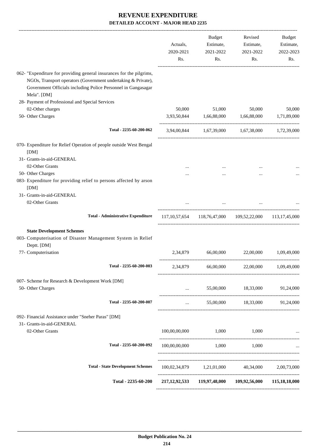|                                                                                                                                                                                                                       | Actuals,<br>2020-2021<br>Rs. | Budget<br>Estimate,<br>2021-2022<br>Rs. | Revised<br>Estimate,<br>2021-2022<br>Rs.                | Budget<br>Estimate,<br>2022-2023<br>Rs. |
|-----------------------------------------------------------------------------------------------------------------------------------------------------------------------------------------------------------------------|------------------------------|-----------------------------------------|---------------------------------------------------------|-----------------------------------------|
| 062- "Expenditure for providing general insurances for the pilgrims,<br>NGOs, Transport operators (Government undertaking & Private),<br>Government Officials including Police Personnel in Gangasagar<br>Mela". [DM] |                              |                                         |                                                         |                                         |
| 28- Payment of Professional and Special Services                                                                                                                                                                      |                              |                                         |                                                         |                                         |
| 02-Other charges                                                                                                                                                                                                      | 50,000                       | 51,000                                  | 50,000                                                  | 50,000                                  |
| 50- Other Charges                                                                                                                                                                                                     |                              | 3,93,50,844 1,66,88,000 1,66,88,000     |                                                         | 1,71,89,000                             |
| Total - 2235-60-200-062                                                                                                                                                                                               |                              |                                         | 3,94,00,844 1,67,39,000 1,67,38,000 1,72,39,000         |                                         |
| 070- Expenditure for Relief Operation of people outside West Bengal<br>[DM]<br>31- Grants-in-aid-GENERAL                                                                                                              |                              |                                         |                                                         |                                         |
| 02-Other Grants                                                                                                                                                                                                       |                              |                                         |                                                         |                                         |
| 50- Other Charges                                                                                                                                                                                                     |                              | $\cdots$                                | $\ddotsc$                                               |                                         |
| 083- Expenditure for providing relief to persons affected by arson<br>[DM]                                                                                                                                            |                              |                                         |                                                         |                                         |
| 31- Grants-in-aid-GENERAL                                                                                                                                                                                             |                              |                                         |                                                         |                                         |
| 02-Other Grants                                                                                                                                                                                                       |                              | $\cdots$                                |                                                         |                                         |
| Total - Administrative Expenditure 117,10,57,654 118,76,47,000 109,52,22,000 113,17,45,000                                                                                                                            |                              |                                         |                                                         |                                         |
| <b>State Development Schemes</b><br>003- Computerisation of Disaster Management System in Relief<br>Deptt. [DM]<br>77- Computerisation                                                                                |                              |                                         | 2,34,879 66,00,000 22,00,000 1,09,49,000                |                                         |
|                                                                                                                                                                                                                       |                              |                                         |                                                         |                                         |
| Total - 2235-60-200-003                                                                                                                                                                                               |                              |                                         | 2,34,879 66,00,000 22,00,000 1,09,49,000                |                                         |
| 007- Scheme for Research & Development Work [DM]                                                                                                                                                                      |                              |                                         |                                                         |                                         |
| 50- Other Charges                                                                                                                                                                                                     |                              |                                         | $55,00,000$ $18,33,000$ $91,24,000$                     |                                         |
| Total - 2235-60-200-007                                                                                                                                                                                               |                              | <b>Section</b> (1999)                   | 55,00,000 18,33,000 91,24,000                           |                                         |
| 092- Financial Assistance under "Sneher Paras" [DM]<br>31- Grants-in-aid-GENERAL                                                                                                                                      |                              |                                         |                                                         |                                         |
| 02-Other Grants                                                                                                                                                                                                       | 100,00,00,000                | 1,000                                   | 1,000                                                   |                                         |
| Total - 2235-60-200-092                                                                                                                                                                                               | 100,00,00,000                | 1,000                                   | 1,000                                                   |                                         |
| <b>Total - State Development Schemes</b>                                                                                                                                                                              |                              |                                         | $100,02,34,879$ $1,21,01,000$ $40,34,000$ $2,00,73,000$ |                                         |
| Total - 2235-60-200                                                                                                                                                                                                   |                              |                                         | 217,12,92,533 119,97,48,000 109,92,56,000 115,18,18,000 |                                         |
|                                                                                                                                                                                                                       |                              |                                         |                                                         |                                         |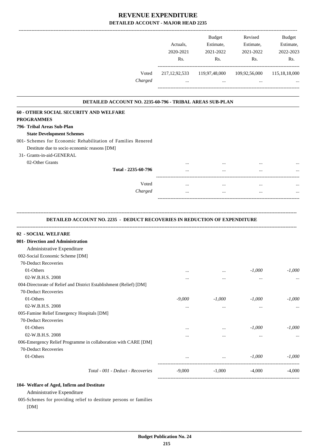|                                                                                  | Actuals,<br>2020-2021<br>Rs. | Budget<br>Estimate,<br>2021-2022<br>Rs. | Revised<br>Estimate,<br>2021-2022<br>Rs. | Budget<br>Estimate,<br>2022-2023<br>Rs. |
|----------------------------------------------------------------------------------|------------------------------|-----------------------------------------|------------------------------------------|-----------------------------------------|
| Voted<br>Charged                                                                 | $\cdots$                     | 217,12,92,533 119,97,48,000<br>$\cdots$ | 109,92,56,000<br>$\cdots$                | 115, 18, 18, 000                        |
|                                                                                  |                              |                                         |                                          |                                         |
| DETAILED ACCOUNT NO. 2235-60-796 - TRIBAL AREAS SUB-PLAN                         |                              |                                         |                                          |                                         |
| 60 - OTHER SOCIAL SECURITY AND WELFARE                                           |                              |                                         |                                          |                                         |
| <b>PROGRAMMES</b>                                                                |                              |                                         |                                          |                                         |
| 796- Tribal Areas Sub-Plan                                                       |                              |                                         |                                          |                                         |
| <b>State Development Schemes</b>                                                 |                              |                                         |                                          |                                         |
| 001- Schemes for Economic Rehabilitation of Families Renered                     |                              |                                         |                                          |                                         |
| Destitute due to socio economic reasons [DM]                                     |                              |                                         |                                          |                                         |
| 31- Grants-in-aid-GENERAL                                                        |                              |                                         |                                          |                                         |
| 02-Other Grants                                                                  |                              |                                         |                                          |                                         |
| Total - 2235-60-796                                                              | $\cdots$                     | $\cdots$                                |                                          |                                         |
| Voted                                                                            | $\cdots$                     | $\cdots$                                |                                          |                                         |
| Charged                                                                          | $\cdots$                     | $\cdots$                                | $\ldots$                                 |                                         |
| <b>DETAILED ACCOUNT NO. 2235 - DEDUCT RECOVERIES IN REDUCTION OF EXPENDITURE</b> |                              |                                         |                                          |                                         |
| 02 - SOCIAL WELFARE                                                              |                              |                                         |                                          |                                         |
| 001- Direction and Administration                                                |                              |                                         |                                          |                                         |
| Administrative Expenditure                                                       |                              |                                         |                                          |                                         |
| 002-Social Economic Scheme [DM]                                                  |                              |                                         |                                          |                                         |
| 70-Deduct Recoveries                                                             |                              |                                         |                                          |                                         |
| 01-Others                                                                        |                              | $\cdots$                                | $-1,000$                                 | $-1,000$                                |
| 02-W.B.H.S. 2008                                                                 |                              | $\cdots$                                | $\ldots$                                 |                                         |
| 004-Directorate of Relief and District Establishment (Relief) [DM]               |                              |                                         |                                          |                                         |
| 70-Deduct Recoveries                                                             |                              |                                         |                                          |                                         |
| 01-Others                                                                        | $-9,000$                     | $-1,000$                                | $-1,000$                                 | $-1,000$                                |
| 02-W.B.H.S. 2008                                                                 | $\cdots$                     | $\cdots$                                | $\ldots$                                 |                                         |
| 005-Famine Relief Emergency Hospitals [DM]                                       |                              |                                         |                                          |                                         |
| 70-Deduct Recoveries                                                             |                              |                                         |                                          |                                         |
| 01-Others                                                                        |                              | $\ddotsc$                               | $-1,000$                                 | $-1,000$                                |
| 02-W.B.H.S. 2008                                                                 | $\cdots$                     | $\cdots$                                | $\cdots$                                 |                                         |
| 006-Emergency Relief Programme in collaboration with CARE [DM]                   |                              |                                         |                                          |                                         |
| 70-Deduct Recoveries                                                             |                              |                                         |                                          |                                         |
| 01-Others                                                                        | $\cdots$                     | $\cdots$                                | $-1,000$                                 | $-1,000$                                |
|                                                                                  |                              |                                         |                                          |                                         |
| Total - 001 - Deduct - Recoveries                                                | $-9,000$                     | $-1,000$                                | $-4,000$                                 | $-4,000$                                |

### **104- Welfare of Aged, Infirm and Destitute**

Administrative Expenditure

005-Schemes for providing relief to destitute persons or families [DM]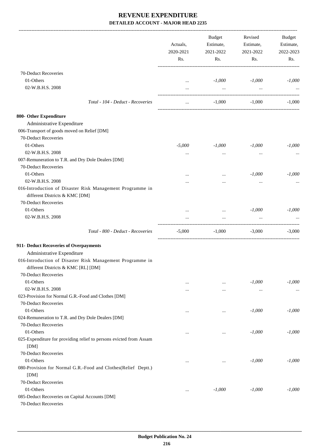|                                                                                                  | Actuals,<br>2020-2021<br>Rs. | Budget<br>Estimate,<br>2021-2022<br>Rs. | Revised<br>Estimate,<br>2021-2022<br>Rs. | <b>Budget</b><br>Estimate,<br>2022-2023<br>Rs. |
|--------------------------------------------------------------------------------------------------|------------------------------|-----------------------------------------|------------------------------------------|------------------------------------------------|
|                                                                                                  |                              |                                         |                                          |                                                |
| 70-Deduct Recoveries                                                                             |                              |                                         |                                          |                                                |
| 01-Others                                                                                        | $\cdots$                     | $-1,000$                                | $-1,000$                                 | $-1,000$                                       |
| 02-W.B.H.S. 2008                                                                                 | $\cdots$                     | $\cdots$                                | $\ddots$                                 |                                                |
| Total - 104 - Deduct - Recoveries                                                                | $\cdots$                     | $-1,000$                                | $-1.000$                                 | $-1,000$                                       |
| 800- Other Expenditure                                                                           |                              |                                         |                                          |                                                |
| Administrative Expenditure                                                                       |                              |                                         |                                          |                                                |
| 006-Transport of goods moved on Relief [DM]                                                      |                              |                                         |                                          |                                                |
| 70-Deduct Recoveries                                                                             |                              |                                         |                                          |                                                |
| 01-Others                                                                                        | $-5,000$                     | $-1,000$                                | $-1,000$                                 | $-1,000$                                       |
| 02-W.B.H.S. 2008                                                                                 | $\cdots$                     | $\cdots$                                | $\cdots$                                 |                                                |
| 007-Remuneration to T.R. and Dry Dole Dealers [DM]                                               |                              |                                         |                                          |                                                |
| 70-Deduct Recoveries                                                                             |                              |                                         |                                          |                                                |
| 01-Others                                                                                        |                              | $\cdots$                                | $-1,000$                                 | $-1,000$                                       |
| 02-W.B.H.S. 2008                                                                                 |                              |                                         |                                          |                                                |
| 016-Introduction of Disaster Risk Management Programme in<br>different Districts & KMC [DM]      |                              |                                         |                                          |                                                |
| 70-Deduct Recoveries                                                                             |                              |                                         |                                          |                                                |
| 01-Others                                                                                        |                              | $\cdots$                                | $-1,000$                                 | $-1,000$                                       |
| 02-W.B.H.S. 2008                                                                                 |                              |                                         | $\ddots$                                 |                                                |
| Total - 800 - Deduct - Recoveries                                                                | $-5,000$                     | $-1,000$                                | $-3,000$                                 | $-3,000$                                       |
| 911- Deduct Recoveries of Overpayments                                                           |                              |                                         |                                          |                                                |
| Administrative Expenditure                                                                       |                              |                                         |                                          |                                                |
| 016-Introduction of Disaster Risk Management Programme in<br>different Districts & KMC [RL] [DM] |                              |                                         |                                          |                                                |
| 70-Deduct Recoveries                                                                             |                              |                                         |                                          |                                                |
| 01-Others                                                                                        | $\cdots$                     | $\cdots$                                | $-1,000$                                 | $-1,000$                                       |
| 02-W.B.H.S. 2008                                                                                 |                              | $\cdots$                                | $\cdots$                                 |                                                |
| 023-Provision for Normal G.R.-Food and Clothes [DM]                                              |                              |                                         |                                          |                                                |
| 70-Deduct Recoveries                                                                             |                              |                                         |                                          |                                                |
| 01-Others                                                                                        |                              | $\cdots$                                | $-1,000$                                 | $-1,000$                                       |
| 024-Remuneration to T.R. and Dry Dole Dealers [DM]                                               |                              |                                         |                                          |                                                |
| 70-Deduct Recoveries                                                                             |                              |                                         |                                          |                                                |
| 01-Others                                                                                        | $\cdots$                     | $\cdots$                                | $-1,000$                                 | $-1,000$                                       |
| 025-Expenditure for providing relief to persons evicted from Assam<br>[DM]                       |                              |                                         |                                          |                                                |
| 70-Deduct Recoveries                                                                             |                              |                                         |                                          |                                                |
| 01-Others                                                                                        | $\cdots$                     | $\cdots$                                | $-1,000$                                 | $-1,000$                                       |
| 080-Provision for Normal G.R.-Food and Clothes(Relief Deptt.)                                    |                              |                                         |                                          |                                                |
| [DM]                                                                                             |                              |                                         |                                          |                                                |
| 70-Deduct Recoveries                                                                             |                              |                                         |                                          |                                                |
| 01-Others                                                                                        | $\cdots$                     | $-1,000$                                | $-1,000$                                 | $-1,000$                                       |
| 085-Deduct Recoveries on Capital Accounts [DM]                                                   |                              |                                         |                                          |                                                |
| 70-Deduct Recoveries                                                                             |                              |                                         |                                          |                                                |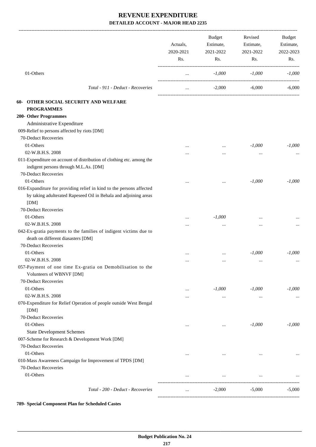|                                                                                                                                                  | Actuals,<br>2020-2021<br>Rs. | <b>Budget</b><br>Estimate,<br>2021-2022<br>Rs. | Revised<br>Estimate,<br>2021-2022<br>Rs. | Budget<br>Estimate,<br>2022-2023<br>Rs. |
|--------------------------------------------------------------------------------------------------------------------------------------------------|------------------------------|------------------------------------------------|------------------------------------------|-----------------------------------------|
| 01-Others                                                                                                                                        | $\ldots$                     | $-1,000$                                       | $-1,000$                                 | $-1,000$                                |
| Total - 911 - Deduct - Recoveries                                                                                                                | $\ldots$                     | $-2,000$                                       | $-6,000$                                 | $-6,000$                                |
| <b>OTHER SOCIAL SECURITY AND WELFARE</b><br>60-                                                                                                  |                              |                                                |                                          |                                         |
| <b>PROGRAMMES</b>                                                                                                                                |                              |                                                |                                          |                                         |
| 200- Other Programmes                                                                                                                            |                              |                                                |                                          |                                         |
| Administrative Expenditure                                                                                                                       |                              |                                                |                                          |                                         |
| 009-Relief to persons affected by riots [DM]                                                                                                     |                              |                                                |                                          |                                         |
| 70-Deduct Recoveries                                                                                                                             |                              |                                                |                                          |                                         |
| 01-Others                                                                                                                                        | .                            | $\cdots$                                       | $-1,000$                                 | $-1,000$                                |
| 02-W.B.H.S. 2008                                                                                                                                 |                              |                                                | $\ddotsc$                                |                                         |
| 011-Expenditure on account of distribution of clothing etc. among the                                                                            |                              |                                                |                                          |                                         |
| indigent persons through M.L.As. [DM]                                                                                                            |                              |                                                |                                          |                                         |
| 70-Deduct Recoveries                                                                                                                             |                              |                                                |                                          |                                         |
| 01-Others                                                                                                                                        |                              |                                                | $-1,000$                                 | $-1,000$                                |
| 016-Expanditure for providing relief in kind to the persons affected<br>by taking adulterated Rapeseed Oil in Behala and adjoining areas<br>[DM] |                              |                                                |                                          |                                         |
| 70-Deduct Recoveries                                                                                                                             |                              |                                                |                                          |                                         |
| 01-Others                                                                                                                                        |                              | $-1,000$                                       |                                          |                                         |
| 02-W.B.H.S. 2008                                                                                                                                 |                              |                                                |                                          |                                         |
| 042-Ex-gratia payments to the families of indigent victims due to<br>death on different diasasters [DM]                                          |                              | $\ddotsc$                                      |                                          |                                         |
| 70-Deduct Recoveries                                                                                                                             |                              |                                                |                                          |                                         |
| 01-Others                                                                                                                                        |                              |                                                | $-1,000$                                 | $-1,000$                                |
| 02-W.B.H.S. 2008                                                                                                                                 |                              | $\cdots$                                       | $\ddotsc$                                |                                         |
| 057-Payment of one time Ex-gratia on Demobilisation to the<br>Volunteers of WBNVF [DM]                                                           |                              |                                                |                                          |                                         |
| 70-Deduct Recoveries                                                                                                                             |                              |                                                |                                          |                                         |
| 01-Others                                                                                                                                        | $\cdots$                     | $-1,000$                                       | $-1,000$                                 | $-1,000$                                |
| 02-W.B.H.S. 2008                                                                                                                                 |                              | $\ldots$                                       | $\cdots$                                 |                                         |
| 070-Expenditure for Relief Operation of people outside West Bengal<br>[DM]                                                                       |                              |                                                |                                          |                                         |
| 70-Deduct Recoveries                                                                                                                             |                              |                                                |                                          |                                         |
| 01-Others                                                                                                                                        |                              | $\cdots$                                       | $-1,000$                                 | $-1,000$                                |
| <b>State Development Schemes</b>                                                                                                                 |                              |                                                |                                          |                                         |
| 007-Scheme for Research & Development Work [DM]                                                                                                  |                              |                                                |                                          |                                         |
| 70-Deduct Recoveries                                                                                                                             |                              |                                                |                                          |                                         |
| 01-Others                                                                                                                                        |                              | $\cdots$                                       | $\cdots$                                 | $\ldots$                                |
| 010-Mass Awareness Campaign for Improvement of TPDS [DM]                                                                                         |                              |                                                |                                          |                                         |
| 70-Deduct Recoveries                                                                                                                             |                              |                                                |                                          |                                         |
| 01-Others                                                                                                                                        | $\cdots$                     | $\cdots$                                       | $\cdots$                                 |                                         |
|                                                                                                                                                  |                              |                                                |                                          |                                         |
| Total - 200 - Deduct - Recoveries                                                                                                                | $\cdots$                     | $-2,000$                                       | $-5,000$                                 | $-5,000$                                |

**789- Special Component Plan for Scheduled Castes**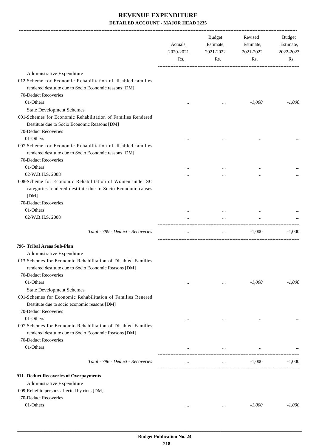|                                                                                                                                               | Actuals,<br>2020-2021<br>Rs. | Budget<br>Estimate,<br>2021-2022<br>Rs. | Revised<br>Estimate,<br>2021-2022<br>Rs. | Budget<br>Estimate,<br>2022-2023<br>Rs. |
|-----------------------------------------------------------------------------------------------------------------------------------------------|------------------------------|-----------------------------------------|------------------------------------------|-----------------------------------------|
| Administrative Expenditure                                                                                                                    |                              |                                         |                                          |                                         |
| 012-Scheme for Economic Rehabilitation of disabled families<br>rendered destitute due to Socio Economic reasons [DM]<br>70-Deduct Recoveries  |                              |                                         |                                          |                                         |
| 01-Others                                                                                                                                     |                              |                                         | $-1,000$                                 | $-1,000$                                |
| <b>State Development Schemes</b>                                                                                                              | $\cdots$                     |                                         |                                          |                                         |
| 001-Schemes for Economic Rehabilitation of Families Rendered                                                                                  |                              |                                         |                                          |                                         |
| Destitute due to Socio Economic Reasons [DM]<br>70-Deduct Recoveries                                                                          |                              |                                         |                                          |                                         |
| 01-Others                                                                                                                                     |                              |                                         |                                          |                                         |
| 007-Scheme for Economic Rehabilitation of disabled families<br>rendered destitute due to Socio Economic reasons [DM]<br>70-Deduct Recoveries  |                              |                                         |                                          |                                         |
| 01-Others                                                                                                                                     |                              |                                         | $\cdots$                                 |                                         |
| 02-W.B.H.S. 2008                                                                                                                              |                              |                                         |                                          |                                         |
| 008-Scheme for Economic Rehabilitation of Women under SC<br>categories rendered destitute due to Socio-Economic causes<br>[DM]                |                              |                                         |                                          |                                         |
| 70-Deduct Recoveries                                                                                                                          |                              |                                         |                                          |                                         |
| 01-Others                                                                                                                                     |                              |                                         |                                          |                                         |
| 02-W.B.H.S. 2008                                                                                                                              |                              |                                         |                                          |                                         |
| Total - 789 - Deduct - Recoveries                                                                                                             | $\cdots$                     | $\cdots$                                | $-1,000$                                 | $-1,000$                                |
| 796- Tribal Areas Sub-Plan                                                                                                                    |                              |                                         |                                          |                                         |
| Administrative Expenditure                                                                                                                    |                              |                                         |                                          |                                         |
| 013-Schemes for Economic Rehabilitation of Disabled Families<br>rendered destitute due to Socio Economic Reasons [DM]<br>70-Deduct Recoveries |                              |                                         |                                          |                                         |
| 01-Others                                                                                                                                     |                              |                                         | $-1,000$                                 | $-1,000$                                |
| <b>State Development Schemes</b>                                                                                                              | $\cdots$                     | $\cdots$                                |                                          |                                         |
| 001-Schemes for Economic Rehabilitation of Families Renered<br>Destitute due to socio economic reasons [DM]<br>70-Deduct Recoveries           |                              |                                         |                                          |                                         |
| 01-Others                                                                                                                                     | $\cdots$                     | $\cdots$                                | $\cdots$                                 |                                         |
| 007-Schemes for Economic Rehabilitation of Disabled Families<br>rendered destitute due to Socio Economic Reasons [DM]<br>70-Deduct Recoveries |                              |                                         |                                          |                                         |
| 01-Others                                                                                                                                     |                              | $\cdots$                                |                                          |                                         |
| Total - 796 - Deduct - Recoveries                                                                                                             | $\cdots$                     | $\ldots$                                | $-1,000$                                 | $-1,000$                                |
|                                                                                                                                               |                              |                                         |                                          |                                         |
| 911- Deduct Recoveries of Overpayments<br>Administrative Expenditure                                                                          |                              |                                         |                                          |                                         |
| 009-Relief to persons affected by riots [DM]                                                                                                  |                              |                                         |                                          |                                         |
| 70-Deduct Recoveries                                                                                                                          |                              |                                         |                                          |                                         |
| 01-Others                                                                                                                                     | $\cdots$                     | $\cdots$                                | $-1,000$                                 | $-1,000$                                |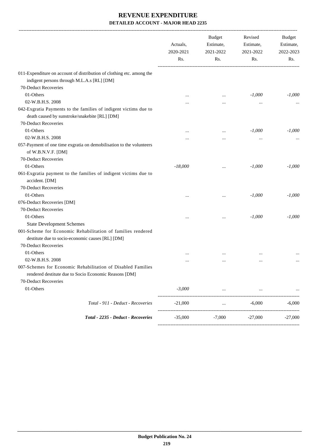|                                                                                                                     | Actuals,<br>2020-2021<br>Rs. | <b>Budget</b><br>Estimate,<br>2021-2022<br>Rs. | Revised<br>Estimate,<br>2021-2022<br>Rs. | Budget<br>Estimate,<br>2022-2023<br>Rs. |
|---------------------------------------------------------------------------------------------------------------------|------------------------------|------------------------------------------------|------------------------------------------|-----------------------------------------|
|                                                                                                                     |                              |                                                |                                          |                                         |
| 011-Expenditure on account of distribution of clothing etc. among the<br>indigent persons through M.L.A.s [RL] [DM] |                              |                                                |                                          |                                         |
| 70-Deduct Recoveries                                                                                                |                              |                                                |                                          |                                         |
| 01-Others                                                                                                           |                              |                                                | $-1,000$                                 | $-1,000$                                |
| 02-W.B.H.S. 2008                                                                                                    |                              |                                                |                                          |                                         |
|                                                                                                                     |                              |                                                |                                          |                                         |
| 042-Exgratia Payments to the families of indigent victims due to<br>death caused by sunstroke/snakebite [RL] [DM]   |                              |                                                |                                          |                                         |
| 70-Deduct Recoveries                                                                                                |                              |                                                |                                          |                                         |
| 01-Others                                                                                                           | $\cdots$                     |                                                | $-1,000$                                 | $-1,000$                                |
| 02-W.B.H.S. 2008                                                                                                    |                              |                                                |                                          |                                         |
| 057-Payment of one time exgratia on demobilisation to the volunteers                                                |                              |                                                |                                          |                                         |
| of W.B.N.V.F. [DM]                                                                                                  |                              |                                                |                                          |                                         |
| 70-Deduct Recoveries                                                                                                |                              |                                                |                                          |                                         |
| 01-Others                                                                                                           | $-18,000$                    |                                                | $-1,000$                                 | $-1,000$                                |
| 061-Exgratia payment to the families of indigent victims due to<br>accident. [DM]                                   |                              |                                                |                                          |                                         |
| 70-Deduct Recoveries                                                                                                |                              |                                                |                                          |                                         |
| 01-Others                                                                                                           | $\cdots$                     |                                                | $-1,000$                                 | $-1,000$                                |
| 076-Deduct Recoveries [DM]                                                                                          |                              |                                                |                                          |                                         |
| 70-Deduct Recoveries                                                                                                |                              |                                                |                                          |                                         |
| 01-Others                                                                                                           |                              |                                                | $-1,000$                                 | $-1,000$                                |
| <b>State Development Schemes</b>                                                                                    |                              |                                                |                                          |                                         |
| 001-Scheme for Economic Rehabilitation of families rendered                                                         |                              |                                                |                                          |                                         |
| destitute due to socio-economic causes [RL] [DM]                                                                    |                              |                                                |                                          |                                         |
| 70-Deduct Recoveries                                                                                                |                              |                                                |                                          |                                         |
| 01-Others                                                                                                           |                              |                                                |                                          |                                         |
| 02-W.B.H.S. 2008                                                                                                    | $\cdots$                     | $\cdots$                                       | $\cdots$                                 |                                         |
| 007-Schemes for Economic Rehabilitation of Disabled Families                                                        |                              |                                                |                                          |                                         |
| rendered destitute due to Socio Economic Reasons [DM]                                                               |                              |                                                |                                          |                                         |
| 70-Deduct Recoveries                                                                                                |                              |                                                |                                          |                                         |
| 01-Others                                                                                                           | $-3,000$                     |                                                |                                          |                                         |
|                                                                                                                     |                              |                                                |                                          |                                         |
| Total - 911 - Deduct - Recoveries                                                                                   | $-21,000$                    |                                                | $-6,000$                                 | $-6,000$                                |
| Total - 2235 - Deduct - Recoveries                                                                                  | $-35,000$                    | $-7,000$                                       | $-27,000$                                | $-27,000$                               |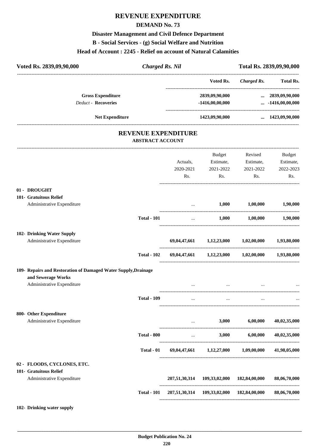# **REVENUE EXPENDITURE**

### **DEMAND No. 73**

### **Disaster Management and Civil Defence Department**

### **B - Social Services - (g) Social Welfare and Nutrition**

### **Head of Account : 2245 - Relief on account of Natural Calamities**

| Voted Rs. 2839,09,90,000                                       |                                                       | <b>Charged Rs. Nil</b>            |                                                          |                     | Total Rs. 2839,09,90,000                           |
|----------------------------------------------------------------|-------------------------------------------------------|-----------------------------------|----------------------------------------------------------|---------------------|----------------------------------------------------|
|                                                                |                                                       |                                   | Voted Rs.                                                |                     | Charged Rs. Total Rs.                              |
| <b>Gross Expenditure</b><br><b>Deduct - Recoveries</b>         |                                                       |                                   | 2839,09,90,000<br>$-1416,00,00,000$                      |                     | $\dots$ 2839,09,90,000<br>$\ldots$ -1416,00,00,000 |
| <b>Net Expenditure</b>                                         |                                                       |                                   | 1423,09,90,000                                           |                     | $\dots$ 1423,09,90,000                             |
|                                                                | <b>REVENUE EXPENDITURE</b><br><b>ABSTRACT ACCOUNT</b> |                                   |                                                          |                     |                                                    |
|                                                                |                                                       |                                   | Budget                                                   | Revised             | Budget                                             |
|                                                                |                                                       | Actuals,                          |                                                          | Estimate, Estimate, | Estimate,                                          |
|                                                                |                                                       | 2020-2021                         | 2021-2022                                                | 2021-2022           | 2022-2023                                          |
|                                                                |                                                       | Rs.                               | Rs.                                                      | Rs.                 | Rs.                                                |
| 01 - DROUGHT                                                   |                                                       |                                   |                                                          |                     |                                                    |
| 101- Gratuitous Relief<br>Administrative Expenditure           |                                                       |                                   |                                                          | $1,000$ $1,00,000$  | 1,90,000                                           |
|                                                                | <b>Total - 101</b>                                    | $\cdots$                          | 1,000                                                    | 1,00,000            | 1,90,000                                           |
| 102- Drinking Water Supply                                     |                                                       |                                   |                                                          |                     |                                                    |
| Administrative Expenditure                                     |                                                       |                                   | 69,04,47,661 1,12,23,000 1,02,00,000                     |                     | 1,93,80,000                                        |
|                                                                | <b>Total - 102</b>                                    |                                   | $69,04,47,661$ $1,12,23,000$ $1,02,00,000$ $1,93,80,000$ |                     |                                                    |
| 109- Repairs and Restoration of Damaged Water Supply, Drainage |                                                       |                                   |                                                          |                     |                                                    |
| and Sewerage Works                                             |                                                       |                                   |                                                          |                     |                                                    |
| Administrative Expenditure                                     |                                                       |                                   | $\cdots$                                                 |                     |                                                    |
|                                                                | <b>Total - 109</b>                                    |                                   |                                                          |                     |                                                    |
| 800- Other Expenditure                                         |                                                       |                                   |                                                          |                     |                                                    |
| Administrative Expenditure                                     |                                                       | $\cdots$<br>--------------------- | 3,000                                                    | 6,00,000            | 40,02,35,000                                       |
|                                                                | <b>Total - 800</b>                                    | $\cdots$                          | 3,000                                                    | 6,00,000            | 40,02,35,000                                       |
|                                                                | Total - 01                                            |                                   | 69,04,47,661 1,12,27,000                                 | 1,09,00,000         | 41,98,05,000                                       |
| 02 - FLOODS, CYCLONES, ETC.                                    |                                                       |                                   |                                                          |                     |                                                    |
| 101- Gratuitous Relief<br>Administrative Expenditure           |                                                       |                                   | 207,51,30,314 109,33,02,000                              | 182,84,00,000       | 88,06,70,000                                       |
|                                                                | <b>Total - 101</b>                                    |                                   | 207,51,30,314 109,33,02,000 182,84,00,000                |                     | 88,06,70,000                                       |
|                                                                |                                                       |                                   |                                                          |                     |                                                    |

### **102- Drinking water supply**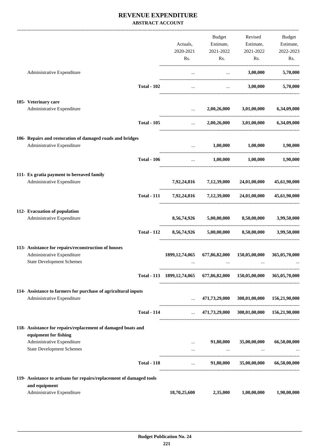|                                                                                              |                                                                                  | Budget                                            |                                           | Revised Budget          |
|----------------------------------------------------------------------------------------------|----------------------------------------------------------------------------------|---------------------------------------------------|-------------------------------------------|-------------------------|
|                                                                                              | Actuals,                                                                         |                                                   | Estimate, Estimate, Estimate,             |                         |
|                                                                                              | 2020-2021<br>Rs.                                                                 | 2021-2022<br>Rs.                                  | 2021-2022                                 | 2022-2023<br>Rs.<br>Rs. |
|                                                                                              |                                                                                  |                                                   |                                           |                         |
| Administrative Expenditure                                                                   | $\cdots$                                                                         | <b>Contract Contract</b>                          | 3,00,000                                  | 5,70,000                |
| <b>Total - 102</b>                                                                           |                                                                                  | and the state of the state of the                 |                                           | 3,00,000 5,70,000       |
| 105- Veterinary care                                                                         |                                                                                  |                                                   |                                           |                         |
| Administrative Expenditure                                                                   |                                                                                  | $2,00,26,000$ $3,01,00,000$ $6,34,09,000$         |                                           |                         |
| <b>Total - 105</b>                                                                           |                                                                                  | $\mathbf{r}$ and $\mathbf{r}$ and $\mathbf{r}$    | $2,00,26,000$ $3,01,00,000$ $6,34,09,000$ |                         |
| 106- Repairs and restoration of damaged roads and bridges                                    |                                                                                  |                                                   |                                           |                         |
| Administrative Expenditure                                                                   |                                                                                  | and the state of the                              | $1,00,000$ $1,00,000$ $1,90,000$          |                         |
| <b>Total - 106</b>                                                                           |                                                                                  | $1,00,000$ $1,00,000$ $1,90,000$                  |                                           |                         |
| 111- Ex gratia payment to bereaved family                                                    |                                                                                  |                                                   |                                           |                         |
| Administrative Expenditure                                                                   |                                                                                  | 7,92,24,816 7,12,39,000 24,01,00,000 45,61,90,000 |                                           |                         |
|                                                                                              | Total - 111 7,92,24,816 7,12,39,000 24,01,00,000                                 |                                                   |                                           | 45,61,90,000            |
| 112- Evacuation of population                                                                |                                                                                  |                                                   |                                           |                         |
| Administrative Expenditure                                                                   |                                                                                  | 8,56,74,926 5,00,00,000 8,50,00,000               |                                           | 3,99,50,000             |
| <b>Total - 112</b>                                                                           |                                                                                  | 8,56,74,926 5,00,00,000                           | 8,50,00,000                               | 3,99,50,000             |
| 113- Assistance for repairs/reconstruction of houses                                         |                                                                                  |                                                   |                                           |                         |
| Administrative Expenditure<br><b>State Development Schemes</b>                               | 1899, 12, 74, 065                                                                | 677,86,82,000                                     | 150,05,00,000                             | 365,05,70,000           |
|                                                                                              |                                                                                  | $\cdots$                                          |                                           |                         |
|                                                                                              | Total - 113 1899, 12, 74, 065 677, 86, 82, 000 150, 05, 00, 000 365, 05, 70, 000 |                                                   |                                           |                         |
| 114- Assistance to farmers for purchase of agricultural inputs<br>Administrative Expenditure | $\mathbf{r}$ , $\mathbf{r}$ , $\mathbf{r}$                                       |                                                   | 471,73,29,000 308,01,00,000 156,21,90,000 |                         |
|                                                                                              |                                                                                  |                                                   |                                           |                         |
| <b>Total - 114</b>                                                                           | $\sim 10^{-10}$                                                                  |                                                   | 471,73,29,000 308,01,00,000 156,21,90,000 |                         |
| 118- Assistance for repairs/replacement of damaged boats and<br>equipment for fishing        |                                                                                  |                                                   |                                           |                         |
| Administrative Expenditure                                                                   | $\cdots$                                                                         | 91,80,000                                         | 35,00,00,000                              | 66,50,00,000            |
| <b>State Development Schemes</b>                                                             | $\cdots$                                                                         |                                                   | $\cdots$                                  |                         |
| <b>Total - 118</b>                                                                           | $\cdots$                                                                         | 91,80,000                                         | 35,00,00,000                              | 66,50,00,000            |
| 119- Assistance to artisans for repairs/replacement of damaged tools                         |                                                                                  |                                                   |                                           |                         |
| and equipment                                                                                |                                                                                  | 2,35,000                                          |                                           |                         |
| Administrative Expenditure                                                                   | 18,70,25,600                                                                     |                                                   | 1,00,00,000                               | 1,90,00,000             |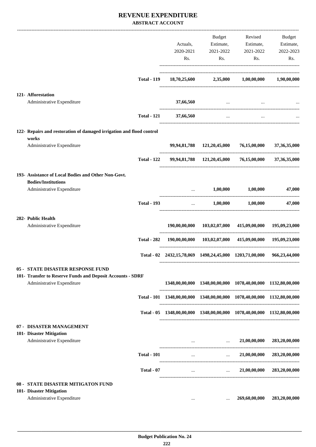|                                                                                          |                    |                                 | Budget                                                                                                                                                                                                                           | Revised                                                                 | Budget          |
|------------------------------------------------------------------------------------------|--------------------|---------------------------------|----------------------------------------------------------------------------------------------------------------------------------------------------------------------------------------------------------------------------------|-------------------------------------------------------------------------|-----------------|
|                                                                                          |                    | Actuals,                        |                                                                                                                                                                                                                                  | Estimate, Estimate,                                                     | Estimate,       |
|                                                                                          |                    | 2020-2021                       | 2021-2022                                                                                                                                                                                                                        | 2021-2022                                                               | 2022-2023       |
|                                                                                          |                    |                                 |                                                                                                                                                                                                                                  |                                                                         |                 |
|                                                                                          |                    | Rs.                             | Rs.                                                                                                                                                                                                                              | Rs.                                                                     | Rs.             |
|                                                                                          | <b>Total - 119</b> |                                 |                                                                                                                                                                                                                                  | $18,70,25,600$ $2,35,000$ $1,00,00,000$                                 | 1,90,00,000     |
|                                                                                          |                    |                                 |                                                                                                                                                                                                                                  |                                                                         |                 |
| 121- Afforestation                                                                       |                    |                                 |                                                                                                                                                                                                                                  |                                                                         |                 |
| Administrative Expenditure                                                               |                    | 37,66,560                       | and the contract of the contract of the                                                                                                                                                                                          |                                                                         |                 |
|                                                                                          | <b>Total - 121</b> | 37,66,560                       | $\sim$ $\sim$                                                                                                                                                                                                                    | $\cdots$                                                                |                 |
| 122- Repairs and restoration of damaged irrigation and flood control                     |                    |                                 |                                                                                                                                                                                                                                  |                                                                         |                 |
| works<br>Administrative Expenditure                                                      |                    |                                 |                                                                                                                                                                                                                                  | 99,94,81,788 121,20,45,000 76,15,00,000                                 | 37, 36, 35, 000 |
|                                                                                          | <b>Total - 122</b> |                                 |                                                                                                                                                                                                                                  | 99,94,81,788 121,20,45,000 76,15,00,000 37,36,35,000                    |                 |
| 193- Assistance of Local Bodies and Other Non-Govt.                                      |                    |                                 |                                                                                                                                                                                                                                  |                                                                         |                 |
| <b>Bodies/Institutions</b>                                                               |                    |                                 |                                                                                                                                                                                                                                  |                                                                         |                 |
| Administrative Expenditure                                                               |                    |                                 | $\ldots$ 1,00,000 1,00,000                                                                                                                                                                                                       |                                                                         | 47,000          |
|                                                                                          | <b>Total - 193</b> |                                 |                                                                                                                                                                                                                                  | $\dots$ 1,00,000 1,00,000                                               | 47,000          |
| 282- Public Health                                                                       |                    |                                 |                                                                                                                                                                                                                                  |                                                                         |                 |
| Administrative Expenditure                                                               |                    |                                 |                                                                                                                                                                                                                                  | 190,00,00,000 103,02,07,000 415,09,00,000 195,09,23,000                 |                 |
|                                                                                          | <b>Total - 282</b> |                                 |                                                                                                                                                                                                                                  | 190,00,00,000 103,02,07,000 415,09,00,000 195,09,23,000                 |                 |
|                                                                                          |                    |                                 |                                                                                                                                                                                                                                  | Total - 02 2432,15,78,069 1498,24,45,000 1203,71,00,000 966,23,44,000   |                 |
| <b>05 - STATE DISASTER RESPONSE FUND</b>                                                 |                    |                                 |                                                                                                                                                                                                                                  |                                                                         |                 |
| 101- Transfer to Reserve Funds and Deposit Accounts - SDRF<br>Administrative Expenditure |                    |                                 |                                                                                                                                                                                                                                  | 1348,00,00,000 1348,00,00,000 1078,40,00,000 1132,80,00,000             |                 |
|                                                                                          |                    |                                 |                                                                                                                                                                                                                                  | Total - 101 1348,00,00,000 1348,00,00,000 1078,40,00,000 1132,80,00,000 |                 |
|                                                                                          |                    |                                 |                                                                                                                                                                                                                                  | Total - 05 1348,00,00,000 1348,00,00,000 1078,40,00,000 1132,80,00,000  |                 |
| 07 - DISASTER MANAGEMENT                                                                 |                    |                                 |                                                                                                                                                                                                                                  |                                                                         |                 |
| 101- Disaster Mitigation                                                                 |                    |                                 |                                                                                                                                                                                                                                  |                                                                         |                 |
| Administrative Expenditure                                                               |                    |                                 | $\cdots$ . The contract of the contract of the contract of the contract of the contract of the contract of the contract of the contract of the contract of the contract of the contract of the contract of the contract of the c | $\ldots$ 21,00,00,000                                                   | 283,20,00,000   |
|                                                                                          |                    |                                 |                                                                                                                                                                                                                                  |                                                                         |                 |
|                                                                                          | <b>Total - 101</b> |                                 | and the state of the state of the state of                                                                                                                                                                                       | 21,00,00,000                                                            | 283,20,00,000   |
|                                                                                          | Total - 07         | $\mathbf{a}$ , and $\mathbf{a}$ | <b>Sales Control</b>                                                                                                                                                                                                             | 21,00,00,000                                                            | 283,20,00,000   |
| 08 - STATE DISASTER MITIGATON FUND                                                       |                    |                                 |                                                                                                                                                                                                                                  |                                                                         |                 |
| 101- Disaster Mitigation                                                                 |                    |                                 |                                                                                                                                                                                                                                  |                                                                         |                 |
| Administrative Expenditure                                                               |                    | $\cdots$                        | $\cdots$                                                                                                                                                                                                                         | 269,60,00,000                                                           | 283,20,00,000   |
|                                                                                          |                    |                                 |                                                                                                                                                                                                                                  |                                                                         |                 |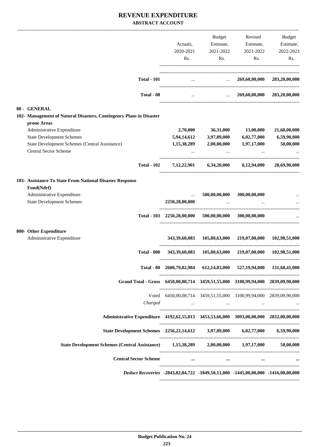|                                                                                              |                                                                     | Budget               | Revised                                                                                               | Budget        |
|----------------------------------------------------------------------------------------------|---------------------------------------------------------------------|----------------------|-------------------------------------------------------------------------------------------------------|---------------|
|                                                                                              | Actuals,                                                            | Estimate,            | Estimate,                                                                                             | Estimate,     |
|                                                                                              | 2020-2021                                                           | 2021-2022            | 2021-2022                                                                                             | 2022-2023     |
|                                                                                              | Rs.                                                                 | Rs.                  | Rs.                                                                                                   | Rs.           |
| <b>Total - 101</b>                                                                           |                                                                     |                      | $\ldots$ 269,60,00,000                                                                                | 283,20,00,000 |
| Total - 08                                                                                   | $\ddotsc$                                                           |                      | $269,60,00,000$ $283,20,00,000$                                                                       |               |
|                                                                                              |                                                                     |                      |                                                                                                       |               |
| <b>80 - GENERAL</b><br>102- Management of Natural Disasters, Contingency Plans in Disaster   |                                                                     |                      |                                                                                                       |               |
| prone Areas                                                                                  |                                                                     |                      |                                                                                                       |               |
| Administrative Expenditure                                                                   | 2,70,000                                                            | 36,31,000            | 13,00,000                                                                                             | 21,60,00,000  |
| <b>State Development Schemes</b>                                                             | 5,94,14,612                                                         | 3,97,89,000          | 6,02,77,000                                                                                           | 6,59,90,000   |
| State Development Schemes (Central Assistance)                                               | 1,15,38,289                                                         | 2,00,00,000          | 1,97,17,000                                                                                           | 50,00,000     |
| <b>Central Sector Scheme</b>                                                                 |                                                                     |                      |                                                                                                       |               |
| <b>Total - 102</b>                                                                           |                                                                     |                      | $7,12,22,901$ $6,34,20,000$ $8,12,94,000$                                                             | 28,69,90,000  |
| 103- Assistance To State From National Disaster Response                                     |                                                                     |                      |                                                                                                       |               |
| Fund(Ndrf)                                                                                   |                                                                     |                      |                                                                                                       |               |
| Administrative Expenditure                                                                   | $\cdots$                                                            | 500,00,00,000        | 300,00,00,000                                                                                         |               |
| <b>State Development Schemes</b>                                                             | 2250,28,00,000                                                      | $\ddotsc$            |                                                                                                       |               |
|                                                                                              | Total - 103 2250,28,00,000 500,00,00,000 300,00,00,000              |                      |                                                                                                       |               |
| 800- Other Expenditure                                                                       |                                                                     |                      |                                                                                                       |               |
| Administrative Expenditure                                                                   | 343,39,60,083                                                       |                      | 105,80,63,000 219,07,00,000                                                                           | 102,98,51,000 |
| <b>Total - 800</b>                                                                           |                                                                     |                      | 343,39,60,083 105,80,63,000 219,07,00,000 102,98,51,000                                               |               |
|                                                                                              | Total - 80 2600,79,82,984 612,14,83,000 527,19,94,000 131,68,41,000 |                      |                                                                                                       |               |
| Grand Total - Gross 6450,00,08,714 3459,51,55,000 3100,99,94,000 2839,09,90,000              |                                                                     |                      |                                                                                                       |               |
|                                                                                              | Voted 6450,00,08,714 3459,51,55,000 3100,99,94,000 2839,09,90,000   |                      |                                                                                                       |               |
| Charged                                                                                      |                                                                     |                      | the company of the company of the company of the company of the company of the company of the company |               |
| Administrative Expenditure 4192,62,55,813 3453,53,66,000 3093,00,00,000 2832,00,00,000       |                                                                     |                      |                                                                                                       |               |
| State Development Schemes 2256,22,14,612 3,97,89,000 6,02,77,000 6,59,90,000                 |                                                                     |                      |                                                                                                       |               |
| State Development Schemes (Central Assistance) 1,15,38,289 2,00,00,000 1,97,17,000 50,00,000 |                                                                     |                      |                                                                                                       |               |
| <b>Central Sector Scheme</b>                                                                 |                                                                     | $\cdots$<br>$\cdots$ | $\cdots$                                                                                              |               |
| Deduct Recoveries -2843,82,04,722 -1849,50,11,000 -1445,00,00,000 -1416,00,00,000            |                                                                     |                      |                                                                                                       |               |
|                                                                                              |                                                                     |                      |                                                                                                       |               |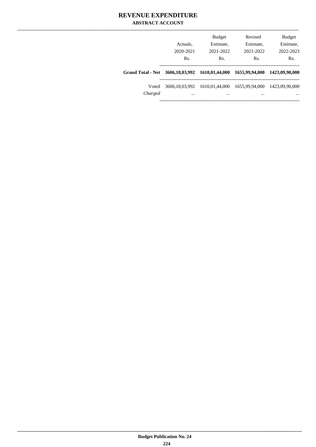|                          | Actuals.<br>2020-2021<br>Rs. | <b>Budget</b><br>Estimate,<br>2021-2022<br>Rs. | Revised<br>Estimate,<br>2021-2022<br>Rs. | <b>Budget</b><br>Estimate,<br>2022-2023<br>Rs. |
|--------------------------|------------------------------|------------------------------------------------|------------------------------------------|------------------------------------------------|
| <b>Grand Total - Net</b> |                              | 3606,18,03,992 1610,01,44,000                  | 1655,99,94,000                           | 1423,09.90,000                                 |
| Voted<br>Charged         | 3606.18.03.992<br>$\cdots$   | 1610,01,44,000<br>                             | 1655.99.94.000<br>                       | 1423,09.90,000<br>$\cdots$                     |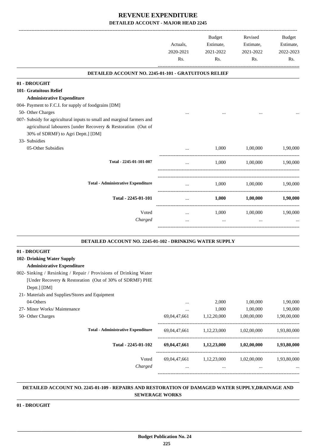|                                                                                                                                                                                                                                                           | Actuals,<br>2020-2021<br>Rs. | Budget<br>Estimate,<br>2021-2022<br>Rs. | Revised<br>Estimate,<br>2021-2022<br>Rs. | <b>Budget</b><br>Estimate,<br>2022-2023<br>Rs. |
|-----------------------------------------------------------------------------------------------------------------------------------------------------------------------------------------------------------------------------------------------------------|------------------------------|-----------------------------------------|------------------------------------------|------------------------------------------------|
| DETAILED ACCOUNT NO. 2245-01-101 - GRATUITOUS RELIEF                                                                                                                                                                                                      |                              |                                         |                                          |                                                |
| 01 - DROUGHT<br>101- Gratuitous Relief<br><b>Administrative Expenditure</b>                                                                                                                                                                               |                              |                                         |                                          |                                                |
| 004- Payment to F.C.I. for supply of foodgrains [DM]<br>50- Other Charges<br>007- Subsidy for agricultural inputs to small and marginal farmers and<br>agricultural labourers [under Recovery & Restoration (Out of<br>30% of SDRMF) to Agri Deptt.] [DM] |                              |                                         |                                          |                                                |
| 33- Subsidies<br>05-Other Subsidies                                                                                                                                                                                                                       |                              | 1,000                                   | 1,00,000                                 | 1.90.000                                       |
| Total - 2245-01-101-007                                                                                                                                                                                                                                   | $\ddotsc$                    | 1,000                                   | 1,00,000                                 | 1.90.000                                       |
| <b>Total - Administrative Expenditure</b>                                                                                                                                                                                                                 | $\cdots$                     | 1,000                                   | 1,00,000                                 | 1,90,000                                       |
| Total - 2245-01-101                                                                                                                                                                                                                                       | $\cdots$                     | $1,\!000$                               | $1{,}00{,}000$                           | 1,90,000                                       |
| Voted<br>Charged                                                                                                                                                                                                                                          | $\cdots$                     | 1,000<br>$\cdots$                       | 1,00,000<br>$\cdots$                     | 1,90,000                                       |

#### **DETAILED ACCOUNT NO. 2245-01-102 - DRINKING WATER SUPPLY .**

### **01 - DROUGHT**

### **102- Drinking Water Supply**

### **Administrative Expenditure**

- 002- Sinking / Resinking / Repair / Provisions of Drinking Water [Under Recovery & Restoration (Out of 30% of SDRMF) PHE Deptt.] [DM]
- 21- Materials and Supplies/Stores and Equipment

| 04-Others                    |                                           | $\cdots$     | 2.000       | 1,00,000    | 1,90,000    |
|------------------------------|-------------------------------------------|--------------|-------------|-------------|-------------|
| 27- Minor Works/ Maintenance |                                           | $\cdots$     | 1,000       | 1,00,000    | 1,90,000    |
| 50- Other Charges            |                                           | 69,04,47,661 | 1,12,20,000 | 1,00,00,000 | 1,90,00,000 |
|                              | <b>Total - Administrative Expenditure</b> | 69,04,47,661 | 1.12.23.000 | 1,02,00,000 | 1,93,80,000 |
|                              | Total - 2245-01-102                       | 69,04,47,661 | 1,12,23,000 | 1,02,00,000 | 1,93,80,000 |
|                              | Voted                                     | 69,04,47,661 | 1.12.23.000 | 1,02,00,000 | 1,93,80,000 |
|                              | Charged                                   | $\cdots$     | $\cdots$    | $\cdots$    | $\cdots$    |
|                              |                                           |              |             |             |             |

#### **DETAILED ACCOUNT NO. 2245-01-109 - REPAIRS AND RESTORATION OF DAMAGED WATER SUPPLY,DRAINAGE AND SEWERAGE WORKS .**

.

### **01 - DROUGHT**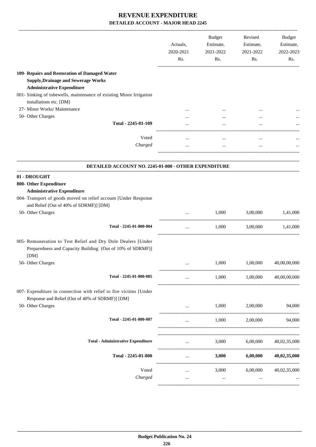|                                                                                                                                   | Actuals,<br>2020-2021<br>Rs. | Budget<br>Estimate,<br>2021-2022<br>Rs. | Revised<br>Estimate,<br>2021-2022<br>Rs. | <b>Budget</b><br>Estimate,<br>2022-2023<br>Rs. |
|-----------------------------------------------------------------------------------------------------------------------------------|------------------------------|-----------------------------------------|------------------------------------------|------------------------------------------------|
| 109- Repairs and Restoration of Damaged Water<br><b>Supply, Drainage and Sewerage Works</b><br><b>Administrative Expenditure</b>  |                              |                                         |                                          |                                                |
| 001- Sinking of tubewells, maintenance of existing Minor Irrigation<br>installations etc. [DM]                                    |                              |                                         |                                          |                                                |
| 27- Minor Works/ Maintenance                                                                                                      |                              |                                         |                                          |                                                |
| 50- Other Charges                                                                                                                 |                              |                                         |                                          |                                                |
| Total - 2245-01-109                                                                                                               |                              |                                         |                                          |                                                |
| Voted                                                                                                                             | $\cdots$                     | $\cdots$                                | $\cdots$                                 |                                                |
| Charged                                                                                                                           | $\cdots$                     | $\cdots$                                | $\cdots$                                 |                                                |
| DETAILED ACCOUNT NO. 2245-01-800 - OTHER EXPENDITURE                                                                              |                              |                                         |                                          |                                                |
| 01 - DROUGHT                                                                                                                      |                              |                                         |                                          |                                                |
| 800- Other Expenditure<br><b>Administrative Expenditure</b><br>004- Transport of goods moved on relief account [Under Response    |                              |                                         |                                          |                                                |
| and Relief (Out of 40% of SDRMF)] [DM]                                                                                            |                              |                                         |                                          |                                                |
| 50- Other Charges                                                                                                                 |                              | 1,000                                   | 3,00,000                                 | 1,41,000                                       |
| Total - 2245-01-800-004                                                                                                           | $\cdots$                     | 1,000                                   | 3,00,000                                 | 1,41,000                                       |
| 005- Remuneration to Test Relief and Dry Dole Dealers [Under<br>Preparedness and Capacity Building (Out of 10% of SDRMF)]<br>[DM] |                              |                                         |                                          |                                                |
| 50- Other Charges                                                                                                                 | $\ddotsc$                    | 1,000                                   | 1,00,000                                 | 40,00,00,000                                   |
| Total - 2245-01-800-005                                                                                                           |                              | 1,000                                   | 1.00.000                                 | 40,00,00,000                                   |
| 007- Expenditure in connection with relief to fire victims [Under<br>Response and Relief (Out of 40% of SDRMF)] [DM]              |                              |                                         |                                          |                                                |
| 50- Other Charges                                                                                                                 | and the state of the         | 1,000                                   | 2,00,000                                 | 94,000                                         |
| Total - 2245-01-800-007                                                                                                           | $\ddotsc$                    | 1,000                                   | 2,00,000                                 | 94,000                                         |
| <b>Total - Administrative Expenditure</b>                                                                                         | $\cdots$                     | 3,000                                   | 6,00,000                                 | 40,02,35,000                                   |
| Total - 2245-01-800                                                                                                               | $\cdots$                     | 3,000                                   | 6,00,000                                 | 40,02,35,000                                   |
| Voted                                                                                                                             | $\cdots$                     | 3,000                                   | 6,00,000                                 | 40,02,35,000                                   |
| Charged                                                                                                                           | $\cdots$                     | $\ldots$                                | $\cdots$                                 |                                                |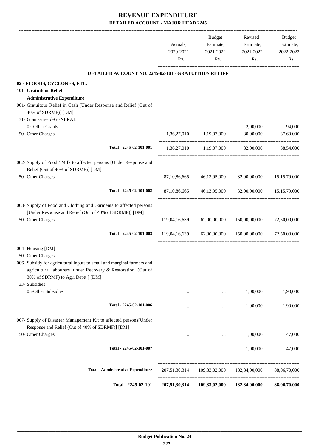|                                                                                                                                                                              | Actuals,<br>2020-2021<br>Rs. | <b>Budget</b><br>Estimate,<br>2021-2022<br>Rs. | Revised<br>Estimate,<br>2021-2022<br>Rs.               | <b>Budget</b><br>Estimate,<br>2022-2023<br>Rs. |
|------------------------------------------------------------------------------------------------------------------------------------------------------------------------------|------------------------------|------------------------------------------------|--------------------------------------------------------|------------------------------------------------|
| DETAILED ACCOUNT NO. 2245-02-101 - GRATUITOUS RELIEF                                                                                                                         |                              |                                                |                                                        |                                                |
| 02 - FLOODS, CYCLONES, ETC.                                                                                                                                                  |                              |                                                |                                                        |                                                |
| 101- Gratuitous Relief<br><b>Administrative Expenditure</b>                                                                                                                  |                              |                                                |                                                        |                                                |
| 001- Gratuitous Relief in Cash [Under Response and Relief (Out of<br>40% of SDRMF)] [DM]                                                                                     |                              |                                                |                                                        |                                                |
| 31- Grants-in-aid-GENERAL                                                                                                                                                    |                              |                                                |                                                        |                                                |
| 02-Other Grants<br>50- Other Charges                                                                                                                                         | 1,36,27,010                  | 1,19,07,000                                    | 2,00,000<br>80,00,000                                  | 94,000<br>37,60,000                            |
| Total - 2245-02-101-001                                                                                                                                                      |                              | 1,36,27,010 1,19,07,000                        | 82,00,000                                              | 38,54,000                                      |
| 002- Supply of Food / Milk to affected persons [Under Response and<br>Relief (Out of 40% of SDRMF)] [DM]                                                                     |                              |                                                |                                                        |                                                |
| 50- Other Charges                                                                                                                                                            | 87, 10, 86, 665              |                                                | 46,13,95,000 32,00,00,000                              | 15, 15, 79, 000                                |
| Total - 2245-02-101-002                                                                                                                                                      |                              |                                                | 87,10,86,665 46,13,95,000 32,00,00,000 15,15,79,000    |                                                |
| 003- Supply of Food and Clothing and Garments to affected persons<br>[Under Response and Relief (Out of 40% of SDRMF)] [DM]                                                  |                              |                                                |                                                        |                                                |
| 50- Other Charges                                                                                                                                                            | 119,04,16,639                | 62,00,00,000                                   | 150,00,00,000                                          | 72,50,00,000                                   |
| Total - 2245-02-101-003                                                                                                                                                      | 119,04,16,639                | 62,00,00,000                                   | 150,00,00,000                                          | 72,50,00,000                                   |
| 004- Housing [DM]<br>50- Other Charges                                                                                                                                       |                              |                                                |                                                        |                                                |
| 006- Subsidy for agricultural inputs to small and marginal farmers and<br>agricultural labourers [under Recovery & Restoration (Out of<br>30% of SDRMF) to Agri Deptt.] [DM] |                              |                                                |                                                        |                                                |
| 33- Subsidies<br>05-Other Subsidies                                                                                                                                          | $\cdots$                     |                                                | 1,00,000<br>and the state of the state of              | 1,90,000                                       |
| Total - 2245-02-101-006                                                                                                                                                      | $\cdots$                     | $\sim 10^{-10}$                                | 1,00,000                                               | 1,90,000                                       |
| 007- Supply of Disaster Management Kit to affected persons[Under<br>Response and Relief (Out of 40% of SDRMF)] [DM]                                                          |                              |                                                |                                                        |                                                |
| 50- Other Charges                                                                                                                                                            | $\cdots$                     | the contract of the contract of the            | 1,00,000                                               | 47,000                                         |
| Total - 2245-02-101-007                                                                                                                                                      | $\cdots$                     |                                                | 1,00,000<br>and the state of the                       | 47,000                                         |
| <b>Total - Administrative Expenditure</b>                                                                                                                                    |                              |                                                | 207,51,30,314 109,33,02,000 182,84,00,000 88,06,70,000 |                                                |
|                                                                                                                                                                              |                              |                                                |                                                        |                                                |
| Total - 2245-02-101                                                                                                                                                          |                              |                                                | 207,51,30,314 109,33,02,000 182,84,00,000 88,06,70,000 |                                                |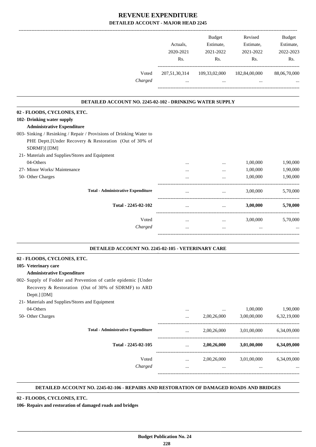|                                                                        | Actuals,<br>2020-2021<br>Rs. | <b>Budget</b><br>Estimate,<br>2021-2022<br>Rs.     | Revised<br>Estimate,<br>2021-2022<br>Rs. | <b>Budget</b><br>Estimate,<br>2022-2023<br>Rs. |
|------------------------------------------------------------------------|------------------------------|----------------------------------------------------|------------------------------------------|------------------------------------------------|
| Voted<br>Charged                                                       | 207,51,30,314<br>$\cdots$    | 109,33,02,000<br>$\cdots$                          | 182,84,00,000<br>$\cdots$                | 88,06,70,000                                   |
| DETAILED ACCOUNT NO. 2245-02-102 - DRINKING WATER SUPPLY               |                              |                                                    |                                          |                                                |
| 02 - FLOODS, CYCLONES, ETC.                                            |                              |                                                    |                                          |                                                |
| 102- Drinking water supply                                             |                              |                                                    |                                          |                                                |
| <b>Administrative Expenditure</b>                                      |                              |                                                    |                                          |                                                |
| 003- Sinking / Resinking / Repair / Provisions of Drinking Water to    |                              |                                                    |                                          |                                                |
| PHE Deptt.[Under Recovery & Restoration (Out of 30% of<br>SDRMF)] [DM] |                              |                                                    |                                          |                                                |
| 21- Materials and Supplies/Stores and Equipment                        |                              |                                                    |                                          |                                                |
| 04-Others                                                              |                              |                                                    | 1,00,000                                 | 1,90,000                                       |
| 27- Minor Works/ Maintenance                                           | $\cdots$                     | $\cdots$                                           | 1,00,000                                 | 1,90,000                                       |
| 50- Other Charges                                                      |                              | $\cdots$                                           | 1,00,000                                 | 1,90,000                                       |
| <b>Total - Administrative Expenditure</b>                              |                              | $\cdots$                                           | 3,00,000                                 | 5,70,000                                       |
| Total - 2245-02-102                                                    | $\cdots$                     | --------------------------------------<br>$\cdots$ | 3,00,000                                 | 5,70,000                                       |
| Voted                                                                  | $\cdots$                     | $\cdots$                                           | 3,00,000                                 | 5,70,000                                       |
| Charged                                                                |                              | $\ddotsc$                                          |                                          |                                                |
|                                                                        |                              |                                                    |                                          |                                                |

**.**

### **02 - FLOODS, CYCLONES, ETC.**

**105- Veterinary care**

### **Administrative Expenditure**

- 002- Supply of Fodder and Prevention of cattle epidemic [Under Recovery & Restoration (Out of 30% of SDRMF) to ARD Deptt.] [DM]
- 21- Materials and Supplies/Stores and Equipment

| 04-Others         |                                           |          |             | 1,00,000    | 1,90,000    |
|-------------------|-------------------------------------------|----------|-------------|-------------|-------------|
| 50- Other Charges |                                           |          | 2,00,26,000 | 3,00,00,000 | 6,32,19,000 |
|                   | <b>Total - Administrative Expenditure</b> | $\cdots$ | 2,00,26,000 | 3,01,00,000 | 6,34,09,000 |
|                   | Total - 2245-02-105                       | $\cdots$ | 2,00,26,000 | 3,01,00,000 | 6,34,09,000 |
|                   | Voted                                     | $\cdots$ | 2,00,26,000 | 3,01,00,000 | 6,34,09,000 |
|                   | Charged                                   |          | $\cdots$    | $\cdots$    | $\cdots$    |
|                   |                                           |          |             |             |             |

.

#### **DETAILED ACCOUNT NO. 2245-02-106 - REPAIRS AND RESTORATION OF DAMAGED ROADS AND BRIDGES .**

### **02 - FLOODS, CYCLONES, ETC.**

**106- Repairs and restoration of damaged roads and bridges**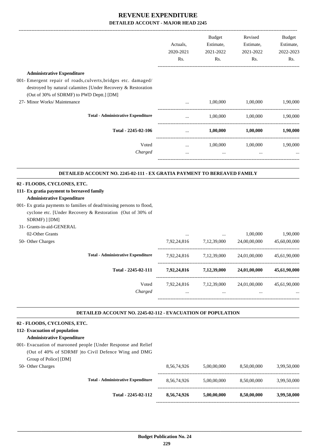|                                                                                                                                                                             | Actuals,<br>2020-2021<br>Rs. | <b>Budget</b><br>Estimate,<br>2021-2022<br>Rs. | Revised<br>Estimate,<br>2021-2022<br>Rs. | <b>Budget</b><br>Estimate,<br>2022-2023<br>Rs.           |
|-----------------------------------------------------------------------------------------------------------------------------------------------------------------------------|------------------------------|------------------------------------------------|------------------------------------------|----------------------------------------------------------|
| <b>Administrative Expenditure</b>                                                                                                                                           |                              |                                                |                                          |                                                          |
| 001- Emergent repair of roads, culverts, bridges etc. damaged/<br>destroyed by natural calamites [Under Recovery & Restoration<br>(Out of 30% of SDRMF) to PWD Deptt.] [DM] |                              |                                                |                                          |                                                          |
| 27- Minor Works/ Maintenance                                                                                                                                                | $\overline{a}$               | 1,00,000                                       | 1,00,000                                 | 1,90,000                                                 |
| <b>Total - Administrative Expenditure</b>                                                                                                                                   | $\cdots$                     | 1,00,000                                       | 1,00,000                                 | 1,90,000                                                 |
| Total - 2245-02-106                                                                                                                                                         | $\cdots$                     | 1,00,000                                       | 1,00,000                                 | 1,90,000                                                 |
| Voted<br>Charged                                                                                                                                                            | $\cdots$<br>$\cdots$         | 1,00,000<br>$\ddotsc$                          | 1,00,000                                 | 1,90,000                                                 |
| <b>DETAILED ACCOUNT NO. 2245-02-111 - EX GRATIA PAYMENT TO BEREAVED FAMILY</b>                                                                                              |                              |                                                |                                          |                                                          |
| 02 - FLOODS, CYCLONES, ETC.                                                                                                                                                 |                              |                                                |                                          |                                                          |
| 111- Ex gratia payment to bereaved family                                                                                                                                   |                              |                                                |                                          |                                                          |
| <b>Administrative Expenditure</b><br>001- Ex gratia payments to families of dead/missing persons to flood,<br>cyclone etc. [Under Recovery & Restoration (Out of 30% of     |                              |                                                |                                          |                                                          |
| SDRMF) ] [DM]                                                                                                                                                               |                              |                                                |                                          |                                                          |
| 31- Grants-in-aid-GENERAL                                                                                                                                                   |                              |                                                |                                          |                                                          |
| 02-Other Grants<br>50- Other Charges                                                                                                                                        | 7,92,24,816                  | $\ldots$<br>7,12,39,000                        | 1,00,000<br>24,00,00,000                 |                                                          |
| <b>Total - Administrative Expenditure</b>                                                                                                                                   | 7,92,24,816                  | 7,12,39,000                                    | 24,01,00,000                             |                                                          |
| Total - 2245-02-111                                                                                                                                                         | 7,92,24,816 7,12,39,000      |                                                | 24,01,00,000                             | 1,90,000<br>45,60,00,000<br>45,61,90,000<br>45,61,90,000 |

#### **DETAILED ACCOUNT NO. 2245-02-112 - EVACUATION OF POPULATION .**

### **02 - FLOODS, CYCLONES, ETC.**

### **112- Evacuation of population Administrative Expenditure**

- 001- Evacuation of marooned people [Under Response and Relief (Out of 40% of SDRMF )to Civil Defence Wing and DMG Group of Police] [DM]
- 50- Other Charges

| Total - 2245-02-112                       | 8,56,74,926 | 5,00,00,000 | 8,50,00,000 | 3,99,50,000 |
|-------------------------------------------|-------------|-------------|-------------|-------------|
| <b>Total - Administrative Expenditure</b> | 8.56.74.926 | 5,00,00,000 | 8,50,00,000 | 3,99,50,000 |
|                                           | 8.56.74.926 | 5,00,00,000 | 8,50,00,000 | 3,99,50,000 |
|                                           |             |             |             |             |

.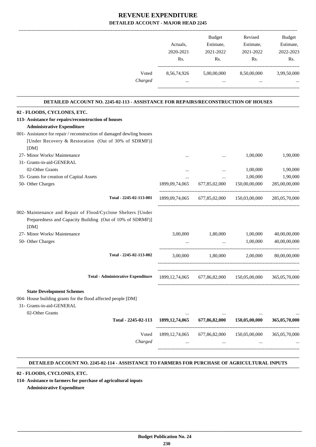|                                                                                    |                   | Budget                  | Revised                     | Budget        |
|------------------------------------------------------------------------------------|-------------------|-------------------------|-----------------------------|---------------|
|                                                                                    | Actuals,          | Estimate,               | Estimate,                   | Estimate,     |
|                                                                                    | 2020-2021         | 2021-2022               | 2021-2022                   | 2022-2023     |
|                                                                                    | Rs.               | Rs.                     | Rs.                         | Rs.           |
| Voted<br>Charged                                                                   | 8,56,74,926       | 5,00,00,000<br>$\cdots$ | 8,50,00,000                 | 3,99,50,000   |
| DETAILED ACCOUNT NO. 2245-02-113 - ASSISTANCE FOR REPAIRS/RECONSTRUCTION OF HOUSES |                   |                         |                             |               |
| 02 - FLOODS, CYCLONES, ETC.                                                        |                   |                         |                             |               |
| 113- Assistance for repairs/reconstruction of houses                               |                   |                         |                             |               |
| <b>Administrative Expenditure</b>                                                  |                   |                         |                             |               |
| 001- Assistance for repair / reconstruction of damaged dewling houses              |                   |                         |                             |               |
| [Under Recovery & Restoration (Out of 30% of SDRMF)]                               |                   |                         |                             |               |
| [DM]                                                                               |                   |                         |                             |               |
| 27- Minor Works/ Maintenance                                                       |                   | $\cdots$                | 1,00,000                    | 1,90,000      |
| 31- Grants-in-aid-GENERAL                                                          |                   |                         |                             |               |
| 02-Other Grants                                                                    | $\cdots$          | $\cdots$                | 1,00,000                    | 1,90,000      |
| 35- Grants for creation of Capital Assets                                          | $\cdots$          | $\cdots$                | 1,00,000                    | 1,90,000      |
| 50- Other Charges                                                                  | 1899,09,74,065    | 677,85,02,000           | 150,00,00,000               | 285,00,00,000 |
| Total - 2245-02-113-001                                                            | 1899,09,74,065    |                         | 677,85,02,000 150,03,00,000 | 285,05,70,000 |
| 002- Maintenance and Repair of Flood/Cyclone Shelters [Under                       |                   |                         |                             |               |
| Preparedness and Capacity Building (Out of 10% of SDRMF)]<br>[DM]                  |                   |                         |                             |               |
| 27- Minor Works/ Maintenance                                                       | 3,00,000          | 1,80,000                | 1,00,000                    | 40,00,00,000  |
| 50- Other Charges                                                                  |                   | $\ddotsc$               | 1,00,000                    | 40,00,00,000  |
| Total - 2245-02-113-002                                                            | 3,00,000          | 1,80,000                | 2,00,000                    | 80,00,00,000  |
|                                                                                    |                   |                         |                             |               |
| <b>Total - Administrative Expenditure</b>                                          | 1899, 12, 74, 065 |                         | 677,86,82,000 150,05,00,000 | 365,05,70,000 |
| <b>State Development Schemes</b>                                                   |                   |                         |                             |               |
| 004- House building grants for the flood affected people [DM]                      |                   |                         |                             |               |
| 31- Grants-in-aid-GENERAL                                                          |                   |                         |                             |               |
| 02-Other Grants                                                                    | $\cdots$          |                         |                             |               |
| Total - 2245-02-113                                                                | 1899, 12, 74, 065 | 677,86,82,000           | 150,05,00,000               | 365,05,70,000 |
|                                                                                    |                   |                         |                             |               |
| Voted                                                                              | 1899, 12, 74, 065 | 677,86,82,000           | 150,05,00,000               | 365,05,70,000 |
| Charged                                                                            | $\cdots$          | $\cdots$                |                             |               |
|                                                                                    |                   |                         |                             |               |

#### **DETAILED ACCOUNT NO. 2245-02-114 - ASSISTANCE TO FARMERS FOR PURCHASE OF AGRICULTURAL INPUTS .**

### **02 - FLOODS, CYCLONES, ETC.**

**114- Assistance to farmers for purchase of agricultural inputs**

**Administrative Expenditure**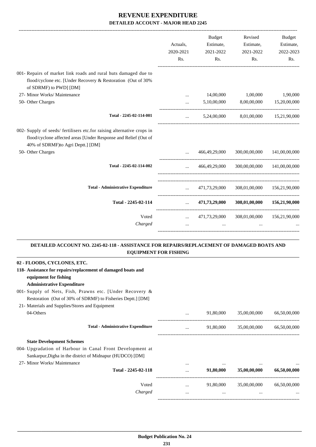|                                                                                                                                                                                |                       | Budget                    | Revised                                         | <b>Budget</b>            |
|--------------------------------------------------------------------------------------------------------------------------------------------------------------------------------|-----------------------|---------------------------|-------------------------------------------------|--------------------------|
|                                                                                                                                                                                | Actuals,<br>2020-2021 | Estimate,<br>2021-2022    | Estimate,<br>2021-2022                          | Estimate,<br>2022-2023   |
|                                                                                                                                                                                | Rs.                   | Rs.                       | Rs.                                             | Rs.                      |
| 001- Repairs of market link roads and rural huts damaged due to                                                                                                                |                       |                           |                                                 |                          |
| flood/cyclone etc. [Under Recovery & Restoration (Out of 30%<br>of SDRMF) to PWD] [DM]                                                                                         |                       |                           |                                                 |                          |
| 27- Minor Works/ Maintenance                                                                                                                                                   | $\cdots$              | 14,00,000                 | 1,00,000                                        | 1,90,000                 |
| 50- Other Charges                                                                                                                                                              | $\cdots$              | 5,10,00,000               | 8,00,00,000                                     | 15,20,00,000             |
| Total - 2245-02-114-001                                                                                                                                                        | $\cdots$              | 5,24,00,000               |                                                 | 8,01,00,000 15,21,90,000 |
| 002- Supply of seeds/ fertilisers etc.for raising alternative crops in<br>flood/cyclone affected areas [Under Response and Relief (Out of<br>40% of SDRMF)to Agri Deptt.] [DM] |                       |                           |                                                 |                          |
| 50- Other Charges                                                                                                                                                              |                       | 466,49,29,000             | 300,00,00,000 141,00,00,000                     |                          |
| Total - 2245-02-114-002                                                                                                                                                        | $\cdots$              | 466,49,29,000             | 300,00,00,000 141,00,00,000                     |                          |
| <b>Total - Administrative Expenditure</b>                                                                                                                                      | $\mathbf{r}$          | 471,73,29,000             | 308,01,00,000 156,21,90,000                     |                          |
| Total - 2245-02-114                                                                                                                                                            |                       |                           | $471,73,29,000$ $308,01,00,000$ $156,21,90,000$ |                          |
| Voted<br>Charged                                                                                                                                                               | <b>Sales Control</b>  | 471,73,29,000<br>$\cdots$ | 308,01,00,000 156,21,90,000                     |                          |
|                                                                                                                                                                                |                       |                           |                                                 |                          |

#### **DETAILED ACCOUNT NO. 2245-02-118 - ASSISTANCE FOR REPAIRS/REPLACEMENT OF DAMAGED BOATS AND EQUIPMENT FOR FISHING .**

.

| 02 - FLOODS, CYCLONES, ETC.                                  |          |           |              |              |
|--------------------------------------------------------------|----------|-----------|--------------|--------------|
| 118- Assistance for repairs/replacement of damaged boats and |          |           |              |              |
| equipment for fishing                                        |          |           |              |              |
| <b>Administrative Expenditure</b>                            |          |           |              |              |
| 001- Supply of Nets, Fish, Prawns etc. [Under Recovery &     |          |           |              |              |
| Restoration (Out of 30% of SDRMF) to Fisheries Deptt.] [DM]  |          |           |              |              |
| 21- Materials and Supplies/Stores and Equipment              |          |           |              |              |
| 04-Others                                                    | $\cdots$ | 91,80,000 | 35,00,00,000 | 66,50,00,000 |
| <b>Total - Administrative Expenditure</b>                    | $\cdots$ | 91,80,000 | 35,00,00,000 | 66,50,00,000 |
| <b>State Development Schemes</b>                             |          |           |              |              |
| 004- Upgradation of Harbour in Canal Front Development at    |          |           |              |              |
| Sankarpur, Digha in the district of Midnapur (HUDCO) [DM]    |          |           |              |              |
| 27- Minor Works/ Maintenance                                 | $\cdots$ | $\cdots$  | $\cdots$     | $\ddotsc$    |
| Total - 2245-02-118                                          |          | 91,80,000 | 35,00,00,000 | 66,50,00,000 |
| Voted                                                        | $\cdots$ | 91,80,000 | 35,00,00,000 | 66,50,00,000 |
| Charged                                                      | $\cdots$ | $\cdots$  | $\cdots$     |              |
|                                                              |          |           |              |              |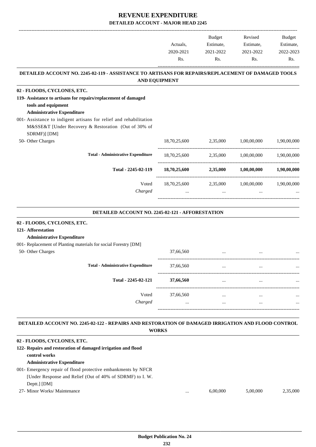|                                                                                                    |                                                                                                                                                          |                                         | Revised                                               | <b>Budget</b> |  |
|----------------------------------------------------------------------------------------------------|----------------------------------------------------------------------------------------------------------------------------------------------------------|-----------------------------------------|-------------------------------------------------------|---------------|--|
|                                                                                                    |                                                                                                                                                          |                                         | Estimate,                                             | Estimate,     |  |
|                                                                                                    | Budget<br>Estimate,<br>Actuals,<br>2020-2021<br>2021-2022<br>Rs.<br>Rs.<br><b>AND EQUIPMENT</b><br>$18,70,25,600$ $2,35,000$ $1,00,00,000$ $1,90,00,000$ | 2021-2022                               | 2022-2023                                             |               |  |
|                                                                                                    |                                                                                                                                                          |                                         | Rs.                                                   | Rs.           |  |
| DETAILED ACCOUNT NO. 2245-02-119 - ASSISTANCE TO ARTISANS FOR REPAIRS/REPLACEMENT OF DAMAGED TOOLS |                                                                                                                                                          |                                         |                                                       |               |  |
|                                                                                                    |                                                                                                                                                          |                                         |                                                       |               |  |
| 02 - FLOODS, CYCLONES, ETC.                                                                        |                                                                                                                                                          |                                         |                                                       |               |  |
| 119- Assistance to artisans for repairs/replacement of damaged                                     |                                                                                                                                                          |                                         |                                                       |               |  |
| tools and equipment                                                                                |                                                                                                                                                          |                                         |                                                       |               |  |
| <b>Administrative Expenditure</b>                                                                  |                                                                                                                                                          |                                         |                                                       |               |  |
| 001- Assistance to indigent artisans for relief and rehabilitation                                 |                                                                                                                                                          |                                         |                                                       |               |  |
| M&SSE&T [Under Recovery & Restoration (Out of 30% of                                               |                                                                                                                                                          |                                         |                                                       |               |  |
| SDRMF)] [DM]                                                                                       |                                                                                                                                                          |                                         |                                                       |               |  |
| 50- Other Charges                                                                                  |                                                                                                                                                          |                                         |                                                       |               |  |
| <b>Total - Administrative Expenditure</b>                                                          |                                                                                                                                                          |                                         | $18,70,25,600$ $2,35,000$ $1,00,00,000$ $1,90,00,000$ |               |  |
| Total - 2245-02-119                                                                                |                                                                                                                                                          | $18,70,25,600$ $2,35,000$ $1,00,00,000$ |                                                       | 1,90,00,000   |  |
| Voted                                                                                              |                                                                                                                                                          | 18,70,25,600 2,35,000                   | 1,00,00,000                                           | 1,90,00,000   |  |
| Charged                                                                                            |                                                                                                                                                          |                                         |                                                       |               |  |
|                                                                                                    |                                                                                                                                                          |                                         |                                                       |               |  |
| <b>DETAILED ACCOUNT NO. 2245-02-121 - AFFORESTATION</b>                                            |                                                                                                                                                          |                                         |                                                       |               |  |

# **.**

| 02 - FLOODS, CYCLONES, ETC.                                     |           |          |          |          |
|-----------------------------------------------------------------|-----------|----------|----------|----------|
| 121- Afforestation                                              |           |          |          |          |
| <b>Administrative Expenditure</b>                               |           |          |          |          |
| 001- Replacement of Planting materials for social Forestry [DM] |           |          |          |          |
| 50- Other Charges                                               | 37,66,560 | $\cdots$ |          |          |
| <b>Total - Administrative Expenditure</b>                       | 37,66,560 | $\cdots$ | $\cdots$ |          |
| Total - 2245-02-121                                             | 37,66,560 | $\cdots$ | $\cdots$ | $\cdots$ |
| Voted                                                           | 37,66,560 | $\cdots$ | $\cdots$ | $\cdots$ |
| Charged                                                         | $\cdots$  | $\cdots$ | $\cdots$ | $\cdots$ |
|                                                                 |           |          |          |          |

#### **DETAILED ACCOUNT NO. 2245-02-122 - REPAIRS AND RESTORATION OF DAMAGED IRRIGATION AND FLOOD CONTROL WORKS .**

.

| 02 - FLOODS, CYCLONES, ETC.                                   |          |          |          |          |
|---------------------------------------------------------------|----------|----------|----------|----------|
| 122- Repairs and restoration of damaged irrigation and flood  |          |          |          |          |
| control works                                                 |          |          |          |          |
| <b>Administrative Expenditure</b>                             |          |          |          |          |
| 001- Emergency repair of flood protective embankments by NFCR |          |          |          |          |
| [Under Response and Relief (Out of 40% of SDRMF) to I. W.     |          |          |          |          |
| Deptt.] [DM]                                                  |          |          |          |          |
| 27- Minor Works/ Maintenance                                  | $\cdots$ | 6.00.000 | 5.00.000 | 2.35,000 |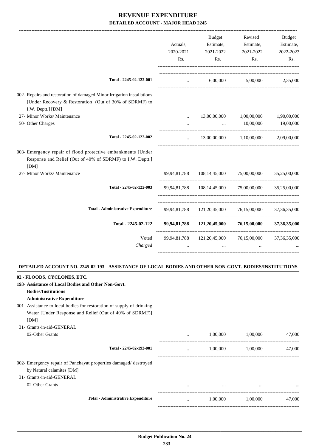|                                                                                                                                                       |           | Budget                                                           | Revised                    | Budget          |
|-------------------------------------------------------------------------------------------------------------------------------------------------------|-----------|------------------------------------------------------------------|----------------------------|-----------------|
|                                                                                                                                                       | Actuals,  | Estimate,                                                        | Estimate,                  | Estimate,       |
|                                                                                                                                                       | 2020-2021 | 2021-2022                                                        | 2021-2022                  | 2022-2023       |
|                                                                                                                                                       | Rs.       | Rs.                                                              | Rs.                        | Rs.             |
| Total - 2245-02-122-001                                                                                                                               | $\ddotsc$ |                                                                  | 6,00,000 5,00,000 2,35,000 |                 |
| 002- Repairs and restoration of damaged Minor Irrigation installations<br>[Under Recovery & Restoration (Out of 30% of SDRMF) to<br>I.W. Deptt.] [DM] |           |                                                                  |                            |                 |
| 27- Minor Works/ Maintenance                                                                                                                          |           | 13,00,00,000                                                     | 1,00,00,000                | 1,90,00,000     |
| 50- Other Charges                                                                                                                                     | $\cdots$  |                                                                  | 10,00,000                  | 19,00,000       |
| Total - 2245-02-122-002                                                                                                                               | $\cdots$  | 13,00,00,000                                                     | 1,10,00,000                | 2,09,00,000     |
| 003- Emergency repair of flood protective embankments [Under<br>Response and Relief (Out of 40% of SDRMF) to I.W. Deptt.]<br>[DM]                     |           |                                                                  |                            |                 |
| 27- Minor Works/ Maintenance                                                                                                                          |           | 99,94,81,788 108,14,45,000 75,00,00,000                          |                            | 35,25,00,000    |
| Total - 2245-02-122-003                                                                                                                               |           | 99,94,81,788 108,14,45,000 75,00,00,000 35,25,00,000             |                            |                 |
| <b>Total - Administrative Expenditure</b>                                                                                                             |           | 99,94,81,788 121,20,45,000 76,15,00,000 37,36,35,000             |                            |                 |
| Total - 2245-02-122                                                                                                                                   |           | 99,94,81,788 121,20,45,000 76,15,00,000                          |                            | 37, 36, 35, 000 |
| Voted<br>Charged                                                                                                                                      |           | 99,94,81,788 121,20,45,000 76,15,00,000 37,36,35,000<br>$\cdots$ | $\cdots$                   |                 |
|                                                                                                                                                       |           |                                                                  |                            |                 |

#### **DETAILED ACCOUNT NO. 2245-02-193 - ASSISTANCE OF LOCAL BODIES AND OTHER NON-GOVT. BODIES/INSTITUTIONS .**

.

| 02 - FLOODS, CYCLONES, ETC.                                           |          |          |          |        |
|-----------------------------------------------------------------------|----------|----------|----------|--------|
| 193- Assistance of Local Bodies and Other Non-Govt.                   |          |          |          |        |
| <b>Bodies/Institutions</b>                                            |          |          |          |        |
| <b>Administrative Expenditure</b>                                     |          |          |          |        |
| 001- Assistance to local bodies for restoration of supply of drinking |          |          |          |        |
| Water [Under Response and Relief (Out of 40% of SDRMF)]               |          |          |          |        |
| [DM]                                                                  |          |          |          |        |
| 31- Grants-in-aid-GENERAL                                             |          |          |          |        |
| 02-Other Grants                                                       |          | 1,00,000 | 1,00,000 | 47,000 |
| Total - 2245-02-193-001                                               | $\cdots$ | 1,00,000 | 1,00,000 | 47,000 |
| 002- Emergency repair of Panchayat properties damaged/destroyed       |          |          |          |        |
| by Natural calamites [DM]                                             |          |          |          |        |
| 31- Grants-in-aid-GENERAL                                             |          |          |          |        |
| 02-Other Grants                                                       | $\cdots$ | $\cdots$ | $\cdots$ |        |
| <b>Total - Administrative Expenditure</b>                             |          | 1,00,000 | 1,00,000 | 47,000 |
|                                                                       |          |          |          |        |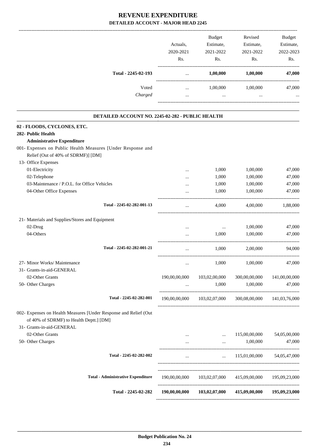| DETAILED ACCOUNT - MAJOR HEAD 2245                                                                          |               |               |               |               |
|-------------------------------------------------------------------------------------------------------------|---------------|---------------|---------------|---------------|
|                                                                                                             |               | <b>Budget</b> | Revised       | <b>Budget</b> |
|                                                                                                             | Actuals,      | Estimate,     | Estimate,     | Estimate,     |
|                                                                                                             | 2020-2021     | 2021-2022     | 2021-2022     | 2022-2023     |
|                                                                                                             | Rs.           | Rs.           | Rs.           | Rs.           |
| Total - 2245-02-193                                                                                         | $\cdots$      | 1,00,000      | 1,00,000      | 47,000        |
| Voted                                                                                                       | $\cdots$      | 1,00,000      | 1,00,000      | 47,000        |
| Charged                                                                                                     | $\cdots$      | $\ldots$      | $\cdots$      |               |
| DETAILED ACCOUNT NO. 2245-02-282 - PUBLIC HEALTH                                                            |               |               |               |               |
| 02 - FLOODS, CYCLONES, ETC.                                                                                 |               |               |               |               |
| 282- Public Health                                                                                          |               |               |               |               |
| <b>Administrative Expenditure</b>                                                                           |               |               |               |               |
| 001- Expenses on Public Health Measures [Under Response and                                                 |               |               |               |               |
| Relief (Out of 40% of SDRMF)] [DM]                                                                          |               |               |               |               |
| 13- Office Expenses                                                                                         |               |               |               |               |
| 01-Electricity                                                                                              |               | 1,000         | 1,00,000      | 47,000        |
| 02-Telephone                                                                                                |               | 1,000         | 1,00,000      | 47,000        |
| 03-Maintenance / P.O.L. for Office Vehicles                                                                 |               | 1,000         | 1,00,000      | 47,000        |
| 04-Other Office Expenses                                                                                    |               | 1,000         | 1,00,000      | 47,000        |
| Total - 2245-02-282-001-13                                                                                  |               | 4,000         | 4,00,000      | 1,88,000      |
| 21- Materials and Supplies/Stores and Equipment                                                             |               |               |               |               |
| 02-Drug                                                                                                     | $\cdots$      | $\cdots$      | 1,00,000      | 47,000        |
| 04-Others                                                                                                   |               | 1,000         | 1,00,000      | 47,000        |
| Total - 2245-02-282-001-21                                                                                  | $\cdots$      | 1,000         | 2,00,000      | 94,000        |
| 27- Minor Works/ Maintenance                                                                                |               | 1,000         | 1,00,000      | 47,000        |
| 31- Grants-in-aid-GENERAL                                                                                   |               |               |               |               |
| 02-Other Grants                                                                                             | 190,00,00,000 | 103,02,00,000 | 300,00,00,000 | 141,00,00,000 |
| 50- Other Charges                                                                                           |               | 1,000         | 1,00,000      | 47,000        |
| Total - 2245-02-282-001                                                                                     | 190,00,00,000 | 103,02,07,000 | 300,08,00,000 | 141,03,76,000 |
| 002- Expenses on Health Measures [Under Response and Relief (Out<br>of 40% of SDRMF) to Health Deptt.] [DM] |               |               |               |               |
| 31- Grants-in-aid-GENERAL                                                                                   |               |               |               |               |
| 02-Other Grants                                                                                             | $\cdots$      | $\cdots$      | 115,00,00,000 | 54,05,00,000  |
| 50- Other Charges                                                                                           | $\cdots$      | $\cdots$      | 1,00,000      | 47,000        |
| Total - 2245-02-282-002                                                                                     |               |               | 115,01,00,000 | 54,05,47,000  |
|                                                                                                             | $\cdots$      | $\cdots$      |               |               |
|                                                                                                             |               |               |               |               |

**Total - Administrative Expenditure** 190,00,00,000 103,02,07,000 415,09,00,000 195,09,23,000

**Total - 2245-02-282 190,00,00,000 103,02,07,000 415,09,00,000 195,09,23,000**

-----------------------------------------------------------------------------------------

------------------------------------------------------------------------------------------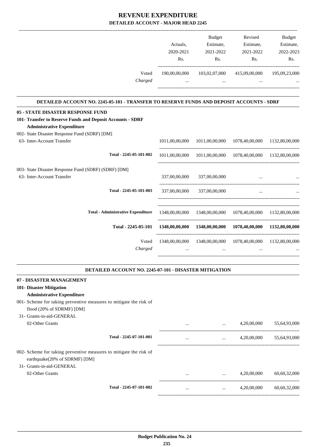|                                                                                                                                                                                                                           | Actuals,<br>2020-2021<br>Rs. | <b>Budget</b><br>Estimate,<br>2021-2022<br>Rs.                          | Revised<br>Estimate,<br>2021-2022<br>Rs. | Budget<br>Estimate,<br>2022-2023<br>Rs. |
|---------------------------------------------------------------------------------------------------------------------------------------------------------------------------------------------------------------------------|------------------------------|-------------------------------------------------------------------------|------------------------------------------|-----------------------------------------|
| Voted<br>Charged                                                                                                                                                                                                          | 190,00,00,000                | 103,02,07,000<br>$\cdots$                                               | 415,09,00,000                            | 195,09,23,000                           |
| DETAILED ACCOUNT NO. 2245-05-101 - TRANSFER TO RESERVE FUNDS AND DEPOSIT ACCOUNTS - SDRF                                                                                                                                  |                              |                                                                         |                                          |                                         |
| <b>05 - STATE DISASTER RESPONSE FUND</b><br>101- Transfer to Reserve Funds and Deposit Accounts - SDRF<br><b>Administrative Expenditure</b><br>002- State Disaster Response Fund (SDRF) [DM]                              |                              |                                                                         |                                          |                                         |
| 63- Inter-Account Transfer                                                                                                                                                                                                |                              | 1011,00,00,000 1011,00,00,000 1078,40,00,000 1132,80,00,000             |                                          |                                         |
| Total - 2245-05-101-002                                                                                                                                                                                                   |                              | 1011,00,00,000 1011,00,00,000 1078,40,00,000 1132,80,00,000             |                                          |                                         |
| 003- State Disaster Response Fund (SDRF) (SDRF) [DM]<br>63- Inter-Account Transfer                                                                                                                                        |                              | 337,00,00,000 337,00,00,000                                             | $\cdots$                                 |                                         |
| Total - 2245-05-101-003                                                                                                                                                                                                   |                              | 337,00,00,000 337,00,00,000                                             | $\cdots$                                 |                                         |
| <b>Total - Administrative Expenditure</b>                                                                                                                                                                                 |                              | 1348,00,00,000 1348,00,00,000 1078,40,00,000 1132,80,00,000             |                                          |                                         |
| Total - 2245-05-101                                                                                                                                                                                                       |                              | 1348,00,00,000 1348,00,00,000 1078,40,00,000 1132,80,00,000             |                                          |                                         |
| Voted<br>Charged                                                                                                                                                                                                          |                              | 1348,00,00,000 1348,00,00,000 1078,40,00,000 1132,80,00,000<br>$\cdots$ |                                          |                                         |
| DETAILED ACCOUNT NO. 2245-07-101 - DISASTER MITIGATION                                                                                                                                                                    |                              |                                                                         |                                          |                                         |
| 07 - DISASTER MANAGEMENT<br>101- Disaster Mitigation<br><b>Administrative Expenditure</b><br>001- Scheme for taking preventive measures to mitigate the risk of<br>flood (20% of SDRMF) [DM]<br>31- Grants-in-aid-GENERAL |                              |                                                                         |                                          |                                         |
| 02-Other Grants                                                                                                                                                                                                           | $\cdots$                     | $\cdots$                                                                | 4,20,00,000                              | 55,64,93,000                            |

---------------------------------------------------------------------------------------- **Total - 2245-07-101-001** ... ... ... ... ... ... ... 4,20,00,000 55,64,93,000 ----------------------------------------------------------------------------------------- 002- Scheme for taking preventive measures to mitigate the risk of earthquake(20% of SDRMF) [DM] 31- Grants-in-aid-GENERAL 02-Other Grants ... 4,20,00,000 60,60,32,000 60,60,32,000 ... ---------------------------------------------------------------------------------------- **Total - 2245-07-101-002** ... ... ... ... ... ... ... 4,20,00,000 60,60,32,000 -----------------------------------------------------------------------------------------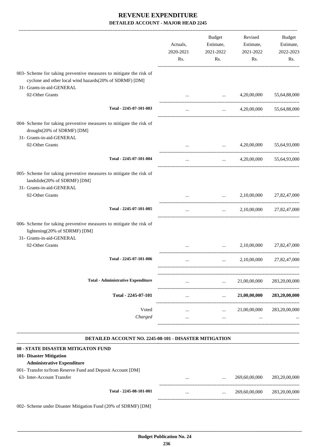|                                                                                                                                                                    | Actuals,<br>2020-2021<br>Rs. | <b>Budget</b><br>Estimate,<br>2021-2022<br>Rs. | Revised<br>Estimate,<br>2021-2022<br>Rs. | Budget<br>Estimate,<br>2022-2023<br>Rs. |
|--------------------------------------------------------------------------------------------------------------------------------------------------------------------|------------------------------|------------------------------------------------|------------------------------------------|-----------------------------------------|
| 003- Scheme for taking preventive measures to mitigate the risk of<br>cyclone and other local wind hazards(20% of SDRMF) [DM]<br>31- Grants-in-aid-GENERAL         |                              |                                                |                                          |                                         |
| 02-Other Grants                                                                                                                                                    |                              | $\cdots$                                       | 4,20,00,000                              | 55,64,88,000                            |
| Total - 2245-07-101-003                                                                                                                                            |                              | $\cdots$                                       | 4,20,00,000                              | 55,64,88,000                            |
| 004- Scheme for taking preventive measures to mitigate the risk of<br>drought(20% of SDRMF) [DM]<br>31- Grants-in-aid-GENERAL                                      |                              |                                                |                                          |                                         |
| 02-Other Grants                                                                                                                                                    |                              | $\ddots$                                       | 4,20,00,000                              | 55,64,93,000                            |
| Total - 2245-07-101-004                                                                                                                                            | $\cdots$                     | <b>Second Contract</b>                         | 4,20,00,000                              | 55,64,93,000                            |
| 005- Scheme for taking preventive measures to mitigate the risk of<br>landslide(20% of SDRMF) [DM]<br>31- Grants-in-aid-GENERAL                                    |                              |                                                |                                          |                                         |
| 02-Other Grants                                                                                                                                                    |                              | $\ddots$                                       | 2,10,00,000                              | 27,82,47,000                            |
| Total - 2245-07-101-005                                                                                                                                            | $\cdots$                     | and the state                                  | 2,10,00,000                              | 27,82,47,000                            |
| 006- Scheme for taking preventive measures to mitigate the risk of<br>lightening(20% of SDRMF) [DM]<br>31- Grants-in-aid-GENERAL                                   |                              |                                                |                                          |                                         |
| 02-Other Grants                                                                                                                                                    |                              | $\cdots$                                       | 2,10,00,000                              | 27,82,47,000                            |
| Total - 2245-07-101-006                                                                                                                                            | $\cdots$                     | $\cdots$                                       | 2,10,00,000                              | 27,82,47,000                            |
| <b>Total - Administrative Expenditure</b>                                                                                                                          | $\cdots$                     | $\mathbf{r}$ , $\mathbf{r}$ , $\mathbf{r}$     | 21,00,00,000                             | 283,20,00,000                           |
| Total - 2245-07-101                                                                                                                                                | $\cdots$                     | $\mathbf{r}$ , $\mathbf{r}$ , $\mathbf{r}$     | 21,00,00,000                             | 283,20,00,000                           |
| Voted                                                                                                                                                              |                              | <b>Address Committee</b>                       | 21,00,00,000                             | 283,20,00,000                           |
| Charged                                                                                                                                                            | $\cdots$                     | $\cdots$                                       | $\ldots$                                 |                                         |
| DETAILED ACCOUNT NO. 2245-08-101 - DISASTER MITIGATION                                                                                                             |                              |                                                |                                          |                                         |
| 08 - STATE DISASTER MITIGATON FUND<br>101- Disaster Mitigation<br><b>Administrative Expenditure</b><br>001- Transfer to/from Reserve Fund and Deposit Account [DM] |                              |                                                |                                          |                                         |

63- Inter-Account Transfer ... ... 269,60,00,000 283,20,00,000 283,20,00,000

|                         | ----------------------           |                                                                                                                                                                                                                                       |               |               |
|-------------------------|----------------------------------|---------------------------------------------------------------------------------------------------------------------------------------------------------------------------------------------------------------------------------------|---------------|---------------|
| Total - 2245-08-101-001 | $\cdots$<br>                     | <br>$\label{eq:2.1} \begin{array}{ll} \mathcal{L}_{\mathcal{A}} & \mathcal{L}_{\mathcal{A}} & \mathcal{L}_{\mathcal{A}} \\ \mathcal{L}_{\mathcal{A}} & \mathcal{L}_{\mathcal{A}} & \mathcal{L}_{\mathcal{A}} \end{array} \end{array}$ | 269,60,00,000 | 283,20,00,000 |
|                         | -------------------------------- |                                                                                                                                                                                                                                       |               |               |

002- Scheme under Disaster Mitigation Fund (20% of SDRMF) [DM]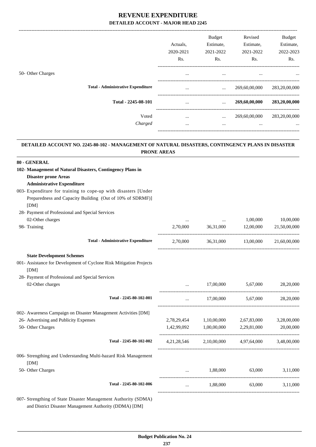|                                           | Actuals.<br>2020-2021<br>Rs. | <b>Budget</b><br>Estimate,<br>2021-2022<br>Rs. | Revised<br>Estimate,<br>2021-2022<br>Rs. | Budget<br>Estimate,<br>2022-2023<br>Rs. |
|-------------------------------------------|------------------------------|------------------------------------------------|------------------------------------------|-----------------------------------------|
| 50- Other Charges                         | $\cdots$                     | $\cdots$                                       | $\cdots$                                 | $\cdots$                                |
| <b>Total - Administrative Expenditure</b> | $\cdots$                     | $\cdots$                                       | 269,60,00,000                            | 283,20,00,000                           |
| Total - 2245-08-101                       | $\cdots$                     | $\cdots$                                       | 269,60,00,000                            | 283,20,00,000                           |
| Voted<br>Charged                          | $\cdots$<br>$\cdots$         | $\cdots$<br>$\cdots$                           | 269,60,00,000<br>$\cdots$                | 283,20,00,000<br>$\cdots$               |

#### **DETAILED ACCOUNT NO. 2245-80-102 - MANAGEMENT OF NATURAL DISASTERS, CONTINGENCY PLANS IN DISASTER PRONE AREAS .**

.

| 80 - GENERAL                                                            |                |             |                                     |              |
|-------------------------------------------------------------------------|----------------|-------------|-------------------------------------|--------------|
| 102- Management of Natural Disasters, Contingency Plans in              |                |             |                                     |              |
| <b>Disaster prone Areas</b>                                             |                |             |                                     |              |
| <b>Administrative Expenditure</b>                                       |                |             |                                     |              |
| 003- Expenditure for training to cope-up with disasters [Under          |                |             |                                     |              |
| Preparedness and Capacity Building (Out of 10% of SDRMF)]               |                |             |                                     |              |
| [DM]                                                                    |                |             |                                     |              |
| 28- Payment of Professional and Special Services                        |                |             |                                     |              |
| 02-Other charges                                                        |                |             | 1,00,000                            | 10,00,000    |
| 98- Training                                                            | 2,70,000       | 36,31,000   | 12,00,000                           | 21,50,00,000 |
| <b>Total - Administrative Expenditure</b>                               | 2,70,000       |             | 36,31,000 13,00,000                 | 21,60,00,000 |
| <b>State Development Schemes</b>                                        |                |             |                                     |              |
| 001- Assistance for Development of Cyclone Risk Mitigation Projects     |                |             |                                     |              |
| [DM]                                                                    |                |             |                                     |              |
| 28- Payment of Professional and Special Services                        |                |             |                                     |              |
| 02-Other charges                                                        |                |             | 17,00,000 5,67,000                  | 28,20,000    |
| Total - 2245-80-102-001                                                 | $\cdots$       |             | 17,00,000 5,67,000                  | 28,20,000    |
| 002- Awareness Campaign on Disaster Management Activities [DM]          |                |             |                                     |              |
| 26- Advertising and Publicity Expenses                                  | 2,78,29,454    | 1,10,00,000 | 2,67,83,000                         | 3,28,00,000  |
| 50- Other Charges                                                       | 1,42,99,092    | 1,00,00,000 | 2,29,81,000                         | 20,00,000    |
| Total - 2245-80-102-002                                                 | 4, 21, 28, 546 |             | 2,10,00,000 4,97,64,000 3,48,00,000 |              |
| 006- Strengthing and Understanding Multi-hazard Risk Management<br>[DM] |                |             |                                     |              |
| 50- Other Charges                                                       |                | 1,88,000    | 63,000                              | 3,11,000     |
| Total - 2245-80-102-006                                                 | $\cdots$       | 1,88,000    | 63,000                              | 3,11,000     |
| 007- Strengthing of State Disaster Management Authority (SDMA)          |                |             |                                     |              |

and District Disaster Management Authority (DDMA) [DM]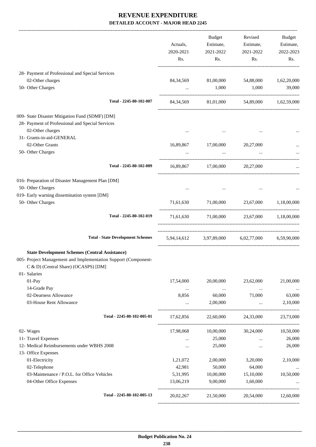-------------------------------------------------------------------------------------------------------------------------------------------------------------------------------

|                                                                                                        |                                          | Actuals,<br>2020-2021<br>Rs. | <b>Budget</b><br>Estimate,<br>2021-2022<br>Rs. | Revised<br>Estimate,<br>2021-2022<br>Rs.           | <b>Budget</b><br>Estimate,<br>2022-2023<br>Rs. |
|--------------------------------------------------------------------------------------------------------|------------------------------------------|------------------------------|------------------------------------------------|----------------------------------------------------|------------------------------------------------|
| 28- Payment of Professional and Special Services                                                       |                                          |                              |                                                |                                                    |                                                |
| 02-Other charges                                                                                       |                                          |                              |                                                | 84, 34, 569 81, 00, 000 54, 88, 000 1, 62, 20, 000 |                                                |
| 50- Other Charges                                                                                      |                                          | $\cdots$                     | 1,000                                          | 1,000                                              | 39,000                                         |
|                                                                                                        | Total - 2245-80-102-007                  |                              |                                                | 84, 34, 569 81, 01, 000 54, 89, 000 1, 62, 59, 000 |                                                |
| 009- State Disaster Mitigation Fund (SDMF) [DM]                                                        |                                          |                              |                                                |                                                    |                                                |
| 28- Payment of Professional and Special Services                                                       |                                          |                              |                                                |                                                    |                                                |
| 02-Other charges                                                                                       |                                          | $\cdots$                     | $\cdots$                                       |                                                    |                                                |
| 31- Grants-in-aid-GENERAL<br>02-Other Grants                                                           |                                          |                              |                                                |                                                    |                                                |
| 50- Other Charges                                                                                      |                                          | 16,89,867<br>$\cdots$        | 17,00,000<br>$\cdots$                          | 20,27,000<br>$\cdots$                              | $\cdots$                                       |
|                                                                                                        |                                          |                              |                                                |                                                    |                                                |
|                                                                                                        | Total - 2245-80-102-009                  |                              | 16,89,867 17,00,000 20,27,000                  |                                                    |                                                |
| 016- Preparation of Disaster Management Plan [DM]                                                      |                                          |                              |                                                |                                                    |                                                |
| 50- Other Charges                                                                                      |                                          | $\cdots$                     | $\cdots$                                       |                                                    |                                                |
| 019- Early warning dissemination system [DM]<br>50- Other Charges                                      |                                          |                              |                                                | 71,61,630 71,00,000 23,67,000 1,18,00,000          |                                                |
|                                                                                                        |                                          |                              |                                                |                                                    |                                                |
|                                                                                                        | Total - 2245-80-102-019                  | 71,61,630                    |                                                | 71,00,000 23,67,000 1,18,00,000                    |                                                |
|                                                                                                        | <b>Total - State Development Schemes</b> |                              |                                                | 5,94,14,612 3,97,89,000 6,02,77,000 6,59,90,000    |                                                |
| <b>State Development Schemes (Central Assistance)</b>                                                  |                                          |                              |                                                |                                                    |                                                |
| 005- Project Management and Implementation Support (Component-<br>C & D) (Central Share) (OCASPS) [DM] |                                          |                              |                                                |                                                    |                                                |
| 01- Salaries                                                                                           |                                          |                              |                                                |                                                    |                                                |
| 01-Pay                                                                                                 |                                          | 17,54,000                    | 20,00,000                                      | 23,62,000                                          | 21,00,000                                      |
| 14-Grade Pay<br>02-Dearness Allowance                                                                  |                                          | $\ldots$<br>8,856            | $\ldots$<br>60,000                             | $\ldots$<br>71,000                                 | $\cdots$<br>63,000                             |
| 03-House Rent Allowance                                                                                |                                          | $\cdots$                     | 2,00,000                                       | $\ddots$                                           | 2,10,000                                       |
|                                                                                                        |                                          |                              |                                                |                                                    |                                                |
|                                                                                                        | Total - 2245-80-102-005-01               | 17,62,856                    | 22,60,000                                      | 24,33,000                                          | 23,73,000                                      |
| 02- Wages                                                                                              |                                          | 17,98,068                    | 10,00,000                                      | 30,24,000                                          | 10,50,000                                      |
| 11- Travel Expenses                                                                                    |                                          |                              | 25,000                                         | $\cdots$                                           | 26,000                                         |
| 12- Medical Reimbursements under WBHS 2008                                                             |                                          |                              | 25,000                                         | $\cdots$                                           | 26,000                                         |
| 13- Office Expenses                                                                                    |                                          |                              |                                                |                                                    |                                                |
| 01-Electricity<br>02-Telephone                                                                         |                                          | 1,21,072<br>42,981           | 2,00,000<br>50,000                             | 3,20,000<br>64,000                                 | 2,10,000                                       |
| 03-Maintenance / P.O.L. for Office Vehicles                                                            |                                          | 5,31,995                     | 10,00,000                                      | 15,10,000                                          | $\cdots$<br>10,50,000                          |
| 04-Other Office Expenses                                                                               |                                          | 13,06,219                    | 9,00,000                                       | 1,60,000                                           |                                                |
|                                                                                                        | Total - 2245-80-102-005-13               | 20,02,267                    | 21,50,000                                      |                                                    | 20,54,000 12,60,000                            |
|                                                                                                        |                                          |                              |                                                |                                                    |                                                |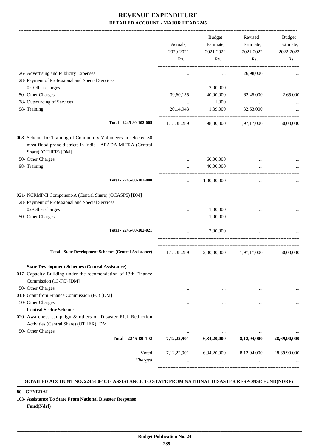|                                                                                   | Actuals,<br>2020-2021 | <b>Budget</b><br>Estimate,<br>2021-2022          | Revised<br>Estimate,<br>2021-2022 | Budget<br>Estimate,<br>2022-2023 |
|-----------------------------------------------------------------------------------|-----------------------|--------------------------------------------------|-----------------------------------|----------------------------------|
|                                                                                   | Rs.                   | Rs.                                              | Rs.                               | Rs.                              |
| 26- Advertising and Publicity Expenses                                            | $\ddotsc$             | $\cdots$                                         | 26,98,000                         |                                  |
| 28- Payment of Professional and Special Services                                  |                       |                                                  |                                   |                                  |
| 02-Other charges                                                                  | $\cdots$              | 2,00,000                                         | $\ddotsc$                         |                                  |
| 50- Other Charges                                                                 | 39,60,155             | 40,00,000                                        | 62,45,000                         | 2,65,000                         |
| 78- Outsourcing of Services                                                       | $\cdots$              | 1,000                                            | $\cdots$                          |                                  |
| 98- Training                                                                      | 20,14,943             | 1,39,000                                         | 32,63,000                         |                                  |
|                                                                                   |                       |                                                  |                                   |                                  |
| Total - 2245-80-102-005                                                           | 1,15,38,289           | 98,00,000                                        | 1,97,17,000                       | 50,00,000                        |
| 008- Scheme for Training of Community Volunteers in selected 30                   |                       |                                                  |                                   |                                  |
| most flood prone districts in India - APADA MITRA (Central<br>Share) (OTHER) [DM] |                       |                                                  |                                   |                                  |
| 50- Other Charges                                                                 |                       | 60,00,000                                        |                                   |                                  |
| 98- Training                                                                      |                       | 40,00,000                                        |                                   |                                  |
| Total - 2245-80-102-008                                                           | $\cdots$              | 1,00,00,000                                      | $\cdots$                          |                                  |
| 021- NCRMP-II Component-A (Central Share) (OCASPS) [DM]                           |                       |                                                  |                                   |                                  |
| 28- Payment of Professional and Special Services                                  |                       |                                                  |                                   |                                  |
| 02-Other charges                                                                  |                       | 1,00,000                                         |                                   |                                  |
| 50- Other Charges                                                                 | $\cdots$              | 1,00,000                                         |                                   |                                  |
|                                                                                   |                       |                                                  |                                   |                                  |
| Total - 2245-80-102-021                                                           | $\cdots$              | 2,00,000                                         | $\cdots$                          |                                  |
| <b>Total - State Development Schemes (Central Assistance)</b>                     | 1,15,38,289           |                                                  | 2,00,00,000 1,97,17,000           | 50,00,000                        |
| <b>State Development Schemes (Central Assistance)</b>                             |                       |                                                  |                                   |                                  |
| 017- Capacity Building under the recomendation of 13th Finance                    |                       |                                                  |                                   |                                  |
| Commission (13-FC) [DM]                                                           |                       |                                                  |                                   |                                  |
| 50- Other Charges                                                                 |                       |                                                  |                                   |                                  |
| 018- Grant from Finance Commission (FC) [DM]                                      | $\cdots$              | $\cdots$                                         | $\cdots$                          |                                  |
| 50- Other Charges                                                                 |                       |                                                  |                                   |                                  |
| <b>Central Sector Scheme</b>                                                      |                       |                                                  | $\cdots$                          |                                  |
| 020- Awareness campaign & others on Disaster Risk Reduction                       |                       |                                                  |                                   |                                  |
| Activities (Central Share) (OTHER) [DM]                                           |                       |                                                  |                                   |                                  |
| 50- Other Charges                                                                 | $\cdots$              | $\cdots$                                         | $\ddotsc$                         |                                  |
| Total - 2245-80-102                                                               |                       | 7,12,22,901 6,34,20,000 8,12,94,000              |                                   | 28,69,90,000                     |
|                                                                                   |                       |                                                  |                                   |                                  |
| Voted                                                                             |                       | 7,12,22,901 6,34,20,000 8,12,94,000 28,69,90,000 |                                   |                                  |
| Charged                                                                           |                       |                                                  | and the state of the state        |                                  |
|                                                                                   |                       |                                                  |                                   |                                  |

#### **DETAILED ACCOUNT NO. 2245-80-103 - ASSISTANCE TO STATE FROM NATIONAL DISASTER RESPONSE FUND(NDRF) .**

.

### **80 - GENERAL**

**103- Assistance To State From National Disaster Response Fund(Ndrf)**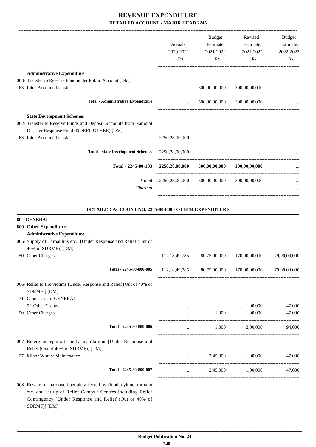|                                                                   | Actuals.<br>2020-2021 | Budget<br>Estimate, | Revised<br>Estimate, | <b>Budget</b><br>Estimate, |
|-------------------------------------------------------------------|-----------------------|---------------------|----------------------|----------------------------|
|                                                                   | Rs.                   | 2021-2022<br>Rs.    | 2021-2022<br>Rs.     | 2022-2023<br>Rs.           |
| <b>Administrative Expenditure</b>                                 |                       |                     |                      |                            |
| 003- Transfer to Reserve Fund under Public Account [DM]           |                       |                     |                      |                            |
| 63- Inter-Account Transfer                                        | $\cdots$              | 500,00,00,000       | 300,00,00,000        |                            |
| <b>Total - Administrative Expenditure</b>                         | $\cdots$              | 500,00,00,000       | 300,00,00,000        |                            |
| <b>State Development Schemes</b>                                  |                       |                     |                      |                            |
| 002- Transfer to Reserve Funds and Deposit Accounts from National |                       |                     |                      |                            |
| Disaster Response Fund (NDRF) (OTHER) [DM]                        |                       |                     |                      |                            |
| 63- Inter-Account Transfer                                        | 2250,28,00,000        |                     |                      |                            |
| <b>Total - State Development Schemes</b>                          | 2250,28,00,000        | $\cdots$            | $\cdots$             |                            |
| Total - 2245-80-103                                               | 2250,28,00,000        | 500,00,00,000       | 300,00,00,000        |                            |
| Voted                                                             | 2250,28,00,000        | 500,00,00,000       | 300,00,00,000        |                            |
| Charged                                                           |                       |                     |                      |                            |
|                                                                   |                       |                     |                      |                            |

### **DETAILED ACCOUNT NO. 2245-80-800 - OTHER EXPENDITURE**

| 80 - GENERAL                                                                                           |                  |              |                                          |              |
|--------------------------------------------------------------------------------------------------------|------------------|--------------|------------------------------------------|--------------|
| 800- Other Expenditure                                                                                 |                  |              |                                          |              |
| <b>Administrative Expenditure</b>                                                                      |                  |              |                                          |              |
| 005- Supply of Tarpaulins etc. [Under Response and Relief (Out of<br>40% of SDRMF)] [DM]               |                  |              |                                          |              |
| 50- Other Charges                                                                                      | 112, 18, 49, 785 | 80,75,00,000 | 170,00,00,000                            | 79,90,00,000 |
| Total - 2245-80-800-005                                                                                |                  |              | 112,18,49,785 80,75,00,000 170,00,00,000 | 79,90,00,000 |
| 006- Relief to fire victims [Under Response and Relief (Out of 40% of                                  |                  |              |                                          |              |
| SDRMF)] [DM]                                                                                           |                  |              |                                          |              |
| 31- Grants-in-aid-GENERAL                                                                              |                  |              |                                          |              |
| 02-Other Grants                                                                                        | $\cdots$         | $\cdots$     | 1,00,000                                 | 47,000       |
| 50- Other Charges                                                                                      |                  | 1,000        | 1,00,000                                 | 47,000       |
| Total - 2245-80-800-006                                                                                | $\cdots$         | 1.000        | 2.00.000                                 | 94,000       |
| 007- Emergent repairs to petty installations [Under Response and<br>Relief (Out of 40% of SDRMF)] [DM] |                  |              |                                          |              |
| 27- Minor Works/ Maintenance                                                                           |                  | 2,45,000     | 1,00,000                                 | 47,000       |
| Total - 2245-80-800-007                                                                                | $\cdots$         | 2,45,000     | 1,00,000                                 | 47,000       |
| 008- Rescue of marooned people affected by flood, cylone, tornado                                      |                  |              |                                          |              |

etc. and set-up of Relief Camps / Centres including Relief Contingency [Under Response and Relief (Out of 40% of SDRMF)] [DM]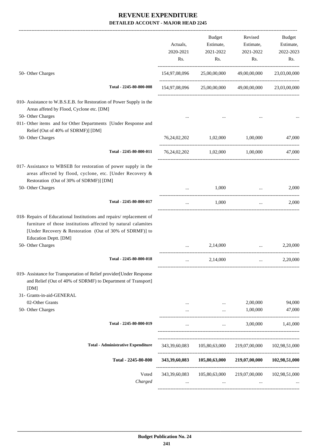| 25,00,00,000 49,00,00,000<br>23,03,00,000<br>154,97,08,096 25,00,00,000 49,00,00,000 23,03,00,000 |
|---------------------------------------------------------------------------------------------------|
|                                                                                                   |
|                                                                                                   |
|                                                                                                   |
|                                                                                                   |
| 76,24,02,202 1,02,000 1,00,000<br>47,000                                                          |
| 76,24,02,202 1,02,000 1,00,000<br>47,000                                                          |
|                                                                                                   |
| 2,000<br>$\cdots$<br>------------------------------------                                         |
| 2,000<br>$\cdots$                                                                                 |
|                                                                                                   |
| 2,20,000<br>$\cdots$                                                                              |
| 2,20,000<br>$\cdots$                                                                              |
|                                                                                                   |
| 94,000<br>2,00,000                                                                                |
| 1,00,000<br>47,000                                                                                |
| 3,00,000<br>1,41,000                                                                              |
| 219,07,00,000<br>102,98,51,000                                                                    |
| 102,98,51,000<br>219,07,00,000                                                                    |
| 219,07,00,000<br>102,98,51,000                                                                    |
|                                                                                                   |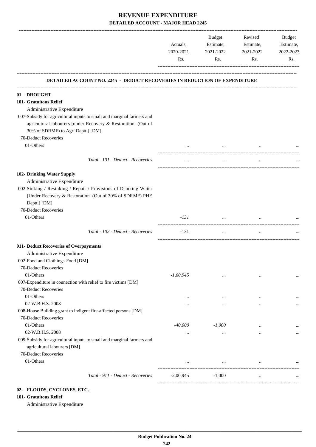|                                                                                                                                            | Actuals,<br>2020-2021<br>Rs. | Budget<br>Estimate,<br>2021-2022<br>Rs. | Revised<br>Estimate,<br>2021-2022<br>Rs. | Budget<br>Estimate,<br>2022-2023<br>Rs. |
|--------------------------------------------------------------------------------------------------------------------------------------------|------------------------------|-----------------------------------------|------------------------------------------|-----------------------------------------|
|                                                                                                                                            |                              |                                         |                                          |                                         |
| <b>DETAILED ACCOUNT NO. 2245 - DEDUCT RECOVERIES IN REDUCTION OF EXPENDITURE</b>                                                           |                              |                                         |                                          |                                         |
| 01 - DROUGHT                                                                                                                               |                              |                                         |                                          |                                         |
| 101- Gratuitous Relief                                                                                                                     |                              |                                         |                                          |                                         |
| Administrative Expenditure                                                                                                                 |                              |                                         |                                          |                                         |
| 007-Subsidy for agricultural inputs to small and marginal farmers and                                                                      |                              |                                         |                                          |                                         |
| agricultural labourers [under Recovery & Restoration (Out of                                                                               |                              |                                         |                                          |                                         |
| 30% of SDRMF) to Agri Deptt.] [DM]                                                                                                         |                              |                                         |                                          |                                         |
| 70-Deduct Recoveries                                                                                                                       |                              |                                         |                                          |                                         |
| 01-Others                                                                                                                                  |                              | $\cdots$                                |                                          |                                         |
| Total - 101 - Deduct - Recoveries                                                                                                          | $\cdots$                     | $\cdots$                                |                                          |                                         |
| 102- Drinking Water Supply                                                                                                                 |                              |                                         |                                          |                                         |
| Administrative Expenditure                                                                                                                 |                              |                                         |                                          |                                         |
| 002-Sinking / Resinking / Repair / Provisions of Drinking Water<br>[Under Recovery & Restoration (Out of 30% of SDRMF) PHE<br>Deptt.] [DM] |                              |                                         |                                          |                                         |
| 70-Deduct Recoveries                                                                                                                       |                              |                                         |                                          |                                         |
| 01-Others                                                                                                                                  | $-131$                       | $\cdots$                                |                                          |                                         |
| Total - 102 - Deduct - Recoveries                                                                                                          | $-131$                       | $\cdots$                                | $\cdots$                                 |                                         |
| 911- Deduct Recoveries of Overpayments                                                                                                     |                              |                                         |                                          |                                         |
| Administrative Expenditure                                                                                                                 |                              |                                         |                                          |                                         |
| 002-Food and Clothings-Food [DM]                                                                                                           |                              |                                         |                                          |                                         |
| <b>70-Deduct Recoveries</b>                                                                                                                |                              |                                         |                                          |                                         |
| 01-Others                                                                                                                                  | $-1,60,945$                  | $\cdots$                                | $\cdots$                                 |                                         |
| 007-Expenditure in connection with relief to fire victims [DM]                                                                             |                              |                                         |                                          |                                         |
| 70-Deduct Recoveries                                                                                                                       |                              |                                         |                                          |                                         |
| 01-Others                                                                                                                                  | $\cdots$                     | $\cdots$                                | $\ddotsc$                                |                                         |
| 02-W.B.H.S. 2008                                                                                                                           | $\cdots$                     | $\cdots$                                | $\ddotsc$                                |                                         |
| 008-House Building grant to indigent fire-affected persons [DM]                                                                            |                              |                                         |                                          |                                         |
| 70-Deduct Recoveries                                                                                                                       |                              |                                         |                                          |                                         |
| 01-Others                                                                                                                                  | -40,000                      | $-1,000$                                | $\cdots$                                 |                                         |
| 02-W.B.H.S. 2008                                                                                                                           | $\cdots$                     | $\cdots$                                | $\cdots$                                 |                                         |
| 009-Subsidy for agricultural inputs to small and marginal farmers and<br>agricultural labourers [DM]                                       |                              |                                         |                                          |                                         |
| 70-Deduct Recoveries                                                                                                                       |                              |                                         |                                          |                                         |
| 01-Others                                                                                                                                  | $\cdots$                     | $\cdots$                                | $\cdots$                                 |                                         |
| Total - 911 - Deduct - Recoveries                                                                                                          | $-2,00,945$                  | $-1,000$                                | $\cdots$                                 | $\ddotsc$                               |
|                                                                                                                                            |                              |                                         |                                          |                                         |

### **02- FLOODS, CYCLONES, ETC.**

### **101- Gratuitous Relief**

Administrative Expenditure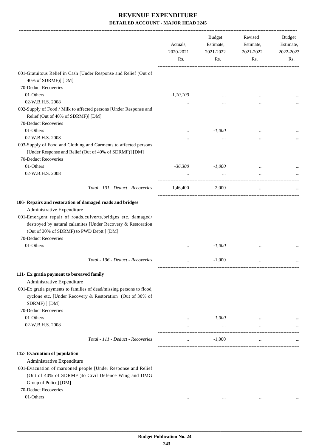|                                                                                                                                                                                                                                                                                               | Actuals,<br>2020-2021<br>Rs. | <b>Budget</b><br>Estimate,<br>2021-2022<br>Rs. | Revised<br>Estimate,<br>2021-2022<br>Rs. | Budget<br>Estimate,<br>2022-2023<br>Rs. |
|-----------------------------------------------------------------------------------------------------------------------------------------------------------------------------------------------------------------------------------------------------------------------------------------------|------------------------------|------------------------------------------------|------------------------------------------|-----------------------------------------|
| 001-Gratuitous Relief in Cash [Under Response and Relief (Out of<br>40% of SDRMF)] [DM]                                                                                                                                                                                                       |                              |                                                |                                          |                                         |
| 70-Deduct Recoveries                                                                                                                                                                                                                                                                          |                              |                                                |                                          |                                         |
| 01-Others                                                                                                                                                                                                                                                                                     | $-1,10,100$                  |                                                |                                          |                                         |
| 02-W.B.H.S. 2008                                                                                                                                                                                                                                                                              | $\cdots$                     |                                                |                                          |                                         |
| 002-Supply of Food / Milk to affected persons [Under Response and<br>Relief (Out of 40% of SDRMF)] [DM]                                                                                                                                                                                       |                              |                                                |                                          |                                         |
| 70-Deduct Recoveries                                                                                                                                                                                                                                                                          |                              |                                                |                                          |                                         |
| 01-Others                                                                                                                                                                                                                                                                                     |                              | $-1,000$                                       |                                          |                                         |
| 02-W.B.H.S. 2008                                                                                                                                                                                                                                                                              |                              | $\cdots$                                       |                                          |                                         |
| 003-Supply of Food and Clothing and Garments to affected persons<br>[Under Response and Relief (Out of 40% of SDRMF)] [DM]<br>70-Deduct Recoveries                                                                                                                                            |                              |                                                |                                          |                                         |
| 01-Others                                                                                                                                                                                                                                                                                     | $-36,300$                    | $-1,000$                                       |                                          |                                         |
| 02-W.B.H.S. 2008                                                                                                                                                                                                                                                                              | $\cdots$                     | $\ddots$                                       | $\cdots$                                 |                                         |
| Total - 101 - Deduct - Recoveries                                                                                                                                                                                                                                                             | $-1,46,400$                  | $-2,000$                                       | $\cdots$                                 |                                         |
| 106- Repairs and restoration of damaged roads and bridges<br>Administrative Expenditure<br>001-Emergent repair of roads, culverts, bridges etc. damaged/<br>destroyed by natural calamites [Under Recovery & Restoration<br>(Out of 30% of SDRMF) to PWD Deptt.] [DM]<br>70-Deduct Recoveries |                              |                                                |                                          |                                         |
| 01-Others                                                                                                                                                                                                                                                                                     | $\cdots$                     | $-1,000$                                       |                                          |                                         |
| Total - 106 - Deduct - Recoveries                                                                                                                                                                                                                                                             | $\cdots$                     | $-1,000$                                       | $\cdots$                                 |                                         |
| 111- Ex gratia payment to bereaved family                                                                                                                                                                                                                                                     |                              |                                                |                                          |                                         |
| Administrative Expenditure<br>001-Ex gratia payments to families of dead/missing persons to flood,<br>cyclone etc. [Under Recovery & Restoration (Out of 30% of<br>SDRMF) ] [DM]                                                                                                              |                              |                                                |                                          |                                         |
| 70-Deduct Recoveries                                                                                                                                                                                                                                                                          |                              |                                                |                                          |                                         |
| 01-Others                                                                                                                                                                                                                                                                                     | $\cdots$                     | $-1,000$                                       | $\cdots$                                 |                                         |
| 02-W.B.H.S. 2008                                                                                                                                                                                                                                                                              | $\cdots$                     | $\ldots$                                       |                                          |                                         |
| Total - 111 - Deduct - Recoveries                                                                                                                                                                                                                                                             | $\cdots$                     | $-1,000$                                       | $\cdots$                                 |                                         |
| 112- Evacuation of population<br>Administrative Expenditure<br>001-Evacuation of marooned people [Under Response and Relief<br>(Out of 40% of SDRMF )to Civil Defence Wing and DMG<br>Group of Police] [DM]                                                                                   |                              |                                                |                                          |                                         |
| 70-Deduct Recoveries                                                                                                                                                                                                                                                                          |                              |                                                |                                          |                                         |
| 01-Others                                                                                                                                                                                                                                                                                     | $\cdots$                     | $\cdots$                                       | $\ddotsc$                                |                                         |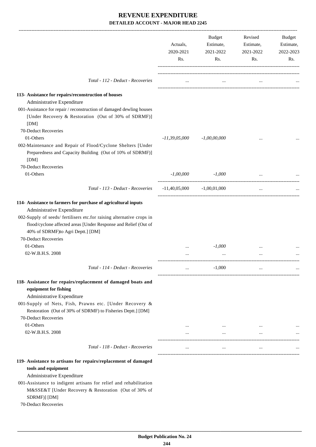|                                                                                                                                                                                                                                                                                                       | Actuals,<br>2020-2021<br>Rs. | Budget<br>Estimate,<br>2021-2022<br>Rs. | Revised<br>Estimate,<br>2021-2022<br>Rs. | Budget<br>Estimate,<br>2022-2023<br>Rs. |
|-------------------------------------------------------------------------------------------------------------------------------------------------------------------------------------------------------------------------------------------------------------------------------------------------------|------------------------------|-----------------------------------------|------------------------------------------|-----------------------------------------|
| Total - 112 - Deduct - Recoveries                                                                                                                                                                                                                                                                     | $\cdots$                     | $\cdots$                                | $\cdots$                                 |                                         |
| 113- Assistance for repairs/reconstruction of houses<br>Administrative Expenditure<br>001-Assistance for repair / reconstruction of damaged dewling houses<br>[Under Recovery & Restoration (Out of 30% of SDRMF)]<br>[DM]<br>70-Deduct Recoveries                                                    |                              |                                         |                                          |                                         |
| 01-Others<br>002-Maintenance and Repair of Flood/Cyclone Shelters [Under<br>Preparedness and Capacity Building (Out of 10% of SDRMF)]<br>[DM]                                                                                                                                                         | $-11,39,05,000$              | $-1,00,00,000$                          | $\cdots$                                 |                                         |
| 70-Deduct Recoveries<br>01-Others                                                                                                                                                                                                                                                                     | $-1,00,000$                  | $-1,000$                                | $\cdots$                                 |                                         |
| Total - 113 - Deduct - Recoveries                                                                                                                                                                                                                                                                     | $-11,40,05,000$              | $-1,00,01,000$                          | $\cdots$                                 |                                         |
| 114- Assistance to farmers for purchase of agricultural inputs<br>Administrative Expenditure<br>002-Supply of seeds/ fertilisers etc.for raising alternative crops in<br>flood/cyclone affected areas [Under Response and Relief (Out of<br>40% of SDRMF)to Agri Deptt.] [DM]<br>70-Deduct Recoveries |                              |                                         |                                          |                                         |
| 01-Others<br>02-W.B.H.S. 2008                                                                                                                                                                                                                                                                         |                              | $-1,000$                                | $\cdots$<br>$\cdots$                     |                                         |
| Total - 114 - Deduct - Recoveries                                                                                                                                                                                                                                                                     |                              | $-1,000$                                |                                          |                                         |
| 118- Assistance for repairs/replacement of damaged boats and<br>equipment for fishing<br>Administrative Expenditure<br>001-Supply of Nets, Fish, Prawns etc. [Under Recovery &<br>Restoration (Out of 30% of SDRMF) to Fisheries Deptt.] [DM]<br>70-Deduct Recoveries<br>01-Others                    |                              | $\cdots$                                | $\cdots$                                 |                                         |
| 02-W.B.H.S. 2008                                                                                                                                                                                                                                                                                      |                              | $\mathbf{1}$ , $\mathbf{1}$             | $\ldots$                                 |                                         |
| Total - 118 - Deduct - Recoveries                                                                                                                                                                                                                                                                     | $\cdots$                     | $\cdots$                                | $\cdots$                                 | $\cdots$                                |
| 119- Assistance to artisans for repairs/replacement of damaged<br>tools and equipment<br>Administrative Expenditure<br>001-Assistance to indigent artisans for relief and rehabilitation<br>M&SSE&T [Under Recovery & Restoration (Out of 30% of<br>SDRMF)] [DM]<br>70-Deduct Recoveries              |                              |                                         |                                          |                                         |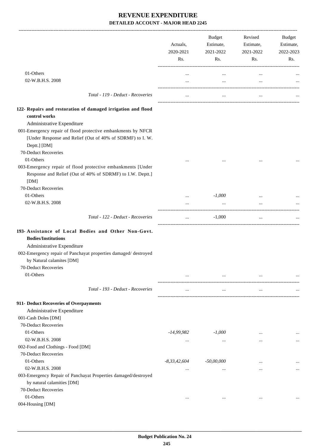|                                                                                                                                           | Actuals,<br>2020-2021<br>Rs. | Budget<br>Estimate,<br>2021-2022<br>Rs. | Revised<br>Estimate,<br>2021-2022<br>Rs. | Budget<br>Estimate,<br>2022-2023<br>Rs. |
|-------------------------------------------------------------------------------------------------------------------------------------------|------------------------------|-----------------------------------------|------------------------------------------|-----------------------------------------|
| 01-Others                                                                                                                                 |                              |                                         |                                          |                                         |
| 02-W.B.H.S. 2008                                                                                                                          | $\cdots$<br>$\cdots$         | $\cdots$<br>$\cdots$                    | $\cdots$<br>$\cdots$                     |                                         |
|                                                                                                                                           |                              |                                         |                                          |                                         |
| Total - 119 - Deduct - Recoveries                                                                                                         |                              | $\ddotsc$                               | $\ddotsc$                                |                                         |
| 122- Repairs and restoration of damaged irrigation and flood                                                                              |                              |                                         |                                          |                                         |
| control works                                                                                                                             |                              |                                         |                                          |                                         |
| Administrative Expenditure                                                                                                                |                              |                                         |                                          |                                         |
| 001-Emergency repair of flood protective embankments by NFCR<br>[Under Response and Relief (Out of 40% of SDRMF) to I. W.<br>Deptt.] [DM] |                              |                                         |                                          |                                         |
| 70-Deduct Recoveries                                                                                                                      |                              |                                         |                                          |                                         |
| 01-Others                                                                                                                                 |                              |                                         |                                          |                                         |
| 003-Emergency repair of flood protective embankments [Under<br>Response and Relief (Out of 40% of SDRMF) to I.W. Deptt.]<br>[DM]          |                              |                                         |                                          |                                         |
| 70-Deduct Recoveries                                                                                                                      |                              |                                         |                                          |                                         |
| 01-Others                                                                                                                                 | $\cdots$                     | $-1,000$                                |                                          |                                         |
| 02-W.B.H.S. 2008                                                                                                                          |                              | $\cdots$                                |                                          |                                         |
| Total - 122 - Deduct - Recoveries                                                                                                         | $\cdots$                     | $-1,000$                                | $\cdots$                                 |                                         |
| 193- Assistance of Local Bodies and Other Non-Govt.<br><b>Bodies/Institutions</b><br>Administrative Expenditure                           |                              |                                         |                                          |                                         |
| 002-Emergency repair of Panchayat properties damaged/ destroyed<br>by Natural calamites [DM]                                              |                              |                                         |                                          |                                         |
| 70-Deduct Recoveries                                                                                                                      |                              |                                         |                                          |                                         |
| 01-Others                                                                                                                                 | $\cdots$                     | $\cdots$                                | $\cdots$                                 |                                         |
|                                                                                                                                           |                              |                                         |                                          |                                         |
| Total - 193 - Deduct - Recoveries                                                                                                         | $\cdots$                     | $\cdots$                                | $\cdots$                                 |                                         |
| 911- Deduct Recoveries of Overpayments                                                                                                    |                              |                                         |                                          |                                         |
| Administrative Expenditure                                                                                                                |                              |                                         |                                          |                                         |
| 001-Cash Doles [DM]                                                                                                                       |                              |                                         |                                          |                                         |
| 70-Deduct Recoveries                                                                                                                      |                              |                                         |                                          |                                         |
| 01-Others                                                                                                                                 | -14,99,982                   | $-1,000$                                | $\cdots$                                 |                                         |
| 02-W.B.H.S. 2008                                                                                                                          | $\cdots$                     | $\cdots$                                |                                          | $\ddotsc$                               |
| 002-Food and Clothings - Food [DM]                                                                                                        |                              |                                         |                                          |                                         |
| 70-Deduct Recoveries                                                                                                                      |                              |                                         |                                          |                                         |
| 01-Others                                                                                                                                 | $-8,33,42,604$               | -50,00,000                              | $\cdots$                                 | $\cdots$                                |
| 02-W.B.H.S. 2008                                                                                                                          | $\cdots$                     | $\cdots$                                |                                          | $\cdots$                                |
| 003-Emergency Repair of Panchayat Properties damaged/destroyed<br>by natural calamities [DM]<br>70-Deduct Recoveries                      |                              |                                         |                                          |                                         |
| 01-Others                                                                                                                                 |                              |                                         |                                          |                                         |
| 004-Housing [DM]                                                                                                                          | $\cdots$                     | $\ldots$                                | $\cdots$                                 |                                         |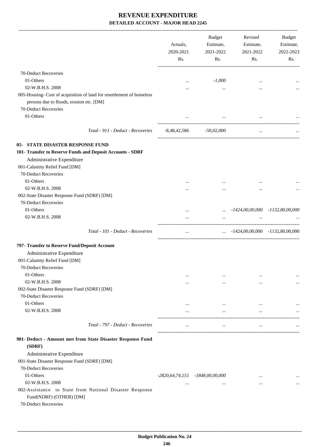|                                                                                                                                          |                                   | Actuals,<br>2020-2021<br>Rs. | Budget<br>Estimate,<br>2021-2022<br>Rs. | Revised<br>Estimate,<br>2021-2022<br>Rs. | Budget<br>Estimate,<br>2022-2023<br>Rs. |
|------------------------------------------------------------------------------------------------------------------------------------------|-----------------------------------|------------------------------|-----------------------------------------|------------------------------------------|-----------------------------------------|
| 70-Deduct Recoveries                                                                                                                     |                                   |                              |                                         |                                          |                                         |
| 01-Others                                                                                                                                |                                   |                              | $-1,000$                                |                                          |                                         |
| 02-W.B.H.S. 2008                                                                                                                         |                                   | $\cdots$<br>                 |                                         | $\cdots$<br>$\ddotsc$                    |                                         |
| 005-Housing-Cost of acquisition of land for resettlement of homeless<br>persons due to floods, erosion etc. [DM]<br>70-Deduct Recoveries |                                   |                              | $\cdots$                                |                                          |                                         |
| 01-Others                                                                                                                                |                                   |                              | $\ldots$                                |                                          |                                         |
|                                                                                                                                          | Total - 911 - Deduct - Recoveries |                              | $-8,48,42,586$ $-50,02,000$             | $\ldots$                                 |                                         |
| <b>05- STATE DISASTER RESPONSE FUND</b>                                                                                                  |                                   |                              |                                         |                                          |                                         |
| 101- Transfer to Reserve Funds and Deposit Accounts - SDRF                                                                               |                                   |                              |                                         |                                          |                                         |
| Administrative Expenditure                                                                                                               |                                   |                              |                                         |                                          |                                         |
| 001-Calamity Relief Fund [DM]                                                                                                            |                                   |                              |                                         |                                          |                                         |
| 70-Deduct Recoveries                                                                                                                     |                                   |                              |                                         |                                          |                                         |
| 01-Others                                                                                                                                |                                   |                              |                                         |                                          |                                         |
| 02-W.B.H.S. 2008                                                                                                                         |                                   |                              |                                         |                                          |                                         |
| 002-State Disaster Response Fund (SDRF) [DM]                                                                                             |                                   |                              |                                         |                                          |                                         |
| 70-Deduct Recoveries                                                                                                                     |                                   |                              |                                         |                                          |                                         |
| 01-Others                                                                                                                                |                                   |                              |                                         | $\ldots$ -1424,00,00,000 -1132,80,00,000 |                                         |
| 02-W.B.H.S. 2008                                                                                                                         |                                   | $\cdots$                     | $\cdots$                                | $\cdots$                                 |                                         |
|                                                                                                                                          |                                   |                              |                                         |                                          |                                         |
|                                                                                                                                          | Total - 101 - Deduct - Recoveries | $\ddotsc$                    |                                         | $\ldots$ -1424,00,00,000 -1132,80,00,000 |                                         |
| 797- Transfer to Reserve Fund/Deposit Account                                                                                            |                                   |                              |                                         |                                          |                                         |
| Administrative Expenditure                                                                                                               |                                   |                              |                                         |                                          |                                         |
| 001-Calamity Relief Fund [DM]                                                                                                            |                                   |                              |                                         |                                          |                                         |
| 70-Deduct Recoveries                                                                                                                     |                                   |                              |                                         |                                          |                                         |
| 01-Others                                                                                                                                |                                   | $\cdots$                     | $\cdots$                                | $\cdots$                                 |                                         |
| 02-W.B.H.S. 2008                                                                                                                         |                                   | $\cdots$                     | $\cdots$                                | $\cdots$                                 | $\cdots$                                |
| 002-State Disaster Response Fund (SDRF) [DM]                                                                                             |                                   |                              |                                         |                                          |                                         |
| 70-Deduct Recoveries                                                                                                                     |                                   |                              |                                         |                                          |                                         |
| 01-Others                                                                                                                                |                                   | $\cdots$                     | $\cdots$                                | $\cdots$                                 |                                         |
| 02-W.B.H.S. 2008                                                                                                                         |                                   | $\cdots$                     | $\cdots$                                | $\cdots$                                 |                                         |
|                                                                                                                                          | Total - 797 - Deduct - Recoveries | $\cdots$                     | $\ldots$                                | $\ldots$                                 |                                         |
|                                                                                                                                          |                                   |                              |                                         |                                          |                                         |
| 901- Deduct - Amount met from State Disaster Response Fund<br>(SDRF)                                                                     |                                   |                              |                                         |                                          |                                         |
| Administrative Expenditure                                                                                                               |                                   |                              |                                         |                                          |                                         |
| 001-State Disaster Response Fund (SDRF) [DM]                                                                                             |                                   |                              |                                         |                                          |                                         |
| 70-Deduct Recoveries                                                                                                                     |                                   |                              |                                         |                                          |                                         |
| 01-Others                                                                                                                                |                                   |                              | -2820,64,74,151 -1848,00,00,000         | $\cdots$                                 |                                         |
| 02-W.B.H.S. 2008                                                                                                                         |                                   |                              | $\cdots$                                | $\ddotsc$                                |                                         |
| 002-Assistance to State from National Disaster Response<br>Fund(NDRF) (OTHER) [DM]<br>70-Deduct Recoveries                               |                                   |                              |                                         |                                          |                                         |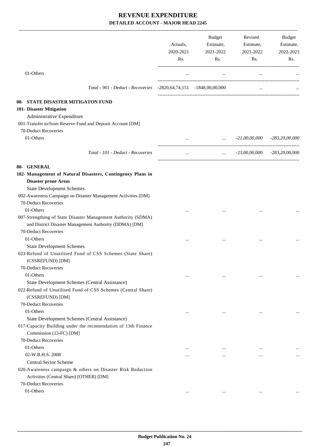|                                                                                                                         | Actuals,<br>2020-2021<br>Rs. | <b>Budget</b><br>Estimate,<br>2021-2022<br>Rs. | Revised<br>Estimate,<br>2021-2022<br>Rs. | Budget<br>Estimate,<br>2022-2023<br>Rs. |
|-------------------------------------------------------------------------------------------------------------------------|------------------------------|------------------------------------------------|------------------------------------------|-----------------------------------------|
| 01-Others                                                                                                               | $\cdots$                     | $\cdots$                                       | $\ldots$                                 |                                         |
| Total - 901 - Deduct - Recoveries -2820,64,74,151 -1848,00,00,000                                                       |                              |                                                | $\cdots$                                 |                                         |
| 08- STATE DISASTER MITIGATON FUND                                                                                       |                              |                                                |                                          |                                         |
| 101- Disaster Mitigation                                                                                                |                              |                                                |                                          |                                         |
| Administrative Expenditure                                                                                              |                              |                                                |                                          |                                         |
| 001-Transfer to/from Reserve Fund and Deposit Account [DM]                                                              |                              |                                                |                                          |                                         |
| 70-Deduct Recoveries                                                                                                    |                              |                                                |                                          |                                         |
| 01-Others                                                                                                               |                              | $-21,00,00,000$ $-283,20,00,000$               |                                          |                                         |
|                                                                                                                         |                              |                                                |                                          |                                         |
| Total - 101 - Deduct - Recoveries                                                                                       | $\cdots$                     |                                                | $\ldots$ -21,00,00,000 -283,20,00,000    |                                         |
| 80- GENERAL                                                                                                             |                              |                                                |                                          |                                         |
| 102- Management of Natural Disasters, Contingency Plans in                                                              |                              |                                                |                                          |                                         |
| <b>Disaster prone Areas</b>                                                                                             |                              |                                                |                                          |                                         |
| <b>State Development Schemes</b>                                                                                        |                              |                                                |                                          |                                         |
| 002-Awareness Campaign on Disaster Management Activities [DM]                                                           |                              |                                                |                                          |                                         |
| 70-Deduct Recoveries                                                                                                    |                              |                                                |                                          |                                         |
| 01-Others                                                                                                               |                              |                                                |                                          |                                         |
| 007-Strengthing of State Disaster Management Authority (SDMA)<br>and District Disaster Management Authority (DDMA) [DM] |                              |                                                |                                          |                                         |
| 70-Deduct Recoveries                                                                                                    |                              |                                                |                                          |                                         |
| 01-Others                                                                                                               |                              |                                                |                                          |                                         |
| <b>State Development Schemes</b>                                                                                        |                              |                                                |                                          |                                         |
| 023-Refund of Unutilised Fund of CSS Schemes (State Share)<br>(CSSREFUND) [DM]                                          |                              |                                                |                                          |                                         |
| 70-Deduct Recoveries                                                                                                    |                              |                                                |                                          |                                         |
| 01-Others                                                                                                               |                              | $\cdots$                                       |                                          |                                         |
| State Development Schemes (Central Assistance)                                                                          |                              |                                                |                                          |                                         |
| 022-Refund of Unutilised Fund of CSS Schemes (Central Share)<br>(CSSREFUND) [DM]                                        |                              |                                                |                                          |                                         |
| 70-Deduct Recoveries                                                                                                    |                              |                                                |                                          |                                         |
| 01-Others                                                                                                               | $\cdots$                     | $\cdots$                                       | $\ddotsc$                                |                                         |
| State Development Schemes (Central Assistance)                                                                          |                              |                                                |                                          |                                         |
| 017-Capacity Building under the recomendation of 13th Finance                                                           |                              |                                                |                                          |                                         |
| Commission (13-FC) [DM]                                                                                                 |                              |                                                |                                          |                                         |
| 70-Deduct Recoveries                                                                                                    |                              |                                                |                                          |                                         |
| 01-Others                                                                                                               | $\cdots$                     | $\cdots$                                       | $\ddotsc$                                |                                         |
| 02-W.B.H.S. 2008                                                                                                        |                              |                                                |                                          |                                         |
| <b>Central Sector Scheme</b>                                                                                            |                              |                                                |                                          |                                         |
| 020-Awareness campaign & others on Disaster Risk Reduction<br>Activities (Central Share) (OTHER) [DM]                   |                              |                                                |                                          |                                         |
| 70-Deduct Recoveries                                                                                                    |                              |                                                |                                          |                                         |
| 01-Others                                                                                                               | $\cdots$                     | $\cdots$                                       | $\cdots$                                 |                                         |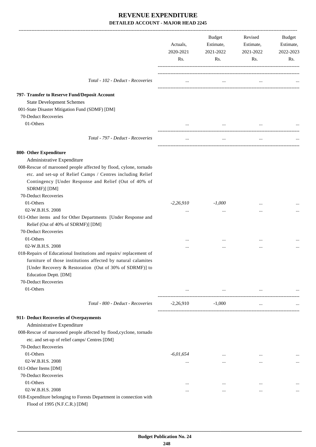|                                                                                                     | Actuals,<br>2020-2021<br>Rs. | Budget<br>Estimate,<br>2021-2022<br>Rs. | Revised<br>Estimate,<br>2021-2022<br>Rs. | Budget<br>Estimate,<br>2022-2023<br>Rs. |
|-----------------------------------------------------------------------------------------------------|------------------------------|-----------------------------------------|------------------------------------------|-----------------------------------------|
|                                                                                                     |                              |                                         |                                          |                                         |
| Total - 102 - Deduct - Recoveries                                                                   | $\cdots$                     | $\cdots$                                |                                          |                                         |
| 797- Transfer to Reserve Fund/Deposit Account                                                       |                              |                                         |                                          |                                         |
| <b>State Development Schemes</b>                                                                    |                              |                                         |                                          |                                         |
| 001-State Disaster Mitigation Fund (SDMF) [DM]                                                      |                              |                                         |                                          |                                         |
| 70-Deduct Recoveries                                                                                |                              |                                         |                                          |                                         |
| 01-Others                                                                                           | $\cdots$                     | $\cdots$                                |                                          |                                         |
| Total - 797 - Deduct - Recoveries                                                                   | $\cdots$                     | $\cdots$                                | $\cdots$                                 |                                         |
| 800- Other Expenditure                                                                              |                              |                                         |                                          |                                         |
| Administrative Expenditure                                                                          |                              |                                         |                                          |                                         |
| 008-Rescue of marooned people affected by flood, cylone, tornado                                    |                              |                                         |                                          |                                         |
| etc. and set-up of Relief Camps / Centres including Relief                                          |                              |                                         |                                          |                                         |
| Contingency [Under Response and Relief (Out of 40% of                                               |                              |                                         |                                          |                                         |
| SDRMF)] [DM]                                                                                        |                              |                                         |                                          |                                         |
| 70-Deduct Recoveries                                                                                |                              |                                         |                                          |                                         |
| 01-Others                                                                                           | $-2,26,910$                  | $-1,000$                                |                                          |                                         |
| 02-W.B.H.S. 2008                                                                                    | $\cdots$                     | $\cdots$                                |                                          |                                         |
| 011-Other items and for Other Departments [Under Response and                                       |                              |                                         |                                          |                                         |
| Relief (Out of 40% of SDRMF)] [DM]                                                                  |                              |                                         |                                          |                                         |
| 70-Deduct Recoveries                                                                                |                              |                                         |                                          |                                         |
| 01-Others                                                                                           | $\cdots$                     |                                         |                                          |                                         |
| 02-W.B.H.S. 2008                                                                                    |                              |                                         |                                          |                                         |
| 018-Repairs of Educational Institutions and repairs/replacement of                                  |                              |                                         |                                          |                                         |
| furniture of those institutions affected by natural calamites                                       |                              |                                         |                                          |                                         |
| [Under Recovery & Restoration (Out of 30% of SDRMF)] to                                             |                              |                                         |                                          |                                         |
| Education Deptt. [DM]                                                                               |                              |                                         |                                          |                                         |
| 70-Deduct Recoveries                                                                                |                              |                                         |                                          |                                         |
| 01-Others                                                                                           | $\cdots$                     | $\ldots$                                | $\cdots$                                 |                                         |
| Total - 800 - Deduct - Recoveries                                                                   | $-2,26,910$                  | $-1,000$                                | $\cdots$                                 |                                         |
| 911- Deduct Recoveries of Overpayments                                                              |                              |                                         |                                          |                                         |
| Administrative Expenditure                                                                          |                              |                                         |                                          |                                         |
| 008-Rescue of marooned people affected by flood, cyclone, tornado                                   |                              |                                         |                                          |                                         |
| etc. and set-up of relief camps/ Centres [DM]                                                       |                              |                                         |                                          |                                         |
| 70-Deduct Recoveries                                                                                |                              |                                         |                                          |                                         |
| 01-Others                                                                                           | $-6,01,654$                  | $\cdots$                                | $\cdots$                                 |                                         |
| 02-W.B.H.S. 2008                                                                                    | $\cdots$                     | $\cdots$                                | $\cdots$                                 | $\cdots$                                |
| 011-Other Items [DM]                                                                                |                              |                                         |                                          |                                         |
| 70-Deduct Recoveries                                                                                |                              |                                         |                                          |                                         |
| 01-Others                                                                                           | $\ddotsc$                    | $\cdots$                                | $\ddotsc$                                |                                         |
| 02-W.B.H.S. 2008                                                                                    |                              | $\cdots$                                | $\cdots$                                 |                                         |
| 018-Expenditure belonging to Forests Department in connection with<br>Flood of 1995 (N.F.C.R.) [DM] |                              |                                         |                                          |                                         |

 **Budget Publication No. 24 248**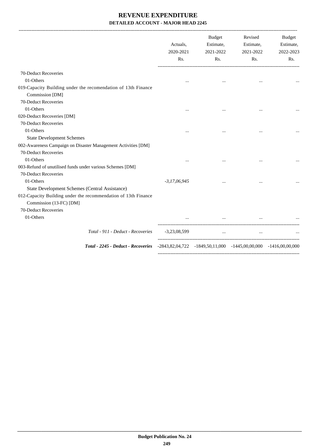|                                                                | Actuals,<br>2020-2021<br>Rs. | Budget<br>Estimate,<br>2021-2022<br>Rs.                                 | Revised<br>Estimate,<br>2021-2022<br>Rs. | Budget<br>Estimate,<br>2022-2023<br>Rs. |
|----------------------------------------------------------------|------------------------------|-------------------------------------------------------------------------|------------------------------------------|-----------------------------------------|
| 70-Deduct Recoveries                                           |                              |                                                                         |                                          |                                         |
| 01-Others                                                      | $\cdots$                     | $\cdots$                                                                | $\cdots$                                 |                                         |
| 019-Capacity Building under the recomendation of 13th Finance  |                              |                                                                         |                                          |                                         |
| Commission [DM]                                                |                              |                                                                         |                                          |                                         |
| 70-Deduct Recoveries                                           |                              |                                                                         |                                          |                                         |
| 01-Others                                                      |                              |                                                                         |                                          |                                         |
| 020-Deduct Recoveries [DM]                                     |                              |                                                                         |                                          |                                         |
| 70-Deduct Recoveries                                           |                              |                                                                         |                                          |                                         |
| 01-Others                                                      | $\ddotsc$                    | $\ddotsc$                                                               | $\cdots$                                 |                                         |
| <b>State Development Schemes</b>                               |                              |                                                                         |                                          |                                         |
| 002-Awareness Campaign on Disaster Management Activities [DM]  |                              |                                                                         |                                          |                                         |
| 70-Deduct Recoveries                                           |                              |                                                                         |                                          |                                         |
| 01-Others                                                      |                              |                                                                         |                                          |                                         |
| 003-Refund of unutilised funds under various Schemes [DM]      |                              |                                                                         |                                          |                                         |
| 70-Deduct Recoveries                                           |                              |                                                                         |                                          |                                         |
| 01-Others                                                      | $-3,17,06,945$               |                                                                         |                                          |                                         |
| State Development Schemes (Central Assistance)                 |                              |                                                                         |                                          |                                         |
| 012-Capacity Building under the recommendation of 13th Finance |                              |                                                                         |                                          |                                         |
| Commission (13-FC) [DM]                                        |                              |                                                                         |                                          |                                         |
| 70-Deduct Recoveries                                           |                              |                                                                         |                                          |                                         |
| 01-Others                                                      |                              |                                                                         |                                          |                                         |
| Total - 911 - Deduct - Recoveries                              | $-3,23,08,599$               | <b>Sales Control</b>                                                    |                                          |                                         |
| Total - 2245 - Deduct - Recoveries                             |                              | $-2843,82,04,722$ $-1849,50,11,000$ $-1445,00,00,000$ $-1416,00,00,000$ |                                          |                                         |
|                                                                |                              |                                                                         |                                          |                                         |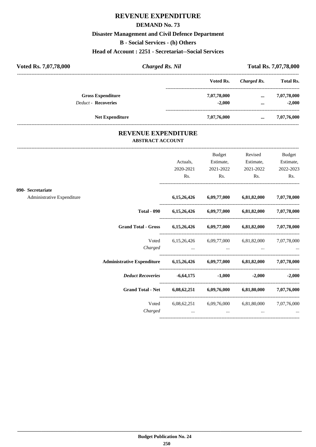# **REVENUE EXPENDITURE**

#### **DEMAND No. 73**

#### **Disaster Management and Civil Defence Department**

**B - Social Services - (h) Others**

**Head of Account : 2251 - Secretariat--Social Services**

| Voted Rs. 7,07,78,000 |                            | <b>Charged Rs. Nil</b> |             | <b>Total Rs. 7,07,78,000</b> |                  |  |
|-----------------------|----------------------------|------------------------|-------------|------------------------------|------------------|--|
|                       |                            |                        | Voted Rs.   | Charged Rs.                  | <b>Total Rs.</b> |  |
|                       | <b>Gross Expenditure</b>   |                        | 7,07,78,000 | $\cdots$                     | 7,07,78,000      |  |
|                       | <b>Deduct - Recoveries</b> |                        | $-2.000$    | $\cdots$                     | $-2.000$         |  |
|                       | <b>Net Expenditure</b>     |                        | 7,07,76,000 | $\cdots$                     | 7,07,76,000      |  |

### **REVENUE EXPENDITURE ABSTRACT ACCOUNT**

---------------------------------------------------------------------------------------------------------------------------------------------------------------------------------

|                                                 |                                                                            | Actuals,<br>2020-2021<br>Rs.                          | Budget<br>Estimate,<br>2021-2022<br>$\mathbf{Rs.}$ | Revised<br>Estimate,<br>2021-2022<br>$\mathbf{Rs.}$ | <b>Budget</b><br>Estimate,<br>2022-2023<br>Rs. |
|-------------------------------------------------|----------------------------------------------------------------------------|-------------------------------------------------------|----------------------------------------------------|-----------------------------------------------------|------------------------------------------------|
| 090- Secretariate<br>Administrative Expenditure |                                                                            |                                                       | 6,15,26,426 6,09,77,000 6,81,82,000 7,07,78,000    |                                                     |                                                |
|                                                 | <b>Total - 090</b>                                                         |                                                       | 6,15,26,426 6,09,77,000 6,81,82,000 7,07,78,000    |                                                     |                                                |
|                                                 | Grand Total - Gross 6,15,26,426 6,09,77,000 6,81,82,000 7,07,78,000        |                                                       |                                                    |                                                     |                                                |
|                                                 |                                                                            | Voted 6,15,26,426 6,09,77,000 6,81,82,000 7,07,78,000 |                                                    |                                                     |                                                |
|                                                 | Administrative Expenditure 6,15,26,426 6,09,77,000 6,81,82,000 7,07,78,000 |                                                       |                                                    |                                                     |                                                |
|                                                 | Deduct Recoveries -6,64,175 -1,000                                         |                                                       |                                                    |                                                     | $-2,000$ $-2,000$                              |
|                                                 | Grand Total - Net 6,08,62,251 6,09,76,000 6,81,80,000 7,07,76,000          |                                                       |                                                    |                                                     |                                                |
|                                                 | Charged                                                                    | Voted 6,08,62,251 6,09,76,000 6,81,80,000 7,07,76,000 | $\cdots$                                           | $\cdots$                                            |                                                |
|                                                 |                                                                            |                                                       |                                                    |                                                     |                                                |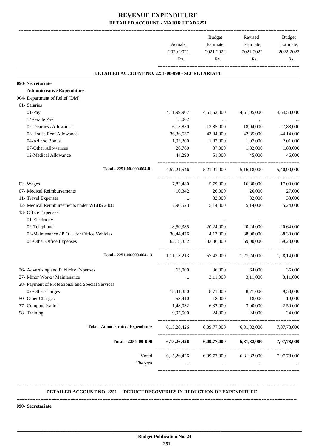|                                                  | Actuals,<br>2020-2021<br>Rs. | Budget<br>Estimate,<br>2021-2022<br>Rs. | Revised<br>Estimate,<br>2021-2022<br>Rs.      | Budget<br>Estimate,<br>2022-2023<br>Rs. |
|--------------------------------------------------|------------------------------|-----------------------------------------|-----------------------------------------------|-----------------------------------------|
| DETAILED ACCOUNT NO. 2251-00-090 - SECRETARIATE  |                              |                                         |                                               |                                         |
| 090- Secretariate                                |                              |                                         |                                               |                                         |
| <b>Administrative Expenditure</b>                |                              |                                         |                                               |                                         |
| 004- Department of Relief [DM]                   |                              |                                         |                                               |                                         |
| 01- Salaries                                     |                              |                                         |                                               |                                         |
| 01-Pay                                           | 4, 11, 99, 907               | 4,61,52,000                             | 4,51,05,000                                   | 4,64,58,000                             |
| 14-Grade Pay                                     | 5,002                        | $\sim 100$ and $\sim 100$               | $\ldots$                                      |                                         |
| 02-Dearness Allowance                            | 6,15,850                     | 13,85,000                               | 18,04,000                                     | 27,88,000                               |
| 03-House Rent Allowance                          | 36, 36, 537                  | 43,84,000                               | 42,85,000                                     | 44,14,000                               |
| 04-Ad hoc Bonus                                  | 1,93,200                     | 1,82,000                                | 1,97,000                                      | 2,01,000                                |
| 07-Other Allowances                              | 26,760                       | 37,000                                  | 1,82,000                                      | 1,83,000                                |
| 12-Medical Allowance                             | 44,290                       | 51,000                                  | 45,000                                        | 46,000                                  |
| Total - 2251-00-090-004-01                       |                              | 4,57,21,546 5,21,91,000                 | 5,16,18,000                                   | 5,40,90,000                             |
| 02- Wages                                        | 7,82,480                     | 5,79,000                                | 16,80,000                                     | 17,00,000                               |
| 07- Medical Reimbursements                       | 10,342                       | 26,000                                  | 26,000                                        | 27,000                                  |
| 11- Travel Expenses                              | $\cdots$                     | 32,000                                  | 32,000                                        | 33,000                                  |
| 12- Medical Reimbursements under WBHS 2008       | 7,90,523                     | 5,14,000                                | 5,14,000                                      | 5,24,000                                |
| 13- Office Expenses                              |                              |                                         |                                               |                                         |
| 01-Electricity                                   | $\cdots$                     | $\cdots$                                | $\cdots$                                      |                                         |
| 02-Telephone                                     | 18,50,385                    | 20,24,000                               | 20,24,000                                     | 20,64,000                               |
| 03-Maintenance / P.O.L. for Office Vehicles      | 30,44,476                    | 4,13,000                                | 38,00,000                                     | 38,30,000                               |
| 04-Other Office Expenses                         | 62, 18, 352                  | 33,06,000                               | 69,00,000                                     | 69,20,000                               |
| Total - 2251-00-090-004-13                       |                              |                                         | 1,11,13,213 57,43,000 1,27,24,000 1,28,14,000 |                                         |
| 26- Advertising and Publicity Expenses           | 63,000                       | 36,000                                  | 64,000                                        | 36,000                                  |
| 27- Minor Works/ Maintenance                     |                              | 3,11,000                                | 3,11,000                                      | 3,11,000                                |
| 28- Payment of Professional and Special Services |                              |                                         |                                               |                                         |
| 02-Other charges                                 | 18,41,380                    | 8,71,000                                | 8,71,000                                      | 9,50,000                                |
| 50- Other Charges                                | 58,410                       | 18,000                                  | 18,000                                        | 19,000                                  |
| 77- Computerisation                              | 1,48,032                     | 6,32,000                                | 3,00,000                                      | 2,50,000                                |
| 98- Training                                     | 9,97,500                     | 24,000                                  | 24,000                                        | 24,000                                  |
| <b>Total - Administrative Expenditure</b>        | 6,15,26,426                  | 6,09,77,000                             | 6,81,82,000                                   | 7,07,78,000                             |
| Total - 2251-00-090                              |                              |                                         | $6,15,26,426$ $6,09,77,000$ $6,81,82,000$     | 7,07,78,000                             |
| Voted<br>Charged                                 | 6,15,26,426<br>$\cdots$      | 6,09,77,000<br>$\cdots$                 | 6,81,82,000<br>$\cdots$                       | 7,07,78,000                             |

#### **DETAILED ACCOUNT NO. 2251 - DEDUCT RECOVERIES IN REDUCTION OF EXPENDITURE**

**--------------------------------------------------------------------------------------------------------------------------------------------------------------------------------**

**--------------------------------------------------------------------------------------------------------------------------------------------------------------------------------**

 **\_\_\_\_\_\_\_\_\_\_\_\_\_\_\_\_\_\_\_\_\_\_\_\_\_\_\_\_\_\_\_\_\_\_\_\_\_\_\_\_\_\_\_\_\_\_\_\_\_\_\_\_\_\_\_\_\_\_\_\_\_\_\_\_\_\_\_\_\_\_\_\_\_\_\_\_\_\_\_\_\_\_\_\_\_\_\_\_\_\_\_\_\_\_\_\_\_\_\_\_\_\_\_\_\_\_\_\_\_\_\_\_\_\_\_\_\_\_\_**

**090- Secretariate**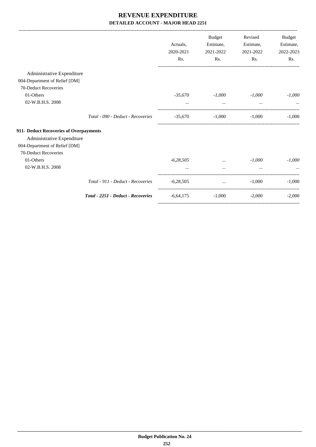|                                        |                                    |             | <b>Budget</b>   | Revised   | Budget    |
|----------------------------------------|------------------------------------|-------------|-----------------|-----------|-----------|
|                                        |                                    | Actuals,    | Estimate,       | Estimate, | Estimate, |
|                                        |                                    | 2020-2021   | 2021-2022       | 2021-2022 | 2022-2023 |
|                                        |                                    | Rs.         | Rs.             | Rs.       | Rs.       |
| Administrative Expenditure             |                                    |             |                 |           |           |
| 004-Department of Relief [DM]          |                                    |             |                 |           |           |
| 70-Deduct Recoveries                   |                                    |             |                 |           |           |
| 01-Others                              |                                    | $-35,670$   | $-1,000$        | $-1,000$  | $-1,000$  |
| 02-W.B.H.S. 2008                       |                                    | $\cdots$    | $\cdots$        | $\cdots$  |           |
|                                        | Total - 090 - Deduct - Recoveries  | $-35,670$   | $-1.000$        | $-1.000$  | $-1,000$  |
| 911- Deduct Recoveries of Overpayments |                                    |             |                 |           |           |
| Administrative Expenditure             |                                    |             |                 |           |           |
| 004-Department of Relief [DM]          |                                    |             |                 |           |           |
| 70-Deduct Recoveries                   |                                    |             |                 |           |           |
| 01-Others                              |                                    | $-6,28,505$ | $\cdots$        | $-1.000$  | $-1,000$  |
| 02-W.B.H.S. 2008                       |                                    |             |                 |           |           |
|                                        | Total - 911 - Deduct - Recoveries  | $-6,28,505$ | <b>ALCOHOL:</b> | $-1.000$  | $-1,000$  |
|                                        | Total - 2251 - Deduct - Recoveries | $-6,64,175$ | $-1,000$        | $-2,000$  | $-2,000$  |
|                                        |                                    |             |                 |           |           |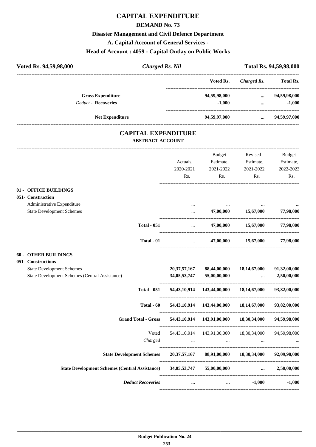#### **DEMAND No. 73**

#### **Disaster Management and Civil Defence Department**

**A. Capital Account of General Services -**

# **Head of Account : 4059 - Capital Outlay on Public Works**

| Head of Account : 4059 - Capital Outlay on Fublic Works                            |                                    |                                                         |                               |                             |
|------------------------------------------------------------------------------------|------------------------------------|---------------------------------------------------------|-------------------------------|-----------------------------|
| Voted Rs. 94,59,98,000<br><b>Charged Rs. Nil</b>                                   |                                    |                                                         |                               | Total Rs. 94,59,98,000      |
|                                                                                    |                                    | Voted Rs.                                               | <b>Charged Rs.</b>            | <b>Total Rs.</b>            |
| <b>Gross Expenditure</b>                                                           |                                    | 94,59,98,000                                            |                               | $\dots$ 94,59,98,000        |
| <b>Deduct - Recoveries</b>                                                         |                                    | $-1,000$                                                | $\cdots$                      | $-1,000$                    |
| <b>Net Expenditure</b>                                                             |                                    | 94,59,97,000                                            |                               | $\dots$ 94,59,97,000        |
| <b>CAPITAL EXPENDITURE</b><br><b>ABSTRACT ACCOUNT</b>                              |                                    |                                                         |                               |                             |
|                                                                                    |                                    | Budget                                                  | Revised                       | Budget                      |
|                                                                                    | Actuals,                           | Estimate,                                               | Estimate,                     | Estimate,                   |
|                                                                                    | 2020-2021                          | 2021-2022                                               | 2021-2022                     | 2022-2023                   |
|                                                                                    | Rs.                                | Rs.                                                     | Rs.                           | Rs.                         |
| 01 - OFFICE BUILDINGS                                                              |                                    |                                                         |                               |                             |
| 051- Construction                                                                  |                                    |                                                         |                               |                             |
| Administrative Expenditure                                                         | $\cdots$                           | $\cdots$                                                |                               |                             |
| <b>State Development Schemes</b>                                                   |                                    |                                                         | 47,00,000 15,67,000           | 77,98,000                   |
| <b>Total - 051</b>                                                                 |                                    | <b>Second Contract Contract</b>                         | 47,00,000 15,67,000           | 77,98,000                   |
| Total - 01                                                                         |                                    | <b>Sales Committee</b>                                  | 47,00,000 15,67,000 77,98,000 |                             |
| <b>60 - OTHER BUILDINGS</b>                                                        |                                    |                                                         |                               |                             |
| 051- Constructions                                                                 |                                    |                                                         |                               |                             |
| <b>State Development Schemes</b><br>State Development Schemes (Central Assistance) | 20, 37, 57, 167<br>34, 05, 53, 747 | 88,44,00,000<br>55,00,00,000                            | 18,14,67,000                  | 91,32,00,000<br>2,50,00,000 |
|                                                                                    |                                    |                                                         | $\sim$                        |                             |
| <b>Total - 051</b>                                                                 |                                    | 54,43,10,914  143,44,00,000  18,14,67,000  93,82,00,000 |                               |                             |
| Total - 60                                                                         |                                    | 54,43,10,914 143,44,00,000                              | 18,14,67,000                  | 93,82,00,000                |
| <b>Grand Total - Gross</b>                                                         |                                    | 54,43,10,914 143,91,00,000 18,30,34,000                 |                               | 94,59,98,000                |
| Voted                                                                              |                                    | 54,43,10,914 143,91,00,000                              | 18,30,34,000                  | 94,59,98,000                |
| Charged                                                                            | $\cdots$                           | $\cdots$                                                | $\cdots$                      |                             |
| <b>State Development Schemes</b>                                                   | 20, 37, 57, 167                    | 88,91,00,000                                            | 18,30,34,000                  | 92,09,98,000                |
| <b>State Development Schemes (Central Assistance)</b>                              | 34, 05, 53, 747                    | 55,00,00,000                                            | $\cdots$                      | 2,50,00,000                 |

---------------------------------------------------------------------------------------- *Deduct Recoveries* **... ... -1,000 -1,000**

----------------------------------------------------------------------------------------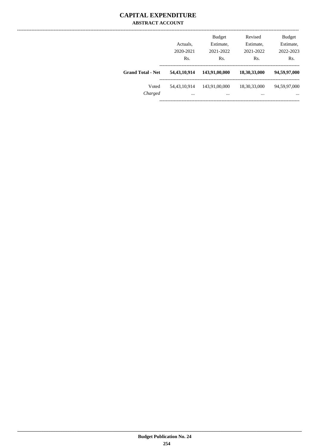### **CAPITAL EXPENDITURE ABSTRACT ACCOUNT**

|                          | Actuals,<br>2020-2021<br>Rs. | <b>Budget</b><br>Estimate,<br>2021-2022<br>Rs. | Revised<br>Estimate,<br>2021-2022<br>Rs. | <b>Budget</b><br>Estimate,<br>2022-2023<br>Rs. |
|--------------------------|------------------------------|------------------------------------------------|------------------------------------------|------------------------------------------------|
| <b>Grand Total - Net</b> | 54,43,10,914                 | 143,91,00,000                                  | 18,30,33,000                             | 94,59,97,000                                   |
| Voted<br>Charged         | 54,43,10,914<br>$\cdots$     | 143,91,00,000<br>$\cdots$                      | 18,30,33,000<br>$\cdots$                 | 94,59,97,000<br>$\cdots$                       |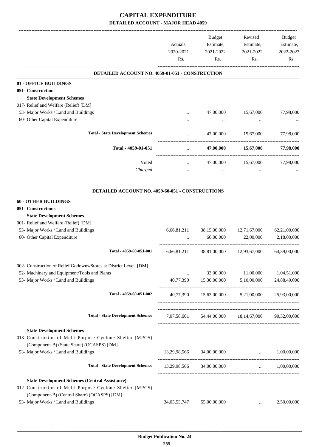|                                                                                               | Actuals,<br>2020-2021<br>Rs. | Budget<br>Estimate,<br>2021-2022<br>Rs.            | Revised<br>Estimate,<br>2021-2022<br>Rs. | Budget<br>Estimate,<br>2022-2023<br>Rs. |
|-----------------------------------------------------------------------------------------------|------------------------------|----------------------------------------------------|------------------------------------------|-----------------------------------------|
| DETAILED ACCOUNT NO. 4059-01-051 - CONSTRUCTION                                               |                              |                                                    |                                          |                                         |
| 01 - OFFICE BUILDINGS                                                                         |                              |                                                    |                                          |                                         |
| 051- Construction                                                                             |                              |                                                    |                                          |                                         |
| <b>State Development Schemes</b>                                                              |                              |                                                    |                                          |                                         |
| 017- Relief and Welfare (Relief) [DM]                                                         |                              |                                                    |                                          |                                         |
| 53- Major Works / Land and Buildings                                                          |                              | 47,00,000                                          | 15,67,000                                | 77,98,000                               |
| 60- Other Capital Expenditure                                                                 |                              |                                                    |                                          |                                         |
|                                                                                               |                              |                                                    |                                          |                                         |
| <b>Total - State Development Schemes</b>                                                      | $\cdots$                     | 47,00,000                                          | 15,67,000                                | 77,98,000                               |
| Total - 4059-01-051                                                                           | $\cdots$                     | 47,00,000                                          | 15,67,000                                | 77,98,000                               |
| Voted<br>Charged                                                                              | $\cdots$                     | 47,00,000                                          | 15,67,000                                | 77,98,000                               |
|                                                                                               |                              |                                                    |                                          |                                         |
| DETAILED ACCOUNT NO. 4059-60-051 - CONSTRUCTIONS                                              |                              |                                                    |                                          |                                         |
| <b>60 - OTHER BUILDINGS</b>                                                                   |                              |                                                    |                                          |                                         |
| 051- Constructions                                                                            |                              |                                                    |                                          |                                         |
| <b>State Development Schemes</b>                                                              |                              |                                                    |                                          |                                         |
| 001- Relief and Welfare (Relief) [DM]                                                         |                              |                                                    |                                          |                                         |
| 53- Major Works / Land and Buildings                                                          | 6,66,81,211                  | 38,15,00,000                                       | 12,71,67,000                             | 62,21,00,000                            |
| 60- Other Capital Expenditure                                                                 |                              | 66,00,000                                          | 22,00,000                                | 2,18,00,000                             |
| Total - 4059-60-051-001                                                                       | 6,66,81,211                  | 38,81,00,000                                       | 12,93,67,000                             | 64,39,00,000                            |
| 002- Construction of Relief Godowns/Stores at District Level. [DM]                            |                              |                                                    |                                          |                                         |
| 52- Machinery and Equipment/Tools and Plants                                                  | $\cdots$                     | 33,00,000                                          | 11,00,000                                | 1,04,51,000                             |
| 53- Major Works / Land and Buildings                                                          |                              | 40,77,390 15,30,00,000                             | 5,10,00,000                              | 24,88,49,000                            |
|                                                                                               |                              |                                                    |                                          |                                         |
| Total - 4059-60-051-002                                                                       |                              | 40,77,390 15,63,00,000 5,21,00,000 25,93,00,000    |                                          |                                         |
| <b>Total - State Development Schemes</b>                                                      |                              | 7,07,58,601 54,44,00,000 18,14,67,000 90,32,00,000 |                                          |                                         |
|                                                                                               |                              |                                                    |                                          |                                         |
| <b>State Development Schemes</b><br>013- Construction of Multi-Purpose Cyclone Shelter (MPCS) |                              |                                                    |                                          |                                         |
| (Component-B) (State Share) (OCASPS) [DM]<br>53- Major Works / Land and Buildings             |                              | 13,29,98,566 34,00,00,000                          | $\ldots$ 1,00,00,000                     |                                         |
| <b>Total - State Development Schemes</b>                                                      |                              | 13,29,98,566 34,00,00,000  1,00,00,000             |                                          |                                         |
|                                                                                               |                              |                                                    |                                          |                                         |
| <b>State Development Schemes (Central Assistance)</b>                                         |                              |                                                    |                                          |                                         |
| 012- Construction of Multi-Purpose Cyclone Shelter (MPCS)                                     |                              |                                                    |                                          |                                         |
| (Component-B) (Central Share) (OCASPS) [DM]                                                   |                              |                                                    |                                          |                                         |
| 53- Major Works / Land and Buildings                                                          | 34,05,53,747                 | 55,00,00,000                                       | $\cdots$                                 | 2,50,00,000                             |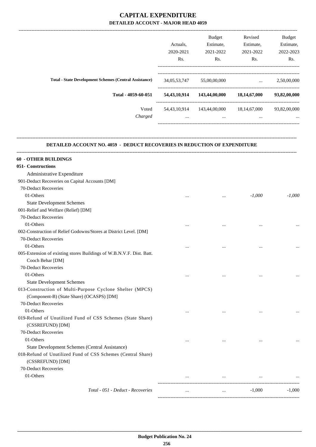|                                                               |                 | <b>Budget</b> | Revised         | <b>Budget</b> |
|---------------------------------------------------------------|-----------------|---------------|-----------------|---------------|
|                                                               | Actuals.        | Estimate,     | Estimate,       | Estimate,     |
|                                                               | 2020-2021       | 2021-2022     | 2021-2022       | 2022-2023     |
|                                                               | Rs.             | Rs.           | Rs.             | Rs.           |
| <b>Total - State Development Schemes (Central Assistance)</b> | 34,05,53,747    | 55,00,00,000  | $\cdots$        | 2,50,00,000   |
| Total - 4059-60-051                                           | 54, 43, 10, 914 | 143,44,00,000 | 18,14,67,000    | 93,82,00,000  |
| Voted                                                         | 54, 43, 10, 914 | 143,44,00,000 | 18, 14, 67, 000 | 93,82,00,000  |
| Charged                                                       | $\cdots$        | $\cdots$      | $\cdots$        | $\cdots$      |
|                                                               |                 |               |                 |               |

#### **DETAILED ACCOUNT NO. 4059 - DEDUCT RECOVERIES IN REDUCTION OF EXPENDITURE**

**--------------------------------------------------------------------------------------------------------------------------------------------------------------------------------**

| <b>60 - OTHER BUILDINGS</b>                                          |          |          |           |          |
|----------------------------------------------------------------------|----------|----------|-----------|----------|
| 051- Constructions                                                   |          |          |           |          |
| Administrative Expenditure                                           |          |          |           |          |
| 901-Deduct Recoveries on Capital Accounts [DM]                       |          |          |           |          |
| 70-Deduct Recoveries                                                 |          |          |           |          |
| 01-Others                                                            |          | $\cdots$ | $-1,000$  | $-1,000$ |
| <b>State Development Schemes</b>                                     |          |          |           |          |
| 001-Relief and Welfare (Relief) [DM]                                 |          |          |           |          |
| 70-Deduct Recoveries                                                 |          |          |           |          |
| 01-Others                                                            | $\cdots$ | $\cdots$ | $\cdots$  |          |
| 002-Construction of Relief Godowns/Stores at District Level. [DM]    |          |          |           |          |
| 70-Deduct Recoveries                                                 |          |          |           |          |
| 01-Others                                                            | $\cdots$ |          | $\cdots$  |          |
| 005-Extension of existing stores Buildings of W.B.N.V.F. Dist. Batt. |          |          |           |          |
| Cooch Behar [DM]                                                     |          |          |           |          |
| 70-Deduct Recoveries                                                 |          |          |           |          |
| 01-Others                                                            |          |          | $\cdots$  |          |
| <b>State Development Schemes</b>                                     |          |          |           |          |
| 013-Construction of Multi-Purpose Cyclone Shelter (MPCS)             |          |          |           |          |
| (Component-B) (State Share) (OCASPS) [DM]                            |          |          |           |          |
| 70-Deduct Recoveries                                                 |          |          |           |          |
| 01-Others                                                            |          | $\cdots$ | $\ddotsc$ |          |
| 019-Refund of Unutilized Fund of CSS Schemes (State Share)           |          |          |           |          |
| (CSSREFUND) [DM]                                                     |          |          |           |          |
| 70-Deduct Recoveries                                                 |          |          |           |          |
| 01-Others                                                            |          |          |           |          |
| State Development Schemes (Central Assistance)                       |          |          |           |          |
| 018-Refund of Unutilized Fund of CSS Schemes (Central Share)         |          |          |           |          |
| (CSSREFUND) [DM]                                                     |          |          |           |          |
| 70-Deduct Recoveries                                                 |          |          |           |          |
| 01-Others                                                            | $\cdots$ | $\cdots$ | $\cdots$  |          |
|                                                                      |          |          |           |          |
| Total - 051 - Deduct - Recoveries                                    | $\cdots$ | $\ddots$ | $-1,000$  | $-1.000$ |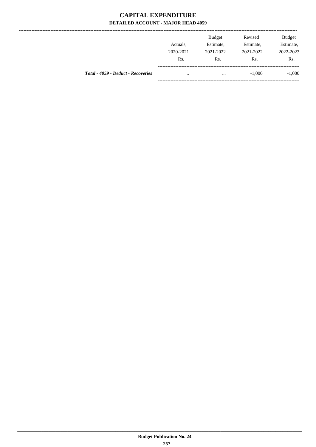|                                    | Actuals,         | <b>Budget</b><br>Estimate, | Revised<br>Estimate, | <b>Budget</b><br>Estimate, |
|------------------------------------|------------------|----------------------------|----------------------|----------------------------|
|                                    | 2020-2021<br>Rs. | 2021-2022<br>Rs.           | 2021-2022<br>Rs.     | 2022-2023<br>Rs.           |
| Total - 4059 - Deduct - Recoveries | $\cdots$         | $\cdots$                   | $-1,000$             | $-1,000$                   |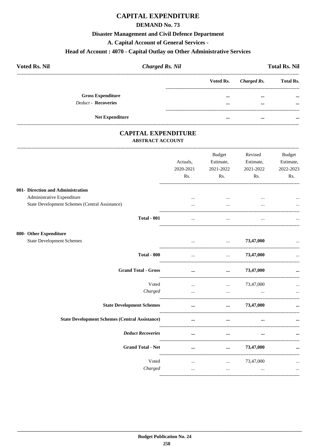### **DEMAND No. 73**

#### **Disaster Management and Civil Defence Department**

A. Capital Account of General Services -

# Head of Account: 4070 - Capital Outlay on Other Administrative Services

| <b>Voted Rs. Nil</b>       | <b>Charged Rs. Nil</b> |                       | <b>Total Rs. Nil</b> |
|----------------------------|------------------------|-----------------------|----------------------|
|                            |                        | Voted Rs. Charged Rs. | <b>Total Rs.</b>     |
| <b>Gross Expenditure</b>   |                        | <br>$\cdots$          | $\cdots$             |
| <b>Deduct - Recoveries</b> |                        | <br>$\cdots$          | $\cdots$             |
| <b>Net Expenditure</b>     |                        | <br>$\cdots$          |                      |

### **CAPITAL EXPENDITURE ABSTRACT ACCOUNT**

-----------------------------------

|                                                       | Actuals,<br>2020-2021<br>Rs. | <b>Budget</b><br>Estimate,<br>2021-2022<br>Rs. | Revised<br>Estimate,<br>2021-2022<br>Rs. | <b>Budget</b><br>Estimate,<br>2022-2023<br>Rs. |
|-------------------------------------------------------|------------------------------|------------------------------------------------|------------------------------------------|------------------------------------------------|
|                                                       |                              |                                                |                                          |                                                |
| 001- Direction and Administration                     |                              |                                                |                                          |                                                |
| Administrative Expenditure                            |                              | $\cdots$                                       |                                          | $\cdots$                                       |
| State Development Schemes (Central Assistance)        |                              | $\cdots$                                       |                                          |                                                |
| <b>Total - 001</b>                                    | $\cdots$                     | $\cdots$                                       | $\cdots$                                 |                                                |
| 800- Other Expenditure                                |                              |                                                |                                          |                                                |
| <b>State Development Schemes</b>                      | $\cdots$                     | $\ddotsc$                                      | 73,47,000                                | $\ddotsc$                                      |
| <b>Total - 800</b>                                    | $\cdots$                     | $\cdots$                                       | 73,47,000                                | --------------------------                     |
| <b>Grand Total - Gross</b>                            | $\cdots$                     | $\cdots$                                       | 73,47,000                                |                                                |
| Voted                                                 | $\cdots$                     | $\cdots$                                       | 73,47,000                                |                                                |
| Charged                                               | $\cdots$                     | $\ddotsc$                                      | $\ddotsc$                                | $\cdots$                                       |
| <b>State Development Schemes</b>                      | $\cdots$                     | $\cdots$                                       | 73,47,000                                | ---------------------                          |
| <b>State Development Schemes (Central Assistance)</b> | $\cdots$                     | $\cdots$                                       | $\cdots$                                 |                                                |
| <b>Deduct Recoveries</b>                              | $\ddotsc$                    | $\cdots$                                       | $\ddotsc$                                | _______________________                        |
| <b>Grand Total - Net</b>                              | $\cdots$                     | $\cdots$                                       | 73,47,000                                | $\ddotsc$                                      |
| Voted                                                 | $\cdots$                     | $\cdots$                                       | 73,47,000                                | $\cdots$                                       |
| Charged                                               | $\cdots$                     | $\cdots$                                       | $\cdots$                                 | $\cdots$                                       |
|                                                       |                              |                                                |                                          |                                                |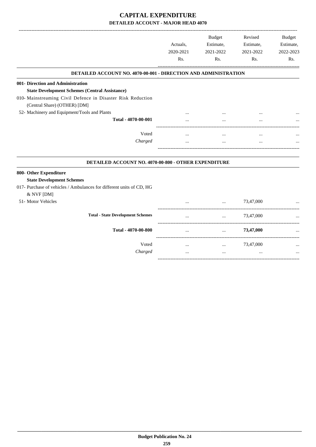|                                                                                    |           | <b>Budget</b>         | Revised   | <b>Budget</b> |
|------------------------------------------------------------------------------------|-----------|-----------------------|-----------|---------------|
|                                                                                    | Actuals,  | Estimate,             | Estimate, | Estimate,     |
|                                                                                    | 2020-2021 | 2021-2022             | 2021-2022 | 2022-2023     |
|                                                                                    | Rs.       | Rs.                   | Rs.       | Rs.           |
| <b>DETAILED ACCOUNT NO. 4070-00-001 - DIRECTION AND ADMINISTRATION</b>             |           |                       |           |               |
| 001- Direction and Administration                                                  |           |                       |           |               |
| <b>State Development Schemes (Central Assistance)</b>                              |           |                       |           |               |
| 010- Mainstreaming Civil Defence in Disaster Risk Reduction                        |           |                       |           |               |
| (Central Share) (OTHER) [DM]                                                       |           |                       |           |               |
| 52- Machinery and Equipment/Tools and Plants                                       |           |                       |           |               |
| Total - 4070-00-001                                                                |           | .                     |           |               |
| Voted                                                                              | $\ddotsc$ | $\cdots$              | $\ddotsc$ |               |
| Charged                                                                            |           | $\cdots$              |           |               |
| DETAILED ACCOUNT NO. 4070-00-800 - OTHER EXPENDITURE                               |           |                       |           |               |
| 800- Other Expenditure<br><b>State Development Schemes</b>                         |           |                       |           |               |
| 017- Purchase of vehicles / Ambulances for different units of CD, HG<br>& NVF [DM] |           |                       |           |               |
| 51- Motor Vehicles                                                                 |           | $\dddot{\phantom{0}}$ | 73,47,000 |               |
| <b>Total - State Development Schemes</b>                                           | $\cdots$  | $\ldots$              | 73,47,000 |               |
| Total - 4070-00-800                                                                |           | $\cdots$              | 73,47,000 |               |
| Voted                                                                              | $\cdots$  | $\cdots$              | 73,47,000 |               |
| Charged                                                                            | $\cdots$  | $\cdots$              |           |               |

-----------------------------------------------------------------------------------------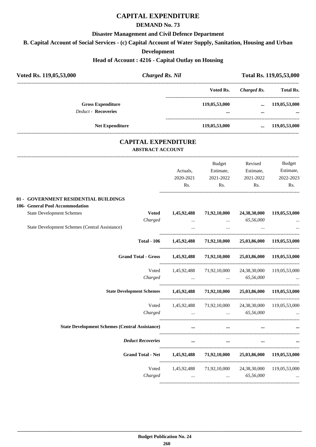#### **DEMAND No. 73**

#### **Disaster Management and Civil Defence Department**

**B. Capital Account of Social Services - (c) Capital Account of Water Supply, Sanitation, Housing and Urban**

**Development**

#### **Head of Account : 4216 - Capital Outlay on Housing**

| <b>Charged Rs. Nil</b><br>Voted Rs. 119,05,53,000                             |             |                                                                                                                                                                                                                                                                                                                                                                                                                                                                |                               | Total Rs. 119,05,53,000 |
|-------------------------------------------------------------------------------|-------------|----------------------------------------------------------------------------------------------------------------------------------------------------------------------------------------------------------------------------------------------------------------------------------------------------------------------------------------------------------------------------------------------------------------------------------------------------------------|-------------------------------|-------------------------|
|                                                                               |             | Voted Rs.                                                                                                                                                                                                                                                                                                                                                                                                                                                      | <b>Charged Rs.</b>            | <b>Total Rs.</b>        |
| <b>Gross Expenditure</b>                                                      |             | 119,05,53,000                                                                                                                                                                                                                                                                                                                                                                                                                                                  |                               | $\dots$ 119,05,53,000   |
| <b>Deduct - Recoveries</b>                                                    |             |                                                                                                                                                                                                                                                                                                                                                                                                                                                                | $\cdots$                      |                         |
| <b>Net Expenditure</b>                                                        |             | 119,05,53,000                                                                                                                                                                                                                                                                                                                                                                                                                                                  |                               | $\dots$ 119,05,53,000   |
| <b>CAPITAL EXPENDITURE</b><br><b>ABSTRACT ACCOUNT</b>                         |             |                                                                                                                                                                                                                                                                                                                                                                                                                                                                |                               |                         |
|                                                                               |             | Budget                                                                                                                                                                                                                                                                                                                                                                                                                                                         | Revised                       | Budget                  |
|                                                                               | Actuals,    |                                                                                                                                                                                                                                                                                                                                                                                                                                                                | Estimate, Estimate, Estimate, |                         |
|                                                                               | 2020-2021   | 2021-2022                                                                                                                                                                                                                                                                                                                                                                                                                                                      | 2021-2022                     | 2022-2023               |
|                                                                               | Rs.         | Rs.                                                                                                                                                                                                                                                                                                                                                                                                                                                            | Rs.                           | Rs.                     |
| 01 - GOVERNMENT RESIDENTIAL BUILDINGS                                         |             |                                                                                                                                                                                                                                                                                                                                                                                                                                                                |                               |                         |
| 106- General Pool Accommodation                                               |             |                                                                                                                                                                                                                                                                                                                                                                                                                                                                |                               |                         |
| <b>State Development Schemes</b><br><b>Voted</b>                              | 1,45,92,488 | 71,92,10,000                                                                                                                                                                                                                                                                                                                                                                                                                                                   | 24,38,30,000                  | 119,05,53,000           |
| Charged                                                                       |             | $\mathbf{1}_{\mathbf{1}_{\mathbf{1}_{\mathbf{2}}\mathbf{1}_{\mathbf{3}}\mathbf{1}_{\mathbf{4}}\mathbf{1}_{\mathbf{5}}\mathbf{1}_{\mathbf{6}}\mathbf{1}_{\mathbf{7}}\mathbf{1}_{\mathbf{8}}\mathbf{1}_{\mathbf{9}}\mathbf{1}_{\mathbf{1}_{\mathbf{1}}\mathbf{1}_{\mathbf{1}}\mathbf{1}_{\mathbf{1}}\mathbf{1}_{\mathbf{1}}\mathbf{1}_{\mathbf{1}}\mathbf{1}_{\mathbf{1}}\mathbf{1}_{\mathbf{1}}\mathbf{1}_{\mathbf{1}}\mathbf{1}_{\mathbf{$<br>$\sim$ 100 $\mu$ | 65,56,000                     |                         |
| State Development Schemes (Central Assistance)                                |             | $\cdots$                                                                                                                                                                                                                                                                                                                                                                                                                                                       |                               |                         |
|                                                                               |             | Total - 106 1,45,92,488 71,92,10,000 25,03,86,000 119,05,53,000                                                                                                                                                                                                                                                                                                                                                                                                |                               |                         |
| Grand Total - Gross 1,45,92,488 71,92,10,000 25,03,86,000 119,05,53,000       |             |                                                                                                                                                                                                                                                                                                                                                                                                                                                                |                               |                         |
|                                                                               |             | Voted 1,45,92,488 71,92,10,000 24,38,30,000 119,05,53,000                                                                                                                                                                                                                                                                                                                                                                                                      |                               |                         |
| Charged                                                                       |             | $65,56,000$                                                                                                                                                                                                                                                                                                                                                                                                                                                    |                               |                         |
| State Development Schemes 1,45,92,488 71,92,10,000 25,03,86,000 119,05,53,000 |             |                                                                                                                                                                                                                                                                                                                                                                                                                                                                |                               |                         |
| Voted                                                                         | 1,45,92,488 | 71,92,10,000                                                                                                                                                                                                                                                                                                                                                                                                                                                   | 24,38,30,000                  | 119,05,53,000           |
| Charged                                                                       |             | $\cdots$                                                                                                                                                                                                                                                                                                                                                                                                                                                       | 65,56,000                     |                         |
| <b>State Development Schemes (Central Assistance)</b>                         |             |                                                                                                                                                                                                                                                                                                                                                                                                                                                                |                               |                         |
| <b>Deduct Recoveries</b>                                                      | $\cdots$    | $\cdots$                                                                                                                                                                                                                                                                                                                                                                                                                                                       | $\cdots$                      |                         |
| <b>Grand Total - Net</b>                                                      | 1,45,92,488 | 71,92,10,000                                                                                                                                                                                                                                                                                                                                                                                                                                                   | 25,03,86,000                  | 119,05,53,000           |
| Voted                                                                         | 1,45,92,488 | 71,92,10,000                                                                                                                                                                                                                                                                                                                                                                                                                                                   | 24,38,30,000                  | 119,05,53,000           |
| Charged                                                                       | $\cdots$    | $\cdots$                                                                                                                                                                                                                                                                                                                                                                                                                                                       | 65,56,000                     |                         |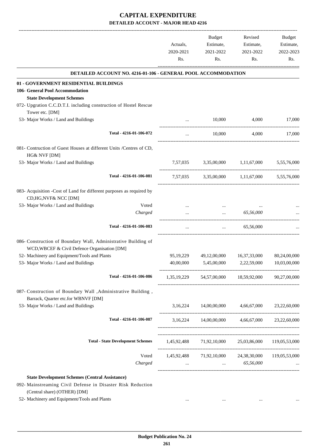|                                                                                                                                                      | Actuals,<br>2020-2021<br>Rs. | Budget<br>Estimate,<br>2021-2022<br>Rs.                                   | Revised<br>Estimate,<br>2021-2022<br>Rs. | Budget<br>Estimate,<br>2022-2023<br>Rs. |
|------------------------------------------------------------------------------------------------------------------------------------------------------|------------------------------|---------------------------------------------------------------------------|------------------------------------------|-----------------------------------------|
| DETAILED ACCOUNT NO. 4216-01-106 - GENERAL POOL ACCOMMODATION                                                                                        |                              |                                                                           |                                          |                                         |
| 01 - GOVERNMENT RESIDENTIAL BUILDINGS<br>106- General Pool Accommodation<br><b>State Development Schemes</b>                                         |                              |                                                                           |                                          |                                         |
| 072- Upgration C.C.D.T.I. including construction of Hostel Rescue<br>Tower etc. [DM]                                                                 |                              |                                                                           |                                          |                                         |
| 53- Major Works / Land and Buildings                                                                                                                 |                              | 10,000                                                                    | 4,000                                    | 17,000                                  |
| Total - 4216-01-106-072                                                                                                                              | $\cdots$                     | 10,000                                                                    | 4,000                                    | 17,000                                  |
| 081- Contruction of Guest Houses at different Units /Centres of CD,<br>HG& NVF [DM]                                                                  |                              |                                                                           |                                          |                                         |
| 53- Major Works / Land and Buildings                                                                                                                 | 7,57,035                     | 3,35,00,000                                                               | 1,11,67,000                              | 5,55,76,000                             |
| Total - 4216-01-106-081                                                                                                                              | 7,57,035                     |                                                                           | 3,35,00,000 1,11,67,000 5,55,76,000      |                                         |
| 083- Acquisition -Cost of Land for different purposes as required by<br>CD, HG, NVF& NCC [DM]                                                        |                              |                                                                           |                                          |                                         |
| 53- Major Works / Land and Buildings<br>Voted                                                                                                        |                              | $\cdots$                                                                  |                                          |                                         |
| Charged                                                                                                                                              |                              | $\cdots$                                                                  | 65,56,000                                |                                         |
| Total - 4216-01-106-083                                                                                                                              |                              | $\cdots$                                                                  | 65,56,000                                |                                         |
| 086- Construction of Boundary Wall, Administrative Building of<br>WCD, WBCEF & Civil Defence Organisation [DM]                                       |                              |                                                                           |                                          |                                         |
| 52- Machinery and Equipment/Tools and Plants                                                                                                         | 95, 19, 229                  | 49,12,00,000                                                              | 16, 37, 33, 000                          | 80,24,00,000                            |
| 53- Major Works / Land and Buildings                                                                                                                 | 40,00,000                    | 5,45,00,000                                                               | 2,22,59,000                              | 10,03,00,000                            |
| Total - 4216-01-106-086                                                                                                                              |                              | 1,35,19,229 54,57,00,000 18,59,92,000 90,27,00,000                        |                                          |                                         |
| 087- Construction of Boundary Wall , Administrative Building,<br>Barrack, Quarter etc.for WBNVF [DM]                                                 |                              |                                                                           |                                          |                                         |
| 53- Major Works / Land and Buildings                                                                                                                 |                              | $3,16,224$ $14,00,00,000$ $4,66,67,000$ $23,22,60,000$                    |                                          |                                         |
| Total - 4216-01-106-087                                                                                                                              |                              | 3,16,224 14,00,00,000 4,66,67,000 23,22,60,000                            |                                          |                                         |
| <b>Total - State Development Schemes</b>                                                                                                             |                              | 1,45,92,488 71,92,10,000 25,03,86,000 119,05,53,000                       |                                          |                                         |
| Voted<br>Charged                                                                                                                                     | $\cdots$                     | 1,45,92,488 71,92,10,000 24,38,30,000 119,05,53,000<br>$\ldots$ 65,56,000 |                                          |                                         |
|                                                                                                                                                      |                              |                                                                           |                                          |                                         |
| <b>State Development Schemes (Central Assistance)</b><br>092- Mainstreaming Civil Defense in Disaster Risk Reduction<br>(Central share) (OTHER) [DM] |                              |                                                                           |                                          |                                         |
| 52- Machinery and Equipment/Tools and Plants                                                                                                         |                              |                                                                           |                                          |                                         |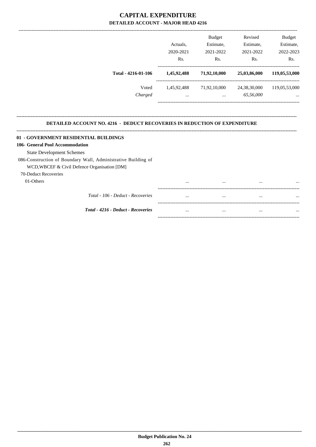|                                                                                  |             | <b>Budget</b>                                       | Revised      | Budget        |
|----------------------------------------------------------------------------------|-------------|-----------------------------------------------------|--------------|---------------|
|                                                                                  | Actuals,    | Estimate,                                           | Estimate,    | Estimate,     |
|                                                                                  | 2020-2021   | 2021-2022                                           | 2021-2022    | 2022-2023     |
|                                                                                  | Rs.         | Rs.                                                 | Rs.          | Rs.           |
| Total - 4216-01-106                                                              | 1,45,92,488 | 71,92,10,000                                        | 25,03,86,000 | 119,05,53,000 |
| Voted                                                                            |             | 1,45,92,488 71,92,10,000 24,38,30,000 119,05,53,000 |              |               |
| Charged                                                                          | $\cdots$    | $\cdots$                                            | 65,56,000    |               |
| <b>DETAILED ACCOUNT NO. 4216 - DEDUCT RECOVERIES IN REDUCTION OF EXPENDITURE</b> |             |                                                     |              |               |
| 01 - GOVERNMENT RESIDENTIAL BUILDINGS                                            |             |                                                     |              |               |
| 106- General Pool Accommodation                                                  |             |                                                     |              |               |
| <b>State Development Schemes</b>                                                 |             |                                                     |              |               |
| 086-Construction of Boundary Wall, Administrative Building of                    |             |                                                     |              |               |
| WCD, WBCEF & Civil Defence Organisation [DM]                                     |             |                                                     |              |               |
| 70-Deduct Recoveries                                                             |             |                                                     |              |               |
| 01-Others                                                                        | $\cdots$    | $\cdots$                                            | $\cdots$     |               |

| Total - 106 - Deduct - Recoveries  | $\cdots$ | $\cdots$ | $\cdots$ | $\cdots$ |
|------------------------------------|----------|----------|----------|----------|
| Total - 4216 - Deduct - Recoveries | $\cdots$ | $\cdots$ | $\cdots$ | $\cdots$ |
|                                    |          |          |          |          |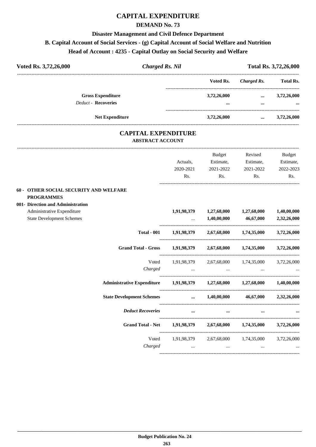### **DEMAND No. 73**

#### **Disaster Management and Civil Defence Department**

### **B. Capital Account of Social Services - (g) Capital Account of Social Welfare and Nutrition**

# **Head of Account : 4235 - Capital Outlay on Social Security and Welfare**

| Voted Rs. 3,72,26,000 |                                                        | Charged Rs. Nil |                         | Total Rs. 3,72,26,000 |                         |  |
|-----------------------|--------------------------------------------------------|-----------------|-------------------------|-----------------------|-------------------------|--|
|                       |                                                        |                 | Voted Rs.               | Charged Rs.           | <b>Total Rs.</b>        |  |
|                       | <b>Gross Expenditure</b><br><b>Deduct - Recoveries</b> |                 | 3,72,26,000<br>$\cdots$ | $\cdots$<br>$\cdots$  | 3,72,26,000<br>$\cdots$ |  |
|                       | <b>Net Expenditure</b>                                 |                 | 3,72,26,000             | $\cdots$              | 3,72,26,000             |  |

### **CAPITAL EXPENDITURE ABSTRACT ACCOUNT**

|                                                                            |                                                             | Budget                                                                          | Revised                                         | <b>Budget</b> |
|----------------------------------------------------------------------------|-------------------------------------------------------------|---------------------------------------------------------------------------------|-------------------------------------------------|---------------|
|                                                                            | Actuals,                                                    |                                                                                 | Estimate, Estimate,                             | Estimate,     |
|                                                                            | 2020-2021                                                   | 2021-2022                                                                       | 2021-2022                                       | 2022-2023     |
|                                                                            | Rs.                                                         | Rs.                                                                             | Rs.                                             | Rs.           |
| <b>60 - OTHER SOCIAL SECURITY AND WELFARE</b>                              |                                                             |                                                                                 |                                                 |               |
| <b>PROGRAMMES</b><br>001- Direction and Administration                     |                                                             |                                                                                 |                                                 |               |
| Administrative Expenditure                                                 |                                                             |                                                                                 | 1,91,98,379 1,27,68,000 1,27,68,000 1,40,00,000 |               |
| <b>State Development Schemes</b>                                           | $\cdots$                                                    | 1,40,00,000                                                                     | 46,67,000                                       | 2,32,26,000   |
|                                                                            | Total - 001 1,91,98,379 2,67,68,000 1,74,35,000 3,72,26,000 |                                                                                 |                                                 |               |
| <b>Grand Total - Gross</b>                                                 | $1,91,98,379$ $2,67,68,000$ $1,74,35,000$ $3,72,26,000$     |                                                                                 |                                                 |               |
|                                                                            | Voted 1,91,98,379 2,67,68,000 1,74,35,000 3,72,26,000       |                                                                                 |                                                 |               |
| Charged                                                                    |                                                             | the contract of the contract of the contract of the contract of the contract of |                                                 |               |
| Administrative Expenditure 1,91,98,379 1,27,68,000 1,27,68,000 1,40,00,000 |                                                             |                                                                                 |                                                 |               |
| State Development Schemes                                                  |                                                             |                                                                                 | $1,40,00,000$ $46,67,000$ $2,32,26,000$         |               |
| <b>Deduct Recoveries</b>                                                   |                                                             | $\cdots$<br>$\cdots$                                                            |                                                 |               |
| <b>Grand Total - Net</b>                                                   |                                                             |                                                                                 | $1,91,98,379$ $2,67,68,000$ $1,74,35,000$       | 3,72,26,000   |
|                                                                            | Voted 1,91,98,379 2,67,68,000 1,74,35,000 3,72,26,000       |                                                                                 |                                                 |               |
|                                                                            | Charged                                                     | $\mathbf{r}$ and $\mathbf{r}$ and $\mathbf{r}$                                  | $\ddots$                                        |               |
|                                                                            |                                                             |                                                                                 |                                                 |               |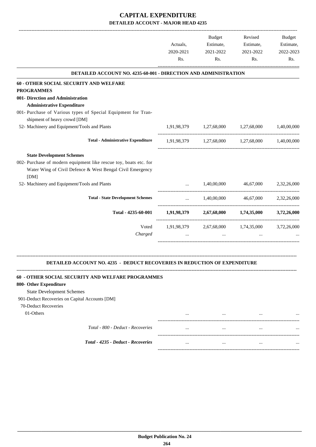|                                                                                  | Actuals,         | <b>Budget</b><br>Estimate,          | Revised<br>Estimate,                            | Budget<br>Estimate, |
|----------------------------------------------------------------------------------|------------------|-------------------------------------|-------------------------------------------------|---------------------|
|                                                                                  | 2020-2021<br>Rs. | 2021-2022<br>R <sub>s</sub> .       | 2021-2022<br>Rs.                                | 2022-2023<br>Rs.    |
| <b>DETAILED ACCOUNT NO. 4235-60-001 - DIRECTION AND ADMINISTRATION</b>           |                  |                                     |                                                 |                     |
| 60 - OTHER SOCIAL SECURITY AND WELFARE                                           |                  |                                     |                                                 |                     |
| <b>PROGRAMMES</b>                                                                |                  |                                     |                                                 |                     |
| 001- Direction and Administration                                                |                  |                                     |                                                 |                     |
| <b>Administrative Expenditure</b>                                                |                  |                                     |                                                 |                     |
| 001- Purchase of Various types of Special Equipment for Tran-                    |                  |                                     |                                                 |                     |
| shipment of heavy crowd [DM]                                                     |                  |                                     |                                                 |                     |
| 52- Machinery and Equipment/Tools and Plants                                     |                  | 1,91,98,379 1,27,68,000 1,27,68,000 |                                                 | 1,40,00,000         |
| <b>Total - Administrative Expenditure</b>                                        |                  |                                     | 1,91,98,379 1,27,68,000 1,27,68,000 1,40,00,000 |                     |
| <b>State Development Schemes</b>                                                 |                  |                                     |                                                 |                     |
| 002- Purchase of modern equipment like rescue toy, boats etc. for                |                  |                                     |                                                 |                     |
| Water Wing of Civil Defence & West Bengal Civil Emergency                        |                  |                                     |                                                 |                     |
| [DM]                                                                             |                  |                                     |                                                 |                     |
| 52- Machinery and Equipment/Tools and Plants                                     | $\cdots$         | 1,40,00,000                         | 46,67,000                                       | 2,32,26,000         |
| <b>Total - State Development Schemes</b>                                         | $\mathbf{r}$     |                                     | 1,40,00,000 46,67,000                           | 2,32,26,000         |
| Total - 4235-60-001                                                              |                  |                                     | $1,91,98,379$ $2,67,68,000$ $1,74,35,000$       | 3,72,26,000         |
| Voted                                                                            |                  |                                     | 1,91,98,379 2,67,68,000 1,74,35,000 3,72,26,000 |                     |
| Charged                                                                          |                  | $\ddotsc$                           |                                                 |                     |
|                                                                                  |                  |                                     |                                                 |                     |
| <b>DETAILED ACCOUNT NO. 4235 - DEDUCT RECOVERIES IN REDUCTION OF EXPENDITURE</b> |                  |                                     |                                                 |                     |
| 60 - OTHER SOCIAL SECURITY AND WELFARE PROGRAMMES                                |                  |                                     |                                                 |                     |

#### **800- Other Expenditure**

State Development Schemes

901-Deduct Recoveries on Capital Accounts [DM]

70-Deduct Recoveries

01-Others ... ... ... ...

----------------------------------------------------------------------------------------- *Total - 800 - Deduct - Recoveries* ... ... ... ... ----------------------------------------------------------------------------------------- *Total - 4235 - Deduct - Recoveries* ... ... ... ...

-----------------------------------------------------------------------------------------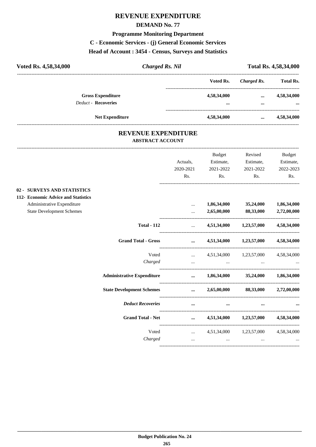# **REVENUE EXPENDITURE**

### **DEMAND No. 77**

#### **Programme Monitoring Department**

### **C - Economic Services - (j) General Economic Services**

# **Head of Account : 3454 - Census, Surveys and Statistics**

| Voted Rs. 4,58,34,000                                  | <b>Charged Rs. Nil</b> |                 | Total Rs. 4,58,34,000 |                         |  |
|--------------------------------------------------------|------------------------|-----------------|-----------------------|-------------------------|--|
|                                                        |                        | Voted Rs.       | Charged Rs.           | <b>Total Rs.</b>        |  |
| <b>Gross Expenditure</b><br><b>Deduct - Recoveries</b> |                        | 4,58,34,000     | $\cdots$              | 4,58,34,000             |  |
|                                                        | <b>Net Expenditure</b> | <br>4,58,34,000 | $\cdots$<br>$\cdots$  | $\cdots$<br>4,58,34,000 |  |

### **REVENUE EXPENDITURE ABSTRACT ACCOUNT**

---------------------------------------------------------------------------------------------------------------------------------------------------------------------------------

|                                                                    |                                                                                                                       | Actuals,<br>2020-2021<br>Rs.                                                                                                                                                                                                         | <b>Budget</b><br>Estimate,<br>2021-2022<br>Rs.              | Revised<br>Estimate,<br>2021-2022<br>Rs.     | <b>Budget</b><br>Estimate,<br>2022-2023<br>Rs. |
|--------------------------------------------------------------------|-----------------------------------------------------------------------------------------------------------------------|--------------------------------------------------------------------------------------------------------------------------------------------------------------------------------------------------------------------------------------|-------------------------------------------------------------|----------------------------------------------|------------------------------------------------|
| 02 - SURVEYS AND STATISTICS<br>112- Economic Advice and Statistics |                                                                                                                       |                                                                                                                                                                                                                                      |                                                             |                                              |                                                |
| Administrative Expenditure<br><b>State Development Schemes</b>     |                                                                                                                       | <br>$\cdots$                                                                                                                                                                                                                         | 1,86,34,000<br>2,65,00,000                                  | 35,24,000<br>88,33,000                       | 1,86,34,000<br>2,72,00,000                     |
|                                                                    | <b>Total - 112</b>                                                                                                    | <u>and the company of the company of the company of the company of the company of the company of the company of the company of the company of the company of the company of the company of the company of the company of the com</u> |                                                             | 4,51,34,000 1,23,57,000 4,58,34,000          |                                                |
|                                                                    | <b>Grand Total - Gross</b>                                                                                            |                                                                                                                                                                                                                                      |                                                             | $\ldots$ 4,51,34,000 1,23,57,000 4,58,34,000 |                                                |
|                                                                    | Charged                                                                                                               |                                                                                                                                                                                                                                      | and the state of the state of the state of the state of the | Voted  4,51,34,000 1,23,57,000 4,58,34,000   |                                                |
|                                                                    | Administrative Expenditure $\qquad \qquad \dots \qquad 1,86,34,000 \qquad \qquad 35,24,000 \qquad \qquad 1,86,34,000$ |                                                                                                                                                                                                                                      |                                                             |                                              |                                                |
|                                                                    | State Development Schemes  2,65,00,000 88,33,000 2,72,00,000                                                          |                                                                                                                                                                                                                                      |                                                             |                                              |                                                |
|                                                                    | <b>Deduct Recoveries</b>                                                                                              | $\cdots$                                                                                                                                                                                                                             | $\cdots$                                                    |                                              |                                                |
|                                                                    | <b>Grand Total - Net</b>                                                                                              |                                                                                                                                                                                                                                      |                                                             | $\ldots$ 4,51,34,000 1,23,57,000 4,58,34,000 |                                                |
|                                                                    | Voted<br>Charged                                                                                                      | $\sim$                                                                                                                                                                                                                               | and the contract of the contract of the contract of the     | $\ldots$ 4,51,34,000 1,23,57,000 4,58,34,000 | $\mathbf{r}$                                   |
|                                                                    |                                                                                                                       |                                                                                                                                                                                                                                      |                                                             |                                              |                                                |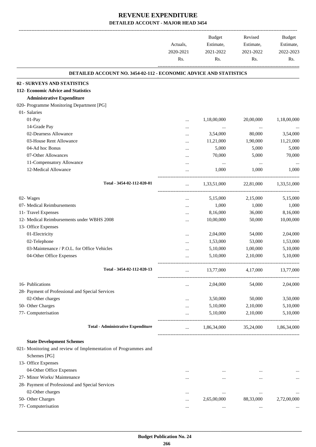-------------------------------------------------------------------------------------------------------------------------------------------------------------------------------

|                                                                          | Actuals,<br>2020-2021<br>Rs. | <b>Budget</b><br>Estimate,<br>2021-2022<br>Rs. | Revised<br>Estimate,<br>2021-2022<br>Rs. | <b>Budget</b><br>Estimate,<br>2022-2023<br>Rs. |
|--------------------------------------------------------------------------|------------------------------|------------------------------------------------|------------------------------------------|------------------------------------------------|
| <b>DETAILED ACCOUNT NO. 3454-02-112 - ECONOMIC ADVICE AND STATISTICS</b> |                              |                                                |                                          |                                                |
| 02 - SURVEYS AND STATISTICS                                              |                              |                                                |                                          |                                                |
| 112- Economic Advice and Statistics                                      |                              |                                                |                                          |                                                |
| <b>Administrative Expenditure</b>                                        |                              |                                                |                                          |                                                |
| 020- Programme Monitoring Department [PG]                                |                              |                                                |                                          |                                                |
| 01- Salaries                                                             |                              |                                                |                                          |                                                |
| $01-Pay$                                                                 |                              | 1,18,00,000                                    | 20,00,000                                | 1,18,00,000                                    |
| 14-Grade Pay                                                             | $\cdots$                     | $\cdots$                                       | $\cdots$                                 |                                                |
| 02-Dearness Allowance                                                    | $\cdots$                     | 3,54,000                                       | 80,000                                   | 3,54,000                                       |
| 03-House Rent Allowance                                                  |                              | 11,21,000                                      | 1,90,000                                 | 11,21,000                                      |
| 04-Ad hoc Bonus                                                          |                              | 5,000                                          | 5,000                                    | 5,000                                          |
| 07-Other Allowances                                                      |                              | 70,000                                         | 5,000                                    | 70,000                                         |
| 11-Compensatory Allowance                                                |                              | $\ldots$                                       |                                          |                                                |
| 12-Medical Allowance                                                     |                              | 1,000                                          | 1,000                                    | 1,000                                          |
| Total - 3454-02-112-020-01                                               |                              | 1,33,51,000                                    | 22,81,000                                | 1,33,51,000                                    |
| 02- Wages                                                                | $\cdots$                     | 5,15,000                                       | 2,15,000                                 | 5,15,000                                       |
| 07- Medical Reimbursements                                               |                              | 1,000                                          | 1,000                                    | 1,000                                          |
| 11- Travel Expenses                                                      |                              | 8,16,000                                       | 36,000                                   | 8,16,000                                       |
| 12- Medical Reimbursements under WBHS 2008                               |                              | 10,00,000                                      | 50,000                                   | 10,00,000                                      |
| 13- Office Expenses                                                      |                              |                                                |                                          |                                                |
| 01-Electricity                                                           |                              | 2,04,000                                       | 54,000                                   | 2,04,000                                       |
| 02-Telephone                                                             |                              | 1,53,000                                       | 53,000                                   | 1,53,000                                       |
| 03-Maintenance / P.O.L. for Office Vehicles                              |                              | 5,10,000                                       | 1,00,000                                 | 5,10,000                                       |
| 04-Other Office Expenses                                                 |                              | 5,10,000                                       | 2,10,000                                 | 5,10,000                                       |
| Total - 3454-02-112-020-13                                               |                              | 13,77,000                                      | 4,17,000                                 | 13,77,000                                      |
| 16- Publications                                                         | $\cdots$                     | 2,04,000                                       | 54,000                                   | 2,04,000                                       |
| 28- Payment of Professional and Special Services                         |                              |                                                |                                          |                                                |
| 02-Other charges                                                         |                              | 3,50,000                                       | 50,000                                   | 3,50,000                                       |
| 50- Other Charges                                                        |                              | 5,10,000                                       | 2,10,000                                 | 5,10,000                                       |
| 77- Computerisation                                                      |                              | 5,10,000                                       | 2,10,000                                 | 5,10,000                                       |
| <b>Total - Administrative Expenditure</b>                                |                              | 1,86,34,000                                    | 35,24,000                                | 1,86,34,000                                    |
| <b>State Development Schemes</b>                                         |                              |                                                |                                          |                                                |
| 021- Monitoring and review of Implementation of Programmes and           |                              |                                                |                                          |                                                |
| Schemes [PG]                                                             |                              |                                                |                                          |                                                |
| 13- Office Expenses                                                      |                              |                                                |                                          |                                                |
| 04-Other Office Expenses                                                 |                              |                                                |                                          |                                                |
| 27- Minor Works/ Maintenance                                             |                              |                                                |                                          |                                                |
| 28- Payment of Professional and Special Services                         |                              |                                                |                                          |                                                |
| 02-Other charges                                                         |                              | $\ddotsc$                                      | $\ddotsc$                                |                                                |
| 50- Other Charges                                                        |                              | 2,65,00,000                                    | 88,33,000                                | 2,72,00,000                                    |
| 77- Computerisation                                                      | $\cdots$                     |                                                |                                          |                                                |